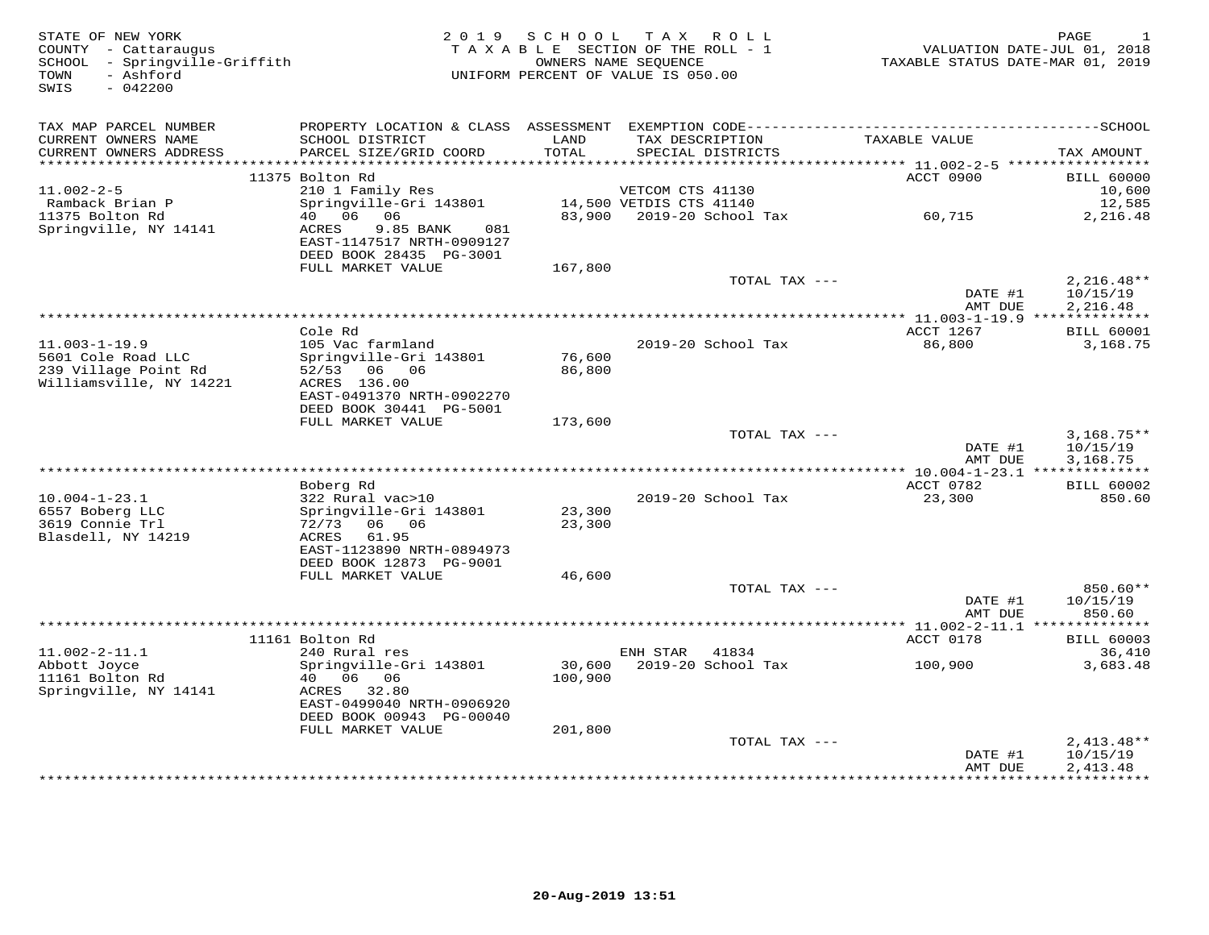| STATE OF NEW YORK<br>COUNTY - Cattaraugus<br>SCHOOL - Springville-Griffith<br>- Ashford<br>TOWN | 2 0 1 9                                                                                      | S C H O O L   | TAX ROLL<br>TAXABLE SECTION OF THE ROLL - 1<br>OWNERS NAME SEQUENCE<br>UNIFORM PERCENT OF VALUE IS 050.00 | TAXABLE STATUS DATE-MAR 01, 2019        | PAGE<br>VALUATION DATE-JUL 01, 2018 |
|-------------------------------------------------------------------------------------------------|----------------------------------------------------------------------------------------------|---------------|-----------------------------------------------------------------------------------------------------------|-----------------------------------------|-------------------------------------|
| $-042200$<br>SWIS                                                                               |                                                                                              |               |                                                                                                           |                                         |                                     |
| TAX MAP PARCEL NUMBER                                                                           | PROPERTY LOCATION & CLASS ASSESSMENT EXEMPTION CODE-----------------------------------SCHOOL |               |                                                                                                           |                                         |                                     |
| CURRENT OWNERS NAME<br>CURRENT OWNERS ADDRESS                                                   | SCHOOL DISTRICT<br>PARCEL SIZE/GRID COORD                                                    | LAND<br>TOTAL | TAX DESCRIPTION<br>SPECIAL DISTRICTS                                                                      | TAXABLE VALUE                           | TAX AMOUNT                          |
| ***********************                                                                         |                                                                                              |               |                                                                                                           |                                         |                                     |
| $11.002 - 2 - 5$                                                                                | 11375 Bolton Rd<br>210 1 Family Res                                                          |               | VETCOM CTS 41130                                                                                          | ACCT 0900                               | <b>BILL 60000</b><br>10,600         |
| Ramback Brian P                                                                                 | Springville-Gri 143801                                                                       |               | 14,500 VETDIS CTS 41140                                                                                   |                                         | 12,585                              |
| 11375 Bolton Rd                                                                                 | 40 06 06                                                                                     | 83,900        | 2019-20 School Tax                                                                                        | 60,715                                  | 2,216.48                            |
| Springville, NY 14141                                                                           | ACRES<br>9.85 BANK<br>081                                                                    |               |                                                                                                           |                                         |                                     |
|                                                                                                 | EAST-1147517 NRTH-0909127                                                                    |               |                                                                                                           |                                         |                                     |
|                                                                                                 | DEED BOOK 28435 PG-3001                                                                      |               |                                                                                                           |                                         |                                     |
|                                                                                                 | FULL MARKET VALUE                                                                            | 167,800       |                                                                                                           |                                         |                                     |
|                                                                                                 |                                                                                              |               | TOTAL TAX ---                                                                                             | DATE #1                                 | $2,216.48**$<br>10/15/19            |
|                                                                                                 |                                                                                              |               |                                                                                                           | AMT DUE                                 | 2,216.48                            |
|                                                                                                 |                                                                                              |               | ********************                                                                                      | ** 11.003-1-19.9 **************         |                                     |
|                                                                                                 | Cole Rd                                                                                      |               |                                                                                                           | ACCT 1267                               | <b>BILL 60001</b>                   |
| $11.003 - 1 - 19.9$                                                                             | 105 Vac farmland                                                                             |               | 2019-20 School Tax                                                                                        | 86,800                                  | 3,168.75                            |
| 5601 Cole Road LLC                                                                              | Springville-Gri 143801                                                                       | 76,600        |                                                                                                           |                                         |                                     |
| 239 Village Point Rd<br>Williamsville, NY 14221                                                 | 52/53 06 06<br>ACRES 136.00                                                                  | 86,800        |                                                                                                           |                                         |                                     |
|                                                                                                 | EAST-0491370 NRTH-0902270                                                                    |               |                                                                                                           |                                         |                                     |
|                                                                                                 | DEED BOOK 30441 PG-5001                                                                      |               |                                                                                                           |                                         |                                     |
|                                                                                                 | FULL MARKET VALUE                                                                            | 173,600       |                                                                                                           |                                         |                                     |
|                                                                                                 |                                                                                              |               | TOTAL TAX ---                                                                                             |                                         | $3,168.75**$                        |
|                                                                                                 |                                                                                              |               |                                                                                                           | DATE #1                                 | 10/15/19                            |
|                                                                                                 |                                                                                              |               |                                                                                                           | AMT DUE                                 | 3,168.75                            |
|                                                                                                 | Boberg Rd                                                                                    |               |                                                                                                           | ACCT 0782                               | <b>BILL 60002</b>                   |
| $10.004 - 1 - 23.1$                                                                             | 322 Rural vac>10                                                                             |               | 2019-20 School Tax                                                                                        | 23,300                                  | 850.60                              |
| 6557 Boberg LLC                                                                                 | Springville-Gri 143801                                                                       | 23,300        |                                                                                                           |                                         |                                     |
| 3619 Connie Trl                                                                                 | 72/73<br>06 06                                                                               | 23,300        |                                                                                                           |                                         |                                     |
| Blasdell, NY 14219                                                                              | 61.95<br>ACRES                                                                               |               |                                                                                                           |                                         |                                     |
|                                                                                                 | EAST-1123890 NRTH-0894973                                                                    |               |                                                                                                           |                                         |                                     |
|                                                                                                 | DEED BOOK 12873 PG-9001<br>FULL MARKET VALUE                                                 | 46,600        |                                                                                                           |                                         |                                     |
|                                                                                                 |                                                                                              |               | TOTAL TAX ---                                                                                             |                                         | 850.60**                            |
|                                                                                                 |                                                                                              |               |                                                                                                           | DATE #1                                 | 10/15/19                            |
|                                                                                                 |                                                                                              |               |                                                                                                           | AMT DUE                                 | 850.60                              |
|                                                                                                 |                                                                                              |               |                                                                                                           | ********** 11.002-2-11.1 ************** |                                     |
|                                                                                                 | 11161 Bolton Rd                                                                              |               |                                                                                                           | ACCT 0178                               | <b>BILL 60003</b>                   |
| $11.002 - 2 - 11.1$<br>Abbott Joyce                                                             | 240 Rural res<br>Springville-Gri 143801                                                      | 30,600        | ENH STAR<br>41834<br>2019-20 School Tax                                                                   | 100,900                                 | 36,410<br>3,683.48                  |
| 11161 Bolton Rd                                                                                 | 40  06  06                                                                                   | 100,900       |                                                                                                           |                                         |                                     |
| Springville, NY 14141                                                                           | ACRES<br>32.80                                                                               |               |                                                                                                           |                                         |                                     |
|                                                                                                 | EAST-0499040 NRTH-0906920                                                                    |               |                                                                                                           |                                         |                                     |
|                                                                                                 | DEED BOOK 00943 PG-00040                                                                     |               |                                                                                                           |                                         |                                     |
|                                                                                                 | FULL MARKET VALUE                                                                            | 201,800       |                                                                                                           |                                         |                                     |
|                                                                                                 |                                                                                              |               | TOTAL TAX ---                                                                                             |                                         | $2,413.48**$                        |
|                                                                                                 |                                                                                              |               |                                                                                                           | DATE #1<br>AMT DUE                      | 10/15/19<br>2,413.48                |
|                                                                                                 |                                                                                              |               |                                                                                                           | · * * * * * * * * * * *                 | **********                          |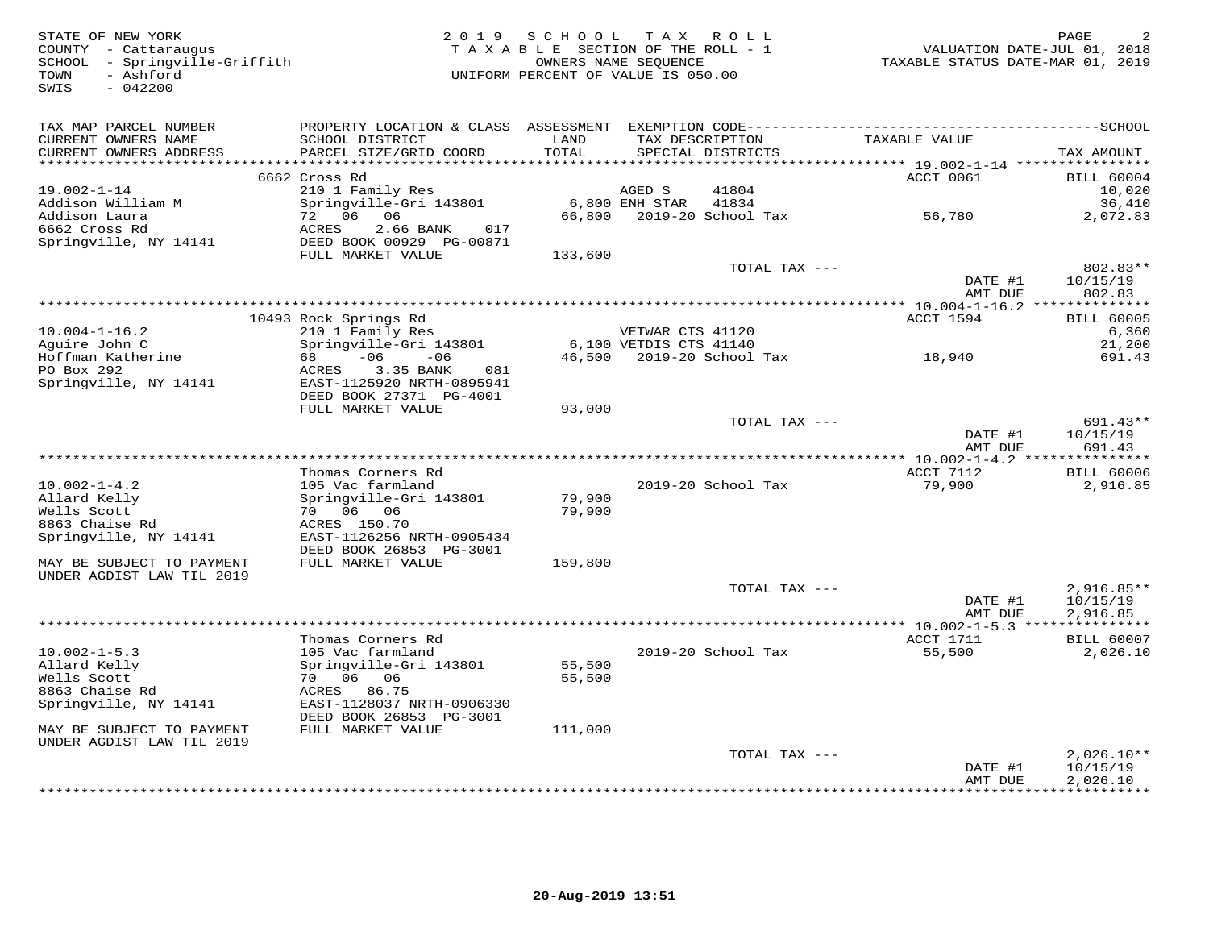| STATE OF NEW YORK<br>COUNTY - Cattaraugus<br>SCHOOL - Springville-Griffith<br>- Ashford<br>TOWN<br>SWIS<br>$-042200$ |                                                                                                                                           | 2019 SCHOOL<br>TAXABLE SECTION OF THE ROLL - 1<br>UNIFORM PERCENT OF VALUE IS 050.00 | OWNERS NAME SEQUENCE                       | TAX ROLL                             | TAXABLE STATUS DATE-MAR 01, 2019                  | PAGE<br>VALUATION DATE-JUL 01, 2018 |
|----------------------------------------------------------------------------------------------------------------------|-------------------------------------------------------------------------------------------------------------------------------------------|--------------------------------------------------------------------------------------|--------------------------------------------|--------------------------------------|---------------------------------------------------|-------------------------------------|
| TAX MAP PARCEL NUMBER<br>CURRENT OWNERS NAME<br>CURRENT OWNERS ADDRESS                                               | PROPERTY LOCATION & CLASS ASSESSMENT EXEMPTION CODE-----------------------------------SCHOOL<br>SCHOOL DISTRICT<br>PARCEL SIZE/GRID COORD | LAND<br>TOTAL                                                                        |                                            | TAX DESCRIPTION<br>SPECIAL DISTRICTS | TAXABLE VALUE                                     | TAX AMOUNT                          |
| ***********************                                                                                              |                                                                                                                                           |                                                                                      |                                            |                                      |                                                   |                                     |
|                                                                                                                      | 6662 Cross Rd                                                                                                                             |                                                                                      |                                            |                                      | ACCT 0061                                         | <b>BILL 60004</b>                   |
| $19.002 - 1 - 14$                                                                                                    | 210 1 Family Res                                                                                                                          |                                                                                      | AGED S                                     | 41804                                |                                                   | 10,020                              |
| Addison William M<br>Addison Laura                                                                                   | Springville-Gri 143801<br>72 06 06                                                                                                        |                                                                                      | $6,800$ ENH STAR                           | 41834<br>66,800 2019-20 School Tax   |                                                   | 36,410<br>2,072.83                  |
| 6662 Cross Rd                                                                                                        | ACRES<br>2.66 BANK<br>017                                                                                                                 |                                                                                      |                                            |                                      | 56,780                                            |                                     |
| Springville, NY 14141                                                                                                | DEED BOOK 00929 PG-00871                                                                                                                  |                                                                                      |                                            |                                      |                                                   |                                     |
|                                                                                                                      | FULL MARKET VALUE                                                                                                                         | 133,600                                                                              |                                            |                                      |                                                   |                                     |
|                                                                                                                      |                                                                                                                                           |                                                                                      |                                            | TOTAL TAX ---                        |                                                   | 802.83**                            |
|                                                                                                                      |                                                                                                                                           |                                                                                      |                                            |                                      | DATE #1                                           | 10/15/19                            |
|                                                                                                                      |                                                                                                                                           |                                                                                      |                                            |                                      | AMT DUE                                           | 802.83                              |
|                                                                                                                      |                                                                                                                                           | *******************************                                                      |                                            |                                      | ********** 10.004-1-16.2 **************           |                                     |
|                                                                                                                      | 10493 Rock Springs Rd                                                                                                                     |                                                                                      |                                            |                                      | ACCT 1594                                         | <b>BILL 60005</b>                   |
| $10.004 - 1 - 16.2$<br>Aguire John C                                                                                 | 210 1 Family Res<br>Springville-Gri 143801                                                                                                |                                                                                      | VETWAR CTS 41120<br>6,100 VETDIS CTS 41140 |                                      |                                                   | 6,360<br>21,200                     |
| Hoffman Katherine                                                                                                    | $-06$<br>68<br>$-06$                                                                                                                      |                                                                                      |                                            | 46,500 2019-20 School Tax            | 18,940                                            | 691.43                              |
| PO Box 292                                                                                                           | 3.35 BANK<br>081<br>ACRES                                                                                                                 |                                                                                      |                                            |                                      |                                                   |                                     |
| Springville, NY 14141                                                                                                | EAST-1125920 NRTH-0895941                                                                                                                 |                                                                                      |                                            |                                      |                                                   |                                     |
|                                                                                                                      | DEED BOOK 27371 PG-4001                                                                                                                   |                                                                                      |                                            |                                      |                                                   |                                     |
|                                                                                                                      | FULL MARKET VALUE                                                                                                                         | 93,000                                                                               |                                            |                                      |                                                   |                                     |
|                                                                                                                      |                                                                                                                                           |                                                                                      |                                            | TOTAL TAX ---                        |                                                   | 691.43**                            |
|                                                                                                                      |                                                                                                                                           |                                                                                      |                                            |                                      | DATE #1                                           | 10/15/19                            |
|                                                                                                                      |                                                                                                                                           |                                                                                      | *********************                      |                                      | AMT DUE                                           | 691.43                              |
|                                                                                                                      | Thomas Corners Rd                                                                                                                         |                                                                                      |                                            |                                      | * $10.002 - 1 - 4.2$ ***************<br>ACCT 7112 | <b>BILL 60006</b>                   |
| $10.002 - 1 - 4.2$                                                                                                   | 105 Vac farmland                                                                                                                          |                                                                                      |                                            | 2019-20 School Tax                   | 79,900                                            | 2,916.85                            |
| Allard Kelly                                                                                                         | Springville-Gri 143801                                                                                                                    | 79,900                                                                               |                                            |                                      |                                                   |                                     |
| Wells Scott                                                                                                          | 70 06 06                                                                                                                                  | 79,900                                                                               |                                            |                                      |                                                   |                                     |
| 8863 Chaise Rd                                                                                                       | ACRES 150.70                                                                                                                              |                                                                                      |                                            |                                      |                                                   |                                     |
| Springville, NY 14141                                                                                                | EAST-1126256 NRTH-0905434                                                                                                                 |                                                                                      |                                            |                                      |                                                   |                                     |
|                                                                                                                      | DEED BOOK 26853 PG-3001                                                                                                                   |                                                                                      |                                            |                                      |                                                   |                                     |
| MAY BE SUBJECT TO PAYMENT                                                                                            | FULL MARKET VALUE                                                                                                                         | 159,800                                                                              |                                            |                                      |                                                   |                                     |
| UNDER AGDIST LAW TIL 2019                                                                                            |                                                                                                                                           |                                                                                      |                                            | TOTAL TAX ---                        |                                                   |                                     |
|                                                                                                                      |                                                                                                                                           |                                                                                      |                                            |                                      | DATE #1                                           | $2,916.85**$<br>10/15/19            |
|                                                                                                                      |                                                                                                                                           |                                                                                      |                                            |                                      | AMT DUE                                           | 2,916.85                            |
|                                                                                                                      |                                                                                                                                           |                                                                                      |                                            |                                      |                                                   |                                     |
|                                                                                                                      | Thomas Corners Rd                                                                                                                         |                                                                                      |                                            |                                      | ACCT 1711                                         | <b>BILL 60007</b>                   |
| $10.002 - 1 - 5.3$                                                                                                   | 105 Vac farmland                                                                                                                          |                                                                                      |                                            | 2019-20 School Tax                   | 55,500                                            | 2,026.10                            |
| Allard Kelly                                                                                                         | Springville-Gri 143801                                                                                                                    | 55,500                                                                               |                                            |                                      |                                                   |                                     |
| Wells Scott                                                                                                          | 70 06 06                                                                                                                                  | 55,500                                                                               |                                            |                                      |                                                   |                                     |
| 8863 Chaise Rd                                                                                                       | ACRES 86.75                                                                                                                               |                                                                                      |                                            |                                      |                                                   |                                     |
| Springville, NY 14141                                                                                                | EAST-1128037 NRTH-0906330<br>DEED BOOK 26853 PG-3001                                                                                      |                                                                                      |                                            |                                      |                                                   |                                     |
| MAY BE SUBJECT TO PAYMENT                                                                                            | FULL MARKET VALUE                                                                                                                         | 111,000                                                                              |                                            |                                      |                                                   |                                     |
| UNDER AGDIST LAW TIL 2019                                                                                            |                                                                                                                                           |                                                                                      |                                            |                                      |                                                   |                                     |
|                                                                                                                      |                                                                                                                                           |                                                                                      |                                            | TOTAL TAX ---                        |                                                   | $2,026.10**$                        |
|                                                                                                                      |                                                                                                                                           |                                                                                      |                                            |                                      | DATE #1                                           | 10/15/19                            |
|                                                                                                                      |                                                                                                                                           |                                                                                      |                                            |                                      | AMT DUE                                           | 2,026.10                            |
|                                                                                                                      |                                                                                                                                           |                                                                                      |                                            |                                      |                                                   |                                     |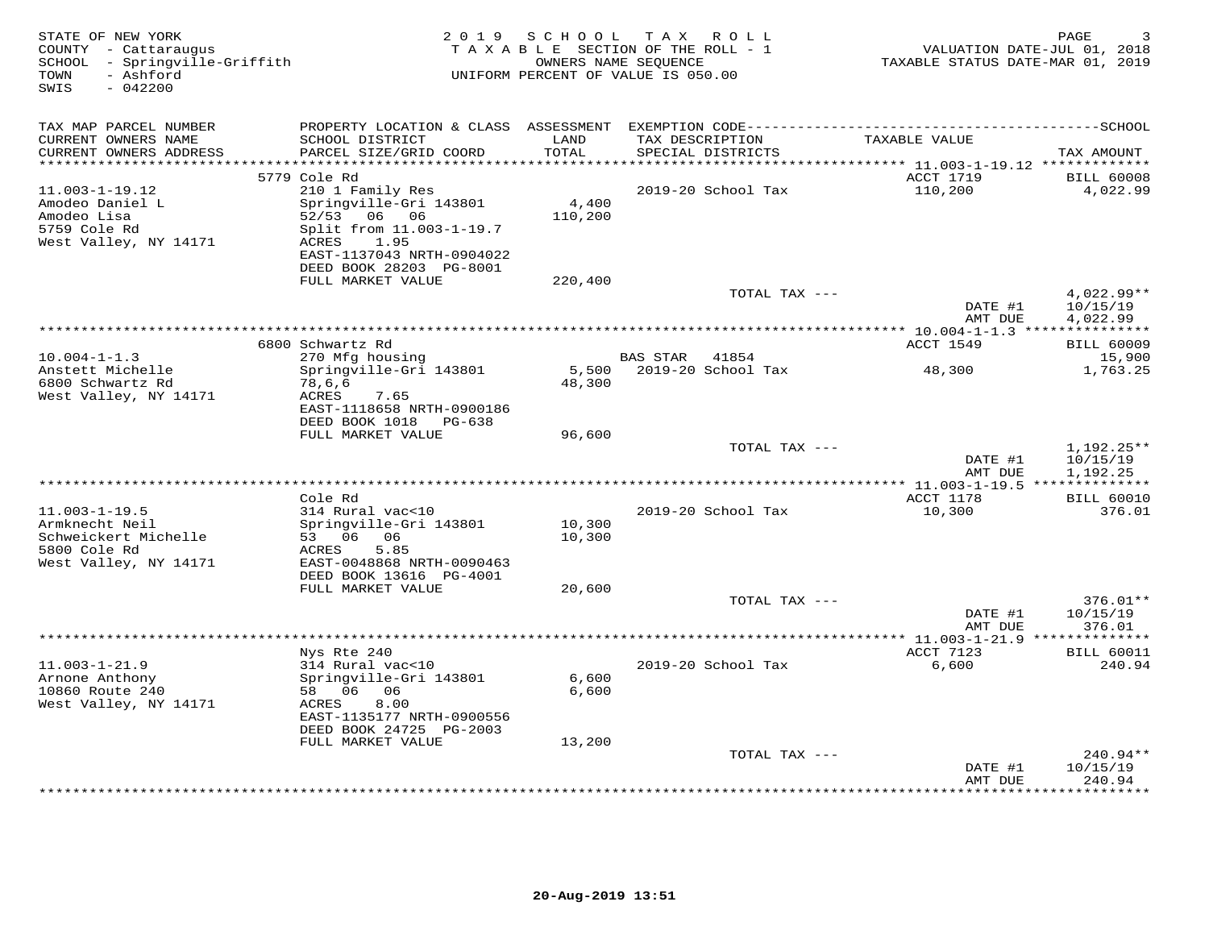| PROPERTY LOCATION & CLASS ASSESSMENT<br>TAX MAP PARCEL NUMBER<br>LAND<br>CURRENT OWNERS NAME<br>SCHOOL DISTRICT<br>TAX DESCRIPTION<br>TAXABLE VALUE<br>TOTAL<br>CURRENT OWNERS ADDRESS<br>PARCEL SIZE/GRID COORD<br>SPECIAL DISTRICTS<br>TAX AMOUNT<br>**********************<br>******************<br>5779 Cole Rd<br>ACCT 1719<br><b>BILL 60008</b><br>210 1 Family Res<br>110,200<br>$11.003 - 1 - 19.12$<br>2019-20 School Tax<br>4,022.99<br>Springville-Gri 143801<br>4,400<br>Amodeo Daniel L<br>Amodeo Lisa<br>52/53<br>06 06<br>110,200<br>5759 Cole Rd<br>Split from 11.003-1-19.7<br>West Valley, NY 14171<br>1.95<br>ACRES<br>EAST-1137043 NRTH-0904022<br>DEED BOOK 28203 PG-8001<br>FULL MARKET VALUE<br>220,400<br>4,022.99**<br>TOTAL TAX ---<br>DATE #1<br>10/15/19<br>AMT DUE<br>4,022.99<br>6800 Schwartz Rd<br>ACCT 1549<br><b>BILL 60009</b><br>$10.004 - 1 - 1.3$<br>270 Mfg housing<br><b>BAS STAR</b><br>41854<br>15,900<br>Anstett Michelle<br>2019-20 School Tax<br>1,763.25<br>Springville-Gri 143801<br>5,500<br>48,300<br>6800 Schwartz Rd<br>48,300<br>78,6,6<br>West Valley, NY 14171<br>ACRES<br>7.65<br>EAST-1118658 NRTH-0900186<br>DEED BOOK 1018<br>PG-638<br>FULL MARKET VALUE<br>96,600<br>TOTAL TAX ---<br>$1,192.25**$<br>DATE #1<br>10/15/19<br>1,192.25<br>AMT DUE<br>* $11.003 - 1 - 19.5$ **************<br>Cole Rd<br>ACCT 1178<br><b>BILL 60010</b><br>$11.003 - 1 - 19.5$<br>314 Rural vac<10<br>2019-20 School Tax<br>10,300<br>376.01<br>Armknecht Neil<br>Springville-Gri 143801<br>10,300<br>Schweickert Michelle<br>53 06 06<br>10,300<br>5800 Cole Rd<br>5.85<br>ACRES<br>West Valley, NY 14171<br>EAST-0048868 NRTH-0090463<br>DEED BOOK 13616 PG-4001<br>FULL MARKET VALUE<br>20,600<br>TOTAL TAX ---<br>376.01**<br>DATE #1<br>10/15/19<br>AMT DUE<br>376.01<br>**** 11.003-1-21.9 **<br>Nys Rte 240<br>ACCT 7123<br><b>BILL 60011</b><br>$11.003 - 1 - 21.9$<br>314 Rural vac<10<br>2019-20 School Tax<br>6,600<br>240.94<br>Arnone Anthony<br>Springville-Gri 143801<br>6,600<br>10860 Route 240<br>58 06 06<br>6,600<br>West Valley, NY 14171<br>8.00<br>ACRES<br>EAST-1135177 NRTH-0900556<br>DEED BOOK 24725 PG-2003<br>FULL MARKET VALUE<br>13,200<br>TOTAL TAX ---<br>$240.94**$<br>DATE #1<br>10/15/19<br>240.94<br>AMT DUE<br>* * * * * * * * | STATE OF NEW YORK<br>COUNTY - Cattaraugus<br>SCHOOL - Springville-Griffith<br>- Ashford<br>TOWN<br>$-042200$<br>SWIS | 2 0 1 9 | SCHOOL | TAX ROLL<br>TAXABLE SECTION OF THE ROLL - 1<br>OWNERS NAME SEQUENCE<br>UNIFORM PERCENT OF VALUE IS 050.00 | TAXABLE STATUS DATE-MAR 01, 2019 | PAGE<br>VALUATION DATE-JUL 01, 2018 |
|----------------------------------------------------------------------------------------------------------------------------------------------------------------------------------------------------------------------------------------------------------------------------------------------------------------------------------------------------------------------------------------------------------------------------------------------------------------------------------------------------------------------------------------------------------------------------------------------------------------------------------------------------------------------------------------------------------------------------------------------------------------------------------------------------------------------------------------------------------------------------------------------------------------------------------------------------------------------------------------------------------------------------------------------------------------------------------------------------------------------------------------------------------------------------------------------------------------------------------------------------------------------------------------------------------------------------------------------------------------------------------------------------------------------------------------------------------------------------------------------------------------------------------------------------------------------------------------------------------------------------------------------------------------------------------------------------------------------------------------------------------------------------------------------------------------------------------------------------------------------------------------------------------------------------------------------------------------------------------------------------------------------------------------------------------------------------------------------------------------------------------------------------------------------------------------------------------------------------------------------------------------------------------------------------------------|----------------------------------------------------------------------------------------------------------------------|---------|--------|-----------------------------------------------------------------------------------------------------------|----------------------------------|-------------------------------------|
|                                                                                                                                                                                                                                                                                                                                                                                                                                                                                                                                                                                                                                                                                                                                                                                                                                                                                                                                                                                                                                                                                                                                                                                                                                                                                                                                                                                                                                                                                                                                                                                                                                                                                                                                                                                                                                                                                                                                                                                                                                                                                                                                                                                                                                                                                                                |                                                                                                                      |         |        |                                                                                                           |                                  |                                     |
|                                                                                                                                                                                                                                                                                                                                                                                                                                                                                                                                                                                                                                                                                                                                                                                                                                                                                                                                                                                                                                                                                                                                                                                                                                                                                                                                                                                                                                                                                                                                                                                                                                                                                                                                                                                                                                                                                                                                                                                                                                                                                                                                                                                                                                                                                                                |                                                                                                                      |         |        |                                                                                                           |                                  |                                     |
|                                                                                                                                                                                                                                                                                                                                                                                                                                                                                                                                                                                                                                                                                                                                                                                                                                                                                                                                                                                                                                                                                                                                                                                                                                                                                                                                                                                                                                                                                                                                                                                                                                                                                                                                                                                                                                                                                                                                                                                                                                                                                                                                                                                                                                                                                                                |                                                                                                                      |         |        |                                                                                                           |                                  |                                     |
|                                                                                                                                                                                                                                                                                                                                                                                                                                                                                                                                                                                                                                                                                                                                                                                                                                                                                                                                                                                                                                                                                                                                                                                                                                                                                                                                                                                                                                                                                                                                                                                                                                                                                                                                                                                                                                                                                                                                                                                                                                                                                                                                                                                                                                                                                                                |                                                                                                                      |         |        |                                                                                                           |                                  |                                     |
|                                                                                                                                                                                                                                                                                                                                                                                                                                                                                                                                                                                                                                                                                                                                                                                                                                                                                                                                                                                                                                                                                                                                                                                                                                                                                                                                                                                                                                                                                                                                                                                                                                                                                                                                                                                                                                                                                                                                                                                                                                                                                                                                                                                                                                                                                                                |                                                                                                                      |         |        |                                                                                                           |                                  |                                     |
|                                                                                                                                                                                                                                                                                                                                                                                                                                                                                                                                                                                                                                                                                                                                                                                                                                                                                                                                                                                                                                                                                                                                                                                                                                                                                                                                                                                                                                                                                                                                                                                                                                                                                                                                                                                                                                                                                                                                                                                                                                                                                                                                                                                                                                                                                                                |                                                                                                                      |         |        |                                                                                                           |                                  |                                     |
|                                                                                                                                                                                                                                                                                                                                                                                                                                                                                                                                                                                                                                                                                                                                                                                                                                                                                                                                                                                                                                                                                                                                                                                                                                                                                                                                                                                                                                                                                                                                                                                                                                                                                                                                                                                                                                                                                                                                                                                                                                                                                                                                                                                                                                                                                                                |                                                                                                                      |         |        |                                                                                                           |                                  |                                     |
|                                                                                                                                                                                                                                                                                                                                                                                                                                                                                                                                                                                                                                                                                                                                                                                                                                                                                                                                                                                                                                                                                                                                                                                                                                                                                                                                                                                                                                                                                                                                                                                                                                                                                                                                                                                                                                                                                                                                                                                                                                                                                                                                                                                                                                                                                                                |                                                                                                                      |         |        |                                                                                                           |                                  |                                     |
|                                                                                                                                                                                                                                                                                                                                                                                                                                                                                                                                                                                                                                                                                                                                                                                                                                                                                                                                                                                                                                                                                                                                                                                                                                                                                                                                                                                                                                                                                                                                                                                                                                                                                                                                                                                                                                                                                                                                                                                                                                                                                                                                                                                                                                                                                                                |                                                                                                                      |         |        |                                                                                                           |                                  |                                     |
|                                                                                                                                                                                                                                                                                                                                                                                                                                                                                                                                                                                                                                                                                                                                                                                                                                                                                                                                                                                                                                                                                                                                                                                                                                                                                                                                                                                                                                                                                                                                                                                                                                                                                                                                                                                                                                                                                                                                                                                                                                                                                                                                                                                                                                                                                                                |                                                                                                                      |         |        |                                                                                                           |                                  |                                     |
|                                                                                                                                                                                                                                                                                                                                                                                                                                                                                                                                                                                                                                                                                                                                                                                                                                                                                                                                                                                                                                                                                                                                                                                                                                                                                                                                                                                                                                                                                                                                                                                                                                                                                                                                                                                                                                                                                                                                                                                                                                                                                                                                                                                                                                                                                                                |                                                                                                                      |         |        |                                                                                                           |                                  |                                     |
|                                                                                                                                                                                                                                                                                                                                                                                                                                                                                                                                                                                                                                                                                                                                                                                                                                                                                                                                                                                                                                                                                                                                                                                                                                                                                                                                                                                                                                                                                                                                                                                                                                                                                                                                                                                                                                                                                                                                                                                                                                                                                                                                                                                                                                                                                                                |                                                                                                                      |         |        |                                                                                                           |                                  |                                     |
|                                                                                                                                                                                                                                                                                                                                                                                                                                                                                                                                                                                                                                                                                                                                                                                                                                                                                                                                                                                                                                                                                                                                                                                                                                                                                                                                                                                                                                                                                                                                                                                                                                                                                                                                                                                                                                                                                                                                                                                                                                                                                                                                                                                                                                                                                                                |                                                                                                                      |         |        |                                                                                                           |                                  |                                     |
|                                                                                                                                                                                                                                                                                                                                                                                                                                                                                                                                                                                                                                                                                                                                                                                                                                                                                                                                                                                                                                                                                                                                                                                                                                                                                                                                                                                                                                                                                                                                                                                                                                                                                                                                                                                                                                                                                                                                                                                                                                                                                                                                                                                                                                                                                                                |                                                                                                                      |         |        |                                                                                                           |                                  |                                     |
|                                                                                                                                                                                                                                                                                                                                                                                                                                                                                                                                                                                                                                                                                                                                                                                                                                                                                                                                                                                                                                                                                                                                                                                                                                                                                                                                                                                                                                                                                                                                                                                                                                                                                                                                                                                                                                                                                                                                                                                                                                                                                                                                                                                                                                                                                                                |                                                                                                                      |         |        |                                                                                                           |                                  |                                     |
|                                                                                                                                                                                                                                                                                                                                                                                                                                                                                                                                                                                                                                                                                                                                                                                                                                                                                                                                                                                                                                                                                                                                                                                                                                                                                                                                                                                                                                                                                                                                                                                                                                                                                                                                                                                                                                                                                                                                                                                                                                                                                                                                                                                                                                                                                                                |                                                                                                                      |         |        |                                                                                                           |                                  |                                     |
|                                                                                                                                                                                                                                                                                                                                                                                                                                                                                                                                                                                                                                                                                                                                                                                                                                                                                                                                                                                                                                                                                                                                                                                                                                                                                                                                                                                                                                                                                                                                                                                                                                                                                                                                                                                                                                                                                                                                                                                                                                                                                                                                                                                                                                                                                                                |                                                                                                                      |         |        |                                                                                                           |                                  |                                     |
|                                                                                                                                                                                                                                                                                                                                                                                                                                                                                                                                                                                                                                                                                                                                                                                                                                                                                                                                                                                                                                                                                                                                                                                                                                                                                                                                                                                                                                                                                                                                                                                                                                                                                                                                                                                                                                                                                                                                                                                                                                                                                                                                                                                                                                                                                                                |                                                                                                                      |         |        |                                                                                                           |                                  |                                     |
|                                                                                                                                                                                                                                                                                                                                                                                                                                                                                                                                                                                                                                                                                                                                                                                                                                                                                                                                                                                                                                                                                                                                                                                                                                                                                                                                                                                                                                                                                                                                                                                                                                                                                                                                                                                                                                                                                                                                                                                                                                                                                                                                                                                                                                                                                                                |                                                                                                                      |         |        |                                                                                                           |                                  |                                     |
|                                                                                                                                                                                                                                                                                                                                                                                                                                                                                                                                                                                                                                                                                                                                                                                                                                                                                                                                                                                                                                                                                                                                                                                                                                                                                                                                                                                                                                                                                                                                                                                                                                                                                                                                                                                                                                                                                                                                                                                                                                                                                                                                                                                                                                                                                                                |                                                                                                                      |         |        |                                                                                                           |                                  |                                     |
|                                                                                                                                                                                                                                                                                                                                                                                                                                                                                                                                                                                                                                                                                                                                                                                                                                                                                                                                                                                                                                                                                                                                                                                                                                                                                                                                                                                                                                                                                                                                                                                                                                                                                                                                                                                                                                                                                                                                                                                                                                                                                                                                                                                                                                                                                                                |                                                                                                                      |         |        |                                                                                                           |                                  |                                     |
|                                                                                                                                                                                                                                                                                                                                                                                                                                                                                                                                                                                                                                                                                                                                                                                                                                                                                                                                                                                                                                                                                                                                                                                                                                                                                                                                                                                                                                                                                                                                                                                                                                                                                                                                                                                                                                                                                                                                                                                                                                                                                                                                                                                                                                                                                                                |                                                                                                                      |         |        |                                                                                                           |                                  |                                     |
|                                                                                                                                                                                                                                                                                                                                                                                                                                                                                                                                                                                                                                                                                                                                                                                                                                                                                                                                                                                                                                                                                                                                                                                                                                                                                                                                                                                                                                                                                                                                                                                                                                                                                                                                                                                                                                                                                                                                                                                                                                                                                                                                                                                                                                                                                                                |                                                                                                                      |         |        |                                                                                                           |                                  |                                     |
|                                                                                                                                                                                                                                                                                                                                                                                                                                                                                                                                                                                                                                                                                                                                                                                                                                                                                                                                                                                                                                                                                                                                                                                                                                                                                                                                                                                                                                                                                                                                                                                                                                                                                                                                                                                                                                                                                                                                                                                                                                                                                                                                                                                                                                                                                                                |                                                                                                                      |         |        |                                                                                                           |                                  |                                     |
|                                                                                                                                                                                                                                                                                                                                                                                                                                                                                                                                                                                                                                                                                                                                                                                                                                                                                                                                                                                                                                                                                                                                                                                                                                                                                                                                                                                                                                                                                                                                                                                                                                                                                                                                                                                                                                                                                                                                                                                                                                                                                                                                                                                                                                                                                                                |                                                                                                                      |         |        |                                                                                                           |                                  |                                     |
|                                                                                                                                                                                                                                                                                                                                                                                                                                                                                                                                                                                                                                                                                                                                                                                                                                                                                                                                                                                                                                                                                                                                                                                                                                                                                                                                                                                                                                                                                                                                                                                                                                                                                                                                                                                                                                                                                                                                                                                                                                                                                                                                                                                                                                                                                                                |                                                                                                                      |         |        |                                                                                                           |                                  |                                     |
|                                                                                                                                                                                                                                                                                                                                                                                                                                                                                                                                                                                                                                                                                                                                                                                                                                                                                                                                                                                                                                                                                                                                                                                                                                                                                                                                                                                                                                                                                                                                                                                                                                                                                                                                                                                                                                                                                                                                                                                                                                                                                                                                                                                                                                                                                                                |                                                                                                                      |         |        |                                                                                                           |                                  |                                     |
|                                                                                                                                                                                                                                                                                                                                                                                                                                                                                                                                                                                                                                                                                                                                                                                                                                                                                                                                                                                                                                                                                                                                                                                                                                                                                                                                                                                                                                                                                                                                                                                                                                                                                                                                                                                                                                                                                                                                                                                                                                                                                                                                                                                                                                                                                                                |                                                                                                                      |         |        |                                                                                                           |                                  |                                     |
|                                                                                                                                                                                                                                                                                                                                                                                                                                                                                                                                                                                                                                                                                                                                                                                                                                                                                                                                                                                                                                                                                                                                                                                                                                                                                                                                                                                                                                                                                                                                                                                                                                                                                                                                                                                                                                                                                                                                                                                                                                                                                                                                                                                                                                                                                                                |                                                                                                                      |         |        |                                                                                                           |                                  |                                     |
|                                                                                                                                                                                                                                                                                                                                                                                                                                                                                                                                                                                                                                                                                                                                                                                                                                                                                                                                                                                                                                                                                                                                                                                                                                                                                                                                                                                                                                                                                                                                                                                                                                                                                                                                                                                                                                                                                                                                                                                                                                                                                                                                                                                                                                                                                                                |                                                                                                                      |         |        |                                                                                                           |                                  |                                     |
|                                                                                                                                                                                                                                                                                                                                                                                                                                                                                                                                                                                                                                                                                                                                                                                                                                                                                                                                                                                                                                                                                                                                                                                                                                                                                                                                                                                                                                                                                                                                                                                                                                                                                                                                                                                                                                                                                                                                                                                                                                                                                                                                                                                                                                                                                                                |                                                                                                                      |         |        |                                                                                                           |                                  |                                     |
|                                                                                                                                                                                                                                                                                                                                                                                                                                                                                                                                                                                                                                                                                                                                                                                                                                                                                                                                                                                                                                                                                                                                                                                                                                                                                                                                                                                                                                                                                                                                                                                                                                                                                                                                                                                                                                                                                                                                                                                                                                                                                                                                                                                                                                                                                                                |                                                                                                                      |         |        |                                                                                                           |                                  |                                     |
|                                                                                                                                                                                                                                                                                                                                                                                                                                                                                                                                                                                                                                                                                                                                                                                                                                                                                                                                                                                                                                                                                                                                                                                                                                                                                                                                                                                                                                                                                                                                                                                                                                                                                                                                                                                                                                                                                                                                                                                                                                                                                                                                                                                                                                                                                                                |                                                                                                                      |         |        |                                                                                                           |                                  |                                     |
|                                                                                                                                                                                                                                                                                                                                                                                                                                                                                                                                                                                                                                                                                                                                                                                                                                                                                                                                                                                                                                                                                                                                                                                                                                                                                                                                                                                                                                                                                                                                                                                                                                                                                                                                                                                                                                                                                                                                                                                                                                                                                                                                                                                                                                                                                                                |                                                                                                                      |         |        |                                                                                                           |                                  |                                     |
|                                                                                                                                                                                                                                                                                                                                                                                                                                                                                                                                                                                                                                                                                                                                                                                                                                                                                                                                                                                                                                                                                                                                                                                                                                                                                                                                                                                                                                                                                                                                                                                                                                                                                                                                                                                                                                                                                                                                                                                                                                                                                                                                                                                                                                                                                                                |                                                                                                                      |         |        |                                                                                                           |                                  |                                     |
|                                                                                                                                                                                                                                                                                                                                                                                                                                                                                                                                                                                                                                                                                                                                                                                                                                                                                                                                                                                                                                                                                                                                                                                                                                                                                                                                                                                                                                                                                                                                                                                                                                                                                                                                                                                                                                                                                                                                                                                                                                                                                                                                                                                                                                                                                                                |                                                                                                                      |         |        |                                                                                                           |                                  |                                     |
|                                                                                                                                                                                                                                                                                                                                                                                                                                                                                                                                                                                                                                                                                                                                                                                                                                                                                                                                                                                                                                                                                                                                                                                                                                                                                                                                                                                                                                                                                                                                                                                                                                                                                                                                                                                                                                                                                                                                                                                                                                                                                                                                                                                                                                                                                                                |                                                                                                                      |         |        |                                                                                                           |                                  |                                     |
|                                                                                                                                                                                                                                                                                                                                                                                                                                                                                                                                                                                                                                                                                                                                                                                                                                                                                                                                                                                                                                                                                                                                                                                                                                                                                                                                                                                                                                                                                                                                                                                                                                                                                                                                                                                                                                                                                                                                                                                                                                                                                                                                                                                                                                                                                                                |                                                                                                                      |         |        |                                                                                                           |                                  |                                     |
|                                                                                                                                                                                                                                                                                                                                                                                                                                                                                                                                                                                                                                                                                                                                                                                                                                                                                                                                                                                                                                                                                                                                                                                                                                                                                                                                                                                                                                                                                                                                                                                                                                                                                                                                                                                                                                                                                                                                                                                                                                                                                                                                                                                                                                                                                                                |                                                                                                                      |         |        |                                                                                                           |                                  |                                     |
|                                                                                                                                                                                                                                                                                                                                                                                                                                                                                                                                                                                                                                                                                                                                                                                                                                                                                                                                                                                                                                                                                                                                                                                                                                                                                                                                                                                                                                                                                                                                                                                                                                                                                                                                                                                                                                                                                                                                                                                                                                                                                                                                                                                                                                                                                                                |                                                                                                                      |         |        |                                                                                                           |                                  |                                     |
|                                                                                                                                                                                                                                                                                                                                                                                                                                                                                                                                                                                                                                                                                                                                                                                                                                                                                                                                                                                                                                                                                                                                                                                                                                                                                                                                                                                                                                                                                                                                                                                                                                                                                                                                                                                                                                                                                                                                                                                                                                                                                                                                                                                                                                                                                                                |                                                                                                                      |         |        |                                                                                                           |                                  |                                     |
|                                                                                                                                                                                                                                                                                                                                                                                                                                                                                                                                                                                                                                                                                                                                                                                                                                                                                                                                                                                                                                                                                                                                                                                                                                                                                                                                                                                                                                                                                                                                                                                                                                                                                                                                                                                                                                                                                                                                                                                                                                                                                                                                                                                                                                                                                                                |                                                                                                                      |         |        |                                                                                                           |                                  |                                     |
|                                                                                                                                                                                                                                                                                                                                                                                                                                                                                                                                                                                                                                                                                                                                                                                                                                                                                                                                                                                                                                                                                                                                                                                                                                                                                                                                                                                                                                                                                                                                                                                                                                                                                                                                                                                                                                                                                                                                                                                                                                                                                                                                                                                                                                                                                                                |                                                                                                                      |         |        |                                                                                                           |                                  |                                     |
|                                                                                                                                                                                                                                                                                                                                                                                                                                                                                                                                                                                                                                                                                                                                                                                                                                                                                                                                                                                                                                                                                                                                                                                                                                                                                                                                                                                                                                                                                                                                                                                                                                                                                                                                                                                                                                                                                                                                                                                                                                                                                                                                                                                                                                                                                                                |                                                                                                                      |         |        |                                                                                                           |                                  |                                     |
|                                                                                                                                                                                                                                                                                                                                                                                                                                                                                                                                                                                                                                                                                                                                                                                                                                                                                                                                                                                                                                                                                                                                                                                                                                                                                                                                                                                                                                                                                                                                                                                                                                                                                                                                                                                                                                                                                                                                                                                                                                                                                                                                                                                                                                                                                                                |                                                                                                                      |         |        |                                                                                                           |                                  |                                     |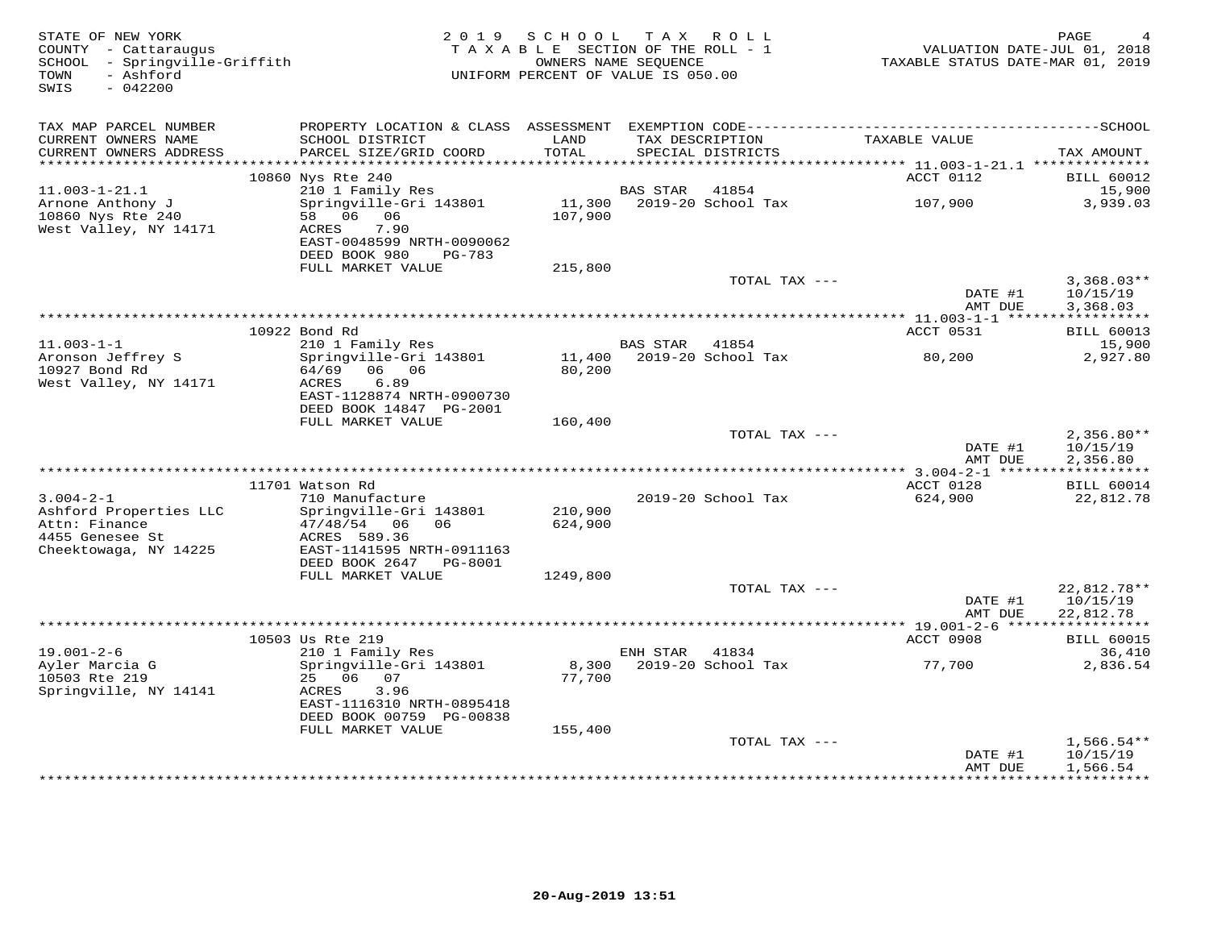| STATE OF NEW YORK<br>COUNTY - Cattaraugus<br>SCHOOL - Springville-Griffith<br>- Ashford<br>TOWN<br>$-042200$<br>SWIS | 2 0 1 9                                                | SCHOOL<br>TAXABLE SECTION OF THE ROLL - 1<br>OWNERS NAME SEOUENCE<br>UNIFORM PERCENT OF VALUE IS 050.00 |                 | TAX ROLL                             | VALUATION DATE-JUL 01, 2018<br>TAXABLE STATUS DATE-MAR 01, 2019 | PAGE                               |
|----------------------------------------------------------------------------------------------------------------------|--------------------------------------------------------|---------------------------------------------------------------------------------------------------------|-----------------|--------------------------------------|-----------------------------------------------------------------|------------------------------------|
| TAX MAP PARCEL NUMBER                                                                                                |                                                        |                                                                                                         |                 |                                      |                                                                 |                                    |
| CURRENT OWNERS NAME<br>CURRENT OWNERS ADDRESS                                                                        | SCHOOL DISTRICT<br>PARCEL SIZE/GRID COORD              | LAND<br>TOTAL                                                                                           |                 | TAX DESCRIPTION<br>SPECIAL DISTRICTS | TAXABLE VALUE                                                   | TAX AMOUNT                         |
| ************************                                                                                             |                                                        |                                                                                                         |                 |                                      |                                                                 |                                    |
| $11.003 - 1 - 21.1$                                                                                                  | 10860 Nys Rte 240<br>210 1 Family Res                  |                                                                                                         | BAS STAR        | 41854                                | ACCT 0112                                                       | <b>BILL 60012</b><br>15,900        |
| Arnone Anthony J                                                                                                     | Springville-Gri 143801                                 | 11,300                                                                                                  |                 | 2019-20 School Tax                   | 107,900                                                         | 3,939.03                           |
| 10860 Nys Rte 240<br>West Valley, NY 14171                                                                           | 58 06 06<br>ACRES<br>7.90<br>EAST-0048599 NRTH-0090062 | 107,900                                                                                                 |                 |                                      |                                                                 |                                    |
|                                                                                                                      | DEED BOOK 980<br>PG-783                                |                                                                                                         |                 |                                      |                                                                 |                                    |
|                                                                                                                      | FULL MARKET VALUE                                      | 215,800                                                                                                 |                 | TOTAL TAX ---                        |                                                                 | $3,368.03**$                       |
|                                                                                                                      |                                                        |                                                                                                         |                 |                                      | DATE #1<br>AMT DUE                                              | 10/15/19<br>3,368.03               |
|                                                                                                                      |                                                        |                                                                                                         |                 |                                      | ****************** 11.003-1-1 ******************                |                                    |
|                                                                                                                      | 10922 Bond Rd                                          |                                                                                                         |                 |                                      | ACCT 0531                                                       | <b>BILL 60013</b>                  |
| $11.003 - 1 - 1$                                                                                                     | 210 1 Family Res                                       |                                                                                                         | <b>BAS STAR</b> | 41854                                |                                                                 | 15,900                             |
| Aronson Jeffrey S<br>10927 Bond Rd<br>West Valley, NY 14171                                                          | Springville-Gri 143801<br>64/69 06 06<br>ACRES<br>6.89 | 11,400<br>80,200                                                                                        |                 | 2019-20 School Tax                   | 80,200                                                          | 2,927.80                           |
|                                                                                                                      | EAST-1128874 NRTH-0900730<br>DEED BOOK 14847 PG-2001   |                                                                                                         |                 |                                      |                                                                 |                                    |
|                                                                                                                      | FULL MARKET VALUE                                      | 160,400                                                                                                 |                 |                                      |                                                                 |                                    |
|                                                                                                                      |                                                        |                                                                                                         |                 | TOTAL TAX ---                        |                                                                 | $2,356.80**$                       |
|                                                                                                                      |                                                        |                                                                                                         |                 |                                      | DATE #1<br>AMT DUE                                              | 10/15/19<br>2,356.80               |
|                                                                                                                      | 11701 Watson Rd                                        |                                                                                                         |                 |                                      | ACCT 0128                                                       |                                    |
| $3.004 - 2 - 1$                                                                                                      | 710 Manufacture                                        |                                                                                                         |                 | 2019-20 School Tax                   | 624,900                                                         | <b>BILL 60014</b><br>22,812.78     |
| Ashford Properties LLC                                                                                               | Springville-Gri 143801                                 | 210,900                                                                                                 |                 |                                      |                                                                 |                                    |
| Attn: Finance<br>4455 Genesee St                                                                                     | 47/48/54<br>06<br>06<br>ACRES 589.36                   | 624,900                                                                                                 |                 |                                      |                                                                 |                                    |
| Cheektowaga, NY 14225                                                                                                | EAST-1141595 NRTH-0911163<br>DEED BOOK 2647<br>PG-8001 |                                                                                                         |                 |                                      |                                                                 |                                    |
|                                                                                                                      | FULL MARKET VALUE                                      | 1249,800                                                                                                |                 |                                      |                                                                 |                                    |
|                                                                                                                      |                                                        |                                                                                                         |                 | TOTAL TAX ---                        |                                                                 | 22,812.78**                        |
|                                                                                                                      |                                                        |                                                                                                         |                 |                                      | DATE #1<br>AMT DUE                                              | 10/15/19<br>22,812.78              |
|                                                                                                                      |                                                        |                                                                                                         |                 |                                      |                                                                 |                                    |
| $19.001 - 2 - 6$                                                                                                     | 10503 Us Rte 219<br>210 1 Family Res                   |                                                                                                         | ENH STAR        | 41834                                | ACCT 0908                                                       | <b>BILL 60015</b><br>36,410        |
| Ayler Marcia G                                                                                                       | Springville-Gri 143801                                 | 8,300                                                                                                   |                 | 2019-20 School Tax                   | 77,700                                                          | 2,836.54                           |
| 10503 Rte 219<br>Springville, NY 14141                                                                               | 25 06 07<br>ACRES<br>3.96                              | 77,700                                                                                                  |                 |                                      |                                                                 |                                    |
|                                                                                                                      | EAST-1116310 NRTH-0895418<br>DEED BOOK 00759 PG-00838  |                                                                                                         |                 |                                      |                                                                 |                                    |
|                                                                                                                      | FULL MARKET VALUE                                      | 155,400                                                                                                 |                 |                                      |                                                                 |                                    |
|                                                                                                                      |                                                        |                                                                                                         |                 | TOTAL TAX ---                        | DATE #1<br>AMT DUE                                              | 1,566.54**<br>10/15/19<br>1,566.54 |
|                                                                                                                      |                                                        |                                                                                                         |                 |                                      | * * * * * * * * * * * * * * *                                   | * * * * * * * * * * * *            |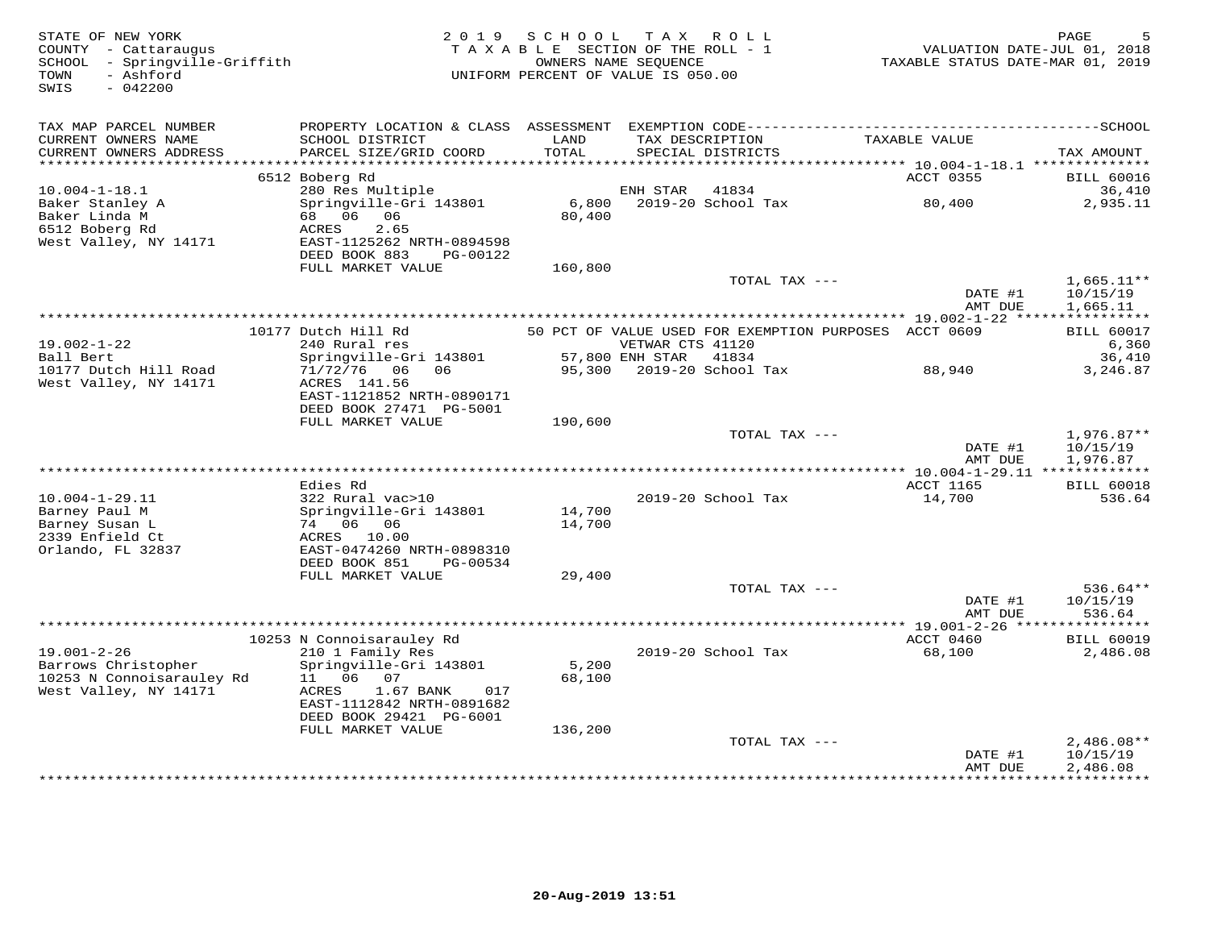| STATE OF NEW YORK<br>COUNTY - Cattaraugus<br>SCHOOL - Springville-Griffith<br>- Ashford<br>TOWN<br>$-042200$<br>SWIS |                                                | 2019 SCHOOL TAX ROLL<br>TAXABLE SECTION OF THE ROLL - 1<br>OWNERS NAME SEQUENCE<br>UNIFORM PERCENT OF VALUE IS 050.00 |                  |                                                       | TAXABLE STATUS DATE-MAR 01, 2019 | PAGE<br>VALUATION DATE-JUL 01, 2018 |
|----------------------------------------------------------------------------------------------------------------------|------------------------------------------------|-----------------------------------------------------------------------------------------------------------------------|------------------|-------------------------------------------------------|----------------------------------|-------------------------------------|
| TAX MAP PARCEL NUMBER                                                                                                |                                                |                                                                                                                       |                  |                                                       |                                  |                                     |
| CURRENT OWNERS NAME<br>CURRENT OWNERS ADDRESS                                                                        | SCHOOL DISTRICT<br>PARCEL SIZE/GRID COORD      | LAND<br>TOTAL                                                                                                         |                  | TAX DESCRIPTION<br>SPECIAL DISTRICTS                  | TAXABLE VALUE                    | TAX AMOUNT                          |
|                                                                                                                      |                                                |                                                                                                                       |                  |                                                       | ACCT 0355                        |                                     |
| $10.004 - 1 - 18.1$                                                                                                  | 6512 Boberg Rd<br>280 Res Multiple             |                                                                                                                       | ENH STAR         | 41834                                                 |                                  | <b>BILL 60016</b><br>36,410         |
| Baker Stanley A                                                                                                      | Springville-Gri 143801                         | 6,800                                                                                                                 |                  | 2019-20 School Tax                                    | 80,400                           | 2,935.11                            |
| Baker Linda M                                                                                                        | 68 06 06                                       | 80,400                                                                                                                |                  |                                                       |                                  |                                     |
| 6512 Boberg Rd                                                                                                       | 2.65<br>ACRES                                  |                                                                                                                       |                  |                                                       |                                  |                                     |
| West Valley, NY 14171                                                                                                | EAST-1125262 NRTH-0894598                      |                                                                                                                       |                  |                                                       |                                  |                                     |
|                                                                                                                      | DEED BOOK 883<br>PG-00122                      |                                                                                                                       |                  |                                                       |                                  |                                     |
|                                                                                                                      | FULL MARKET VALUE                              | 160,800                                                                                                               |                  | TOTAL TAX ---                                         |                                  | $1,665.11**$                        |
|                                                                                                                      |                                                |                                                                                                                       |                  |                                                       | DATE #1                          | 10/15/19                            |
|                                                                                                                      |                                                |                                                                                                                       |                  |                                                       | AMT DUE                          | 1,665.11                            |
|                                                                                                                      |                                                |                                                                                                                       |                  |                                                       |                                  |                                     |
|                                                                                                                      | 10177 Dutch Hill Rd                            |                                                                                                                       |                  | 50 PCT OF VALUE USED FOR EXEMPTION PURPOSES ACCT 0609 |                                  | <b>BILL 60017</b>                   |
| $19.002 - 1 - 22$                                                                                                    | 240 Rural res                                  |                                                                                                                       | VETWAR CTS 41120 |                                                       |                                  | 6,360                               |
| Ball Bert                                                                                                            | Springville-Gri 143801                         | 57,800 ENH STAR 41834                                                                                                 |                  |                                                       |                                  | 36,410                              |
| 10177 Dutch Hill Road<br>West Valley, NY 14171                                                                       | 71/72/76 06 06<br>ACRES 141.56                 |                                                                                                                       |                  |                                                       | 88,940                           | 3,246.87                            |
|                                                                                                                      | EAST-1121852 NRTH-0890171                      |                                                                                                                       |                  |                                                       |                                  |                                     |
|                                                                                                                      | DEED BOOK 27471 PG-5001                        |                                                                                                                       |                  |                                                       |                                  |                                     |
|                                                                                                                      | FULL MARKET VALUE                              | 190,600                                                                                                               |                  |                                                       |                                  |                                     |
|                                                                                                                      |                                                |                                                                                                                       |                  | TOTAL TAX ---                                         |                                  | $1,976.87**$                        |
|                                                                                                                      |                                                |                                                                                                                       |                  |                                                       | DATE #1                          | 10/15/19                            |
|                                                                                                                      |                                                |                                                                                                                       |                  |                                                       | AMT DUE                          | 1,976.87                            |
|                                                                                                                      | Edies Rd                                       |                                                                                                                       |                  |                                                       | ACCT 1165                        | <b>BILL 60018</b>                   |
| $10.004 - 1 - 29.11$                                                                                                 | 322 Rural vac>10                               |                                                                                                                       |                  | 2019-20 School Tax                                    | 14,700                           | 536.64                              |
| Barney Paul M                                                                                                        | Springville-Gri 143801                         | 14,700                                                                                                                |                  |                                                       |                                  |                                     |
| Barney Susan L                                                                                                       | 74 06 06                                       | 14,700                                                                                                                |                  |                                                       |                                  |                                     |
| 2339 Enfield Ct                                                                                                      | ACRES 10.00                                    |                                                                                                                       |                  |                                                       |                                  |                                     |
| Orlando, FL 32837                                                                                                    | EAST-0474260 NRTH-0898310                      |                                                                                                                       |                  |                                                       |                                  |                                     |
|                                                                                                                      | DEED BOOK 851<br>PG-00534<br>FULL MARKET VALUE | 29,400                                                                                                                |                  |                                                       |                                  |                                     |
|                                                                                                                      |                                                |                                                                                                                       |                  | TOTAL TAX ---                                         |                                  | $536.64**$                          |
|                                                                                                                      |                                                |                                                                                                                       |                  |                                                       | DATE #1                          | 10/15/19                            |
|                                                                                                                      |                                                |                                                                                                                       |                  |                                                       | AMT DUE                          | 536.64                              |
|                                                                                                                      |                                                |                                                                                                                       |                  |                                                       |                                  |                                     |
|                                                                                                                      | 10253 N Connoisarauley Rd                      |                                                                                                                       |                  |                                                       | ACCT 0460                        | <b>BILL 60019</b>                   |
| $19.001 - 2 - 26$                                                                                                    | 210 1 Family Res                               |                                                                                                                       |                  | 2019-20 School Tax                                    | 68,100                           | 2,486.08                            |
| Barrows Christopher<br>10253 N Connoisarauley Rd                                                                     | Springville-Gri 143801<br>11  06  07           | 5,200<br>68,100                                                                                                       |                  |                                                       |                                  |                                     |
| West Valley, NY 14171                                                                                                | ACRES<br>1.67 BANK<br>017                      |                                                                                                                       |                  |                                                       |                                  |                                     |
|                                                                                                                      | EAST-1112842 NRTH-0891682                      |                                                                                                                       |                  |                                                       |                                  |                                     |
|                                                                                                                      | DEED BOOK 29421 PG-6001                        |                                                                                                                       |                  |                                                       |                                  |                                     |
|                                                                                                                      | FULL MARKET VALUE                              | 136,200                                                                                                               |                  |                                                       |                                  |                                     |
|                                                                                                                      |                                                |                                                                                                                       |                  | TOTAL TAX ---                                         |                                  | $2,486.08**$                        |
|                                                                                                                      |                                                |                                                                                                                       |                  |                                                       | DATE #1                          | 10/15/19                            |
|                                                                                                                      |                                                |                                                                                                                       |                  |                                                       | AMT DUE                          | 2,486.08                            |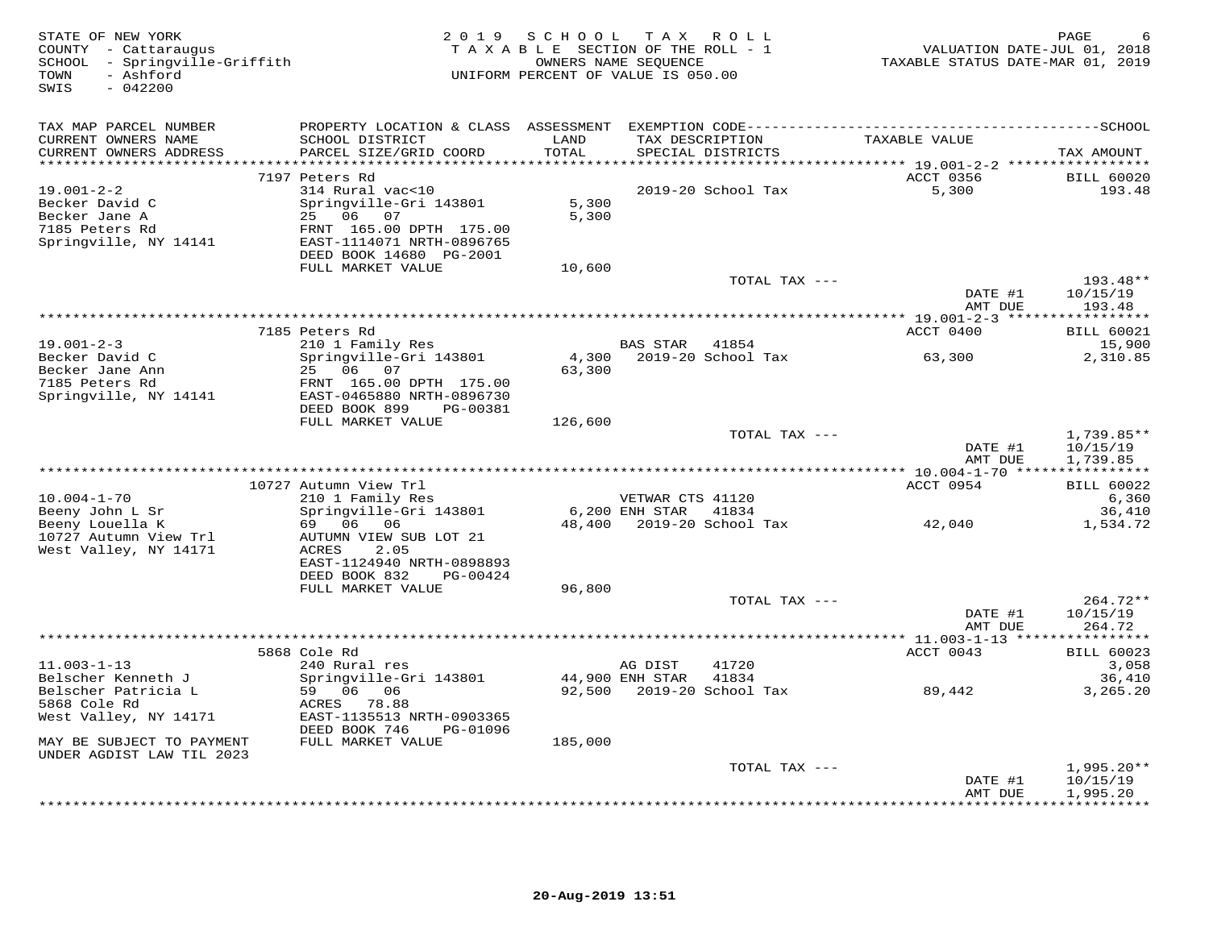| STATE OF NEW YORK<br>COUNTY - Cattaraugus<br>SCHOOL - Springville-Griffith<br>- Ashford<br>TOWN<br>$-042200$<br>SWIS |                                                                                                                                                                                  |                          | 2019 SCHOOL TAX ROLL<br>TAXABLE SECTION OF THE ROLL - 1<br>OWNERS NAME SEQUENCE<br>UNIFORM PERCENT OF VALUE IS 050.00 |                                     | PAGE<br>VALUATION DATE-JUL 01, 2018<br>TAXABLE STATUS DATE-MAR 01, 2019 |
|----------------------------------------------------------------------------------------------------------------------|----------------------------------------------------------------------------------------------------------------------------------------------------------------------------------|--------------------------|-----------------------------------------------------------------------------------------------------------------------|-------------------------------------|-------------------------------------------------------------------------|
| TAX MAP PARCEL NUMBER<br>CURRENT OWNERS NAME<br>CURRENT OWNERS ADDRESS<br>***********************                    | SCHOOL DISTRICT<br>PARCEL SIZE/GRID COORD                                                                                                                                        | LAND<br>TOTAL            | TAX DESCRIPTION<br>SPECIAL DISTRICTS                                                                                  | TAXABLE VALUE                       | TAX AMOUNT                                                              |
| $19.001 - 2 - 2$<br>Becker David C<br>Becker Jane A<br>7185 Peters Rd<br>Springville, NY 14141                       | 7197 Peters Rd<br>314 Rural vac<10<br>Springville-Gri 143801<br>25 06 07<br>FRNT 165.00 DPTH 175.00<br>EAST-1114071 NRTH-0896765<br>DEED BOOK 14680 PG-2001<br>FULL MARKET VALUE | 5,300<br>5,300<br>10,600 | 2019-20 School Tax                                                                                                    | ACCT 0356<br>5,300                  | <b>BILL 60020</b><br>193.48                                             |
|                                                                                                                      |                                                                                                                                                                                  |                          |                                                                                                                       | TOTAL TAX ---<br>DATE #1<br>AMT DUE | 193.48**<br>10/15/19<br>193.48                                          |
|                                                                                                                      |                                                                                                                                                                                  |                          |                                                                                                                       |                                     |                                                                         |
|                                                                                                                      | 7185 Peters Rd                                                                                                                                                                   |                          |                                                                                                                       | ACCT 0400                           | <b>BILL 60021</b>                                                       |
| $19.001 - 2 - 3$<br>Becker David C<br>Becker Jane Ann<br>7185 Peters Rd                                              | 210 1 Family Res<br>Springville-Gri 143801<br>25 06 07<br>FRNT 165.00 DPTH 175.00                                                                                                | 4,300<br>63,300          | BAS STAR<br>41854<br>2019-20 School Tax                                                                               | 63,300                              | 15,900<br>2,310.85                                                      |
| Springville, NY 14141                                                                                                | EAST-0465880 NRTH-0896730<br>DEED BOOK 899<br>PG-00381<br>FULL MARKET VALUE                                                                                                      | 126,600                  |                                                                                                                       |                                     |                                                                         |
|                                                                                                                      |                                                                                                                                                                                  |                          |                                                                                                                       | TOTAL TAX ---<br>DATE #1<br>AMT DUE | 1,739.85**<br>10/15/19<br>1,739.85                                      |
|                                                                                                                      |                                                                                                                                                                                  |                          |                                                                                                                       |                                     |                                                                         |
| $10.004 - 1 - 70$<br>Beeny John L Sr                                                                                 | 10727 Autumn View Trl<br>210 1 Family Res<br>Springville-Gri 143801                                                                                                              |                          | VETWAR CTS 41120<br>6,200 ENH STAR 41834                                                                              | ACCT 0954                           | <b>BILL 60022</b><br>6,360<br>36,410                                    |
| Beeny Louella K<br>10727 Autumn View Trl<br>West Valley, NY 14171                                                    | 69 06 06<br>AUTUMN VIEW SUB LOT 21<br>ACRES<br>2.05<br>EAST-1124940 NRTH-0898893<br>DEED BOOK 832<br>PG-00424                                                                    |                          | 48,400 2019-20 School Tax                                                                                             | 42,040                              | 1,534.72                                                                |
|                                                                                                                      | FULL MARKET VALUE                                                                                                                                                                | 96,800                   |                                                                                                                       |                                     |                                                                         |
|                                                                                                                      |                                                                                                                                                                                  |                          |                                                                                                                       | TOTAL TAX ---<br>DATE #1<br>AMT DUE | 264.72**<br>10/15/19<br>264.72                                          |
|                                                                                                                      |                                                                                                                                                                                  |                          |                                                                                                                       |                                     |                                                                         |
| $11.003 - 1 - 13$<br>Belscher Kenneth J                                                                              | 5868 Cole Rd<br>240 Rural res<br>Springville-Gri 143801                                                                                                                          |                          | 41720<br>AG DIST<br>44,900 ENH STAR<br>41834                                                                          | ACCT 0043                           | <b>BILL 60023</b><br>3,058<br>36,410                                    |
| Belscher Patricia L<br>5868 Cole Rd<br>West Valley, NY 14171                                                         | 59 06 06<br>ACRES 78.88<br>EAST-1135513 NRTH-0903365<br>DEED BOOK 746<br>PG-01096                                                                                                |                          | 92,500 2019-20 School Tax                                                                                             | 89,442                              | 3,265.20                                                                |
| MAY BE SUBJECT TO PAYMENT<br>UNDER AGDIST LAW TIL 2023                                                               | FULL MARKET VALUE                                                                                                                                                                | 185,000                  |                                                                                                                       |                                     |                                                                         |
|                                                                                                                      |                                                                                                                                                                                  |                          |                                                                                                                       | TOTAL TAX ---                       | $1,995.20**$                                                            |
|                                                                                                                      |                                                                                                                                                                                  |                          |                                                                                                                       | DATE #1<br>AMT DUE                  | 10/15/19<br>1,995.20<br>+ + + + + + + + + + + + +                       |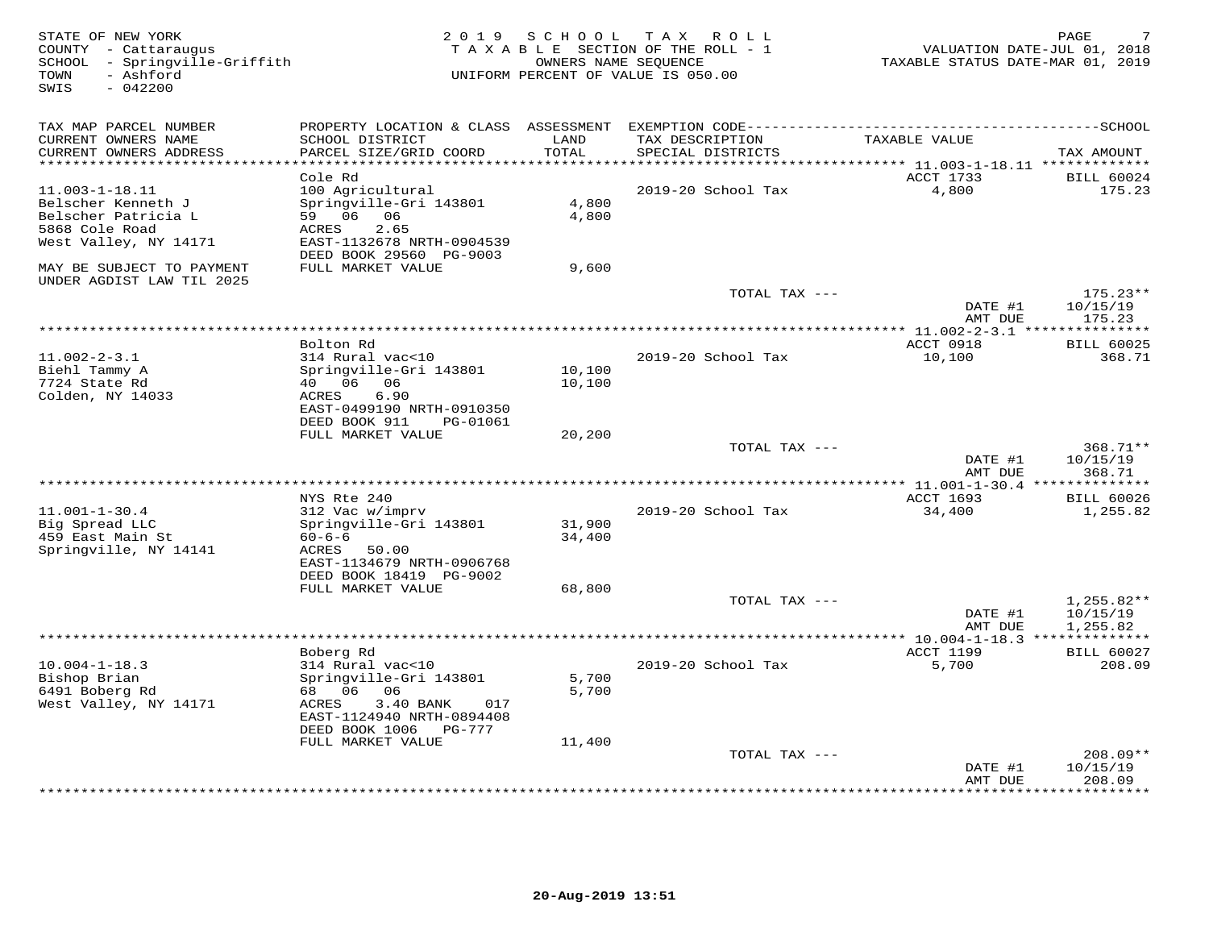| STATE OF NEW YORK<br>COUNTY - Cattaraugus<br>SCHOOL - Springville-Griffith<br>- Ashford<br>TOWN<br>$-042200$<br>SWIS |                                                                                                                                                                                   | 2019 SCHOOL              | T A X<br>R O L L<br>TAXABLE SECTION OF THE ROLL - 1<br>OWNERS NAME SEQUENCE<br>UNIFORM PERCENT OF VALUE IS 050.00 | VALUATION DATE-JUL 01, 2018<br>TAXABLE STATUS DATE-MAR 01, 2019 | PAGE                                 |
|----------------------------------------------------------------------------------------------------------------------|-----------------------------------------------------------------------------------------------------------------------------------------------------------------------------------|--------------------------|-------------------------------------------------------------------------------------------------------------------|-----------------------------------------------------------------|--------------------------------------|
| TAX MAP PARCEL NUMBER<br>CURRENT OWNERS NAME<br>CURRENT OWNERS ADDRESS<br>***********************                    | SCHOOL DISTRICT<br>PARCEL SIZE/GRID COORD<br>************************                                                                                                             | LAND<br>TOTAL            | TAX DESCRIPTION<br>SPECIAL DISTRICTS                                                                              | TAXABLE VALUE                                                   | TAX AMOUNT                           |
|                                                                                                                      | Cole Rd                                                                                                                                                                           |                          |                                                                                                                   | ACCT 1733                                                       | <b>BILL 60024</b>                    |
| $11.003 - 1 - 18.11$<br>Belscher Kenneth J<br>Belscher Patricia L<br>5868 Cole Road<br>West Valley, NY 14171         | 100 Agricultural<br>Springville-Gri 143801<br>59 06 06<br>2.65<br>ACRES<br>EAST-1132678 NRTH-0904539<br>DEED BOOK 29560 PG-9003                                                   | 4,800<br>4,800           | 2019-20 School Tax                                                                                                | 4,800                                                           | 175.23                               |
| MAY BE SUBJECT TO PAYMENT                                                                                            | FULL MARKET VALUE                                                                                                                                                                 | 9,600                    |                                                                                                                   |                                                                 |                                      |
| UNDER AGDIST LAW TIL 2025                                                                                            |                                                                                                                                                                                   |                          | TOTAL TAX ---                                                                                                     | DATE #1                                                         | $175.23**$<br>10/15/19               |
|                                                                                                                      |                                                                                                                                                                                   |                          |                                                                                                                   | AMT DUE                                                         | 175.23<br>**********                 |
|                                                                                                                      | Bolton Rd                                                                                                                                                                         |                          |                                                                                                                   | ACCT 0918                                                       | <b>BILL 60025</b>                    |
| $11.002 - 2 - 3.1$<br>Biehl Tammy A<br>7724 State Rd<br>Colden, NY 14033                                             | 314 Rural vac<10<br>Springville-Gri 143801<br>40 06<br>06<br>6.90<br>ACRES<br>EAST-0499190 NRTH-0910350                                                                           | 10,100<br>10,100         | 2019-20 School Tax                                                                                                | 10,100                                                          | 368.71                               |
|                                                                                                                      | DEED BOOK 911<br>PG-01061                                                                                                                                                         |                          |                                                                                                                   |                                                                 |                                      |
|                                                                                                                      | FULL MARKET VALUE                                                                                                                                                                 | 20,200                   | TOTAL TAX ---                                                                                                     |                                                                 | 368.71**                             |
|                                                                                                                      |                                                                                                                                                                                   |                          |                                                                                                                   | DATE #1<br>AMT DUE                                              | 10/15/19<br>368.71                   |
|                                                                                                                      |                                                                                                                                                                                   |                          |                                                                                                                   | $* 11.001 - 1 - 30.4$ ***                                       | *********                            |
| $11.001 - 1 - 30.4$<br>Big Spread LLC<br>459 East Main St<br>Springville, NY 14141                                   | NYS Rte 240<br>312 Vac w/imprv<br>Springville-Gri 143801<br>$60 - 6 - 6$<br>ACRES<br>50.00<br>EAST-1134679 NRTH-0906768<br>DEED BOOK 18419 PG-9002                                | 31,900<br>34,400         | 2019-20 School Tax                                                                                                | ACCT 1693<br>34,400                                             | <b>BILL 60026</b><br>1,255.82        |
|                                                                                                                      | FULL MARKET VALUE                                                                                                                                                                 | 68,800                   |                                                                                                                   |                                                                 |                                      |
|                                                                                                                      |                                                                                                                                                                                   |                          | TOTAL TAX ---                                                                                                     | DATE #1<br>AMT DUE                                              | $1,255.82**$<br>10/15/19<br>1,255.82 |
|                                                                                                                      |                                                                                                                                                                                   |                          | ************                                                                                                      | ** $10.004 - 1 - 18.3$ **                                       | <b>BILL 60027</b>                    |
| $10.004 - 1 - 18.3$<br>Bishop Brian<br>6491 Boberg Rd<br>West Valley, NY 14171                                       | Boberg Rd<br>314 Rural vac<10<br>Springville-Gri 143801<br>68 06<br>06<br>3.40 BANK<br>ACRES<br>017<br>EAST-1124940 NRTH-0894408<br>DEED BOOK 1006<br>PG-777<br>FULL MARKET VALUE | 5,700<br>5,700<br>11,400 | 2019-20 School Tax                                                                                                | <b>ACCT 1199</b><br>5,700                                       | 208.09                               |
|                                                                                                                      |                                                                                                                                                                                   |                          | TOTAL TAX ---                                                                                                     |                                                                 | $208.09**$                           |
|                                                                                                                      |                                                                                                                                                                                   |                          |                                                                                                                   | DATE #1<br>AMT DUE                                              | 10/15/19<br>208.09<br>* * * * * * *  |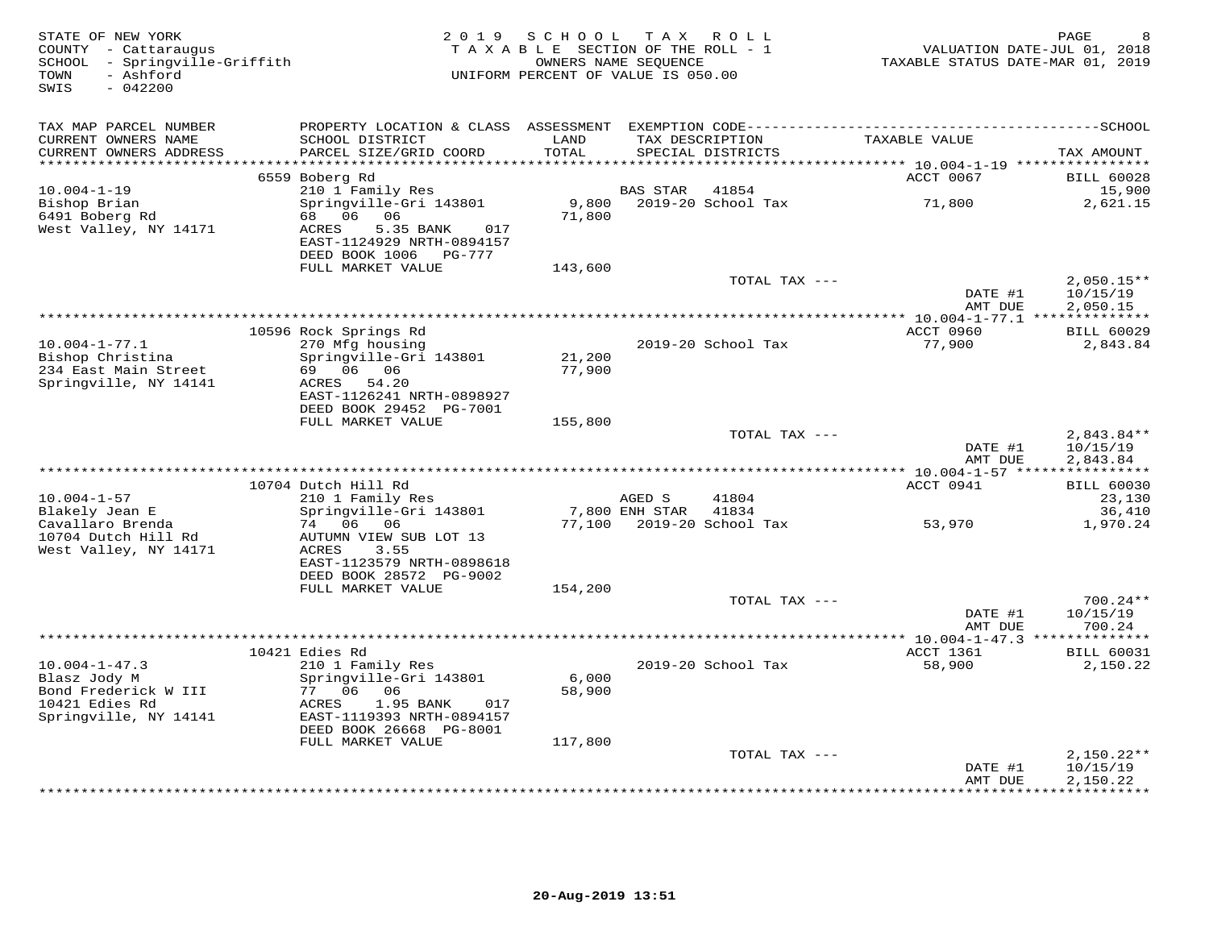| STATE OF NEW YORK<br>COUNTY - Cattaraugus<br>SCHOOL - Springville-Griffith<br>- Ashford<br>TOWN<br>$-042200$<br>SWIS | 2 0 1 9                                                                                      | SCHOOL<br>TAXABLE SECTION OF THE ROLL - 1<br>OWNERS NAME SEQUENCE<br>UNIFORM PERCENT OF VALUE IS 050.00 | T A X           | ROLL                                 |               |                               | PAGE<br>VALUATION DATE-JUL 01, 2018<br>TAXABLE STATUS DATE-MAR 01, 2019 |
|----------------------------------------------------------------------------------------------------------------------|----------------------------------------------------------------------------------------------|---------------------------------------------------------------------------------------------------------|-----------------|--------------------------------------|---------------|-------------------------------|-------------------------------------------------------------------------|
| TAX MAP PARCEL NUMBER                                                                                                | PROPERTY LOCATION & CLASS ASSESSMENT                                                         |                                                                                                         |                 |                                      |               |                               |                                                                         |
| CURRENT OWNERS NAME<br>CURRENT OWNERS ADDRESS<br>**********************                                              | SCHOOL DISTRICT<br>PARCEL SIZE/GRID COORD                                                    | LAND<br>TOTAL                                                                                           |                 | TAX DESCRIPTION<br>SPECIAL DISTRICTS | TAXABLE VALUE |                               | TAX AMOUNT                                                              |
|                                                                                                                      | 6559 Boberg Rd                                                                               |                                                                                                         |                 |                                      |               | ACCT 0067                     | <b>BILL 60028</b>                                                       |
| $10.004 - 1 - 19$                                                                                                    | 210 1 Family Res                                                                             |                                                                                                         | <b>BAS STAR</b> | 41854                                |               |                               | 15,900                                                                  |
| Bishop Brian<br>6491 Boberg Rd<br>West Valley, NY 14171                                                              | Springville-Gri 143801<br>68 06 06<br>ACRES<br>5.35 BANK<br>017<br>EAST-1124929 NRTH-0894157 | 9,800<br>71,800                                                                                         |                 | 2019-20 School Tax                   |               | 71,800                        | 2,621.15                                                                |
|                                                                                                                      | DEED BOOK 1006 PG-777                                                                        |                                                                                                         |                 |                                      |               |                               |                                                                         |
|                                                                                                                      | FULL MARKET VALUE                                                                            | 143,600                                                                                                 |                 | TOTAL TAX ---                        |               |                               | $2,050.15**$                                                            |
|                                                                                                                      |                                                                                              |                                                                                                         |                 |                                      |               | DATE #1<br>AMT DUE            | 10/15/19<br>2,050.15                                                    |
|                                                                                                                      |                                                                                              |                                                                                                         |                 |                                      |               | ACCT 0960                     |                                                                         |
| $10.004 - 1 - 77.1$                                                                                                  | 10596 Rock Springs Rd<br>270 Mfg housing                                                     |                                                                                                         |                 | 2019-20 School Tax                   |               | 77,900                        | <b>BILL 60029</b><br>2,843.84                                           |
| Bishop Christina                                                                                                     | Springville-Gri 143801                                                                       | 21,200                                                                                                  |                 |                                      |               |                               |                                                                         |
| 234 East Main Street<br>Springville, NY 14141                                                                        | 69 06 06<br>ACRES 54.20                                                                      | 77,900                                                                                                  |                 |                                      |               |                               |                                                                         |
|                                                                                                                      | EAST-1126241 NRTH-0898927                                                                    |                                                                                                         |                 |                                      |               |                               |                                                                         |
|                                                                                                                      | DEED BOOK 29452 PG-7001                                                                      |                                                                                                         |                 |                                      |               |                               |                                                                         |
|                                                                                                                      | FULL MARKET VALUE                                                                            | 155,800                                                                                                 |                 | TOTAL TAX ---                        |               |                               | 2,843.84**                                                              |
|                                                                                                                      |                                                                                              |                                                                                                         |                 |                                      |               | DATE #1<br>AMT DUE            | 10/15/19<br>2,843.84                                                    |
|                                                                                                                      |                                                                                              |                                                                                                         |                 |                                      |               |                               |                                                                         |
| $10.004 - 1 - 57$                                                                                                    | 10704 Dutch Hill Rd<br>210 1 Family Res                                                      |                                                                                                         | AGED S          | 41804                                |               | ACCT 0941                     | <b>BILL 60030</b><br>23,130                                             |
| Blakely Jean E                                                                                                       | Springville-Gri 143801                                                                       |                                                                                                         | 7,800 ENH STAR  | 41834                                |               |                               | 36,410                                                                  |
| Cavallaro Brenda                                                                                                     | 06<br>06<br>74                                                                               | 77,100                                                                                                  |                 | 2019-20 School Tax                   |               | 53,970                        | 1,970.24                                                                |
| 10704 Dutch Hill Rd<br>West Valley, NY 14171                                                                         | AUTUMN VIEW SUB LOT 13<br>3.55<br>ACRES                                                      |                                                                                                         |                 |                                      |               |                               |                                                                         |
|                                                                                                                      | EAST-1123579 NRTH-0898618<br>DEED BOOK 28572 PG-9002                                         |                                                                                                         |                 |                                      |               |                               |                                                                         |
|                                                                                                                      | FULL MARKET VALUE                                                                            | 154,200                                                                                                 |                 |                                      |               |                               |                                                                         |
|                                                                                                                      |                                                                                              |                                                                                                         |                 | TOTAL TAX ---                        |               |                               | $700.24**$                                                              |
|                                                                                                                      |                                                                                              |                                                                                                         |                 |                                      |               | DATE #1<br>AMT DUE            | 10/15/19<br>700.24                                                      |
|                                                                                                                      |                                                                                              |                                                                                                         |                 |                                      |               | ****** $10.004 - 1 - 47.3$ ** | ***********                                                             |
|                                                                                                                      | 10421 Edies Rd                                                                               |                                                                                                         |                 |                                      |               | ACCT 1361                     | <b>BILL 60031</b>                                                       |
| $10.004 - 1 - 47.3$<br>Blasz Jody M                                                                                  | 210 1 Family Res<br>Springville-Gri 143801                                                   | 6,000                                                                                                   |                 | 2019-20 School Tax                   |               | 58,900                        | 2,150.22                                                                |
| Bond Frederick W III                                                                                                 | 77 06 06                                                                                     | 58,900                                                                                                  |                 |                                      |               |                               |                                                                         |
| 10421 Edies Rd<br>Springville, NY 14141                                                                              | 1.95 BANK<br>ACRES<br>017<br>EAST-1119393 NRTH-0894157                                       |                                                                                                         |                 |                                      |               |                               |                                                                         |
|                                                                                                                      | DEED BOOK 26668 PG-8001                                                                      |                                                                                                         |                 |                                      |               |                               |                                                                         |
|                                                                                                                      | FULL MARKET VALUE                                                                            | 117,800                                                                                                 |                 | TOTAL TAX ---                        |               |                               | $2,150.22**$                                                            |
|                                                                                                                      |                                                                                              |                                                                                                         |                 |                                      |               | DATE #1                       | 10/15/19                                                                |
|                                                                                                                      |                                                                                              |                                                                                                         |                 |                                      |               | AMT DUE                       | 2,150.22<br>* * * * * * * * * *                                         |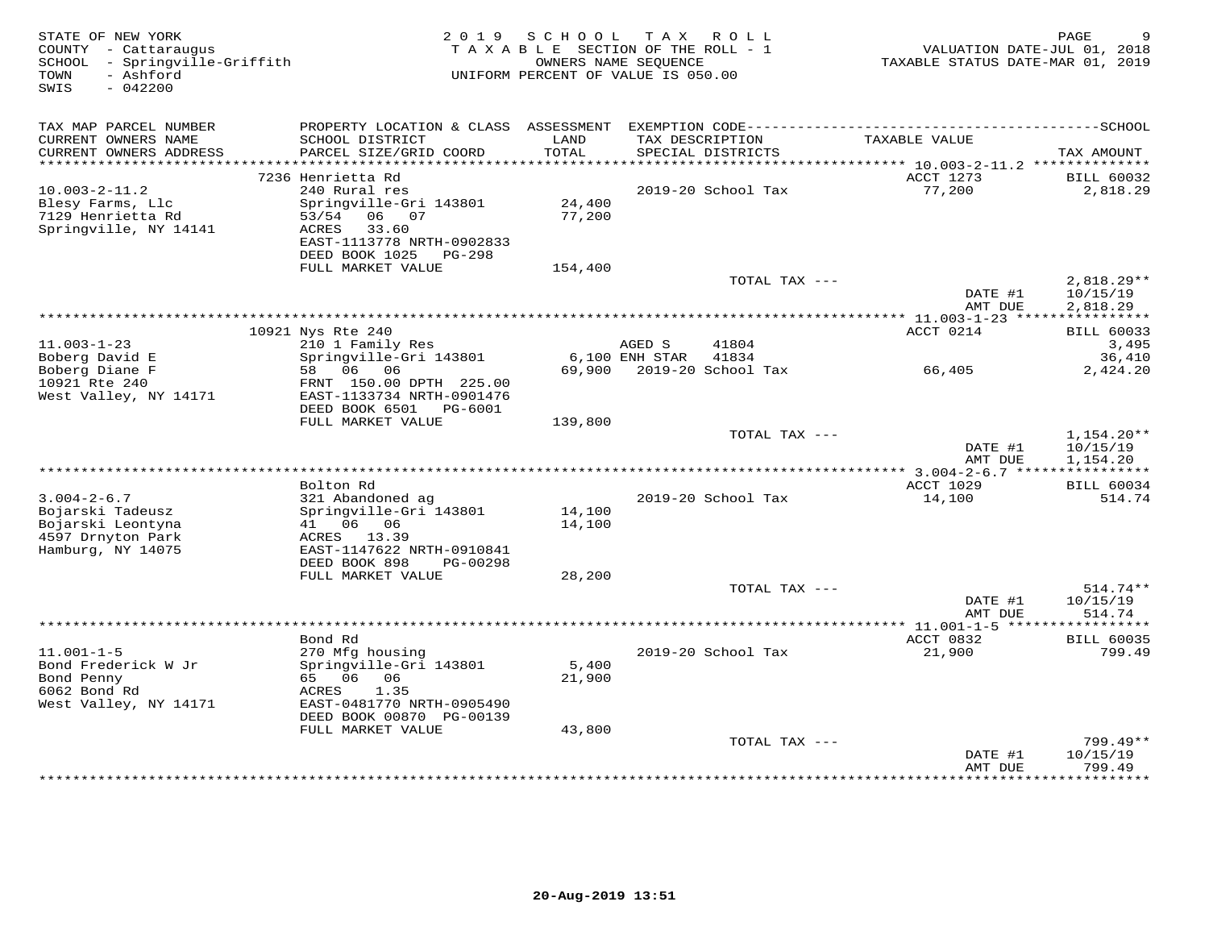| STATE OF NEW YORK<br>COUNTY - Cattaraugus<br>SCHOOL - Springville-Griffith<br>- Ashford<br>TOWN<br>SWIS<br>$-042200$ | 2019                                                                                                                                 | SCHOOL<br>TAXABLE SECTION OF THE ROLL - 1<br>OWNERS NAME SEQUENCE<br>UNIFORM PERCENT OF VALUE IS 050.00 |                 | TAX ROLL                  | VALUATION DATE-JUL 01, 2018<br>TAXABLE STATUS DATE-MAR 01, 2019 | PAGE                                 |
|----------------------------------------------------------------------------------------------------------------------|--------------------------------------------------------------------------------------------------------------------------------------|---------------------------------------------------------------------------------------------------------|-----------------|---------------------------|-----------------------------------------------------------------|--------------------------------------|
| TAX MAP PARCEL NUMBER                                                                                                |                                                                                                                                      |                                                                                                         |                 |                           |                                                                 |                                      |
| CURRENT OWNERS NAME<br>CURRENT OWNERS ADDRESS<br>***********************                                             | SCHOOL DISTRICT<br>PARCEL SIZE/GRID COORD                                                                                            | LAND<br>TOTAL                                                                                           | TAX DESCRIPTION | SPECIAL DISTRICTS         | TAXABLE VALUE                                                   | TAX AMOUNT                           |
|                                                                                                                      | 7236 Henrietta Rd                                                                                                                    |                                                                                                         |                 |                           | ACCT 1273                                                       | <b>BILL 60032</b>                    |
| $10.003 - 2 - 11.2$<br>Blesy Farms, Llc<br>7129 Henrietta Rd<br>Springville, NY 14141                                | 240 Rural res<br>Springville-Gri 143801<br>53/54<br>06 07<br>ACRES<br>33.60<br>EAST-1113778 NRTH-0902833<br>DEED BOOK 1025<br>PG-298 | 24,400<br>77,200                                                                                        |                 | 2019-20 School Tax        | 77,200                                                          | 2,818.29                             |
|                                                                                                                      | FULL MARKET VALUE                                                                                                                    | 154,400                                                                                                 |                 | TOTAL TAX ---             |                                                                 | 2,818.29**                           |
|                                                                                                                      |                                                                                                                                      |                                                                                                         |                 |                           | DATE #1<br>AMT DUE                                              | 10/15/19<br>2,818.29                 |
|                                                                                                                      |                                                                                                                                      |                                                                                                         |                 |                           |                                                                 |                                      |
| $11.003 - 1 - 23$                                                                                                    | 10921 Nys Rte 240<br>210 1 Family Res                                                                                                |                                                                                                         | AGED S          | 41804                     | ACCT 0214                                                       | <b>BILL 60033</b><br>3,495           |
| Boberg David E                                                                                                       | Springville-Gri 143801                                                                                                               |                                                                                                         | 6,100 ENH STAR  | 41834                     |                                                                 | 36,410                               |
| Boberg Diane F<br>10921 Rte 240<br>West Valley, NY 14171                                                             | 58 06 06<br>FRNT 150.00 DPTH 225.00<br>EAST-1133734 NRTH-0901476<br>DEED BOOK 6501 PG-6001                                           |                                                                                                         |                 | 69,900 2019-20 School Tax | 66,405                                                          | 2,424.20                             |
|                                                                                                                      | FULL MARKET VALUE                                                                                                                    | 139,800                                                                                                 |                 |                           |                                                                 |                                      |
|                                                                                                                      |                                                                                                                                      |                                                                                                         |                 | TOTAL TAX ---             | DATE #1<br>AMT DUE                                              | $1,154.20**$<br>10/15/19<br>1,154.20 |
|                                                                                                                      | Bolton Rd                                                                                                                            |                                                                                                         |                 |                           | <b>ACCT 1029</b>                                                | <b>BILL 60034</b>                    |
| $3.004 - 2 - 6.7$<br>Bojarski Tadeusz<br>Bojarski Leontyna                                                           | 321 Abandoned ag<br>Springville-Gri 143801<br>41 06 06                                                                               | 14,100<br>14,100                                                                                        |                 | 2019-20 School Tax        | 14,100                                                          | 514.74                               |
| 4597 Drnyton Park<br>Hamburg, NY 14075                                                                               | ACRES 13.39<br>EAST-1147622 NRTH-0910841<br>DEED BOOK 898<br>PG-00298                                                                |                                                                                                         |                 |                           |                                                                 |                                      |
|                                                                                                                      | FULL MARKET VALUE                                                                                                                    | 28,200                                                                                                  |                 |                           |                                                                 |                                      |
|                                                                                                                      |                                                                                                                                      |                                                                                                         |                 | TOTAL TAX ---             | DATE #1<br>AMT DUE                                              | 514.74**<br>10/15/19<br>514.74       |
|                                                                                                                      |                                                                                                                                      |                                                                                                         |                 |                           |                                                                 | ***********                          |
|                                                                                                                      | Bond Rd                                                                                                                              |                                                                                                         |                 |                           | ACCT 0832                                                       | <b>BILL 60035</b>                    |
| $11.001 - 1 - 5$<br>Bond Frederick W Jr<br>Bond Penny<br>6062 Bond Rd                                                | 270 Mfg housing<br>Springville-Gri 143801<br>65 06 06<br>1.35<br>ACRES                                                               | 5,400<br>21,900                                                                                         |                 | 2019-20 School Tax        | 21,900                                                          | 799.49                               |
| West Valley, NY 14171                                                                                                | EAST-0481770 NRTH-0905490<br>DEED BOOK 00870 PG-00139                                                                                |                                                                                                         |                 |                           |                                                                 |                                      |
|                                                                                                                      | FULL MARKET VALUE                                                                                                                    | 43,800                                                                                                  |                 |                           |                                                                 |                                      |
|                                                                                                                      |                                                                                                                                      |                                                                                                         |                 | TOTAL TAX ---             | DATE #1                                                         | $799.49**$<br>10/15/19               |
|                                                                                                                      |                                                                                                                                      |                                                                                                         |                 |                           | AMT DUE                                                         | 799.49<br>********                   |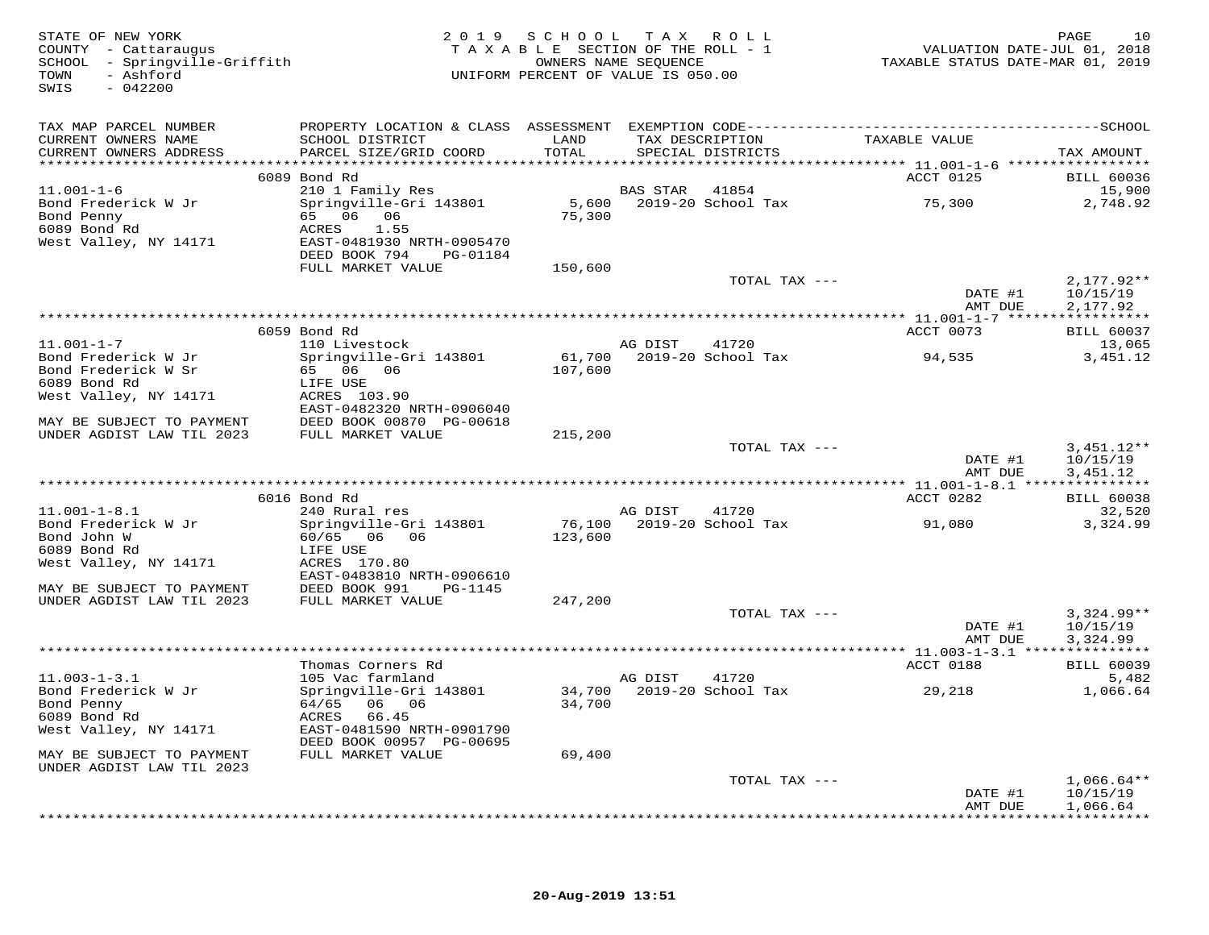| STATE OF NEW YORK<br>COUNTY - Cattaraugus<br>COUNTY - Cattaraugus<br>SCHOOL - Springville-Griffith<br>TOWN<br>- Ashford<br>SWIS<br>$-042200$ |                                                         | 2019 SCHOOL TAX ROLL<br>TAXABLE SECTION OF THE ROLL - 1<br>OWNERS NAME SEQUENCE<br>UNIFORM PERCENT OF VALUE IS 050.00 |                       |                                      | TAXABLE STATUS DATE-MAR 01, 2019 | 10<br>PAGE<br>VALUATION DATE-JUL 01, 2018 |
|----------------------------------------------------------------------------------------------------------------------------------------------|---------------------------------------------------------|-----------------------------------------------------------------------------------------------------------------------|-----------------------|--------------------------------------|----------------------------------|-------------------------------------------|
| TAX MAP PARCEL NUMBER                                                                                                                        |                                                         |                                                                                                                       |                       |                                      |                                  |                                           |
| CURRENT OWNERS NAME<br>CURRENT OWNERS ADDRESS                                                                                                | SCHOOL DISTRICT<br>PARCEL SIZE/GRID COORD               | LAND<br>TOTAL                                                                                                         |                       | TAX DESCRIPTION<br>SPECIAL DISTRICTS | TAXABLE VALUE                    | TAX AMOUNT                                |
|                                                                                                                                              |                                                         |                                                                                                                       |                       |                                      |                                  |                                           |
| $11.001 - 1 - 6$                                                                                                                             | 6089 Bond Rd                                            |                                                                                                                       | <b>BAS STAR</b> 41854 |                                      | ACCT 0125                        | <b>BILL 60036</b>                         |
| Bond Frederick W Jr                                                                                                                          | 210 1 Family Res<br>Springville-Gri 143801              |                                                                                                                       |                       | 5,600 2019-20 School Tax             | 75,300                           | 15,900<br>2,748.92                        |
| Bond Penny                                                                                                                                   | 65 06 06                                                | 75,300                                                                                                                |                       |                                      |                                  |                                           |
| 6089 Bond Rd                                                                                                                                 | 1.55<br>ACRES                                           |                                                                                                                       |                       |                                      |                                  |                                           |
| West Valley, NY 14171                                                                                                                        | EAST-0481930 NRTH-0905470                               |                                                                                                                       |                       |                                      |                                  |                                           |
|                                                                                                                                              | DEED BOOK 794<br>PG-01184                               |                                                                                                                       |                       |                                      |                                  |                                           |
|                                                                                                                                              | FULL MARKET VALUE                                       | 150,600                                                                                                               |                       |                                      |                                  |                                           |
|                                                                                                                                              |                                                         |                                                                                                                       |                       | TOTAL TAX ---                        | DATE #1                          | $2,177.92**$<br>10/15/19                  |
|                                                                                                                                              |                                                         |                                                                                                                       |                       |                                      | AMT DUE                          | 2,177.92                                  |
|                                                                                                                                              |                                                         |                                                                                                                       |                       |                                      |                                  |                                           |
|                                                                                                                                              | 6059 Bond Rd                                            |                                                                                                                       |                       |                                      | ACCT 0073                        | <b>BILL 60037</b>                         |
| $11.001 - 1 - 7$                                                                                                                             | 110 Livestock                                           |                                                                                                                       | AG DIST               | 41720                                |                                  | 13,065                                    |
| Bond Frederick W Jr                                                                                                                          | Springville-Gri 143801                                  |                                                                                                                       |                       | 61,700 2019-20 School Tax            | 94,535                           | 3,451.12                                  |
| Bond Frederick W Sr                                                                                                                          | 65 06 06                                                | 107,600                                                                                                               |                       |                                      |                                  |                                           |
| 6089 Bond Rd<br>West Valley, NY 14171                                                                                                        | LIFE USE<br>ACRES 103.90                                |                                                                                                                       |                       |                                      |                                  |                                           |
|                                                                                                                                              | EAST-0482320 NRTH-0906040                               |                                                                                                                       |                       |                                      |                                  |                                           |
|                                                                                                                                              | DEED BOOK 00870 PG-00618                                |                                                                                                                       |                       |                                      |                                  |                                           |
| MAY BE SUBJECT TO PAYMENT DEED BOOK 00870 F<br>UNDER AGDIST LAW TIL 2023 FULL MARKET VALUE                                                   |                                                         | 215,200                                                                                                               |                       |                                      |                                  |                                           |
|                                                                                                                                              |                                                         |                                                                                                                       |                       | TOTAL TAX ---                        |                                  | $3,451.12**$                              |
|                                                                                                                                              |                                                         |                                                                                                                       |                       |                                      | DATE #1                          | 10/15/19                                  |
|                                                                                                                                              |                                                         |                                                                                                                       |                       |                                      | AMT DUE                          | 3,451.12                                  |
|                                                                                                                                              | 6016 Bond Rd                                            |                                                                                                                       |                       |                                      | ACCT 0282                        | <b>BILL 60038</b>                         |
| $11.001 - 1 - 8.1$                                                                                                                           | 240 Rural res                                           |                                                                                                                       | AG DIST               | 41720                                |                                  | 32,520                                    |
| Bond Frederick W Jr                                                                                                                          | Springville-Gri 143801                                  |                                                                                                                       |                       | 76,100 2019-20 School Tax            | 91,080                           | 3,324.99                                  |
| Bond John W                                                                                                                                  | 60/65 06 06                                             | 123,600                                                                                                               |                       |                                      |                                  |                                           |
| 6089 Bond Rd                                                                                                                                 | LIFE USE                                                |                                                                                                                       |                       |                                      |                                  |                                           |
| West Valley, NY 14171                                                                                                                        | ACRES 170.80<br>EAST-0483810 NRTH-0906610               |                                                                                                                       |                       |                                      |                                  |                                           |
| MAY BE SUBJECT TO PAYMENT                                                                                                                    | DEED BOOK 991<br>PG-1145                                |                                                                                                                       |                       |                                      |                                  |                                           |
| UNDER AGDIST LAW TIL 2023                                                                                                                    | FULL MARKET VALUE                                       | 247,200                                                                                                               |                       |                                      |                                  |                                           |
|                                                                                                                                              |                                                         |                                                                                                                       |                       | TOTAL TAX ---                        |                                  | $3,324.99**$                              |
|                                                                                                                                              |                                                         |                                                                                                                       |                       |                                      | DATE #1                          | 10/15/19                                  |
|                                                                                                                                              |                                                         |                                                                                                                       |                       |                                      | AMT DUE                          | 3,324.99                                  |
|                                                                                                                                              |                                                         |                                                                                                                       |                       |                                      |                                  |                                           |
| $11.003 - 1 - 3.1$                                                                                                                           | Thomas Corners Rd<br>105 Vac farmland                   |                                                                                                                       | AG DIST               | 41720                                | ACCT 0188                        | <b>BILL 60039</b><br>5,482                |
| Bond Frederick W Jr                                                                                                                          | Springville-Gri 143801 34,700 2019-20 School Tax 29,218 |                                                                                                                       |                       |                                      |                                  | 1,066.64                                  |
| Bond Penny                                                                                                                                   | 64/65 06 06                                             | 34,700                                                                                                                |                       |                                      |                                  |                                           |
| 6089 Bond Rd                                                                                                                                 | ACRES 66.45                                             |                                                                                                                       |                       |                                      |                                  |                                           |
| West Valley, NY 14171                                                                                                                        | EAST-0481590 NRTH-0901790                               |                                                                                                                       |                       |                                      |                                  |                                           |
|                                                                                                                                              | DEED BOOK 00957 PG-00695                                |                                                                                                                       |                       |                                      |                                  |                                           |
| MAY BE SUBJECT TO PAYMENT                                                                                                                    | FULL MARKET VALUE                                       | 69,400                                                                                                                |                       |                                      |                                  |                                           |
| UNDER AGDIST LAW TIL 2023                                                                                                                    |                                                         |                                                                                                                       |                       | TOTAL TAX ---                        |                                  | $1,066.64**$                              |
|                                                                                                                                              |                                                         |                                                                                                                       |                       |                                      | DATE #1                          | 10/15/19                                  |
|                                                                                                                                              |                                                         |                                                                                                                       |                       |                                      | AMT DUE                          | 1,066.64                                  |
|                                                                                                                                              |                                                         |                                                                                                                       |                       |                                      |                                  |                                           |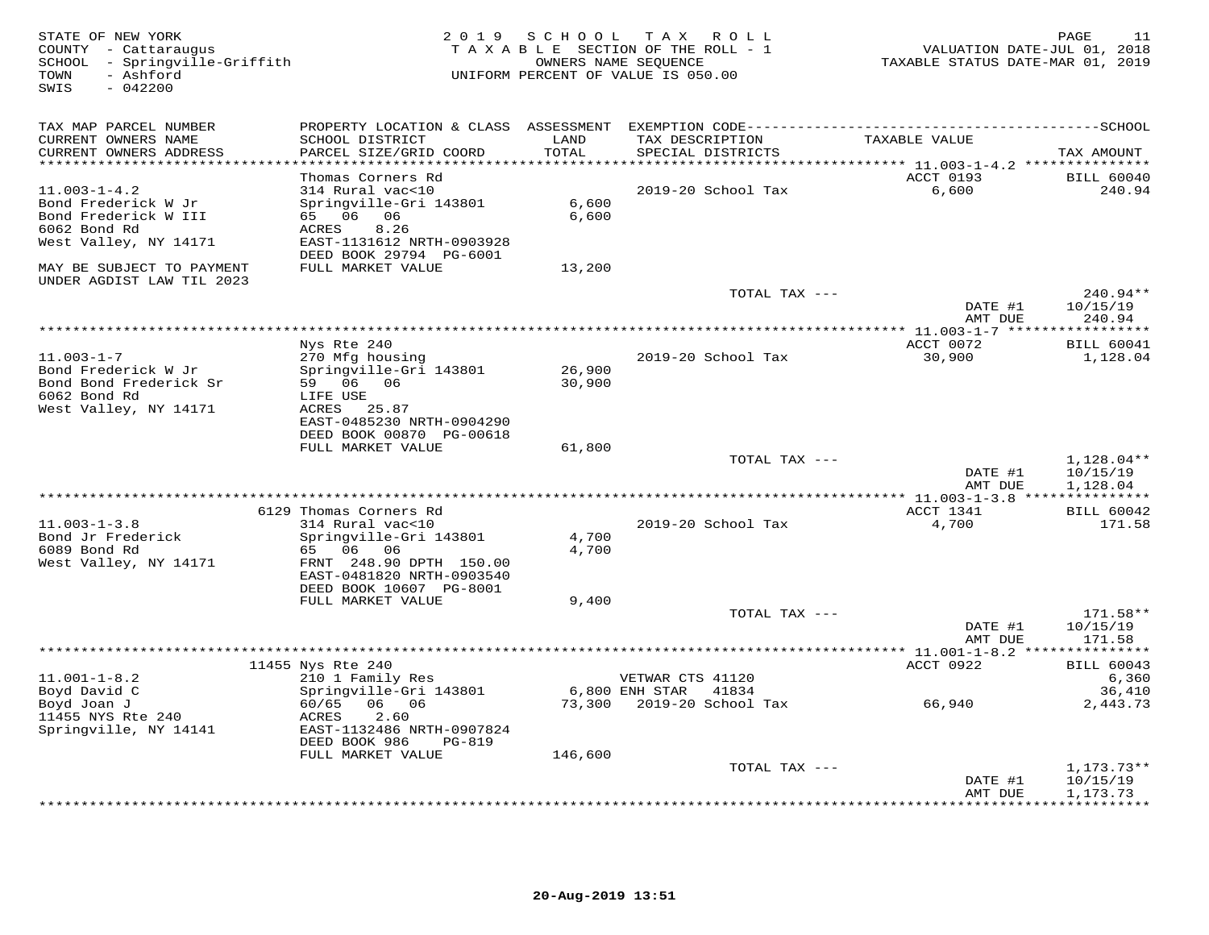| STATE OF NEW YORK<br>COUNTY - Cattaraugus<br>SCHOOL - Springville-Griffith<br>- Ashford<br>TOWN<br>SWIS<br>$-042200$ |                                                                                                                                                      | 2019 SCHOOL      | T A X<br>R O L L<br>TAXABLE SECTION OF THE ROLL - 1<br>OWNERS NAME SEQUENCE<br>UNIFORM PERCENT OF VALUE IS 050.00 | 11.02<br>VALUATION DATE-JUL 01, 2018<br>TAXABLE STATUS DATE-MAR 01, 2019 | PAGE<br>11                                      |
|----------------------------------------------------------------------------------------------------------------------|------------------------------------------------------------------------------------------------------------------------------------------------------|------------------|-------------------------------------------------------------------------------------------------------------------|--------------------------------------------------------------------------|-------------------------------------------------|
| TAX MAP PARCEL NUMBER<br>CURRENT OWNERS NAME<br>CURRENT OWNERS ADDRESS<br>***********************                    | PROPERTY LOCATION & CLASS ASSESSMENT EXEMPTION CODE-----------------------------------SCHOOL<br>SCHOOL DISTRICT<br>PARCEL SIZE/GRID COORD            | LAND<br>TOTAL    | TAX DESCRIPTION<br>SPECIAL DISTRICTS                                                                              | TAXABLE VALUE                                                            | TAX AMOUNT                                      |
| $11.003 - 1 - 4.2$<br>Bond Frederick W Jr<br>Bond Frederick W III<br>6062 Bond Rd<br>West Valley, NY 14171           | Thomas Corners Rd<br>314 Rural vac<10<br>Springville-Gri 143801<br>65 06 06<br>ACRES<br>8.26<br>EAST-1131612 NRTH-0903928<br>DEED BOOK 29794 PG-6001 | 6,600<br>6,600   | 2019-20 School Tax                                                                                                | ACCT 0193<br>6,600                                                       | <b>BILL 60040</b><br>240.94                     |
| MAY BE SUBJECT TO PAYMENT<br>UNDER AGDIST LAW TIL 2023                                                               | FULL MARKET VALUE                                                                                                                                    | 13,200           |                                                                                                                   |                                                                          |                                                 |
|                                                                                                                      |                                                                                                                                                      |                  | TOTAL TAX ---                                                                                                     | DATE #1<br>AMT DUE                                                       | $240.94**$<br>10/15/19<br>240.94                |
| *************************                                                                                            |                                                                                                                                                      |                  |                                                                                                                   |                                                                          |                                                 |
| $11.003 - 1 - 7$<br>Bond Frederick W Jr<br>Bond Bond Frederick Sr<br>6062 Bond Rd<br>West Valley, NY 14171           | Nys Rte 240<br>270 Mfg housing<br>Springville-Gri 143801<br>59 06 06<br>LIFE USE<br>ACRES 25.87<br>EAST-0485230 NRTH-0904290                         | 26,900<br>30,900 | 2019-20 School Tax                                                                                                | ACCT 0072<br>30,900                                                      | <b>BILL 60041</b><br>1,128.04                   |
|                                                                                                                      | DEED BOOK 00870 PG-00618                                                                                                                             |                  |                                                                                                                   |                                                                          |                                                 |
|                                                                                                                      | FULL MARKET VALUE                                                                                                                                    | 61,800           | TOTAL TAX ---                                                                                                     |                                                                          | $1,128.04**$                                    |
|                                                                                                                      |                                                                                                                                                      |                  |                                                                                                                   | DATE #1<br>AMT DUE                                                       | 10/15/19<br>1,128.04                            |
|                                                                                                                      |                                                                                                                                                      |                  |                                                                                                                   |                                                                          |                                                 |
| $11.003 - 1 - 3.8$<br>Bond Jr Frederick<br>6089 Bond Rd<br>West Valley, NY 14171                                     | 6129 Thomas Corners Rd<br>314 Rural vac<10<br>Springville-Gri 143801<br>65 06 06<br>FRNT 248.90 DPTH 150.00<br>EAST-0481820 NRTH-0903540             | 4,700<br>4,700   | 2019-20 School Tax                                                                                                | ACCT 1341<br>4,700                                                       | <b>BILL 60042</b><br>171.58                     |
|                                                                                                                      | DEED BOOK 10607 PG-8001<br>FULL MARKET VALUE                                                                                                         | 9,400            |                                                                                                                   |                                                                          |                                                 |
|                                                                                                                      |                                                                                                                                                      |                  | TOTAL TAX ---                                                                                                     | DATE #1<br>AMT DUE                                                       | $171.58**$<br>10/15/19<br>171.58                |
|                                                                                                                      |                                                                                                                                                      |                  |                                                                                                                   |                                                                          |                                                 |
| $11.001 - 1 - 8.2$<br>Boyd David C                                                                                   | 11455 Nys Rte 240<br>210 1 Family Res<br>Springville-Gri 143801                                                                                      |                  | VETWAR CTS 41120<br>6,800 ENH STAR 41834                                                                          | ACCT 0922                                                                | <b>BILL 60043</b><br>6,360<br>36,410            |
| Boyd Joan J<br>11455 NYS Rte 240<br>Springville, NY 14141                                                            | 60/65 06 06<br>ACRES<br>2.60<br>EAST-1132486 NRTH-0907824<br>DEED BOOK 986<br>PG-819<br>FULL MARKET VALUE                                            | 146,600          |                                                                                                                   | 66,940                                                                   | 2,443.73                                        |
|                                                                                                                      |                                                                                                                                                      |                  | TOTAL TAX ---                                                                                                     |                                                                          | $1,173.73**$                                    |
|                                                                                                                      |                                                                                                                                                      |                  |                                                                                                                   | DATE #1<br>AMT DUE                                                       | 10/15/19<br>1,173.73<br>* * * * * * * * * * * * |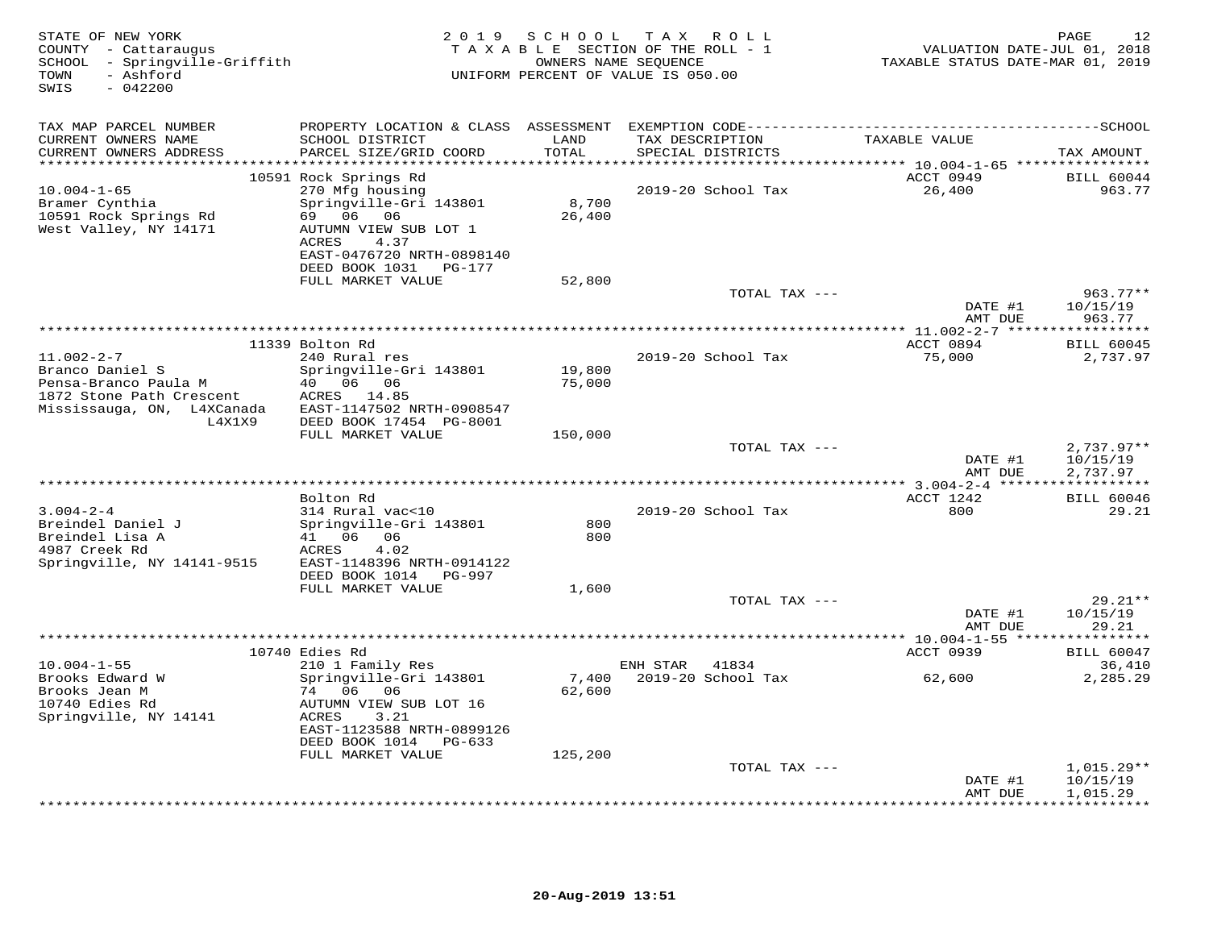| STATE OF NEW YORK<br>COUNTY - Cattaraugus<br>SCHOOL - Springville-Griffith<br>- Ashford<br>TOWN<br>SWIS<br>$-042200$  |                                                                                                                                                                                |                  | 2019 SCHOOL TAX ROLL<br>TAXABLE SECTION OF THE ROLL - 1<br>OWNERS NAME SEQUENCE<br>UNIFORM PERCENT OF VALUE IS 050.00 | VALUATION DATE-JUL 01, 2018<br>TAXABLE STATUS DATE-MAR 01, 2019 | 12<br>PAGE                           |
|-----------------------------------------------------------------------------------------------------------------------|--------------------------------------------------------------------------------------------------------------------------------------------------------------------------------|------------------|-----------------------------------------------------------------------------------------------------------------------|-----------------------------------------------------------------|--------------------------------------|
| TAX MAP PARCEL NUMBER                                                                                                 |                                                                                                                                                                                |                  |                                                                                                                       |                                                                 |                                      |
| CURRENT OWNERS NAME<br>CURRENT OWNERS ADDRESS                                                                         | SCHOOL DISTRICT<br>PARCEL SIZE/GRID COORD                                                                                                                                      | LAND<br>TOTAL    | TAX DESCRIPTION<br>SPECIAL DISTRICTS                                                                                  | TAXABLE VALUE                                                   | TAX AMOUNT                           |
| ***************                                                                                                       |                                                                                                                                                                                | ******           |                                                                                                                       | ******** 10.004-1-65 ****************                           | <b>BILL 60044</b>                    |
| $10.004 - 1 - 65$<br>Bramer Cynthia<br>10591 Rock Springs Rd<br>West Valley, NY 14171                                 | 10591 Rock Springs Rd<br>270 Mfg housing<br>Springville-Gri 143801<br>69 06 06<br>AUTUMN VIEW SUB LOT 1<br>ACRES<br>4.37<br>EAST-0476720 NRTH-0898140<br>DEED BOOK 1031 PG-177 | 8,700<br>26,400  | 2019-20 School Tax                                                                                                    | ACCT 0949<br>26,400                                             | 963.77                               |
|                                                                                                                       | FULL MARKET VALUE                                                                                                                                                              | 52,800           |                                                                                                                       |                                                                 |                                      |
|                                                                                                                       |                                                                                                                                                                                |                  | TOTAL TAX ---                                                                                                         | DATE #1                                                         | $963.77**$<br>10/15/19               |
|                                                                                                                       |                                                                                                                                                                                |                  |                                                                                                                       | AMT DUE<br>********** 11.002-2-7 ******                         | 963.77<br>***********                |
|                                                                                                                       | 11339 Bolton Rd                                                                                                                                                                |                  |                                                                                                                       | ACCT 0894                                                       | <b>BILL 60045</b>                    |
| $11.002 - 2 - 7$<br>Branco Daniel S<br>Pensa-Branco Paula M<br>1872 Stone Path Crescent<br>Mississauga, ON, L4XCanada | 240 Rural res<br>Springville-Gri 143801<br>40 06 06<br>ACRES 14.85<br>EAST-1147502 NRTH-0908547                                                                                | 19,800<br>75,000 | 2019-20 School Tax                                                                                                    | 75,000                                                          | 2,737.97                             |
| L4X1X9                                                                                                                | DEED BOOK 17454 PG-8001<br>FULL MARKET VALUE                                                                                                                                   | 150,000          |                                                                                                                       |                                                                 |                                      |
|                                                                                                                       |                                                                                                                                                                                |                  | TOTAL TAX ---                                                                                                         | DATE #1<br>AMT DUE                                              | $2,737.97**$<br>10/15/19<br>2,737.97 |
| *****************************                                                                                         |                                                                                                                                                                                |                  |                                                                                                                       |                                                                 |                                      |
| $3.004 - 2 - 4$<br>Breindel Daniel J<br>Breindel Lisa A<br>4987 Creek Rd<br>Springville, NY 14141-9515                | Bolton Rd<br>314 Rural vac<10<br>Springville-Gri 143801<br>41 06 06<br>ACRES<br>4.02<br>EAST-1148396 NRTH-0914122                                                              | 800<br>800       | 2019-20 School Tax                                                                                                    | ACCT 1242<br>800                                                | <b>BILL 60046</b><br>29.21           |
|                                                                                                                       | DEED BOOK 1014 PG-997                                                                                                                                                          |                  |                                                                                                                       |                                                                 |                                      |
|                                                                                                                       | FULL MARKET VALUE                                                                                                                                                              | 1,600            | TOTAL TAX ---                                                                                                         |                                                                 | $29.21**$                            |
|                                                                                                                       |                                                                                                                                                                                |                  |                                                                                                                       | DATE #1<br>AMT DUE                                              | 10/15/19<br>29.21                    |
|                                                                                                                       |                                                                                                                                                                                |                  |                                                                                                                       | ****************** 10.004-1-55 *****************                |                                      |
|                                                                                                                       | 10740 Edies Rd                                                                                                                                                                 |                  |                                                                                                                       | ACCT 0939                                                       | <b>BILL 60047</b>                    |
| $10.004 - 1 - 55$<br>Brooks Edward W<br>Brooks Jean M<br>10740 Edies Rd<br>Springville, NY 14141                      | 210 1 Family Res<br>Springville-Gri 143801<br>74 06 06<br>AUTUMN VIEW SUB LOT 16<br>ACRES<br>3.21<br>EAST-1123588 NRTH-0899126<br>DEED BOOK 1014 PG-633                        | 7,400<br>62,600  | 41834<br>ENH STAR<br>2019-20 School Tax                                                                               | 62,600                                                          | 36,410<br>2,285.29                   |
|                                                                                                                       | FULL MARKET VALUE                                                                                                                                                              | 125,200          | TOTAL TAX ---                                                                                                         |                                                                 |                                      |
|                                                                                                                       |                                                                                                                                                                                |                  |                                                                                                                       | DATE #1<br>AMT DUE                                              | $1,015.29**$<br>10/15/19<br>1,015.29 |
|                                                                                                                       |                                                                                                                                                                                |                  |                                                                                                                       |                                                                 | <b>+++++++++</b>                     |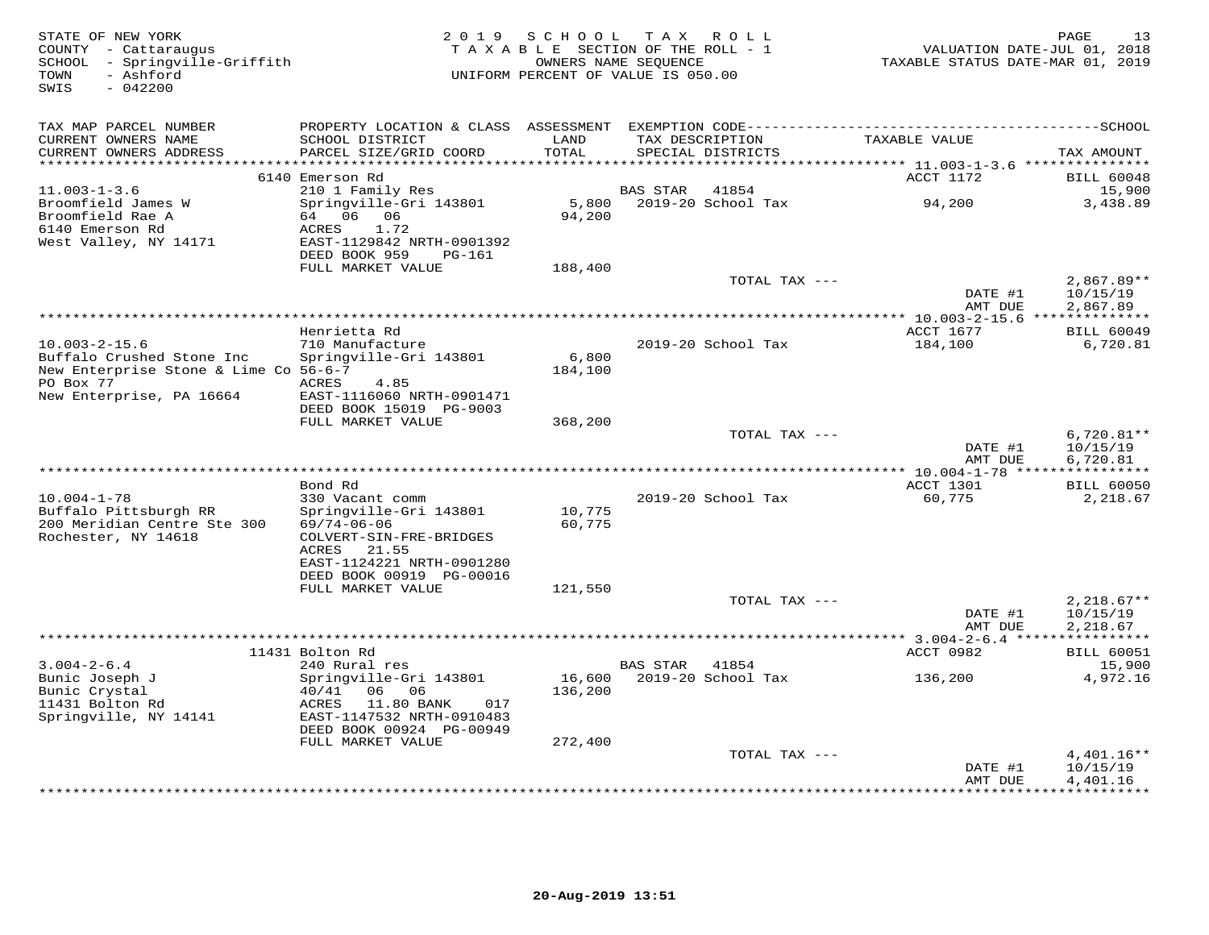| STATE OF NEW YORK<br>COUNTY - Cattaraugus<br>SCHOOL - Springville-Griffith<br>- Ashford<br>TOWN<br>$-042200$<br>SWIS | 2 0 1 9                                                                                                                                   | SCHOOL<br>TAXABLE SECTION OF THE ROLL - 1<br>OWNERS NAME SEOUENCE<br>UNIFORM PERCENT OF VALUE IS 050.00 |                 | TAX ROLL                    | VALUATION DATE-JUL 01, 2018<br>TAXABLE STATUS DATE-MAR 01, 2019 | 13<br>PAGE                           |
|----------------------------------------------------------------------------------------------------------------------|-------------------------------------------------------------------------------------------------------------------------------------------|---------------------------------------------------------------------------------------------------------|-----------------|-----------------------------|-----------------------------------------------------------------|--------------------------------------|
| TAX MAP PARCEL NUMBER<br>CURRENT OWNERS NAME<br>CURRENT OWNERS ADDRESS                                               | PROPERTY LOCATION & CLASS ASSESSMENT EXEMPTION CODE-----------------------------------SCHOOL<br>SCHOOL DISTRICT<br>PARCEL SIZE/GRID COORD | LAND<br>TOTAL                                                                                           | TAX DESCRIPTION | SPECIAL DISTRICTS           | TAXABLE VALUE                                                   | TAX AMOUNT                           |
| ***************                                                                                                      |                                                                                                                                           | ******                                                                                                  |                 |                             | ************ 11.003-1-3.6 ****************                      |                                      |
|                                                                                                                      | 6140 Emerson Rd                                                                                                                           |                                                                                                         |                 |                             | ACCT 1172                                                       | <b>BILL 60048</b>                    |
| $11.003 - 1 - 3.6$<br>Broomfield James W<br>Broomfield Rae A<br>6140 Emerson Rd                                      | 210 1 Family Res<br>Springville-Gri 143801<br>64 06 06<br>ACRES<br>1.72                                                                   | 5,800<br>94,200                                                                                         | <b>BAS STAR</b> | 41854<br>2019-20 School Tax | 94,200                                                          | 15,900<br>3,438.89                   |
| West Valley, NY 14171                                                                                                | EAST-1129842 NRTH-0901392<br>DEED BOOK 959<br>PG-161<br>FULL MARKET VALUE                                                                 | 188,400                                                                                                 |                 |                             |                                                                 |                                      |
|                                                                                                                      |                                                                                                                                           |                                                                                                         |                 | TOTAL TAX ---               |                                                                 | $2,867.89**$                         |
|                                                                                                                      |                                                                                                                                           |                                                                                                         |                 |                             | DATE #1<br>AMT DUE                                              | 10/15/19<br>2,867.89                 |
|                                                                                                                      |                                                                                                                                           |                                                                                                         |                 |                             | ** 10.003-2-15.6 **************                                 |                                      |
| $10.003 - 2 - 15.6$                                                                                                  | Henrietta Rd<br>710 Manufacture                                                                                                           |                                                                                                         |                 | 2019-20 School Tax          | ACCT 1677<br>184,100                                            | <b>BILL 60049</b><br>6,720.81        |
| Buffalo Crushed Stone Inc<br>New Enterprise Stone & Lime Co 56-6-7<br>PO Box 77                                      | Springville-Gri 143801<br>ACRES<br>4.85                                                                                                   | 6,800<br>184,100                                                                                        |                 |                             |                                                                 |                                      |
| New Enterprise, PA 16664                                                                                             | EAST-1116060 NRTH-0901471<br>DEED BOOK 15019 PG-9003<br>FULL MARKET VALUE                                                                 |                                                                                                         |                 |                             |                                                                 |                                      |
|                                                                                                                      |                                                                                                                                           | 368,200                                                                                                 |                 | TOTAL TAX ---               |                                                                 | $6,720.81**$                         |
|                                                                                                                      |                                                                                                                                           |                                                                                                         |                 |                             | DATE #1<br>AMT DUE                                              | 10/15/19<br>6,720.81                 |
|                                                                                                                      |                                                                                                                                           |                                                                                                         |                 |                             |                                                                 |                                      |
|                                                                                                                      | Bond Rd                                                                                                                                   |                                                                                                         |                 |                             | ACCT 1301                                                       | <b>BILL 60050</b>                    |
| $10.004 - 1 - 78$<br>Buffalo Pittsburgh RR<br>200 Meridian Centre Ste 300<br>Rochester, NY 14618                     | 330 Vacant comm<br>Springville-Gri 143801<br>$69/74 - 06 - 06$<br>COLVERT-SIN-FRE-BRIDGES                                                 | 10,775<br>60,775                                                                                        |                 | 2019-20 School Tax          | 60,775                                                          | 2,218.67                             |
|                                                                                                                      | ACRES<br>21.55<br>EAST-1124221 NRTH-0901280<br>DEED BOOK 00919 PG-00016                                                                   |                                                                                                         |                 |                             |                                                                 |                                      |
|                                                                                                                      | FULL MARKET VALUE                                                                                                                         | 121,550                                                                                                 |                 |                             |                                                                 |                                      |
|                                                                                                                      |                                                                                                                                           |                                                                                                         |                 | TOTAL TAX ---               | DATE #1<br>AMT DUE                                              | $2,218.67**$<br>10/15/19<br>2,218.67 |
|                                                                                                                      | 11431 Bolton Rd                                                                                                                           |                                                                                                         |                 |                             |                                                                 | ***********                          |
| $3.004 - 2 - 6.4$                                                                                                    | 240 Rural res                                                                                                                             |                                                                                                         | BAS STAR        | 41854                       | ACCT 0982                                                       | <b>BILL 60051</b><br>15,900          |
| Bunic Joseph J<br>Bunic Crystal                                                                                      | Springville-Gri 143801<br>40/41<br>06 06                                                                                                  | 16,600<br>136,200                                                                                       |                 | 2019-20 School Tax          | 136,200                                                         | 4,972.16                             |
| 11431 Bolton Rd<br>Springville, NY 14141                                                                             | ACRES<br>11.80 BANK<br>017<br>EAST-1147532 NRTH-0910483<br>DEED BOOK 00924 PG-00949                                                       |                                                                                                         |                 |                             |                                                                 |                                      |
|                                                                                                                      | FULL MARKET VALUE                                                                                                                         | 272,400                                                                                                 |                 |                             |                                                                 |                                      |
|                                                                                                                      |                                                                                                                                           |                                                                                                         |                 | TOTAL TAX ---               | DATE #1<br>AMT DUE                                              | 4,401.16**<br>10/15/19<br>4,401.16   |
|                                                                                                                      |                                                                                                                                           |                                                                                                         |                 |                             | *********                                                       | * * * * * * * * * *                  |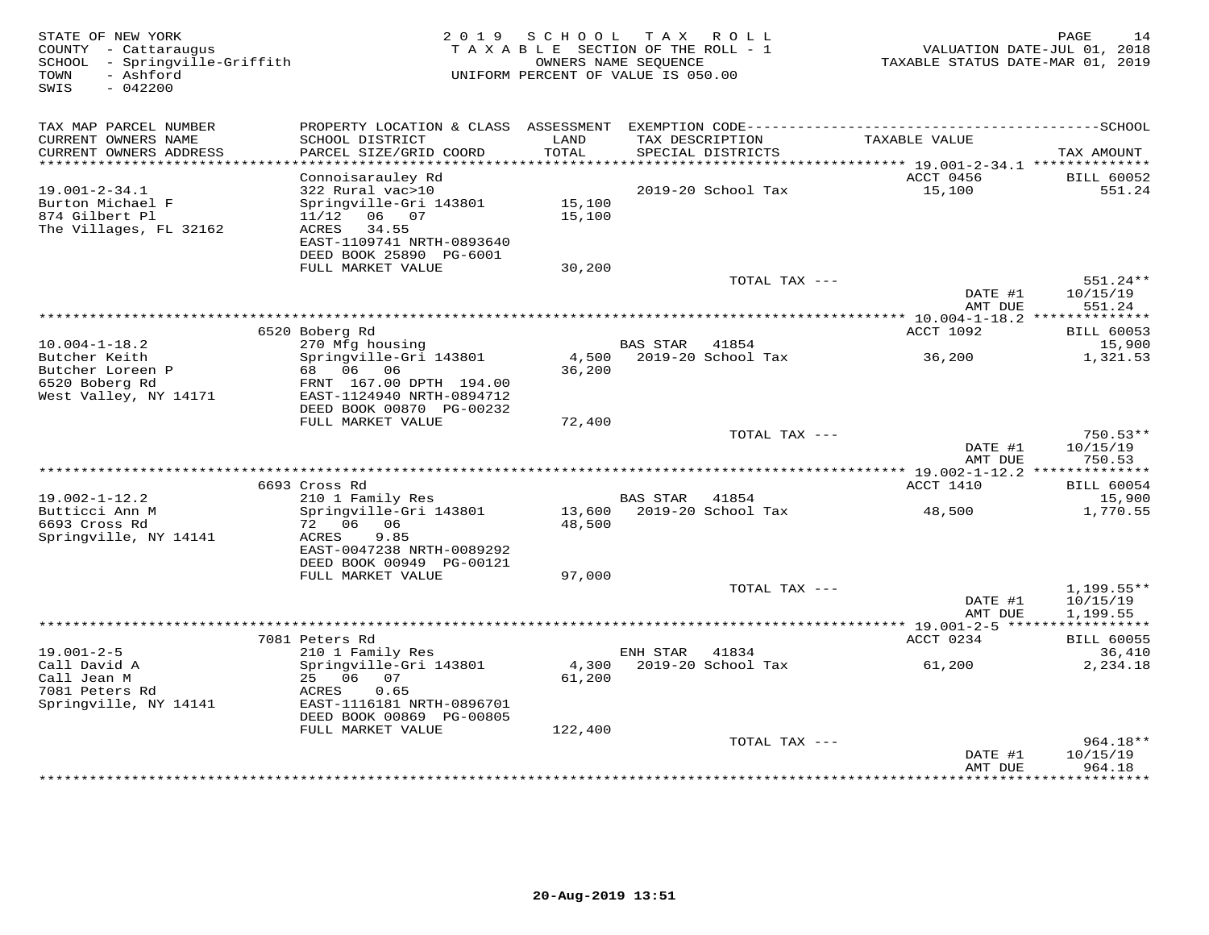| STATE OF NEW YORK<br>COUNTY - Cattaraugus<br>- Springville-Griffith<br>SCHOOL<br>- Ashford<br>TOWN<br>SWIS<br>$-042200$ |                                           | 2019 SCHOOL<br>TAXABLE SECTION OF THE ROLL - 1<br>UNIFORM PERCENT OF VALUE IS 050.00 | T A X<br>OWNERS NAME SEQUENCE | ROLL               | VALUATION DATE-JUL 01, 2018<br>TAXABLE STATUS DATE-MAR 01, 2019 | PAGE<br>14                  |
|-------------------------------------------------------------------------------------------------------------------------|-------------------------------------------|--------------------------------------------------------------------------------------|-------------------------------|--------------------|-----------------------------------------------------------------|-----------------------------|
| TAX MAP PARCEL NUMBER                                                                                                   |                                           |                                                                                      |                               |                    |                                                                 |                             |
| CURRENT OWNERS NAME<br>CURRENT OWNERS ADDRESS                                                                           | SCHOOL DISTRICT<br>PARCEL SIZE/GRID COORD | LAND<br>TOTAL                                                                        | TAX DESCRIPTION               | SPECIAL DISTRICTS  | TAXABLE VALUE                                                   | TAX AMOUNT                  |
| *************************                                                                                               |                                           |                                                                                      |                               |                    |                                                                 |                             |
| $19.001 - 2 - 34.1$                                                                                                     | Connoisarauley Rd<br>322 Rural vac>10     |                                                                                      |                               | 2019-20 School Tax | ACCT 0456<br>15,100                                             | <b>BILL 60052</b><br>551.24 |
| Burton Michael F                                                                                                        | Springville-Gri 143801                    | 15,100                                                                               |                               |                    |                                                                 |                             |
| 874 Gilbert Pl                                                                                                          | 11/12<br>06 07                            | 15,100                                                                               |                               |                    |                                                                 |                             |
| The Villages, FL 32162                                                                                                  | ACRES<br>34.55                            |                                                                                      |                               |                    |                                                                 |                             |
|                                                                                                                         | EAST-1109741 NRTH-0893640                 |                                                                                      |                               |                    |                                                                 |                             |
|                                                                                                                         | DEED BOOK 25890 PG-6001                   |                                                                                      |                               |                    |                                                                 |                             |
|                                                                                                                         | FULL MARKET VALUE                         | 30,200                                                                               |                               | TOTAL TAX ---      |                                                                 | 551.24**                    |
|                                                                                                                         |                                           |                                                                                      |                               |                    | DATE #1                                                         | 10/15/19                    |
|                                                                                                                         |                                           |                                                                                      |                               |                    | AMT DUE                                                         | 551.24                      |
|                                                                                                                         |                                           |                                                                                      |                               |                    |                                                                 |                             |
|                                                                                                                         | 6520 Boberg Rd                            |                                                                                      |                               |                    | <b>ACCT 1092</b>                                                | <b>BILL 60053</b>           |
| $10.004 - 1 - 18.2$                                                                                                     | 270 Mfg housing                           |                                                                                      | <b>BAS STAR</b>               | 41854              |                                                                 | 15,900                      |
| Butcher Keith<br>Butcher Loreen P                                                                                       | Springville-Gri 143801<br>68 06 06        | 4,500<br>36,200                                                                      |                               | 2019-20 School Tax | 36,200                                                          | 1,321.53                    |
| 6520 Boberg Rd                                                                                                          | FRNT 167.00 DPTH 194.00                   |                                                                                      |                               |                    |                                                                 |                             |
| West Valley, NY 14171                                                                                                   | EAST-1124940 NRTH-0894712                 |                                                                                      |                               |                    |                                                                 |                             |
|                                                                                                                         | DEED BOOK 00870 PG-00232                  |                                                                                      |                               |                    |                                                                 |                             |
|                                                                                                                         | FULL MARKET VALUE                         | 72,400                                                                               |                               |                    |                                                                 |                             |
|                                                                                                                         |                                           |                                                                                      |                               | TOTAL TAX ---      | DATE #1                                                         | $750.53**$<br>10/15/19      |
|                                                                                                                         |                                           |                                                                                      |                               |                    | AMT DUE                                                         | 750.53                      |
|                                                                                                                         |                                           |                                                                                      |                               |                    |                                                                 | **************              |
|                                                                                                                         | 6693 Cross Rd                             |                                                                                      |                               |                    | ACCT 1410                                                       | <b>BILL 60054</b>           |
| $19.002 - 1 - 12.2$                                                                                                     | 210 1 Family Res                          |                                                                                      | BAS STAR 41854                |                    |                                                                 | 15,900                      |
| Butticci Ann M<br>6693 Cross Rd                                                                                         | Springville-Gri 143801<br>72 06 06        | 13,600<br>48,500                                                                     |                               | 2019-20 School Tax | 48,500                                                          | 1,770.55                    |
| Springville, NY 14141                                                                                                   | ACRES<br>9.85                             |                                                                                      |                               |                    |                                                                 |                             |
|                                                                                                                         | EAST-0047238 NRTH-0089292                 |                                                                                      |                               |                    |                                                                 |                             |
|                                                                                                                         | DEED BOOK 00949 PG-00121                  |                                                                                      |                               |                    |                                                                 |                             |
|                                                                                                                         | FULL MARKET VALUE                         | 97,000                                                                               |                               |                    |                                                                 |                             |
|                                                                                                                         |                                           |                                                                                      |                               | TOTAL TAX ---      |                                                                 | $1,199.55**$                |
|                                                                                                                         |                                           |                                                                                      |                               |                    | DATE #1<br>AMT DUE                                              | 10/15/19<br>1,199.55        |
|                                                                                                                         |                                           |                                                                                      |                               |                    |                                                                 | * * * * * * * * * * *       |
|                                                                                                                         | 7081 Peters Rd                            |                                                                                      |                               |                    | ACCT 0234                                                       | <b>BILL 60055</b>           |
| $19.001 - 2 - 5$                                                                                                        | 210 1 Family Res                          |                                                                                      | ENH STAR                      | 41834              |                                                                 | 36,410                      |
| Call David A                                                                                                            | Springville-Gri 143801                    | 4,300                                                                                |                               | 2019-20 School Tax | 61,200                                                          | 2,234.18                    |
| Call Jean M<br>7081 Peters Rd                                                                                           | 25 06<br>07<br>0.65<br>ACRES              | 61,200                                                                               |                               |                    |                                                                 |                             |
| Springville, NY 14141                                                                                                   | EAST-1116181 NRTH-0896701                 |                                                                                      |                               |                    |                                                                 |                             |
|                                                                                                                         | DEED BOOK 00869 PG-00805                  |                                                                                      |                               |                    |                                                                 |                             |
|                                                                                                                         | FULL MARKET VALUE                         | 122,400                                                                              |                               |                    |                                                                 |                             |
|                                                                                                                         |                                           |                                                                                      |                               | TOTAL TAX ---      |                                                                 | $964.18**$                  |
|                                                                                                                         |                                           |                                                                                      |                               |                    | DATE #1                                                         | 10/15/19                    |
|                                                                                                                         |                                           |                                                                                      |                               |                    | AMT DUE                                                         | 964.18<br><b>+++++++++</b>  |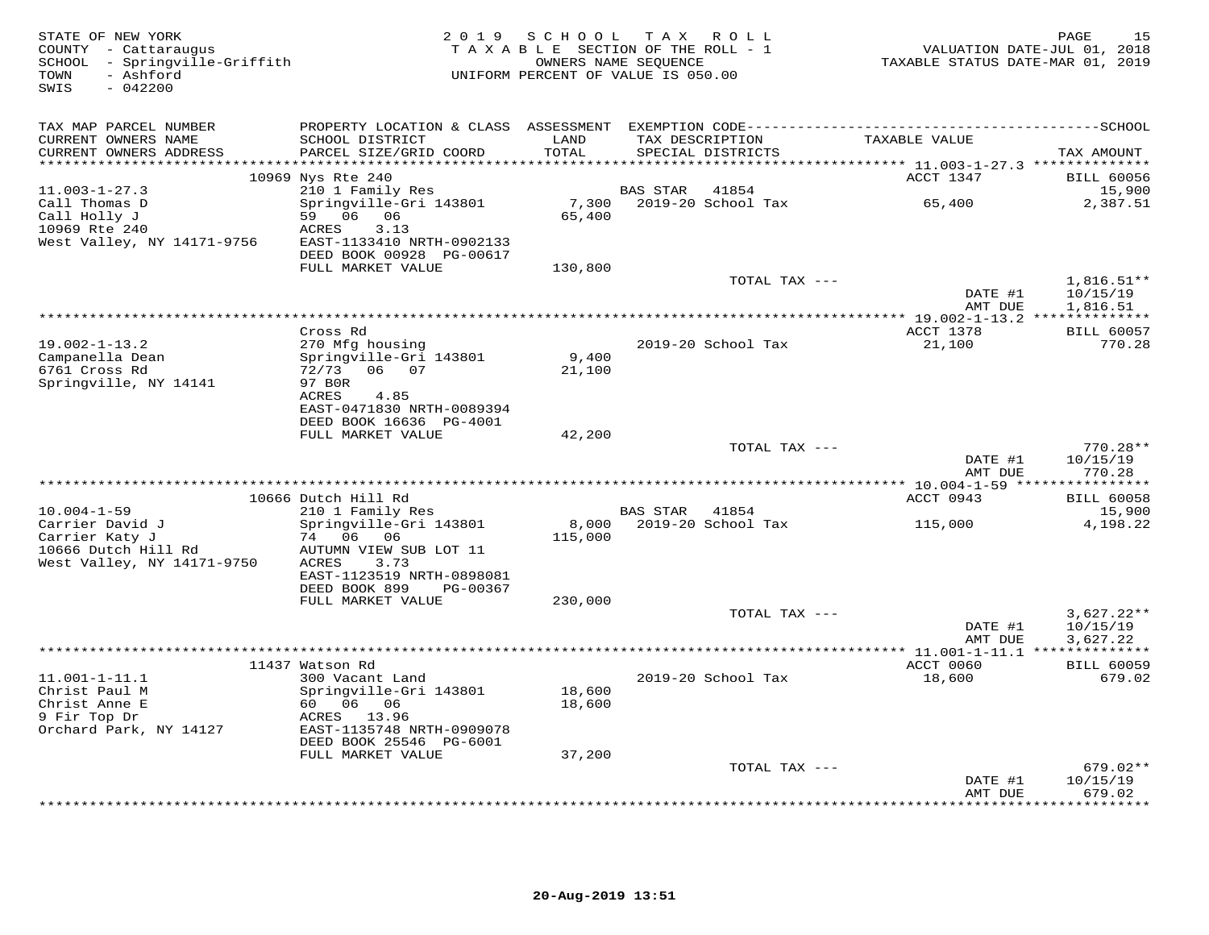| STATE OF NEW YORK<br>COUNTY - Cattaraugus<br>SCHOOL - Springville-Griffith<br>- Ashford<br>TOWN<br>SWIS<br>$-042200$ | 2 0 1 9                                                                                                                      | SCHOOL           | T A X<br>R O L L<br>TAXABLE SECTION OF THE ROLL - 1<br>OWNERS NAME SEQUENCE<br>UNIFORM PERCENT OF VALUE IS 050.00                    | VALUATION DATE-JUL 01, 2018<br>TAXABLE STATUS DATE-MAR 01, 2019 | 15<br>PAGE                           |
|----------------------------------------------------------------------------------------------------------------------|------------------------------------------------------------------------------------------------------------------------------|------------------|--------------------------------------------------------------------------------------------------------------------------------------|-----------------------------------------------------------------|--------------------------------------|
| TAX MAP PARCEL NUMBER<br>CURRENT OWNERS NAME<br>CURRENT OWNERS ADDRESS                                               | SCHOOL DISTRICT<br>PARCEL SIZE/GRID COORD                                                                                    | LAND<br>TOTAL    | PROPERTY LOCATION & CLASS ASSESSMENT EXEMPTION CODE-----------------------------------SCHOOL<br>TAX DESCRIPTION<br>SPECIAL DISTRICTS | TAXABLE VALUE                                                   | TAX AMOUNT                           |
|                                                                                                                      | 10969 Nys Rte 240                                                                                                            |                  |                                                                                                                                      | ACCT 1347                                                       | <b>BILL 60056</b>                    |
| $11.003 - 1 - 27.3$<br>Call Thomas D<br>Call Holly J<br>10969 Rte 240<br>West Valley, NY 14171-9756                  | 210 1 Family Res<br>Springville-Gri 143801<br>59 06 06<br>3.13<br>ACRES<br>EAST-1133410 NRTH-0902133                         | 7,300<br>65,400  | <b>BAS STAR</b><br>41854<br>2019-20 School Tax                                                                                       | 65,400                                                          | 15,900<br>2,387.51                   |
|                                                                                                                      | DEED BOOK 00928 PG-00617<br>FULL MARKET VALUE                                                                                | 130,800          |                                                                                                                                      |                                                                 |                                      |
|                                                                                                                      |                                                                                                                              |                  | TOTAL TAX ---                                                                                                                        |                                                                 | $1,816.51**$                         |
|                                                                                                                      |                                                                                                                              |                  |                                                                                                                                      | DATE #1<br>AMT DUE                                              | 10/15/19<br>1,816.51                 |
|                                                                                                                      |                                                                                                                              |                  |                                                                                                                                      |                                                                 |                                      |
| $19.002 - 1 - 13.2$<br>Campanella Dean<br>6761 Cross Rd<br>Springville, NY 14141                                     | Cross Rd<br>270 Mfg housing<br>Springville-Gri 143801<br>06 07<br>72/73<br>97 BOR                                            | 9,400<br>21,100  | 2019-20 School Tax                                                                                                                   | ACCT 1378<br>21,100                                             | <b>BILL 60057</b><br>770.28          |
|                                                                                                                      | ACRES<br>4.85<br>EAST-0471830 NRTH-0089394<br>DEED BOOK 16636 PG-4001<br>FULL MARKET VALUE                                   | 42,200           |                                                                                                                                      |                                                                 |                                      |
|                                                                                                                      |                                                                                                                              |                  | TOTAL TAX ---                                                                                                                        | DATE #1                                                         | $770.28**$<br>10/15/19               |
|                                                                                                                      |                                                                                                                              |                  |                                                                                                                                      | AMT DUE                                                         | 770.28                               |
|                                                                                                                      | 10666 Dutch Hill Rd                                                                                                          |                  |                                                                                                                                      | ACCT 0943                                                       | <b>BILL 60058</b>                    |
| $10.004 - 1 - 59$                                                                                                    | 210 1 Family Res                                                                                                             |                  | <b>BAS STAR</b><br>41854                                                                                                             |                                                                 | 15,900                               |
| Carrier David J<br>Carrier Katy J<br>10666 Dutch Hill Rd<br>West Valley, NY 14171-9750                               | Springville-Gri 143801<br>74 06 06<br>AUTUMN VIEW SUB LOT 11<br>ACRES<br>3.73<br>EAST-1123519 NRTH-0898081                   | 8,000<br>115,000 | 2019-20 School Tax                                                                                                                   | 115,000                                                         | 4,198.22                             |
|                                                                                                                      | DEED BOOK 899<br>PG-00367<br>FULL MARKET VALUE                                                                               | 230,000          |                                                                                                                                      |                                                                 |                                      |
|                                                                                                                      |                                                                                                                              |                  | TOTAL TAX ---                                                                                                                        | DATE #1<br>AMT DUE                                              | $3.627.22**$<br>10/15/19<br>3,627.22 |
|                                                                                                                      | 11437 Watson Rd                                                                                                              |                  |                                                                                                                                      | ACCT 0060                                                       | <b>BILL 60059</b>                    |
| $11.001 - 1 - 11.1$<br>Christ Paul M<br>Christ Anne E<br>9 Fir Top Dr<br>Orchard Park, NY 14127                      | 300 Vacant Land<br>Springville-Gri 143801<br>60 06 06<br>ACRES 13.96<br>EAST-1135748 NRTH-0909078<br>DEED BOOK 25546 PG-6001 | 18,600<br>18,600 | 2019-20 School Tax                                                                                                                   | 18,600                                                          | 679.02                               |
|                                                                                                                      | FULL MARKET VALUE                                                                                                            | 37,200           |                                                                                                                                      |                                                                 |                                      |
|                                                                                                                      |                                                                                                                              |                  | TOTAL TAX ---                                                                                                                        | DATE #1<br>AMT DUE                                              | $679.02**$<br>10/15/19<br>679.02     |
|                                                                                                                      |                                                                                                                              |                  |                                                                                                                                      |                                                                 | .                                    |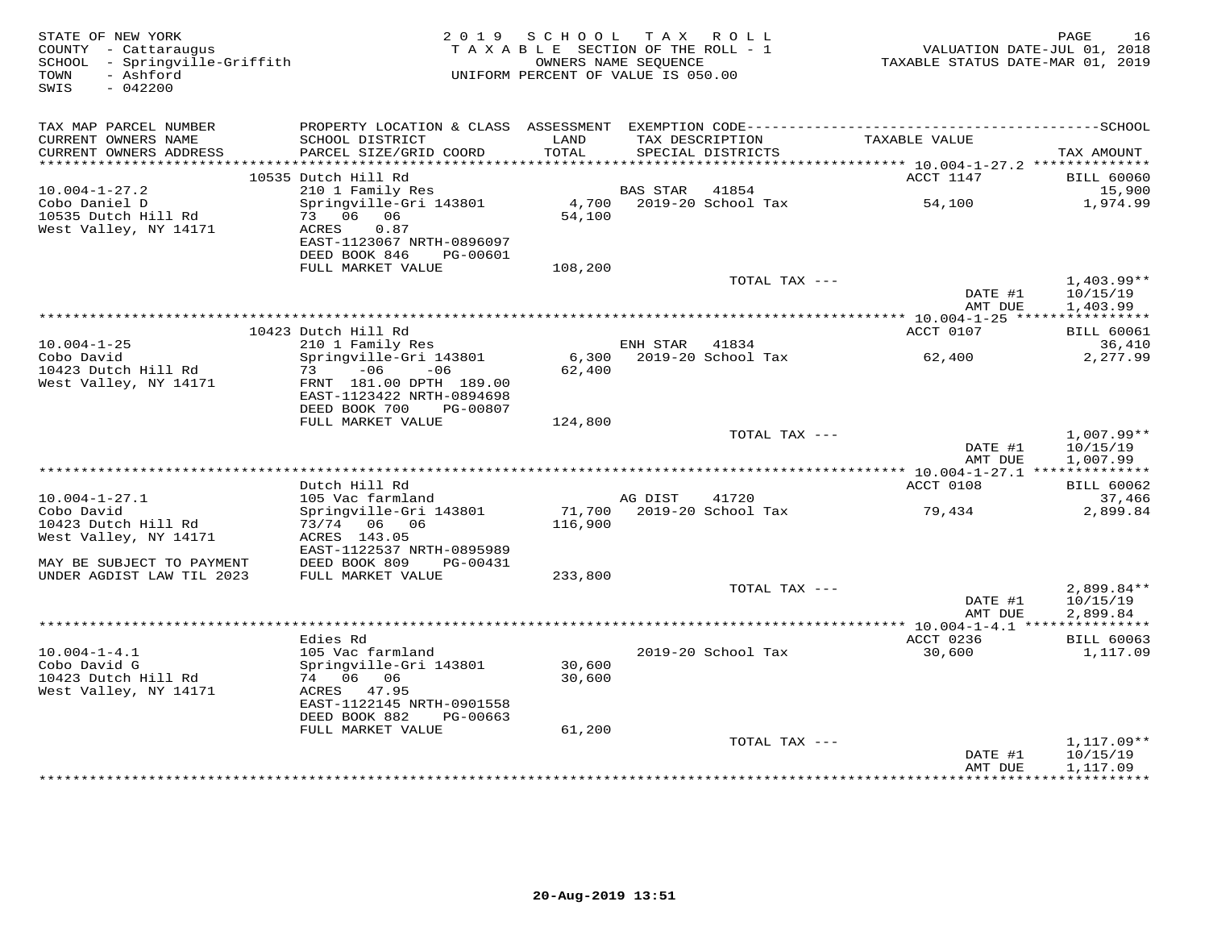| STATE OF NEW YORK<br>COUNTY - Cattaraugus<br>SCHOOL - Springville-Griffith<br>TOWN<br>- Ashford |                                                        | 2019 SCHOOL<br>TAXABLE SECTION OF THE ROLL - 1<br>OWNERS NAME SEQUENCE<br>UNIFORM PERCENT OF VALUE IS 050.00 |          | TAX ROLL                             | TAXABLE STATUS DATE-MAR 01, 2019                         | PAGE<br>16<br>VALUATION DATE-JUL 01, 2018 |
|-------------------------------------------------------------------------------------------------|--------------------------------------------------------|--------------------------------------------------------------------------------------------------------------|----------|--------------------------------------|----------------------------------------------------------|-------------------------------------------|
| SWIS<br>$-042200$                                                                               |                                                        |                                                                                                              |          |                                      |                                                          |                                           |
| TAX MAP PARCEL NUMBER                                                                           |                                                        |                                                                                                              |          |                                      |                                                          |                                           |
| CURRENT OWNERS NAME<br>CURRENT OWNERS ADDRESS                                                   | SCHOOL DISTRICT<br>PARCEL SIZE/GRID COORD              | LAND<br>TOTAL                                                                                                |          | TAX DESCRIPTION<br>SPECIAL DISTRICTS | TAXABLE VALUE                                            | TAX AMOUNT                                |
| ************************                                                                        | 10535 Dutch Hill Rd                                    |                                                                                                              |          |                                      | ACCT 1147                                                | <b>BILL 60060</b>                         |
| $10.004 - 1 - 27.2$                                                                             | 210 1 Family Res                                       |                                                                                                              | BAS STAR | 41854                                |                                                          | 15,900                                    |
| Cobo Daniel D                                                                                   | Springville-Gri 143801                                 | 4,700                                                                                                        |          | 2019-20 School Tax                   | 54,100                                                   | 1,974.99                                  |
| 10535 Dutch Hill Rd                                                                             | 73 06 06                                               | 54,100                                                                                                       |          |                                      |                                                          |                                           |
| West Valley, NY 14171                                                                           | ACRES<br>0.87                                          |                                                                                                              |          |                                      |                                                          |                                           |
|                                                                                                 | EAST-1123067 NRTH-0896097<br>DEED BOOK 846<br>PG-00601 |                                                                                                              |          |                                      |                                                          |                                           |
|                                                                                                 | FULL MARKET VALUE                                      | 108,200                                                                                                      |          |                                      |                                                          |                                           |
|                                                                                                 |                                                        |                                                                                                              |          | TOTAL TAX ---                        |                                                          | $1,403.99**$                              |
|                                                                                                 |                                                        |                                                                                                              |          |                                      | DATE #1                                                  | 10/15/19                                  |
|                                                                                                 |                                                        |                                                                                                              |          |                                      | AMT DUE<br>************** 10.004-1-25 *****************  | 1,403.99                                  |
|                                                                                                 | 10423 Dutch Hill Rd                                    |                                                                                                              |          |                                      | ACCT 0107                                                | <b>BILL 60061</b>                         |
| $10.004 - 1 - 25$                                                                               | 210 1 Family Res                                       |                                                                                                              | ENH STAR | 41834                                |                                                          | 36,410                                    |
| Cobo David                                                                                      | Springville-Gri 143801                                 | 6,300                                                                                                        |          | 2019-20 School Tax                   | 62,400                                                   | 2,277.99                                  |
| 10423 Dutch Hill Rd                                                                             | 73 – 06<br>$-06$                                       | 62,400                                                                                                       |          |                                      |                                                          |                                           |
| West Valley, NY 14171                                                                           | FRNT 181.00 DPTH 189.00<br>EAST-1123422 NRTH-0894698   |                                                                                                              |          |                                      |                                                          |                                           |
|                                                                                                 | DEED BOOK 700<br>PG-00807                              |                                                                                                              |          |                                      |                                                          |                                           |
|                                                                                                 | FULL MARKET VALUE                                      | 124,800                                                                                                      |          |                                      |                                                          |                                           |
|                                                                                                 |                                                        |                                                                                                              |          | TOTAL TAX ---                        |                                                          | $1,007.99**$                              |
|                                                                                                 |                                                        |                                                                                                              |          |                                      | DATE #1                                                  | 10/15/19                                  |
|                                                                                                 |                                                        |                                                                                                              |          |                                      | AMT DUE                                                  | 1,007.99                                  |
|                                                                                                 | Dutch Hill Rd                                          |                                                                                                              |          |                                      | ACCT 0108                                                | <b>BILL 60062</b>                         |
| $10.004 - 1 - 27.1$                                                                             | 105 Vac farmland                                       |                                                                                                              | AG DIST  | 41720                                |                                                          | 37,466                                    |
| Cobo David                                                                                      | Springville-Gri 143801                                 |                                                                                                              |          | 71,700 2019-20 School Tax            | 79,434                                                   | 2,899.84                                  |
| 10423 Dutch Hill Rd                                                                             | 73/74 06 06                                            | 116,900                                                                                                      |          |                                      |                                                          |                                           |
| West Valley, NY 14171                                                                           | ACRES 143.05<br>EAST-1122537 NRTH-0895989              |                                                                                                              |          |                                      |                                                          |                                           |
| MAY BE SUBJECT TO PAYMENT                                                                       | DEED BOOK 809<br>PG-00431                              |                                                                                                              |          |                                      |                                                          |                                           |
| UNDER AGDIST LAW TIL 2023                                                                       | FULL MARKET VALUE                                      | 233,800                                                                                                      |          |                                      |                                                          |                                           |
|                                                                                                 |                                                        |                                                                                                              |          | TOTAL TAX ---                        |                                                          | $2,899.84**$                              |
|                                                                                                 |                                                        |                                                                                                              |          |                                      | DATE #1                                                  | 10/15/19                                  |
|                                                                                                 |                                                        |                                                                                                              |          |                                      | AMT DUE<br>*************** 10.004-1-4.1 **************** | 2,899.84                                  |
|                                                                                                 | Edies Rd                                               |                                                                                                              |          |                                      | ACCT 0236                                                | <b>BILL 60063</b>                         |
| $10.004 - 1 - 4.1$                                                                              | 105 Vac farmland                                       |                                                                                                              |          | 2019-20 School Tax                   | 30,600                                                   | 1,117.09                                  |
| Cobo David G                                                                                    | Springville-Gri 143801                                 | 30,600                                                                                                       |          |                                      |                                                          |                                           |
| 10423 Dutch Hill Rd                                                                             | 74 06 06                                               | 30,600                                                                                                       |          |                                      |                                                          |                                           |
| West Valley, NY 14171                                                                           | ACRES 47.95<br>EAST-1122145 NRTH-0901558               |                                                                                                              |          |                                      |                                                          |                                           |
|                                                                                                 | DEED BOOK 882<br>PG-00663                              |                                                                                                              |          |                                      |                                                          |                                           |
|                                                                                                 | FULL MARKET VALUE                                      | 61,200                                                                                                       |          |                                      |                                                          |                                           |
|                                                                                                 |                                                        |                                                                                                              |          | TOTAL TAX ---                        |                                                          | $1,117.09**$                              |
|                                                                                                 |                                                        |                                                                                                              |          |                                      | DATE #1                                                  | 10/15/19                                  |
|                                                                                                 |                                                        |                                                                                                              |          |                                      | AMT DUE                                                  | 1,117.09<br><b>++++++++++</b>             |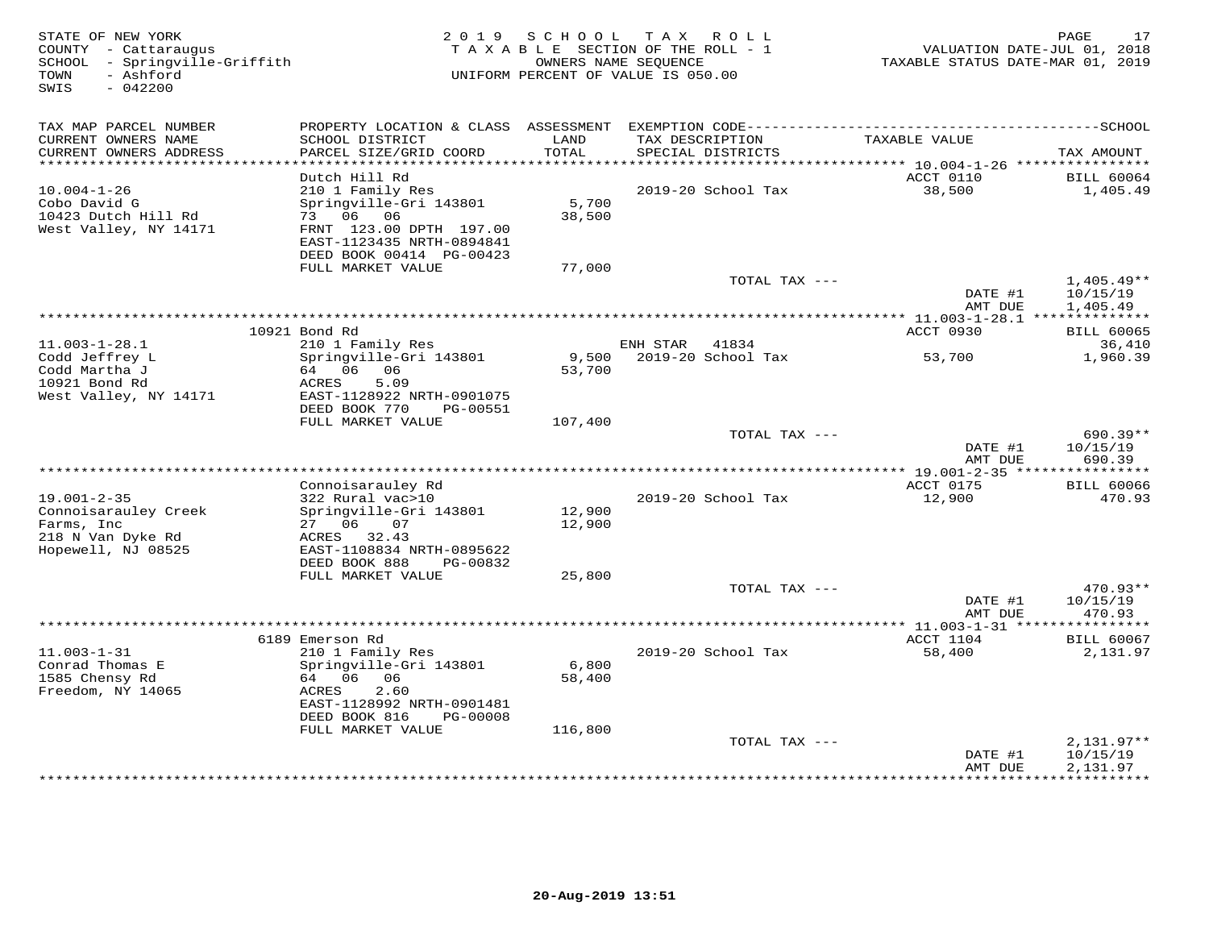| STATE OF NEW YORK<br>COUNTY - Cattaraugus<br>SCHOOL - Springville-Griffith<br>- Ashford<br>TOWN<br>$-042200$<br>SWIS | 2 0 1 9                                              | SCHOOL           | T A X<br>R O L L<br>TAXABLE SECTION OF THE ROLL - 1<br>OWNERS NAME SEQUENCE<br>UNIFORM PERCENT OF VALUE IS 050.00 | VALUATION DATE-JUL 01, 2018<br>TAXABLE STATUS DATE-MAR 01, 2019 | PAGE<br>17             |
|----------------------------------------------------------------------------------------------------------------------|------------------------------------------------------|------------------|-------------------------------------------------------------------------------------------------------------------|-----------------------------------------------------------------|------------------------|
| TAX MAP PARCEL NUMBER                                                                                                |                                                      |                  |                                                                                                                   |                                                                 |                        |
| CURRENT OWNERS NAME<br>CURRENT OWNERS ADDRESS                                                                        | SCHOOL DISTRICT<br>PARCEL SIZE/GRID COORD            | LAND<br>TOTAL    | TAX DESCRIPTION<br>SPECIAL DISTRICTS                                                                              | TAXABLE VALUE                                                   | TAX AMOUNT             |
|                                                                                                                      | Dutch Hill Rd                                        |                  |                                                                                                                   | ACCT 0110                                                       | <b>BILL 60064</b>      |
| $10.004 - 1 - 26$                                                                                                    | 210 1 Family Res                                     |                  | 2019-20 School Tax                                                                                                | 38,500                                                          | 1,405.49               |
| Cobo David G                                                                                                         | Springville-Gri 143801                               | 5,700            |                                                                                                                   |                                                                 |                        |
| 10423 Dutch Hill Rd                                                                                                  | 73 06<br>06                                          | 38,500           |                                                                                                                   |                                                                 |                        |
| West Valley, NY 14171                                                                                                | FRNT 123.00 DPTH 197.00<br>EAST-1123435 NRTH-0894841 |                  |                                                                                                                   |                                                                 |                        |
|                                                                                                                      | DEED BOOK 00414 PG-00423                             |                  |                                                                                                                   |                                                                 |                        |
|                                                                                                                      | FULL MARKET VALUE                                    | 77,000           |                                                                                                                   |                                                                 |                        |
|                                                                                                                      |                                                      |                  | TOTAL TAX ---                                                                                                     |                                                                 | $1,405.49**$           |
|                                                                                                                      |                                                      |                  |                                                                                                                   | DATE #1                                                         | 10/15/19               |
|                                                                                                                      |                                                      |                  |                                                                                                                   | AMT DUE                                                         | 1,405.49               |
|                                                                                                                      | 10921 Bond Rd                                        |                  |                                                                                                                   | ACCT 0930                                                       | <b>BILL 60065</b>      |
| $11.003 - 1 - 28.1$                                                                                                  | 210 1 Family Res                                     |                  | ENH STAR<br>41834                                                                                                 |                                                                 | 36,410                 |
| Codd Jeffrey L                                                                                                       | Springville-Gri 143801                               | 9,500            | 2019-20 School Tax                                                                                                | 53,700                                                          | 1,960.39               |
| Codd Martha J<br>10921 Bond Rd                                                                                       | 64 06<br>06<br>ACRES<br>5.09                         | 53,700           |                                                                                                                   |                                                                 |                        |
| West Valley, NY 14171                                                                                                | EAST-1128922 NRTH-0901075                            |                  |                                                                                                                   |                                                                 |                        |
|                                                                                                                      | DEED BOOK 770<br>PG-00551                            |                  |                                                                                                                   |                                                                 |                        |
|                                                                                                                      | FULL MARKET VALUE                                    | 107,400          |                                                                                                                   |                                                                 |                        |
|                                                                                                                      |                                                      |                  | TOTAL TAX ---                                                                                                     | DATE #1                                                         | $690.39**$<br>10/15/19 |
|                                                                                                                      |                                                      |                  |                                                                                                                   | AMT DUE                                                         | 690.39                 |
|                                                                                                                      |                                                      |                  | ***************************                                                                                       | * 19.001-2-35 *****************                                 |                        |
|                                                                                                                      | Connoisarauley Rd                                    |                  |                                                                                                                   | ACCT 0175                                                       | <b>BILL 60066</b>      |
| $19.001 - 2 - 35$                                                                                                    | 322 Rural vac>10                                     |                  | 2019-20 School Tax                                                                                                | 12,900                                                          | 470.93                 |
| Connoisarauley Creek<br>Farms, Inc                                                                                   | Springville-Gri 143801<br>27<br>06<br>07             | 12,900<br>12,900 |                                                                                                                   |                                                                 |                        |
| 218 N Van Dyke Rd                                                                                                    | ACRES 32.43                                          |                  |                                                                                                                   |                                                                 |                        |
| Hopewell, NJ 08525                                                                                                   | EAST-1108834 NRTH-0895622                            |                  |                                                                                                                   |                                                                 |                        |
|                                                                                                                      | DEED BOOK 888<br>PG-00832                            |                  |                                                                                                                   |                                                                 |                        |
|                                                                                                                      | FULL MARKET VALUE                                    | 25,800           | TOTAL TAX ---                                                                                                     |                                                                 | 470.93**               |
|                                                                                                                      |                                                      |                  |                                                                                                                   | DATE #1                                                         | 10/15/19               |
|                                                                                                                      |                                                      |                  |                                                                                                                   | AMT DUE                                                         | 470.93                 |
|                                                                                                                      |                                                      |                  |                                                                                                                   | ************ 11.003-1-31 ****                                   | *********              |
|                                                                                                                      | 6189 Emerson Rd                                      |                  |                                                                                                                   | ACCT 1104                                                       | <b>BILL 60067</b>      |
| $11.003 - 1 - 31$<br>Conrad Thomas E                                                                                 | 210 1 Family Res<br>Springville-Gri 143801           | 6,800            | 2019-20 School Tax                                                                                                | 58,400                                                          | 2,131.97               |
| 1585 Chensy Rd                                                                                                       | 64 06<br>- 06                                        | 58,400           |                                                                                                                   |                                                                 |                        |
| Freedom, NY 14065                                                                                                    | ACRES<br>2.60                                        |                  |                                                                                                                   |                                                                 |                        |
|                                                                                                                      | EAST-1128992 NRTH-0901481                            |                  |                                                                                                                   |                                                                 |                        |
|                                                                                                                      | DEED BOOK 816<br>PG-00008                            |                  |                                                                                                                   |                                                                 |                        |
|                                                                                                                      | FULL MARKET VALUE                                    | 116,800          | TOTAL TAX ---                                                                                                     |                                                                 | $2,131.97**$           |
|                                                                                                                      |                                                      |                  |                                                                                                                   | DATE #1                                                         | 10/15/19               |
|                                                                                                                      |                                                      |                  |                                                                                                                   | AMT DUE                                                         | 2,131.97               |
|                                                                                                                      |                                                      |                  |                                                                                                                   |                                                                 |                        |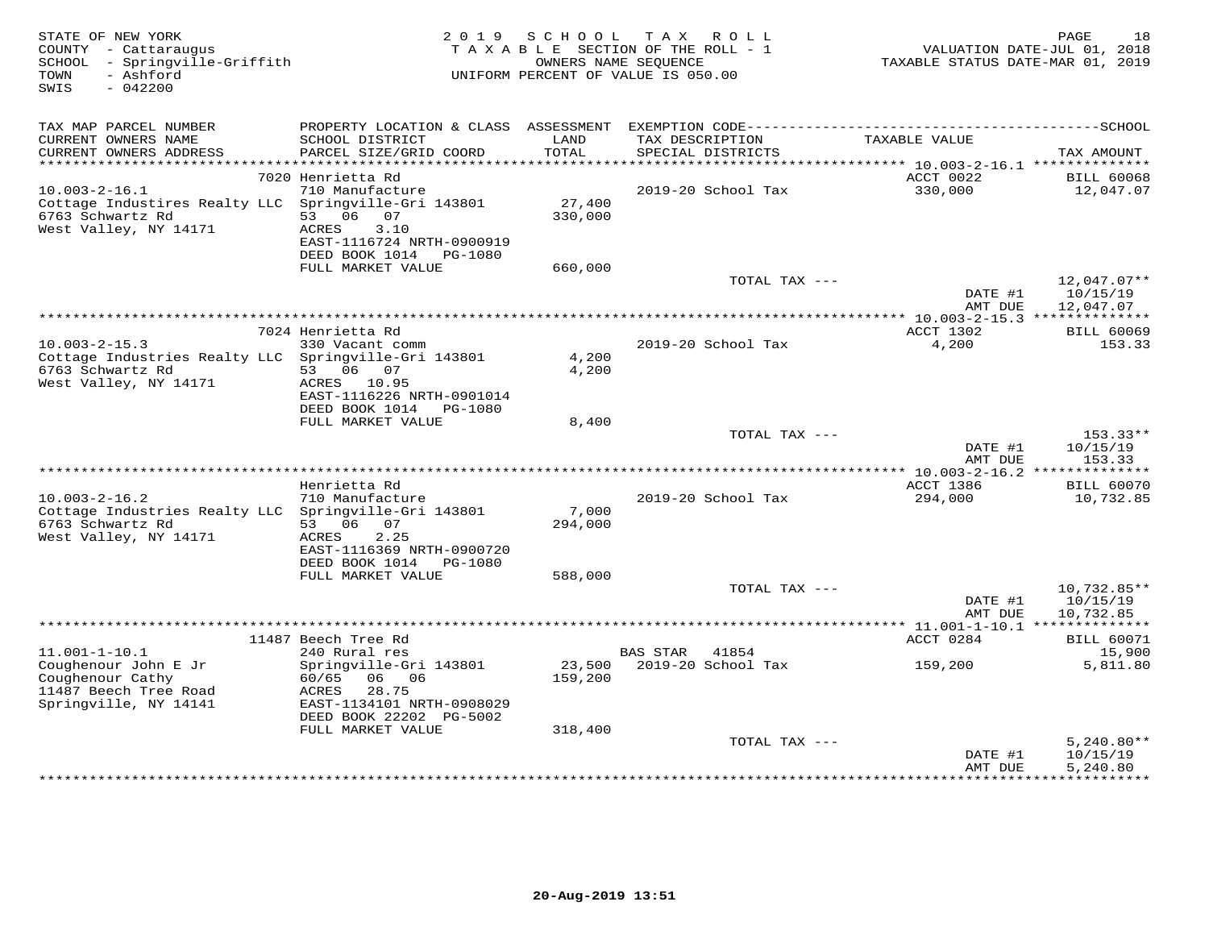| TAX MAP PARCEL NUMBER<br>CURRENT OWNERS NAME<br>SCHOOL DISTRICT<br>LAND                                                                                                                  | TAXABLE VALUE<br>TAX DESCRIPTION                                                                        |
|------------------------------------------------------------------------------------------------------------------------------------------------------------------------------------------|---------------------------------------------------------------------------------------------------------|
| CURRENT OWNERS ADDRESS<br>PARCEL SIZE/GRID COORD<br>TOTAL<br>***********************                                                                                                     | SPECIAL DISTRICTS<br>TAX AMOUNT                                                                         |
| 7020 Henrietta Rd                                                                                                                                                                        | ACCT 0022<br><b>BILL 60068</b>                                                                          |
| 710 Manufacture<br>$10.003 - 2 - 16.1$<br>Cottage Industires Realty LLC Springville-Gri 143801                                                                                           | 330,000<br>2019-20 School Tax<br>12,047.07<br>27,400                                                    |
| 6763 Schwartz Rd<br>53<br>06 07<br>West Valley, NY 14171<br>ACRES<br>3.10<br>EAST-1116724 NRTH-0900919                                                                                   | 330,000                                                                                                 |
| DEED BOOK 1014 PG-1080<br>FULL MARKET VALUE                                                                                                                                              | 660,000                                                                                                 |
|                                                                                                                                                                                          | 12,047.07**<br>TOTAL TAX ---<br>DATE #1<br>10/15/19<br>AMT DUE<br>12,047.07                             |
|                                                                                                                                                                                          |                                                                                                         |
| 7024 Henrietta Rd                                                                                                                                                                        | ACCT 1302<br><b>BILL 60069</b>                                                                          |
| $10.003 - 2 - 15.3$<br>330 Vacant comm<br>Cottage Industries Realty LLC Springville-Gri 143801<br>6763 Schwartz Rd<br>53 06 07                                                           | 2019-20 School Tax<br>4,200<br>153.33<br>4,200<br>4,200                                                 |
| West Valley, NY 14171<br>ACRES 10.95<br>EAST-1116226 NRTH-0901014<br>DEED BOOK 1014<br>PG-1080                                                                                           |                                                                                                         |
| FULL MARKET VALUE                                                                                                                                                                        | 8,400                                                                                                   |
|                                                                                                                                                                                          | TOTAL TAX ---<br>153.33**<br>DATE #1<br>10/15/19<br>AMT DUE<br>153.33                                   |
| Henrietta Rd                                                                                                                                                                             | ACCT 1386<br><b>BILL 60070</b>                                                                          |
| $10.003 - 2 - 16.2$<br>710 Manufacture<br>Cottage Industries Realty LLC<br>Springville-Gri 143801                                                                                        | 2019-20 School Tax<br>294,000<br>10,732.85<br>7,000                                                     |
| 6763 Schwartz Rd<br>53 06<br>07<br>West Valley, NY 14171<br>ACRES<br>2.25<br>EAST-1116369 NRTH-0900720                                                                                   | 294,000                                                                                                 |
| DEED BOOK 1014<br>PG-1080<br>FULL MARKET VALUE                                                                                                                                           | 588,000                                                                                                 |
|                                                                                                                                                                                          | TOTAL TAX ---<br>$10,732.85**$<br>DATE #1<br>10/15/19                                                   |
|                                                                                                                                                                                          | AMT DUE<br>10,732.85<br>*********** 11.001-1-10.1 **************                                        |
| 11487 Beech Tree Rd                                                                                                                                                                      | ACCT 0284<br><b>BILL 60071</b>                                                                          |
| $11.001 - 1 - 10.1$<br>240 Rural res                                                                                                                                                     | <b>BAS STAR</b><br>41854<br>15,900                                                                      |
| Coughenour John E Jr<br>Springville-Gri 143801<br>Coughenour Cathy<br>60/65<br>06<br>06<br>11487 Beech Tree Road<br>ACRES<br>28.75<br>Springville, NY 14141<br>EAST-1134101 NRTH-0908029 | 23,500<br>2019-20 School Tax<br>159,200<br>5,811.80<br>159,200                                          |
| DEED BOOK 22202 PG-5002                                                                                                                                                                  |                                                                                                         |
| FULL MARKET VALUE                                                                                                                                                                        | 318,400                                                                                                 |
|                                                                                                                                                                                          | TOTAL TAX ---<br>$5,240.80**$<br>DATE #1<br>10/15/19<br>5,240.80<br>AMT DUE<br>**********<br>********** |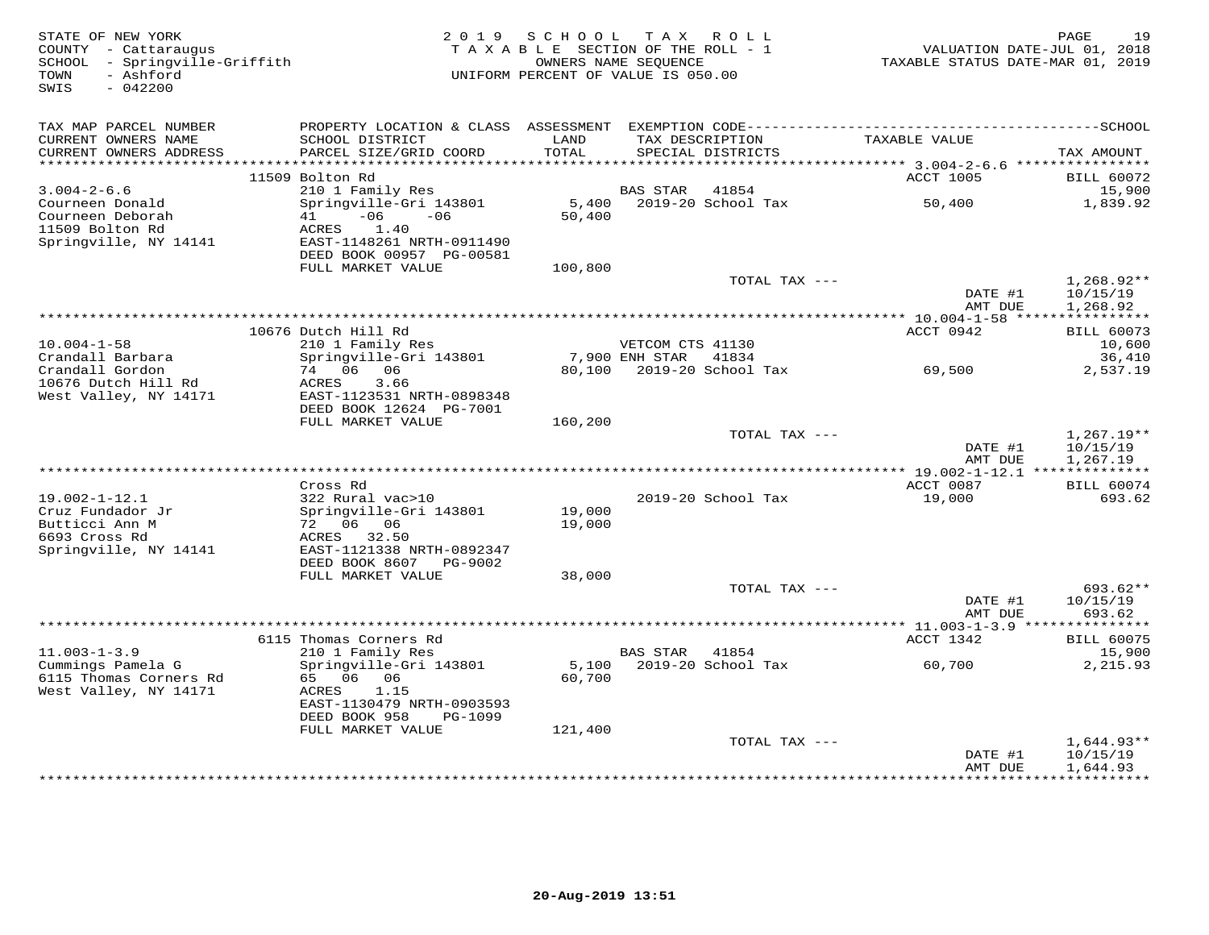| STATE OF NEW YORK<br>COUNTY - Cattaraugus<br>SCHOOL - Springville-Griffith<br>- Ashford |                                                                                                                          | 2019 SCHOOL<br>TAXABLE SECTION OF THE ROLL - 1 | T A X<br>OWNERS NAME SEQUENCE | R O L L                              | TAXABLE STATUS DATE-MAR 01, 2019        | PAGE<br>19<br>VALUATION DATE-JUL 01, 2018 |
|-----------------------------------------------------------------------------------------|--------------------------------------------------------------------------------------------------------------------------|------------------------------------------------|-------------------------------|--------------------------------------|-----------------------------------------|-------------------------------------------|
| TOWN<br>SWIS<br>$-042200$                                                               |                                                                                                                          | UNIFORM PERCENT OF VALUE IS 050.00             |                               |                                      |                                         |                                           |
| TAX MAP PARCEL NUMBER                                                                   |                                                                                                                          |                                                |                               |                                      |                                         |                                           |
| CURRENT OWNERS NAME<br>CURRENT OWNERS ADDRESS<br>***********************                | SCHOOL DISTRICT<br>PARCEL SIZE/GRID COORD                                                                                | LAND<br>TOTAL                                  |                               | TAX DESCRIPTION<br>SPECIAL DISTRICTS | TAXABLE VALUE                           | TAX AMOUNT                                |
|                                                                                         | 11509 Bolton Rd                                                                                                          |                                                |                               |                                      | ACCT 1005                               | <b>BILL 60072</b>                         |
| $3.004 - 2 - 6.6$                                                                       | 210 1 Family Res                                                                                                         |                                                | <b>BAS STAR</b>               | 41854                                |                                         | 15,900                                    |
| Courneen Donald<br>Courneen Deborah<br>11509 Bolton Rd<br>Springville, NY 14141         | Springville-Gri 143801<br>$-06$<br>41<br>$-06$<br>ACRES<br>1.40<br>EAST-1148261 NRTH-0911490<br>DEED BOOK 00957 PG-00581 | 5,400<br>50,400                                |                               | 2019-20 School Tax                   | 50,400                                  | 1,839.92                                  |
|                                                                                         | FULL MARKET VALUE                                                                                                        | 100,800                                        |                               |                                      |                                         |                                           |
|                                                                                         |                                                                                                                          |                                                |                               | TOTAL TAX ---                        | DATE #1<br>AMT DUE                      | 1,268.92**<br>10/15/19<br>1,268.92        |
|                                                                                         |                                                                                                                          |                                                |                               |                                      | *********** 10.004-1-58 ****            | ***********                               |
|                                                                                         | 10676 Dutch Hill Rd                                                                                                      |                                                |                               |                                      | ACCT 0942                               | <b>BILL 60073</b>                         |
| $10.004 - 1 - 58$                                                                       | 210 1 Family Res                                                                                                         |                                                | VETCOM CTS 41130              |                                      |                                         | 10,600                                    |
| Crandall Barbara<br>Crandall Gordon                                                     | Springville-Gri 143801<br>74 06 06                                                                                       |                                                | 7,900 ENH STAR 41834          | 80,100 2019-20 School Tax            | 69,500                                  | 36,410<br>2,537.19                        |
| 10676 Dutch Hill Rd<br>West Valley, NY 14171                                            | 3.66<br>ACRES<br>EAST-1123531 NRTH-0898348<br>DEED BOOK 12624 PG-7001                                                    |                                                |                               |                                      |                                         |                                           |
|                                                                                         | FULL MARKET VALUE                                                                                                        | 160,200                                        |                               |                                      |                                         |                                           |
|                                                                                         |                                                                                                                          |                                                |                               | TOTAL TAX ---                        | DATE #1<br>AMT DUE                      | $1,267.19**$<br>10/15/19<br>1,267.19      |
|                                                                                         |                                                                                                                          |                                                |                               |                                      |                                         |                                           |
| $19.002 - 1 - 12.1$                                                                     | Cross Rd<br>322 Rural vac>10                                                                                             |                                                |                               | 2019-20 School Tax                   | ACCT 0087<br>19,000                     | <b>BILL 60074</b><br>693.62               |
| Cruz Fundador Jr                                                                        | Springville-Gri 143801                                                                                                   | 19,000                                         |                               |                                      |                                         |                                           |
| Butticci Ann M                                                                          | 72 06 06                                                                                                                 | 19,000                                         |                               |                                      |                                         |                                           |
| 6693 Cross Rd<br>Springville, NY 14141                                                  | ACRES 32.50<br>EAST-1121338 NRTH-0892347                                                                                 |                                                |                               |                                      |                                         |                                           |
|                                                                                         | DEED BOOK 8607<br>PG-9002                                                                                                |                                                |                               |                                      |                                         |                                           |
|                                                                                         | FULL MARKET VALUE                                                                                                        | 38,000                                         |                               |                                      |                                         |                                           |
|                                                                                         |                                                                                                                          |                                                |                               | TOTAL TAX ---                        | DATE #1                                 | 693.62**<br>10/15/19                      |
|                                                                                         |                                                                                                                          |                                                |                               |                                      | AMT DUE                                 | 693.62                                    |
|                                                                                         |                                                                                                                          |                                                |                               |                                      | ********** 11.003-1-3.9 *************** |                                           |
|                                                                                         | 6115 Thomas Corners Rd                                                                                                   |                                                |                               |                                      | ACCT 1342                               | <b>BILL 60075</b>                         |
| $11.003 - 1 - 3.9$<br>Cummings Pamela G                                                 | 210 1 Family Res<br>Springville-Gri 143801                                                                               | 5,100                                          | <b>BAS STAR</b>               | 41854<br>2019-20 School Tax          | 60,700                                  | 15,900<br>2,215.93                        |
| 6115 Thomas Corners Rd<br>West Valley, NY 14171                                         | 65 06 06<br>ACRES<br>1.15<br>EAST-1130479 NRTH-0903593                                                                   | 60,700                                         |                               |                                      |                                         |                                           |
|                                                                                         | DEED BOOK 958<br>PG-1099                                                                                                 |                                                |                               |                                      |                                         |                                           |
|                                                                                         | FULL MARKET VALUE                                                                                                        | 121,400                                        |                               |                                      |                                         |                                           |
|                                                                                         |                                                                                                                          |                                                |                               | TOTAL TAX ---                        | DATE #1<br>AMT DUE                      | $1,644.93**$<br>10/15/19<br>1,644.93      |
|                                                                                         |                                                                                                                          |                                                |                               |                                      | **********                              | <b>**********</b>                         |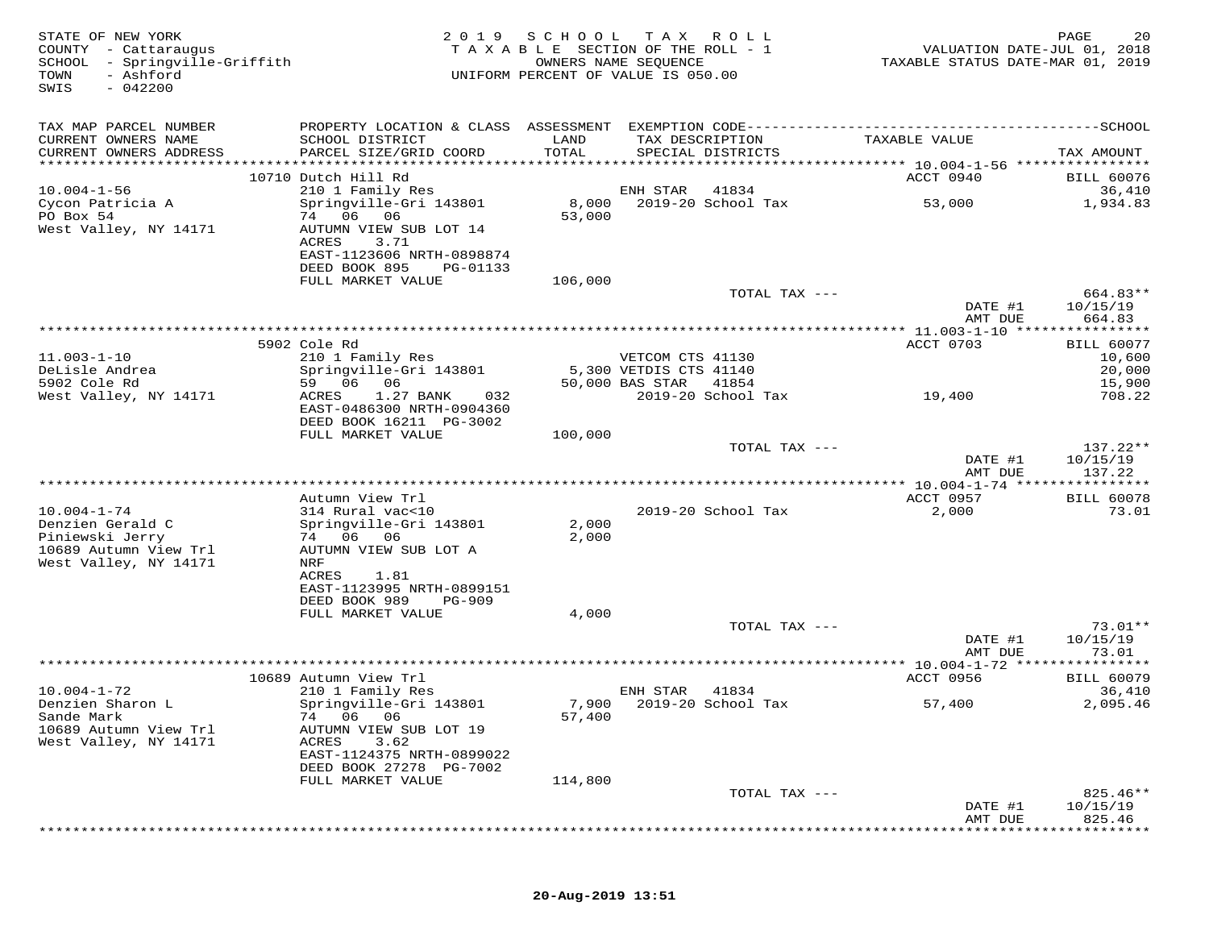| STATE OF NEW YORK<br>COUNTY - Cattaraugus<br>SCHOOL - Springville-Griffith<br>TOWN<br>- Ashford<br>$-042200$<br>SWIS | 2 0 1 9                                                | S C H O O L | T A X<br>ROLL<br>TAXABLE SECTION OF THE ROLL - 1<br>OWNERS NAME SEQUENCE<br>UNIFORM PERCENT OF VALUE IS 050.00 | VALUATION DATE-JUL 01, 2018<br>TAXABLE STATUS DATE-MAR 01, 2019                              | PAGE<br>20                  |
|----------------------------------------------------------------------------------------------------------------------|--------------------------------------------------------|-------------|----------------------------------------------------------------------------------------------------------------|----------------------------------------------------------------------------------------------|-----------------------------|
| TAX MAP PARCEL NUMBER                                                                                                |                                                        |             |                                                                                                                | PROPERTY LOCATION & CLASS ASSESSMENT EXEMPTION CODE-----------------------------------SCHOOL |                             |
| CURRENT OWNERS NAME                                                                                                  | SCHOOL DISTRICT                                        | LAND        | TAX DESCRIPTION                                                                                                | TAXABLE VALUE                                                                                |                             |
| CURRENT OWNERS ADDRESS                                                                                               | PARCEL SIZE/GRID COORD                                 | TOTAL       | SPECIAL DISTRICTS                                                                                              |                                                                                              | TAX AMOUNT                  |
|                                                                                                                      | 10710 Dutch Hill Rd                                    |             |                                                                                                                | ACCT 0940                                                                                    | <b>BILL 60076</b>           |
| $10.004 - 1 - 56$                                                                                                    | 210 1 Family Res                                       |             | ENH STAR<br>41834                                                                                              |                                                                                              | 36,410                      |
| Cycon Patricia A                                                                                                     | Springville-Gri 143801                                 | 8,000       | 2019-20 School Tax                                                                                             | 53,000                                                                                       | 1,934.83                    |
| PO Box 54<br>West Valley, NY 14171                                                                                   | 74 06 06<br>AUTUMN VIEW SUB LOT 14                     | 53,000      |                                                                                                                |                                                                                              |                             |
|                                                                                                                      | ACRES<br>3.71                                          |             |                                                                                                                |                                                                                              |                             |
|                                                                                                                      | EAST-1123606 NRTH-0898874                              |             |                                                                                                                |                                                                                              |                             |
|                                                                                                                      | DEED BOOK 895<br>PG-01133                              |             |                                                                                                                |                                                                                              |                             |
|                                                                                                                      | FULL MARKET VALUE                                      | 106,000     | TOTAL TAX ---                                                                                                  |                                                                                              | 664.83**                    |
|                                                                                                                      |                                                        |             |                                                                                                                | DATE #1                                                                                      | 10/15/19                    |
|                                                                                                                      |                                                        |             |                                                                                                                | AMT DUE                                                                                      | 664.83                      |
|                                                                                                                      | 5902 Cole Rd                                           |             |                                                                                                                | ACCT 0703                                                                                    | <b>BILL 60077</b>           |
| $11.003 - 1 - 10$                                                                                                    | 210 1 Family Res                                       |             | VETCOM CTS 41130                                                                                               |                                                                                              | 10,600                      |
| DeLisle Andrea                                                                                                       | Springville-Gri 143801                                 |             | 5,300 VETDIS CTS 41140                                                                                         |                                                                                              | 20,000                      |
| 5902 Cole Rd                                                                                                         | 59 06<br>06                                            |             | 50,000 BAS STAR<br>41854                                                                                       |                                                                                              | 15,900                      |
| West Valley, NY 14171                                                                                                | 1.27 BANK<br>032<br>ACRES<br>EAST-0486300 NRTH-0904360 |             | 2019-20 School Tax                                                                                             | 19,400                                                                                       | 708.22                      |
|                                                                                                                      | DEED BOOK 16211 PG-3002                                |             |                                                                                                                |                                                                                              |                             |
|                                                                                                                      | FULL MARKET VALUE                                      | 100,000     |                                                                                                                |                                                                                              |                             |
|                                                                                                                      |                                                        |             | TOTAL TAX ---                                                                                                  | DATE #1                                                                                      | 137.22**<br>10/15/19        |
|                                                                                                                      |                                                        |             |                                                                                                                | AMT DUE                                                                                      | 137.22                      |
|                                                                                                                      |                                                        |             |                                                                                                                |                                                                                              |                             |
|                                                                                                                      | Autumn View Trl                                        |             |                                                                                                                | ACCT 0957                                                                                    | <b>BILL 60078</b>           |
| $10.004 - 1 - 74$<br>Denzien Gerald C                                                                                | 314 Rural vac<10<br>Springville-Gri 143801             | 2,000       | 2019-20 School Tax                                                                                             | 2,000                                                                                        | 73.01                       |
| Piniewski Jerry                                                                                                      | 74 06<br>06                                            | 2,000       |                                                                                                                |                                                                                              |                             |
| 10689 Autumn View Trl                                                                                                | AUTUMN VIEW SUB LOT A                                  |             |                                                                                                                |                                                                                              |                             |
| West Valley, NY 14171                                                                                                | NRF<br>ACRES<br>1.81                                   |             |                                                                                                                |                                                                                              |                             |
|                                                                                                                      | EAST-1123995 NRTH-0899151                              |             |                                                                                                                |                                                                                              |                             |
|                                                                                                                      | DEED BOOK 989<br><b>PG-909</b>                         |             |                                                                                                                |                                                                                              |                             |
|                                                                                                                      | FULL MARKET VALUE                                      | 4,000       |                                                                                                                |                                                                                              |                             |
|                                                                                                                      |                                                        |             | TOTAL TAX ---                                                                                                  | DATE #1                                                                                      | $73.01**$<br>10/15/19       |
|                                                                                                                      |                                                        |             |                                                                                                                | AMT DUE                                                                                      | 73.01                       |
|                                                                                                                      |                                                        |             |                                                                                                                | ********** 10.004-1-72 *****                                                                 | * * * * * * * * *           |
| $10.004 - 1 - 72$                                                                                                    | 10689 Autumn View Trl<br>210 1 Family Res              |             | 41834<br>ENH STAR                                                                                              | ACCT 0956                                                                                    | <b>BILL 60079</b><br>36,410 |
| Denzien Sharon L                                                                                                     | Springville-Gri 143801                                 |             | 7,900 2019-20 School Tax                                                                                       | 57,400                                                                                       | 2,095.46                    |
| Sande Mark                                                                                                           | 74<br>06 06                                            | 57,400      |                                                                                                                |                                                                                              |                             |
| 10689 Autumn View Trl                                                                                                | AUTUMN VIEW SUB LOT 19                                 |             |                                                                                                                |                                                                                              |                             |
| West Valley, NY 14171                                                                                                | 3.62<br>ACRES<br>EAST-1124375 NRTH-0899022             |             |                                                                                                                |                                                                                              |                             |
|                                                                                                                      | DEED BOOK 27278 PG-7002                                |             |                                                                                                                |                                                                                              |                             |
|                                                                                                                      | FULL MARKET VALUE                                      | 114,800     |                                                                                                                |                                                                                              |                             |
|                                                                                                                      |                                                        |             | TOTAL TAX ---                                                                                                  |                                                                                              | $825.46**$                  |
|                                                                                                                      |                                                        |             |                                                                                                                | DATE #1<br>AMT DUE                                                                           | 10/15/19<br>825.46          |
|                                                                                                                      |                                                        |             |                                                                                                                |                                                                                              |                             |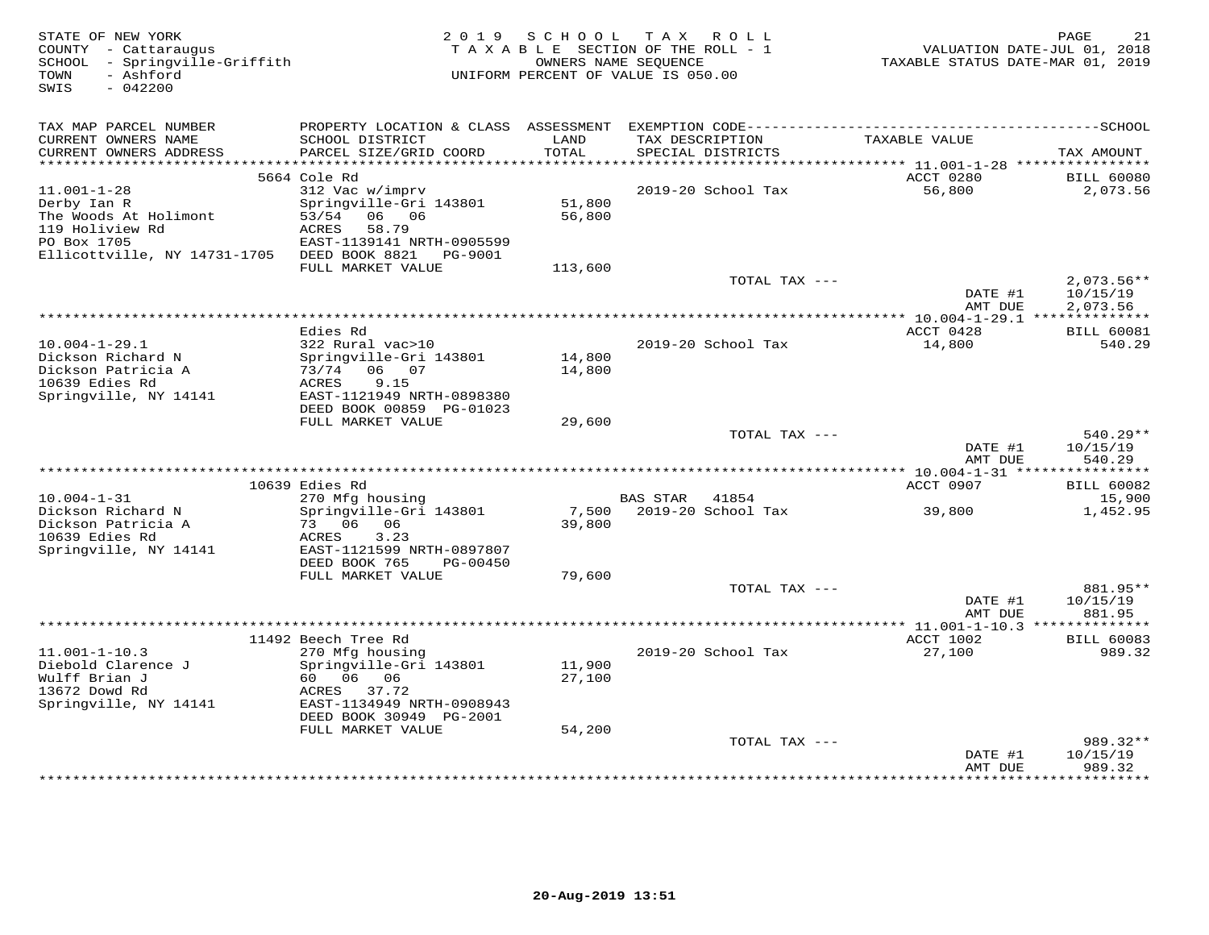| TAX MAP PARCEL NUMBER<br>CURRENT OWNERS NAME<br>SCHOOL DISTRICT<br>LAND<br>TAX DESCRIPTION<br>TAXABLE VALUE<br>CURRENT OWNERS ADDRESS<br>PARCEL SIZE/GRID COORD<br>TOTAL<br>SPECIAL DISTRICTS<br>TAX AMOUNT<br>************************<br>5664 Cole Rd<br>ACCT 0280<br><b>BILL 60080</b><br>$11.001 - 1 - 28$<br>312 Vac w/imprv<br>2019-20 School Tax<br>56,800<br>2,073.56<br>51,800<br>Springville-Gri 143801<br>Derby Ian R<br>53/54<br>06 06<br>56,800<br>The Woods At Holimont<br>119 Holiview Rd<br>ACRES<br>58.79<br>PO Box 1705<br>EAST-1139141 NRTH-0905599<br>Ellicottville, NY 14731-1705<br>DEED BOOK 8821<br>PG-9001<br>FULL MARKET VALUE<br>113,600<br>TOTAL TAX ---<br>$2,073.56**$<br>10/15/19<br>DATE #1<br>AMT DUE<br>2,073.56<br>*********************************<br>*********** 10.004-1-29.1 ***************<br>Edies Rd<br>ACCT 0428<br><b>BILL 60081</b><br>14,800<br>$10.004 - 1 - 29.1$<br>322 Rural vac>10<br>2019-20 School Tax<br>540.29<br>Dickson Richard N<br>Springville-Gri 143801<br>14,800<br>Dickson Patricia A<br>73/74 06 07<br>14,800<br>10639 Edies Rd<br>ACRES<br>9.15<br>Springville, NY 14141<br>EAST-1121949 NRTH-0898380<br>DEED BOOK 00859 PG-01023<br>FULL MARKET VALUE<br>29,600<br>$540.29**$<br>TOTAL TAX ---<br>DATE #1<br>10/15/19<br>540.29<br>AMT DUE<br>10639 Edies Rd<br>ACCT 0907<br><b>BILL 60082</b><br>$10.004 - 1 - 31$<br>270 Mfg housing<br><b>BAS STAR</b><br>41854<br>15,900<br>Dickson Richard N<br>Springville-Gri 143801<br>7,500<br>2019-20 School Tax<br>39,800<br>1,452.95<br>Dickson Patricia A<br>73 06<br>06<br>39,800<br>10639 Edies Rd<br>ACRES<br>3.23<br>Springville, NY 14141<br>EAST-1121599 NRTH-0897807<br>DEED BOOK 765<br>PG-00450<br>FULL MARKET VALUE<br>79,600<br>TOTAL TAX ---<br>881.95**<br>DATE #1<br>10/15/19<br>AMT DUE<br>881.95<br>************** 11.001-1-10.3 ***************<br>11492 Beech Tree Rd<br>ACCT 1002<br><b>BILL 60083</b><br>$11.001 - 1 - 10.3$<br>270 Mfg housing<br>2019-20 School Tax<br>27,100<br>989.32<br>Diebold Clarence J<br>Springville-Gri 143801<br>11,900<br>Wulff Brian J<br>60<br>06 06<br>27,100<br>13672 Dowd Rd<br>37.72<br>ACRES<br>Springville, NY 14141<br>EAST-1134949 NRTH-0908943<br>DEED BOOK 30949 PG-2001<br>FULL MARKET VALUE<br>54,200<br>TOTAL TAX ---<br>989.32**<br>DATE #1<br>10/15/19<br>AMT DUE<br>989.32<br>*********<br>* * * * * * * * * | STATE OF NEW YORK<br>COUNTY - Cattaraugus<br>SCHOOL - Springville-Griffith<br>- Ashford<br>TOWN<br>SWIS<br>$-042200$ | 2 0 1 9 | SCHOOL | T A X<br>R O L L<br>TAXABLE SECTION OF THE ROLL - 1<br>OWNERS NAME SEOUENCE<br>UNIFORM PERCENT OF VALUE IS 050.00 | VALUATION DATE-JUL 01, 2018<br>TAXABLE STATUS DATE-MAR 01, 2019 | 21<br>PAGE |
|--------------------------------------------------------------------------------------------------------------------------------------------------------------------------------------------------------------------------------------------------------------------------------------------------------------------------------------------------------------------------------------------------------------------------------------------------------------------------------------------------------------------------------------------------------------------------------------------------------------------------------------------------------------------------------------------------------------------------------------------------------------------------------------------------------------------------------------------------------------------------------------------------------------------------------------------------------------------------------------------------------------------------------------------------------------------------------------------------------------------------------------------------------------------------------------------------------------------------------------------------------------------------------------------------------------------------------------------------------------------------------------------------------------------------------------------------------------------------------------------------------------------------------------------------------------------------------------------------------------------------------------------------------------------------------------------------------------------------------------------------------------------------------------------------------------------------------------------------------------------------------------------------------------------------------------------------------------------------------------------------------------------------------------------------------------------------------------------------------------------------------------------------------------------------------------------------------------------------------------------------------------------------------------------------------------------------------------------------------------------------------------------------|----------------------------------------------------------------------------------------------------------------------|---------|--------|-------------------------------------------------------------------------------------------------------------------|-----------------------------------------------------------------|------------|
|                                                                                                                                                                                                                                                                                                                                                                                                                                                                                                                                                                                                                                                                                                                                                                                                                                                                                                                                                                                                                                                                                                                                                                                                                                                                                                                                                                                                                                                                                                                                                                                                                                                                                                                                                                                                                                                                                                                                                                                                                                                                                                                                                                                                                                                                                                                                                                                                  |                                                                                                                      |         |        |                                                                                                                   |                                                                 |            |
|                                                                                                                                                                                                                                                                                                                                                                                                                                                                                                                                                                                                                                                                                                                                                                                                                                                                                                                                                                                                                                                                                                                                                                                                                                                                                                                                                                                                                                                                                                                                                                                                                                                                                                                                                                                                                                                                                                                                                                                                                                                                                                                                                                                                                                                                                                                                                                                                  |                                                                                                                      |         |        |                                                                                                                   |                                                                 |            |
|                                                                                                                                                                                                                                                                                                                                                                                                                                                                                                                                                                                                                                                                                                                                                                                                                                                                                                                                                                                                                                                                                                                                                                                                                                                                                                                                                                                                                                                                                                                                                                                                                                                                                                                                                                                                                                                                                                                                                                                                                                                                                                                                                                                                                                                                                                                                                                                                  |                                                                                                                      |         |        |                                                                                                                   |                                                                 |            |
|                                                                                                                                                                                                                                                                                                                                                                                                                                                                                                                                                                                                                                                                                                                                                                                                                                                                                                                                                                                                                                                                                                                                                                                                                                                                                                                                                                                                                                                                                                                                                                                                                                                                                                                                                                                                                                                                                                                                                                                                                                                                                                                                                                                                                                                                                                                                                                                                  |                                                                                                                      |         |        |                                                                                                                   |                                                                 |            |
|                                                                                                                                                                                                                                                                                                                                                                                                                                                                                                                                                                                                                                                                                                                                                                                                                                                                                                                                                                                                                                                                                                                                                                                                                                                                                                                                                                                                                                                                                                                                                                                                                                                                                                                                                                                                                                                                                                                                                                                                                                                                                                                                                                                                                                                                                                                                                                                                  |                                                                                                                      |         |        |                                                                                                                   |                                                                 |            |
|                                                                                                                                                                                                                                                                                                                                                                                                                                                                                                                                                                                                                                                                                                                                                                                                                                                                                                                                                                                                                                                                                                                                                                                                                                                                                                                                                                                                                                                                                                                                                                                                                                                                                                                                                                                                                                                                                                                                                                                                                                                                                                                                                                                                                                                                                                                                                                                                  |                                                                                                                      |         |        |                                                                                                                   |                                                                 |            |
|                                                                                                                                                                                                                                                                                                                                                                                                                                                                                                                                                                                                                                                                                                                                                                                                                                                                                                                                                                                                                                                                                                                                                                                                                                                                                                                                                                                                                                                                                                                                                                                                                                                                                                                                                                                                                                                                                                                                                                                                                                                                                                                                                                                                                                                                                                                                                                                                  |                                                                                                                      |         |        |                                                                                                                   |                                                                 |            |
|                                                                                                                                                                                                                                                                                                                                                                                                                                                                                                                                                                                                                                                                                                                                                                                                                                                                                                                                                                                                                                                                                                                                                                                                                                                                                                                                                                                                                                                                                                                                                                                                                                                                                                                                                                                                                                                                                                                                                                                                                                                                                                                                                                                                                                                                                                                                                                                                  |                                                                                                                      |         |        |                                                                                                                   |                                                                 |            |
|                                                                                                                                                                                                                                                                                                                                                                                                                                                                                                                                                                                                                                                                                                                                                                                                                                                                                                                                                                                                                                                                                                                                                                                                                                                                                                                                                                                                                                                                                                                                                                                                                                                                                                                                                                                                                                                                                                                                                                                                                                                                                                                                                                                                                                                                                                                                                                                                  |                                                                                                                      |         |        |                                                                                                                   |                                                                 |            |
|                                                                                                                                                                                                                                                                                                                                                                                                                                                                                                                                                                                                                                                                                                                                                                                                                                                                                                                                                                                                                                                                                                                                                                                                                                                                                                                                                                                                                                                                                                                                                                                                                                                                                                                                                                                                                                                                                                                                                                                                                                                                                                                                                                                                                                                                                                                                                                                                  |                                                                                                                      |         |        |                                                                                                                   |                                                                 |            |
|                                                                                                                                                                                                                                                                                                                                                                                                                                                                                                                                                                                                                                                                                                                                                                                                                                                                                                                                                                                                                                                                                                                                                                                                                                                                                                                                                                                                                                                                                                                                                                                                                                                                                                                                                                                                                                                                                                                                                                                                                                                                                                                                                                                                                                                                                                                                                                                                  |                                                                                                                      |         |        |                                                                                                                   |                                                                 |            |
|                                                                                                                                                                                                                                                                                                                                                                                                                                                                                                                                                                                                                                                                                                                                                                                                                                                                                                                                                                                                                                                                                                                                                                                                                                                                                                                                                                                                                                                                                                                                                                                                                                                                                                                                                                                                                                                                                                                                                                                                                                                                                                                                                                                                                                                                                                                                                                                                  |                                                                                                                      |         |        |                                                                                                                   |                                                                 |            |
|                                                                                                                                                                                                                                                                                                                                                                                                                                                                                                                                                                                                                                                                                                                                                                                                                                                                                                                                                                                                                                                                                                                                                                                                                                                                                                                                                                                                                                                                                                                                                                                                                                                                                                                                                                                                                                                                                                                                                                                                                                                                                                                                                                                                                                                                                                                                                                                                  |                                                                                                                      |         |        |                                                                                                                   |                                                                 |            |
|                                                                                                                                                                                                                                                                                                                                                                                                                                                                                                                                                                                                                                                                                                                                                                                                                                                                                                                                                                                                                                                                                                                                                                                                                                                                                                                                                                                                                                                                                                                                                                                                                                                                                                                                                                                                                                                                                                                                                                                                                                                                                                                                                                                                                                                                                                                                                                                                  |                                                                                                                      |         |        |                                                                                                                   |                                                                 |            |
|                                                                                                                                                                                                                                                                                                                                                                                                                                                                                                                                                                                                                                                                                                                                                                                                                                                                                                                                                                                                                                                                                                                                                                                                                                                                                                                                                                                                                                                                                                                                                                                                                                                                                                                                                                                                                                                                                                                                                                                                                                                                                                                                                                                                                                                                                                                                                                                                  |                                                                                                                      |         |        |                                                                                                                   |                                                                 |            |
|                                                                                                                                                                                                                                                                                                                                                                                                                                                                                                                                                                                                                                                                                                                                                                                                                                                                                                                                                                                                                                                                                                                                                                                                                                                                                                                                                                                                                                                                                                                                                                                                                                                                                                                                                                                                                                                                                                                                                                                                                                                                                                                                                                                                                                                                                                                                                                                                  |                                                                                                                      |         |        |                                                                                                                   |                                                                 |            |
|                                                                                                                                                                                                                                                                                                                                                                                                                                                                                                                                                                                                                                                                                                                                                                                                                                                                                                                                                                                                                                                                                                                                                                                                                                                                                                                                                                                                                                                                                                                                                                                                                                                                                                                                                                                                                                                                                                                                                                                                                                                                                                                                                                                                                                                                                                                                                                                                  |                                                                                                                      |         |        |                                                                                                                   |                                                                 |            |
|                                                                                                                                                                                                                                                                                                                                                                                                                                                                                                                                                                                                                                                                                                                                                                                                                                                                                                                                                                                                                                                                                                                                                                                                                                                                                                                                                                                                                                                                                                                                                                                                                                                                                                                                                                                                                                                                                                                                                                                                                                                                                                                                                                                                                                                                                                                                                                                                  |                                                                                                                      |         |        |                                                                                                                   |                                                                 |            |
|                                                                                                                                                                                                                                                                                                                                                                                                                                                                                                                                                                                                                                                                                                                                                                                                                                                                                                                                                                                                                                                                                                                                                                                                                                                                                                                                                                                                                                                                                                                                                                                                                                                                                                                                                                                                                                                                                                                                                                                                                                                                                                                                                                                                                                                                                                                                                                                                  |                                                                                                                      |         |        |                                                                                                                   |                                                                 |            |
|                                                                                                                                                                                                                                                                                                                                                                                                                                                                                                                                                                                                                                                                                                                                                                                                                                                                                                                                                                                                                                                                                                                                                                                                                                                                                                                                                                                                                                                                                                                                                                                                                                                                                                                                                                                                                                                                                                                                                                                                                                                                                                                                                                                                                                                                                                                                                                                                  |                                                                                                                      |         |        |                                                                                                                   |                                                                 |            |
|                                                                                                                                                                                                                                                                                                                                                                                                                                                                                                                                                                                                                                                                                                                                                                                                                                                                                                                                                                                                                                                                                                                                                                                                                                                                                                                                                                                                                                                                                                                                                                                                                                                                                                                                                                                                                                                                                                                                                                                                                                                                                                                                                                                                                                                                                                                                                                                                  |                                                                                                                      |         |        |                                                                                                                   |                                                                 |            |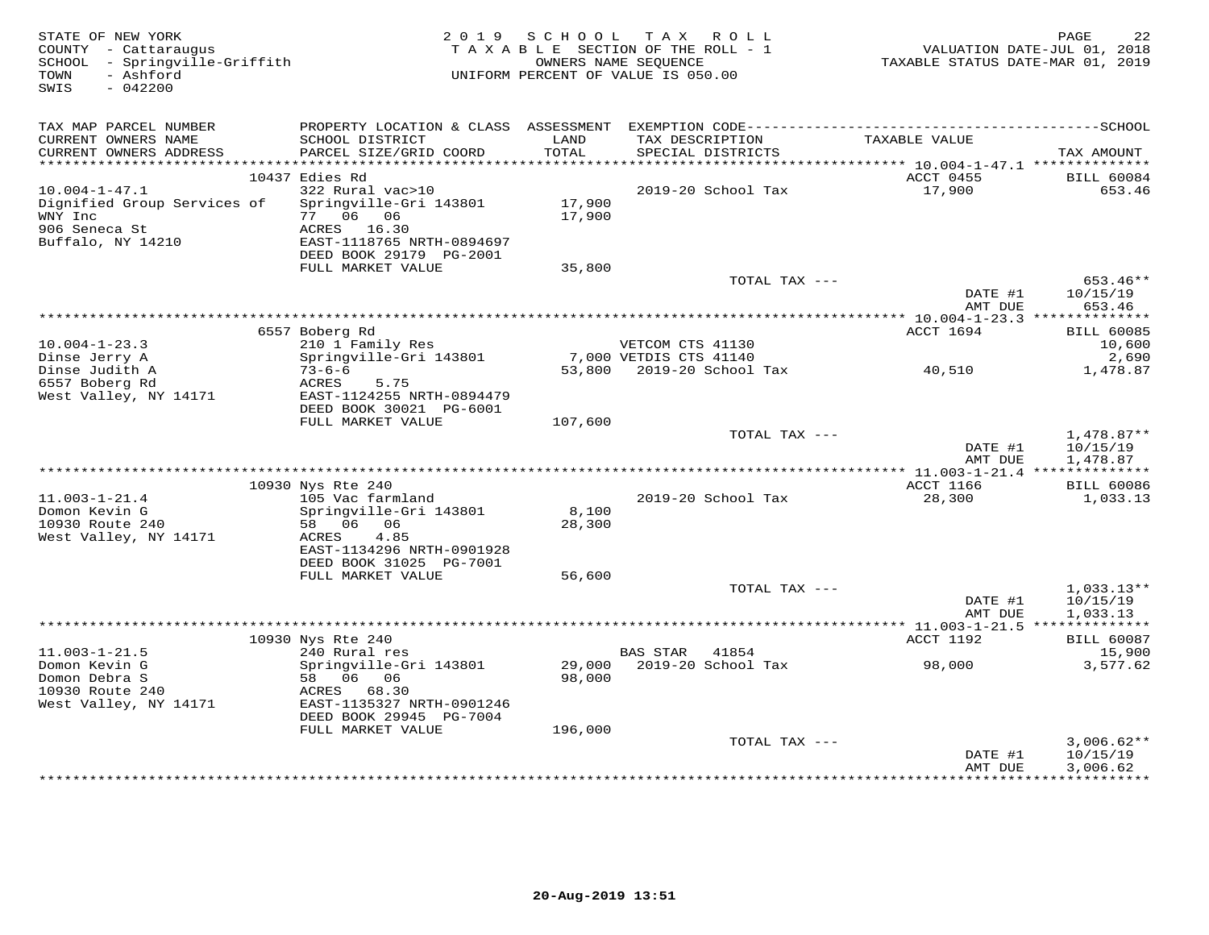| STATE OF NEW YORK<br>COUNTY - Cattaraugus<br>SCHOOL - Springville-Griffith<br>- Ashford<br>TOWN<br>SWIS<br>$-042200$ |                                                                                | 2019 SCHOOL      | TAX ROLL<br>TAXABLE SECTION OF THE ROLL - 1<br>OWNERS NAME SEQUENCE<br>UNIFORM PERCENT OF VALUE IS 050.00 | TAXABLE STATUS DATE-MAR 01, 2019        | PAGE<br>22<br>VALUATION DATE-JUL 01, 2018 |
|----------------------------------------------------------------------------------------------------------------------|--------------------------------------------------------------------------------|------------------|-----------------------------------------------------------------------------------------------------------|-----------------------------------------|-------------------------------------------|
| TAX MAP PARCEL NUMBER                                                                                                |                                                                                |                  |                                                                                                           |                                         |                                           |
| CURRENT OWNERS NAME<br>CURRENT OWNERS ADDRESS                                                                        | SCHOOL DISTRICT<br>PARCEL SIZE/GRID COORD                                      | LAND<br>TOTAL    | TAX DESCRIPTION<br>SPECIAL DISTRICTS                                                                      | TAXABLE VALUE                           | TAX AMOUNT                                |
| ************************                                                                                             |                                                                                |                  |                                                                                                           |                                         |                                           |
| $10.004 - 1 - 47.1$                                                                                                  | 10437 Edies Rd<br>322 Rural vac>10                                             |                  | 2019-20 School Tax                                                                                        | ACCT 0455<br>17,900                     | <b>BILL 60084</b><br>653.46               |
| Dignified Group Services of<br>WNY Inc<br>906 Seneca St<br>Buffalo, NY 14210                                         | Springville-Gri 143801<br>77 06 06<br>ACRES 16.30<br>EAST-1118765 NRTH-0894697 | 17,900<br>17,900 |                                                                                                           |                                         |                                           |
|                                                                                                                      | DEED BOOK 29179 PG-2001                                                        |                  |                                                                                                           |                                         |                                           |
|                                                                                                                      | FULL MARKET VALUE                                                              | 35,800           | TOTAL TAX ---                                                                                             |                                         | 653.46**                                  |
|                                                                                                                      |                                                                                |                  |                                                                                                           | DATE #1<br>AMT DUE                      | 10/15/19<br>653.46                        |
|                                                                                                                      |                                                                                |                  |                                                                                                           | ********** 10.004-1-23.3 ************** |                                           |
|                                                                                                                      | 6557 Boberg Rd                                                                 |                  |                                                                                                           | ACCT 1694                               | <b>BILL 60085</b>                         |
| $10.004 - 1 - 23.3$                                                                                                  | 210 1 Family Res                                                               |                  | VETCOM CTS 41130                                                                                          |                                         | 10,600                                    |
| Dinse Jerry A                                                                                                        | Springville-Gri 143801<br>$73 - 6 - 6$                                         |                  | 7,000 VETDIS CTS 41140                                                                                    | 40,510                                  | 2,690                                     |
| Dinse Judith A<br>6557 Boberg Rd                                                                                     | ACRES<br>5.75                                                                  |                  | 53,800 2019-20 School Tax                                                                                 |                                         | 1,478.87                                  |
| West Valley, NY 14171                                                                                                | EAST-1124255 NRTH-0894479                                                      |                  |                                                                                                           |                                         |                                           |
|                                                                                                                      | DEED BOOK 30021 PG-6001                                                        |                  |                                                                                                           |                                         |                                           |
|                                                                                                                      | FULL MARKET VALUE                                                              | 107,600          |                                                                                                           |                                         |                                           |
|                                                                                                                      |                                                                                |                  | TOTAL TAX ---                                                                                             |                                         | $1,478.87**$                              |
|                                                                                                                      |                                                                                |                  |                                                                                                           | DATE #1                                 | 10/15/19                                  |
|                                                                                                                      |                                                                                |                  |                                                                                                           | AMT DUE                                 | 1,478.87                                  |
|                                                                                                                      | 10930 Nys Rte 240                                                              |                  |                                                                                                           | <b>ACCT 1166</b>                        | <b>BILL 60086</b>                         |
| $11.003 - 1 - 21.4$                                                                                                  | 105 Vac farmland                                                               |                  | 2019-20 School Tax                                                                                        | 28,300                                  | 1,033.13                                  |
| Domon Kevin G                                                                                                        | Springville-Gri 143801                                                         | 8,100            |                                                                                                           |                                         |                                           |
| 10930 Route 240                                                                                                      | 58 06 06                                                                       | 28,300           |                                                                                                           |                                         |                                           |
| West Valley, NY 14171                                                                                                | 4.85<br>ACRES                                                                  |                  |                                                                                                           |                                         |                                           |
|                                                                                                                      | EAST-1134296 NRTH-0901928<br>DEED BOOK 31025 PG-7001                           |                  |                                                                                                           |                                         |                                           |
|                                                                                                                      | FULL MARKET VALUE                                                              | 56,600           |                                                                                                           |                                         |                                           |
|                                                                                                                      |                                                                                |                  | TOTAL TAX ---                                                                                             |                                         | $1,033.13**$                              |
|                                                                                                                      |                                                                                |                  |                                                                                                           | DATE #1                                 | 10/15/19                                  |
|                                                                                                                      |                                                                                |                  |                                                                                                           | AMT DUE                                 | 1,033.13                                  |
|                                                                                                                      | 10930 Nys Rte 240                                                              |                  |                                                                                                           | ACCT 1192                               |                                           |
| $11.003 - 1 - 21.5$                                                                                                  | 240 Rural res                                                                  |                  | <b>BAS STAR</b><br>41854                                                                                  |                                         | <b>BILL 60087</b><br>15,900               |
| Domon Kevin G                                                                                                        | Springville-Gri 143801                                                         | 29,000           | 2019-20 School Tax                                                                                        | 98,000                                  | 3,577.62                                  |
| Domon Debra S                                                                                                        | 58 06 06                                                                       | 98,000           |                                                                                                           |                                         |                                           |
| 10930 Route 240                                                                                                      | ACRES 68.30                                                                    |                  |                                                                                                           |                                         |                                           |
| West Valley, NY 14171                                                                                                | EAST-1135327 NRTH-0901246                                                      |                  |                                                                                                           |                                         |                                           |
|                                                                                                                      | DEED BOOK 29945 PG-7004                                                        |                  |                                                                                                           |                                         |                                           |
|                                                                                                                      | FULL MARKET VALUE                                                              | 196,000          | TOTAL TAX ---                                                                                             |                                         | $3,006.62**$                              |
|                                                                                                                      |                                                                                |                  |                                                                                                           | DATE #1                                 | 10/15/19                                  |
|                                                                                                                      |                                                                                |                  |                                                                                                           | AMT DUE                                 | 3,006.62                                  |
|                                                                                                                      |                                                                                |                  |                                                                                                           | ************                            | ***********                               |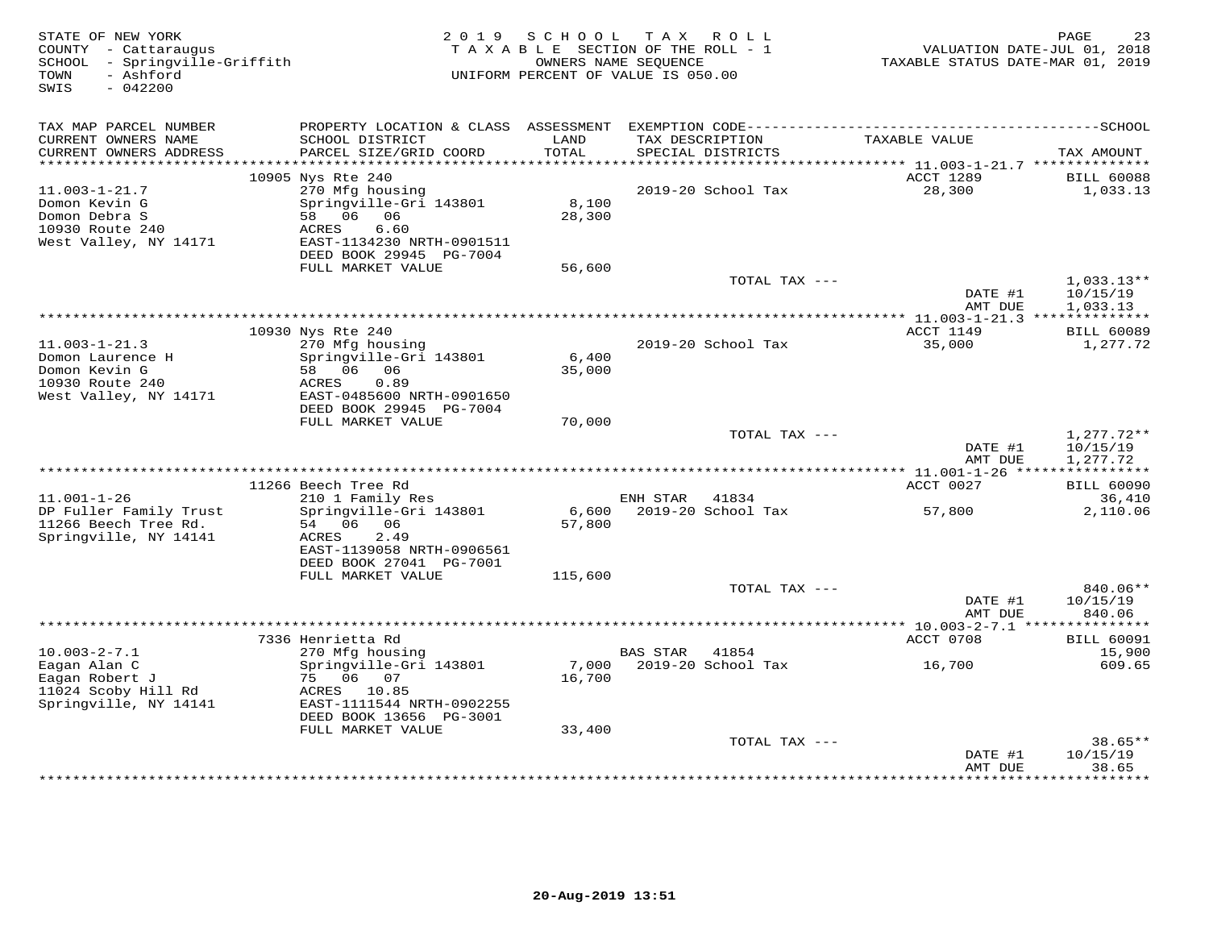| STATE OF NEW YORK<br>COUNTY - Cattaraugus<br>SCHOOL - Springville-Griffith<br>- Ashford<br>TOWN<br>SWIS<br>$-042200$ | 2 0 1 9                                                                                                                      | S C H O O L     | TAX ROLL<br>TAXABLE SECTION OF THE ROLL - 1<br>OWNERS NAME SEQUENCE<br>UNIFORM PERCENT OF VALUE IS 050.00 | TAXABLE STATUS DATE-MAR 01, 2019                               | PAGE<br>23<br>VALUATION DATE-JUL 01, 2018 |
|----------------------------------------------------------------------------------------------------------------------|------------------------------------------------------------------------------------------------------------------------------|-----------------|-----------------------------------------------------------------------------------------------------------|----------------------------------------------------------------|-------------------------------------------|
| TAX MAP PARCEL NUMBER<br>CURRENT OWNERS NAME                                                                         | SCHOOL DISTRICT                                                                                                              | LAND            | TAX DESCRIPTION                                                                                           | TAXABLE VALUE                                                  |                                           |
| CURRENT OWNERS ADDRESS                                                                                               | PARCEL SIZE/GRID COORD                                                                                                       | TOTAL           | SPECIAL DISTRICTS                                                                                         |                                                                | TAX AMOUNT                                |
|                                                                                                                      | 10905 Nys Rte 240                                                                                                            |                 |                                                                                                           | ACCT 1289                                                      | <b>BILL 60088</b>                         |
| $11.003 - 1 - 21.7$<br>Domon Kevin G<br>Domon Debra S<br>10930 Route 240<br>West Valley, NY 14171                    | 270 Mfg housing<br>Springville-Gri 143801<br>58 06 06<br>6.60<br>ACRES<br>EAST-1134230 NRTH-0901511                          | 8,100<br>28,300 | 2019-20 School Tax                                                                                        | 28,300                                                         | 1,033.13                                  |
|                                                                                                                      | DEED BOOK 29945 PG-7004<br>FULL MARKET VALUE                                                                                 |                 |                                                                                                           |                                                                |                                           |
|                                                                                                                      |                                                                                                                              | 56,600          | TOTAL TAX ---                                                                                             | DATE #1<br>AMT DUE                                             | $1,033.13**$<br>10/15/19<br>1,033.13      |
|                                                                                                                      |                                                                                                                              |                 |                                                                                                           |                                                                |                                           |
| $11.003 - 1 - 21.3$                                                                                                  | 10930 Nys Rte 240<br>270 Mfg housing                                                                                         |                 | 2019-20 School Tax                                                                                        | ACCT 1149<br>35,000                                            | <b>BILL 60089</b><br>1,277.72             |
| Domon Laurence H<br>Domon Kevin G<br>10930 Route 240<br>West Valley, NY 14171                                        | Springville-Gri 143801<br>58 06 06<br>ACRES<br>0.89<br>EAST-0485600 NRTH-0901650<br>DEED BOOK 29945 PG-7004                  | 6,400<br>35,000 |                                                                                                           |                                                                |                                           |
|                                                                                                                      | FULL MARKET VALUE                                                                                                            | 70,000          |                                                                                                           |                                                                |                                           |
|                                                                                                                      |                                                                                                                              |                 | TOTAL TAX ---                                                                                             | DATE #1<br>AMT DUE<br>********** 11.001-1-26 ***************** | $1,277.72**$<br>10/15/19<br>1,277.72      |
|                                                                                                                      | 11266 Beech Tree Rd                                                                                                          |                 |                                                                                                           | ACCT 0027                                                      | <b>BILL 60090</b>                         |
| $11.001 - 1 - 26$                                                                                                    | 210 1 Family Res                                                                                                             |                 | ENH STAR 41834                                                                                            |                                                                | 36,410                                    |
| DP Fuller Family Trust<br>11266 Beech Tree Rd.<br>Springville, NY 14141                                              | Springville-Gri 143801<br>54 06 06<br>2.49<br>ACRES<br>EAST-1139058 NRTH-0906561<br>DEED BOOK 27041 PG-7001                  | 57,800          | 6,600 2019-20 School Tax                                                                                  | 57,800                                                         | 2,110.06                                  |
|                                                                                                                      | FULL MARKET VALUE                                                                                                            | 115,600         |                                                                                                           |                                                                |                                           |
|                                                                                                                      |                                                                                                                              |                 | TOTAL TAX ---                                                                                             | DATE #1<br>AMT DUE                                             | 840.06**<br>10/15/19<br>840.06            |
|                                                                                                                      |                                                                                                                              |                 |                                                                                                           |                                                                |                                           |
|                                                                                                                      | 7336 Henrietta Rd                                                                                                            |                 |                                                                                                           | ACCT 0708                                                      | <b>BILL 60091</b>                         |
| $10.003 - 2 - 7.1$<br>Eagan Alan C<br>Eagan Robert J<br>11024 Scoby Hill Rd<br>Springville, NY 14141                 | 270 Mfg housing<br>Springville-Gri 143801<br>75 06 07<br>ACRES 10.85<br>EAST-1111544 NRTH-0902255<br>DEED BOOK 13656 PG-3001 | 7,000<br>16,700 | <b>BAS STAR</b><br>41854<br>2019-20 School Tax                                                            | 16,700                                                         | 15,900<br>609.65                          |
|                                                                                                                      | FULL MARKET VALUE                                                                                                            | 33,400          |                                                                                                           |                                                                |                                           |
|                                                                                                                      |                                                                                                                              |                 | TOTAL TAX ---                                                                                             | DATE #1<br>AMT DUE                                             | $38.65**$<br>10/15/19<br>38.65            |
|                                                                                                                      |                                                                                                                              |                 |                                                                                                           |                                                                | * * * * * * * *                           |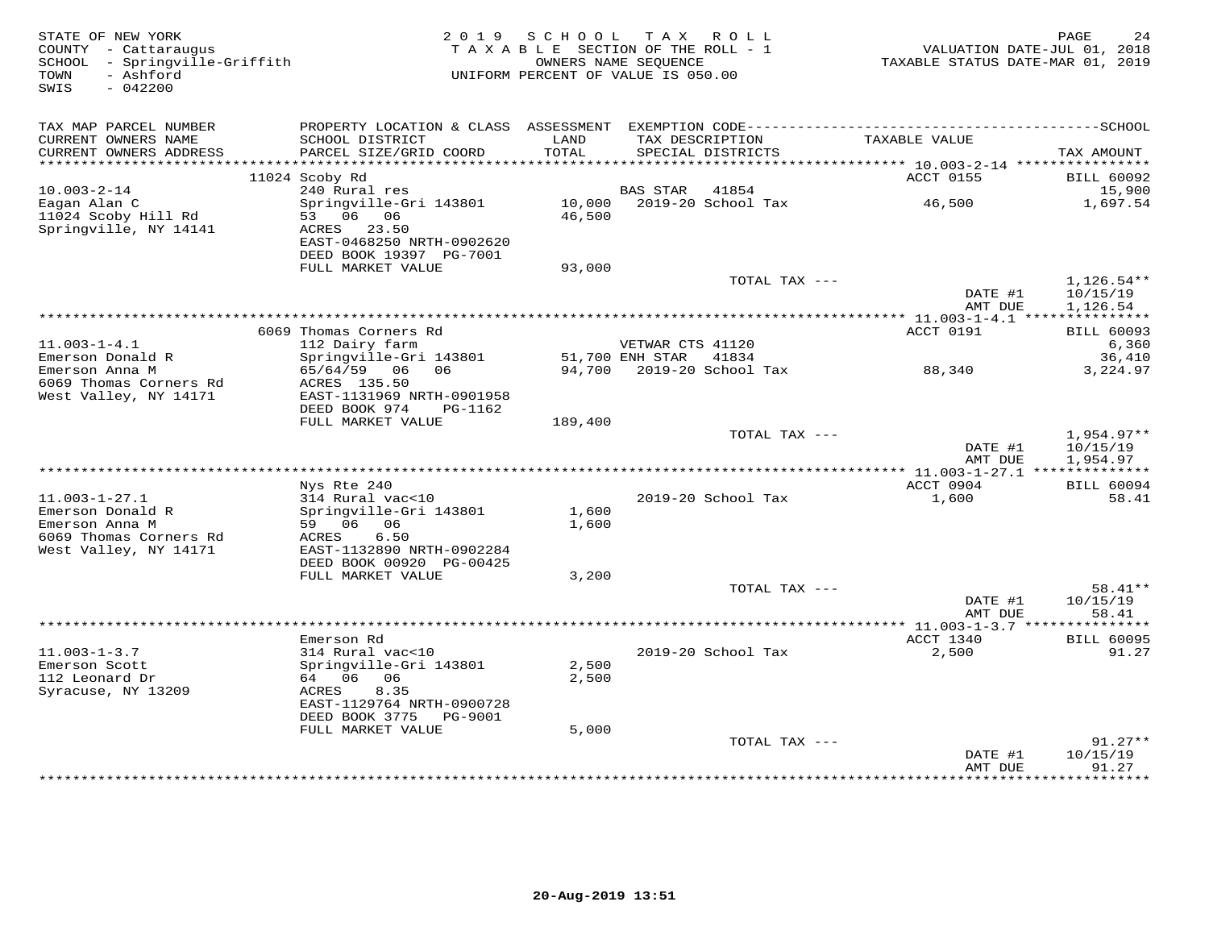| STATE OF NEW YORK<br>COUNTY - Cattaraugus<br>SCHOOL - Springville-Griffith<br>- Ashford<br>TOWN<br>$-042200$<br>SWIS |                                                                                              | 2019 SCHOOL<br>TAXABLE SECTION OF THE ROLL - 1<br>UNIFORM PERCENT OF VALUE IS 050.00 | OWNERS NAME SEQUENCE  | TAX ROLL                  | TAXABLE STATUS DATE-MAR 01, 2019             | PAGE<br>24<br>VALUATION DATE-JUL 01, 2018 |
|----------------------------------------------------------------------------------------------------------------------|----------------------------------------------------------------------------------------------|--------------------------------------------------------------------------------------|-----------------------|---------------------------|----------------------------------------------|-------------------------------------------|
| TAX MAP PARCEL NUMBER                                                                                                | PROPERTY LOCATION & CLASS ASSESSMENT EXEMPTION CODE-----------------------------------SCHOOL |                                                                                      |                       |                           |                                              |                                           |
| CURRENT OWNERS NAME<br>CURRENT OWNERS ADDRESS                                                                        | SCHOOL DISTRICT<br>PARCEL SIZE/GRID COORD                                                    | LAND<br>TOTAL                                                                        | TAX DESCRIPTION       | SPECIAL DISTRICTS         | TAXABLE VALUE                                | TAX AMOUNT                                |
| ***********************                                                                                              | 11024 Scoby Rd                                                                               |                                                                                      |                       |                           | ACCT 0155                                    | <b>BILL 60092</b>                         |
| $10.003 - 2 - 14$                                                                                                    | 240 Rural res                                                                                |                                                                                      | <b>BAS STAR</b>       | 41854                     |                                              | 15,900                                    |
| Eagan Alan C<br>11024 Scoby Hill Rd<br>Springville, NY 14141                                                         | Springville-Gri 143801<br>53 06 06<br>ACRES 23.50                                            | 10,000<br>46,500                                                                     |                       | 2019-20 School Tax        | 46,500                                       | 1,697.54                                  |
|                                                                                                                      | EAST-0468250 NRTH-0902620<br>DEED BOOK 19397 PG-7001                                         |                                                                                      |                       |                           |                                              |                                           |
|                                                                                                                      | FULL MARKET VALUE                                                                            | 93,000                                                                               |                       | TOTAL TAX ---             |                                              | $1,126.54**$                              |
|                                                                                                                      |                                                                                              |                                                                                      |                       |                           | DATE #1<br>AMT DUE                           | 10/15/19<br>1,126.54                      |
|                                                                                                                      |                                                                                              |                                                                                      |                       |                           | ********* 11.003-1-4.1 ****************      |                                           |
|                                                                                                                      | 6069 Thomas Corners Rd                                                                       |                                                                                      |                       |                           | ACCT 0191                                    | <b>BILL 60093</b>                         |
| $11.003 - 1 - 4.1$                                                                                                   | 112 Dairy farm                                                                               |                                                                                      | VETWAR CTS 41120      |                           |                                              | 6,360                                     |
| Emerson Donald R<br>Emerson Anna M                                                                                   | Springville-Gri 143801<br>65/64/59 06<br>06                                                  |                                                                                      | 51,700 ENH STAR 41834 | 94,700 2019-20 School Tax | 88,340                                       | 36,410<br>3,224.97                        |
| 6069 Thomas Corners Rd<br>West Valley, NY 14171                                                                      | ACRES 135.50<br>EAST-1131969 NRTH-0901958                                                    |                                                                                      |                       |                           |                                              |                                           |
|                                                                                                                      | DEED BOOK 974<br>PG-1162                                                                     |                                                                                      |                       |                           |                                              |                                           |
|                                                                                                                      | FULL MARKET VALUE                                                                            | 189,400                                                                              |                       | TOTAL TAX ---             |                                              | $1,954.97**$                              |
|                                                                                                                      |                                                                                              |                                                                                      |                       |                           | DATE #1<br>AMT DUE                           | 10/15/19<br>1,954.97                      |
|                                                                                                                      |                                                                                              |                                                                                      |                       |                           |                                              |                                           |
| $11.003 - 1 - 27.1$                                                                                                  | Nys Rte 240<br>314 Rural vac<10                                                              |                                                                                      |                       | 2019-20 School Tax        | ACCT 0904<br>1,600                           | <b>BILL 60094</b><br>58.41                |
| Emerson Donald R                                                                                                     | Springville-Gri 143801                                                                       | 1,600                                                                                |                       |                           |                                              |                                           |
| Emerson Anna M                                                                                                       | 59 06 06                                                                                     | 1,600                                                                                |                       |                           |                                              |                                           |
| 6069 Thomas Corners Rd<br>West Valley, NY 14171                                                                      | 6.50<br>ACRES<br>EAST-1132890 NRTH-0902284                                                   |                                                                                      |                       |                           |                                              |                                           |
|                                                                                                                      | DEED BOOK 00920 PG-00425                                                                     |                                                                                      |                       |                           |                                              |                                           |
|                                                                                                                      | FULL MARKET VALUE                                                                            | 3,200                                                                                |                       | TOTAL TAX ---             |                                              | 58.41**                                   |
|                                                                                                                      |                                                                                              |                                                                                      |                       |                           | DATE #1<br>AMT DUE                           | 10/15/19<br>58.41                         |
|                                                                                                                      |                                                                                              |                                                                                      |                       |                           | ************** 11.003-1-3.7 **************** |                                           |
|                                                                                                                      | Emerson Rd                                                                                   |                                                                                      |                       |                           | ACCT 1340                                    | <b>BILL 60095</b>                         |
| $11.003 - 1 - 3.7$                                                                                                   | 314 Rural vac<10                                                                             |                                                                                      |                       | 2019-20 School Tax        | 2,500                                        | 91.27                                     |
| Emerson Scott<br>112 Leonard Dr                                                                                      | Springville-Gri 143801<br>64 06 06                                                           | 2,500<br>2,500                                                                       |                       |                           |                                              |                                           |
| Syracuse, NY 13209                                                                                                   | 8.35<br>ACRES                                                                                |                                                                                      |                       |                           |                                              |                                           |
|                                                                                                                      | EAST-1129764 NRTH-0900728<br>DEED BOOK 3775 PG-9001                                          |                                                                                      |                       |                           |                                              |                                           |
|                                                                                                                      | FULL MARKET VALUE                                                                            | 5,000                                                                                |                       |                           |                                              |                                           |
|                                                                                                                      |                                                                                              |                                                                                      |                       | TOTAL TAX ---             | DATE #1                                      | $91.27**$<br>10/15/19                     |
|                                                                                                                      |                                                                                              |                                                                                      |                       |                           | AMT DUE                                      | 91.27<br><b>+++++++</b>                   |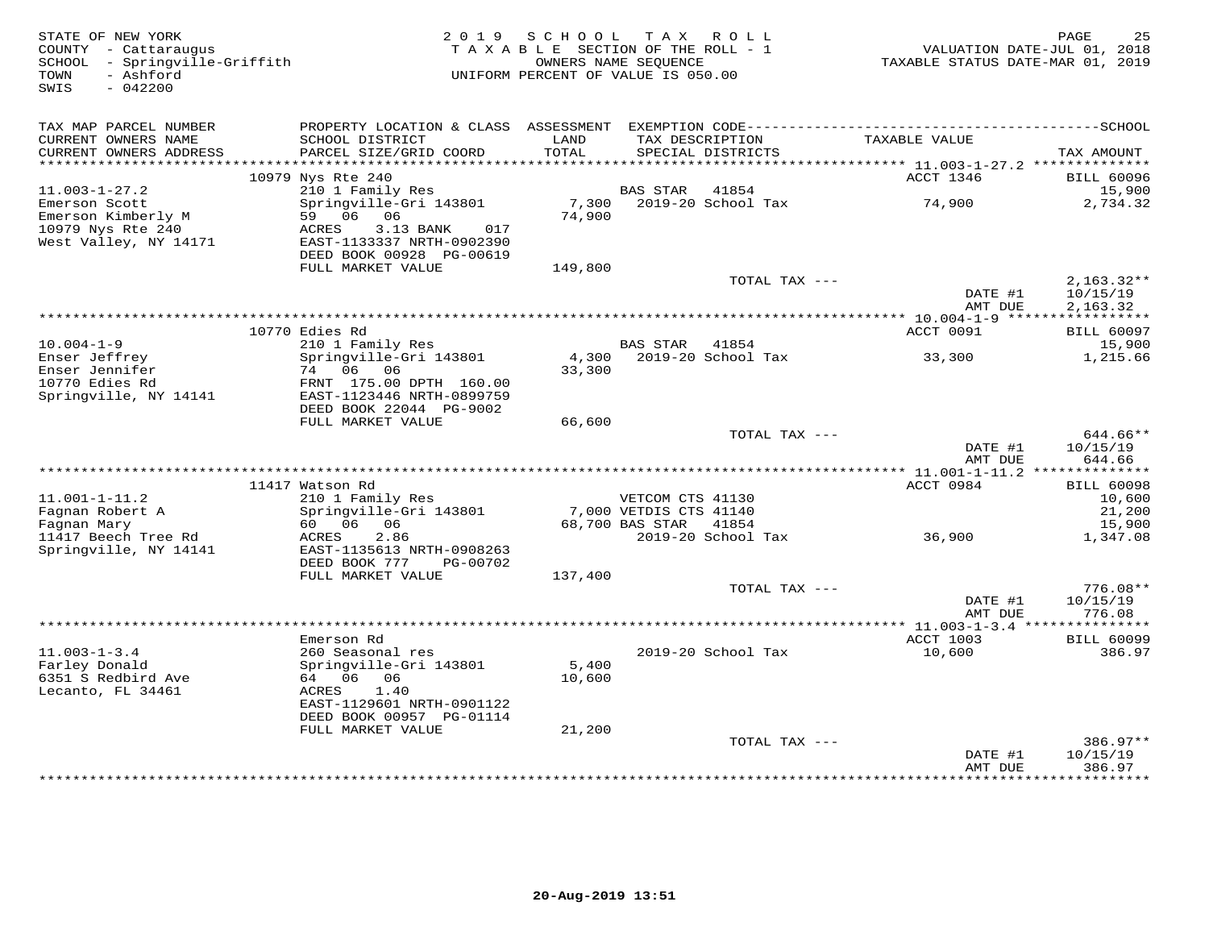| STATE OF NEW YORK<br>COUNTY - Cattaraugus<br>SCHOOL - Springville-Griffith<br>- Ashford<br>TOWN | 2 0 1 9                                                                            | SCHOOL<br>TAXABLE SECTION OF THE ROLL - 1<br>OWNERS NAME SEOUENCE<br>UNIFORM PERCENT OF VALUE IS 050.00 |                        | TAX ROLL                    | VALUATION DATE-JUL 01, 2018<br>TAXABLE STATUS DATE-MAR 01, 2019 | PAGE<br>25               |
|-------------------------------------------------------------------------------------------------|------------------------------------------------------------------------------------|---------------------------------------------------------------------------------------------------------|------------------------|-----------------------------|-----------------------------------------------------------------|--------------------------|
| SWIS<br>$-042200$                                                                               |                                                                                    |                                                                                                         |                        |                             |                                                                 |                          |
| TAX MAP PARCEL NUMBER                                                                           |                                                                                    |                                                                                                         |                        |                             |                                                                 |                          |
| CURRENT OWNERS NAME<br>CURRENT OWNERS ADDRESS<br>***********************                        | SCHOOL DISTRICT<br>PARCEL SIZE/GRID COORD                                          | LAND<br>TOTAL                                                                                           | TAX DESCRIPTION        | SPECIAL DISTRICTS           | TAXABLE VALUE                                                   | TAX AMOUNT               |
|                                                                                                 | 10979 Nys Rte 240                                                                  |                                                                                                         |                        |                             | ACCT 1346                                                       | <b>BILL 60096</b>        |
| $11.003 - 1 - 27.2$                                                                             | 210 1 Family Res                                                                   |                                                                                                         | <b>BAS STAR</b>        | 41854                       |                                                                 | 15,900                   |
| Emerson Scott<br>Emerson Kimberly M                                                             | Springville-Gri 143801<br>59 06<br>06                                              | 7,300<br>74,900                                                                                         |                        | 2019-20 School Tax          | 74,900                                                          | 2,734.32                 |
| 10979 Nys Rte 240<br>West Valley, NY 14171                                                      | ACRES<br>3.13 BANK<br>017<br>EAST-1133337 NRTH-0902390<br>DEED BOOK 00928 PG-00619 |                                                                                                         |                        |                             |                                                                 |                          |
|                                                                                                 | FULL MARKET VALUE                                                                  | 149,800                                                                                                 |                        |                             |                                                                 |                          |
|                                                                                                 |                                                                                    |                                                                                                         |                        | TOTAL TAX ---               | DATE #1                                                         | $2,163.32**$<br>10/15/19 |
|                                                                                                 |                                                                                    | *************************************                                                                   |                        |                             | AMT DUE<br>********* 10.004-1-9 ******                          | 2,163.32<br>***********  |
|                                                                                                 | 10770 Edies Rd                                                                     |                                                                                                         |                        |                             | ACCT 0091                                                       | <b>BILL 60097</b>        |
| $10.004 - 1 - 9$                                                                                | 210 1 Family Res                                                                   |                                                                                                         | <b>BAS STAR</b>        | 41854                       |                                                                 | 15,900                   |
| Enser Jeffrey                                                                                   | Springville-Gri 143801                                                             | 4,300                                                                                                   |                        | 2019-20 School Tax          | 33,300                                                          | 1,215.66                 |
| Enser Jennifer<br>10770 Edies Rd                                                                | 74 06 06<br>FRNT 175.00 DPTH 160.00                                                | 33,300                                                                                                  |                        |                             |                                                                 |                          |
| Springville, NY 14141                                                                           | EAST-1123446 NRTH-0899759                                                          |                                                                                                         |                        |                             |                                                                 |                          |
|                                                                                                 | DEED BOOK 22044 PG-9002<br>FULL MARKET VALUE                                       | 66,600                                                                                                  |                        |                             |                                                                 |                          |
|                                                                                                 |                                                                                    |                                                                                                         |                        | TOTAL TAX ---               |                                                                 | 644.66**                 |
|                                                                                                 |                                                                                    |                                                                                                         |                        |                             | DATE #1                                                         | 10/15/19                 |
|                                                                                                 |                                                                                    |                                                                                                         |                        |                             | AMT DUE                                                         | 644.66<br>************** |
|                                                                                                 | 11417 Watson Rd                                                                    |                                                                                                         |                        |                             | ACCT 0984                                                       | <b>BILL 60098</b>        |
| $11.001 - 1 - 11.2$                                                                             | 210 1 Family Res                                                                   |                                                                                                         | VETCOM CTS 41130       |                             |                                                                 | 10,600                   |
| Fagnan Robert A                                                                                 | Springville-Gri 143801                                                             |                                                                                                         | 7,000 VETDIS CTS 41140 |                             |                                                                 | 21,200                   |
| Fagnan Mary                                                                                     | 60 06<br>06<br>ACRES                                                               |                                                                                                         | 68,700 BAS STAR        | 41854<br>2019-20 School Tax |                                                                 | 15,900                   |
| 11417 Beech Tree Rd<br>Springville, NY 14141                                                    | 2.86<br>EAST-1135613 NRTH-0908263<br>DEED BOOK 777<br>PG-00702                     |                                                                                                         |                        |                             | 36,900                                                          | 1,347.08                 |
|                                                                                                 | FULL MARKET VALUE                                                                  | 137,400                                                                                                 |                        |                             |                                                                 |                          |
|                                                                                                 |                                                                                    |                                                                                                         |                        | TOTAL TAX ---               |                                                                 | $776.08**$               |
|                                                                                                 |                                                                                    |                                                                                                         |                        |                             | DATE #1<br>AMT DUE                                              | 10/15/19<br>776.08       |
|                                                                                                 | Emerson Rd                                                                         |                                                                                                         |                        |                             | *************** 11.003-1-3.4 ****************<br>ACCT 1003      | <b>BILL 60099</b>        |
| $11.003 - 1 - 3.4$                                                                              | 260 Seasonal res                                                                   |                                                                                                         |                        | 2019-20 School Tax          | 10,600                                                          | 386.97                   |
| Farley Donald                                                                                   | Springville-Gri 143801                                                             | 5,400                                                                                                   |                        |                             |                                                                 |                          |
| 6351 S Redbird Ave<br>Lecanto, FL 34461                                                         | 64 06 06<br>1.40<br>ACRES                                                          | 10,600                                                                                                  |                        |                             |                                                                 |                          |
|                                                                                                 | EAST-1129601 NRTH-0901122                                                          |                                                                                                         |                        |                             |                                                                 |                          |
|                                                                                                 | DEED BOOK 00957 PG-01114<br>FULL MARKET VALUE                                      | 21,200                                                                                                  |                        |                             |                                                                 |                          |
|                                                                                                 |                                                                                    |                                                                                                         |                        | TOTAL TAX ---               |                                                                 | $386.97**$               |
|                                                                                                 |                                                                                    |                                                                                                         |                        |                             | DATE #1<br>AMT DUE                                              | 10/15/19<br>386.97       |
|                                                                                                 |                                                                                    |                                                                                                         |                        |                             |                                                                 | + + + + + + + +          |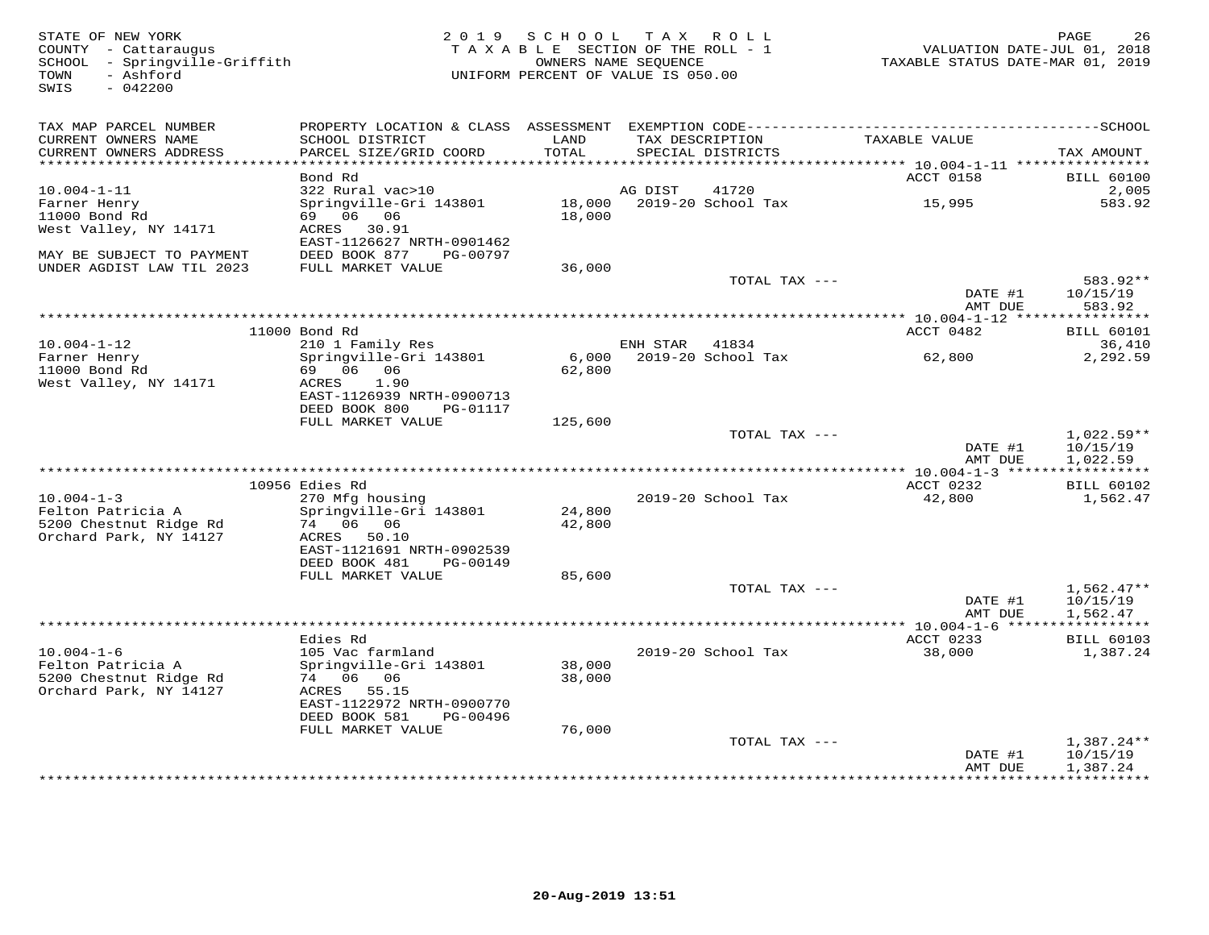| STATE OF NEW YORK<br>COUNTY - Cattaraugus<br>SCHOOL - Springville-Griffith<br>- Ashford<br>TOWN<br>$-042200$<br>SWIS | 2 0 1 9                                        | SCHOOL           | TAX ROLL<br>TAXABLE SECTION OF THE ROLL - 1<br>OWNERS NAME SEQUENCE<br>UNIFORM PERCENT OF VALUE IS 050.00 | VALUATION DATE-JUL 01, 2018<br>TAXABLE STATUS DATE-MAR 01, 2019 | 26<br>PAGE                        |
|----------------------------------------------------------------------------------------------------------------------|------------------------------------------------|------------------|-----------------------------------------------------------------------------------------------------------|-----------------------------------------------------------------|-----------------------------------|
| TAX MAP PARCEL NUMBER<br>CURRENT OWNERS NAME                                                                         | SCHOOL DISTRICT                                | LAND             | TAX DESCRIPTION                                                                                           | TAXABLE VALUE                                                   |                                   |
| CURRENT OWNERS ADDRESS<br>**********************                                                                     | PARCEL SIZE/GRID COORD                         | TOTAL            | SPECIAL DISTRICTS                                                                                         |                                                                 | TAX AMOUNT                        |
|                                                                                                                      | Bond Rd                                        |                  |                                                                                                           | ACCT 0158                                                       | <b>BILL 60100</b>                 |
| $10.004 - 1 - 11$                                                                                                    | 322 Rural vac>10                               |                  | AG DIST<br>41720                                                                                          |                                                                 | 2,005                             |
| Farner Henry                                                                                                         | Springville-Gri 143801                         | 18,000           | 2019-20 School Tax                                                                                        | 15,995                                                          | 583.92                            |
| 11000 Bond Rd<br>West Valley, NY 14171                                                                               | 69 06 06<br>ACRES<br>30.91                     | 18,000           |                                                                                                           |                                                                 |                                   |
|                                                                                                                      | EAST-1126627 NRTH-0901462                      |                  |                                                                                                           |                                                                 |                                   |
| MAY BE SUBJECT TO PAYMENT                                                                                            | DEED BOOK 877<br>PG-00797                      |                  |                                                                                                           |                                                                 |                                   |
| UNDER AGDIST LAW TIL 2023                                                                                            | FULL MARKET VALUE                              | 36,000           | TOTAL TAX ---                                                                                             |                                                                 | 583.92**                          |
|                                                                                                                      |                                                |                  |                                                                                                           | DATE #1                                                         | 10/15/19                          |
|                                                                                                                      |                                                |                  | ***********************************                                                                       | AMT DUE<br>******* 10.004-1-12 ******                           | 583.92<br>* * * * * * * * * *     |
|                                                                                                                      | 11000 Bond Rd                                  |                  |                                                                                                           | ACCT 0482                                                       | <b>BILL 60101</b>                 |
| $10.004 - 1 - 12$                                                                                                    | 210 1 Family Res                               |                  | ENH STAR<br>41834                                                                                         |                                                                 | 36,410                            |
| Farner Henry                                                                                                         | Springville-Gri 143801                         | 6,000            | 2019-20 School Tax                                                                                        | 62,800                                                          | 2,292.59                          |
| 11000 Bond Rd<br>West Valley, NY 14171                                                                               | 69 06 06<br>ACRES<br>1.90                      | 62,800           |                                                                                                           |                                                                 |                                   |
|                                                                                                                      | EAST-1126939 NRTH-0900713                      |                  |                                                                                                           |                                                                 |                                   |
|                                                                                                                      | DEED BOOK 800<br>PG-01117<br>FULL MARKET VALUE | 125,600          |                                                                                                           |                                                                 |                                   |
|                                                                                                                      |                                                |                  | TOTAL TAX ---                                                                                             |                                                                 | 1,022.59**                        |
|                                                                                                                      |                                                |                  |                                                                                                           | DATE #1                                                         | 10/15/19                          |
|                                                                                                                      |                                                |                  |                                                                                                           | AMT DUE                                                         | 1,022.59                          |
|                                                                                                                      | 10956 Edies Rd                                 |                  |                                                                                                           | ACCT 0232                                                       | <b>BILL 60102</b>                 |
| $10.004 - 1 - 3$                                                                                                     | 270 Mfg housing                                |                  | 2019-20 School Tax                                                                                        | 42,800                                                          | 1,562.47                          |
| Felton Patricia A<br>5200 Chestnut Ridge Rd                                                                          | Springville-Gri 143801<br>74 06 06             | 24,800<br>42,800 |                                                                                                           |                                                                 |                                   |
| Orchard Park, NY 14127                                                                                               | 50.10<br>ACRES                                 |                  |                                                                                                           |                                                                 |                                   |
|                                                                                                                      | EAST-1121691 NRTH-0902539                      |                  |                                                                                                           |                                                                 |                                   |
|                                                                                                                      | DEED BOOK 481<br>PG-00149<br>FULL MARKET VALUE | 85,600           |                                                                                                           |                                                                 |                                   |
|                                                                                                                      |                                                |                  | TOTAL TAX ---                                                                                             |                                                                 | $1,562.47**$                      |
|                                                                                                                      |                                                |                  |                                                                                                           | DATE #1                                                         | 10/15/19                          |
|                                                                                                                      |                                                |                  |                                                                                                           | AMT DUE<br>****************** 10.004-1-6 ******                 | 1,562.47<br>***********           |
|                                                                                                                      | Edies Rd                                       |                  |                                                                                                           | ACCT 0233                                                       | <b>BILL 60103</b>                 |
| $10.004 - 1 - 6$                                                                                                     | 105 Vac farmland                               |                  | 2019-20 School Tax                                                                                        | 38,000                                                          | 1,387.24                          |
| Felton Patricia A<br>5200 Chestnut Ridge Rd                                                                          | Springville-Gri 143801<br>74 06 06             | 38,000<br>38,000 |                                                                                                           |                                                                 |                                   |
| Orchard Park, NY 14127                                                                                               | 55.15<br>ACRES                                 |                  |                                                                                                           |                                                                 |                                   |
|                                                                                                                      | EAST-1122972 NRTH-0900770                      |                  |                                                                                                           |                                                                 |                                   |
|                                                                                                                      | DEED BOOK 581<br>PG-00496<br>FULL MARKET VALUE | 76,000           |                                                                                                           |                                                                 |                                   |
|                                                                                                                      |                                                |                  | TOTAL TAX ---                                                                                             |                                                                 | $1,387.24**$                      |
|                                                                                                                      |                                                |                  |                                                                                                           | DATE #1                                                         | 10/15/19                          |
|                                                                                                                      |                                                |                  |                                                                                                           | AMT DUE                                                         | 1,387.24<br>. + + + + + + + + + + |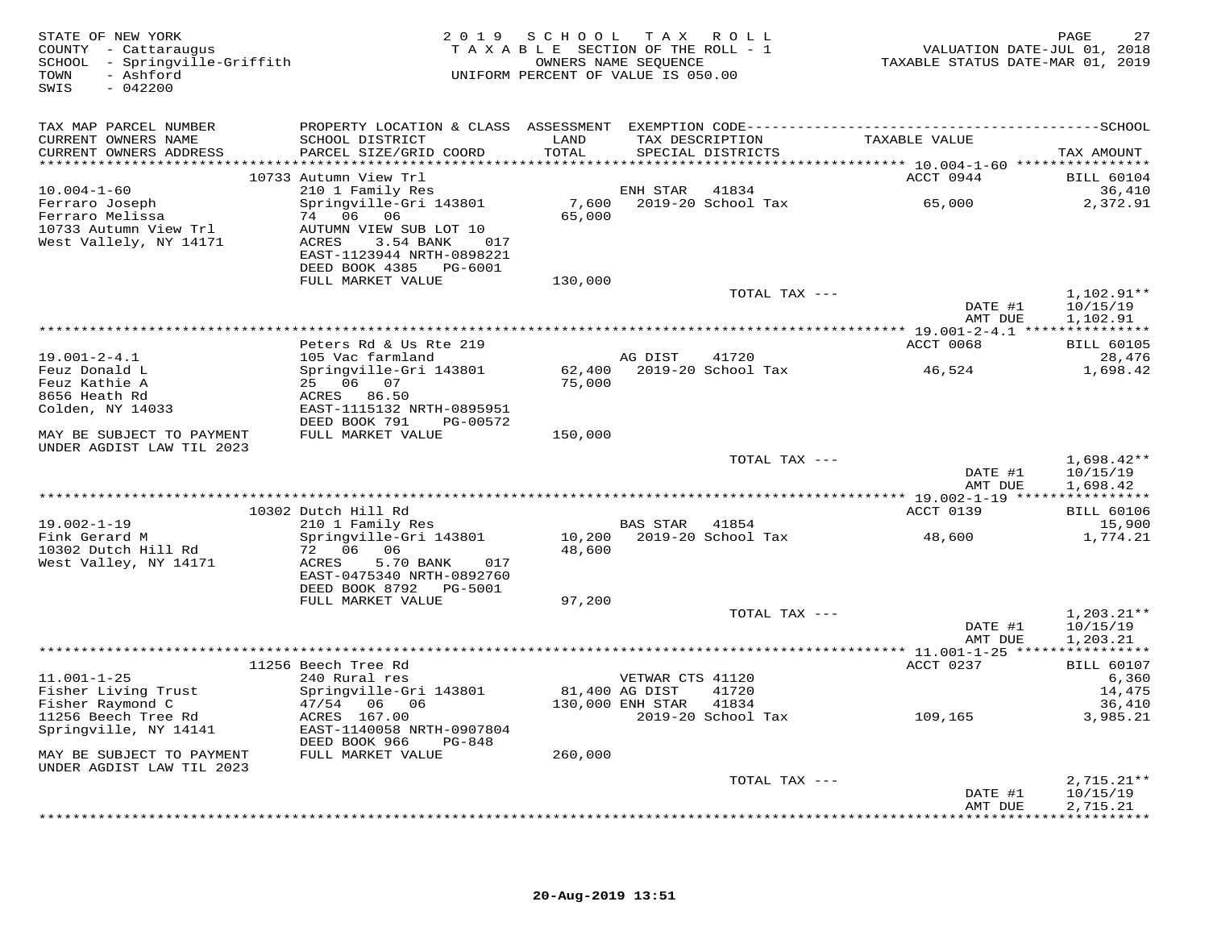| STATE OF NEW YORK<br>COUNTY - Cattaraugus<br>SCHOOL - Springville-Griffith<br>- Ashford<br>TOWN<br>$-042200$<br>SWIS |                                                                                                                                               | 2019 SCHOOL TAX ROLL<br>TAXABLE SECTION OF THE ROLL - 1<br>UNIFORM PERCENT OF VALUE IS 050.00 | OWNERS NAME SEQUENCE                 |                                      | VALUATION DATE-JUL 01, 2018<br>TAXABLE STATUS DATE-MAR 01, 2019 | 27<br>PAGE                           |
|----------------------------------------------------------------------------------------------------------------------|-----------------------------------------------------------------------------------------------------------------------------------------------|-----------------------------------------------------------------------------------------------|--------------------------------------|--------------------------------------|-----------------------------------------------------------------|--------------------------------------|
| TAX MAP PARCEL NUMBER<br>CURRENT OWNERS NAME<br>CURRENT OWNERS ADDRESS                                               | PROPERTY LOCATION & CLASS ASSESSMENT EXEMPTION CODE-----------------------------------SCHOOL<br>SCHOOL DISTRICT<br>PARCEL SIZE/GRID COORD     | LAND<br>TOTAL                                                                                 |                                      | TAX DESCRIPTION<br>SPECIAL DISTRICTS | TAXABLE VALUE                                                   | TAX AMOUNT                           |
| $10.004 - 1 - 60$                                                                                                    | 10733 Autumn View Trl<br>210 1 Family Res                                                                                                     |                                                                                               | ENH STAR 41834                       |                                      | ACCT 0944                                                       | <b>BILL 60104</b><br>36,410          |
| Ferraro Joseph<br>Ferraro Melissa<br>10733 Autumn View Trl<br>West Vallely, NY 14171                                 | Springville-Gri 143801<br>74 06 06<br>AUTUMN VIEW SUB LOT 10<br>ACRES<br>3.54 BANK 017<br>EAST-1123944 NRTH-0898221<br>DEED BOOK 4385 PG-6001 | 7,600<br>65,000                                                                               |                                      |                                      | 2019-20 School Tax 65,000                                       | 2,372.91                             |
|                                                                                                                      | FULL MARKET VALUE                                                                                                                             | 130,000                                                                                       |                                      | TOTAL TAX ---                        |                                                                 | $1,102.91**$                         |
|                                                                                                                      |                                                                                                                                               |                                                                                               |                                      |                                      | DATE #1<br>AMT DUE                                              | 10/15/19<br>1,102.91                 |
|                                                                                                                      | Peters Rd & Us Rte 219                                                                                                                        |                                                                                               |                                      |                                      | ACCT 0068                                                       | <b>BILL 60105</b>                    |
| $19.001 - 2 - 4.1$                                                                                                   | 105 Vac farmland                                                                                                                              |                                                                                               | AG DIST 41720                        |                                      |                                                                 | 28,476                               |
| Feuz Donald L<br>Feuz Kathie A<br>8656 Heath Rd<br>Colden, NY 14033                                                  | Springville-Gri 143801<br>25 06 07<br>ACRES 86.50<br>EAST-1115132 NRTH-0895951                                                                | 75,000                                                                                        |                                      | 62,400 2019-20 School Tax            | 46,524                                                          | 1,698.42                             |
| MAY BE SUBJECT TO PAYMENT                                                                                            | DEED BOOK 791 PG-00572<br>FULL MARKET VALUE                                                                                                   | 150,000                                                                                       |                                      |                                      |                                                                 |                                      |
| UNDER AGDIST LAW TIL 2023                                                                                            |                                                                                                                                               |                                                                                               |                                      |                                      |                                                                 |                                      |
|                                                                                                                      |                                                                                                                                               |                                                                                               |                                      | TOTAL TAX ---                        | DATE #1<br>AMT DUE                                              | $1,698.42**$<br>10/15/19<br>1,698.42 |
|                                                                                                                      | 10302 Dutch Hill Rd                                                                                                                           |                                                                                               |                                      |                                      | ACCT 0139                                                       | <b>BILL 60106</b>                    |
| $19.002 - 1 - 19$<br>Fink Gerard M<br>10302 Dutch Hill Rd<br>West Valley, NY 14171                                   | 210 1 Family Res<br>Springville-Gri 143801<br>72 06 06<br>ACRES<br>5.70 BANK<br>017<br>EAST-0475340 NRTH-0892760                              | 48,600                                                                                        | BAS STAR 41854                       | 10,200 2019-20 School Tax            | 48,600                                                          | 15,900<br>1,774.21                   |
|                                                                                                                      | DEED BOOK 8792    PG-5001                                                                                                                     |                                                                                               |                                      |                                      |                                                                 |                                      |
|                                                                                                                      | FULL MARKET VALUE                                                                                                                             | 97,200                                                                                        |                                      | TOTAL TAX ---                        | DATE #1                                                         | $1,203.21**$<br>10/15/19             |
|                                                                                                                      |                                                                                                                                               |                                                                                               |                                      |                                      | AMT DUE                                                         | 1,203.21                             |
|                                                                                                                      | 11256 Beech Tree Rd                                                                                                                           |                                                                                               |                                      |                                      | ACCT 0237                                                       | <b>BILL 60107</b>                    |
| $11.001 - 1 - 25$<br>Fisher Living Trust<br>Fisher Raymond C                                                         | 240 Rural res<br>Springville-Gri 143801<br>47/54 06 06                                                                                        | 81,400 AG DIST                                                                                | VETWAR CTS 41120<br>130,000 ENH STAR | 41720<br>41834                       |                                                                 | 6,360<br>14,475<br>36,410            |
| 11256 Beech Tree Rd<br>Springville, NY 14141                                                                         | ACRES 167.00<br>EAST-1140058 NRTH-0907804<br>DEED BOOK 966<br>PG-848                                                                          |                                                                                               |                                      | 2019-20 School Tax                   | 109,165                                                         | 3,985.21                             |
| MAY BE SUBJECT TO PAYMENT<br>UNDER AGDIST LAW TIL 2023                                                               | FULL MARKET VALUE                                                                                                                             | 260,000                                                                                       |                                      |                                      |                                                                 |                                      |
|                                                                                                                      |                                                                                                                                               |                                                                                               |                                      | TOTAL TAX ---                        | DATE #1<br>AMT DUE                                              | $2,715.21**$<br>10/15/19<br>2,715.21 |
|                                                                                                                      |                                                                                                                                               |                                                                                               |                                      |                                      |                                                                 |                                      |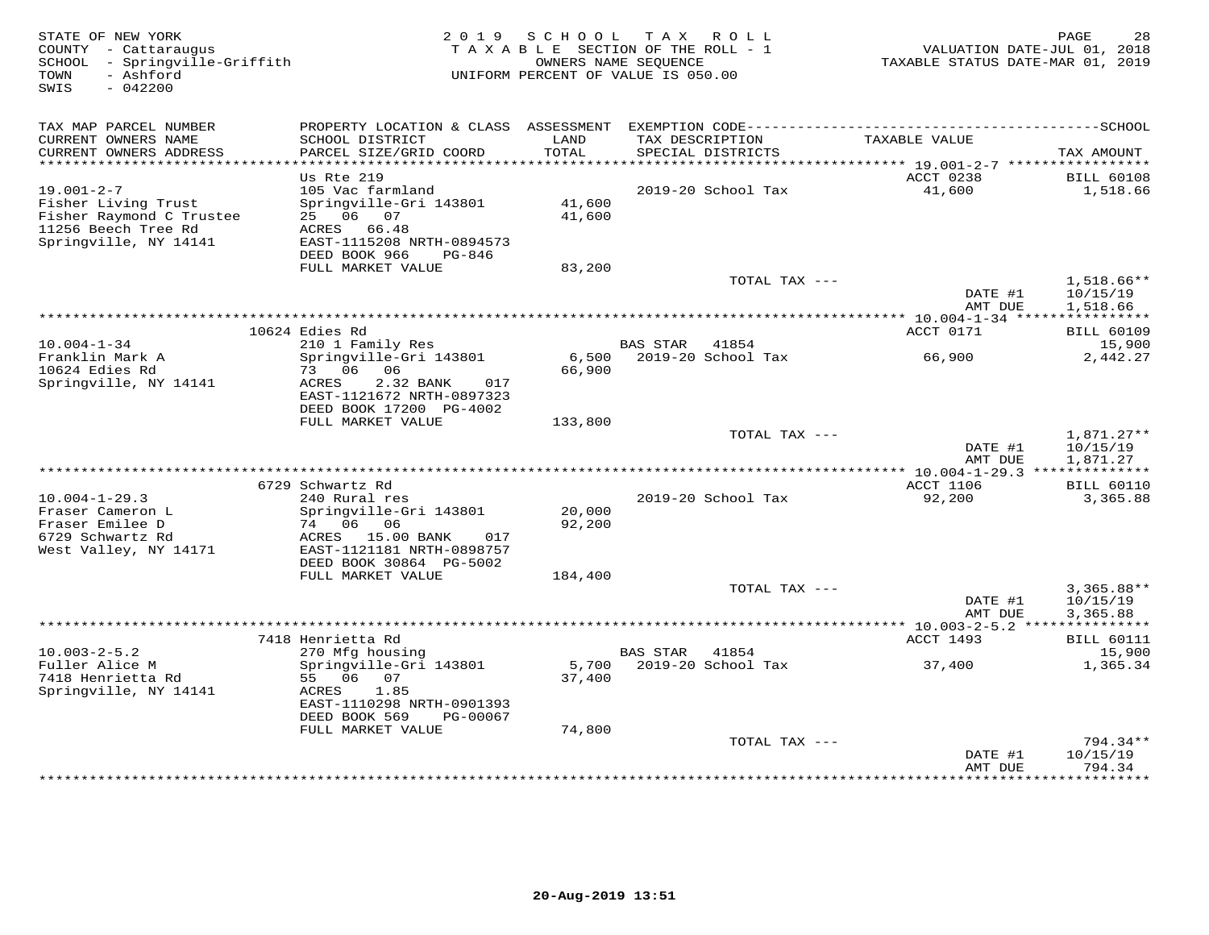| STATE OF NEW YORK<br>COUNTY - Cattaraugus<br>- Springville-Griffith<br>SCHOOL<br>TOWN<br>- Ashford<br>SWIS<br>$-042200$ | 2 0 1 9                                              | SCHOOL          | T A X<br>R O L L<br>TAXABLE SECTION OF THE ROLL - 1<br>OWNERS NAME SEQUENCE<br>UNIFORM PERCENT OF VALUE IS 050.00 |               | TAXABLE STATUS DATE-MAR 01, 2019         | 28<br>PAGE<br>VALUATION DATE-JUL 01, 2018 |
|-------------------------------------------------------------------------------------------------------------------------|------------------------------------------------------|-----------------|-------------------------------------------------------------------------------------------------------------------|---------------|------------------------------------------|-------------------------------------------|
| TAX MAP PARCEL NUMBER                                                                                                   |                                                      |                 |                                                                                                                   |               |                                          |                                           |
| CURRENT OWNERS NAME                                                                                                     | SCHOOL DISTRICT                                      | LAND            | TAX DESCRIPTION                                                                                                   |               | TAXABLE VALUE                            |                                           |
| CURRENT OWNERS ADDRESS<br>**********************                                                                        | PARCEL SIZE/GRID COORD<br>*************************  | TOTAL           | SPECIAL DISTRICTS                                                                                                 |               |                                          | TAX AMOUNT                                |
|                                                                                                                         | Us Rte 219                                           |                 |                                                                                                                   |               | ACCT 0238                                | <b>BILL 60108</b>                         |
| $19.001 - 2 - 7$                                                                                                        | 105 Vac farmland                                     |                 | 2019-20 School Tax                                                                                                |               | 41,600                                   | 1,518.66                                  |
| Fisher Living Trust                                                                                                     | Springville-Gri 143801                               | 41,600          |                                                                                                                   |               |                                          |                                           |
| Fisher Raymond C Trustee                                                                                                | 25 06 07                                             | 41,600          |                                                                                                                   |               |                                          |                                           |
| 11256 Beech Tree Rd<br>Springville, NY 14141                                                                            | ACRES<br>66.48<br>EAST-1115208 NRTH-0894573          |                 |                                                                                                                   |               |                                          |                                           |
|                                                                                                                         | DEED BOOK 966<br>PG-846                              |                 |                                                                                                                   |               |                                          |                                           |
|                                                                                                                         | FULL MARKET VALUE                                    | 83,200          |                                                                                                                   |               |                                          |                                           |
|                                                                                                                         |                                                      |                 |                                                                                                                   | TOTAL TAX --- |                                          | $1,518.66**$                              |
|                                                                                                                         |                                                      |                 |                                                                                                                   |               | DATE #1<br>AMT DUE                       | 10/15/19<br>1,518.66                      |
|                                                                                                                         |                                                      |                 | ***********************************                                                                               |               | *** $10.004 - 1 - 34$ *****************  |                                           |
|                                                                                                                         | 10624 Edies Rd                                       |                 |                                                                                                                   |               | ACCT 0171                                | <b>BILL 60109</b>                         |
| $10.004 - 1 - 34$                                                                                                       | 210 1 Family Res                                     |                 | <b>BAS STAR</b><br>41854                                                                                          |               |                                          | 15,900                                    |
| Franklin Mark A<br>10624 Edies Rd                                                                                       | Springville-Gri 143801<br>73 06<br>06                | 6,500<br>66,900 | 2019-20 School Tax                                                                                                |               | 66,900                                   | 2,442.27                                  |
| Springville, NY 14141                                                                                                   | ACRES<br>2.32 BANK<br>017                            |                 |                                                                                                                   |               |                                          |                                           |
|                                                                                                                         | EAST-1121672 NRTH-0897323                            |                 |                                                                                                                   |               |                                          |                                           |
|                                                                                                                         | DEED BOOK 17200 PG-4002                              |                 |                                                                                                                   |               |                                          |                                           |
|                                                                                                                         | FULL MARKET VALUE                                    | 133,800         |                                                                                                                   | TOTAL TAX --- |                                          | $1,871.27**$                              |
|                                                                                                                         |                                                      |                 |                                                                                                                   |               | DATE #1                                  | 10/15/19                                  |
|                                                                                                                         |                                                      |                 |                                                                                                                   |               | AMT DUE                                  | 1,871.27                                  |
|                                                                                                                         |                                                      |                 |                                                                                                                   |               |                                          |                                           |
| $10.004 - 1 - 29.3$                                                                                                     | 6729 Schwartz Rd<br>240 Rural res                    |                 | 2019-20 School Tax                                                                                                |               | <b>ACCT 1106</b><br>92,200               | <b>BILL 60110</b><br>3,365.88             |
| Fraser Cameron L                                                                                                        | Springville-Gri 143801                               | 20,000          |                                                                                                                   |               |                                          |                                           |
| Fraser Emilee D                                                                                                         | 74 06<br>06                                          | 92,200          |                                                                                                                   |               |                                          |                                           |
| 6729 Schwartz Rd                                                                                                        | ACRES 15.00 BANK<br>017                              |                 |                                                                                                                   |               |                                          |                                           |
| West Valley, NY 14171                                                                                                   | EAST-1121181 NRTH-0898757<br>DEED BOOK 30864 PG-5002 |                 |                                                                                                                   |               |                                          |                                           |
|                                                                                                                         | FULL MARKET VALUE                                    | 184,400         |                                                                                                                   |               |                                          |                                           |
|                                                                                                                         |                                                      |                 |                                                                                                                   | TOTAL TAX --- |                                          | $3,365.88**$                              |
|                                                                                                                         |                                                      |                 |                                                                                                                   |               | DATE #1                                  | 10/15/19                                  |
|                                                                                                                         |                                                      |                 |                                                                                                                   |               | AMT DUE<br>*********** 10.003-2-5.2 **** | 3,365.88<br>***********                   |
|                                                                                                                         | 7418 Henrietta Rd                                    |                 |                                                                                                                   |               | ACCT 1493                                | <b>BILL 60111</b>                         |
| $10.003 - 2 - 5.2$                                                                                                      | 270 Mfg housing                                      |                 | <b>BAS STAR</b><br>41854                                                                                          |               |                                          | 15,900                                    |
| Fuller Alice M                                                                                                          | Springville-Gri 143801                               | 5,700           | 2019-20 School Tax                                                                                                |               | 37,400                                   | 1,365.34                                  |
| 7418 Henrietta Rd                                                                                                       | 55 06<br>07                                          | 37,400          |                                                                                                                   |               |                                          |                                           |
| Springville, NY 14141                                                                                                   | 1.85<br>ACRES<br>EAST-1110298 NRTH-0901393           |                 |                                                                                                                   |               |                                          |                                           |
|                                                                                                                         | DEED BOOK 569<br>PG-00067                            |                 |                                                                                                                   |               |                                          |                                           |
|                                                                                                                         | FULL MARKET VALUE                                    | 74,800          |                                                                                                                   |               |                                          |                                           |
|                                                                                                                         |                                                      |                 |                                                                                                                   | TOTAL TAX --- |                                          | 794.34**                                  |
|                                                                                                                         |                                                      |                 |                                                                                                                   |               | DATE #1<br>AMT DUE                       | 10/15/19<br>794.34                        |
|                                                                                                                         |                                                      |                 |                                                                                                                   |               |                                          | *********                                 |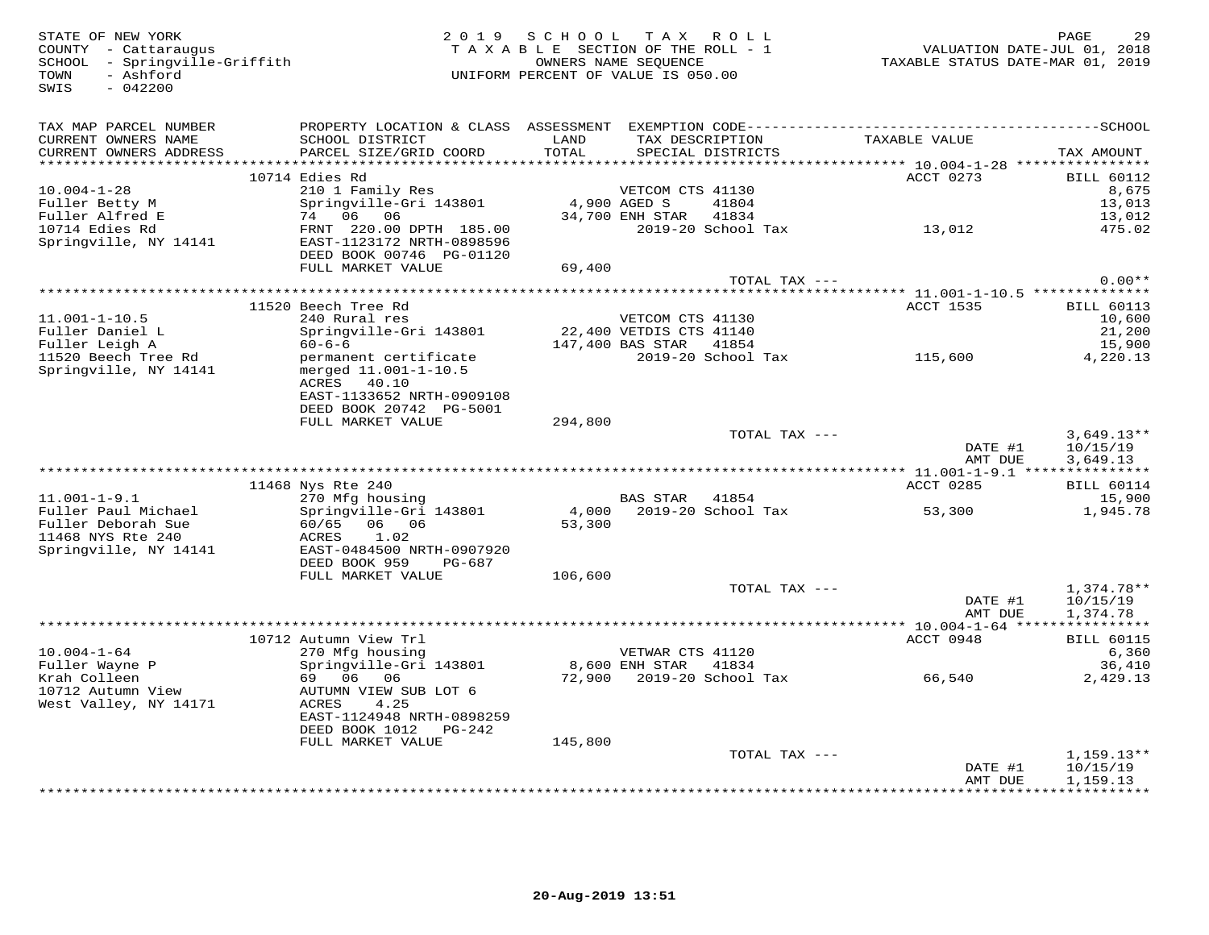| STATE OF NEW YORK<br>COUNTY - Cattaraugus<br>SCHOOL - Springville-Griffith<br>- Ashford<br>TOWN<br>SWIS<br>$-042200$ |                                                                                              | 2019 SCHOOL TAX ROLL<br>TAXABLE SECTION OF THE ROLL - 1<br>UNIFORM PERCENT OF VALUE IS 050.00 | OWNERS NAME SEQUENCE   |                                | TAXABLE STATUS DATE-MAR 01, 2019 | 29<br>PAGE<br>VALUATION DATE-JUL 01, 2018 |
|----------------------------------------------------------------------------------------------------------------------|----------------------------------------------------------------------------------------------|-----------------------------------------------------------------------------------------------|------------------------|--------------------------------|----------------------------------|-------------------------------------------|
| TAX MAP PARCEL NUMBER                                                                                                |                                                                                              |                                                                                               |                        |                                |                                  |                                           |
| CURRENT OWNERS NAME<br>CURRENT OWNERS ADDRESS                                                                        | SCHOOL DISTRICT<br>PARCEL SIZE/GRID COORD                                                    | LAND<br>TOTAL                                                                                 | TAX DESCRIPTION        | SPECIAL DISTRICTS              | TAXABLE VALUE                    | TAX AMOUNT                                |
|                                                                                                                      |                                                                                              |                                                                                               |                        |                                |                                  |                                           |
| $10.004 - 1 - 28$                                                                                                    | 10714 Edies Rd<br>210 1 Family Res                                                           |                                                                                               | VETCOM CTS 41130       |                                | ACCT 0273                        | <b>BILL 60112</b><br>8,675                |
| Fuller Betty M                                                                                                       | Springville-Gri 143801                                                                       | 4,900 AGED S                                                                                  |                        | 41804                          |                                  | 13,013                                    |
| Fuller Alfred E                                                                                                      | 74 06 06                                                                                     |                                                                                               | 34,700 ENH STAR 41834  |                                |                                  | 13,012                                    |
| 10714 Edies Rd<br>Springville, NY 14141                                                                              | FRNT 220.00 DPTH 185.00<br>EAST-1123172 NRTH-0898596<br>DEED BOOK 00746 PG-01120             |                                                                                               |                        |                                | 2019-20 School Tax 13,012        | 475.02                                    |
|                                                                                                                      | FULL MARKET VALUE                                                                            | 69,400                                                                                        |                        |                                |                                  |                                           |
|                                                                                                                      |                                                                                              |                                                                                               |                        | TOTAL TAX ---                  |                                  | $0.00**$                                  |
|                                                                                                                      | 11520 Beech Tree Rd                                                                          |                                                                                               |                        |                                | ACCT 1535                        | <b>BILL 60113</b>                         |
| $11.001 - 1 - 10.5$                                                                                                  | 240 Rural res                                                                                |                                                                                               | VETCOM CTS 41130       |                                |                                  | 10,600                                    |
| Fuller Daniel L                                                                                                      | Springville-Gri 143801                                                                       | 22,400 VETDIS CTS 41140                                                                       |                        |                                |                                  | 21,200                                    |
| Fuller Leigh A                                                                                                       | $60 - 6 - 6$                                                                                 |                                                                                               | 147,400 BAS STAR 41854 |                                |                                  | 15,900                                    |
| 11520 Beech Tree Rd<br>Springville, NY 14141                                                                         | permanent certificate<br>merged 11.001-1-10.5<br>40.10<br>ACRES<br>EAST-1133652 NRTH-0909108 |                                                                                               |                        | 2019-20 School Tax             | 115,600                          | 4,220.13                                  |
|                                                                                                                      | DEED BOOK 20742 PG-5001                                                                      |                                                                                               |                        |                                |                                  |                                           |
|                                                                                                                      | FULL MARKET VALUE                                                                            | 294,800                                                                                       |                        |                                |                                  |                                           |
|                                                                                                                      |                                                                                              |                                                                                               |                        | TOTAL TAX ---                  | DATE #1<br>AMT DUE               | $3,649.13**$<br>10/15/19<br>3,649.13      |
|                                                                                                                      |                                                                                              |                                                                                               |                        |                                |                                  |                                           |
|                                                                                                                      | 11468 Nys Rte 240                                                                            |                                                                                               |                        |                                | ACCT 0285                        | <b>BILL 60114</b>                         |
| $11.001 - 1 - 9.1$                                                                                                   | 270 Mfg housing                                                                              |                                                                                               | <b>BAS STAR</b> 41854  |                                |                                  | 15,900                                    |
| Fuller Paul Michael<br>Fuller Deborah Sue<br>11468 NYS Rte 240<br>Springville, NY 14141                              | Springville-Gri 143801<br>60/65<br>06 06<br>ACRES<br>1.02<br>EAST-0484500 NRTH-0907920       | 53,300                                                                                        |                        | 4,000    2019-20    School Tax | 53,300                           | 1,945.78                                  |
|                                                                                                                      | DEED BOOK 959<br>PG-687                                                                      |                                                                                               |                        |                                |                                  |                                           |
|                                                                                                                      | FULL MARKET VALUE                                                                            | 106,600                                                                                       |                        |                                |                                  |                                           |
|                                                                                                                      |                                                                                              |                                                                                               |                        | TOTAL TAX ---                  | DATE #1<br>AMT DUE               | $1,374.78**$<br>10/15/19<br>1,374.78      |
|                                                                                                                      |                                                                                              |                                                                                               |                        |                                |                                  |                                           |
|                                                                                                                      | 10712 Autumn View Trl                                                                        |                                                                                               |                        |                                | ACCT 0948                        | <b>BILL 60115</b>                         |
| $10.004 - 1 - 64$<br>Fuller Wayne P                                                                                  | 270 Mfg housing                                                                              |                                                                                               | VETWAR CTS 41120       |                                |                                  | 6,360                                     |
| Krah Colleen                                                                                                         | Springville-Gri 143801<br>69 06 06                                                           |                                                                                               | 8,600 ENH STAR 41834   |                                | 72,900 2019-20 School Tax 66,540 | 36,410<br>2,429.13                        |
| 10712 Autumn View<br>West Valley, NY 14171                                                                           | AUTUMN VIEW SUB LOT 6<br>4.25<br>ACRES<br>EAST-1124948 NRTH-0898259                          |                                                                                               |                        |                                |                                  |                                           |
|                                                                                                                      | DEED BOOK 1012 PG-242                                                                        |                                                                                               |                        |                                |                                  |                                           |
|                                                                                                                      | FULL MARKET VALUE                                                                            | 145,800                                                                                       |                        |                                |                                  |                                           |
|                                                                                                                      |                                                                                              |                                                                                               |                        | TOTAL TAX ---                  | DATE #1<br>AMT DUE               | $1,159.13**$<br>10/15/19<br>1,159.13      |
|                                                                                                                      |                                                                                              |                                                                                               |                        |                                |                                  | *************                             |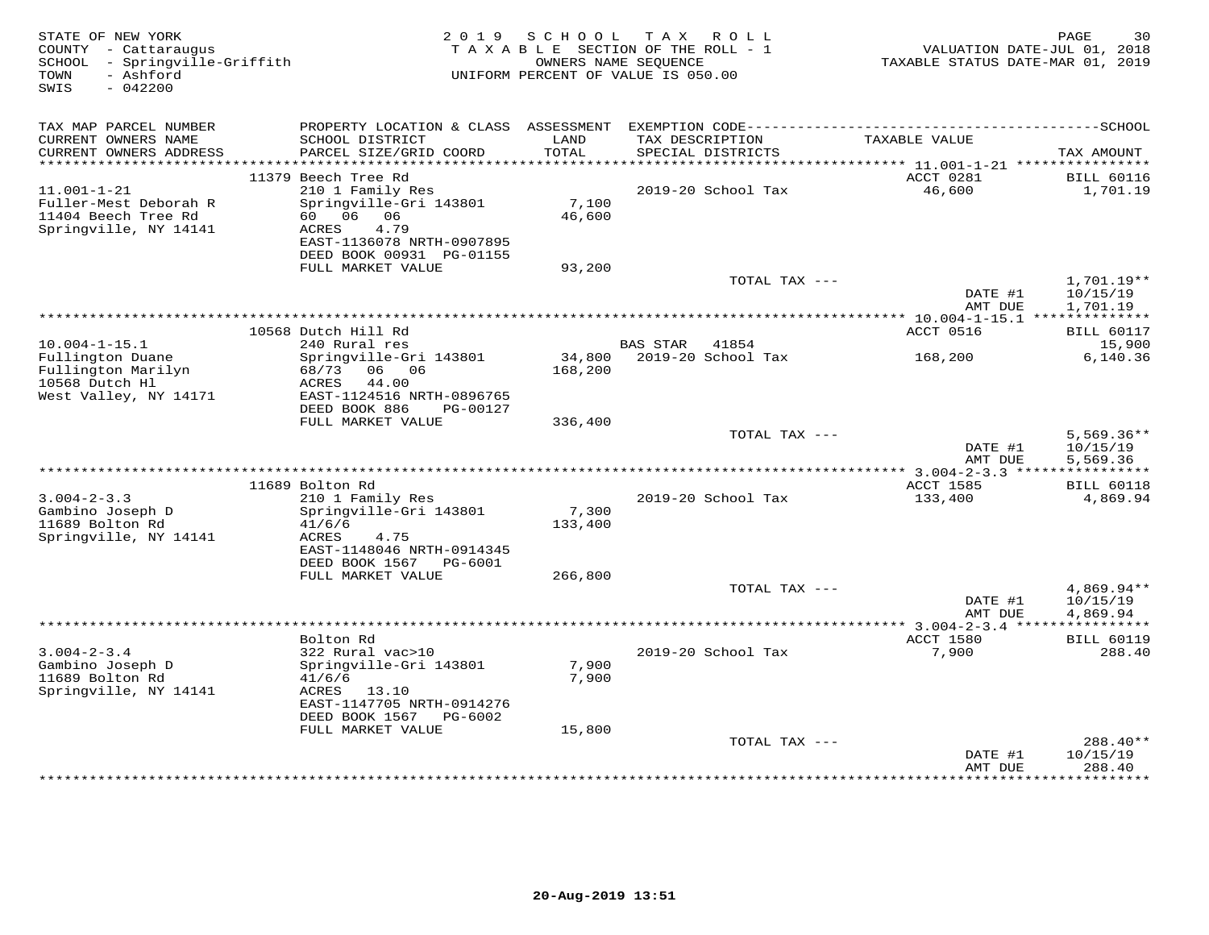| STATE OF NEW YORK<br>COUNTY - Cattaraugus<br>SCHOOL - Springville-Griffith<br>- Ashford<br>TOWN<br>$-042200$<br>SWIS | 2 0 1 9                                                | SCHOOL<br>OWNERS NAME SEOUENCE | TAX ROLL<br>TAXABLE SECTION OF THE ROLL - 1<br>UNIFORM PERCENT OF VALUE IS 050.00 | VALUATION DATE-JUL 01, 2018<br>TAXABLE STATUS DATE-MAR 01, 2019 | PAGE<br>30                  |
|----------------------------------------------------------------------------------------------------------------------|--------------------------------------------------------|--------------------------------|-----------------------------------------------------------------------------------|-----------------------------------------------------------------|-----------------------------|
| TAX MAP PARCEL NUMBER                                                                                                | PROPERTY LOCATION & CLASS ASSESSMENT                   |                                |                                                                                   |                                                                 |                             |
| CURRENT OWNERS NAME<br>CURRENT OWNERS ADDRESS<br>**********************                                              | SCHOOL DISTRICT<br>PARCEL SIZE/GRID COORD              | LAND<br>TOTAL                  | TAX DESCRIPTION<br>SPECIAL DISTRICTS                                              | TAXABLE VALUE                                                   | TAX AMOUNT                  |
|                                                                                                                      | 11379 Beech Tree Rd                                    |                                |                                                                                   | ACCT 0281                                                       | <b>BILL 60116</b>           |
| $11.001 - 1 - 21$                                                                                                    | 210 1 Family Res                                       |                                | 2019-20 School Tax                                                                | 46,600                                                          | 1,701.19                    |
| Fuller-Mest Deborah R<br>11404 Beech Tree Rd                                                                         | Springville-Gri 143801<br>60 06<br>06                  | 7,100<br>46,600                |                                                                                   |                                                                 |                             |
| Springville, NY 14141                                                                                                | <b>ACRES</b><br>4.79<br>EAST-1136078 NRTH-0907895      |                                |                                                                                   |                                                                 |                             |
|                                                                                                                      | DEED BOOK 00931 PG-01155<br>FULL MARKET VALUE          | 93,200                         |                                                                                   |                                                                 |                             |
|                                                                                                                      |                                                        |                                | TOTAL TAX ---                                                                     |                                                                 | $1,701.19**$                |
|                                                                                                                      |                                                        |                                |                                                                                   | DATE #1<br>AMT DUE                                              | 10/15/19<br>1,701.19        |
|                                                                                                                      |                                                        |                                | ********************************                                                  | *** 10.004-1-15.1 ***                                           | ***********                 |
| $10.004 - 1 - 15.1$                                                                                                  | 10568 Dutch Hill Rd<br>240 Rural res                   |                                | <b>BAS STAR</b><br>41854                                                          | ACCT 0516                                                       | <b>BILL 60117</b><br>15,900 |
| Fullington Duane                                                                                                     | Springville-Gri 143801                                 | 34,800                         | 2019-20 School Tax                                                                | 168,200                                                         | 6,140.36                    |
| Fullington Marilyn                                                                                                   | 68/73<br>06 06                                         | 168,200                        |                                                                                   |                                                                 |                             |
| 10568 Dutch Hl                                                                                                       | ACRES<br>44.00                                         |                                |                                                                                   |                                                                 |                             |
| West Valley, NY 14171                                                                                                | EAST-1124516 NRTH-0896765<br>DEED BOOK 886<br>PG-00127 |                                |                                                                                   |                                                                 |                             |
|                                                                                                                      | FULL MARKET VALUE                                      | 336,400                        |                                                                                   |                                                                 |                             |
|                                                                                                                      |                                                        |                                | TOTAL TAX ---                                                                     |                                                                 | $5,569.36**$                |
|                                                                                                                      |                                                        |                                |                                                                                   | DATE #1                                                         | 10/15/19                    |
|                                                                                                                      |                                                        |                                |                                                                                   | AMT DUE                                                         | 5,569.36<br>***********     |
|                                                                                                                      | 11689 Bolton Rd                                        |                                |                                                                                   | <b>ACCT 1585</b>                                                | <b>BILL 60118</b>           |
| $3.004 - 2 - 3.3$                                                                                                    | 210 1 Family Res                                       |                                | 2019-20 School Tax                                                                | 133,400                                                         | 4,869.94                    |
| Gambino Joseph D                                                                                                     | Springville-Gri 143801                                 | 7,300                          |                                                                                   |                                                                 |                             |
| 11689 Bolton Rd                                                                                                      | 41/6/6                                                 | 133,400                        |                                                                                   |                                                                 |                             |
| Springville, NY 14141                                                                                                | ACRES<br>4.75<br>EAST-1148046 NRTH-0914345             |                                |                                                                                   |                                                                 |                             |
|                                                                                                                      | DEED BOOK 1567<br>PG-6001                              |                                |                                                                                   |                                                                 |                             |
|                                                                                                                      | FULL MARKET VALUE                                      | 266,800                        |                                                                                   |                                                                 |                             |
|                                                                                                                      |                                                        |                                | TOTAL TAX ---                                                                     |                                                                 | $4,869.94**$                |
|                                                                                                                      |                                                        |                                |                                                                                   | DATE #1                                                         | 10/15/19                    |
|                                                                                                                      |                                                        |                                |                                                                                   | AMT DUE                                                         | 4,869.94                    |
|                                                                                                                      | Bolton Rd                                              |                                |                                                                                   | ACCT 1580                                                       | <b>BILL 60119</b>           |
| $3.004 - 2 - 3.4$                                                                                                    | 322 Rural vac>10                                       |                                | 2019-20 School Tax                                                                | 7,900                                                           | 288.40                      |
| Gambino Joseph D                                                                                                     | Springville-Gri 143801                                 | 7,900                          |                                                                                   |                                                                 |                             |
| 11689 Bolton Rd                                                                                                      | 41/6/6                                                 | 7,900                          |                                                                                   |                                                                 |                             |
| Springville, NY 14141                                                                                                | ACRES<br>13.10<br>EAST-1147705 NRTH-0914276            |                                |                                                                                   |                                                                 |                             |
|                                                                                                                      | DEED BOOK 1567<br>PG-6002                              |                                |                                                                                   |                                                                 |                             |
|                                                                                                                      | FULL MARKET VALUE                                      | 15,800                         |                                                                                   |                                                                 |                             |
|                                                                                                                      |                                                        |                                | TOTAL TAX ---                                                                     |                                                                 | $288.40**$                  |
|                                                                                                                      |                                                        |                                |                                                                                   | DATE #1<br>AMT DUE                                              | 10/15/19<br>288.40          |
|                                                                                                                      |                                                        |                                |                                                                                   | ********                                                        | *********                   |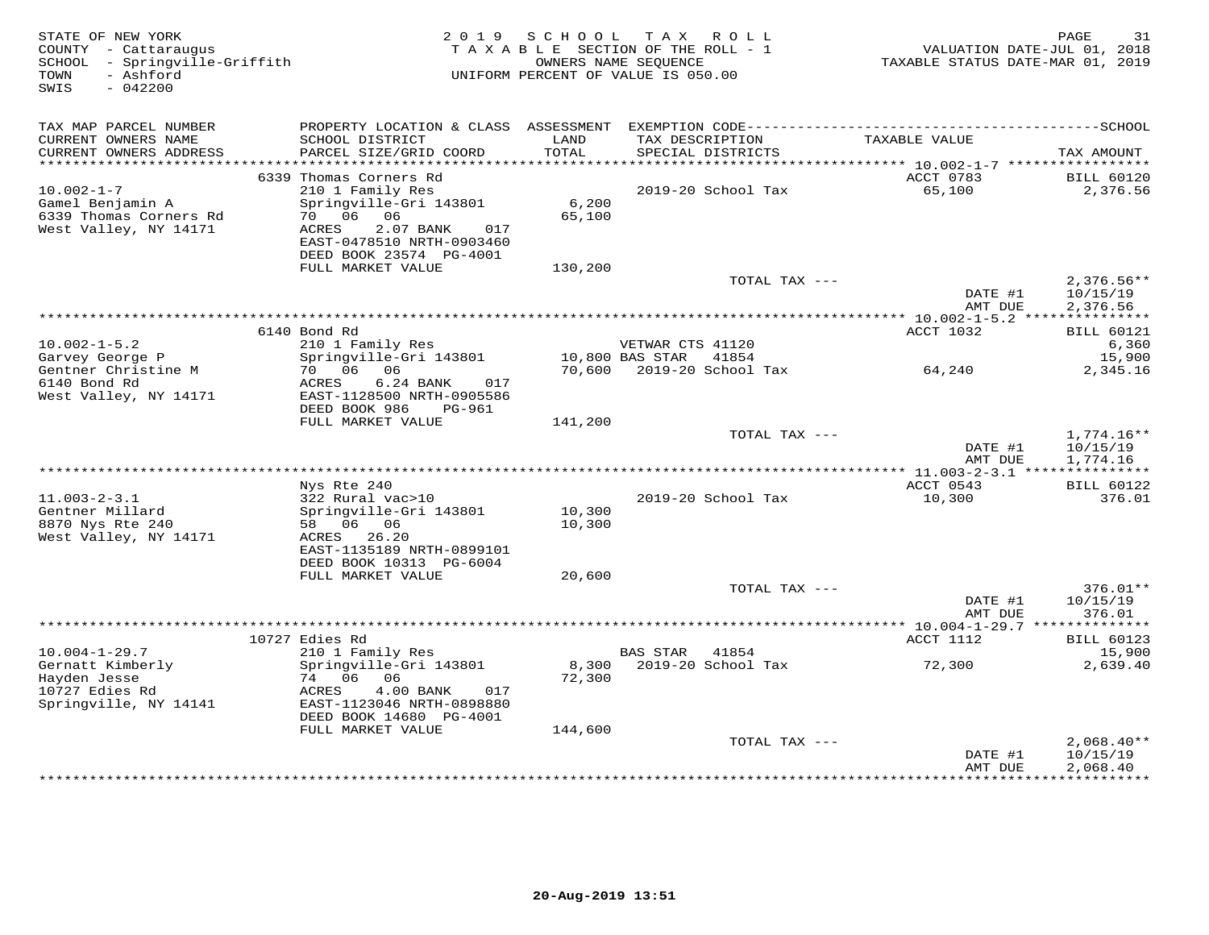| STATE OF NEW YORK<br>COUNTY - Cattaraugus<br>SCHOOL - Springville-Griffith<br>- Ashford<br>TOWN<br>$-042200$<br>SWIS |                                                                                                                         | 2019 SCHOOL      | TAX ROLL<br>TAXABLE SECTION OF THE ROLL - 1<br>OWNERS NAME SEQUENCE<br>UNIFORM PERCENT OF VALUE IS 050.00 | TAXABLE STATUS DATE-MAR 01, 2019 | PAGE<br>31<br>VALUATION DATE-JUL 01, 2018 |
|----------------------------------------------------------------------------------------------------------------------|-------------------------------------------------------------------------------------------------------------------------|------------------|-----------------------------------------------------------------------------------------------------------|----------------------------------|-------------------------------------------|
| TAX MAP PARCEL NUMBER                                                                                                |                                                                                                                         |                  |                                                                                                           |                                  |                                           |
| CURRENT OWNERS NAME<br>CURRENT OWNERS ADDRESS                                                                        | SCHOOL DISTRICT<br>PARCEL SIZE/GRID COORD                                                                               | LAND<br>TOTAL    | TAX DESCRIPTION<br>SPECIAL DISTRICTS                                                                      | TAXABLE VALUE                    | TAX AMOUNT                                |
|                                                                                                                      |                                                                                                                         |                  |                                                                                                           |                                  |                                           |
| $10.002 - 1 - 7$                                                                                                     | 6339 Thomas Corners Rd<br>210 1 Family Res                                                                              |                  | 2019-20 School Tax                                                                                        | ACCT 0783<br>65,100              | <b>BILL 60120</b><br>2,376.56             |
| Gamel Benjamin A<br>6339 Thomas Corners Rd<br>West Valley, NY 14171                                                  | Springville-Gri 143801<br>70 06 06<br>2.07 BANK<br>ACRES<br>017<br>EAST-0478510 NRTH-0903460<br>DEED BOOK 23574 PG-4001 | 6,200<br>65,100  |                                                                                                           |                                  |                                           |
|                                                                                                                      | FULL MARKET VALUE                                                                                                       | 130,200          |                                                                                                           |                                  |                                           |
|                                                                                                                      |                                                                                                                         |                  | TOTAL TAX ---                                                                                             | DATE #1<br>AMT DUE               | $2,376.56**$<br>10/15/19<br>2,376.56      |
|                                                                                                                      |                                                                                                                         |                  |                                                                                                           |                                  |                                           |
|                                                                                                                      | 6140 Bond Rd                                                                                                            |                  |                                                                                                           | ACCT 1032                        | <b>BILL 60121</b>                         |
| $10.002 - 1 - 5.2$                                                                                                   | 210 1 Family Res                                                                                                        |                  | VETWAR CTS 41120                                                                                          |                                  | 6,360                                     |
| Garvey George P<br>Gentner Christine M<br>6140 Bond Rd<br>West Valley, NY 14171                                      | Springville-Gri 143801<br>70 06<br>06<br>ACRES<br>6.24 BANK<br>017<br>EAST-1128500 NRTH-0905586                         |                  | 10,800 BAS STAR<br>41854<br>70,600 2019-20 School Tax                                                     | 64,240                           | 15,900<br>2,345.16                        |
|                                                                                                                      | DEED BOOK 986<br>PG-961                                                                                                 |                  |                                                                                                           |                                  |                                           |
|                                                                                                                      | FULL MARKET VALUE                                                                                                       | 141,200          |                                                                                                           |                                  |                                           |
|                                                                                                                      |                                                                                                                         |                  | TOTAL TAX ---                                                                                             | DATE #1<br>AMT DUE               | 1,774.16**<br>10/15/19<br>1,774.16        |
|                                                                                                                      |                                                                                                                         |                  |                                                                                                           |                                  |                                           |
|                                                                                                                      | Nys Rte 240                                                                                                             |                  |                                                                                                           | ACCT 0543                        | <b>BILL 60122</b>                         |
| $11.003 - 2 - 3.1$                                                                                                   | 322 Rural vac>10                                                                                                        |                  | 2019-20 School Tax                                                                                        | 10,300                           | 376.01                                    |
| Gentner Millard<br>8870 Nys Rte 240<br>West Valley, NY 14171                                                         | Springville-Gri 143801<br>58 06 06<br>ACRES 26.20                                                                       | 10,300<br>10,300 |                                                                                                           |                                  |                                           |
|                                                                                                                      | EAST-1135189 NRTH-0899101<br>DEED BOOK 10313 PG-6004                                                                    |                  |                                                                                                           |                                  |                                           |
|                                                                                                                      | FULL MARKET VALUE                                                                                                       | 20,600           |                                                                                                           |                                  |                                           |
|                                                                                                                      |                                                                                                                         |                  | TOTAL TAX ---                                                                                             | DATE #1<br>AMT DUE               | 376.01**<br>10/15/19<br>376.01            |
|                                                                                                                      |                                                                                                                         |                  |                                                                                                           |                                  |                                           |
|                                                                                                                      | 10727 Edies Rd                                                                                                          |                  |                                                                                                           | ACCT 1112                        | <b>BILL 60123</b>                         |
| $10.004 - 1 - 29.7$                                                                                                  | 210 1 Family Res                                                                                                        |                  | <b>BAS STAR</b><br>41854                                                                                  |                                  | 15,900                                    |
| Gernatt Kimberly<br>Hayden Jesse                                                                                     | Springville-Gri 143801<br>74 06<br>06                                                                                   | 8,300<br>72,300  | 2019-20 School Tax                                                                                        | 72,300                           | 2,639.40                                  |
| 10727 Edies Rd                                                                                                       | ACRES<br>4.00 BANK<br>017                                                                                               |                  |                                                                                                           |                                  |                                           |
| Springville, NY 14141                                                                                                | EAST-1123046 NRTH-0898880<br>DEED BOOK 14680 PG-4001                                                                    |                  |                                                                                                           |                                  |                                           |
|                                                                                                                      | FULL MARKET VALUE                                                                                                       | 144,600          |                                                                                                           |                                  |                                           |
|                                                                                                                      |                                                                                                                         |                  | TOTAL TAX ---                                                                                             | DATE #1<br>AMT DUE               | $2,068.40**$<br>10/15/19<br>2,068.40      |
|                                                                                                                      |                                                                                                                         |                  |                                                                                                           |                                  | **********                                |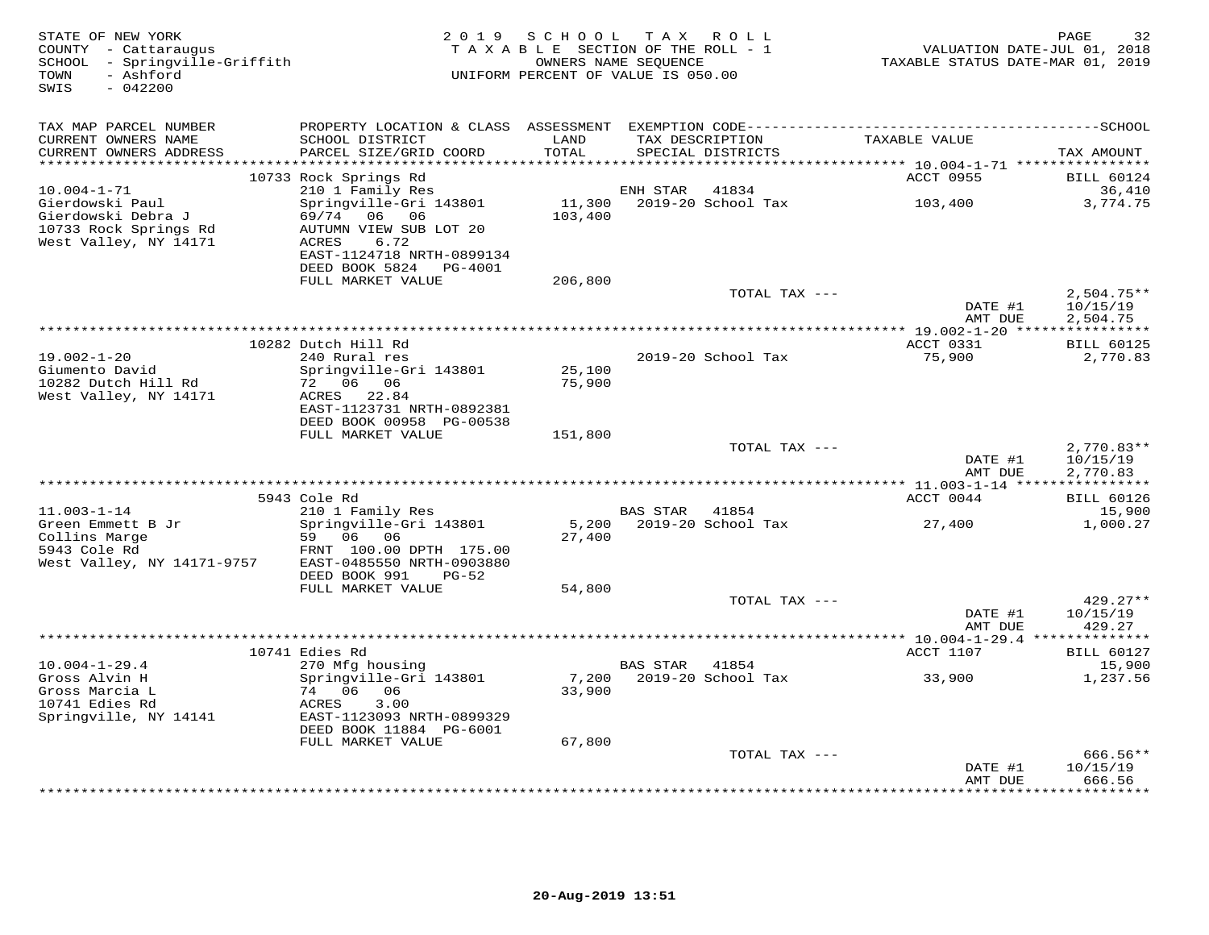| STATE OF NEW YORK<br>COUNTY - Cattaraugus<br>- Springville-Griffith<br>SCHOOL<br>- Ashford<br>TOWN<br>SWIS<br>$-042200$ | 2 0 1 9                                                                                                          | S C H O O L<br>TAXABLE SECTION OF THE ROLL - 1<br>OWNERS NAME SEQUENCE<br>UNIFORM PERCENT OF VALUE IS 050.00 | T A X    | ROLL ROLL                            | VALUATION DATE-JUL 01, 2018<br>TAXABLE STATUS DATE-MAR 01, 2019 | 32<br>PAGE                           |
|-------------------------------------------------------------------------------------------------------------------------|------------------------------------------------------------------------------------------------------------------|--------------------------------------------------------------------------------------------------------------|----------|--------------------------------------|-----------------------------------------------------------------|--------------------------------------|
| TAX MAP PARCEL NUMBER                                                                                                   |                                                                                                                  |                                                                                                              |          |                                      |                                                                 |                                      |
| CURRENT OWNERS NAME<br>CURRENT OWNERS ADDRESS                                                                           | SCHOOL DISTRICT<br>PARCEL SIZE/GRID COORD                                                                        | LAND<br>TOTAL                                                                                                |          | TAX DESCRIPTION<br>SPECIAL DISTRICTS | TAXABLE VALUE                                                   | TAX AMOUNT                           |
| ***********************                                                                                                 | 10733 Rock Springs Rd                                                                                            |                                                                                                              |          |                                      | ACCT 0955                                                       | <b>BILL 60124</b>                    |
| $10.004 - 1 - 71$                                                                                                       | 210 1 Family Res                                                                                                 |                                                                                                              | ENH STAR | 41834                                |                                                                 | 36,410                               |
| Gierdowski Paul<br>Gierdowski Debra J<br>10733 Rock Springs Rd<br>West Valley, NY 14171                                 | Springville-Gri 143801<br>69/74<br>06 06<br>AUTUMN VIEW SUB LOT 20<br>6.72<br>ACRES<br>EAST-1124718 NRTH-0899134 | 11,300<br>103,400                                                                                            |          | 2019-20 School Tax                   | 103,400                                                         | 3,774.75                             |
|                                                                                                                         | DEED BOOK 5824<br>PG-4001<br>FULL MARKET VALUE                                                                   | 206,800                                                                                                      |          |                                      |                                                                 |                                      |
|                                                                                                                         |                                                                                                                  |                                                                                                              |          | TOTAL TAX ---                        | DATE #1                                                         | $2,504.75**$<br>10/15/19             |
|                                                                                                                         |                                                                                                                  |                                                                                                              |          |                                      | AMT DUE                                                         | 2,504.75                             |
|                                                                                                                         |                                                                                                                  |                                                                                                              |          |                                      |                                                                 |                                      |
|                                                                                                                         | 10282 Dutch Hill Rd                                                                                              |                                                                                                              |          |                                      | ACCT 0331                                                       | <b>BILL 60125</b>                    |
| $19.002 - 1 - 20$<br>Giumento David<br>10282 Dutch Hill Rd                                                              | 240 Rural res<br>Springville-Gri 143801<br>72 06 06                                                              | 25,100<br>75,900                                                                                             |          | 2019-20 School Tax                   | 75,900                                                          | 2,770.83                             |
| West Valley, NY 14171                                                                                                   | 22.84<br>ACRES<br>EAST-1123731 NRTH-0892381<br>DEED BOOK 00958 PG-00538                                          |                                                                                                              |          |                                      |                                                                 |                                      |
|                                                                                                                         | FULL MARKET VALUE                                                                                                | 151,800                                                                                                      |          |                                      |                                                                 |                                      |
|                                                                                                                         |                                                                                                                  |                                                                                                              |          | TOTAL TAX ---                        | DATE #1<br>AMT DUE                                              | $2,770.83**$<br>10/15/19<br>2,770.83 |
|                                                                                                                         |                                                                                                                  |                                                                                                              |          |                                      |                                                                 |                                      |
|                                                                                                                         | 5943 Cole Rd                                                                                                     |                                                                                                              |          |                                      | ACCT 0044                                                       | <b>BILL 60126</b>                    |
| $11.003 - 1 - 14$                                                                                                       | 210 1 Family Res                                                                                                 |                                                                                                              | BAS STAR | 41854                                |                                                                 | 15,900                               |
| Green Emmett B Jr<br>Collins Marge<br>5943 Cole Rd<br>West Valley, NY 14171-9757                                        | Springville-Gri 143801<br>59 06<br>06<br>FRNT 100.00 DPTH 175.00<br>EAST-0485550 NRTH-0903880                    | 5,200<br>27,400                                                                                              |          | 2019-20 School Tax                   | 27,400                                                          | 1,000.27                             |
|                                                                                                                         | DEED BOOK 991<br>$PG-52$                                                                                         |                                                                                                              |          |                                      |                                                                 |                                      |
|                                                                                                                         | FULL MARKET VALUE                                                                                                | 54,800                                                                                                       |          |                                      |                                                                 |                                      |
|                                                                                                                         |                                                                                                                  |                                                                                                              |          | TOTAL TAX ---                        | DATE #1<br>AMT DUE                                              | $429.27**$<br>10/15/19<br>429.27     |
|                                                                                                                         |                                                                                                                  |                                                                                                              |          |                                      |                                                                 |                                      |
|                                                                                                                         | 10741 Edies Rd                                                                                                   |                                                                                                              |          |                                      | ACCT 1107                                                       | <b>BILL 60127</b>                    |
| $10.004 - 1 - 29.4$<br>Gross Alvin H                                                                                    | 270 Mfg housing<br>Springville-Gri 143801                                                                        | 7,200                                                                                                        | BAS STAR | 41854<br>2019-20 School Tax          | 33,900                                                          | 15,900<br>1,237.56                   |
| Gross Marcia L                                                                                                          | 74 06<br>06                                                                                                      | 33,900                                                                                                       |          |                                      |                                                                 |                                      |
| 10741 Edies Rd                                                                                                          | ACRES<br>3.00                                                                                                    |                                                                                                              |          |                                      |                                                                 |                                      |
| Springville, NY 14141                                                                                                   | EAST-1123093 NRTH-0899329<br>DEED BOOK 11884 PG-6001                                                             |                                                                                                              |          |                                      |                                                                 |                                      |
|                                                                                                                         | FULL MARKET VALUE                                                                                                | 67,800                                                                                                       |          |                                      |                                                                 |                                      |
|                                                                                                                         |                                                                                                                  |                                                                                                              |          | TOTAL TAX ---                        | DATE #1                                                         | 666.56**<br>10/15/19                 |
|                                                                                                                         |                                                                                                                  |                                                                                                              |          |                                      | AMT DUE                                                         | 666.56<br>* * * * * * * * * *        |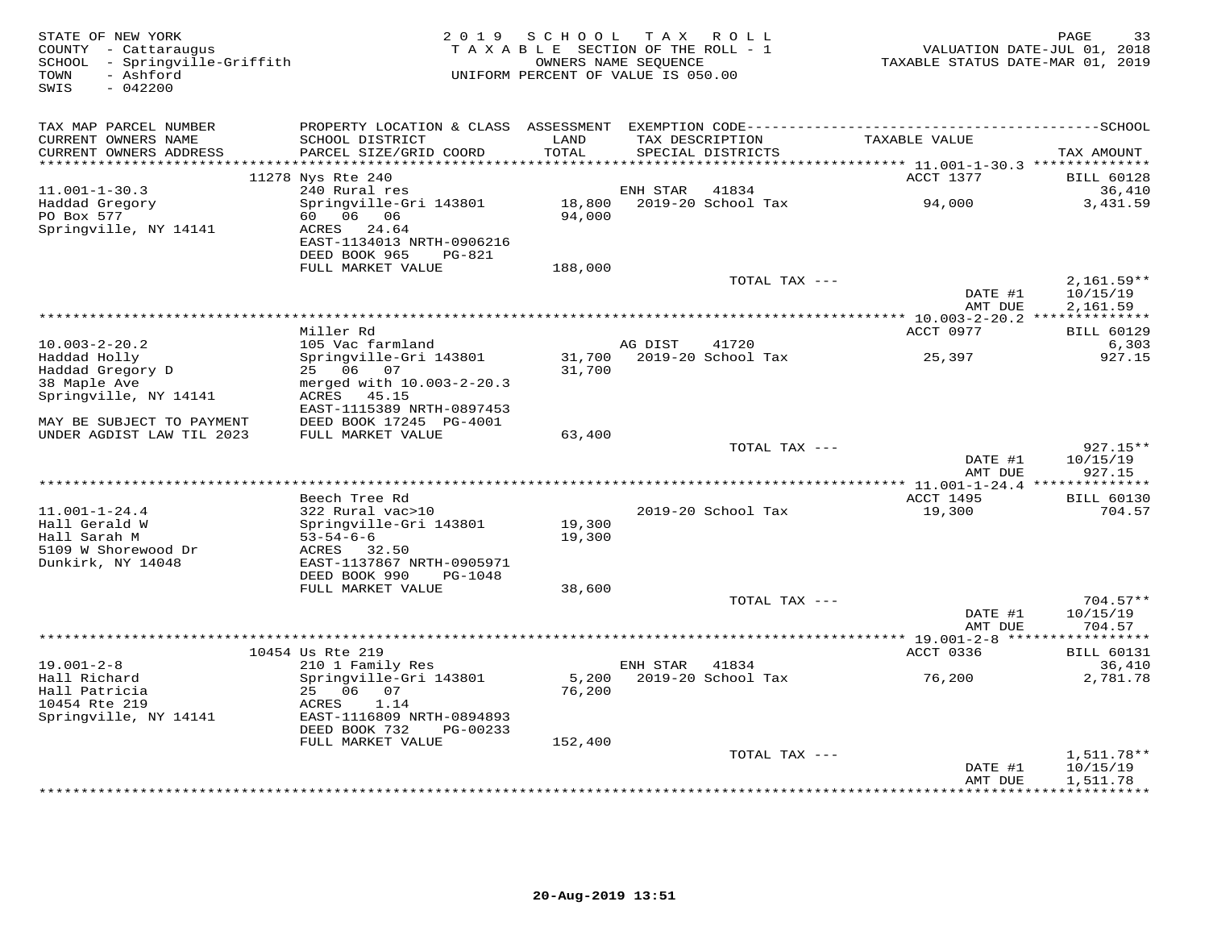| TAX MAP PARCEL NUMBER<br>TAXABLE VALUE<br>CURRENT OWNERS NAME<br>SCHOOL DISTRICT<br>LAND<br>TAX DESCRIPTION<br><b>TOTAL</b><br>CURRENT OWNERS ADDRESS<br>PARCEL SIZE/GRID COORD<br>SPECIAL DISTRICTS<br>TAX AMOUNT<br>***********************<br>11278 Nys Rte 240<br>ACCT 1377<br><b>BILL 60128</b><br>$11.001 - 1 - 30.3$<br>240 Rural res<br>41834<br>36,410<br>ENH STAR<br>Springville-Gri 143801<br>18,800<br>2019-20 School Tax<br>94,000<br>3,431.59<br>Haddad Gregory<br>60 06 06<br>PO Box 577<br>94,000<br>Springville, NY 14141<br>24.64<br>ACRES<br>EAST-1134013 NRTH-0906216<br>DEED BOOK 965<br><b>PG-821</b><br>FULL MARKET VALUE<br>188,000<br>TOTAL TAX ---<br>$2,161.59**$<br>DATE #1<br>10/15/19<br>AMT DUE<br>2,161.59<br>Miller Rd<br>ACCT 0977<br><b>BILL 60129</b><br>6,303<br>$10.003 - 2 - 20.2$<br>105 Vac farmland<br>AG DIST<br>41720<br>Springville-Gri 143801<br>2019-20 School Tax<br>927.15<br>Haddad Holly<br>31,700<br>25,397<br>Haddad Gregory D<br>25 06 07<br>31,700<br>merged with 10.003-2-20.3<br>38 Maple Ave<br>Springville, NY 14141<br>ACRES<br>45.15<br>EAST-1115389 NRTH-0897453<br>MAY BE SUBJECT TO PAYMENT<br>DEED BOOK 17245 PG-4001<br>UNDER AGDIST LAW TIL 2023<br>FULL MARKET VALUE<br>63,400<br>TOTAL TAX ---<br>$927.15**$<br>DATE #1<br>10/15/19<br>AMT DUE<br>927.15<br>*************************<br>** 11.001-1-24.4 ***************<br>Beech Tree Rd<br>ACCT 1495<br><b>BILL 60130</b><br>$11.001 - 1 - 24.4$<br>322 Rural vac>10<br>2019-20 School Tax<br>19,300<br>704.57<br>Hall Gerald W<br>Springville-Gri 143801<br>19,300<br>Hall Sarah M<br>$53 - 54 - 6 - 6$<br>19,300<br>5109 W Shorewood Dr<br>ACRES 32.50<br>Dunkirk, NY 14048<br>EAST-1137867 NRTH-0905971<br>DEED BOOK 990<br>PG-1048<br>FULL MARKET VALUE<br>38,600<br>TOTAL TAX ---<br>$704.57**$<br>DATE #1<br>10/15/19<br>AMT DUE<br>704.57<br>***********************<br>*** 19.001-2-8 ****<br>10454 Us Rte 219<br>ACCT 0336<br><b>BILL 60131</b><br>$19.001 - 2 - 8$<br>210 1 Family Res<br>ENH STAR<br>41834<br>36,410<br>Hall Richard<br>Springville-Gri 143801<br>5,200<br>2019-20 School Tax<br>2,781.78<br>76,200<br>Hall Patricia<br>25 06 07<br>76,200<br>10454 Rte 219<br>1.14<br>ACRES<br>Springville, NY 14141<br>EAST-1116809 NRTH-0894893<br>DEED BOOK 732<br>PG-00233<br>FULL MARKET VALUE<br>152,400<br>1,511.78**<br>TOTAL TAX ---<br>DATE #1<br>10/15/19<br>AMT DUE<br>1,511.78<br>******************************* | STATE OF NEW YORK<br>COUNTY - Cattaraugus<br>SCHOOL - Springville-Griffith<br>- Ashford<br>TOWN<br>$-042200$<br>SWIS | 2019 SCHOOL<br>TAXABLE SECTION OF THE ROLL - 1<br>OWNERS NAME SEQUENCE<br>UNIFORM PERCENT OF VALUE IS 050.00 | T A X | ROLL | TAXABLE STATUS DATE-MAR 01, 2019 | 33<br>PAGE<br>VALUATION DATE-JUL 01, 2018 |
|--------------------------------------------------------------------------------------------------------------------------------------------------------------------------------------------------------------------------------------------------------------------------------------------------------------------------------------------------------------------------------------------------------------------------------------------------------------------------------------------------------------------------------------------------------------------------------------------------------------------------------------------------------------------------------------------------------------------------------------------------------------------------------------------------------------------------------------------------------------------------------------------------------------------------------------------------------------------------------------------------------------------------------------------------------------------------------------------------------------------------------------------------------------------------------------------------------------------------------------------------------------------------------------------------------------------------------------------------------------------------------------------------------------------------------------------------------------------------------------------------------------------------------------------------------------------------------------------------------------------------------------------------------------------------------------------------------------------------------------------------------------------------------------------------------------------------------------------------------------------------------------------------------------------------------------------------------------------------------------------------------------------------------------------------------------------------------------------------------------------------------------------------------------------------------------------------------------------------------------------------------------------------------------------------------------------------------------------------------------------------------------------------------------------------------------------------------------------|----------------------------------------------------------------------------------------------------------------------|--------------------------------------------------------------------------------------------------------------|-------|------|----------------------------------|-------------------------------------------|
|                                                                                                                                                                                                                                                                                                                                                                                                                                                                                                                                                                                                                                                                                                                                                                                                                                                                                                                                                                                                                                                                                                                                                                                                                                                                                                                                                                                                                                                                                                                                                                                                                                                                                                                                                                                                                                                                                                                                                                                                                                                                                                                                                                                                                                                                                                                                                                                                                                                                    |                                                                                                                      |                                                                                                              |       |      |                                  |                                           |
|                                                                                                                                                                                                                                                                                                                                                                                                                                                                                                                                                                                                                                                                                                                                                                                                                                                                                                                                                                                                                                                                                                                                                                                                                                                                                                                                                                                                                                                                                                                                                                                                                                                                                                                                                                                                                                                                                                                                                                                                                                                                                                                                                                                                                                                                                                                                                                                                                                                                    |                                                                                                                      |                                                                                                              |       |      |                                  |                                           |
|                                                                                                                                                                                                                                                                                                                                                                                                                                                                                                                                                                                                                                                                                                                                                                                                                                                                                                                                                                                                                                                                                                                                                                                                                                                                                                                                                                                                                                                                                                                                                                                                                                                                                                                                                                                                                                                                                                                                                                                                                                                                                                                                                                                                                                                                                                                                                                                                                                                                    |                                                                                                                      |                                                                                                              |       |      |                                  |                                           |
|                                                                                                                                                                                                                                                                                                                                                                                                                                                                                                                                                                                                                                                                                                                                                                                                                                                                                                                                                                                                                                                                                                                                                                                                                                                                                                                                                                                                                                                                                                                                                                                                                                                                                                                                                                                                                                                                                                                                                                                                                                                                                                                                                                                                                                                                                                                                                                                                                                                                    |                                                                                                                      |                                                                                                              |       |      |                                  |                                           |
|                                                                                                                                                                                                                                                                                                                                                                                                                                                                                                                                                                                                                                                                                                                                                                                                                                                                                                                                                                                                                                                                                                                                                                                                                                                                                                                                                                                                                                                                                                                                                                                                                                                                                                                                                                                                                                                                                                                                                                                                                                                                                                                                                                                                                                                                                                                                                                                                                                                                    |                                                                                                                      |                                                                                                              |       |      |                                  |                                           |
|                                                                                                                                                                                                                                                                                                                                                                                                                                                                                                                                                                                                                                                                                                                                                                                                                                                                                                                                                                                                                                                                                                                                                                                                                                                                                                                                                                                                                                                                                                                                                                                                                                                                                                                                                                                                                                                                                                                                                                                                                                                                                                                                                                                                                                                                                                                                                                                                                                                                    |                                                                                                                      |                                                                                                              |       |      |                                  |                                           |
|                                                                                                                                                                                                                                                                                                                                                                                                                                                                                                                                                                                                                                                                                                                                                                                                                                                                                                                                                                                                                                                                                                                                                                                                                                                                                                                                                                                                                                                                                                                                                                                                                                                                                                                                                                                                                                                                                                                                                                                                                                                                                                                                                                                                                                                                                                                                                                                                                                                                    |                                                                                                                      |                                                                                                              |       |      |                                  |                                           |
|                                                                                                                                                                                                                                                                                                                                                                                                                                                                                                                                                                                                                                                                                                                                                                                                                                                                                                                                                                                                                                                                                                                                                                                                                                                                                                                                                                                                                                                                                                                                                                                                                                                                                                                                                                                                                                                                                                                                                                                                                                                                                                                                                                                                                                                                                                                                                                                                                                                                    |                                                                                                                      |                                                                                                              |       |      |                                  |                                           |
|                                                                                                                                                                                                                                                                                                                                                                                                                                                                                                                                                                                                                                                                                                                                                                                                                                                                                                                                                                                                                                                                                                                                                                                                                                                                                                                                                                                                                                                                                                                                                                                                                                                                                                                                                                                                                                                                                                                                                                                                                                                                                                                                                                                                                                                                                                                                                                                                                                                                    |                                                                                                                      |                                                                                                              |       |      |                                  |                                           |
|                                                                                                                                                                                                                                                                                                                                                                                                                                                                                                                                                                                                                                                                                                                                                                                                                                                                                                                                                                                                                                                                                                                                                                                                                                                                                                                                                                                                                                                                                                                                                                                                                                                                                                                                                                                                                                                                                                                                                                                                                                                                                                                                                                                                                                                                                                                                                                                                                                                                    |                                                                                                                      |                                                                                                              |       |      |                                  |                                           |
|                                                                                                                                                                                                                                                                                                                                                                                                                                                                                                                                                                                                                                                                                                                                                                                                                                                                                                                                                                                                                                                                                                                                                                                                                                                                                                                                                                                                                                                                                                                                                                                                                                                                                                                                                                                                                                                                                                                                                                                                                                                                                                                                                                                                                                                                                                                                                                                                                                                                    |                                                                                                                      |                                                                                                              |       |      |                                  |                                           |
|                                                                                                                                                                                                                                                                                                                                                                                                                                                                                                                                                                                                                                                                                                                                                                                                                                                                                                                                                                                                                                                                                                                                                                                                                                                                                                                                                                                                                                                                                                                                                                                                                                                                                                                                                                                                                                                                                                                                                                                                                                                                                                                                                                                                                                                                                                                                                                                                                                                                    |                                                                                                                      |                                                                                                              |       |      |                                  |                                           |
|                                                                                                                                                                                                                                                                                                                                                                                                                                                                                                                                                                                                                                                                                                                                                                                                                                                                                                                                                                                                                                                                                                                                                                                                                                                                                                                                                                                                                                                                                                                                                                                                                                                                                                                                                                                                                                                                                                                                                                                                                                                                                                                                                                                                                                                                                                                                                                                                                                                                    |                                                                                                                      |                                                                                                              |       |      |                                  |                                           |
|                                                                                                                                                                                                                                                                                                                                                                                                                                                                                                                                                                                                                                                                                                                                                                                                                                                                                                                                                                                                                                                                                                                                                                                                                                                                                                                                                                                                                                                                                                                                                                                                                                                                                                                                                                                                                                                                                                                                                                                                                                                                                                                                                                                                                                                                                                                                                                                                                                                                    |                                                                                                                      |                                                                                                              |       |      |                                  |                                           |
|                                                                                                                                                                                                                                                                                                                                                                                                                                                                                                                                                                                                                                                                                                                                                                                                                                                                                                                                                                                                                                                                                                                                                                                                                                                                                                                                                                                                                                                                                                                                                                                                                                                                                                                                                                                                                                                                                                                                                                                                                                                                                                                                                                                                                                                                                                                                                                                                                                                                    |                                                                                                                      |                                                                                                              |       |      |                                  |                                           |
|                                                                                                                                                                                                                                                                                                                                                                                                                                                                                                                                                                                                                                                                                                                                                                                                                                                                                                                                                                                                                                                                                                                                                                                                                                                                                                                                                                                                                                                                                                                                                                                                                                                                                                                                                                                                                                                                                                                                                                                                                                                                                                                                                                                                                                                                                                                                                                                                                                                                    |                                                                                                                      |                                                                                                              |       |      |                                  |                                           |
|                                                                                                                                                                                                                                                                                                                                                                                                                                                                                                                                                                                                                                                                                                                                                                                                                                                                                                                                                                                                                                                                                                                                                                                                                                                                                                                                                                                                                                                                                                                                                                                                                                                                                                                                                                                                                                                                                                                                                                                                                                                                                                                                                                                                                                                                                                                                                                                                                                                                    |                                                                                                                      |                                                                                                              |       |      |                                  |                                           |
|                                                                                                                                                                                                                                                                                                                                                                                                                                                                                                                                                                                                                                                                                                                                                                                                                                                                                                                                                                                                                                                                                                                                                                                                                                                                                                                                                                                                                                                                                                                                                                                                                                                                                                                                                                                                                                                                                                                                                                                                                                                                                                                                                                                                                                                                                                                                                                                                                                                                    |                                                                                                                      |                                                                                                              |       |      |                                  |                                           |
|                                                                                                                                                                                                                                                                                                                                                                                                                                                                                                                                                                                                                                                                                                                                                                                                                                                                                                                                                                                                                                                                                                                                                                                                                                                                                                                                                                                                                                                                                                                                                                                                                                                                                                                                                                                                                                                                                                                                                                                                                                                                                                                                                                                                                                                                                                                                                                                                                                                                    |                                                                                                                      |                                                                                                              |       |      |                                  |                                           |
|                                                                                                                                                                                                                                                                                                                                                                                                                                                                                                                                                                                                                                                                                                                                                                                                                                                                                                                                                                                                                                                                                                                                                                                                                                                                                                                                                                                                                                                                                                                                                                                                                                                                                                                                                                                                                                                                                                                                                                                                                                                                                                                                                                                                                                                                                                                                                                                                                                                                    |                                                                                                                      |                                                                                                              |       |      |                                  |                                           |
|                                                                                                                                                                                                                                                                                                                                                                                                                                                                                                                                                                                                                                                                                                                                                                                                                                                                                                                                                                                                                                                                                                                                                                                                                                                                                                                                                                                                                                                                                                                                                                                                                                                                                                                                                                                                                                                                                                                                                                                                                                                                                                                                                                                                                                                                                                                                                                                                                                                                    |                                                                                                                      |                                                                                                              |       |      |                                  |                                           |
|                                                                                                                                                                                                                                                                                                                                                                                                                                                                                                                                                                                                                                                                                                                                                                                                                                                                                                                                                                                                                                                                                                                                                                                                                                                                                                                                                                                                                                                                                                                                                                                                                                                                                                                                                                                                                                                                                                                                                                                                                                                                                                                                                                                                                                                                                                                                                                                                                                                                    |                                                                                                                      |                                                                                                              |       |      |                                  |                                           |
|                                                                                                                                                                                                                                                                                                                                                                                                                                                                                                                                                                                                                                                                                                                                                                                                                                                                                                                                                                                                                                                                                                                                                                                                                                                                                                                                                                                                                                                                                                                                                                                                                                                                                                                                                                                                                                                                                                                                                                                                                                                                                                                                                                                                                                                                                                                                                                                                                                                                    |                                                                                                                      |                                                                                                              |       |      |                                  |                                           |
|                                                                                                                                                                                                                                                                                                                                                                                                                                                                                                                                                                                                                                                                                                                                                                                                                                                                                                                                                                                                                                                                                                                                                                                                                                                                                                                                                                                                                                                                                                                                                                                                                                                                                                                                                                                                                                                                                                                                                                                                                                                                                                                                                                                                                                                                                                                                                                                                                                                                    |                                                                                                                      |                                                                                                              |       |      |                                  |                                           |
|                                                                                                                                                                                                                                                                                                                                                                                                                                                                                                                                                                                                                                                                                                                                                                                                                                                                                                                                                                                                                                                                                                                                                                                                                                                                                                                                                                                                                                                                                                                                                                                                                                                                                                                                                                                                                                                                                                                                                                                                                                                                                                                                                                                                                                                                                                                                                                                                                                                                    |                                                                                                                      |                                                                                                              |       |      |                                  |                                           |
|                                                                                                                                                                                                                                                                                                                                                                                                                                                                                                                                                                                                                                                                                                                                                                                                                                                                                                                                                                                                                                                                                                                                                                                                                                                                                                                                                                                                                                                                                                                                                                                                                                                                                                                                                                                                                                                                                                                                                                                                                                                                                                                                                                                                                                                                                                                                                                                                                                                                    |                                                                                                                      |                                                                                                              |       |      |                                  |                                           |
|                                                                                                                                                                                                                                                                                                                                                                                                                                                                                                                                                                                                                                                                                                                                                                                                                                                                                                                                                                                                                                                                                                                                                                                                                                                                                                                                                                                                                                                                                                                                                                                                                                                                                                                                                                                                                                                                                                                                                                                                                                                                                                                                                                                                                                                                                                                                                                                                                                                                    |                                                                                                                      |                                                                                                              |       |      |                                  |                                           |
|                                                                                                                                                                                                                                                                                                                                                                                                                                                                                                                                                                                                                                                                                                                                                                                                                                                                                                                                                                                                                                                                                                                                                                                                                                                                                                                                                                                                                                                                                                                                                                                                                                                                                                                                                                                                                                                                                                                                                                                                                                                                                                                                                                                                                                                                                                                                                                                                                                                                    |                                                                                                                      |                                                                                                              |       |      |                                  |                                           |
|                                                                                                                                                                                                                                                                                                                                                                                                                                                                                                                                                                                                                                                                                                                                                                                                                                                                                                                                                                                                                                                                                                                                                                                                                                                                                                                                                                                                                                                                                                                                                                                                                                                                                                                                                                                                                                                                                                                                                                                                                                                                                                                                                                                                                                                                                                                                                                                                                                                                    |                                                                                                                      |                                                                                                              |       |      |                                  |                                           |
|                                                                                                                                                                                                                                                                                                                                                                                                                                                                                                                                                                                                                                                                                                                                                                                                                                                                                                                                                                                                                                                                                                                                                                                                                                                                                                                                                                                                                                                                                                                                                                                                                                                                                                                                                                                                                                                                                                                                                                                                                                                                                                                                                                                                                                                                                                                                                                                                                                                                    |                                                                                                                      |                                                                                                              |       |      |                                  |                                           |
|                                                                                                                                                                                                                                                                                                                                                                                                                                                                                                                                                                                                                                                                                                                                                                                                                                                                                                                                                                                                                                                                                                                                                                                                                                                                                                                                                                                                                                                                                                                                                                                                                                                                                                                                                                                                                                                                                                                                                                                                                                                                                                                                                                                                                                                                                                                                                                                                                                                                    |                                                                                                                      |                                                                                                              |       |      |                                  |                                           |
|                                                                                                                                                                                                                                                                                                                                                                                                                                                                                                                                                                                                                                                                                                                                                                                                                                                                                                                                                                                                                                                                                                                                                                                                                                                                                                                                                                                                                                                                                                                                                                                                                                                                                                                                                                                                                                                                                                                                                                                                                                                                                                                                                                                                                                                                                                                                                                                                                                                                    |                                                                                                                      |                                                                                                              |       |      |                                  |                                           |
|                                                                                                                                                                                                                                                                                                                                                                                                                                                                                                                                                                                                                                                                                                                                                                                                                                                                                                                                                                                                                                                                                                                                                                                                                                                                                                                                                                                                                                                                                                                                                                                                                                                                                                                                                                                                                                                                                                                                                                                                                                                                                                                                                                                                                                                                                                                                                                                                                                                                    |                                                                                                                      |                                                                                                              |       |      |                                  |                                           |
|                                                                                                                                                                                                                                                                                                                                                                                                                                                                                                                                                                                                                                                                                                                                                                                                                                                                                                                                                                                                                                                                                                                                                                                                                                                                                                                                                                                                                                                                                                                                                                                                                                                                                                                                                                                                                                                                                                                                                                                                                                                                                                                                                                                                                                                                                                                                                                                                                                                                    |                                                                                                                      |                                                                                                              |       |      |                                  |                                           |
|                                                                                                                                                                                                                                                                                                                                                                                                                                                                                                                                                                                                                                                                                                                                                                                                                                                                                                                                                                                                                                                                                                                                                                                                                                                                                                                                                                                                                                                                                                                                                                                                                                                                                                                                                                                                                                                                                                                                                                                                                                                                                                                                                                                                                                                                                                                                                                                                                                                                    |                                                                                                                      |                                                                                                              |       |      |                                  |                                           |
|                                                                                                                                                                                                                                                                                                                                                                                                                                                                                                                                                                                                                                                                                                                                                                                                                                                                                                                                                                                                                                                                                                                                                                                                                                                                                                                                                                                                                                                                                                                                                                                                                                                                                                                                                                                                                                                                                                                                                                                                                                                                                                                                                                                                                                                                                                                                                                                                                                                                    |                                                                                                                      |                                                                                                              |       |      |                                  |                                           |
|                                                                                                                                                                                                                                                                                                                                                                                                                                                                                                                                                                                                                                                                                                                                                                                                                                                                                                                                                                                                                                                                                                                                                                                                                                                                                                                                                                                                                                                                                                                                                                                                                                                                                                                                                                                                                                                                                                                                                                                                                                                                                                                                                                                                                                                                                                                                                                                                                                                                    |                                                                                                                      |                                                                                                              |       |      |                                  |                                           |
|                                                                                                                                                                                                                                                                                                                                                                                                                                                                                                                                                                                                                                                                                                                                                                                                                                                                                                                                                                                                                                                                                                                                                                                                                                                                                                                                                                                                                                                                                                                                                                                                                                                                                                                                                                                                                                                                                                                                                                                                                                                                                                                                                                                                                                                                                                                                                                                                                                                                    |                                                                                                                      |                                                                                                              |       |      |                                  |                                           |
|                                                                                                                                                                                                                                                                                                                                                                                                                                                                                                                                                                                                                                                                                                                                                                                                                                                                                                                                                                                                                                                                                                                                                                                                                                                                                                                                                                                                                                                                                                                                                                                                                                                                                                                                                                                                                                                                                                                                                                                                                                                                                                                                                                                                                                                                                                                                                                                                                                                                    |                                                                                                                      |                                                                                                              |       |      |                                  |                                           |
|                                                                                                                                                                                                                                                                                                                                                                                                                                                                                                                                                                                                                                                                                                                                                                                                                                                                                                                                                                                                                                                                                                                                                                                                                                                                                                                                                                                                                                                                                                                                                                                                                                                                                                                                                                                                                                                                                                                                                                                                                                                                                                                                                                                                                                                                                                                                                                                                                                                                    |                                                                                                                      |                                                                                                              |       |      |                                  |                                           |
|                                                                                                                                                                                                                                                                                                                                                                                                                                                                                                                                                                                                                                                                                                                                                                                                                                                                                                                                                                                                                                                                                                                                                                                                                                                                                                                                                                                                                                                                                                                                                                                                                                                                                                                                                                                                                                                                                                                                                                                                                                                                                                                                                                                                                                                                                                                                                                                                                                                                    |                                                                                                                      |                                                                                                              |       |      |                                  |                                           |
|                                                                                                                                                                                                                                                                                                                                                                                                                                                                                                                                                                                                                                                                                                                                                                                                                                                                                                                                                                                                                                                                                                                                                                                                                                                                                                                                                                                                                                                                                                                                                                                                                                                                                                                                                                                                                                                                                                                                                                                                                                                                                                                                                                                                                                                                                                                                                                                                                                                                    |                                                                                                                      |                                                                                                              |       |      |                                  |                                           |
|                                                                                                                                                                                                                                                                                                                                                                                                                                                                                                                                                                                                                                                                                                                                                                                                                                                                                                                                                                                                                                                                                                                                                                                                                                                                                                                                                                                                                                                                                                                                                                                                                                                                                                                                                                                                                                                                                                                                                                                                                                                                                                                                                                                                                                                                                                                                                                                                                                                                    |                                                                                                                      |                                                                                                              |       |      |                                  |                                           |
|                                                                                                                                                                                                                                                                                                                                                                                                                                                                                                                                                                                                                                                                                                                                                                                                                                                                                                                                                                                                                                                                                                                                                                                                                                                                                                                                                                                                                                                                                                                                                                                                                                                                                                                                                                                                                                                                                                                                                                                                                                                                                                                                                                                                                                                                                                                                                                                                                                                                    |                                                                                                                      |                                                                                                              |       |      |                                  |                                           |
|                                                                                                                                                                                                                                                                                                                                                                                                                                                                                                                                                                                                                                                                                                                                                                                                                                                                                                                                                                                                                                                                                                                                                                                                                                                                                                                                                                                                                                                                                                                                                                                                                                                                                                                                                                                                                                                                                                                                                                                                                                                                                                                                                                                                                                                                                                                                                                                                                                                                    |                                                                                                                      |                                                                                                              |       |      | * * * * * * * * *                | **********                                |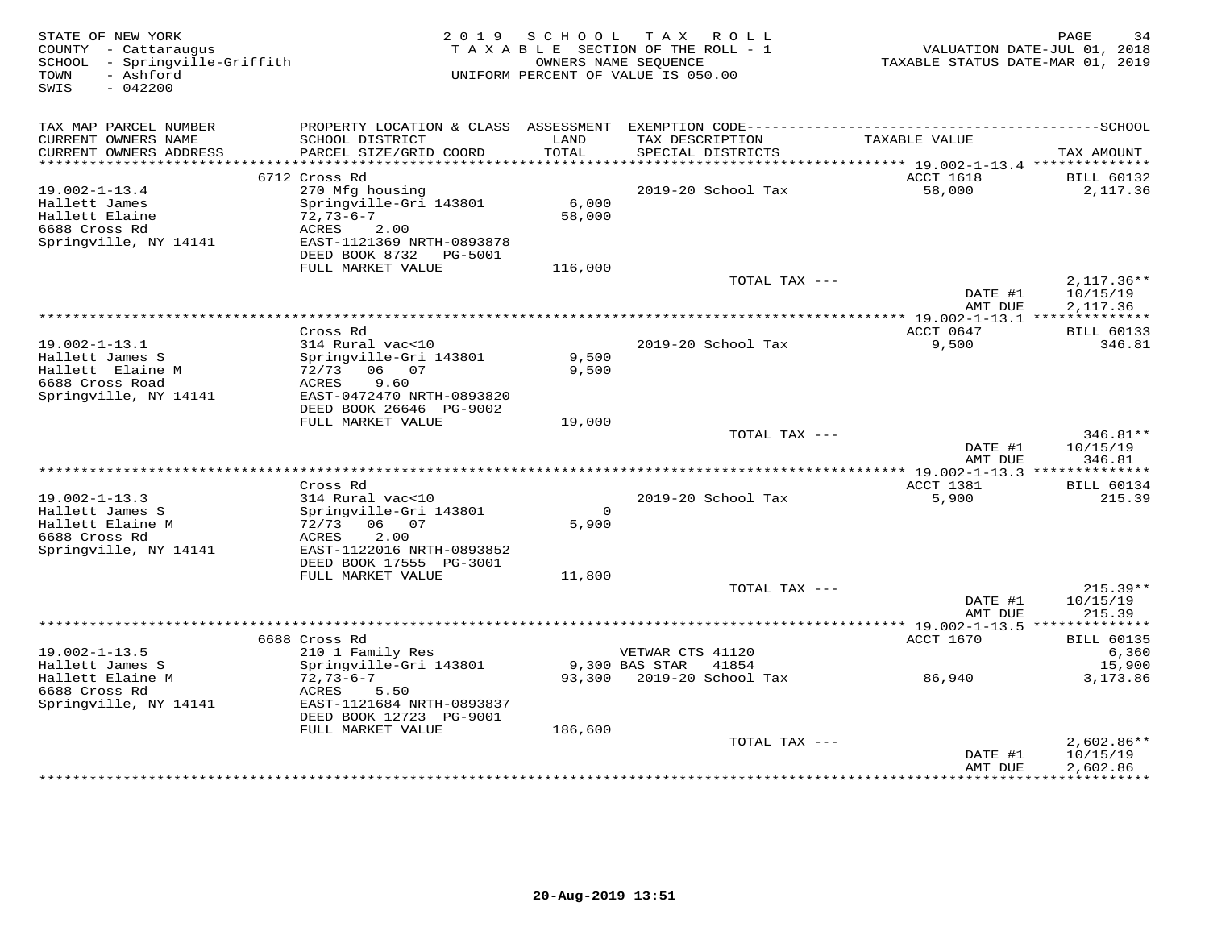| STATE OF NEW YORK<br>COUNTY - Cattaraugus<br>SCHOOL - Springville-Griffith<br>- Ashford<br>TOWN<br>SWIS<br>$-042200$ |                                                      | 2019 SCHOOL   | T A X<br>R O L L<br>TAXABLE SECTION OF THE ROLL - 1<br>OWNERS NAME SEQUENCE<br>UNIFORM PERCENT OF VALUE IS 050.00 | TAXABLE STATUS DATE-MAR 01, 2019            | PAGE<br>34<br>VALUATION DATE-JUL 01, 2018 |
|----------------------------------------------------------------------------------------------------------------------|------------------------------------------------------|---------------|-------------------------------------------------------------------------------------------------------------------|---------------------------------------------|-------------------------------------------|
| TAX MAP PARCEL NUMBER                                                                                                |                                                      |               |                                                                                                                   |                                             |                                           |
| CURRENT OWNERS NAME<br>CURRENT OWNERS ADDRESS                                                                        | SCHOOL DISTRICT<br>PARCEL SIZE/GRID COORD            | LAND<br>TOTAL | TAX DESCRIPTION<br>SPECIAL DISTRICTS                                                                              | TAXABLE VALUE                               | TAX AMOUNT                                |
| ***********************                                                                                              | *****************************                        |               |                                                                                                                   |                                             |                                           |
|                                                                                                                      | 6712 Cross Rd                                        |               |                                                                                                                   | ACCT 1618                                   | <b>BILL 60132</b>                         |
| $19.002 - 1 - 13.4$                                                                                                  | 270 Mfg housing                                      |               | 2019-20 School Tax                                                                                                | 58,000                                      | 2,117.36                                  |
| Hallett James                                                                                                        | Springville-Gri 143801                               | 6,000         |                                                                                                                   |                                             |                                           |
| Hallett Elaine                                                                                                       | $72,73-6-7$                                          | 58,000        |                                                                                                                   |                                             |                                           |
| 6688 Cross Rd<br>Springville, NY 14141                                                                               | ACRES<br>2.00<br>EAST-1121369 NRTH-0893878           |               |                                                                                                                   |                                             |                                           |
|                                                                                                                      | DEED BOOK 8732 PG-5001                               |               |                                                                                                                   |                                             |                                           |
|                                                                                                                      | FULL MARKET VALUE                                    | 116,000       |                                                                                                                   |                                             |                                           |
|                                                                                                                      |                                                      |               | TOTAL TAX ---                                                                                                     |                                             | $2,117.36**$                              |
|                                                                                                                      |                                                      |               |                                                                                                                   | DATE #1                                     | 10/15/19                                  |
|                                                                                                                      |                                                      |               | **************                                                                                                    | AMT DUE<br>*** 19.002-1-13.1 ************** | 2,117.36                                  |
|                                                                                                                      | Cross Rd                                             |               |                                                                                                                   | ACCT 0647                                   | <b>BILL 60133</b>                         |
| $19.002 - 1 - 13.1$                                                                                                  | 314 Rural vac<10                                     |               | 2019-20 School Tax                                                                                                | 9,500                                       | 346.81                                    |
| Hallett James S                                                                                                      | Springville-Gri 143801                               | 9,500         |                                                                                                                   |                                             |                                           |
| Hallett Elaine M                                                                                                     | 72/73 06 07                                          | 9,500         |                                                                                                                   |                                             |                                           |
| 6688 Cross Road                                                                                                      | 9.60<br>ACRES                                        |               |                                                                                                                   |                                             |                                           |
| Springville, NY 14141                                                                                                | EAST-0472470 NRTH-0893820<br>DEED BOOK 26646 PG-9002 |               |                                                                                                                   |                                             |                                           |
|                                                                                                                      | FULL MARKET VALUE                                    | 19,000        |                                                                                                                   |                                             |                                           |
|                                                                                                                      |                                                      |               | TOTAL TAX ---                                                                                                     |                                             | 346.81**                                  |
|                                                                                                                      |                                                      |               |                                                                                                                   | DATE #1                                     | 10/15/19                                  |
|                                                                                                                      |                                                      |               |                                                                                                                   | AMT DUE                                     | 346.81                                    |
|                                                                                                                      | Cross Rd                                             |               |                                                                                                                   | <b>ACCT 1381</b>                            | <b>BILL 60134</b>                         |
| $19.002 - 1 - 13.3$                                                                                                  | 314 Rural vac<10                                     |               | 2019-20 School Tax                                                                                                | 5,900                                       | 215.39                                    |
| Hallett James S                                                                                                      | Springville-Gri 143801                               | $\circ$       |                                                                                                                   |                                             |                                           |
| Hallett Elaine M                                                                                                     | 72/73<br>06 07                                       | 5,900         |                                                                                                                   |                                             |                                           |
| 6688 Cross Rd                                                                                                        | 2.00<br>ACRES                                        |               |                                                                                                                   |                                             |                                           |
| Springville, NY 14141                                                                                                | EAST-1122016 NRTH-0893852                            |               |                                                                                                                   |                                             |                                           |
|                                                                                                                      | DEED BOOK 17555 PG-3001<br>FULL MARKET VALUE         | 11,800        |                                                                                                                   |                                             |                                           |
|                                                                                                                      |                                                      |               | TOTAL TAX ---                                                                                                     |                                             | $215.39**$                                |
|                                                                                                                      |                                                      |               |                                                                                                                   | DATE #1                                     | 10/15/19                                  |
|                                                                                                                      |                                                      |               |                                                                                                                   | AMT DUE                                     | 215.39                                    |
|                                                                                                                      |                                                      |               |                                                                                                                   |                                             |                                           |
|                                                                                                                      | 6688 Cross Rd                                        |               |                                                                                                                   | ACCT 1670                                   | <b>BILL 60135</b>                         |
| $19.002 - 1 - 13.5$<br>Hallett James S                                                                               | 210 1 Family Res<br>Springville-Gri 143801           |               | VETWAR CTS 41120<br>9,300 BAS STAR<br>41854                                                                       |                                             | 6,360<br>15,900                           |
| Hallett Elaine M                                                                                                     | $72,73-6-7$                                          | 93,300        | 2019-20 School Tax                                                                                                | 86,940                                      | 3,173.86                                  |
| 6688 Cross Rd                                                                                                        | ACRES<br>5.50                                        |               |                                                                                                                   |                                             |                                           |
| Springville, NY 14141                                                                                                | EAST-1121684 NRTH-0893837                            |               |                                                                                                                   |                                             |                                           |
|                                                                                                                      | DEED BOOK 12723 PG-9001                              |               |                                                                                                                   |                                             |                                           |
|                                                                                                                      | FULL MARKET VALUE                                    | 186,600       |                                                                                                                   |                                             |                                           |
|                                                                                                                      |                                                      |               | TOTAL TAX ---                                                                                                     | DATE #1                                     | $2,602.86**$<br>10/15/19                  |
|                                                                                                                      |                                                      |               |                                                                                                                   | AMT DUE                                     | 2,602.86                                  |
|                                                                                                                      |                                                      |               |                                                                                                                   | ***************                             | ***********                               |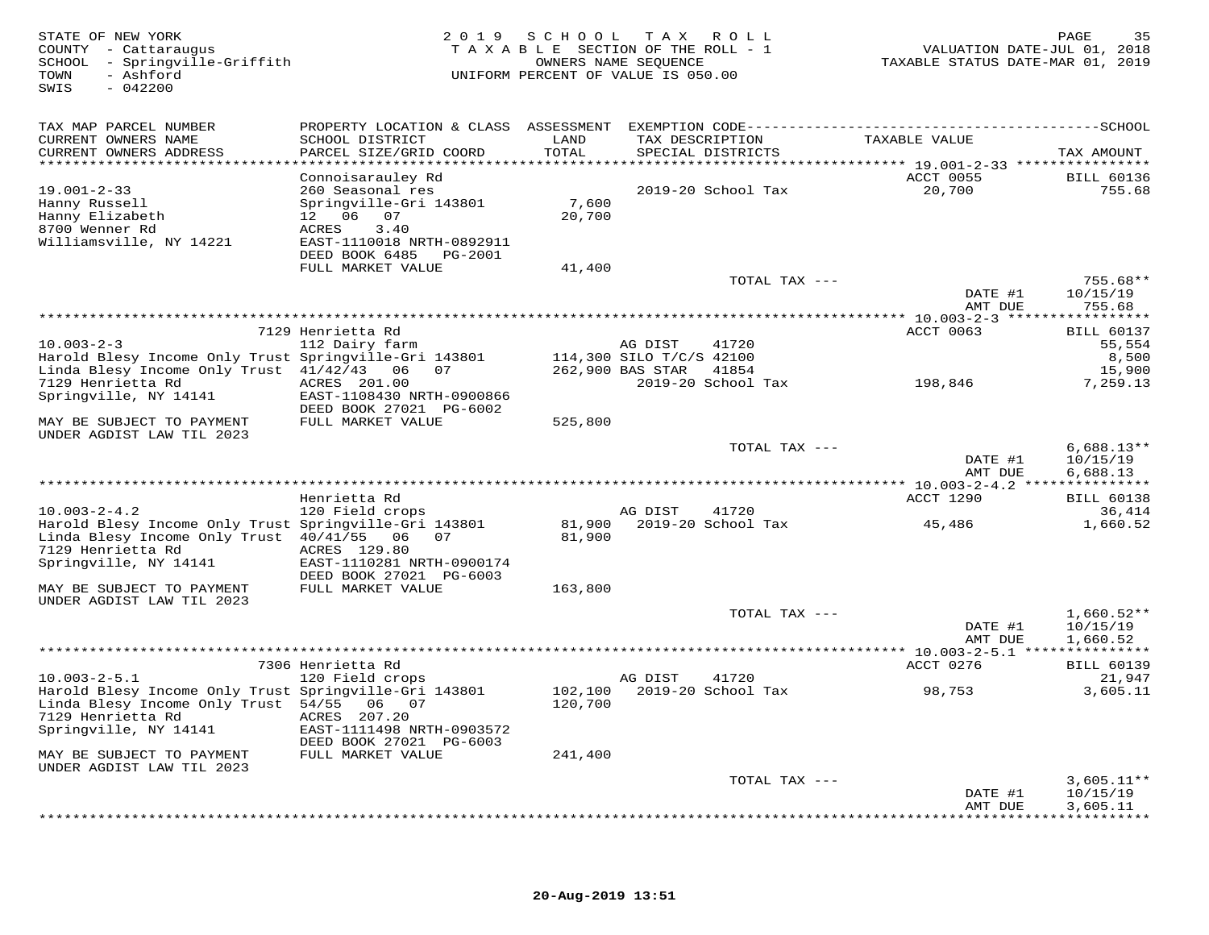| STATE OF NEW YORK<br>COUNTY - Cattaraugus<br>SCHOOL - Springville-Griffith<br>- Ashford<br>TOWN<br>$-042200$<br>SWIS |                                           | 2019 SCHOOL        | T A X<br>ROLL<br>TAXABLE SECTION OF THE ROLL - 1<br>OWNERS NAME SEQUENCE<br>UNIFORM PERCENT OF VALUE IS 050.00 | VALUATION DATE-JUL 01, 2018<br>TAXABLE STATUS DATE-MAR 01, 2019 | 35<br>PAGE         |
|----------------------------------------------------------------------------------------------------------------------|-------------------------------------------|--------------------|----------------------------------------------------------------------------------------------------------------|-----------------------------------------------------------------|--------------------|
| TAX MAP PARCEL NUMBER                                                                                                |                                           |                    |                                                                                                                |                                                                 |                    |
| CURRENT OWNERS NAME<br>CURRENT OWNERS ADDRESS                                                                        | SCHOOL DISTRICT<br>PARCEL SIZE/GRID COORD | LAND<br>TOTAL      | TAX DESCRIPTION<br>SPECIAL DISTRICTS                                                                           | TAXABLE VALUE                                                   | TAX AMOUNT         |
| *************************                                                                                            |                                           |                    |                                                                                                                |                                                                 |                    |
|                                                                                                                      | Connoisarauley Rd                         |                    |                                                                                                                | ACCT 0055                                                       | <b>BILL 60136</b>  |
| $19.001 - 2 - 33$                                                                                                    | 260 Seasonal res                          |                    | 2019-20 School Tax                                                                                             | 20,700                                                          | 755.68             |
| Hanny Russell                                                                                                        | Springville-Gri 143801                    | 7,600              |                                                                                                                |                                                                 |                    |
| Hanny Elizabeth                                                                                                      | 12 06 07                                  | 20,700             |                                                                                                                |                                                                 |                    |
| 8700 Wenner Rd                                                                                                       | 3.40<br>ACRES                             |                    |                                                                                                                |                                                                 |                    |
| Williamsville, NY 14221                                                                                              | EAST-1110018 NRTH-0892911                 |                    |                                                                                                                |                                                                 |                    |
|                                                                                                                      | DEED BOOK 6485<br>PG-2001                 |                    |                                                                                                                |                                                                 |                    |
|                                                                                                                      | FULL MARKET VALUE                         | 41,400             |                                                                                                                |                                                                 |                    |
|                                                                                                                      |                                           |                    | TOTAL TAX ---                                                                                                  |                                                                 | $755.68**$         |
|                                                                                                                      |                                           |                    |                                                                                                                | DATE #1<br>AMT DUE                                              | 10/15/19<br>755.68 |
|                                                                                                                      |                                           |                    |                                                                                                                |                                                                 |                    |
|                                                                                                                      | 7129 Henrietta Rd                         |                    |                                                                                                                | ACCT 0063                                                       | <b>BILL 60137</b>  |
| $10.003 - 2 - 3$                                                                                                     | 112 Dairy farm                            |                    | 41720<br>AG DIST                                                                                               |                                                                 | 55,554             |
| Harold Blesy Income Only Trust Springville-Gri 143801                                                                |                                           |                    | 114,300 SILO T/C/S 42100                                                                                       |                                                                 | 8,500              |
| Linda Blesy Income Only Trust 41/42/43 06                                                                            | 07                                        |                    | 262,900 BAS STAR<br>41854                                                                                      |                                                                 | 15,900             |
| 7129 Henrietta Rd                                                                                                    | ACRES 201.00                              |                    | 2019-20 School Tax                                                                                             | 198,846                                                         | 7,259.13           |
| Springville, NY 14141                                                                                                | EAST-1108430 NRTH-0900866                 |                    |                                                                                                                |                                                                 |                    |
|                                                                                                                      | DEED BOOK 27021 PG-6002                   |                    |                                                                                                                |                                                                 |                    |
| MAY BE SUBJECT TO PAYMENT                                                                                            | FULL MARKET VALUE                         | 525,800            |                                                                                                                |                                                                 |                    |
| UNDER AGDIST LAW TIL 2023                                                                                            |                                           |                    |                                                                                                                |                                                                 |                    |
|                                                                                                                      |                                           |                    | TOTAL TAX ---                                                                                                  |                                                                 | $6,688.13**$       |
|                                                                                                                      |                                           |                    |                                                                                                                | DATE #1                                                         | 10/15/19           |
|                                                                                                                      |                                           |                    |                                                                                                                | AMT DUE                                                         | 6,688.13           |
|                                                                                                                      | Henrietta Rd                              |                    |                                                                                                                | ACCT 1290                                                       | <b>BILL 60138</b>  |
| $10.003 - 2 - 4.2$                                                                                                   | 120 Field crops                           |                    | AG DIST<br>41720                                                                                               |                                                                 | 36,414             |
| Harold Blesy Income Only Trust Springville-Gri 143801                                                                |                                           | 81,900             | 2019-20 School Tax                                                                                             | 45,486                                                          | 1,660.52           |
| Linda Blesy Income Only Trust 40/41/55 06                                                                            | 07                                        | 81,900             |                                                                                                                |                                                                 |                    |
| 7129 Henrietta Rd                                                                                                    | ACRES 129.80                              |                    |                                                                                                                |                                                                 |                    |
| Springville, NY 14141                                                                                                | EAST-1110281 NRTH-0900174                 |                    |                                                                                                                |                                                                 |                    |
|                                                                                                                      | DEED BOOK 27021 PG-6003                   |                    |                                                                                                                |                                                                 |                    |
| MAY BE SUBJECT TO PAYMENT                                                                                            | FULL MARKET VALUE                         | 163,800            |                                                                                                                |                                                                 |                    |
| UNDER AGDIST LAW TIL 2023                                                                                            |                                           |                    |                                                                                                                |                                                                 |                    |
|                                                                                                                      |                                           |                    | TOTAL TAX ---                                                                                                  |                                                                 | $1,660.52**$       |
|                                                                                                                      |                                           |                    |                                                                                                                | DATE #1                                                         | 10/15/19           |
|                                                                                                                      |                                           |                    |                                                                                                                | AMT DUE                                                         | 1,660.52           |
|                                                                                                                      |                                           |                    |                                                                                                                |                                                                 |                    |
|                                                                                                                      | 7306 Henrietta Rd                         |                    |                                                                                                                | ACCT 0276                                                       | <b>BILL 60139</b>  |
| $10.003 - 2 - 5.1$                                                                                                   | 120 Field crops                           |                    | AG DIST<br>41720<br>2019-20 School Tax                                                                         |                                                                 | 21,947             |
| Harold Blesy Income Only Trust Springville-Gri 143801<br>Linda Blesy Income Only Trust 54/55                         | 06<br>07                                  | 102,100<br>120,700 |                                                                                                                | 98,753                                                          | 3,605.11           |
| 7129 Henrietta Rd                                                                                                    | ACRES 207.20                              |                    |                                                                                                                |                                                                 |                    |
| Springville, NY 14141                                                                                                | EAST-1111498 NRTH-0903572                 |                    |                                                                                                                |                                                                 |                    |
|                                                                                                                      | DEED BOOK 27021 PG-6003                   |                    |                                                                                                                |                                                                 |                    |
| MAY BE SUBJECT TO PAYMENT                                                                                            | FULL MARKET VALUE                         | 241,400            |                                                                                                                |                                                                 |                    |
| UNDER AGDIST LAW TIL 2023                                                                                            |                                           |                    |                                                                                                                |                                                                 |                    |
|                                                                                                                      |                                           |                    | TOTAL TAX ---                                                                                                  |                                                                 | $3,605.11**$       |
|                                                                                                                      |                                           |                    |                                                                                                                | DATE #1                                                         | 10/15/19           |
|                                                                                                                      |                                           |                    |                                                                                                                | AMT DUE                                                         | 3,605.11           |
|                                                                                                                      |                                           |                    |                                                                                                                |                                                                 |                    |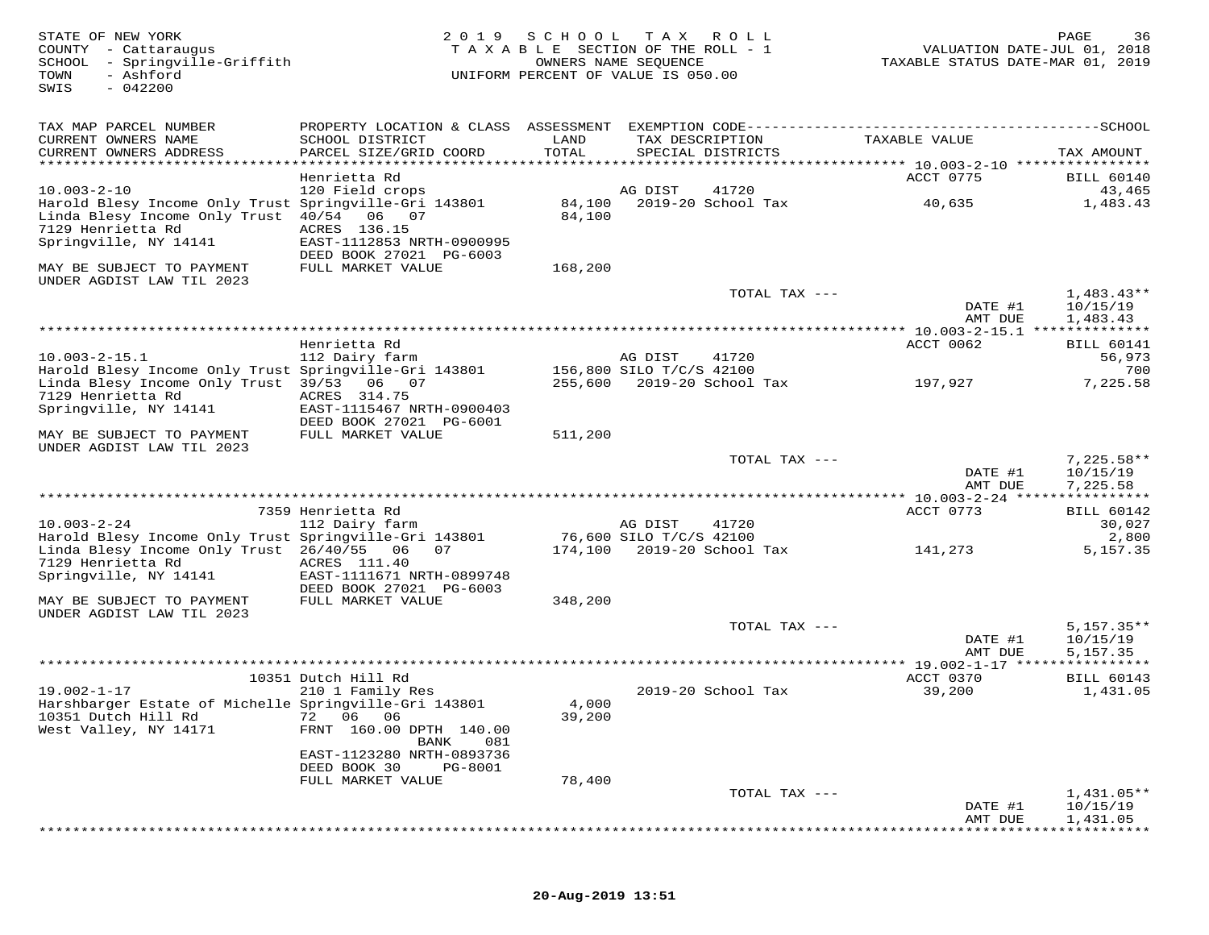| STATE OF NEW YORK<br>COUNTY - Cattaraugus<br>SCHOOL<br>- Springville-Griffith<br>TOWN<br>- Ashford<br>$-042200$<br>SWIS              | 2019                                                                   | SCHOOL                       | T A X<br>TAXABLE SECTION OF THE ROLL - 1<br>OWNERS NAME SEQUENCE<br>UNIFORM PERCENT OF VALUE IS 050.00 | R O L L       | VALUATION DATE-JUL 01, 2018<br>TAXABLE STATUS DATE-MAR 01, 2019 | PAGE<br>36                           |
|--------------------------------------------------------------------------------------------------------------------------------------|------------------------------------------------------------------------|------------------------------|--------------------------------------------------------------------------------------------------------|---------------|-----------------------------------------------------------------|--------------------------------------|
| TAX MAP PARCEL NUMBER                                                                                                                | PROPERTY LOCATION & CLASS ASSESSMENT                                   |                              |                                                                                                        |               |                                                                 |                                      |
| CURRENT OWNERS NAME                                                                                                                  | SCHOOL DISTRICT                                                        | LAND<br>TOTAL                | TAX DESCRIPTION                                                                                        |               | TAXABLE VALUE                                                   |                                      |
| CURRENT OWNERS ADDRESS<br>***********************                                                                                    | PARCEL SIZE/GRID COORD                                                 |                              | SPECIAL DISTRICTS                                                                                      |               |                                                                 | TAX AMOUNT                           |
|                                                                                                                                      | Henrietta Rd                                                           |                              |                                                                                                        |               | ACCT 0775                                                       | <b>BILL 60140</b>                    |
| $10.003 - 2 - 10$                                                                                                                    | 120 Field crops                                                        |                              | AG DIST<br>41720                                                                                       |               |                                                                 | 43,465                               |
| Harold Blesy Income Only Trust Springville-Gri 143801<br>Linda Blesy Income Only Trust<br>7129 Henrietta Rd<br>Springville, NY 14141 | 40/54 06 07<br>ACRES 136.15<br>EAST-1112853 NRTH-0900995               | 84,100<br>84,100             | 2019-20 School Tax                                                                                     |               | 40,635                                                          | 1,483.43                             |
|                                                                                                                                      | DEED BOOK 27021 PG-6003                                                |                              |                                                                                                        |               |                                                                 |                                      |
| MAY BE SUBJECT TO PAYMENT<br>UNDER AGDIST LAW TIL 2023                                                                               | FULL MARKET VALUE                                                      | 168,200                      |                                                                                                        |               |                                                                 |                                      |
|                                                                                                                                      |                                                                        |                              |                                                                                                        | TOTAL TAX --- | DATE #1<br>AMT DUE                                              | $1,483.43**$<br>10/15/19<br>1,483.43 |
|                                                                                                                                      |                                                                        | **************************** |                                                                                                        |               | ********** 10.003-2-15.1 ***                                    | ***********                          |
|                                                                                                                                      | Henrietta Rd                                                           |                              |                                                                                                        |               | ACCT 0062                                                       | <b>BILL 60141</b>                    |
| $10.003 - 2 - 15.1$<br>Harold Blesy Income Only Trust Springville-Gri 143801                                                         | 112 Dairy farm                                                         |                              | AG DIST<br>41720<br>156,800 SILO T/C/S 42100                                                           |               |                                                                 | 56,973<br>700                        |
| Linda Blesy Income Only Trust 39/53 06 07<br>7129 Henrietta Rd                                                                       | ACRES 314.75                                                           |                              | 255,600 2019-20 School Tax                                                                             |               | 197,927                                                         | 7,225.58                             |
| Springville, NY 14141                                                                                                                | EAST-1115467 NRTH-0900403<br>DEED BOOK 27021 PG-6001                   |                              |                                                                                                        |               |                                                                 |                                      |
| MAY BE SUBJECT TO PAYMENT<br>UNDER AGDIST LAW TIL 2023                                                                               | FULL MARKET VALUE                                                      | 511,200                      |                                                                                                        |               |                                                                 |                                      |
|                                                                                                                                      |                                                                        |                              |                                                                                                        | TOTAL TAX --- | DATE #1<br>AMT DUE                                              | $7,225.58**$<br>10/15/19<br>7,225.58 |
|                                                                                                                                      |                                                                        |                              |                                                                                                        |               |                                                                 | ***********                          |
|                                                                                                                                      | 7359 Henrietta Rd                                                      |                              |                                                                                                        |               | ACCT 0773                                                       | <b>BILL 60142</b>                    |
| $10.003 - 2 - 24$<br>Harold Blesy Income Only Trust Springville-Gri 143801                                                           | 112 Dairy farm                                                         |                              | AG DIST<br>41720<br>76,600 SILO T/C/S 42100                                                            |               |                                                                 | 30,027<br>2,800                      |
| Linda Blesy Income Only Trust 26/40/55<br>7129 Henrietta Rd                                                                          | 06<br>07<br>ACRES 111.40                                               | 174,100                      | 2019-20 School Tax                                                                                     |               | 141,273                                                         | 5,157.35                             |
| Springville, NY 14141                                                                                                                | EAST-1111671 NRTH-0899748<br>DEED BOOK 27021 PG-6003                   |                              |                                                                                                        |               |                                                                 |                                      |
| MAY BE SUBJECT TO PAYMENT                                                                                                            | FULL MARKET VALUE                                                      | 348,200                      |                                                                                                        |               |                                                                 |                                      |
| UNDER AGDIST LAW TIL 2023                                                                                                            |                                                                        |                              |                                                                                                        | TOTAL TAX --- |                                                                 | $5,157.35**$                         |
|                                                                                                                                      |                                                                        |                              |                                                                                                        |               | DATE #1<br>AMT DUE                                              | 10/15/19<br>5,157.35                 |
|                                                                                                                                      |                                                                        |                              |                                                                                                        |               |                                                                 |                                      |
|                                                                                                                                      | 10351 Dutch Hill Rd                                                    |                              |                                                                                                        |               | ACCT 0370                                                       | <b>BILL 60143</b>                    |
| $19.002 - 1 - 17$<br>Harshbarger Estate of Michelle Springville-Gri 143801<br>10351 Dutch Hill Rd<br>West Valley, NY 14171           | 210 1 Family Res<br>72 06 06<br>FRNT 160.00 DPTH 140.00<br>BANK<br>081 | 4,000<br>39,200              | 2019-20 School Tax                                                                                     |               | 39,200                                                          | 1,431.05                             |
|                                                                                                                                      | EAST-1123280 NRTH-0893736                                              |                              |                                                                                                        |               |                                                                 |                                      |
|                                                                                                                                      | DEED BOOK 30<br>PG-8001<br>FULL MARKET VALUE                           | 78,400                       |                                                                                                        |               |                                                                 |                                      |
|                                                                                                                                      |                                                                        |                              |                                                                                                        | TOTAL TAX --- |                                                                 | $1,431.05**$                         |
|                                                                                                                                      |                                                                        |                              |                                                                                                        |               | DATE #1<br>AMT DUE                                              | 10/15/19<br>1,431.05                 |

\*\*\*\*\*\*\*\*\*\*\*\*\*\*\*\*\*\*\*\*\*\*\*\*\*\*\*\*\*\*\*\*\*\*\*\*\*\*\*\*\*\*\*\*\*\*\*\*\*\*\*\*\*\*\*\*\*\*\*\*\*\*\*\*\*\*\*\*\*\*\*\*\*\*\*\*\*\*\*\*\*\*\*\*\*\*\*\*\*\*\*\*\*\*\*\*\*\*\*\*\*\*\*\*\*\*\*\*\*\*\*\*\*\*\*\*\*\*\*\*\*\*\*\*\*\*\*\*\*\*\*\*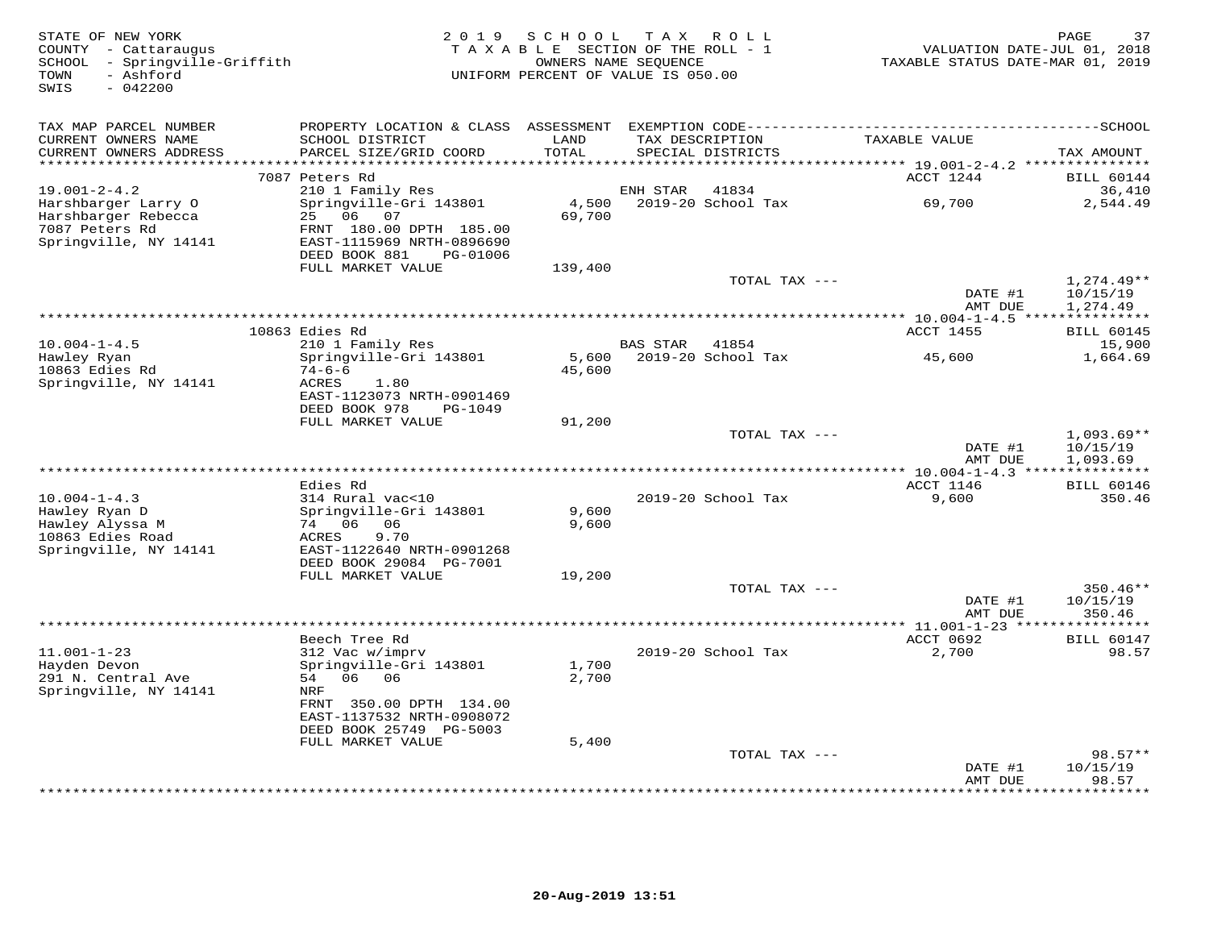| STATE OF NEW YORK<br>COUNTY - Cattaraugus<br>SCHOOL - Springville-Griffith<br>- Ashford<br>TOWN<br>$-042200$<br>SWIS | 2 0 1 9                                                                                                                                        | SCHOOL<br>TAXABLE SECTION OF THE ROLL - 1<br>OWNERS NAME SEOUENCE<br>UNIFORM PERCENT OF VALUE IS 050.00 |                 | TAX ROLL                    | VALUATION DATE-JUL 01, 2018<br>TAXABLE STATUS DATE-MAR 01, 2019 | 37<br>PAGE                           |
|----------------------------------------------------------------------------------------------------------------------|------------------------------------------------------------------------------------------------------------------------------------------------|---------------------------------------------------------------------------------------------------------|-----------------|-----------------------------|-----------------------------------------------------------------|--------------------------------------|
| TAX MAP PARCEL NUMBER<br>CURRENT OWNERS NAME<br>CURRENT OWNERS ADDRESS<br>***************                            | SCHOOL DISTRICT<br>PARCEL SIZE/GRID COORD                                                                                                      | LAND<br>TOTAL<br>******                                                                                 | TAX DESCRIPTION | SPECIAL DISTRICTS           | TAXABLE VALUE                                                   | TAX AMOUNT                           |
|                                                                                                                      | 7087 Peters Rd                                                                                                                                 |                                                                                                         |                 |                             | ******** 19.001-2-4.2 ***************<br>ACCT 1244              | <b>BILL 60144</b>                    |
| $19.001 - 2 - 4.2$<br>Harshbarger Larry O<br>Harshbarger Rebecca<br>7087 Peters Rd<br>Springville, NY 14141          | 210 1 Family Res<br>Springville-Gri 143801<br>25 06<br>07<br>FRNT 180.00 DPTH 185.00<br>EAST-1115969 NRTH-0896690<br>DEED BOOK 881<br>PG-01006 | 4,500<br>69,700                                                                                         | ENH STAR        | 41834<br>2019-20 School Tax | 69,700                                                          | 36,410<br>2,544.49                   |
|                                                                                                                      | FULL MARKET VALUE                                                                                                                              | 139,400                                                                                                 |                 |                             |                                                                 |                                      |
|                                                                                                                      |                                                                                                                                                |                                                                                                         |                 | TOTAL TAX ---               | DATE #1<br>AMT DUE                                              | $1,274.49**$<br>10/15/19<br>1,274.49 |
|                                                                                                                      |                                                                                                                                                |                                                                                                         |                 |                             | $** 10.004 - 1 - 4.5$ ***                                       | * * * * * * * * * * *                |
| $10.004 - 1 - 4.5$                                                                                                   | 10863 Edies Rd<br>210 1 Family Res                                                                                                             |                                                                                                         | BAS STAR        | 41854                       | <b>ACCT 1455</b>                                                | <b>BILL 60145</b><br>15,900          |
| Hawley Ryan<br>10863 Edies Rd                                                                                        | Springville-Gri 143801<br>$74 - 6 - 6$                                                                                                         | 5,600<br>45,600                                                                                         |                 | 2019-20 School Tax          | 45,600                                                          | 1,664.69                             |
| Springville, NY 14141                                                                                                | ACRES<br>1.80<br>EAST-1123073 NRTH-0901469<br>DEED BOOK 978<br>PG-1049                                                                         |                                                                                                         |                 |                             |                                                                 |                                      |
|                                                                                                                      | FULL MARKET VALUE                                                                                                                              | 91,200                                                                                                  |                 | TOTAL TAX ---               | DATE #1<br>AMT DUE                                              | $1,093.69**$<br>10/15/19<br>1,093.69 |
|                                                                                                                      |                                                                                                                                                |                                                                                                         |                 |                             |                                                                 |                                      |
|                                                                                                                      | Edies Rd                                                                                                                                       |                                                                                                         |                 |                             | ACCT 1146                                                       | <b>BILL 60146</b>                    |
| $10.004 - 1 - 4.3$<br>Hawley Ryan D<br>Hawley Alyssa M<br>10863 Edies Road                                           | 314 Rural vac<10<br>Springville-Gri 143801<br>74 06<br>06<br>9.70<br>ACRES                                                                     | 9,600<br>9,600                                                                                          |                 | 2019-20 School Tax          | 9,600                                                           | 350.46                               |
| Springville, NY 14141                                                                                                | EAST-1122640 NRTH-0901268<br>DEED BOOK 29084 PG-7001                                                                                           |                                                                                                         |                 |                             |                                                                 |                                      |
|                                                                                                                      | FULL MARKET VALUE                                                                                                                              | 19,200                                                                                                  |                 | TOTAL TAX ---               |                                                                 | 350.46**                             |
|                                                                                                                      |                                                                                                                                                |                                                                                                         |                 |                             | DATE #1<br>AMT DUE                                              | 10/15/19<br>350.46                   |
|                                                                                                                      | Beech Tree Rd                                                                                                                                  |                                                                                                         |                 |                             | ** 11.001-1-23 *****************<br>ACCT 0692                   | <b>BILL 60147</b>                    |
| $11.001 - 1 - 23$<br>Hayden Devon<br>291 N. Central Ave<br>Springville, NY 14141                                     | 312 Vac w/imprv<br>Springville-Gri 143801<br>06<br>54<br>06<br>NRF                                                                             | 1,700<br>2,700                                                                                          |                 | 2019-20 School Tax          | 2,700                                                           | 98.57                                |
|                                                                                                                      | FRNT 350.00 DPTH 134.00<br>EAST-1137532 NRTH-0908072<br>DEED BOOK 25749 PG-5003                                                                |                                                                                                         |                 |                             |                                                                 |                                      |
|                                                                                                                      | FULL MARKET VALUE                                                                                                                              | 5,400                                                                                                   |                 | TOTAL TAX ---               |                                                                 | $98.57**$                            |
|                                                                                                                      |                                                                                                                                                |                                                                                                         |                 |                             | DATE #1<br>AMT DUE                                              | 10/15/19<br>98.57<br>* * * * * * *   |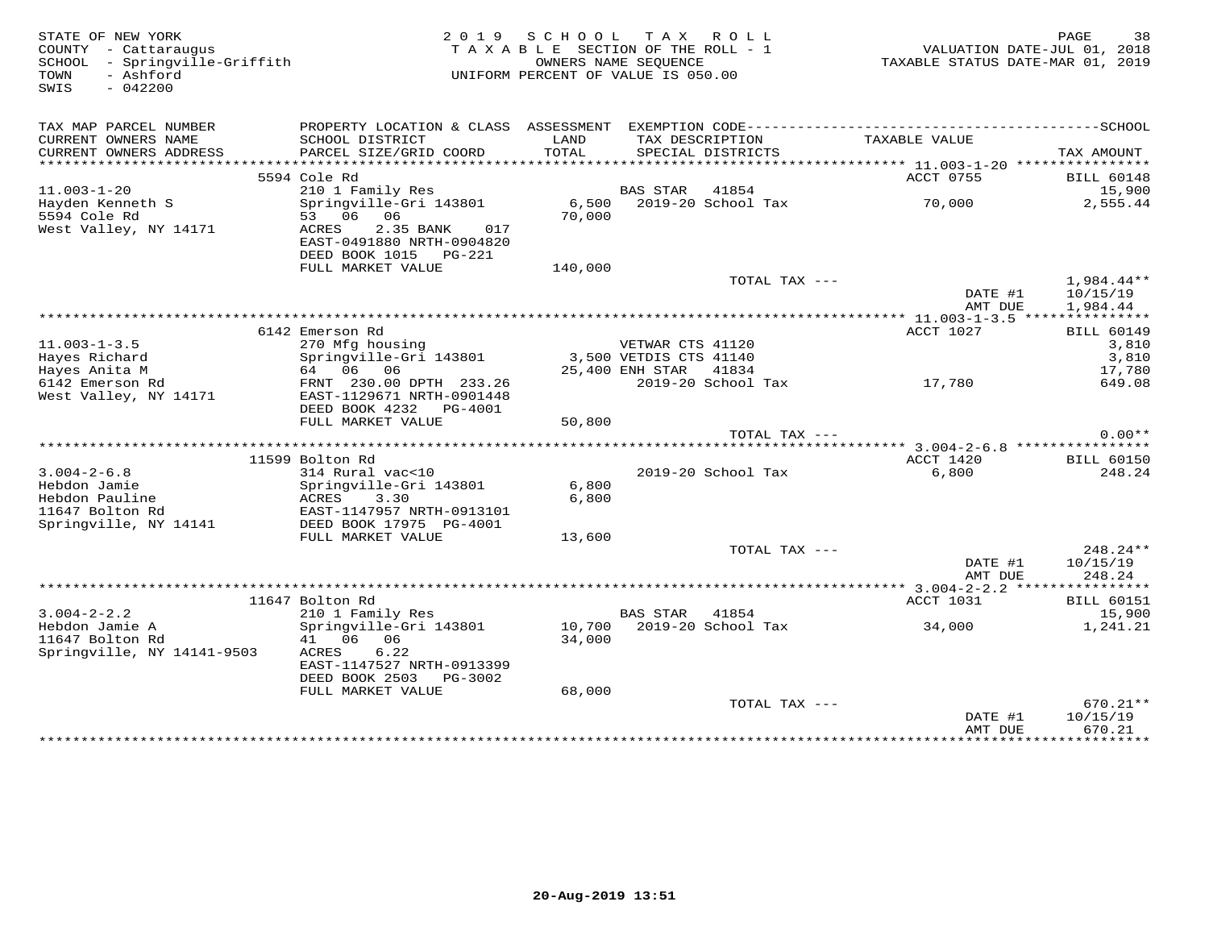| STATE OF NEW YORK<br>COUNTY - Cattaraugus<br>SCHOOL - Springville-Griffith<br>TOWN<br>- Ashford<br>SWIS<br>$-042200$ |                                                                                                | 2019 SCHOOL TAX ROLL<br>T A X A B L E SECTION OF THE ROLL - 1<br>UNIFORM PERCENT OF VALUE IS 050.00 | OWNERS NAME SEOUENCE   |                           | VALUATION DATE-JUL 01, 2018<br>TAXABLE STATUS DATE-MAR 01, 2019 | PAGE<br>38                         |
|----------------------------------------------------------------------------------------------------------------------|------------------------------------------------------------------------------------------------|-----------------------------------------------------------------------------------------------------|------------------------|---------------------------|-----------------------------------------------------------------|------------------------------------|
| TAX MAP PARCEL NUMBER                                                                                                | PROPERTY LOCATION & CLASS ASSESSMENT EXEMPTION CODE-----------------------------------SCHOOL   |                                                                                                     |                        |                           |                                                                 |                                    |
| CURRENT OWNERS NAME<br>CURRENT OWNERS ADDRESS                                                                        | SCHOOL DISTRICT<br>PARCEL SIZE/GRID COORD                                                      | LAND<br>TOTAL                                                                                       | TAX DESCRIPTION        | SPECIAL DISTRICTS         | TAXABLE VALUE                                                   | TAX AMOUNT                         |
|                                                                                                                      |                                                                                                |                                                                                                     |                        |                           |                                                                 |                                    |
|                                                                                                                      | 5594 Cole Rd                                                                                   |                                                                                                     |                        |                           | ACCT 0755                                                       | <b>BILL 60148</b>                  |
| $11.003 - 1 - 20$                                                                                                    | 210 1 Family Res                                                                               |                                                                                                     | BAS STAR               | 41854                     |                                                                 | 15,900                             |
| Hayden Kenneth S                                                                                                     | Springville-Gri 143801                                                                         |                                                                                                     |                        | 6,500 2019-20 School Tax  | 70,000                                                          | 2,555.44                           |
| 5594 Cole Rd<br>West Valley, NY 14171                                                                                | 53 06<br>06<br>ACRES<br>2.35 BANK<br>017<br>EAST-0491880 NRTH-0904820<br>DEED BOOK 1015 PG-221 | 70,000                                                                                              |                        |                           |                                                                 |                                    |
|                                                                                                                      | FULL MARKET VALUE                                                                              | 140,000                                                                                             |                        |                           |                                                                 |                                    |
|                                                                                                                      |                                                                                                |                                                                                                     |                        | TOTAL TAX ---             | DATE #1<br>AMT DUE                                              | 1,984.44**<br>10/15/19<br>1,984.44 |
|                                                                                                                      |                                                                                                |                                                                                                     |                        |                           |                                                                 |                                    |
| $11.003 - 1 - 3.5$                                                                                                   | 6142 Emerson Rd<br>270 Mfg housing                                                             |                                                                                                     | VETWAR CTS 41120       |                           | ACCT 1027                                                       | <b>BILL 60149</b><br>3,810         |
| Hayes Richard                                                                                                        | Springville-Gri 143801                                                                         |                                                                                                     | 3,500 VETDIS CTS 41140 |                           |                                                                 | 3,810                              |
| Hayes Anita M                                                                                                        | 64 06 06                                                                                       |                                                                                                     | 25,400 ENH STAR 41834  |                           |                                                                 | 17,780                             |
| 6142 Emerson Rd<br>West Valley, NY 14171                                                                             | FRNT 230.00 DPTH 233.26<br>EAST-1129671 NRTH-0901448<br>DEED BOOK 4232 PG-4001                 |                                                                                                     |                        |                           | 2019-20 School Tax 17,780                                       | 649.08                             |
|                                                                                                                      | FULL MARKET VALUE                                                                              | 50,800                                                                                              |                        |                           |                                                                 |                                    |
|                                                                                                                      |                                                                                                |                                                                                                     |                        | TOTAL TAX ---             |                                                                 | $0.00**$                           |
|                                                                                                                      | 11599 Bolton Rd                                                                                |                                                                                                     |                        |                           | ACCT 1420                                                       | <b>BILL 60150</b>                  |
| $3.004 - 2 - 6.8$                                                                                                    | 314 Rural vac<10                                                                               |                                                                                                     |                        | 2019-20 School Tax        | 6,800                                                           | 248.24                             |
| Hebdon Jamie                                                                                                         | Springville-Gri 143801                                                                         | 6,800                                                                                               |                        |                           |                                                                 |                                    |
| Hebdon Pauline                                                                                                       | ACRES<br>3.30                                                                                  | 6,800                                                                                               |                        |                           |                                                                 |                                    |
| 11647 Bolton Rd                                                                                                      | EAST-1147957 NRTH-0913101                                                                      |                                                                                                     |                        |                           |                                                                 |                                    |
| Springville, NY 14141                                                                                                | DEED BOOK 17975 PG-4001                                                                        |                                                                                                     |                        |                           |                                                                 |                                    |
|                                                                                                                      | FULL MARKET VALUE                                                                              | 13,600                                                                                              |                        |                           |                                                                 |                                    |
|                                                                                                                      |                                                                                                |                                                                                                     |                        | TOTAL TAX ---             | DATE #1                                                         | $248.24**$<br>10/15/19             |
|                                                                                                                      |                                                                                                |                                                                                                     |                        |                           | AMT DUE                                                         | 248.24                             |
|                                                                                                                      | 11647 Bolton Rd                                                                                |                                                                                                     |                        |                           | ACCT 1031                                                       | <b>BILL 60151</b>                  |
| $3.004 - 2 - 2.2$                                                                                                    | 210 1 Family Res                                                                               |                                                                                                     | <b>BAS STAR</b>        | 41854                     |                                                                 | 15,900                             |
| Hebdon Jamie A                                                                                                       | Springville-Gri 143801                                                                         |                                                                                                     |                        | 10,700 2019-20 School Tax | 34,000                                                          | 1,241.21                           |
| 11647 Bolton Rd<br>Springville, NY 14141-9503                                                                        | 41 06 06<br>6.22<br>ACRES<br>EAST-1147527 NRTH-0913399<br>DEED BOOK 2503 PG-3002               | 34,000                                                                                              |                        |                           |                                                                 |                                    |
|                                                                                                                      | FULL MARKET VALUE                                                                              | 68,000                                                                                              |                        |                           |                                                                 |                                    |
|                                                                                                                      |                                                                                                |                                                                                                     |                        | TOTAL TAX ---             | DATE #1                                                         | $670.21**$<br>10/15/19             |
|                                                                                                                      |                                                                                                |                                                                                                     |                        |                           | AMT DUE                                                         | 670.21<br><b>++++++++++++</b>      |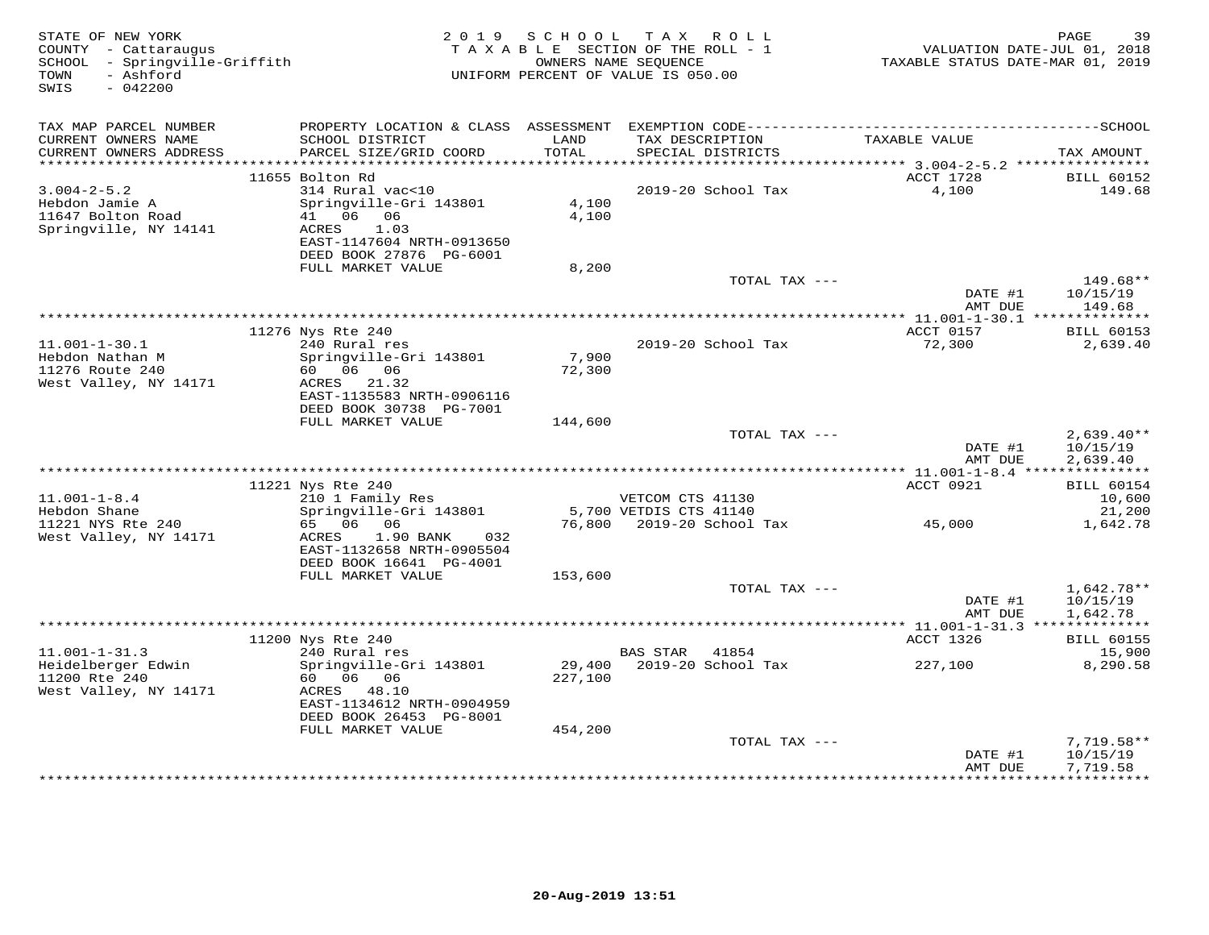| STATE OF NEW YORK<br>COUNTY - Cattaraugus<br>SCHOOL - Springville-Griffith<br>- Ashford<br>TOWN<br>SWIS<br>$-042200$ |                                                                                  |                 | 2019 SCHOOL TAX ROLL<br>TAXABLE SECTION OF THE ROLL - 1<br>OWNERS NAME SEQUENCE<br>UNIFORM PERCENT OF VALUE IS 050.00 | VALUATION DATE-JUL 01, 2018<br>TAXABLE STATUS DATE-MAR 01, 2019 | PAGE<br>39                           |
|----------------------------------------------------------------------------------------------------------------------|----------------------------------------------------------------------------------|-----------------|-----------------------------------------------------------------------------------------------------------------------|-----------------------------------------------------------------|--------------------------------------|
| TAX MAP PARCEL NUMBER                                                                                                |                                                                                  |                 |                                                                                                                       |                                                                 |                                      |
| CURRENT OWNERS NAME<br>CURRENT OWNERS ADDRESS                                                                        | SCHOOL DISTRICT<br>PARCEL SIZE/GRID COORD                                        | LAND<br>TOTAL   | TAX DESCRIPTION<br>SPECIAL DISTRICTS                                                                                  | TAXABLE VALUE                                                   | TAX AMOUNT                           |
|                                                                                                                      | 11655 Bolton Rd                                                                  |                 |                                                                                                                       | ACCT 1728                                                       | <b>BILL 60152</b>                    |
| $3.004 - 2 - 5.2$                                                                                                    | 314 Rural vac<10                                                                 |                 | 2019-20 School Tax                                                                                                    | 4,100                                                           | 149.68                               |
| Hebdon Jamie A<br>11647 Bolton Road<br>Springville, NY 14141                                                         | Springville-Gri 143801<br>41 06 06<br>ACRES<br>1.03<br>EAST-1147604 NRTH-0913650 | 4,100<br>4,100  |                                                                                                                       |                                                                 |                                      |
|                                                                                                                      | DEED BOOK 27876 PG-6001                                                          |                 |                                                                                                                       |                                                                 |                                      |
|                                                                                                                      | FULL MARKET VALUE                                                                | 8,200           |                                                                                                                       |                                                                 | 149.68**                             |
|                                                                                                                      |                                                                                  |                 | TOTAL TAX ---                                                                                                         | DATE #1<br>AMT DUE                                              | 10/15/19<br>149.68                   |
|                                                                                                                      |                                                                                  |                 |                                                                                                                       | ***************** 11.001-1-30.1 ***************                 |                                      |
|                                                                                                                      | 11276 Nys Rte 240                                                                |                 |                                                                                                                       | ACCT 0157                                                       | <b>BILL 60153</b>                    |
| $11.001 - 1 - 30.1$                                                                                                  | 240 Rural res                                                                    |                 | 2019-20 School Tax                                                                                                    | 72,300                                                          | 2,639.40                             |
| Hebdon Nathan M<br>11276 Route 240                                                                                   | Springville-Gri 143801<br>60        06        06                                 | 7,900<br>72,300 |                                                                                                                       |                                                                 |                                      |
| West Valley, NY 14171                                                                                                | ACRES 21.32                                                                      |                 |                                                                                                                       |                                                                 |                                      |
|                                                                                                                      | EAST-1135583 NRTH-0906116                                                        |                 |                                                                                                                       |                                                                 |                                      |
|                                                                                                                      | DEED BOOK 30738 PG-7001                                                          |                 |                                                                                                                       |                                                                 |                                      |
|                                                                                                                      | FULL MARKET VALUE                                                                | 144,600         | TOTAL TAX ---                                                                                                         |                                                                 |                                      |
|                                                                                                                      |                                                                                  |                 |                                                                                                                       | DATE #1<br>AMT DUE                                              | $2,639.40**$<br>10/15/19<br>2,639.40 |
|                                                                                                                      |                                                                                  |                 |                                                                                                                       |                                                                 |                                      |
|                                                                                                                      | 11221 Nys Rte 240                                                                |                 |                                                                                                                       | ACCT 0921                                                       | <b>BILL 60154</b>                    |
| $11.001 - 1 - 8.4$                                                                                                   | 210 1 Family Res                                                                 |                 | VETCOM CTS 41130                                                                                                      |                                                                 | 10,600                               |
| Hebdon Shane                                                                                                         | Springville-Gri 143801                                                           |                 | 5,700 VETDIS CTS 41140                                                                                                |                                                                 | 21,200                               |
| 11221 NYS Rte 240<br>West Valley, NY 14171                                                                           | 65 06 06<br>1.90 BANK<br>032<br>ACRES<br>EAST-1132658 NRTH-0905504               |                 | 76,800  2019-20  School Tax  45,000                                                                                   |                                                                 | 1,642.78                             |
|                                                                                                                      | DEED BOOK 16641 PG-4001                                                          |                 |                                                                                                                       |                                                                 |                                      |
|                                                                                                                      | FULL MARKET VALUE                                                                | 153,600         |                                                                                                                       |                                                                 |                                      |
|                                                                                                                      |                                                                                  |                 | TOTAL TAX ---                                                                                                         |                                                                 | $1,642.78**$                         |
|                                                                                                                      |                                                                                  |                 |                                                                                                                       | DATE #1<br>AMT DUE                                              | 10/15/19<br>1,642.78                 |
|                                                                                                                      |                                                                                  |                 |                                                                                                                       |                                                                 |                                      |
|                                                                                                                      | 11200 Nys Rte 240                                                                |                 |                                                                                                                       | ACCT 1326                                                       | <b>BILL 60155</b>                    |
| $11.001 - 1 - 31.3$                                                                                                  | 240 Rural res                                                                    |                 | BAS STAR<br>41854                                                                                                     |                                                                 | 15,900                               |
| Heidelberger Edwin                                                                                                   | Springville-Gri 143801                                                           |                 |                                                                                                                       | 227,100                                                         | 8,290.58                             |
| 11200 Rte 240<br>West Valley, NY 14171                                                                               | 60 06 06<br>ACRES 48.10                                                          | 227,100         |                                                                                                                       |                                                                 |                                      |
|                                                                                                                      | EAST-1134612 NRTH-0904959                                                        |                 |                                                                                                                       |                                                                 |                                      |
|                                                                                                                      | DEED BOOK 26453 PG-8001                                                          |                 |                                                                                                                       |                                                                 |                                      |
|                                                                                                                      | FULL MARKET VALUE                                                                | 454,200         |                                                                                                                       |                                                                 |                                      |
|                                                                                                                      |                                                                                  |                 | TOTAL TAX ---                                                                                                         |                                                                 | $7,719.58**$                         |
|                                                                                                                      |                                                                                  |                 |                                                                                                                       | DATE #1<br>AMT DUE<br>*****************                         | 10/15/19<br>7,719.58<br>***********  |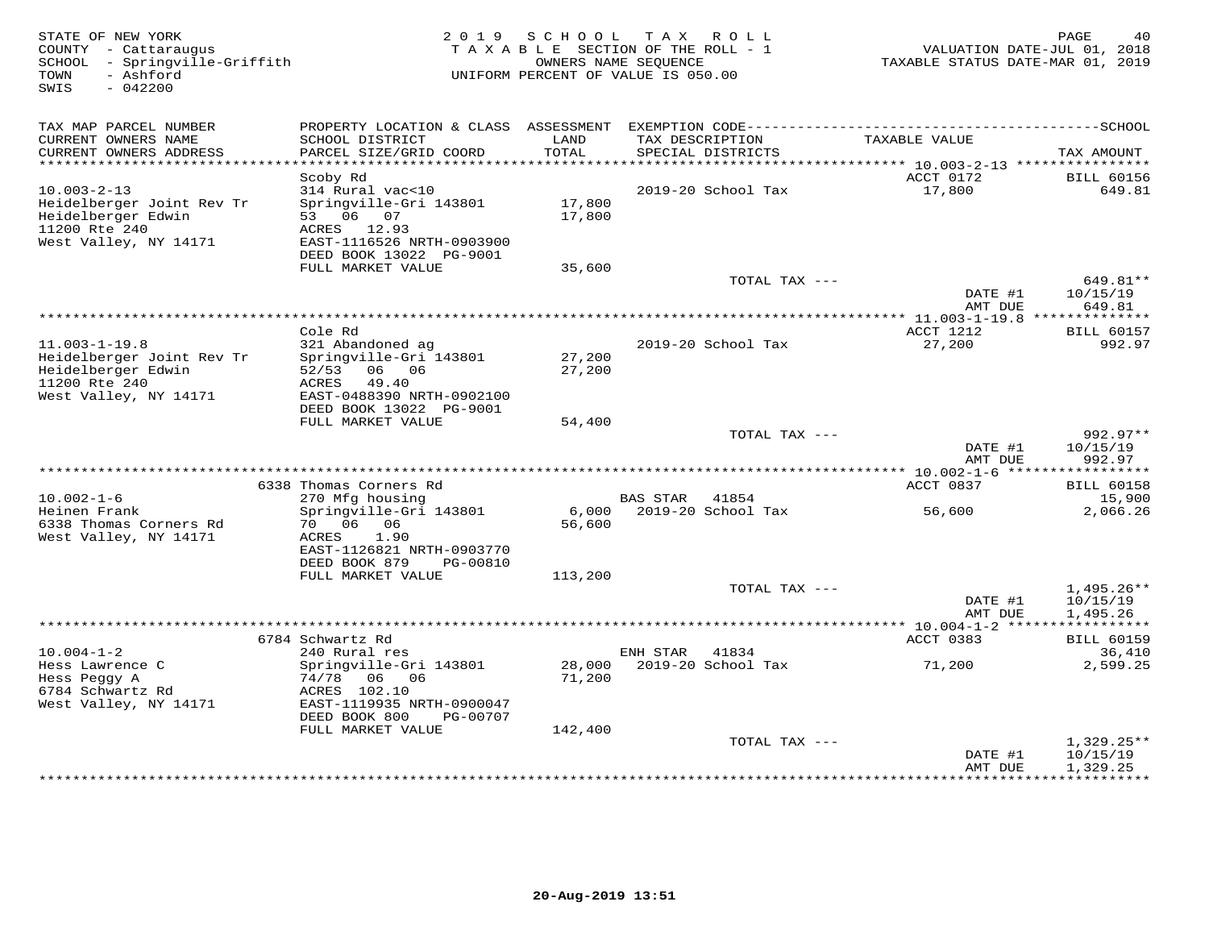| STATE OF NEW YORK<br>COUNTY - Cattaraugus<br>SCHOOL - Springville-Griffith<br>- Ashford<br>TOWN<br>SWIS<br>$-042200$ |                                                                                                                                    |                  | 2019 SCHOOL TAX ROLL<br>TAXABLE SECTION OF THE ROLL - 1<br>OWNERS NAME SEQUENCE<br>UNIFORM PERCENT OF VALUE IS 050.00 |                                     | PAGE<br>40<br>VALUATION DATE-JUL 01, 2018<br>TAXABLE STATUS DATE-MAR 01, 2019 |
|----------------------------------------------------------------------------------------------------------------------|------------------------------------------------------------------------------------------------------------------------------------|------------------|-----------------------------------------------------------------------------------------------------------------------|-------------------------------------|-------------------------------------------------------------------------------|
| TAX MAP PARCEL NUMBER                                                                                                |                                                                                                                                    |                  |                                                                                                                       |                                     |                                                                               |
| CURRENT OWNERS NAME<br>CURRENT OWNERS ADDRESS                                                                        | SCHOOL DISTRICT<br>PARCEL SIZE/GRID COORD                                                                                          | LAND<br>TOTAL    | TAX DESCRIPTION<br>SPECIAL DISTRICTS                                                                                  | TAXABLE VALUE                       | TAX AMOUNT                                                                    |
| **************************                                                                                           |                                                                                                                                    |                  |                                                                                                                       |                                     |                                                                               |
| $10.003 - 2 - 13$                                                                                                    | Scoby Rd<br>314 Rural vac<10                                                                                                       |                  | 2019-20 School Tax                                                                                                    | ACCT 0172<br>17,800                 | <b>BILL 60156</b><br>649.81                                                   |
| Heidelberger Joint Rev Tr<br>Heidelberger Edwin<br>11200 Rte 240<br>West Valley, NY 14171                            | Springville-Gri 143801<br>53 06 07<br>ACRES 12.93<br>EAST-1116526 NRTH-0903900<br>DEED BOOK 13022 PG-9001                          | 17,800<br>17,800 |                                                                                                                       |                                     |                                                                               |
|                                                                                                                      | FULL MARKET VALUE                                                                                                                  | 35,600           |                                                                                                                       |                                     |                                                                               |
|                                                                                                                      |                                                                                                                                    |                  |                                                                                                                       | TOTAL TAX ---<br>DATE #1            | 649.81**<br>10/15/19                                                          |
|                                                                                                                      |                                                                                                                                    |                  |                                                                                                                       | AMT DUE                             | 649.81                                                                        |
|                                                                                                                      | Cole Rd                                                                                                                            |                  |                                                                                                                       | ACCT 1212                           | <b>BILL 60157</b>                                                             |
| $11.003 - 1 - 19.8$<br>Heidelberger Joint Rev Tr<br>Heidelberger Edwin<br>11200 Rte 240                              | 321 Abandoned ag<br>Springville-Gri 143801<br>06 06<br>52/53<br>ACRES<br>49.40                                                     | 27,200<br>27,200 | 2019-20 School Tax                                                                                                    | 27,200                              | 992.97                                                                        |
| West Valley, NY 14171                                                                                                | EAST-0488390 NRTH-0902100<br>DEED BOOK 13022 PG-9001                                                                               |                  |                                                                                                                       |                                     |                                                                               |
|                                                                                                                      | FULL MARKET VALUE                                                                                                                  | 54,400           |                                                                                                                       |                                     |                                                                               |
|                                                                                                                      |                                                                                                                                    |                  |                                                                                                                       | TOTAL TAX ---<br>DATE #1            | $992.97**$<br>10/15/19                                                        |
|                                                                                                                      | ********************                                                                                                               |                  |                                                                                                                       | AMT DUE                             | 992.97                                                                        |
|                                                                                                                      | 6338 Thomas Corners Rd                                                                                                             |                  |                                                                                                                       | ACCT 0837                           | <b>BILL 60158</b>                                                             |
| $10.002 - 1 - 6$                                                                                                     | 270 Mfg housing                                                                                                                    |                  | BAS STAR 41854                                                                                                        |                                     | 15,900                                                                        |
| Heinen Frank<br>6338 Thomas Corners Rd<br>West Valley, NY 14171                                                      | Springville-Gri 143801<br>70 06 06<br>ACRES<br>1.90<br>EAST-1126821 NRTH-0903770<br>DEED BOOK 879<br>PG-00810<br>FULL MARKET VALUE | 56,600           | 6,000 2019-20 School Tax                                                                                              | 56,600                              | 2,066.26                                                                      |
|                                                                                                                      |                                                                                                                                    | 113,200          |                                                                                                                       | TOTAL TAX ---                       | $1,495.26**$                                                                  |
|                                                                                                                      |                                                                                                                                    |                  |                                                                                                                       | DATE #1<br>AMT DUE                  | 10/15/19<br>1,495.26                                                          |
|                                                                                                                      |                                                                                                                                    |                  |                                                                                                                       |                                     |                                                                               |
| $10.004 - 1 - 2$                                                                                                     | 6784 Schwartz Rd<br>240 Rural res                                                                                                  |                  | ENH STAR<br>41834                                                                                                     | ACCT 0383                           | <b>BILL 60159</b><br>36,410                                                   |
| Hess Lawrence C<br>Hess Peggy A<br>6784 Schwartz Rd<br>West Valley, NY 14171                                         | Springville-Gri 143801<br>74/78<br>06 06<br>ACRES 102.10<br>EAST-1119935 NRTH-0900047                                              | 28,000<br>71,200 | 2019-20 School Tax                                                                                                    | 71,200                              | 2,599.25                                                                      |
|                                                                                                                      | DEED BOOK 800<br>PG-00707<br>FULL MARKET VALUE                                                                                     | 142,400          |                                                                                                                       |                                     |                                                                               |
|                                                                                                                      |                                                                                                                                    |                  |                                                                                                                       | TOTAL TAX ---<br>DATE #1<br>AMT DUE | $1,329.25**$<br>10/15/19<br>1,329.25                                          |
|                                                                                                                      |                                                                                                                                    |                  |                                                                                                                       |                                     | .                                                                             |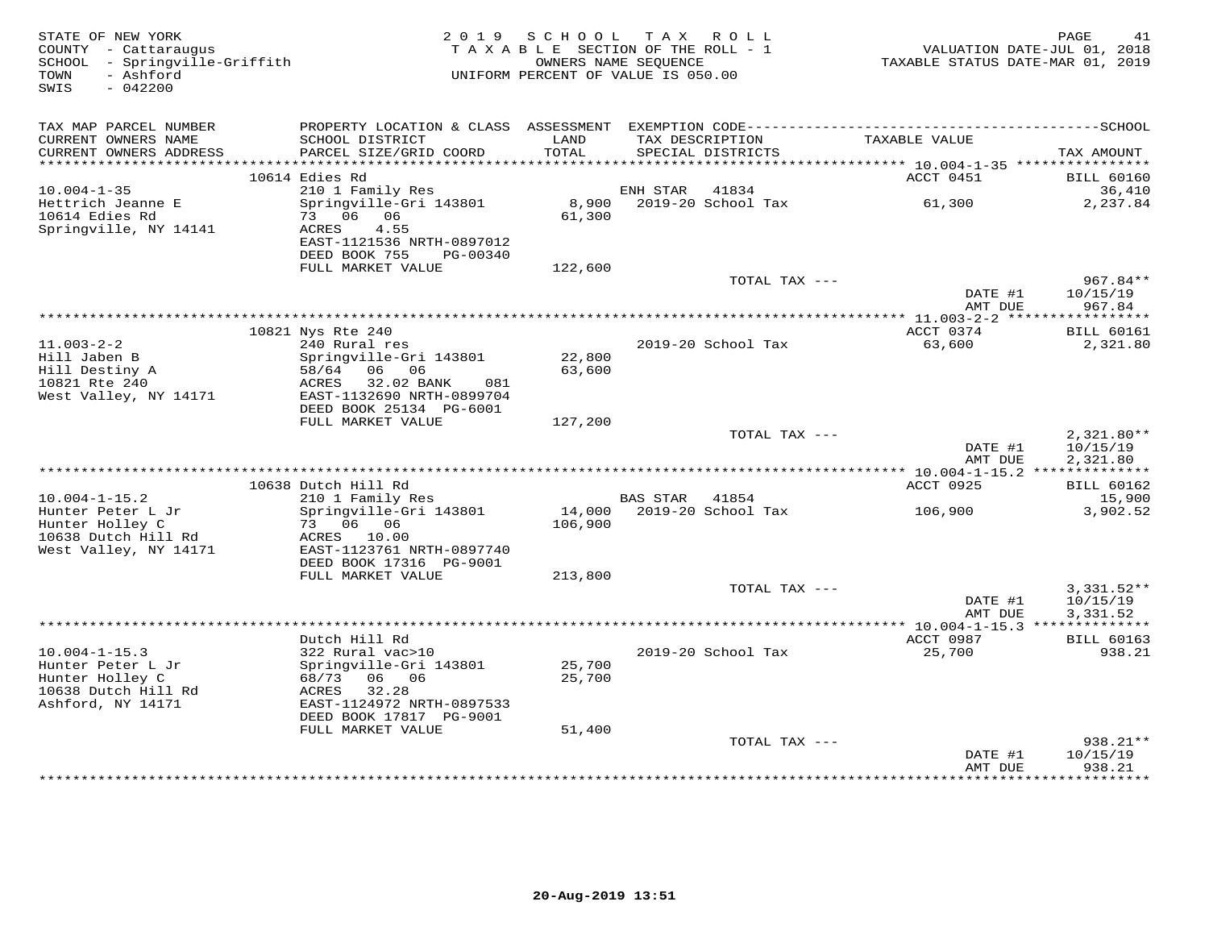| STATE OF NEW YORK<br>COUNTY - Cattaraugus<br>SCHOOL - Springville-Griffith<br>- Ashford<br>TOWN<br>SWIS<br>$-042200$ | 2 0 1 9                                                                               | SCHOOL<br>TAXABLE SECTION OF THE ROLL - 1<br>UNIFORM PERCENT OF VALUE IS 050.00 | TAX ROLL<br>OWNERS NAME SEOUENCE      |                    | TAXABLE STATUS DATE-MAR 01, 2019         | PAGE<br>41<br>VALUATION DATE-JUL 01, 2018 |
|----------------------------------------------------------------------------------------------------------------------|---------------------------------------------------------------------------------------|---------------------------------------------------------------------------------|---------------------------------------|--------------------|------------------------------------------|-------------------------------------------|
| TAX MAP PARCEL NUMBER<br>CURRENT OWNERS NAME                                                                         | SCHOOL DISTRICT                                                                       | LAND                                                                            | TAX DESCRIPTION                       |                    | TAXABLE VALUE                            |                                           |
| CURRENT OWNERS ADDRESS<br>***********************                                                                    | PARCEL SIZE/GRID COORD                                                                | TOTAL                                                                           | SPECIAL DISTRICTS                     |                    |                                          | TAX AMOUNT                                |
|                                                                                                                      | 10614 Edies Rd                                                                        |                                                                                 |                                       |                    | ACCT 0451                                | <b>BILL 60160</b>                         |
| $10.004 - 1 - 35$                                                                                                    | 210 1 Family Res                                                                      |                                                                                 | ENH STAR                              | 41834              |                                          | 36,410                                    |
| Hettrich Jeanne E<br>10614 Edies Rd<br>Springville, NY 14141                                                         | Springville-Gri 143801<br>73 06 06<br>ACRES<br>4.55                                   | 8,900<br>61,300                                                                 |                                       | 2019-20 School Tax | 61,300                                   | 2,237.84                                  |
|                                                                                                                      | EAST-1121536 NRTH-0897012<br>DEED BOOK 755<br>PG-00340                                |                                                                                 |                                       |                    |                                          |                                           |
|                                                                                                                      | FULL MARKET VALUE                                                                     | 122,600                                                                         |                                       | TOTAL TAX ---      |                                          | $967.84**$                                |
|                                                                                                                      |                                                                                       |                                                                                 |                                       |                    | DATE #1<br>AMT DUE                       | 10/15/19<br>967.84                        |
|                                                                                                                      | **************************************                                                |                                                                                 |                                       |                    | $*11.003-2-2$ ******                     | ***********                               |
|                                                                                                                      | 10821 Nys Rte 240                                                                     |                                                                                 |                                       |                    | ACCT 0374                                | <b>BILL 60161</b>                         |
| $11.003 - 2 - 2$<br>Hill Jaben B<br>Hill Destiny A                                                                   | 240 Rural res<br>Springville-Gri 143801<br>58/64 06 06                                | 22,800<br>63,600                                                                |                                       | 2019-20 School Tax | 63,600                                   | 2,321.80                                  |
| 10821 Rte 240<br>West Valley, NY 14171                                                                               | ACRES<br>32.02 BANK<br>081<br>EAST-1132690 NRTH-0899704<br>DEED BOOK 25134 PG-6001    |                                                                                 |                                       |                    |                                          |                                           |
|                                                                                                                      | FULL MARKET VALUE                                                                     | 127,200                                                                         |                                       |                    |                                          |                                           |
|                                                                                                                      |                                                                                       |                                                                                 |                                       | TOTAL TAX ---      | DATE #1<br>AMT DUE                       | $2,321.80**$<br>10/15/19<br>2,321.80      |
|                                                                                                                      |                                                                                       |                                                                                 |                                       |                    | *********** 10.004-1-15.2 ************** |                                           |
|                                                                                                                      | 10638 Dutch Hill Rd                                                                   |                                                                                 |                                       |                    | ACCT 0925                                | <b>BILL 60162</b>                         |
| $10.004 - 1 - 15.2$                                                                                                  | 210 1 Family Res                                                                      |                                                                                 | BAS STAR<br>14,000 2019-20 School Tax | 41854              |                                          | 15,900                                    |
| Hunter Peter L Jr<br>Hunter Holley C<br>10638 Dutch Hill Rd                                                          | Springville-Gri 143801<br>73 06 06<br>ACRES 10.00                                     | 106,900                                                                         |                                       |                    | 106,900                                  | 3,902.52                                  |
| West Valley, NY 14171                                                                                                | EAST-1123761 NRTH-0897740<br>DEED BOOK 17316 PG-9001                                  |                                                                                 |                                       |                    |                                          |                                           |
|                                                                                                                      | FULL MARKET VALUE                                                                     | 213,800                                                                         |                                       |                    |                                          |                                           |
|                                                                                                                      |                                                                                       |                                                                                 |                                       | TOTAL TAX ---      | DATE #1<br>AMT DUE                       | $3,331.52**$<br>10/15/19<br>3,331.52      |
|                                                                                                                      |                                                                                       |                                                                                 |                                       |                    |                                          |                                           |
|                                                                                                                      | Dutch Hill Rd                                                                         |                                                                                 |                                       |                    | ACCT 0987                                | <b>BILL 60163</b>                         |
| $10.004 - 1 - 15.3$<br>Hunter Peter L Jr                                                                             | 322 Rural vac>10<br>Springville-Gri 143801                                            | 25,700                                                                          |                                       | 2019-20 School Tax | 25,700                                   | 938.21                                    |
| Hunter Holley C<br>10638 Dutch Hill Rd<br>Ashford, NY 14171                                                          | 68/73 06 06<br>32.28<br>ACRES<br>EAST-1124972 NRTH-0897533<br>DEED BOOK 17817 PG-9001 | 25,700                                                                          |                                       |                    |                                          |                                           |
|                                                                                                                      | FULL MARKET VALUE                                                                     | 51,400                                                                          |                                       |                    |                                          |                                           |
|                                                                                                                      |                                                                                       |                                                                                 |                                       | TOTAL TAX ---      | DATE #1                                  | 938.21**<br>10/15/19                      |
|                                                                                                                      |                                                                                       |                                                                                 |                                       |                    | AMT DUE                                  | 938.21<br>**********                      |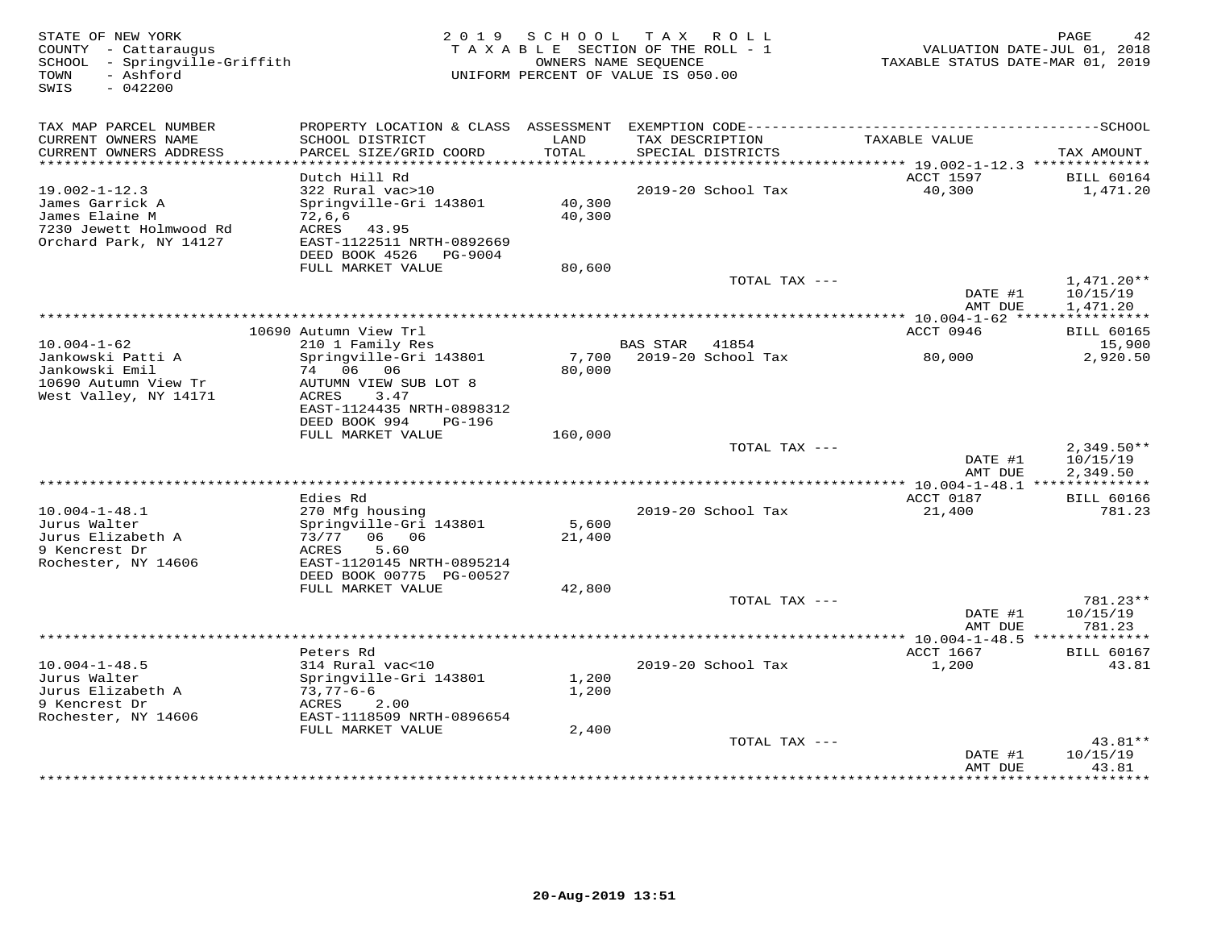| STATE OF NEW YORK<br>COUNTY - Cattaraugus<br>SCHOOL - Springville-Griffith<br>TOWN<br>- Ashford<br>SWIS<br>$-042200$ | 2 0 1 9                                       | S C H O O L   | T A X<br>R O L L<br>TAXABLE SECTION OF THE ROLL - 1<br>OWNERS NAME SEQUENCE<br>UNIFORM PERCENT OF VALUE IS 050.00 | VALUATION DATE-JUL 01, 2018<br>TAXABLE STATUS DATE-MAR 01, 2019 | PAGE<br>42                    |
|----------------------------------------------------------------------------------------------------------------------|-----------------------------------------------|---------------|-------------------------------------------------------------------------------------------------------------------|-----------------------------------------------------------------|-------------------------------|
| TAX MAP PARCEL NUMBER                                                                                                |                                               |               |                                                                                                                   |                                                                 |                               |
| CURRENT OWNERS NAME<br>CURRENT OWNERS ADDRESS                                                                        | SCHOOL DISTRICT<br>PARCEL SIZE/GRID COORD     | LAND<br>TOTAL | TAX DESCRIPTION<br>SPECIAL DISTRICTS                                                                              | TAXABLE VALUE                                                   | TAX AMOUNT                    |
| **************************                                                                                           |                                               |               |                                                                                                                   |                                                                 |                               |
| $19.002 - 1 - 12.3$                                                                                                  | Dutch Hill Rd<br>322 Rural vac>10             |               | 2019-20 School Tax                                                                                                | ACCT 1597<br>40,300                                             | <b>BILL 60164</b><br>1,471.20 |
| James Garrick A                                                                                                      | Springville-Gri 143801                        | 40,300        |                                                                                                                   |                                                                 |                               |
| James Elaine M                                                                                                       | 72,6,6                                        | 40,300        |                                                                                                                   |                                                                 |                               |
| 7230 Jewett Holmwood Rd<br>Orchard Park, NY 14127                                                                    | ACRES<br>43.95<br>EAST-1122511 NRTH-0892669   |               |                                                                                                                   |                                                                 |                               |
|                                                                                                                      | DEED BOOK 4526<br>PG-9004                     |               |                                                                                                                   |                                                                 |                               |
|                                                                                                                      | FULL MARKET VALUE                             | 80,600        |                                                                                                                   |                                                                 |                               |
|                                                                                                                      |                                               |               | TOTAL TAX ---                                                                                                     | DATE #1                                                         | $1,471.20**$<br>10/15/19      |
|                                                                                                                      |                                               |               |                                                                                                                   | AMT DUE                                                         | 1,471.20                      |
|                                                                                                                      |                                               |               |                                                                                                                   |                                                                 |                               |
| $10.004 - 1 - 62$                                                                                                    | 10690 Autumn View Trl<br>210 1 Family Res     |               | <b>BAS STAR</b><br>41854                                                                                          | ACCT 0946                                                       | <b>BILL 60165</b><br>15,900   |
| Jankowski Patti A                                                                                                    | Springville-Gri 143801                        | 7,700         | 2019-20 School Tax                                                                                                | 80,000                                                          | 2,920.50                      |
| Jankowski Emil                                                                                                       | 74 06 06                                      | 80,000        |                                                                                                                   |                                                                 |                               |
| 10690 Autumn View Tr<br>West Valley, NY 14171                                                                        | AUTUMN VIEW SUB LOT 8<br><b>ACRES</b><br>3.47 |               |                                                                                                                   |                                                                 |                               |
|                                                                                                                      | EAST-1124435 NRTH-0898312                     |               |                                                                                                                   |                                                                 |                               |
|                                                                                                                      | DEED BOOK 994<br>PG-196                       |               |                                                                                                                   |                                                                 |                               |
|                                                                                                                      | FULL MARKET VALUE                             | 160,000       | TOTAL TAX ---                                                                                                     |                                                                 | $2,349.50**$                  |
|                                                                                                                      |                                               |               |                                                                                                                   | DATE #1                                                         | 10/15/19                      |
|                                                                                                                      |                                               |               |                                                                                                                   | AMT DUE                                                         | 2,349.50                      |
|                                                                                                                      | Edies Rd                                      |               |                                                                                                                   | *************** 10.004-1-48.1 ***************<br>ACCT 0187      | <b>BILL 60166</b>             |
| $10.004 - 1 - 48.1$                                                                                                  | 270 Mfg housing                               |               | 2019-20 School Tax                                                                                                | 21,400                                                          | 781.23                        |
| Jurus Walter                                                                                                         | Springville-Gri 143801                        | 5,600         |                                                                                                                   |                                                                 |                               |
| Jurus Elizabeth A<br>9 Kencrest Dr                                                                                   | 73/77 06 06<br>5.60<br>ACRES                  | 21,400        |                                                                                                                   |                                                                 |                               |
| Rochester, NY 14606                                                                                                  | EAST-1120145 NRTH-0895214                     |               |                                                                                                                   |                                                                 |                               |
|                                                                                                                      | DEED BOOK 00775 PG-00527                      |               |                                                                                                                   |                                                                 |                               |
|                                                                                                                      | FULL MARKET VALUE                             | 42,800        | TOTAL TAX ---                                                                                                     |                                                                 | 781.23**                      |
|                                                                                                                      |                                               |               |                                                                                                                   | DATE #1                                                         | 10/15/19                      |
|                                                                                                                      |                                               |               |                                                                                                                   | AMT DUE                                                         | 781.23                        |
|                                                                                                                      | ***************<br>Peters Rd                  |               | *********************************                                                                                 | **** $10.004 - 1 - 48.5$ **************<br>ACCT 1667            | <b>BILL 60167</b>             |
| $10.004 - 1 - 48.5$                                                                                                  | 314 Rural vac<10                              |               | 2019-20 School Tax                                                                                                | 1,200                                                           | 43.81                         |
| Jurus Walter                                                                                                         | Springville-Gri 143801                        | 1,200         |                                                                                                                   |                                                                 |                               |
| Jurus Elizabeth A<br>9 Kencrest Dr                                                                                   | 73,77-6-6<br>ACRES<br>2.00                    | 1,200         |                                                                                                                   |                                                                 |                               |
| Rochester, NY 14606                                                                                                  | EAST-1118509 NRTH-0896654                     |               |                                                                                                                   |                                                                 |                               |
|                                                                                                                      | FULL MARKET VALUE                             | 2,400         |                                                                                                                   |                                                                 |                               |
|                                                                                                                      |                                               |               | TOTAL TAX ---                                                                                                     | DATE #1                                                         | $43.81**$<br>10/15/19         |
|                                                                                                                      |                                               |               |                                                                                                                   | AMT DUE                                                         | 43.81                         |
|                                                                                                                      |                                               |               |                                                                                                                   |                                                                 | * * * * * * * *               |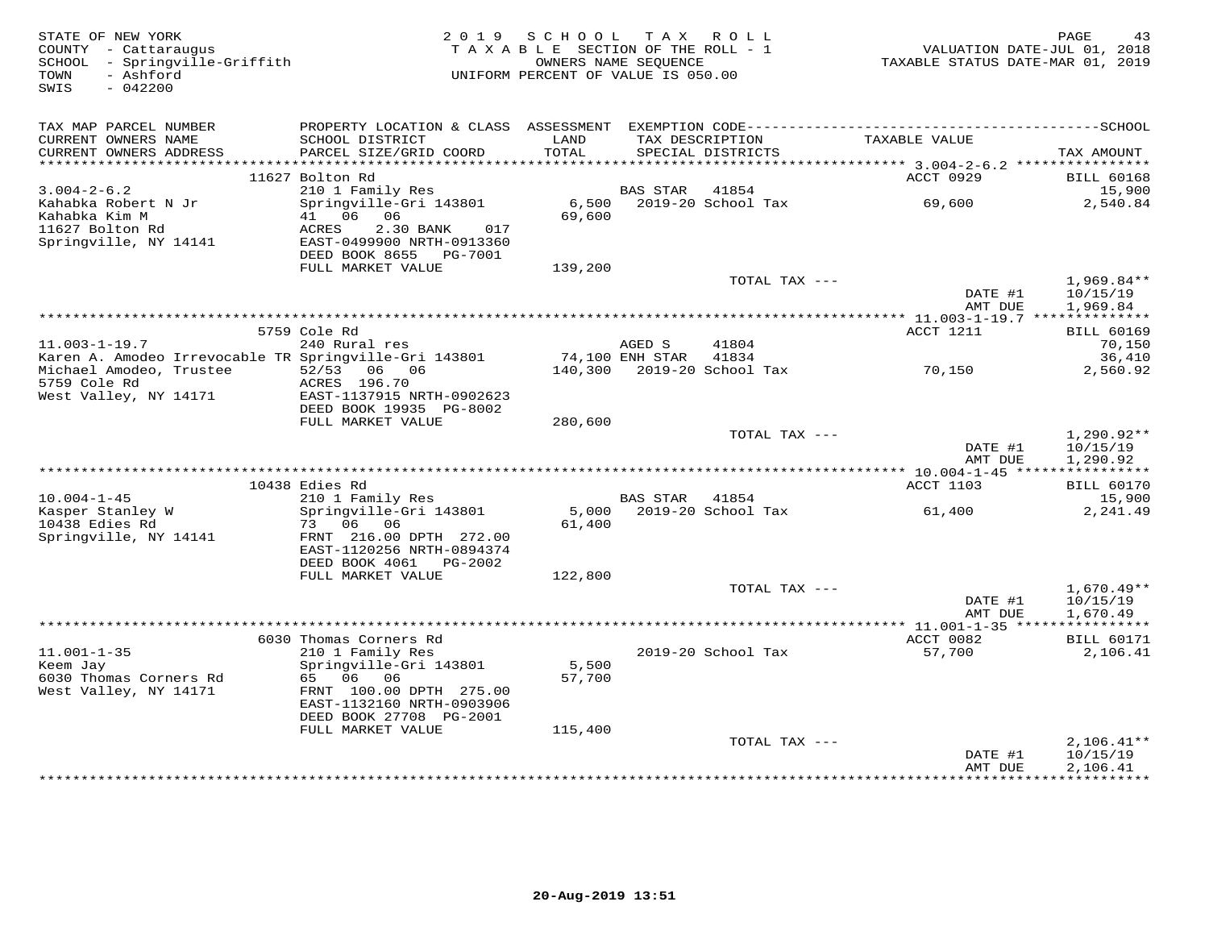| STATE OF NEW YORK<br>COUNTY - Cattaraugus<br>SCHOOL - Springville-Griffith<br>- Ashford<br>TOWN<br>SWIS<br>$-042200$ |                                                                                              | 2019 SCHOOL<br>TAXABLE SECTION OF THE ROLL - 1<br>UNIFORM PERCENT OF VALUE IS 050.00 | OWNERS NAME SEQUENCE | TAX ROLL                             | VALUATION DATE-JUL 01, 2018<br>TAXABLE STATUS DATE-MAR 01, 2019 | PAGE<br>43                          |
|----------------------------------------------------------------------------------------------------------------------|----------------------------------------------------------------------------------------------|--------------------------------------------------------------------------------------|----------------------|--------------------------------------|-----------------------------------------------------------------|-------------------------------------|
| TAX MAP PARCEL NUMBER                                                                                                |                                                                                              |                                                                                      |                      |                                      |                                                                 |                                     |
| CURRENT OWNERS NAME<br>CURRENT OWNERS ADDRESS<br>************************                                            | SCHOOL DISTRICT<br>PARCEL SIZE/GRID COORD                                                    | LAND<br>TOTAL                                                                        |                      | TAX DESCRIPTION<br>SPECIAL DISTRICTS | TAXABLE VALUE                                                   | TAX AMOUNT                          |
|                                                                                                                      | 11627 Bolton Rd                                                                              |                                                                                      |                      |                                      | ACCT 0929                                                       | <b>BILL 60168</b>                   |
| $3.004 - 2 - 6.2$                                                                                                    | 210 1 Family Res                                                                             |                                                                                      | BAS STAR             | 41854                                |                                                                 | 15,900                              |
| Kahabka Robert N Jr<br>Kahabka Kim M<br>11627 Bolton Rd<br>Springville, NY 14141                                     | Springville-Gri 143801<br>41 06 06<br>ACRES<br>2.30 BANK<br>017<br>EAST-0499900 NRTH-0913360 | 6,500<br>69,600                                                                      |                      | 2019-20 School Tax                   | 69,600                                                          | 2,540.84                            |
|                                                                                                                      | DEED BOOK 8655 PG-7001                                                                       |                                                                                      |                      |                                      |                                                                 |                                     |
|                                                                                                                      | FULL MARKET VALUE                                                                            | 139,200                                                                              |                      |                                      |                                                                 |                                     |
|                                                                                                                      |                                                                                              |                                                                                      |                      | TOTAL TAX ---                        | DATE #1                                                         | $1,969.84**$<br>10/15/19            |
|                                                                                                                      |                                                                                              |                                                                                      |                      |                                      | AMT DUE<br>*************** 11.003-1-19.7 ***************        | 1,969.84                            |
|                                                                                                                      | 5759 Cole Rd                                                                                 |                                                                                      |                      |                                      | ACCT 1211                                                       | <b>BILL 60169</b>                   |
| $11.003 - 1 - 19.7$                                                                                                  | 240 Rural res                                                                                |                                                                                      | AGED S               | 41804                                |                                                                 | 70,150                              |
| Karen A. Amodeo Irrevocable TR Springville-Gri 143801                                                                |                                                                                              |                                                                                      | 74,100 ENH STAR      | 41834                                |                                                                 | 36,410                              |
| Michael Amodeo, Trustee<br>5759 Cole Rd<br>West Valley, NY 14171                                                     | 52/53 06 06<br>ACRES 196.70<br>EAST-1137915 NRTH-0902623                                     |                                                                                      |                      | 140,300 2019-20 School Tax           | 70,150                                                          | 2,560.92                            |
|                                                                                                                      | DEED BOOK 19935 PG-8002<br>FULL MARKET VALUE                                                 | 280,600                                                                              |                      |                                      |                                                                 |                                     |
|                                                                                                                      |                                                                                              |                                                                                      |                      | TOTAL TAX ---                        |                                                                 | $1,290.92**$                        |
|                                                                                                                      |                                                                                              |                                                                                      |                      |                                      | DATE #1<br>AMT DUE                                              | 10/15/19<br>1,290.92                |
|                                                                                                                      |                                                                                              |                                                                                      |                      |                                      |                                                                 |                                     |
| $10.004 - 1 - 45$                                                                                                    | 10438 Edies Rd<br>210 1 Family Res                                                           |                                                                                      | BAS STAR             | 41854                                | <b>ACCT 1103</b>                                                | <b>BILL 60170</b><br>15,900         |
| Kasper Stanley W                                                                                                     | Springville-Gri 143801                                                                       |                                                                                      |                      | 5,000 2019-20 School Tax             | 61,400                                                          | 2,241.49                            |
| 10438 Edies Rd<br>Springville, NY 14141                                                                              | 73 06 06<br>FRNT 216.00 DPTH 272.00<br>EAST-1120256 NRTH-0894374                             | 61,400                                                                               |                      |                                      |                                                                 |                                     |
|                                                                                                                      | DEED BOOK 4061<br>PG-2002                                                                    |                                                                                      |                      |                                      |                                                                 |                                     |
|                                                                                                                      | FULL MARKET VALUE                                                                            | 122,800                                                                              |                      | TOTAL TAX ---                        |                                                                 | $1,670.49**$                        |
|                                                                                                                      |                                                                                              |                                                                                      |                      |                                      | DATE #1                                                         | 10/15/19                            |
|                                                                                                                      |                                                                                              |                                                                                      |                      |                                      | AMT DUE                                                         | 1,670.49                            |
|                                                                                                                      |                                                                                              |                                                                                      |                      |                                      |                                                                 |                                     |
|                                                                                                                      | 6030 Thomas Corners Rd                                                                       |                                                                                      |                      |                                      | ACCT 0082                                                       | <b>BILL 60171</b>                   |
| $11.001 - 1 - 35$<br>Keem Jay<br>6030 Thomas Corners Rd                                                              | 210 1 Family Res<br>Springville-Gri 143801<br>65 06 06                                       | 5,500<br>57,700                                                                      |                      | 2019-20 School Tax                   | 57,700                                                          | 2,106.41                            |
| West Valley, NY 14171                                                                                                | FRNT 100.00 DPTH 275.00<br>EAST-1132160 NRTH-0903906<br>DEED BOOK 27708 PG-2001              |                                                                                      |                      |                                      |                                                                 |                                     |
|                                                                                                                      | FULL MARKET VALUE                                                                            | 115,400                                                                              |                      |                                      |                                                                 |                                     |
|                                                                                                                      |                                                                                              |                                                                                      |                      | TOTAL TAX ---                        |                                                                 | $2,106.41**$                        |
|                                                                                                                      |                                                                                              |                                                                                      |                      |                                      | DATE #1<br>AMT DUE<br>************                              | 10/15/19<br>2,106.41<br>*********** |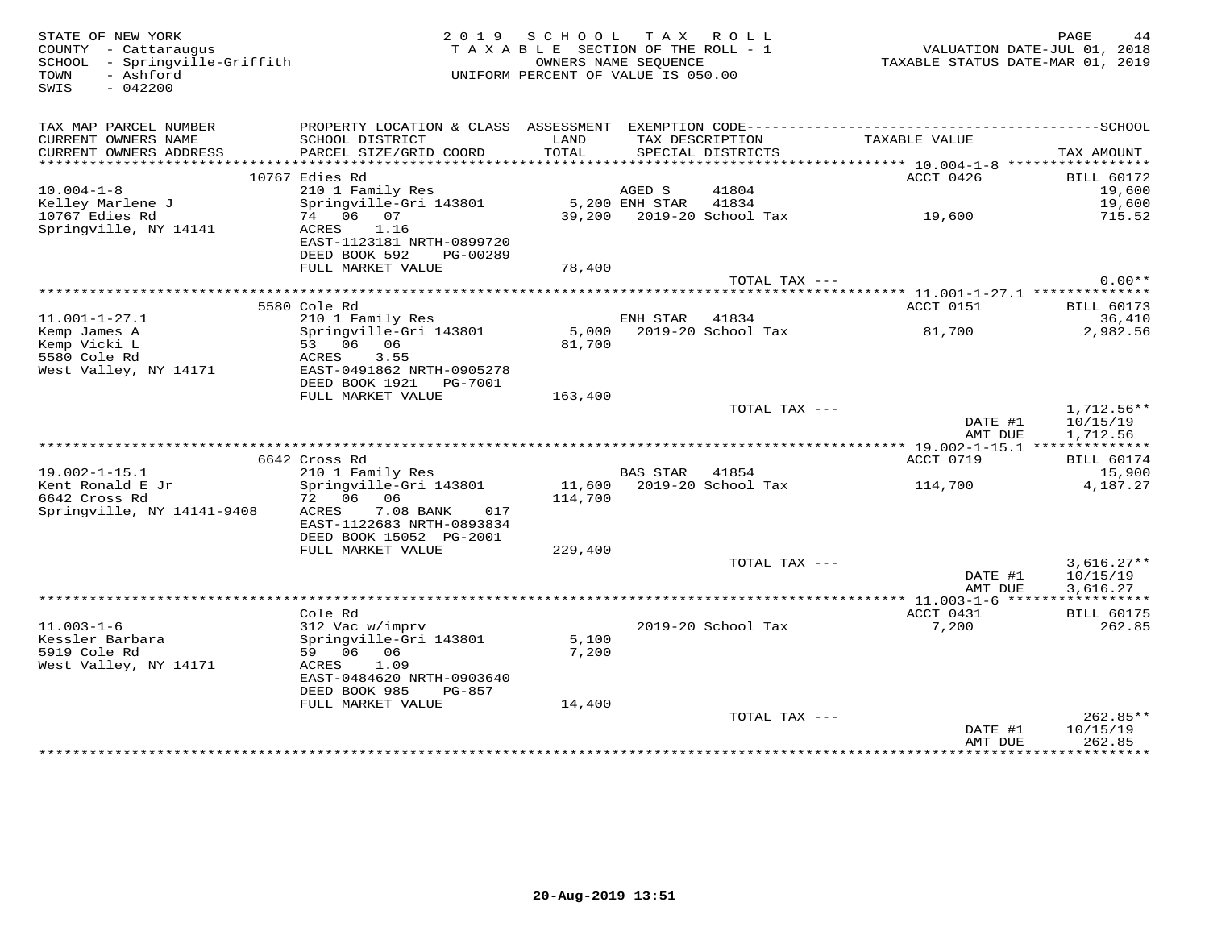| STATE OF NEW YORK<br>COUNTY - Cattaraugus<br>SCHOOL - Springville-Griffith<br>- Ashford<br>TOWN<br>SWIS<br>$-042200$ |                                                        | 2019 SCHOOL<br>TAXABLE SECTION OF THE ROLL - 1<br>UNIFORM PERCENT OF VALUE IS 050.00 | OWNERS NAME SEQUENCE | TAX ROLL                  | VALUATION DATE-JUL 01, 2018<br>TAXABLE STATUS DATE-MAR 01, 2019 | PAGE                                 |
|----------------------------------------------------------------------------------------------------------------------|--------------------------------------------------------|--------------------------------------------------------------------------------------|----------------------|---------------------------|-----------------------------------------------------------------|--------------------------------------|
| TAX MAP PARCEL NUMBER                                                                                                |                                                        |                                                                                      |                      | TAX DESCRIPTION           |                                                                 |                                      |
| CURRENT OWNERS NAME<br>CURRENT OWNERS ADDRESS                                                                        | SCHOOL DISTRICT<br>PARCEL SIZE/GRID COORD              | LAND<br>TOTAL                                                                        |                      | SPECIAL DISTRICTS         | TAXABLE VALUE                                                   | TAX AMOUNT                           |
|                                                                                                                      |                                                        |                                                                                      |                      |                           |                                                                 |                                      |
|                                                                                                                      | 10767 Edies Rd                                         |                                                                                      |                      |                           | ACCT 0426                                                       | <b>BILL 60172</b>                    |
| $10.004 - 1 - 8$                                                                                                     | 210 1 Family Res                                       |                                                                                      | AGED S               | 41804                     |                                                                 | 19,600                               |
| Kelley Marlene J                                                                                                     | Springville-Gri 143801                                 |                                                                                      | 5,200 ENH STAR       | 41834                     | 39,200 2019-20 School Tax 19,600                                | 19,600                               |
| 10767 Edies Rd<br>Springville, NY 14141                                                                              | 74 06 07<br>1.16<br>ACRES                              |                                                                                      |                      |                           |                                                                 | 715.52                               |
|                                                                                                                      | EAST-1123181 NRTH-0899720                              |                                                                                      |                      |                           |                                                                 |                                      |
|                                                                                                                      | DEED BOOK 592<br>PG-00289                              |                                                                                      |                      |                           |                                                                 |                                      |
|                                                                                                                      | FULL MARKET VALUE                                      | 78,400                                                                               |                      |                           |                                                                 |                                      |
|                                                                                                                      |                                                        |                                                                                      |                      | TOTAL TAX ---             |                                                                 | $0.00**$                             |
|                                                                                                                      | 5580 Cole Rd                                           |                                                                                      |                      |                           | ACCT 0151                                                       | <b>BILL 60173</b>                    |
| $11.001 - 1 - 27.1$                                                                                                  | 210 1 Family Res                                       |                                                                                      | ENH STAR             | 41834                     |                                                                 | 36,410                               |
| Kemp James A                                                                                                         | Springville-Gri 143801                                 |                                                                                      |                      | 5,000 2019-20 School Tax  | 81,700                                                          | 2,982.56                             |
| Kemp Vicki L                                                                                                         | 53 06 06                                               | 81,700                                                                               |                      |                           |                                                                 |                                      |
| 5580 Cole Rd                                                                                                         | ACRES<br>3.55                                          |                                                                                      |                      |                           |                                                                 |                                      |
| West Valley, NY 14171                                                                                                | EAST-0491862 NRTH-0905278<br>DEED BOOK 1921    PG-7001 |                                                                                      |                      |                           |                                                                 |                                      |
|                                                                                                                      | FULL MARKET VALUE                                      | 163,400                                                                              |                      |                           |                                                                 |                                      |
|                                                                                                                      |                                                        |                                                                                      |                      | TOTAL TAX ---             | DATE #1<br>AMT DUE                                              | $1,712.56**$<br>10/15/19<br>1,712.56 |
|                                                                                                                      |                                                        |                                                                                      |                      |                           |                                                                 |                                      |
|                                                                                                                      | 6642 Cross Rd                                          |                                                                                      |                      |                           | ACCT 0719                                                       | <b>BILL 60174</b>                    |
| $19.002 - 1 - 15.1$<br>Kent Ronald E Jr                                                                              | 210 1 Family Res                                       |                                                                                      | BAS STAR             | 41854                     |                                                                 | 15,900                               |
| 6642 Cross Rd                                                                                                        | Springville-Gri 143801<br>72 06 06                     | 114,700                                                                              |                      | 11,600 2019-20 School Tax | 114,700                                                         | 4,187.27                             |
| Springville, NY 14141-9408                                                                                           | 7.08 BANK<br>ACRES<br>017                              |                                                                                      |                      |                           |                                                                 |                                      |
|                                                                                                                      | EAST-1122683 NRTH-0893834                              |                                                                                      |                      |                           |                                                                 |                                      |
|                                                                                                                      | DEED BOOK 15052 PG-2001                                |                                                                                      |                      |                           |                                                                 |                                      |
|                                                                                                                      | FULL MARKET VALUE                                      | 229,400                                                                              |                      |                           |                                                                 |                                      |
|                                                                                                                      |                                                        |                                                                                      |                      | TOTAL TAX ---             | DATE #1                                                         | $3,616.27**$<br>10/15/19             |
|                                                                                                                      |                                                        |                                                                                      |                      |                           | AMT DUE                                                         | 3,616.27                             |
|                                                                                                                      |                                                        |                                                                                      |                      |                           |                                                                 |                                      |
|                                                                                                                      | Cole Rd                                                |                                                                                      |                      |                           | ACCT 0431                                                       | <b>BILL 60175</b>                    |
| $11.003 - 1 - 6$                                                                                                     | 312 Vac w/imprv                                        |                                                                                      |                      | 2019-20 School Tax        | 7,200                                                           | 262.85                               |
| Kessler Barbara                                                                                                      | Springville-Gri 143801                                 | 5,100                                                                                |                      |                           |                                                                 |                                      |
| 5919 Cole Rd<br>West Valley, NY 14171                                                                                | 59 06 06<br>ACRES<br>1.09                              | 7,200                                                                                |                      |                           |                                                                 |                                      |
|                                                                                                                      | EAST-0484620 NRTH-0903640                              |                                                                                      |                      |                           |                                                                 |                                      |
|                                                                                                                      | DEED BOOK 985<br>PG-857                                |                                                                                      |                      |                           |                                                                 |                                      |
|                                                                                                                      | FULL MARKET VALUE                                      | 14,400                                                                               |                      |                           |                                                                 |                                      |
|                                                                                                                      |                                                        |                                                                                      |                      | TOTAL TAX ---             |                                                                 | $262.85**$                           |
|                                                                                                                      |                                                        |                                                                                      |                      |                           | DATE #1                                                         | 10/15/19                             |
|                                                                                                                      |                                                        |                                                                                      |                      |                           | AMT DUE<br>*****************                                    | 262.85<br>**********                 |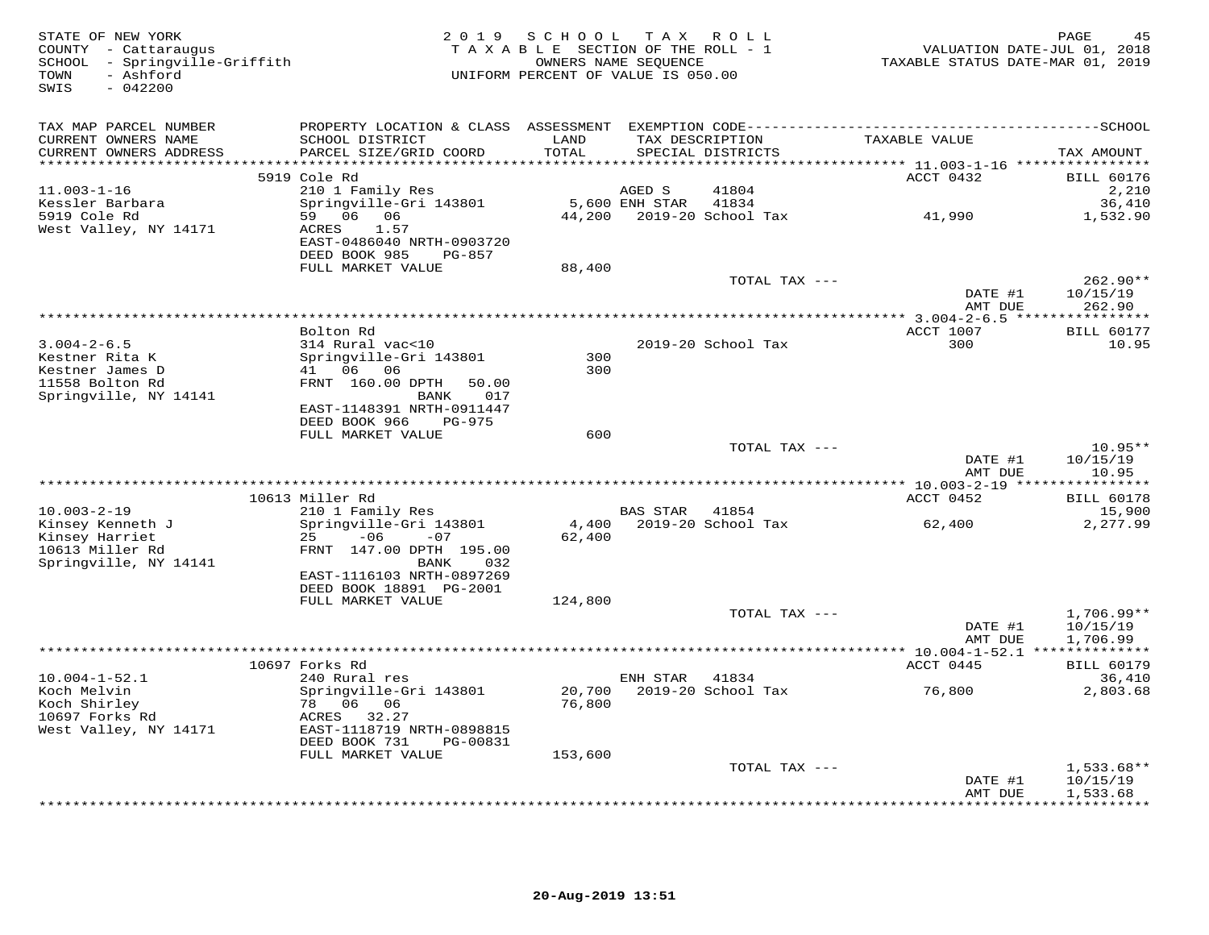| STATE OF NEW YORK<br>COUNTY - Cattaraugus<br>SCHOOL - Springville-Griffith<br>- Ashford<br>TOWN<br>SWIS<br>$-042200$ | 2 0 1 9                                                                           | SCHOOL TAX ROLL<br>TAXABLE SECTION OF THE ROLL - 1<br>UNIFORM PERCENT OF VALUE IS 050.00 | OWNERS NAME SEQUENCE |                             | VALUATION DATE-JUL 01, 2018<br>TAXABLE STATUS DATE-MAR 01, 2019 | PAGE<br>45                    |
|----------------------------------------------------------------------------------------------------------------------|-----------------------------------------------------------------------------------|------------------------------------------------------------------------------------------|----------------------|-----------------------------|-----------------------------------------------------------------|-------------------------------|
| TAX MAP PARCEL NUMBER                                                                                                |                                                                                   |                                                                                          |                      |                             |                                                                 |                               |
| CURRENT OWNERS NAME<br>CURRENT OWNERS ADDRESS<br>*******************                                                 | SCHOOL DISTRICT<br>PARCEL SIZE/GRID COORD                                         | LAND<br>TOTAL<br>******                                                                  | TAX DESCRIPTION      | SPECIAL DISTRICTS           | TAXABLE VALUE                                                   | TAX AMOUNT                    |
|                                                                                                                      | 5919 Cole Rd                                                                      |                                                                                          |                      |                             | ******** 11.003-1-16 *****************<br>ACCT 0432             | <b>BILL 60176</b>             |
| $11.003 - 1 - 16$                                                                                                    | 210 1 Family Res                                                                  |                                                                                          | AGED S               | 41804                       |                                                                 | 2,210                         |
| Kessler Barbara                                                                                                      | Springville-Gri 143801                                                            |                                                                                          | 5,600 ENH STAR       | 41834                       |                                                                 | 36,410                        |
| 5919 Cole Rd<br>West Valley, NY 14171                                                                                | 59 06 06<br>ACRES<br>1.57<br>EAST-0486040 NRTH-0903720<br>DEED BOOK 985<br>PG-857 | 44,200                                                                                   |                      | 2019-20 School Tax          | 41,990                                                          | 1,532.90                      |
|                                                                                                                      | FULL MARKET VALUE                                                                 | 88,400                                                                                   |                      |                             |                                                                 |                               |
|                                                                                                                      |                                                                                   |                                                                                          |                      | TOTAL TAX ---               |                                                                 | $262.90**$                    |
|                                                                                                                      |                                                                                   |                                                                                          |                      |                             | DATE #1<br>AMT DUE                                              | 10/15/19<br>262.90            |
|                                                                                                                      |                                                                                   |                                                                                          |                      |                             | **** 3.004-2-6.5 *****************                              |                               |
|                                                                                                                      | Bolton Rd                                                                         |                                                                                          |                      |                             | ACCT 1007                                                       | <b>BILL 60177</b>             |
| $3.004 - 2 - 6.5$                                                                                                    | 314 Rural vac<10                                                                  |                                                                                          |                      | 2019-20 School Tax          | 300                                                             | 10.95                         |
| Kestner Rita K<br>Kestner James D                                                                                    | Springville-Gri 143801<br>41 06 06                                                | 300<br>300                                                                               |                      |                             |                                                                 |                               |
| 11558 Bolton Rd                                                                                                      | FRNT 160.00 DPTH<br>50.00                                                         |                                                                                          |                      |                             |                                                                 |                               |
| Springville, NY 14141                                                                                                | BANK<br>017                                                                       |                                                                                          |                      |                             |                                                                 |                               |
|                                                                                                                      | EAST-1148391 NRTH-0911447                                                         |                                                                                          |                      |                             |                                                                 |                               |
|                                                                                                                      | DEED BOOK 966<br>PG-975<br>FULL MARKET VALUE                                      | 600                                                                                      |                      |                             |                                                                 |                               |
|                                                                                                                      |                                                                                   |                                                                                          |                      | TOTAL TAX ---               |                                                                 | $10.95**$                     |
|                                                                                                                      |                                                                                   |                                                                                          |                      |                             | DATE #1<br>AMT DUE                                              | 10/15/19<br>10.95             |
|                                                                                                                      |                                                                                   |                                                                                          |                      |                             |                                                                 |                               |
|                                                                                                                      | 10613 Miller Rd                                                                   |                                                                                          |                      |                             | ACCT 0452                                                       | <b>BILL 60178</b>             |
| $10.003 - 2 - 19$<br>Kinsey Kenneth J                                                                                | 210 1 Family Res<br>Springville-Gri 143801                                        | 4,400                                                                                    | BAS STAR             | 41854<br>2019-20 School Tax | 62,400                                                          | 15,900<br>2,277.99            |
| Kinsey Harriet                                                                                                       | 25<br>$-06$<br>$-07$                                                              | 62,400                                                                                   |                      |                             |                                                                 |                               |
| 10613 Miller Rd<br>Springville, NY 14141                                                                             | FRNT 147.00 DPTH 195.00<br>BANK<br>0.32                                           |                                                                                          |                      |                             |                                                                 |                               |
|                                                                                                                      | EAST-1116103 NRTH-0897269                                                         |                                                                                          |                      |                             |                                                                 |                               |
|                                                                                                                      | DEED BOOK 18891 PG-2001                                                           |                                                                                          |                      |                             |                                                                 |                               |
|                                                                                                                      | FULL MARKET VALUE                                                                 | 124,800                                                                                  |                      | TOTAL TAX ---               |                                                                 | $1,706.99**$                  |
|                                                                                                                      |                                                                                   |                                                                                          |                      |                             | DATE #1                                                         | 10/15/19                      |
|                                                                                                                      |                                                                                   |                                                                                          |                      |                             | AMT DUE                                                         | 1,706.99                      |
|                                                                                                                      |                                                                                   |                                                                                          |                      |                             |                                                                 |                               |
| $10.004 - 1 - 52.1$                                                                                                  | 10697 Forks Rd<br>240 Rural res                                                   |                                                                                          | ENH STAR             | 41834                       | ACCT 0445                                                       | <b>BILL 60179</b><br>36,410   |
| Koch Melvin                                                                                                          | Springville-Gri 143801                                                            | 20,700                                                                                   |                      | 2019-20 School Tax          | 76,800                                                          | 2,803.68                      |
| Koch Shirley                                                                                                         | 78 06 06                                                                          | 76,800                                                                                   |                      |                             |                                                                 |                               |
| 10697 Forks Rd                                                                                                       | ACRES<br>32.27                                                                    |                                                                                          |                      |                             |                                                                 |                               |
| West Valley, NY 14171                                                                                                | EAST-1118719 NRTH-0898815<br>DEED BOOK 731<br>PG-00831                            |                                                                                          |                      |                             |                                                                 |                               |
|                                                                                                                      | FULL MARKET VALUE                                                                 | 153,600                                                                                  |                      |                             |                                                                 |                               |
|                                                                                                                      |                                                                                   |                                                                                          |                      | TOTAL TAX ---               |                                                                 | $1,533.68**$                  |
|                                                                                                                      |                                                                                   |                                                                                          |                      |                             | DATE #1                                                         | 10/15/19                      |
|                                                                                                                      |                                                                                   |                                                                                          |                      |                             | AMT DUE                                                         | 1,533.68<br>* * * * * * * * * |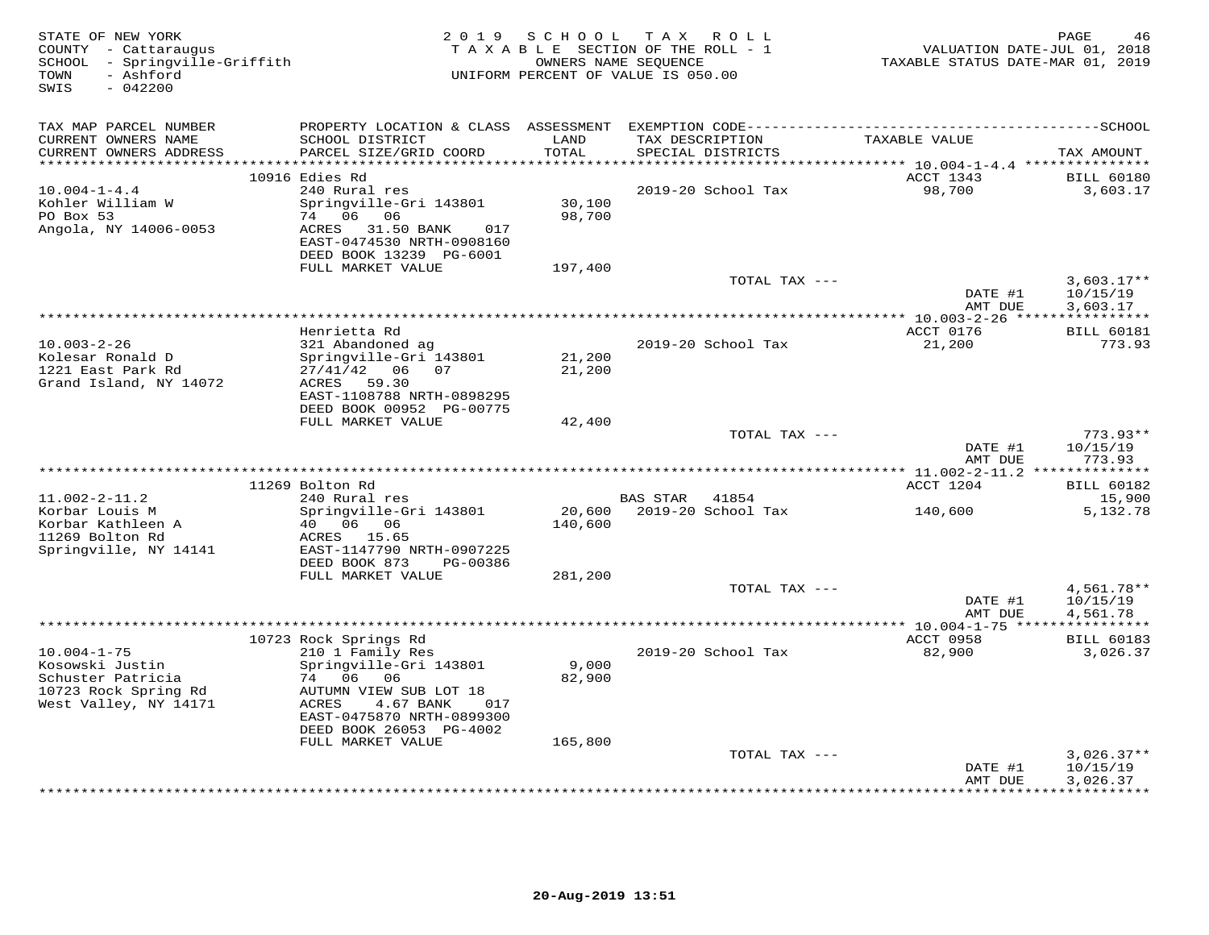| STATE OF NEW YORK<br>COUNTY - Cattaraugus<br>SCHOOL - Springville-Griffith<br>TOWN<br>- Ashford<br>SWIS<br>$-042200$ |                                                                                                  |                  | 2019 SCHOOL TAX ROLL<br>TAXABLE SECTION OF THE ROLL - 1<br>OWNERS NAME SEQUENCE<br>UNIFORM PERCENT OF VALUE IS 050.00 |               | VALUATION DATE-JUL 01, 2018<br>TAXABLE STATUS DATE-MAR 01, 2019 | PAGE<br>46                           |
|----------------------------------------------------------------------------------------------------------------------|--------------------------------------------------------------------------------------------------|------------------|-----------------------------------------------------------------------------------------------------------------------|---------------|-----------------------------------------------------------------|--------------------------------------|
| TAX MAP PARCEL NUMBER                                                                                                |                                                                                                  |                  |                                                                                                                       |               |                                                                 |                                      |
| CURRENT OWNERS NAME<br>CURRENT OWNERS ADDRESS                                                                        | SCHOOL DISTRICT<br>PARCEL SIZE/GRID COORD                                                        | LAND<br>TOTAL    | TAX DESCRIPTION<br>SPECIAL DISTRICTS                                                                                  |               | TAXABLE VALUE                                                   | TAX AMOUNT                           |
| ***********************                                                                                              |                                                                                                  | *************    |                                                                                                                       |               | ********* 10.004-1-4.4 ****************                         |                                      |
| $10.004 - 1 - 4.4$<br>Kohler William W<br>PO Box 53<br>Angola, NY 14006-0053                                         | 10916 Edies Rd<br>240 Rural res<br>Springville-Gri 143801<br>74 06 06<br>ACRES 31.50 BANK<br>017 | 30,100<br>98,700 | 2019-20 School Tax                                                                                                    |               | ACCT 1343<br>98,700                                             | <b>BILL 60180</b><br>3,603.17        |
|                                                                                                                      | EAST-0474530 NRTH-0908160<br>DEED BOOK 13239 PG-6001                                             |                  |                                                                                                                       |               |                                                                 |                                      |
|                                                                                                                      | FULL MARKET VALUE                                                                                | 197,400          |                                                                                                                       |               |                                                                 |                                      |
|                                                                                                                      |                                                                                                  |                  |                                                                                                                       | TOTAL TAX --- | DATE #1<br>AMT DUE                                              | $3,603.17**$<br>10/15/19<br>3,603.17 |
|                                                                                                                      |                                                                                                  |                  |                                                                                                                       |               |                                                                 |                                      |
|                                                                                                                      | Henrietta Rd                                                                                     |                  |                                                                                                                       |               | ACCT 0176                                                       | <b>BILL 60181</b>                    |
| $10.003 - 2 - 26$                                                                                                    | 321 Abandoned ag                                                                                 |                  | 2019-20 School Tax                                                                                                    |               | 21,200                                                          | 773.93                               |
| Kolesar Ronald D<br>1221 East Park Rd                                                                                | Springville-Gri 143801<br>27/41/42 06 07                                                         | 21,200<br>21,200 |                                                                                                                       |               |                                                                 |                                      |
| Grand Island, NY 14072                                                                                               | ACRES 59.30                                                                                      |                  |                                                                                                                       |               |                                                                 |                                      |
|                                                                                                                      | EAST-1108788 NRTH-0898295                                                                        |                  |                                                                                                                       |               |                                                                 |                                      |
|                                                                                                                      | DEED BOOK 00952 PG-00775                                                                         |                  |                                                                                                                       |               |                                                                 |                                      |
|                                                                                                                      | FULL MARKET VALUE                                                                                | 42,400           |                                                                                                                       |               |                                                                 |                                      |
|                                                                                                                      |                                                                                                  |                  |                                                                                                                       | TOTAL TAX --- | DATE #1                                                         | $773.93**$<br>10/15/19               |
|                                                                                                                      |                                                                                                  |                  |                                                                                                                       |               | AMT DUE                                                         | 773.93                               |
|                                                                                                                      |                                                                                                  |                  |                                                                                                                       |               |                                                                 |                                      |
|                                                                                                                      | 11269 Bolton Rd                                                                                  |                  |                                                                                                                       |               | ACCT 1204                                                       | <b>BILL 60182</b>                    |
| $11.002 - 2 - 11.2$                                                                                                  | 240 Rural res                                                                                    |                  | BAS STAR 41854                                                                                                        |               |                                                                 | 15,900                               |
| Korbar Louis M<br>Korbar Kathleen A<br>11269 Bolton Rd<br>Springville, NY 14141                                      | Springville-Gri 143801<br>40 06 06<br>ACRES 15.65<br>EAST-1147790 NRTH-0907225                   | 140,600          | 20,600 2019-20 School Tax                                                                                             |               | 140,600                                                         | 5,132.78                             |
|                                                                                                                      | DEED BOOK 873<br>PG-00386                                                                        |                  |                                                                                                                       |               |                                                                 |                                      |
|                                                                                                                      | FULL MARKET VALUE                                                                                | 281,200          |                                                                                                                       |               |                                                                 |                                      |
|                                                                                                                      |                                                                                                  |                  |                                                                                                                       | TOTAL TAX --- |                                                                 | $4,561.78**$                         |
|                                                                                                                      |                                                                                                  |                  |                                                                                                                       |               | DATE #1<br>AMT DUE                                              | 10/15/19<br>4,561.78                 |
|                                                                                                                      |                                                                                                  |                  |                                                                                                                       |               |                                                                 |                                      |
|                                                                                                                      | 10723 Rock Springs Rd                                                                            |                  |                                                                                                                       |               | ACCT 0958                                                       | <b>BILL 60183</b>                    |
| $10.004 - 1 - 75$                                                                                                    | 210 1 Family Res                                                                                 |                  | 2019-20 School Tax                                                                                                    |               | 82,900                                                          | 3,026.37                             |
| Kosowski Justin                                                                                                      | Springville-Gri 143801                                                                           | 9,000            |                                                                                                                       |               |                                                                 |                                      |
| Schuster Patricia<br>10723 Rock Spring Rd                                                                            | 74 06<br>06<br>AUTUMN VIEW SUB LOT 18                                                            | 82,900           |                                                                                                                       |               |                                                                 |                                      |
| West Valley, NY 14171                                                                                                | ACRES<br>4.67 BANK<br>017                                                                        |                  |                                                                                                                       |               |                                                                 |                                      |
|                                                                                                                      | EAST-0475870 NRTH-0899300                                                                        |                  |                                                                                                                       |               |                                                                 |                                      |
|                                                                                                                      | DEED BOOK 26053 PG-4002                                                                          |                  |                                                                                                                       |               |                                                                 |                                      |
|                                                                                                                      | FULL MARKET VALUE                                                                                | 165,800          |                                                                                                                       |               |                                                                 |                                      |
|                                                                                                                      |                                                                                                  |                  |                                                                                                                       | TOTAL TAX --- | DATE #1                                                         | $3,026.37**$<br>10/15/19             |
|                                                                                                                      |                                                                                                  |                  |                                                                                                                       |               | AMT DUE                                                         | 3,026.37                             |
|                                                                                                                      |                                                                                                  |                  |                                                                                                                       |               |                                                                 | * * * * * * * * * * * *              |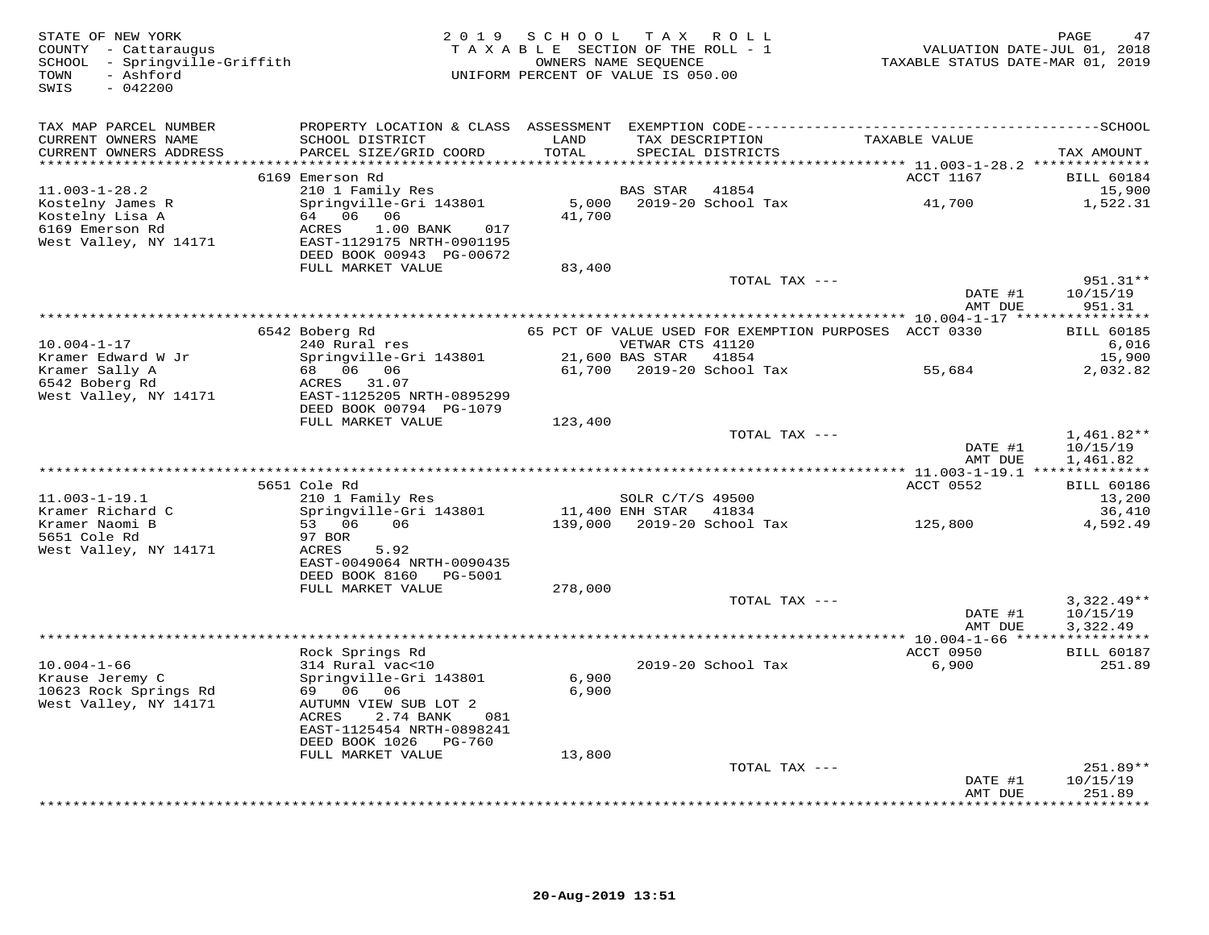| STATE OF NEW YORK<br>COUNTY - Cattaraugus<br>SCHOOL - Springville-Griffith<br>- Ashford<br>TOWN<br>$-042200$<br>SWIS | 2 0 1 9                                                                                                      | SCHOOL TAX ROLL<br>TAXABLE SECTION OF THE ROLL - 1<br>UNIFORM PERCENT OF VALUE IS 050.00 | OWNERS NAME SEQUENCE |                                      | TAXABLE STATUS DATE-MAR 01, 2019                                       | PAGE<br>47<br>VALUATION DATE-JUL 01, 2018 |
|----------------------------------------------------------------------------------------------------------------------|--------------------------------------------------------------------------------------------------------------|------------------------------------------------------------------------------------------|----------------------|--------------------------------------|------------------------------------------------------------------------|-------------------------------------------|
| TAX MAP PARCEL NUMBER                                                                                                |                                                                                                              |                                                                                          |                      |                                      |                                                                        |                                           |
| CURRENT OWNERS NAME<br>CURRENT OWNERS ADDRESS<br>********************                                                | SCHOOL DISTRICT<br>PARCEL SIZE/GRID COORD                                                                    | LAND<br>TOTAL<br>******************                                                      |                      | TAX DESCRIPTION<br>SPECIAL DISTRICTS | TAXABLE VALUE                                                          | TAX AMOUNT                                |
|                                                                                                                      | 6169 Emerson Rd                                                                                              |                                                                                          |                      |                                      | **************************** 11.003-1-28.2 **************<br>ACCT 1167 | <b>BILL 60184</b>                         |
| $11.003 - 1 - 28.2$<br>Kostelny James R<br>Kostelny Lisa A                                                           | 210 1 Family Res<br>Springville-Gri 143801<br>64 06 06                                                       | 5,000<br>41,700                                                                          | BAS STAR             | 41854<br>2019-20 School Tax          | 41,700                                                                 | 15,900<br>1,522.31                        |
| 6169 Emerson Rd<br>West Valley, NY 14171                                                                             | ACRES<br>$1.00$ BANK<br>017<br>EAST-1129175 NRTH-0901195<br>DEED BOOK 00943 PG-00672                         |                                                                                          |                      |                                      |                                                                        |                                           |
|                                                                                                                      | FULL MARKET VALUE                                                                                            | 83,400                                                                                   |                      |                                      |                                                                        |                                           |
|                                                                                                                      |                                                                                                              |                                                                                          |                      | TOTAL TAX ---                        | DATE #1<br>AMT DUE                                                     | 951.31**<br>10/15/19<br>951.31            |
|                                                                                                                      |                                                                                                              |                                                                                          |                      |                                      |                                                                        |                                           |
| $10.004 - 1 - 17$                                                                                                    | 6542 Boberg Rd<br>240 Rural res                                                                              |                                                                                          | VETWAR CTS 41120     |                                      | 65 PCT OF VALUE USED FOR EXEMPTION PURPOSES ACCT 0330                  | <b>BILL 60185</b><br>6,016                |
| Kramer Edward W Jr<br>Kramer Sally A<br>6542 Boberg Rd                                                               | Springville-Gri 143801<br>68 06 06<br>ACRES 31.07                                                            | 61,700                                                                                   | 21,600 BAS STAR      | 41854<br>2019-20 School Tax          | 55,684                                                                 | 15,900<br>2,032.82                        |
| West Valley, NY 14171                                                                                                | EAST-1125205 NRTH-0895299<br>DEED BOOK 00794 PG-1079<br>FULL MARKET VALUE                                    | 123,400                                                                                  |                      |                                      |                                                                        |                                           |
|                                                                                                                      |                                                                                                              |                                                                                          |                      | TOTAL TAX ---                        | DATE #1<br>AMT DUE                                                     | $1,461.82**$<br>10/15/19<br>1,461.82      |
|                                                                                                                      |                                                                                                              |                                                                                          |                      |                                      |                                                                        |                                           |
|                                                                                                                      | 5651 Cole Rd                                                                                                 |                                                                                          |                      |                                      | ACCT 0552                                                              | <b>BILL 60186</b>                         |
| $11.003 - 1 - 19.1$<br>Kramer Richard C                                                                              | 210 1 Family Res                                                                                             | 11,400 ENH STAR 41834                                                                    | SOLR C/T/S 49500     |                                      |                                                                        | 13,200                                    |
| Kramer Naomi B<br>5651 Cole Rd                                                                                       | Springville-Gri 143801<br>53 06<br>06<br>97 BOR                                                              |                                                                                          |                      | 139,000 2019-20 School Tax           | 125,800                                                                | 36,410<br>4,592.49                        |
| West Valley, NY 14171                                                                                                | ACRES<br>5.92<br>EAST-0049064 NRTH-0090435<br>DEED BOOK 8160 PG-5001                                         |                                                                                          |                      |                                      |                                                                        |                                           |
|                                                                                                                      | FULL MARKET VALUE                                                                                            | 278,000                                                                                  |                      |                                      |                                                                        |                                           |
|                                                                                                                      |                                                                                                              |                                                                                          |                      | TOTAL TAX ---                        | DATE #1<br>AMT DUE                                                     | $3,322.49**$<br>10/15/19<br>3,322.49      |
|                                                                                                                      |                                                                                                              |                                                                                          |                      |                                      |                                                                        |                                           |
|                                                                                                                      | Rock Springs Rd                                                                                              |                                                                                          |                      |                                      | ACCT 0950                                                              | <b>BILL 60187</b>                         |
| $10.004 - 1 - 66$<br>Krause Jeremy C<br>10623 Rock Springs Rd<br>West Valley, NY 14171                               | 314 Rural vac<10<br>Springville-Gri 143801<br>69 06 06<br>AUTUMN VIEW SUB LOT 2<br>2.74 BANK<br>ACRES<br>081 | 6,900<br>6,900                                                                           |                      | 2019-20 School Tax                   | 6,900                                                                  | 251.89                                    |
|                                                                                                                      | EAST-1125454 NRTH-0898241<br>DEED BOOK 1026 PG-760                                                           |                                                                                          |                      |                                      |                                                                        |                                           |
|                                                                                                                      | FULL MARKET VALUE                                                                                            | 13,800                                                                                   |                      | TOTAL TAX ---                        |                                                                        | $251.89**$                                |
|                                                                                                                      |                                                                                                              |                                                                                          |                      |                                      | DATE #1<br>AMT DUE                                                     | 10/15/19<br>251.89                        |
|                                                                                                                      |                                                                                                              |                                                                                          |                      |                                      |                                                                        | * * * * * * * *                           |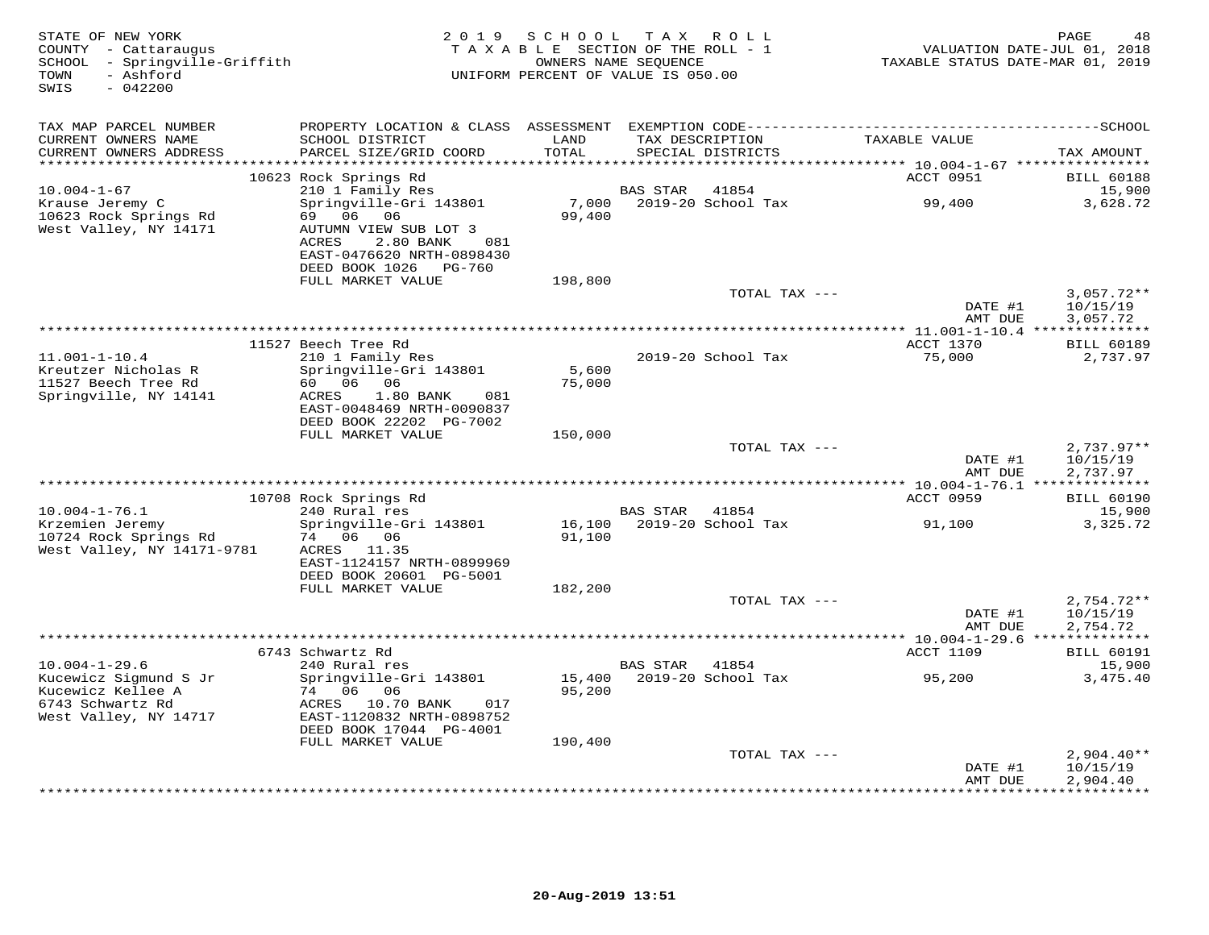| STATE OF NEW YORK<br>COUNTY - Cattaraugus<br>SCHOOL - Springville-Griffith<br>- Ashford<br>TOWN<br>$-042200$<br>SWIS | 2 0 1 9                                                                                                                                              | SCHOOL<br>TAXABLE SECTION OF THE ROLL - 1<br>OWNERS NAME SEQUENCE<br>UNIFORM PERCENT OF VALUE IS 050.00 | T A X           | R O L L                              | TAXABLE STATUS DATE-MAR 01, 2019 | PAGE<br>48<br>VALUATION DATE-JUL 01, 2018 |
|----------------------------------------------------------------------------------------------------------------------|------------------------------------------------------------------------------------------------------------------------------------------------------|---------------------------------------------------------------------------------------------------------|-----------------|--------------------------------------|----------------------------------|-------------------------------------------|
| TAX MAP PARCEL NUMBER                                                                                                | PROPERTY LOCATION & CLASS ASSESSMENT                                                                                                                 |                                                                                                         |                 |                                      |                                  |                                           |
| CURRENT OWNERS NAME<br>CURRENT OWNERS ADDRESS<br>**********************                                              | SCHOOL DISTRICT<br>PARCEL SIZE/GRID COORD                                                                                                            | LAND<br>TOTAL<br>*****************                                                                      |                 | TAX DESCRIPTION<br>SPECIAL DISTRICTS | TAXABLE VALUE                    | TAX AMOUNT                                |
|                                                                                                                      | 10623 Rock Springs Rd                                                                                                                                |                                                                                                         |                 |                                      | ACCT 0951                        | <b>BILL 60188</b>                         |
| $10.004 - 1 - 67$                                                                                                    | 210 1 Family Res                                                                                                                                     |                                                                                                         | BAS STAR        | 41854                                |                                  | 15,900                                    |
| Krause Jeremy C<br>10623 Rock Springs Rd<br>West Valley, NY 14171                                                    | Springville-Gri 143801<br>06 06<br>69<br>AUTUMN VIEW SUB LOT 3<br>ACRES<br>2.80 BANK<br>081<br>EAST-0476620 NRTH-0898430<br>DEED BOOK 1026<br>PG-760 | 7,000<br>99,400                                                                                         |                 | 2019-20 School Tax                   | 99,400                           | 3,628.72                                  |
|                                                                                                                      | FULL MARKET VALUE                                                                                                                                    | 198,800                                                                                                 |                 |                                      |                                  |                                           |
|                                                                                                                      |                                                                                                                                                      |                                                                                                         |                 | TOTAL TAX ---                        | DATE #1<br>AMT DUE               | $3,057.72**$<br>10/15/19<br>3,057.72      |
|                                                                                                                      |                                                                                                                                                      |                                                                                                         |                 |                                      |                                  |                                           |
|                                                                                                                      | 11527 Beech Tree Rd                                                                                                                                  |                                                                                                         |                 |                                      | ACCT 1370                        | <b>BILL 60189</b>                         |
| $11.001 - 1 - 10.4$<br>Kreutzer Nicholas R<br>11527 Beech Tree Rd<br>Springville, NY 14141                           | 210 1 Family Res<br>Springville-Gri 143801<br>60 —<br>06 06<br>ACRES<br>$1.80$ BANK<br>081<br>EAST-0048469 NRTH-0090837                              | 5,600<br>75,000                                                                                         |                 | 2019-20 School Tax                   | 75,000                           | 2,737.97                                  |
|                                                                                                                      | DEED BOOK 22202 PG-7002<br>FULL MARKET VALUE                                                                                                         | 150,000                                                                                                 |                 |                                      |                                  |                                           |
|                                                                                                                      |                                                                                                                                                      |                                                                                                         |                 | TOTAL TAX ---                        | DATE #1                          | $2,737.97**$<br>10/15/19                  |
|                                                                                                                      |                                                                                                                                                      |                                                                                                         |                 |                                      | AMT DUE                          | 2,737.97                                  |
|                                                                                                                      | 10708 Rock Springs Rd                                                                                                                                |                                                                                                         |                 |                                      | ACCT 0959                        | <b>BILL 60190</b>                         |
| $10.004 - 1 - 76.1$                                                                                                  | 240 Rural res                                                                                                                                        |                                                                                                         | BAS STAR        | 41854                                |                                  | 15,900                                    |
| Krzemien Jeremy<br>10724 Rock Springs Rd<br>West Valley, NY 14171-9781                                               | Springville-Gri 143801<br>74 06 06<br>ACRES 11.35<br>EAST-1124157 NRTH-0899969<br>DEED BOOK 20601 PG-5001                                            | 16,100<br>91,100                                                                                        |                 | 2019-20 School Tax                   | 91,100                           | 3,325.72                                  |
|                                                                                                                      | FULL MARKET VALUE                                                                                                                                    | 182,200                                                                                                 |                 | TOTAL TAX ---                        |                                  | $2,754.72**$                              |
|                                                                                                                      |                                                                                                                                                      |                                                                                                         |                 |                                      | DATE #1<br>AMT DUE               | 10/15/19<br>2,754.72                      |
|                                                                                                                      | 6743 Schwartz Rd                                                                                                                                     |                                                                                                         |                 |                                      | <b>ACCT 1109</b>                 | <b>BILL 60191</b>                         |
| $10.004 - 1 - 29.6$                                                                                                  | 240 Rural res                                                                                                                                        |                                                                                                         | <b>BAS STAR</b> | 41854                                |                                  | 15,900                                    |
| Kucewicz Sigmund S Jr<br>Kucewicz Kellee A<br>6743 Schwartz Rd<br>West Valley, NY 14717                              | Springville-Gri 143801<br>74 06 06<br>ACRES 10.70 BANK<br>017<br>EAST-1120832 NRTH-0898752<br>DEED BOOK 17044 PG-4001                                | 15,400<br>95,200                                                                                        |                 | 2019-20 School Tax                   | 95,200                           | 3,475.40                                  |
|                                                                                                                      | FULL MARKET VALUE                                                                                                                                    | 190,400                                                                                                 |                 | TOTAL TAX ---                        |                                  | $2,904.40**$                              |
|                                                                                                                      |                                                                                                                                                      |                                                                                                         |                 |                                      | DATE #1<br>AMT DUE               | 10/15/19<br>2,904.40<br>************      |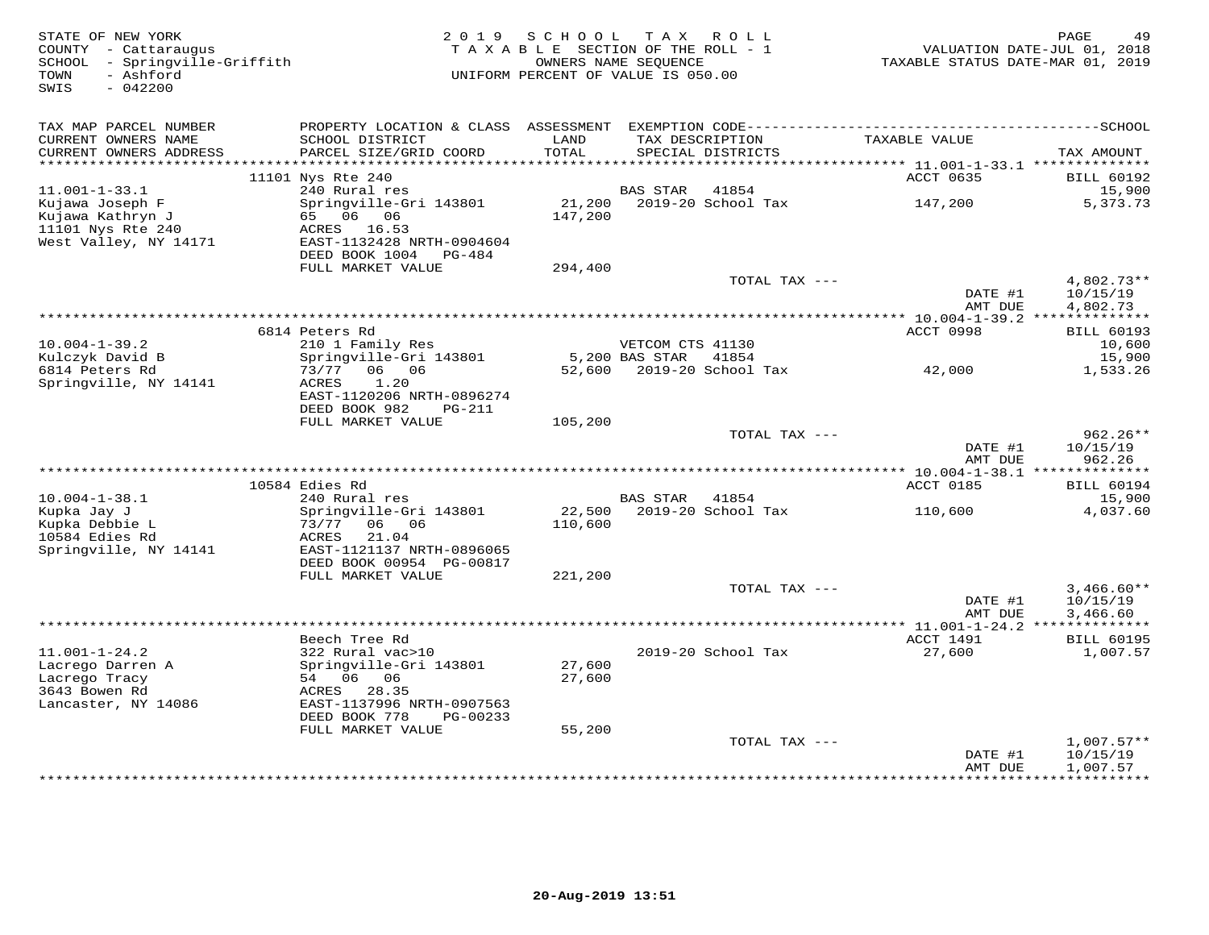| STATE OF NEW YORK<br>COUNTY - Cattaraugus<br>SCHOOL - Springville-Griffith<br>- Ashford<br>TOWN<br>SWIS<br>$-042200$ |                                                                                                         | 2019 SCHOOL<br>TAXABLE SECTION OF THE ROLL - 1<br>UNIFORM PERCENT OF VALUE IS 050.00 | OWNERS NAME SEQUENCE | TAX ROLL                             | TAXABLE STATUS DATE-MAR 01, 2019 | PAGE<br>49<br>VALUATION DATE-JUL 01, 2018 |
|----------------------------------------------------------------------------------------------------------------------|---------------------------------------------------------------------------------------------------------|--------------------------------------------------------------------------------------|----------------------|--------------------------------------|----------------------------------|-------------------------------------------|
| TAX MAP PARCEL NUMBER                                                                                                | PROPERTY LOCATION & CLASS ASSESSMENT EXEMPTION CODE-----------------------------------SCHOOL            |                                                                                      |                      |                                      |                                  |                                           |
| CURRENT OWNERS NAME<br>CURRENT OWNERS ADDRESS<br>***********************                                             | SCHOOL DISTRICT<br>PARCEL SIZE/GRID COORD                                                               | LAND<br>TOTAL                                                                        |                      | TAX DESCRIPTION<br>SPECIAL DISTRICTS | TAXABLE VALUE                    | TAX AMOUNT                                |
|                                                                                                                      | 11101 Nys Rte 240                                                                                       |                                                                                      |                      |                                      | ACCT 0635                        | <b>BILL 60192</b>                         |
| $11.001 - 1 - 33.1$                                                                                                  | 240 Rural res                                                                                           |                                                                                      | <b>BAS STAR</b>      | 41854                                |                                  | 15,900                                    |
| Kujawa Joseph F<br>Kujawa Kathryn J<br>11101 Nys Rte 240<br>West Valley, NY 14171                                    | Springville-Gri 143801<br>65 06 06<br>ACRES 16.53<br>EAST-1132428 NRTH-0904604<br>DEED BOOK 1004 PG-484 | 21,200<br>147,200                                                                    |                      | 2019-20 School Tax                   | 147,200                          | 5,373.73                                  |
|                                                                                                                      | FULL MARKET VALUE                                                                                       | 294,400                                                                              |                      |                                      |                                  |                                           |
|                                                                                                                      |                                                                                                         |                                                                                      |                      | TOTAL TAX ---                        | DATE #1<br>AMT DUE               | 4,802.73**<br>10/15/19<br>4,802.73        |
|                                                                                                                      |                                                                                                         |                                                                                      |                      |                                      |                                  |                                           |
|                                                                                                                      | 6814 Peters Rd                                                                                          |                                                                                      |                      |                                      | ACCT 0998                        | <b>BILL 60193</b>                         |
| $10.004 - 1 - 39.2$                                                                                                  | 210 1 Family Res                                                                                        |                                                                                      | VETCOM CTS 41130     |                                      |                                  | 10,600                                    |
| Kulczyk David B                                                                                                      | Springville-Gri 143801                                                                                  |                                                                                      | 5,200 BAS STAR 41854 |                                      |                                  | 15,900                                    |
| 6814 Peters Rd<br>Springville, NY 14141                                                                              | 73/77 06 06<br>ACRES<br>1.20<br>EAST-1120206 NRTH-0896274<br>DEED BOOK 982<br>PG-211                    |                                                                                      |                      | 52,600 2019-20 School Tax            | 42,000                           | 1,533.26                                  |
|                                                                                                                      | FULL MARKET VALUE                                                                                       | 105,200                                                                              |                      |                                      |                                  |                                           |
|                                                                                                                      |                                                                                                         |                                                                                      |                      | TOTAL TAX ---                        | DATE #1<br>AMT DUE               | $962.26**$<br>10/15/19<br>962.26          |
|                                                                                                                      |                                                                                                         |                                                                                      |                      |                                      |                                  |                                           |
| $10.004 - 1 - 38.1$                                                                                                  | 10584 Edies Rd<br>240 Rural res                                                                         |                                                                                      | BAS STAR 41854       |                                      | ACCT 0185                        | <b>BILL 60194</b><br>15,900               |
| Kupka Jay J<br>Kupka Debbie L                                                                                        | Springville-Gri 143801<br>73/77<br>06 06                                                                | 110,600                                                                              |                      | 22,500 2019-20 School Tax            | 110,600                          | 4,037.60                                  |
| 10584 Edies Rd<br>Springville, NY 14141                                                                              | 21.04<br>ACRES<br>EAST-1121137 NRTH-0896065<br>DEED BOOK 00954 PG-00817                                 |                                                                                      |                      |                                      |                                  |                                           |
|                                                                                                                      | FULL MARKET VALUE                                                                                       | 221,200                                                                              |                      |                                      |                                  |                                           |
|                                                                                                                      |                                                                                                         |                                                                                      |                      | TOTAL TAX ---                        | DATE #1                          | $3,466.60**$<br>10/15/19                  |
|                                                                                                                      |                                                                                                         |                                                                                      |                      |                                      | AMT DUE                          | 3,466.60                                  |
|                                                                                                                      | Beech Tree Rd                                                                                           |                                                                                      |                      |                                      | ACCT 1491                        | <b>BILL 60195</b>                         |
| $11.001 - 1 - 24.2$<br>Lacrego Darren A<br>Lacrego Tracy                                                             | 322 Rural vac>10<br>Springville-Gri 143801<br>54 06 06                                                  | 27,600<br>27,600                                                                     |                      | 2019-20 School Tax                   | 27,600                           | 1,007.57                                  |
| 3643 Bowen Rd<br>Lancaster, NY 14086                                                                                 | 28.35<br>ACRES<br>EAST-1137996 NRTH-0907563                                                             |                                                                                      |                      |                                      |                                  |                                           |
|                                                                                                                      | DEED BOOK 778<br>PG-00233<br>FULL MARKET VALUE                                                          | 55,200                                                                               |                      |                                      |                                  |                                           |
|                                                                                                                      |                                                                                                         |                                                                                      |                      | TOTAL TAX ---                        |                                  | $1,007.57**$                              |
|                                                                                                                      |                                                                                                         |                                                                                      |                      |                                      | DATE #1<br>AMT DUE               | 10/15/19<br>1,007.57                      |
|                                                                                                                      |                                                                                                         |                                                                                      |                      |                                      |                                  | * * * * * * * * * * *                     |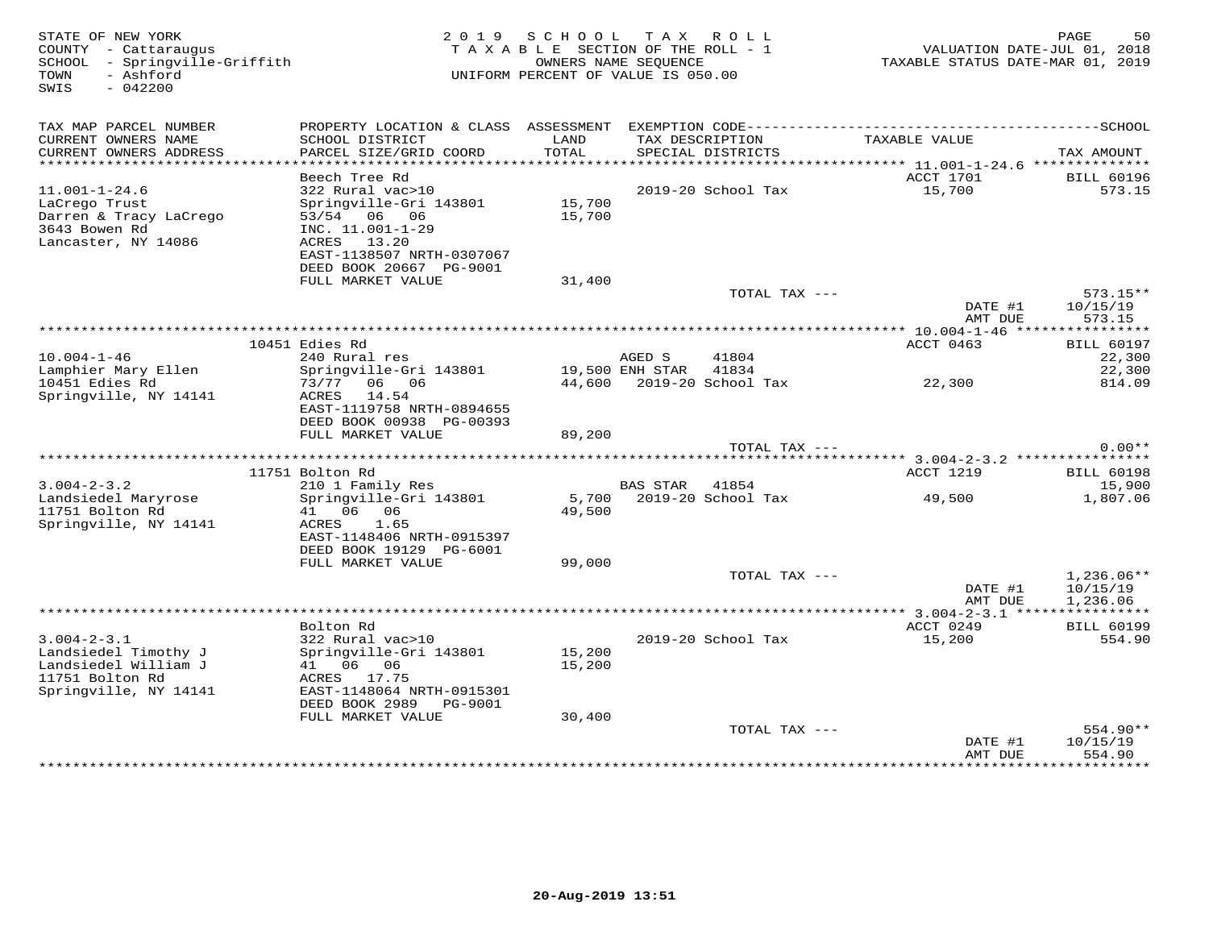| 50<br>PAGE<br>VALUATION DATE-JUL 01, 2018<br>TAXABLE STATUS DATE-MAR 01, 2019 |
|-------------------------------------------------------------------------------|
|                                                                               |
| TAX AMOUNT                                                                    |
| <b>BILL 60196</b>                                                             |
| 573.15                                                                        |
|                                                                               |
| $573.15**$<br>10/15/19                                                        |
| 573.15                                                                        |
| <b>BILL 60197</b>                                                             |
| 22,300                                                                        |
| 22,300<br>814.09                                                              |
|                                                                               |
| $0.00**$                                                                      |
|                                                                               |
| <b>BILL 60198</b>                                                             |
| 15,900<br>1,807.06                                                            |
|                                                                               |
|                                                                               |
| $1,236.06**$                                                                  |
| 10/15/19<br>1,236.06                                                          |
| *********** 3.004-2-3.1 *****************<br><b>BILL 60199</b>                |
| 554.90                                                                        |
|                                                                               |
| 554.90**                                                                      |
| 10/15/19<br>554.90<br>* * * * * * * * *                                       |
|                                                                               |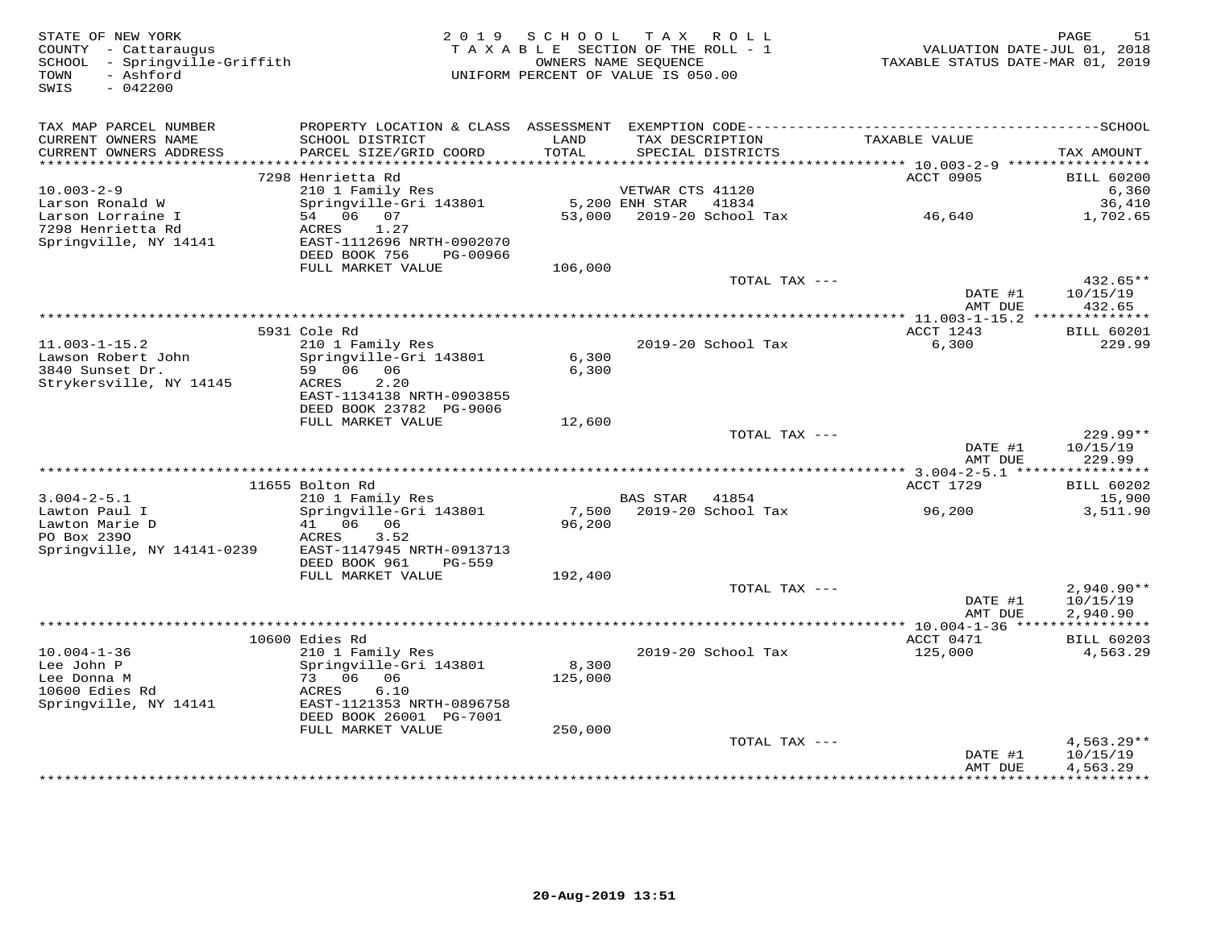| STATE OF NEW YORK<br>COUNTY - Cattaraugus<br>SCHOOL - Springville-Griffith<br>- Ashford<br>TOWN<br>$-042200$<br>SWIS | 2 0 1 9                                                                                      | SCHOOL        | TAX ROLL<br>TAXABLE SECTION OF THE ROLL - 1<br>OWNERS NAME SEOUENCE<br>UNIFORM PERCENT OF VALUE IS 050.00 | VALUATION DATE-JUL 01, 2018<br>TAXABLE STATUS DATE-MAR 01, 2019 | PAGE<br>51             |
|----------------------------------------------------------------------------------------------------------------------|----------------------------------------------------------------------------------------------|---------------|-----------------------------------------------------------------------------------------------------------|-----------------------------------------------------------------|------------------------|
| TAX MAP PARCEL NUMBER                                                                                                | PROPERTY LOCATION & CLASS ASSESSMENT EXEMPTION CODE-----------------------------------SCHOOL |               |                                                                                                           |                                                                 |                        |
| CURRENT OWNERS NAME<br>CURRENT OWNERS ADDRESS<br>***********************                                             | SCHOOL DISTRICT<br>PARCEL SIZE/GRID COORD                                                    | LAND<br>TOTAL | TAX DESCRIPTION<br>SPECIAL DISTRICTS                                                                      | TAXABLE VALUE                                                   | TAX AMOUNT             |
|                                                                                                                      | 7298 Henrietta Rd                                                                            |               |                                                                                                           | ACCT 0905                                                       | <b>BILL 60200</b>      |
| $10.003 - 2 - 9$                                                                                                     | 210 1 Family Res                                                                             |               | VETWAR CTS 41120                                                                                          |                                                                 | 6,360                  |
| Larson Ronald W                                                                                                      | Springville-Gri 143801                                                                       |               | 5,200 ENH STAR<br>41834                                                                                   |                                                                 | 36,410                 |
| Larson Lorraine I                                                                                                    | 54 06 07                                                                                     | 53,000        | 2019-20 School Tax                                                                                        | 46,640                                                          | 1,702.65               |
| 7298 Henrietta Rd                                                                                                    | 1.27<br>ACRES                                                                                |               |                                                                                                           |                                                                 |                        |
| Springville, NY 14141                                                                                                | EAST-1112696 NRTH-0902070<br>DEED BOOK 756<br>PG-00966                                       |               |                                                                                                           |                                                                 |                        |
|                                                                                                                      | FULL MARKET VALUE                                                                            | 106,000       |                                                                                                           |                                                                 |                        |
|                                                                                                                      |                                                                                              |               | TOTAL TAX ---                                                                                             |                                                                 | $432.65**$             |
|                                                                                                                      |                                                                                              |               |                                                                                                           | DATE #1                                                         | 10/15/19               |
|                                                                                                                      |                                                                                              |               |                                                                                                           | AMT DUE                                                         | 432.65                 |
|                                                                                                                      | 5931 Cole Rd                                                                                 |               |                                                                                                           | ACCT 1243                                                       | <b>BILL 60201</b>      |
| $11.003 - 1 - 15.2$                                                                                                  | 210 1 Family Res                                                                             |               | 2019-20 School Tax                                                                                        | 6,300                                                           | 229.99                 |
| Lawson Robert John                                                                                                   | Springville-Gri 143801                                                                       | 6,300         |                                                                                                           |                                                                 |                        |
| 3840 Sunset Dr.                                                                                                      | 59 06 06                                                                                     | 6,300         |                                                                                                           |                                                                 |                        |
| Strykersville, NY 14145                                                                                              | 2.20<br>ACRES<br>EAST-1134138 NRTH-0903855                                                   |               |                                                                                                           |                                                                 |                        |
|                                                                                                                      | DEED BOOK 23782 PG-9006                                                                      |               |                                                                                                           |                                                                 |                        |
|                                                                                                                      | FULL MARKET VALUE                                                                            | 12,600        |                                                                                                           |                                                                 |                        |
|                                                                                                                      |                                                                                              |               | TOTAL TAX ---                                                                                             |                                                                 | $229.99**$             |
|                                                                                                                      |                                                                                              |               |                                                                                                           | DATE #1                                                         | 10/15/19               |
|                                                                                                                      |                                                                                              |               |                                                                                                           | AMT DUE                                                         | 229.99                 |
|                                                                                                                      | 11655 Bolton Rd                                                                              |               |                                                                                                           | ACCT 1729                                                       | <b>BILL 60202</b>      |
| $3.004 - 2 - 5.1$                                                                                                    | 210 1 Family Res                                                                             |               | BAS STAR 41854                                                                                            |                                                                 | 15,900                 |
| Lawton Paul I                                                                                                        | Springville-Gri 143801                                                                       |               | 7,500 2019-20 School Tax                                                                                  | 96,200                                                          | 3,511.90               |
| Lawton Marie D                                                                                                       | 41 06 06                                                                                     | 96,200        |                                                                                                           |                                                                 |                        |
| PO Box 2390<br>Springville, NY 14141-0239                                                                            | ACRES<br>3.52<br>EAST-1147945 NRTH-0913713                                                   |               |                                                                                                           |                                                                 |                        |
|                                                                                                                      | DEED BOOK 961<br><b>PG-559</b>                                                               |               |                                                                                                           |                                                                 |                        |
|                                                                                                                      | FULL MARKET VALUE                                                                            | 192,400       |                                                                                                           |                                                                 |                        |
|                                                                                                                      |                                                                                              |               | TOTAL TAX ---                                                                                             |                                                                 | $2,940.90**$           |
|                                                                                                                      |                                                                                              |               |                                                                                                           | DATE #1                                                         | 10/15/19               |
|                                                                                                                      |                                                                                              |               |                                                                                                           | AMT DUE                                                         | 2,940.90               |
|                                                                                                                      | 10600 Edies Rd                                                                               |               |                                                                                                           | ACCT 0471                                                       | <b>BILL 60203</b>      |
| $10.004 - 1 - 36$                                                                                                    | 210 1 Family Res                                                                             |               | 2019-20 School Tax                                                                                        | 125,000                                                         | 4,563.29               |
| Lee John P                                                                                                           | Springville-Gri 143801                                                                       | 8,300         |                                                                                                           |                                                                 |                        |
| Lee Donna M                                                                                                          | 73 06 06                                                                                     | 125,000       |                                                                                                           |                                                                 |                        |
| 10600 Edies Rd<br>Springville, NY 14141                                                                              | ACRES<br>6.10<br>EAST-1121353 NRTH-0896758                                                   |               |                                                                                                           |                                                                 |                        |
|                                                                                                                      | DEED BOOK 26001 PG-7001                                                                      |               |                                                                                                           |                                                                 |                        |
|                                                                                                                      | FULL MARKET VALUE                                                                            | 250,000       |                                                                                                           |                                                                 |                        |
|                                                                                                                      |                                                                                              |               | TOTAL TAX ---                                                                                             |                                                                 | $4,563.29**$           |
|                                                                                                                      |                                                                                              |               |                                                                                                           | DATE #1                                                         | 10/15/19               |
|                                                                                                                      |                                                                                              |               |                                                                                                           | AMT DUE                                                         | 4,563.29<br>********** |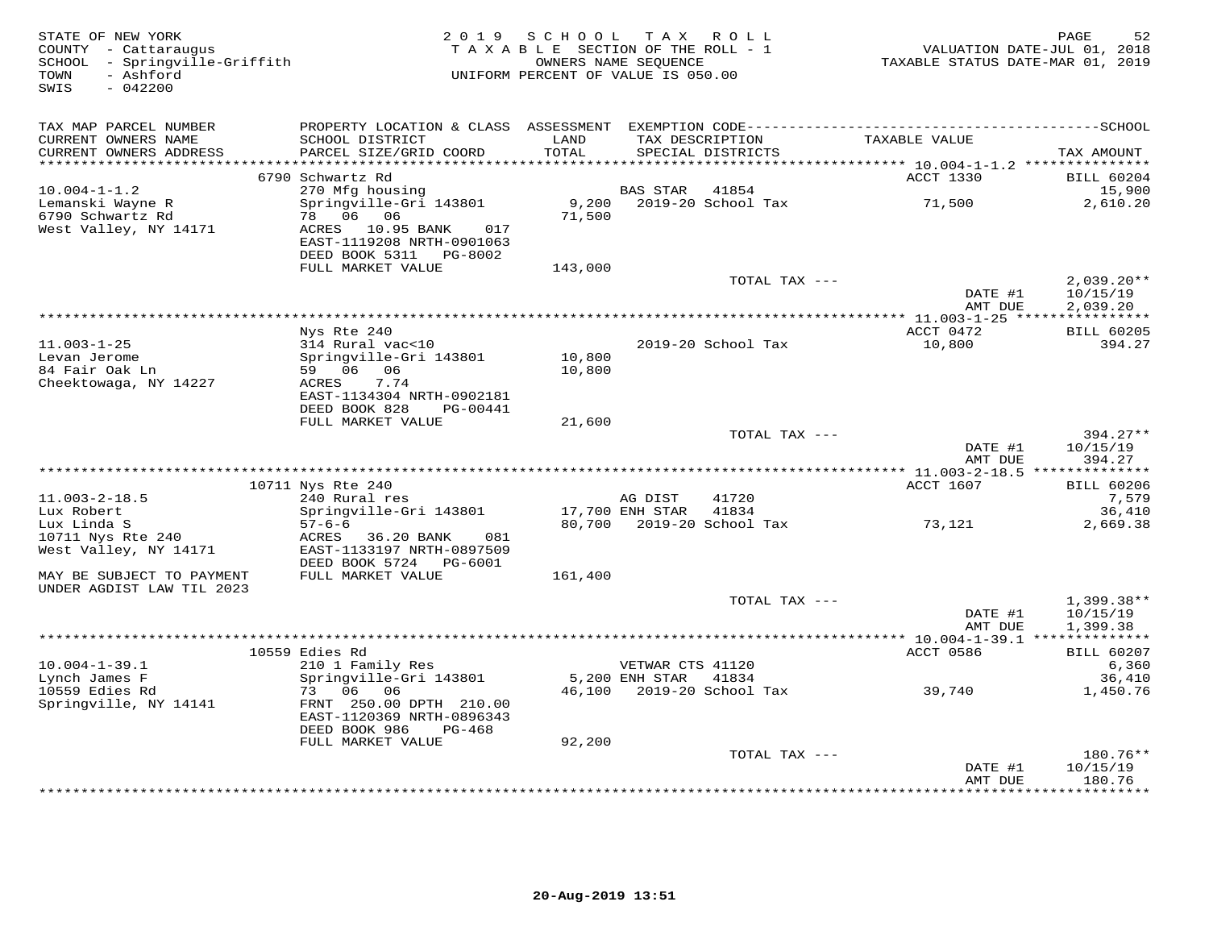| STATE OF NEW YORK<br>COUNTY - Cattaraugus<br>SCHOOL - Springville-Griffith<br>TOWN<br>- Ashford<br>SWIS<br>$-042200$ |                                                                                 | 2019 SCHOOL TAX ROLL<br>TAXABLE SECTION OF THE ROLL - 1<br>UNIFORM PERCENT OF VALUE IS 050.00 | OWNERS NAME SEQUENCE |                                      | TAXABLE STATUS DATE-MAR 01, 2019                          | 52<br>PAGE<br>VALUATION DATE-JUL 01, 2018 |
|----------------------------------------------------------------------------------------------------------------------|---------------------------------------------------------------------------------|-----------------------------------------------------------------------------------------------|----------------------|--------------------------------------|-----------------------------------------------------------|-------------------------------------------|
| TAX MAP PARCEL NUMBER                                                                                                |                                                                                 |                                                                                               |                      |                                      |                                                           |                                           |
| CURRENT OWNERS NAME<br>CURRENT OWNERS ADDRESS                                                                        | SCHOOL DISTRICT<br>PARCEL SIZE/GRID COORD                                       | LAND<br>TOTAL                                                                                 |                      | TAX DESCRIPTION<br>SPECIAL DISTRICTS | TAXABLE VALUE                                             | TAX AMOUNT                                |
| **********************                                                                                               |                                                                                 |                                                                                               |                      |                                      | **************************** 10.004-1-1.2 *************** |                                           |
|                                                                                                                      | 6790 Schwartz Rd                                                                |                                                                                               |                      |                                      | ACCT 1330                                                 | <b>BILL 60204</b>                         |
| $10.004 - 1 - 1.2$                                                                                                   | 270 Mfg housing                                                                 |                                                                                               | BAS STAR             | 41854                                |                                                           | 15,900                                    |
| Lemanski Wayne R                                                                                                     | Springville-Gri 143801                                                          |                                                                                               |                      |                                      | 71,500                                                    | 2,610.20                                  |
| 6790 Schwartz Rd                                                                                                     | 78 06 06                                                                        | 71,500                                                                                        |                      |                                      |                                                           |                                           |
| West Valley, NY 14171                                                                                                | ACRES 10.95 BANK<br>017<br>EAST-1119208 NRTH-0901063<br>DEED BOOK 5311 PG-8002  |                                                                                               |                      |                                      |                                                           |                                           |
|                                                                                                                      | FULL MARKET VALUE                                                               | 143,000                                                                                       |                      |                                      |                                                           |                                           |
|                                                                                                                      |                                                                                 |                                                                                               |                      | TOTAL TAX ---                        |                                                           | $2,039.20**$                              |
|                                                                                                                      |                                                                                 |                                                                                               |                      |                                      | DATE #1<br>AMT DUE                                        | 10/15/19<br>2,039.20                      |
|                                                                                                                      |                                                                                 |                                                                                               |                      |                                      |                                                           |                                           |
|                                                                                                                      | Nys Rte 240                                                                     |                                                                                               |                      |                                      | ACCT 0472                                                 | <b>BILL 60205</b>                         |
| $11.003 - 1 - 25$                                                                                                    | 314 Rural vac<10                                                                |                                                                                               |                      | 2019-20 School Tax                   | 10,800                                                    | 394.27                                    |
| Levan Jerome                                                                                                         | Springville-Gri 143801                                                          | 10,800                                                                                        |                      |                                      |                                                           |                                           |
| 84 Fair Oak Ln<br>Cheektowaga, NY 14227                                                                              | 59 06 06<br>7.74<br>ACRES                                                       | 10,800                                                                                        |                      |                                      |                                                           |                                           |
|                                                                                                                      | EAST-1134304 NRTH-0902181                                                       |                                                                                               |                      |                                      |                                                           |                                           |
|                                                                                                                      | DEED BOOK 828<br>PG-00441                                                       |                                                                                               |                      |                                      |                                                           |                                           |
|                                                                                                                      | FULL MARKET VALUE                                                               | 21,600                                                                                        |                      |                                      |                                                           |                                           |
|                                                                                                                      |                                                                                 |                                                                                               |                      | TOTAL TAX ---                        |                                                           | 394.27**                                  |
|                                                                                                                      |                                                                                 |                                                                                               |                      |                                      | DATE #1                                                   | 10/15/19                                  |
|                                                                                                                      |                                                                                 |                                                                                               |                      |                                      | AMT DUE                                                   | 394.27                                    |
|                                                                                                                      |                                                                                 |                                                                                               |                      |                                      |                                                           |                                           |
| $11.003 - 2 - 18.5$                                                                                                  | 10711 Nys Rte 240<br>240 Rural res                                              |                                                                                               | AG DIST              | 41720                                | ACCT 1607                                                 | <b>BILL 60206</b><br>7,579                |
| Lux Robert                                                                                                           | Springville-Gri 143801                                                          |                                                                                               | 17,700 ENH STAR      | 41834                                |                                                           | 36,410                                    |
| Lux Linda S                                                                                                          | $57 - 6 - 6$                                                                    |                                                                                               |                      | 80,700 2019-20 School Tax            | 73,121                                                    | 2,669.38                                  |
| 10711 Nys Rte 240                                                                                                    | ACRES<br>36.20 BANK<br>081                                                      |                                                                                               |                      |                                      |                                                           |                                           |
| West Valley, NY 14171                                                                                                | EAST-1133197 NRTH-0897509                                                       |                                                                                               |                      |                                      |                                                           |                                           |
|                                                                                                                      | DEED BOOK 5724 PG-6001                                                          |                                                                                               |                      |                                      |                                                           |                                           |
| MAY BE SUBJECT TO PAYMENT                                                                                            | FULL MARKET VALUE                                                               | 161,400                                                                                       |                      |                                      |                                                           |                                           |
| UNDER AGDIST LAW TIL 2023                                                                                            |                                                                                 |                                                                                               |                      | TOTAL TAX ---                        |                                                           |                                           |
|                                                                                                                      |                                                                                 |                                                                                               |                      |                                      | DATE #1                                                   | $1,399.38**$<br>10/15/19                  |
|                                                                                                                      |                                                                                 |                                                                                               |                      |                                      | AMT DUE                                                   | 1,399.38                                  |
|                                                                                                                      |                                                                                 |                                                                                               |                      |                                      |                                                           |                                           |
|                                                                                                                      | 10559 Edies Rd                                                                  |                                                                                               |                      |                                      | ACCT 0586                                                 | <b>BILL 60207</b>                         |
| $10.004 - 1 - 39.1$                                                                                                  | 210 1 Family Res                                                                |                                                                                               | VETWAR CTS 41120     |                                      |                                                           | 6,360                                     |
| Lynch James F                                                                                                        | Springville-Gri 143801                                                          |                                                                                               | 5,200 ENH STAR 41834 |                                      |                                                           | 36,410                                    |
| 10559 Edies Rd                                                                                                       | 73 06 06                                                                        |                                                                                               |                      |                                      | 46,100 2019-20 School Tax 39,740                          | 1,450.76                                  |
| Springville, NY 14141                                                                                                | FRNT 250.00 DPTH 210.00<br>EAST-1120369 NRTH-0896343<br>DEED BOOK 986<br>PG-468 |                                                                                               |                      |                                      |                                                           |                                           |
|                                                                                                                      | FULL MARKET VALUE                                                               | 92,200                                                                                        |                      |                                      |                                                           |                                           |
|                                                                                                                      |                                                                                 |                                                                                               |                      | TOTAL TAX ---                        |                                                           | 180.76**                                  |
|                                                                                                                      |                                                                                 |                                                                                               |                      |                                      | DATE #1                                                   | 10/15/19                                  |
|                                                                                                                      |                                                                                 |                                                                                               |                      |                                      | AMT DUE                                                   | 180.76<br>***********                     |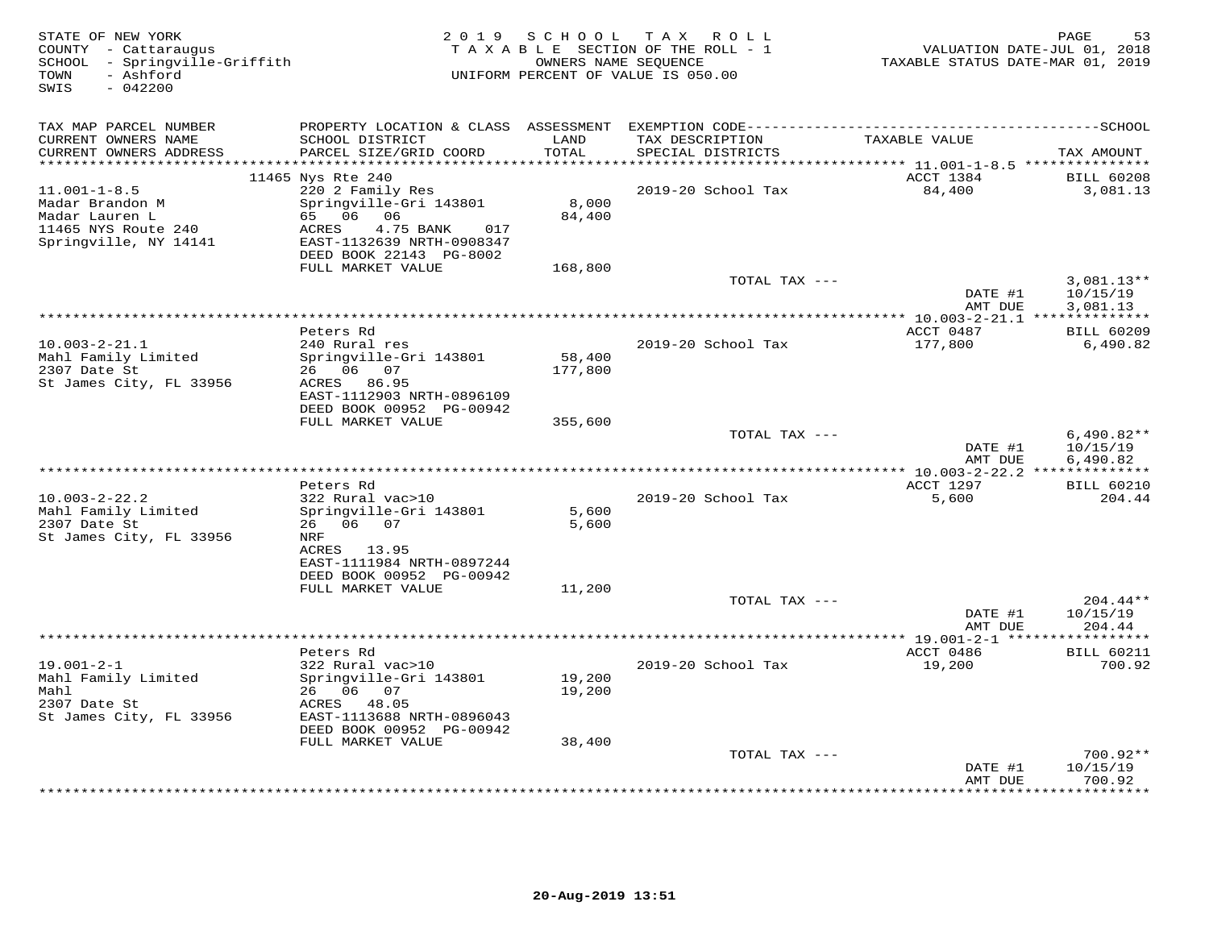| STATE OF NEW YORK<br>COUNTY - Cattaraugus<br>SCHOOL - Springville-Griffith<br>- Ashford<br>TOWN<br>$-042200$<br>SWIS |                                                        |               | 2019 SCHOOL TAX ROLL<br>TAXABLE SECTION OF THE ROLL - 1<br>OWNERS NAME SEQUENCE<br>UNIFORM PERCENT OF VALUE IS 050.00 | VALUATION DATE-JUL 01, 2018<br>TAXABLE STATUS DATE-MAR 01, 2019 | PAGE<br>53                  |
|----------------------------------------------------------------------------------------------------------------------|--------------------------------------------------------|---------------|-----------------------------------------------------------------------------------------------------------------------|-----------------------------------------------------------------|-----------------------------|
| TAX MAP PARCEL NUMBER                                                                                                |                                                        |               |                                                                                                                       |                                                                 |                             |
| CURRENT OWNERS NAME<br>CURRENT OWNERS ADDRESS<br>***********************                                             | SCHOOL DISTRICT<br>PARCEL SIZE/GRID COORD              | LAND<br>TOTAL | TAX DESCRIPTION<br>SPECIAL DISTRICTS                                                                                  | TAXABLE VALUE                                                   | TAX AMOUNT                  |
|                                                                                                                      | 11465 Nys Rte 240                                      |               |                                                                                                                       | ACCT 1384                                                       | <b>BILL 60208</b>           |
| $11.001 - 1 - 8.5$                                                                                                   | 220 2 Family Res                                       |               | 2019-20 School Tax                                                                                                    | 84,400                                                          | 3,081.13                    |
| Madar Brandon M                                                                                                      | Springville-Gri 143801                                 | 8,000         |                                                                                                                       |                                                                 |                             |
| Madar Lauren L                                                                                                       | 65 06 06                                               | 84,400        |                                                                                                                       |                                                                 |                             |
| 11465 NYS Route 240<br>Springville, NY 14141                                                                         | ACRES<br>4.75 BANK<br>017<br>EAST-1132639 NRTH-0908347 |               |                                                                                                                       |                                                                 |                             |
|                                                                                                                      | DEED BOOK 22143 PG-8002<br>FULL MARKET VALUE           | 168,800       |                                                                                                                       |                                                                 |                             |
|                                                                                                                      |                                                        |               | TOTAL TAX ---                                                                                                         |                                                                 | $3,081.13**$                |
|                                                                                                                      |                                                        |               |                                                                                                                       | DATE #1<br>AMT DUE                                              | 10/15/19<br>3,081.13        |
|                                                                                                                      |                                                        |               |                                                                                                                       |                                                                 |                             |
|                                                                                                                      | Peters Rd                                              |               |                                                                                                                       | ACCT 0487                                                       | <b>BILL 60209</b>           |
| $10.003 - 2 - 21.1$<br>Mahl Family Limited                                                                           | 240 Rural res<br>Springville-Gri 143801                | 58,400        | 2019-20 School Tax                                                                                                    | 177,800                                                         | 6,490.82                    |
| 2307 Date St                                                                                                         | 26 06 07                                               | 177,800       |                                                                                                                       |                                                                 |                             |
| St James City, FL 33956                                                                                              | ACRES 86.95                                            |               |                                                                                                                       |                                                                 |                             |
|                                                                                                                      | EAST-1112903 NRTH-0896109                              |               |                                                                                                                       |                                                                 |                             |
|                                                                                                                      | DEED BOOK 00952 PG-00942<br>FULL MARKET VALUE          | 355,600       |                                                                                                                       |                                                                 |                             |
|                                                                                                                      |                                                        |               | TOTAL TAX ---                                                                                                         |                                                                 | $6,490.82**$                |
|                                                                                                                      |                                                        |               |                                                                                                                       | DATE #1                                                         | 10/15/19                    |
| ****************************                                                                                         |                                                        |               |                                                                                                                       | AMT DUE                                                         | 6,490.82                    |
|                                                                                                                      | Peters Rd                                              |               |                                                                                                                       | ACCT 1297                                                       | <b>BILL 60210</b>           |
| $10.003 - 2 - 22.2$                                                                                                  | 322 Rural vac>10                                       |               | 2019-20 School Tax                                                                                                    | 5,600                                                           | 204.44                      |
| Mahl Family Limited                                                                                                  | Springville-Gri 143801                                 | 5,600         |                                                                                                                       |                                                                 |                             |
| 2307 Date St<br>St James City, FL 33956                                                                              | 26 06 07<br>NRF                                        | 5,600         |                                                                                                                       |                                                                 |                             |
|                                                                                                                      | ACRES 13.95                                            |               |                                                                                                                       |                                                                 |                             |
|                                                                                                                      | EAST-1111984 NRTH-0897244                              |               |                                                                                                                       |                                                                 |                             |
|                                                                                                                      | DEED BOOK 00952 PG-00942                               |               |                                                                                                                       |                                                                 |                             |
|                                                                                                                      | FULL MARKET VALUE                                      | 11,200        | TOTAL TAX ---                                                                                                         |                                                                 | $204.44**$                  |
|                                                                                                                      |                                                        |               |                                                                                                                       | DATE #1                                                         | 10/15/19                    |
|                                                                                                                      |                                                        |               |                                                                                                                       | AMT DUE                                                         | 204.44                      |
|                                                                                                                      |                                                        |               |                                                                                                                       | **** 19.001-2-1 ****                                            |                             |
| $19.001 - 2 - 1$                                                                                                     | Peters Rd<br>322 Rural vac>10                          |               | 2019-20 School Tax                                                                                                    | ACCT 0486<br>19,200                                             | <b>BILL 60211</b><br>700.92 |
| Mahl Family Limited                                                                                                  | Springville-Gri 143801                                 | 19,200        |                                                                                                                       |                                                                 |                             |
| Mahl                                                                                                                 | 26 06 07                                               | 19,200        |                                                                                                                       |                                                                 |                             |
| 2307 Date St                                                                                                         | ACRES 48.05                                            |               |                                                                                                                       |                                                                 |                             |
| St James City, FL 33956                                                                                              | EAST-1113688 NRTH-0896043<br>DEED BOOK 00952 PG-00942  |               |                                                                                                                       |                                                                 |                             |
|                                                                                                                      | FULL MARKET VALUE                                      | 38,400        |                                                                                                                       |                                                                 |                             |
|                                                                                                                      |                                                        |               | TOTAL TAX ---                                                                                                         |                                                                 | $700.92**$                  |
|                                                                                                                      |                                                        |               |                                                                                                                       | DATE #1                                                         | 10/15/19                    |
|                                                                                                                      |                                                        |               |                                                                                                                       | AMT DUE<br>* * * * * * * * * * * * *                            | 700.92<br>********          |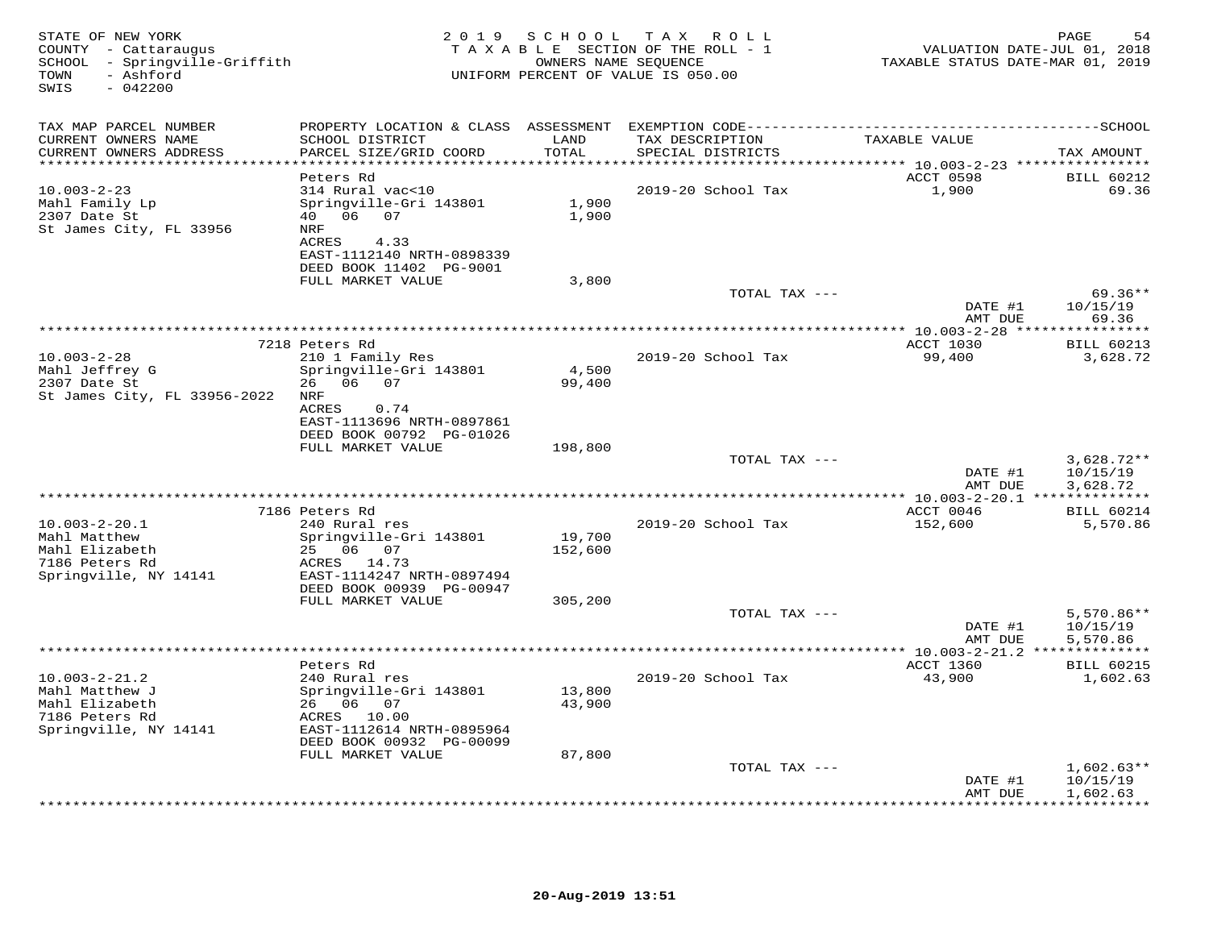| STATE OF NEW YORK<br>COUNTY - Cattaraugus<br>SCHOOL - Springville-Griffith<br>- Ashford<br>TOWN<br>SWIS<br>$-042200$ |                                                                                                                                        |                  | 2019 SCHOOL TAX ROLL<br>TAXABLE SECTION OF THE ROLL - 1<br>OWNERS NAME SEQUENCE<br>UNIFORM PERCENT OF VALUE IS 050.00 | VALUATION DATE-JUL 01, 2018<br>TAXABLE STATUS DATE-MAR 01, 2019 | PAGE<br>54                           |
|----------------------------------------------------------------------------------------------------------------------|----------------------------------------------------------------------------------------------------------------------------------------|------------------|-----------------------------------------------------------------------------------------------------------------------|-----------------------------------------------------------------|--------------------------------------|
| TAX MAP PARCEL NUMBER                                                                                                |                                                                                                                                        |                  |                                                                                                                       |                                                                 |                                      |
| CURRENT OWNERS NAME<br>CURRENT OWNERS ADDRESS                                                                        | SCHOOL DISTRICT<br>PARCEL SIZE/GRID COORD                                                                                              | LAND<br>TOTAL    | TAX DESCRIPTION<br>SPECIAL DISTRICTS                                                                                  | TAXABLE VALUE                                                   | TAX AMOUNT                           |
| **********************                                                                                               | Peters Rd                                                                                                                              | ***********      | **************                                                                                                        | ******** 10.003-2-23 ****************<br>ACCT 0598              | <b>BILL 60212</b>                    |
| $10.003 - 2 - 23$<br>Mahl Family Lp<br>2307 Date St<br>St James City, FL 33956                                       | 314 Rural vac<10<br>Springville-Gri 143801<br>40 06 07<br>NRF<br>ACRES<br>4.33<br>EAST-1112140 NRTH-0898339<br>DEED BOOK 11402 PG-9001 | 1,900<br>1,900   | 2019-20 School Tax                                                                                                    | 1,900                                                           | 69.36                                |
|                                                                                                                      | FULL MARKET VALUE                                                                                                                      | 3,800            |                                                                                                                       |                                                                 |                                      |
|                                                                                                                      |                                                                                                                                        |                  | TOTAL TAX ---                                                                                                         | DATE #1                                                         | $69.36**$<br>10/15/19                |
|                                                                                                                      |                                                                                                                                        |                  |                                                                                                                       | AMT DUE<br>********** 10.003-2-28 *****                         | 69.36<br>*********                   |
|                                                                                                                      | 7218 Peters Rd                                                                                                                         |                  |                                                                                                                       | ACCT 1030                                                       | <b>BILL 60213</b>                    |
| $10.003 - 2 - 28$<br>Mahl Jeffrey G<br>2307 Date St<br>St James City, FL 33956-2022                                  | 210 1 Family Res<br>Springville-Gri 143801<br>26 06 07<br>NRF<br>0.74<br>ACRES                                                         | 4,500<br>99,400  | 2019-20 School Tax                                                                                                    | 99,400                                                          | 3,628.72                             |
|                                                                                                                      | EAST-1113696 NRTH-0897861<br>DEED BOOK 00792 PG-01026<br>FULL MARKET VALUE                                                             | 198,800          |                                                                                                                       |                                                                 |                                      |
|                                                                                                                      |                                                                                                                                        |                  | TOTAL TAX ---                                                                                                         |                                                                 | $3,628.72**$                         |
|                                                                                                                      |                                                                                                                                        |                  |                                                                                                                       | DATE #1<br>AMT DUE                                              | 10/15/19<br>3,628.72                 |
|                                                                                                                      |                                                                                                                                        |                  |                                                                                                                       | ********* 10.003-2-20.1 ***************                         |                                      |
| $10.003 - 2 - 20.1$<br>Mahl Matthew                                                                                  | 7186 Peters Rd<br>240 Rural res<br>Springville-Gri 143801                                                                              | 19,700           | 2019-20 School Tax                                                                                                    | ACCT 0046<br>152,600                                            | <b>BILL 60214</b><br>5,570.86        |
| Mahl Elizabeth<br>7186 Peters Rd<br>Springville, NY 14141                                                            | 25 06 07<br>ACRES 14.73<br>EAST-1114247 NRTH-0897494<br>DEED BOOK 00939 PG-00947                                                       | 152,600          |                                                                                                                       |                                                                 |                                      |
|                                                                                                                      | FULL MARKET VALUE                                                                                                                      | 305,200          | TOTAL TAX ---                                                                                                         | DATE #1                                                         | $5,570.86**$<br>10/15/19             |
|                                                                                                                      |                                                                                                                                        |                  |                                                                                                                       | AMT DUE                                                         | 5,570.86                             |
|                                                                                                                      | Peters Rd                                                                                                                              |                  |                                                                                                                       | ACCT 1360                                                       | <b>BILL 60215</b>                    |
| $10.003 - 2 - 21.2$<br>Mahl Matthew J<br>Mahl Elizabeth<br>7186 Peters Rd<br>Springville, NY 14141                   | 240 Rural res<br>Springville-Gri 143801<br>26 06 07<br>ACRES 10.00<br>EAST-1112614 NRTH-0895964<br>DEED BOOK 00932 PG-00099            | 13,800<br>43,900 | 2019-20 School Tax                                                                                                    | 43,900                                                          | 1,602.63                             |
|                                                                                                                      | FULL MARKET VALUE                                                                                                                      | 87,800           |                                                                                                                       |                                                                 |                                      |
|                                                                                                                      |                                                                                                                                        |                  | TOTAL TAX ---                                                                                                         | DATE #1<br>AMT DUE                                              | $1,602.63**$<br>10/15/19<br>1,602.63 |
|                                                                                                                      |                                                                                                                                        |                  |                                                                                                                       |                                                                 | + + + + + + + + + + +                |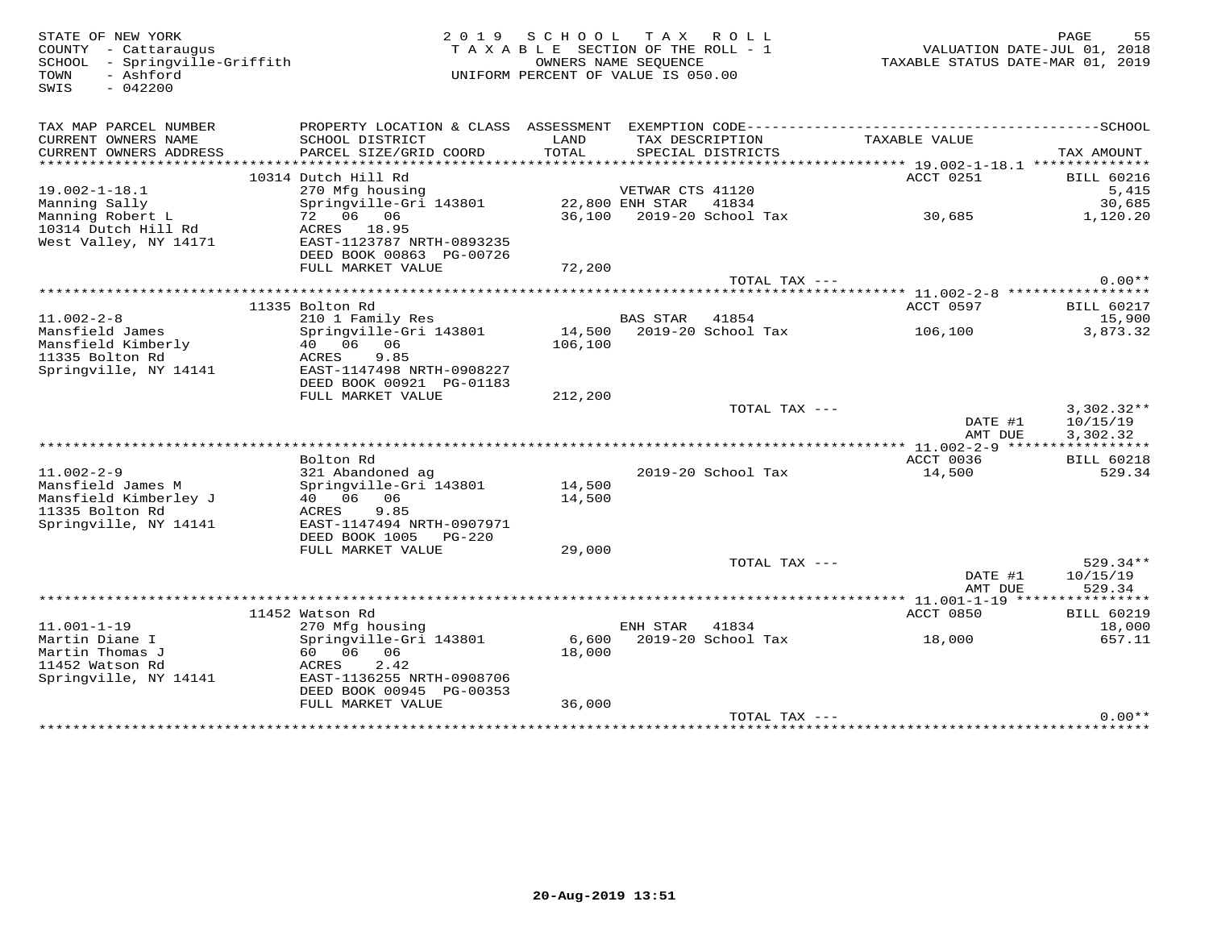| STATE OF NEW YORK<br>COUNTY - Cattaraugus<br>SCHOOL - Springville-Griffith<br>- Ashford<br>TOWN<br>SWIS<br>$-042200$ |                                                                                              | 2019 SCHOOL TAX ROLL<br>TAXABLE SECTION OF THE ROLL - 1<br>OWNERS NAME SEQUENCE<br>UNIFORM PERCENT OF VALUE IS 050.00 |                       |                           | TAXABLE STATUS DATE-MAR 01, 2019 | PAGE<br>55<br>VALUATION DATE-JUL 01, 2018 |
|----------------------------------------------------------------------------------------------------------------------|----------------------------------------------------------------------------------------------|-----------------------------------------------------------------------------------------------------------------------|-----------------------|---------------------------|----------------------------------|-------------------------------------------|
| TAX MAP PARCEL NUMBER                                                                                                | PROPERTY LOCATION & CLASS ASSESSMENT EXEMPTION CODE-----------------------------------SCHOOL |                                                                                                                       |                       |                           |                                  |                                           |
| CURRENT OWNERS NAME<br>CURRENT OWNERS ADDRESS                                                                        | SCHOOL DISTRICT<br>PARCEL SIZE/GRID COORD                                                    | LAND<br>TOTAL                                                                                                         | TAX DESCRIPTION       | SPECIAL DISTRICTS         | TAXABLE VALUE                    | TAX AMOUNT                                |
| **********************                                                                                               |                                                                                              |                                                                                                                       |                       |                           |                                  |                                           |
|                                                                                                                      | 10314 Dutch Hill Rd                                                                          |                                                                                                                       |                       |                           | ACCT 0251                        | <b>BILL 60216</b>                         |
| $19.002 - 1 - 18.1$                                                                                                  | 270 Mfg housing                                                                              |                                                                                                                       | VETWAR CTS 41120      |                           |                                  | 5,415                                     |
| Manning Sally<br>Manning Robert L                                                                                    | Springville-Gri 143801<br>72 06 06                                                           |                                                                                                                       | 22,800 ENH STAR 41834 |                           | 30,685                           | 30,685<br>1,120.20                        |
| 10314 Dutch Hill Rd                                                                                                  | ACRES 18.95                                                                                  |                                                                                                                       |                       |                           |                                  |                                           |
| West Valley, NY 14171                                                                                                | EAST-1123787 NRTH-0893235<br>DEED BOOK 00863 PG-00726                                        |                                                                                                                       |                       |                           |                                  |                                           |
|                                                                                                                      | FULL MARKET VALUE                                                                            | 72,200                                                                                                                |                       |                           |                                  |                                           |
|                                                                                                                      |                                                                                              |                                                                                                                       |                       | TOTAL TAX ---             |                                  | $0.00**$                                  |
|                                                                                                                      |                                                                                              |                                                                                                                       |                       |                           |                                  |                                           |
|                                                                                                                      | 11335 Bolton Rd                                                                              |                                                                                                                       |                       |                           | ACCT 0597                        | <b>BILL 60217</b>                         |
| $11.002 - 2 - 8$                                                                                                     | 210 1 Family Res                                                                             |                                                                                                                       | BAS STAR 41854        |                           |                                  | 15,900                                    |
| Mansfield James                                                                                                      | Springville-Gri 143801                                                                       |                                                                                                                       |                       | 14,500 2019-20 School Tax | 106,100                          | 3,873.32                                  |
| Mansfield Kimberly                                                                                                   | 40  06  06                                                                                   | 106,100                                                                                                               |                       |                           |                                  |                                           |
| 11335 Bolton Rd<br>Springville, NY 14141                                                                             | ACRES<br>9.85                                                                                |                                                                                                                       |                       |                           |                                  |                                           |
|                                                                                                                      | EAST-1147498 NRTH-0908227<br>DEED BOOK 00921 PG-01183                                        |                                                                                                                       |                       |                           |                                  |                                           |
|                                                                                                                      | FULL MARKET VALUE                                                                            | 212,200                                                                                                               |                       |                           |                                  |                                           |
|                                                                                                                      |                                                                                              |                                                                                                                       |                       | TOTAL TAX ---             |                                  | $3,302.32**$                              |
|                                                                                                                      |                                                                                              |                                                                                                                       |                       |                           | DATE #1                          | 10/15/19                                  |
|                                                                                                                      |                                                                                              |                                                                                                                       |                       |                           | AMT DUE                          | 3,302.32                                  |
|                                                                                                                      |                                                                                              |                                                                                                                       |                       |                           |                                  |                                           |
|                                                                                                                      | Bolton Rd                                                                                    |                                                                                                                       |                       |                           | ACCT 0036                        | <b>BILL 60218</b>                         |
| $11.002 - 2 - 9$                                                                                                     | 321 Abandoned ag                                                                             |                                                                                                                       |                       | 2019-20 School Tax        | 14,500                           | 529.34                                    |
| Mansfield James M<br>Mansfield Kimberley J                                                                           | Springville-Gri 143801<br>40  06  06                                                         | 14,500<br>14,500                                                                                                      |                       |                           |                                  |                                           |
| 11335 Bolton Rd                                                                                                      | ACRES<br>9.85                                                                                |                                                                                                                       |                       |                           |                                  |                                           |
| Springville, NY 14141                                                                                                | EAST-1147494 NRTH-0907971                                                                    |                                                                                                                       |                       |                           |                                  |                                           |
|                                                                                                                      | DEED BOOK 1005 PG-220                                                                        |                                                                                                                       |                       |                           |                                  |                                           |
|                                                                                                                      | FULL MARKET VALUE                                                                            | 29,000                                                                                                                |                       |                           |                                  |                                           |
|                                                                                                                      |                                                                                              |                                                                                                                       |                       | TOTAL TAX ---             |                                  | 529.34**                                  |
|                                                                                                                      |                                                                                              |                                                                                                                       |                       |                           | DATE #1                          | 10/15/19                                  |
|                                                                                                                      |                                                                                              |                                                                                                                       |                       |                           | AMT DUE                          | 529.34                                    |
|                                                                                                                      |                                                                                              |                                                                                                                       |                       |                           |                                  |                                           |
| $11.001 - 1 - 19$                                                                                                    | 11452 Watson Rd                                                                              |                                                                                                                       | ENH STAR              | 41834                     | ACCT 0850                        | <b>BILL 60219</b>                         |
| Martin Diane I                                                                                                       | 270 Mfg housing<br>Springville-Gri 143801                                                    | 6,600                                                                                                                 |                       | 2019-20 School Tax        | 18,000                           | 18,000<br>657.11                          |
| Martin Thomas J                                                                                                      | 60 06 06                                                                                     | 18,000                                                                                                                |                       |                           |                                  |                                           |
| 11452 Watson Rd                                                                                                      | 2.42<br>ACRES                                                                                |                                                                                                                       |                       |                           |                                  |                                           |
| Springville, NY 14141                                                                                                | EAST-1136255 NRTH-0908706                                                                    |                                                                                                                       |                       |                           |                                  |                                           |
|                                                                                                                      | DEED BOOK 00945 PG-00353                                                                     |                                                                                                                       |                       |                           |                                  |                                           |
|                                                                                                                      | FULL MARKET VALUE                                                                            | 36,000                                                                                                                |                       |                           |                                  |                                           |
|                                                                                                                      |                                                                                              |                                                                                                                       |                       | TOTAL TAX ---             |                                  | $0.00**$                                  |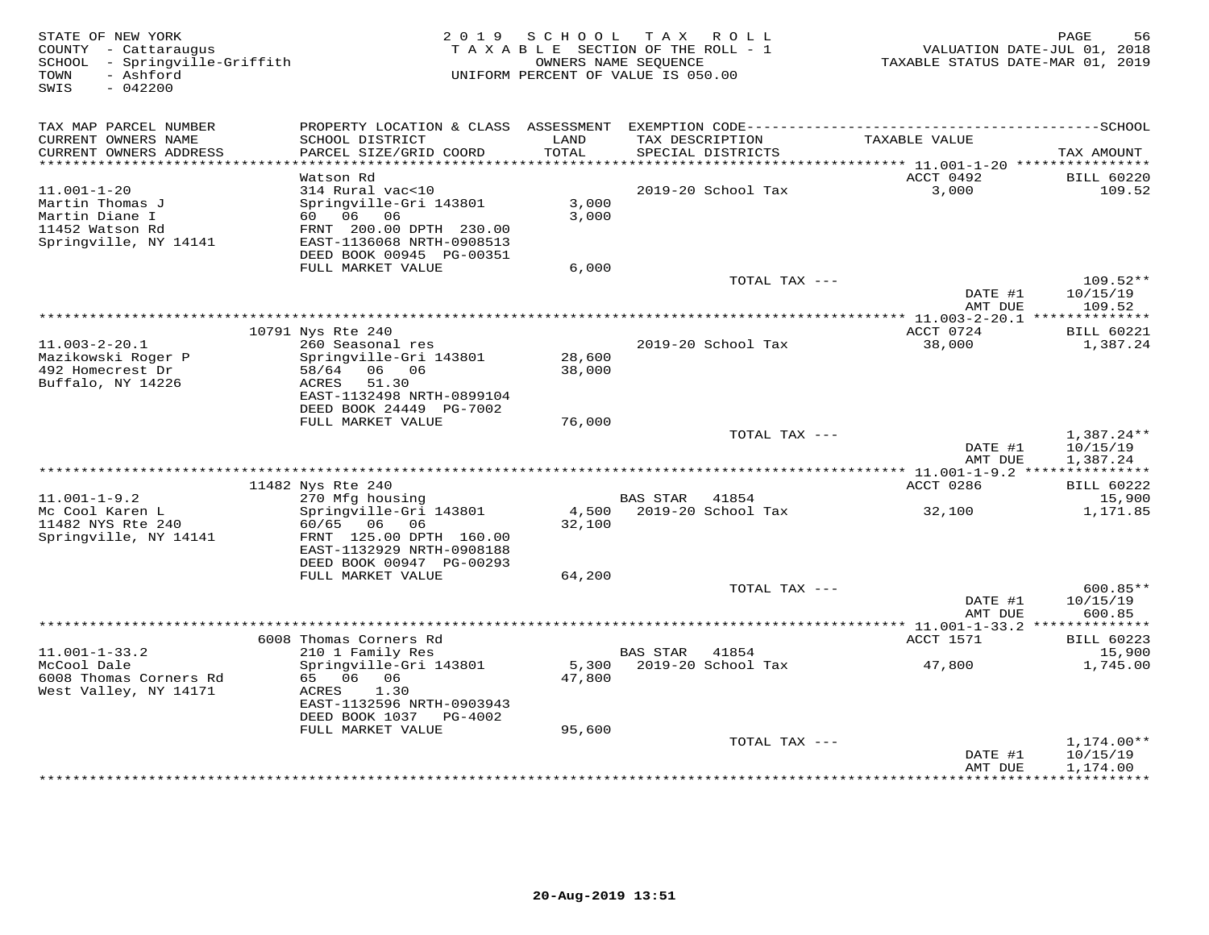| STATE OF NEW YORK<br>COUNTY - Cattaraugus<br>SCHOOL - Springville-Griffith<br>- Ashford<br>TOWN<br>SWIS<br>$-042200$ | 2 0 1 9                                   | S C H O O L   | T A X<br>R O L L<br>TAXABLE SECTION OF THE ROLL - 1<br>OWNERS NAME SEQUENCE<br>UNIFORM PERCENT OF VALUE IS 050.00 | TAXABLE STATUS DATE-MAR 01, 2019         | PAGE<br>56<br>VALUATION DATE-JUL 01, 2018 |
|----------------------------------------------------------------------------------------------------------------------|-------------------------------------------|---------------|-------------------------------------------------------------------------------------------------------------------|------------------------------------------|-------------------------------------------|
| TAX MAP PARCEL NUMBER                                                                                                | PROPERTY LOCATION & CLASS ASSESSMENT      |               |                                                                                                                   |                                          |                                           |
| CURRENT OWNERS NAME<br>CURRENT OWNERS ADDRESS                                                                        | SCHOOL DISTRICT<br>PARCEL SIZE/GRID COORD | LAND<br>TOTAL | TAX DESCRIPTION<br>SPECIAL DISTRICTS                                                                              | TAXABLE VALUE                            | TAX AMOUNT                                |
| ******************************                                                                                       |                                           |               |                                                                                                                   |                                          |                                           |
|                                                                                                                      | Watson Rd                                 |               |                                                                                                                   | ACCT 0492                                | <b>BILL 60220</b>                         |
| $11.001 - 1 - 20$                                                                                                    | 314 Rural vac<10                          |               | 2019-20 School Tax                                                                                                | 3,000                                    | 109.52                                    |
| Martin Thomas J                                                                                                      | Springville-Gri 143801                    | 3,000         |                                                                                                                   |                                          |                                           |
| Martin Diane I<br>11452 Watson Rd                                                                                    | 60 06<br>06<br>FRNT 200.00 DPTH 230.00    | 3,000         |                                                                                                                   |                                          |                                           |
| Springville, NY 14141                                                                                                | EAST-1136068 NRTH-0908513                 |               |                                                                                                                   |                                          |                                           |
|                                                                                                                      | DEED BOOK 00945 PG-00351                  |               |                                                                                                                   |                                          |                                           |
|                                                                                                                      | FULL MARKET VALUE                         | 6,000         |                                                                                                                   |                                          |                                           |
|                                                                                                                      |                                           |               | TOTAL TAX ---                                                                                                     |                                          | 109.52**                                  |
|                                                                                                                      |                                           |               |                                                                                                                   | DATE #1<br>AMT DUE                       | 10/15/19<br>109.52                        |
|                                                                                                                      |                                           |               |                                                                                                                   |                                          |                                           |
|                                                                                                                      | 10791 Nys Rte 240                         |               |                                                                                                                   | ACCT 0724                                | <b>BILL 60221</b>                         |
| $11.003 - 2 - 20.1$                                                                                                  | 260 Seasonal res                          |               | 2019-20 School Tax                                                                                                | 38,000                                   | 1,387.24                                  |
| Mazikowski Roger P                                                                                                   | Springville-Gri 143801                    | 28,600        |                                                                                                                   |                                          |                                           |
| 492 Homecrest Dr<br>Buffalo, NY 14226                                                                                | 06 06<br>58/64<br>51.30<br>ACRES          | 38,000        |                                                                                                                   |                                          |                                           |
|                                                                                                                      | EAST-1132498 NRTH-0899104                 |               |                                                                                                                   |                                          |                                           |
|                                                                                                                      | DEED BOOK 24449 PG-7002                   |               |                                                                                                                   |                                          |                                           |
|                                                                                                                      | FULL MARKET VALUE                         | 76,000        |                                                                                                                   |                                          |                                           |
|                                                                                                                      |                                           |               | TOTAL TAX ---                                                                                                     |                                          | $1,387.24**$                              |
|                                                                                                                      |                                           |               |                                                                                                                   | DATE #1<br>AMT DUE                       | 10/15/19                                  |
|                                                                                                                      |                                           |               | *************************************                                                                             | **** 11.001-1-9.2 ****                   | 1,387.24<br>***********                   |
|                                                                                                                      | 11482 Nys Rte 240                         |               |                                                                                                                   | ACCT 0286                                | <b>BILL 60222</b>                         |
| $11.001 - 1 - 9.2$                                                                                                   | 270 Mfg housing                           |               | BAS STAR 41854                                                                                                    |                                          | 15,900                                    |
| Mc Cool Karen L                                                                                                      | Springville-Gri 143801                    | 4,500         | 2019-20 School Tax                                                                                                | 32,100                                   | 1,171.85                                  |
| 11482 NYS Rte 240<br>Springville, NY 14141                                                                           | 60/65 06 06<br>FRNT 125.00 DPTH 160.00    | 32,100        |                                                                                                                   |                                          |                                           |
|                                                                                                                      | EAST-1132929 NRTH-0908188                 |               |                                                                                                                   |                                          |                                           |
|                                                                                                                      | DEED BOOK 00947 PG-00293                  |               |                                                                                                                   |                                          |                                           |
|                                                                                                                      | FULL MARKET VALUE                         | 64,200        |                                                                                                                   |                                          |                                           |
|                                                                                                                      |                                           |               | TOTAL TAX ---                                                                                                     |                                          | $600.85**$                                |
|                                                                                                                      |                                           |               |                                                                                                                   | DATE #1<br>AMT DUE                       | 10/15/19<br>600.85                        |
|                                                                                                                      | ********************************          |               |                                                                                                                   | *********** 11.001-1-33.2 ************** |                                           |
|                                                                                                                      | 6008 Thomas Corners Rd                    |               |                                                                                                                   | ACCT 1571                                | <b>BILL 60223</b>                         |
| $11.001 - 1 - 33.2$                                                                                                  | 210 1 Family Res                          |               | 41854<br><b>BAS STAR</b>                                                                                          |                                          | 15,900                                    |
| McCool Dale                                                                                                          | Springville-Gri 143801                    | 5,300         | 2019-20 School Tax                                                                                                | 47,800                                   | 1,745.00                                  |
| 6008 Thomas Corners Rd<br>West Valley, NY 14171                                                                      | 65 06 06<br>1.30<br>ACRES                 | 47,800        |                                                                                                                   |                                          |                                           |
|                                                                                                                      | EAST-1132596 NRTH-0903943                 |               |                                                                                                                   |                                          |                                           |
|                                                                                                                      | DEED BOOK 1037 PG-4002                    |               |                                                                                                                   |                                          |                                           |
|                                                                                                                      | FULL MARKET VALUE                         | 95,600        |                                                                                                                   |                                          |                                           |
|                                                                                                                      |                                           |               | TOTAL TAX ---                                                                                                     |                                          | $1,174.00**$                              |
|                                                                                                                      |                                           |               |                                                                                                                   | DATE #1<br>AMT DUE                       | 10/15/19<br>1,174.00                      |
|                                                                                                                      |                                           |               |                                                                                                                   | **********                               | * * * * * * * * * *                       |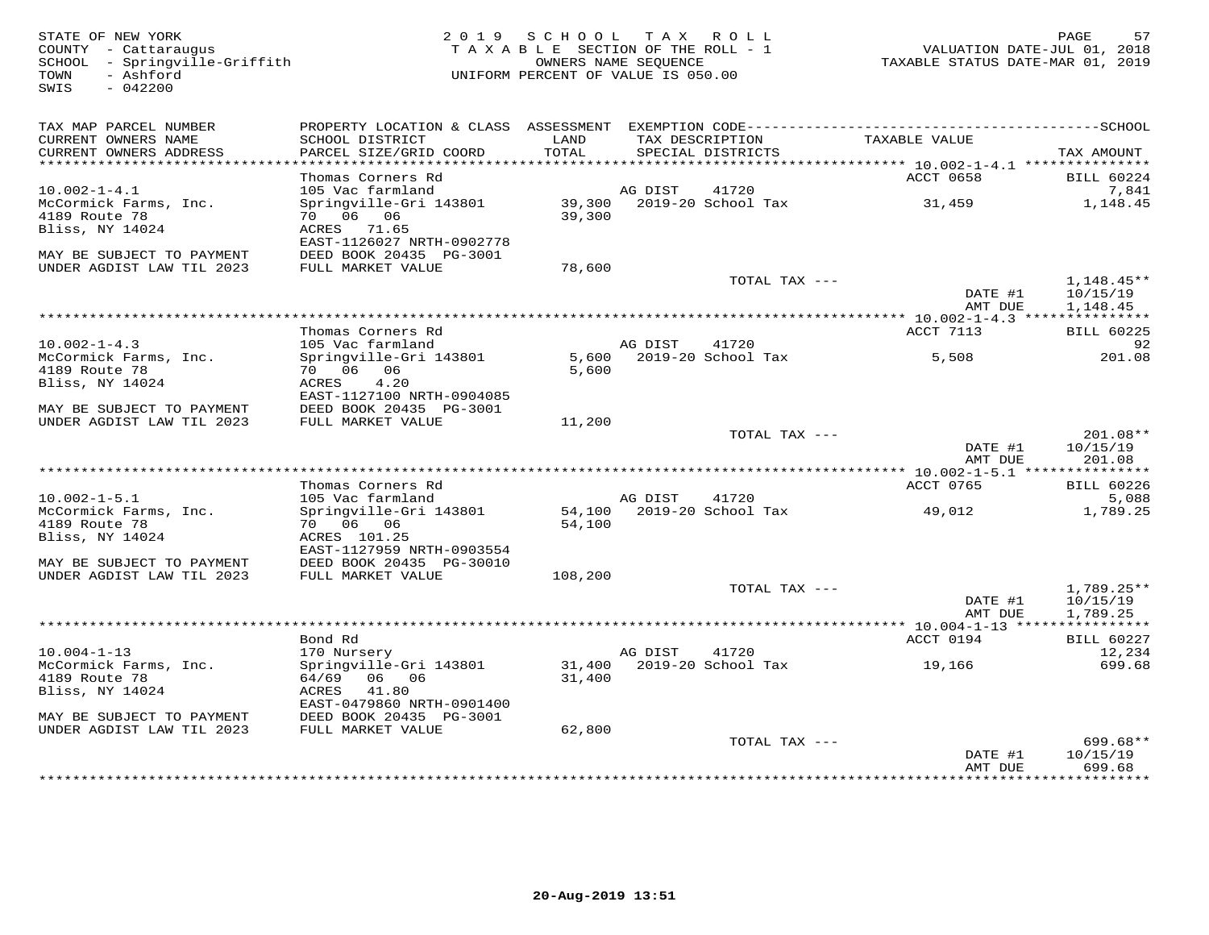SWIS - 042200

## STATE OF NEW YORK 2 0 1 9 S C H O O L T A X R O L L PAGE 57 COUNTY - Cattaraugus T A X A B L E SECTION OF THE ROLL - 1 VALUATION DATE-JUL 01, 2018 SCHOOL - Springville-Griffith OWNERS NAME SEQUENCE TAXABLE STATUS DATE-MAR 01, 2019COUNTY - Cattaraugus<br>
SCHOOL - Springville-Griffith<br>
TAXABLE SECTION OF THE ROLL<br>
OWNERS NAME SEQUENCE<br>
OWNERS NAME SEQUENCE<br>
UNIFORM PERCENT OF VALUE IS 050.00

| TAX MAP PARCEL NUMBER<br>CURRENT OWNERS NAME<br>CURRENT OWNERS ADDRESS | PROPERTY LOCATION & CLASS ASSESSMENT<br>SCHOOL DISTRICT<br>PARCEL SIZE/GRID COORD | LAND<br>TOTAL |                        | EXEMPTION CODE---------<br>TAX DESCRIPTION<br>SPECIAL DISTRICTS | TAXABLE VALUE                              | ------SCHOOL<br>TAX AMOUNT |
|------------------------------------------------------------------------|-----------------------------------------------------------------------------------|---------------|------------------------|-----------------------------------------------------------------|--------------------------------------------|----------------------------|
| ***********************                                                |                                                                                   |               |                        |                                                                 |                                            |                            |
|                                                                        | Thomas Corners Rd                                                                 |               |                        |                                                                 | ACCT 0658                                  | <b>BILL 60224</b>          |
| $10.002 - 1 - 4.1$                                                     | 105 Vac farmland                                                                  |               | AG DIST                | 41720                                                           |                                            | 7,841                      |
| McCormick Farms, Inc.                                                  | Springville-Gri 143801                                                            | 39,300        |                        | 2019-20 School Tax                                              | 31,459                                     | 1,148.45                   |
| 4189 Route 78                                                          | 70 06 06                                                                          | 39,300        |                        |                                                                 |                                            |                            |
| Bliss, NY 14024                                                        | ACRES 71.65<br>EAST-1126027 NRTH-0902778                                          |               |                        |                                                                 |                                            |                            |
| MAY BE SUBJECT TO PAYMENT                                              | DEED BOOK 20435 PG-3001                                                           |               |                        |                                                                 |                                            |                            |
| UNDER AGDIST LAW TIL 2023                                              | FULL MARKET VALUE                                                                 | 78,600        |                        |                                                                 |                                            |                            |
|                                                                        |                                                                                   |               |                        | TOTAL TAX ---                                                   |                                            | $1,148.45**$               |
|                                                                        |                                                                                   |               |                        |                                                                 | DATE #1                                    | 10/15/19                   |
|                                                                        |                                                                                   |               |                        |                                                                 | AMT DUE                                    | 1,148.45                   |
|                                                                        | ****************************                                                      |               | ********************** |                                                                 | ********** 10.002-1-4.3 ****************   |                            |
|                                                                        | Thomas Corners Rd                                                                 |               |                        |                                                                 | ACCT 7113                                  | <b>BILL 60225</b>          |
| $10.002 - 1 - 4.3$                                                     | 105 Vac farmland                                                                  |               | AG DIST                | 41720                                                           |                                            | 92                         |
| McCormick Farms, Inc.                                                  | Springville-Gri 143801                                                            | 5,600         |                        | 2019-20 School Tax                                              | 5,508                                      | 201.08                     |
| 4189 Route 78                                                          | 70 06<br>06                                                                       | 5,600         |                        |                                                                 |                                            |                            |
| Bliss, NY 14024                                                        | 4.20<br>ACRES                                                                     |               |                        |                                                                 |                                            |                            |
| MAY BE SUBJECT TO PAYMENT                                              | EAST-1127100 NRTH-0904085                                                         |               |                        |                                                                 |                                            |                            |
| UNDER AGDIST LAW TIL 2023                                              | DEED BOOK 20435 PG-3001<br>FULL MARKET VALUE                                      | 11,200        |                        |                                                                 |                                            |                            |
|                                                                        |                                                                                   |               |                        | TOTAL TAX ---                                                   |                                            | $201.08**$                 |
|                                                                        |                                                                                   |               |                        |                                                                 | DATE #1                                    | 10/15/19                   |
|                                                                        |                                                                                   |               |                        |                                                                 | AMT DUE                                    | 201.08                     |
| *************************                                              |                                                                                   |               |                        |                                                                 | ************ 10.002-1-5.1 **************** |                            |
|                                                                        | Thomas Corners Rd                                                                 |               |                        |                                                                 | ACCT 0765                                  | <b>BILL 60226</b>          |
| $10.002 - 1 - 5.1$                                                     | 105 Vac farmland                                                                  |               | AG DIST                | 41720                                                           |                                            | 5,088                      |
| McCormick Farms, Inc.                                                  | Springville-Gri 143801                                                            | 54,100        |                        | 2019-20 School Tax                                              | 49,012                                     | 1,789.25                   |
| 4189 Route 78                                                          | 70 06 06                                                                          | 54,100        |                        |                                                                 |                                            |                            |
| Bliss, NY 14024                                                        | ACRES 101.25                                                                      |               |                        |                                                                 |                                            |                            |
|                                                                        | EAST-1127959 NRTH-0903554                                                         |               |                        |                                                                 |                                            |                            |
| MAY BE SUBJECT TO PAYMENT<br>UNDER AGDIST LAW TIL 2023                 | DEED BOOK 20435 PG-30010<br>FULL MARKET VALUE                                     | 108,200       |                        |                                                                 |                                            |                            |
|                                                                        |                                                                                   |               |                        | TOTAL TAX ---                                                   |                                            | $1,789.25**$               |
|                                                                        |                                                                                   |               |                        |                                                                 | DATE #1                                    | 10/15/19                   |
|                                                                        |                                                                                   |               |                        |                                                                 | AMT DUE                                    | 1,789.25                   |
|                                                                        |                                                                                   |               |                        |                                                                 | ** $10.004 - 1 - 13$ ****                  | ***********                |
|                                                                        | Bond Rd                                                                           |               |                        |                                                                 | ACCT 0194                                  | <b>BILL 60227</b>          |
| $10.004 - 1 - 13$                                                      | 170 Nursery                                                                       |               | AG DIST                | 41720                                                           |                                            | 12,234                     |
| McCormick Farms, Inc.                                                  | Springville-Gri 143801                                                            | 31,400        |                        | 2019-20 School Tax                                              | 19,166                                     | 699.68                     |
| 4189 Route 78                                                          | 64/69 06 06                                                                       | 31,400        |                        |                                                                 |                                            |                            |
| Bliss, NY 14024                                                        | ACRES<br>41.80                                                                    |               |                        |                                                                 |                                            |                            |
|                                                                        | EAST-0479860 NRTH-0901400                                                         |               |                        |                                                                 |                                            |                            |
| MAY BE SUBJECT TO PAYMENT<br>UNDER AGDIST LAW TIL 2023                 | DEED BOOK 20435 PG-3001<br>FULL MARKET VALUE                                      | 62,800        |                        |                                                                 |                                            |                            |
|                                                                        |                                                                                   |               |                        | TOTAL TAX $---$                                                 |                                            | $699.68**$                 |
|                                                                        |                                                                                   |               |                        |                                                                 | DATE #1                                    | 10/15/19                   |
|                                                                        |                                                                                   |               |                        |                                                                 | AMT DUE                                    | 699.68                     |
|                                                                        |                                                                                   |               |                        |                                                                 |                                            |                            |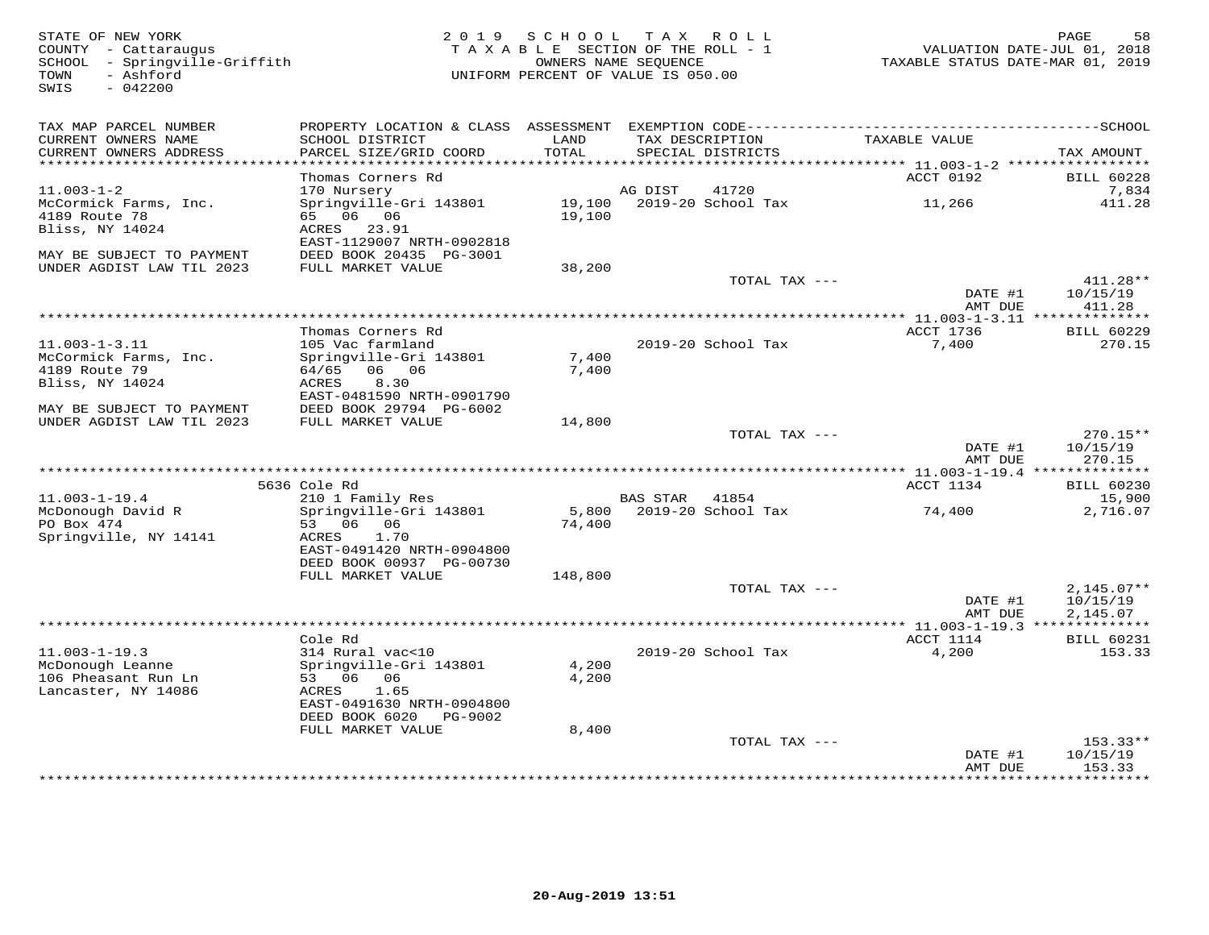| STATE OF NEW YORK<br>COUNTY - Cattaraugus<br>SCHOOL - Springville-Griffith<br>- Ashford<br>TOWN<br>SWIS<br>$-042200$ |                                              | 2019 SCHOOL<br>TAXABLE SECTION OF THE ROLL - 1<br>OWNERS NAME SEOUENCE<br>UNIFORM PERCENT OF VALUE IS 050.00 | T A X          | R O L L                              | TAXABLE STATUS DATE-MAR 01, 2019             | 58<br>PAGE<br>VALUATION DATE-JUL 01, 2018 |
|----------------------------------------------------------------------------------------------------------------------|----------------------------------------------|--------------------------------------------------------------------------------------------------------------|----------------|--------------------------------------|----------------------------------------------|-------------------------------------------|
| TAX MAP PARCEL NUMBER                                                                                                |                                              |                                                                                                              |                |                                      |                                              |                                           |
| CURRENT OWNERS NAME<br>CURRENT OWNERS ADDRESS<br>***********************                                             | SCHOOL DISTRICT<br>PARCEL SIZE/GRID COORD    | LAND<br>TOTAL                                                                                                |                | TAX DESCRIPTION<br>SPECIAL DISTRICTS | TAXABLE VALUE                                | TAX AMOUNT                                |
|                                                                                                                      | Thomas Corners Rd                            |                                                                                                              |                |                                      | ACCT 0192                                    | <b>BILL 60228</b>                         |
| $11.003 - 1 - 2$                                                                                                     | 170 Nursery                                  |                                                                                                              | AG DIST        | 41720                                |                                              | 7,834                                     |
| McCormick Farms, Inc.                                                                                                | Springville-Gri 143801                       | 19,100                                                                                                       |                | 2019-20 School Tax                   | 11,266                                       | 411.28                                    |
| 4189 Route 78                                                                                                        | 65 06 06                                     | 19,100                                                                                                       |                |                                      |                                              |                                           |
| Bliss, NY 14024                                                                                                      | ACRES 23.91<br>EAST-1129007 NRTH-0902818     |                                                                                                              |                |                                      |                                              |                                           |
| MAY BE SUBJECT TO PAYMENT<br>UNDER AGDIST LAW TIL 2023                                                               | DEED BOOK 20435 PG-3001<br>FULL MARKET VALUE | 38,200                                                                                                       |                |                                      |                                              |                                           |
|                                                                                                                      |                                              |                                                                                                              |                | TOTAL TAX ---                        |                                              | 411.28**                                  |
|                                                                                                                      |                                              |                                                                                                              |                |                                      | DATE #1<br>AMT DUE                           | 10/15/19<br>411.28                        |
|                                                                                                                      |                                              |                                                                                                              |                |                                      |                                              |                                           |
| $11.003 - 1 - 3.11$                                                                                                  | Thomas Corners Rd                            |                                                                                                              |                | 2019-20 School Tax                   | ACCT 1736                                    | <b>BILL 60229</b>                         |
| McCormick Farms, Inc.                                                                                                | 105 Vac farmland<br>Springville-Gri 143801   | 7,400                                                                                                        |                |                                      | 7,400                                        | 270.15                                    |
| 4189 Route 79                                                                                                        | 64/65 06 06                                  | 7,400                                                                                                        |                |                                      |                                              |                                           |
| Bliss, NY 14024                                                                                                      | ACRES<br>8.30                                |                                                                                                              |                |                                      |                                              |                                           |
|                                                                                                                      | EAST-0481590 NRTH-0901790                    |                                                                                                              |                |                                      |                                              |                                           |
| MAY BE SUBJECT TO PAYMENT                                                                                            | DEED BOOK 29794 PG-6002                      |                                                                                                              |                |                                      |                                              |                                           |
| UNDER AGDIST LAW TIL 2023                                                                                            | FULL MARKET VALUE                            | 14,800                                                                                                       |                | TOTAL TAX ---                        |                                              | $270.15**$                                |
|                                                                                                                      |                                              |                                                                                                              |                |                                      | DATE #1<br>AMT DUE                           | 10/15/19<br>270.15                        |
|                                                                                                                      |                                              |                                                                                                              |                |                                      | *********** 11.003-1-19.4 **************     |                                           |
|                                                                                                                      | 5636 Cole Rd                                 |                                                                                                              |                |                                      | ACCT 1134                                    | <b>BILL 60230</b>                         |
| $11.003 - 1 - 19.4$                                                                                                  | 210 1 Family Res                             |                                                                                                              | BAS STAR 41854 |                                      |                                              | 15,900                                    |
| McDonough David R<br>PO Box 474                                                                                      | Springville-Gri 143801<br>53 06 06           |                                                                                                              |                | 5,800 2019-20 School Tax             | 74,400                                       | 2,716.07                                  |
| Springville, NY 14141                                                                                                | ACRES<br>1.70                                | 74,400                                                                                                       |                |                                      |                                              |                                           |
|                                                                                                                      | EAST-0491420 NRTH-0904800                    |                                                                                                              |                |                                      |                                              |                                           |
|                                                                                                                      | DEED BOOK 00937 PG-00730                     |                                                                                                              |                |                                      |                                              |                                           |
|                                                                                                                      | FULL MARKET VALUE                            | 148,800                                                                                                      |                |                                      |                                              |                                           |
|                                                                                                                      |                                              |                                                                                                              |                | TOTAL TAX ---                        |                                              | $2,145.07**$                              |
|                                                                                                                      |                                              |                                                                                                              |                |                                      | DATE #1<br>AMT DUE                           | 10/15/19<br>2,145.07                      |
|                                                                                                                      |                                              |                                                                                                              |                |                                      | ************** 11.003-1-19.3 *************** |                                           |
|                                                                                                                      | Cole Rd                                      |                                                                                                              |                |                                      | ACCT 1114                                    | <b>BILL 60231</b>                         |
| $11.003 - 1 - 19.3$                                                                                                  | 314 Rural vac<10                             |                                                                                                              |                | 2019-20 School Tax                   | 4,200                                        | 153.33                                    |
| McDonough Leanne                                                                                                     | Springville-Gri 143801                       | 4,200                                                                                                        |                |                                      |                                              |                                           |
| 106 Pheasant Run Ln<br>Lancaster, NY 14086                                                                           | 53 06<br>06<br>ACRES<br>1.65                 | 4,200                                                                                                        |                |                                      |                                              |                                           |
|                                                                                                                      | EAST-0491630 NRTH-0904800                    |                                                                                                              |                |                                      |                                              |                                           |
|                                                                                                                      | DEED BOOK 6020<br>PG-9002                    |                                                                                                              |                |                                      |                                              |                                           |
|                                                                                                                      | FULL MARKET VALUE                            | 8,400                                                                                                        |                |                                      |                                              |                                           |
|                                                                                                                      |                                              |                                                                                                              |                | TOTAL TAX ---                        |                                              | $153.33**$                                |
|                                                                                                                      |                                              |                                                                                                              |                |                                      | DATE #1<br>AMT DUE                           | 10/15/19<br>153.33                        |
|                                                                                                                      |                                              |                                                                                                              |                |                                      |                                              | * * * * * * * *                           |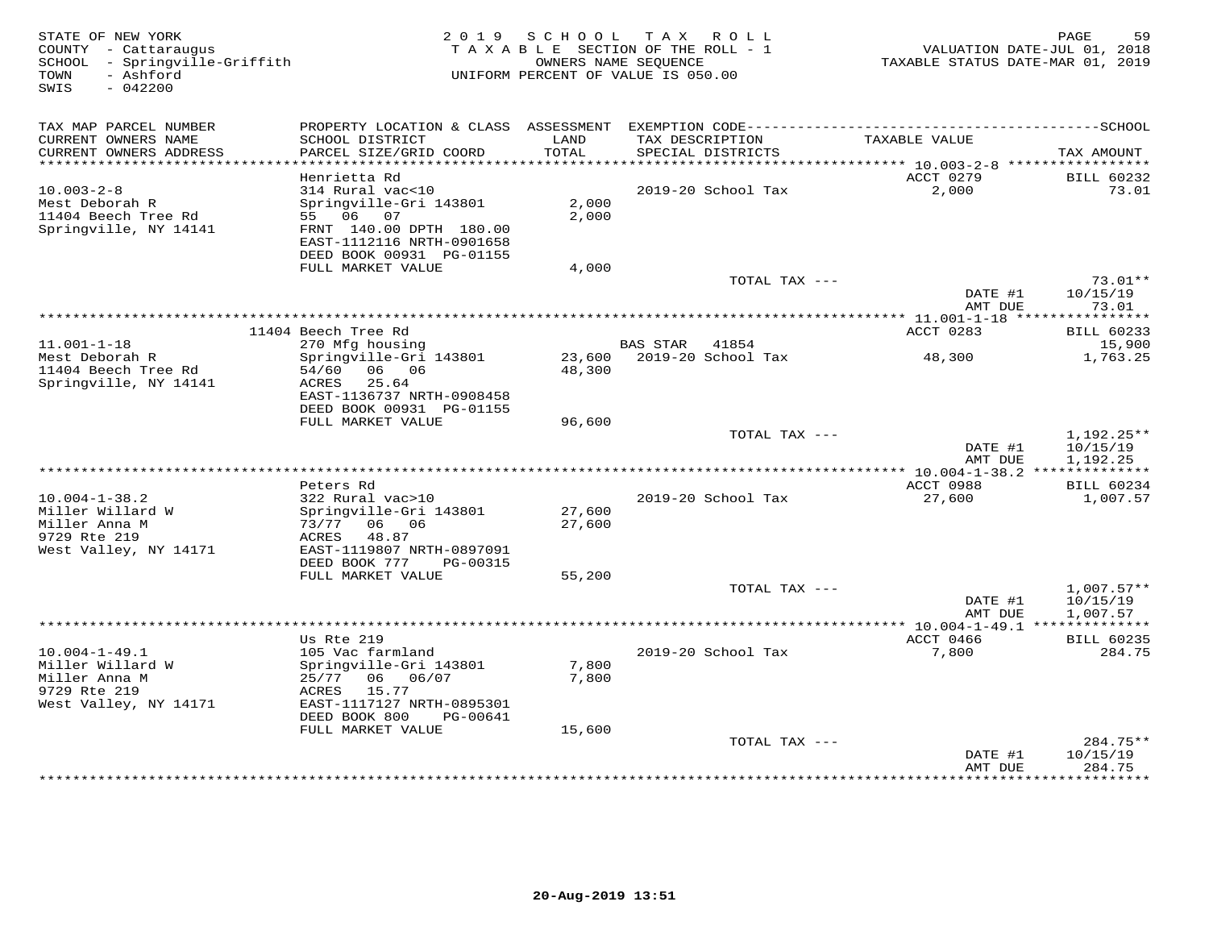| STATE OF NEW YORK<br>COUNTY - Cattaraugus<br>SCHOOL - Springville-Griffith<br>- Ashford<br>TOWN<br>SWIS<br>$-042200$ |                                                       | 2019 SCHOOL    | TAX ROLL<br>TAXABLE SECTION OF THE ROLL - 1<br>OWNERS NAME SEQUENCE<br>UNIFORM PERCENT OF VALUE IS 050.00 | VALUATION DATE-JUL 01, 2018<br>TAXABLE STATUS DATE-MAR 01, 2019 | 59<br>PAGE               |
|----------------------------------------------------------------------------------------------------------------------|-------------------------------------------------------|----------------|-----------------------------------------------------------------------------------------------------------|-----------------------------------------------------------------|--------------------------|
| TAX MAP PARCEL NUMBER                                                                                                |                                                       |                |                                                                                                           |                                                                 |                          |
| CURRENT OWNERS NAME<br>CURRENT OWNERS ADDRESS                                                                        | SCHOOL DISTRICT<br>PARCEL SIZE/GRID COORD             | LAND<br>TOTAL  | TAX DESCRIPTION<br>SPECIAL DISTRICTS                                                                      | TAXABLE VALUE                                                   | TAX AMOUNT               |
|                                                                                                                      | Henrietta Rd                                          |                |                                                                                                           | ACCT 0279                                                       | <b>BILL 60232</b>        |
| $10.003 - 2 - 8$                                                                                                     | 314 Rural vac<10                                      |                | 2019-20 School Tax                                                                                        | 2,000                                                           | 73.01                    |
| Mest Deborah R                                                                                                       | Springville-Gri 143801                                | 2,000          |                                                                                                           |                                                                 |                          |
| 11404 Beech Tree Rd                                                                                                  | 55 06 07                                              | 2,000          |                                                                                                           |                                                                 |                          |
| Springville, NY 14141                                                                                                | FRNT 140.00 DPTH 180.00                               |                |                                                                                                           |                                                                 |                          |
|                                                                                                                      | EAST-1112116 NRTH-0901658<br>DEED BOOK 00931 PG-01155 |                |                                                                                                           |                                                                 |                          |
|                                                                                                                      | FULL MARKET VALUE                                     | 4,000          |                                                                                                           |                                                                 |                          |
|                                                                                                                      |                                                       |                | TOTAL TAX ---                                                                                             |                                                                 | $73.01**$                |
|                                                                                                                      |                                                       |                |                                                                                                           | DATE #1                                                         | 10/15/19                 |
|                                                                                                                      |                                                       |                |                                                                                                           | AMT DUE                                                         | 73.01                    |
|                                                                                                                      | 11404 Beech Tree Rd                                   |                |                                                                                                           | ACCT 0283                                                       | <b>BILL 60233</b>        |
| $11.001 - 1 - 18$                                                                                                    | 270 Mfg housing                                       |                | <b>BAS STAR</b><br>41854                                                                                  |                                                                 | 15,900                   |
| Mest Deborah R                                                                                                       | Springville-Gri 143801                                | 23,600         | 2019-20 School Tax                                                                                        | 48,300                                                          | 1,763.25                 |
| 11404 Beech Tree Rd                                                                                                  | 06 06<br>54/60                                        | 48,300         |                                                                                                           |                                                                 |                          |
| Springville, NY 14141                                                                                                | ACRES<br>25.64<br>EAST-1136737 NRTH-0908458           |                |                                                                                                           |                                                                 |                          |
|                                                                                                                      | DEED BOOK 00931 PG-01155                              |                |                                                                                                           |                                                                 |                          |
|                                                                                                                      | FULL MARKET VALUE                                     | 96,600         |                                                                                                           |                                                                 |                          |
|                                                                                                                      |                                                       |                | TOTAL TAX ---                                                                                             |                                                                 | 1,192.25**               |
|                                                                                                                      |                                                       |                |                                                                                                           | DATE #1<br>AMT DUE                                              | 10/15/19<br>1,192.25     |
|                                                                                                                      |                                                       |                |                                                                                                           |                                                                 |                          |
|                                                                                                                      | Peters Rd                                             |                |                                                                                                           | ACCT 0988                                                       | <b>BILL 60234</b>        |
| $10.004 - 1 - 38.2$                                                                                                  | 322 Rural vac>10                                      |                | 2019-20 School Tax                                                                                        | 27,600                                                          | 1,007.57                 |
| Miller Willard W                                                                                                     | Springville-Gri 143801                                | 27,600         |                                                                                                           |                                                                 |                          |
| Miller Anna M<br>9729 Rte 219                                                                                        | 73/77<br>06 06<br>48.87<br>ACRES                      | 27,600         |                                                                                                           |                                                                 |                          |
| West Valley, NY 14171                                                                                                | EAST-1119807 NRTH-0897091                             |                |                                                                                                           |                                                                 |                          |
|                                                                                                                      | DEED BOOK 777<br>PG-00315                             |                |                                                                                                           |                                                                 |                          |
|                                                                                                                      | FULL MARKET VALUE                                     | 55,200         |                                                                                                           |                                                                 |                          |
|                                                                                                                      |                                                       |                | TOTAL TAX ---                                                                                             | DATE #1                                                         | $1,007.57**$<br>10/15/19 |
|                                                                                                                      |                                                       |                |                                                                                                           | AMT DUE                                                         | 1,007.57                 |
|                                                                                                                      |                                                       |                |                                                                                                           |                                                                 |                          |
|                                                                                                                      | Us Rte 219                                            |                |                                                                                                           | ACCT 0466                                                       | <b>BILL 60235</b>        |
| $10.004 - 1 - 49.1$                                                                                                  | 105 Vac farmland                                      |                | 2019-20 School Tax                                                                                        | 7,800                                                           | 284.75                   |
| Miller Willard W<br>Miller Anna M                                                                                    | Springville-Gri 143801<br>25/77<br>06 -<br>06/07      | 7,800<br>7,800 |                                                                                                           |                                                                 |                          |
| 9729 Rte 219                                                                                                         | 15.77<br>ACRES                                        |                |                                                                                                           |                                                                 |                          |
| West Valley, NY 14171                                                                                                | EAST-1117127 NRTH-0895301                             |                |                                                                                                           |                                                                 |                          |
|                                                                                                                      | DEED BOOK 800<br>PG-00641                             |                |                                                                                                           |                                                                 |                          |
|                                                                                                                      | FULL MARKET VALUE                                     | 15,600         |                                                                                                           |                                                                 |                          |
|                                                                                                                      |                                                       |                | TOTAL TAX ---                                                                                             | DATE #1                                                         | $284.75**$<br>10/15/19   |
|                                                                                                                      |                                                       |                |                                                                                                           | AMT DUE                                                         | 284.75                   |
|                                                                                                                      |                                                       |                |                                                                                                           |                                                                 | * * * * * * * *          |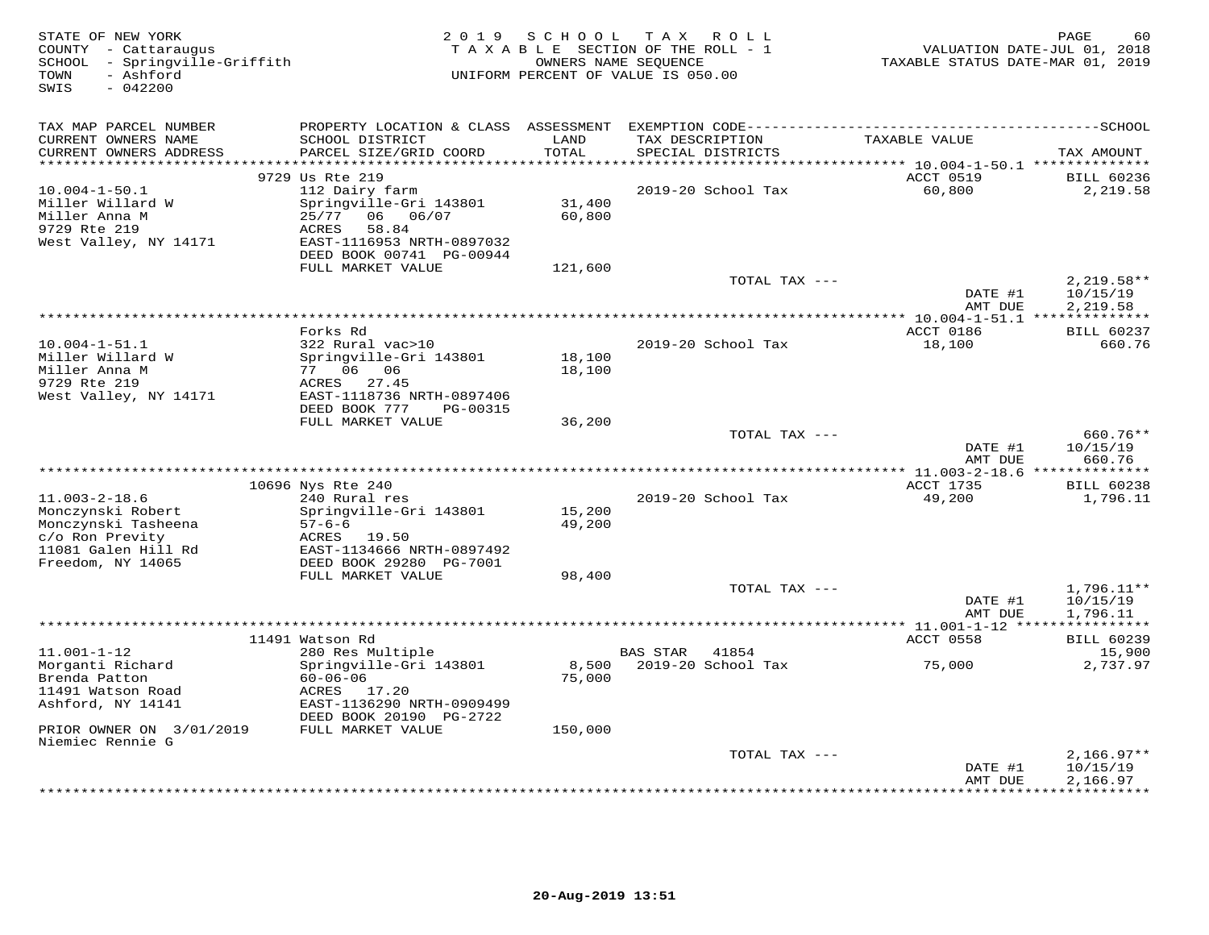| STATE OF NEW YORK<br>COUNTY - Cattaraugus<br>SCHOOL - Springville-Griffith<br>- Ashford<br>TOWN<br>$-042200$<br>SWIS |                                                                        | 2019 SCHOOL   | T A X<br>R O L L<br>TAXABLE SECTION OF THE ROLL - 1<br>OWNERS NAME SEQUENCE<br>UNIFORM PERCENT OF VALUE IS 050.00 | TAXABLE STATUS DATE-MAR 01, 2019  | PAGE<br>60<br>VALUATION DATE-JUL 01, 2018 |
|----------------------------------------------------------------------------------------------------------------------|------------------------------------------------------------------------|---------------|-------------------------------------------------------------------------------------------------------------------|-----------------------------------|-------------------------------------------|
| TAX MAP PARCEL NUMBER                                                                                                |                                                                        |               |                                                                                                                   |                                   |                                           |
| CURRENT OWNERS NAME<br>CURRENT OWNERS ADDRESS                                                                        | SCHOOL DISTRICT<br>PARCEL SIZE/GRID COORD<br>************************* | LAND<br>TOTAL | TAX DESCRIPTION<br>SPECIAL DISTRICTS                                                                              | TAXABLE VALUE                     | TAX AMOUNT                                |
| **********************                                                                                               | 9729 Us Rte 219                                                        |               |                                                                                                                   | ACCT 0519                         |                                           |
| $10.004 - 1 - 50.1$                                                                                                  | 112 Dairy farm                                                         |               | 2019-20 School Tax                                                                                                | 60,800                            | <b>BILL 60236</b><br>2,219.58             |
| Miller Willard W                                                                                                     | Springville-Gri 143801                                                 | 31,400        |                                                                                                                   |                                   |                                           |
| Miller Anna M                                                                                                        | 25/77<br>06/07<br>06 —                                                 | 60,800        |                                                                                                                   |                                   |                                           |
| 9729 Rte 219                                                                                                         | ACRES<br>58.84                                                         |               |                                                                                                                   |                                   |                                           |
| West Valley, NY 14171                                                                                                | EAST-1116953 NRTH-0897032                                              |               |                                                                                                                   |                                   |                                           |
|                                                                                                                      | DEED BOOK 00741 PG-00944                                               |               |                                                                                                                   |                                   |                                           |
|                                                                                                                      | FULL MARKET VALUE                                                      | 121,600       | TOTAL TAX ---                                                                                                     |                                   | $2,219.58**$                              |
|                                                                                                                      |                                                                        |               |                                                                                                                   | DATE #1                           | 10/15/19                                  |
|                                                                                                                      |                                                                        |               |                                                                                                                   | AMT DUE                           | 2,219.58                                  |
|                                                                                                                      |                                                                        |               |                                                                                                                   |                                   |                                           |
|                                                                                                                      | Forks Rd                                                               |               |                                                                                                                   | ACCT 0186                         | <b>BILL 60237</b>                         |
| $10.004 - 1 - 51.1$                                                                                                  | 322 Rural vac>10                                                       |               | 2019-20 School Tax                                                                                                | 18,100                            | 660.76                                    |
| Miller Willard W                                                                                                     | Springville-Gri 143801                                                 | 18,100        |                                                                                                                   |                                   |                                           |
| Miller Anna M<br>9729 Rte 219                                                                                        | 06 06<br>77<br>ACRES<br>27.45                                          | 18,100        |                                                                                                                   |                                   |                                           |
| West Valley, NY 14171                                                                                                | EAST-1118736 NRTH-0897406                                              |               |                                                                                                                   |                                   |                                           |
|                                                                                                                      | DEED BOOK 777<br>PG-00315                                              |               |                                                                                                                   |                                   |                                           |
|                                                                                                                      | FULL MARKET VALUE                                                      | 36,200        |                                                                                                                   |                                   |                                           |
|                                                                                                                      |                                                                        |               | TOTAL TAX ---                                                                                                     |                                   | 660.76**                                  |
|                                                                                                                      |                                                                        |               |                                                                                                                   | DATE #1                           | 10/15/19                                  |
| ************************                                                                                             |                                                                        |               |                                                                                                                   | AMT DUE                           | 660.76                                    |
|                                                                                                                      | 10696 Nys Rte 240                                                      |               |                                                                                                                   | <b>ACCT 1735</b>                  | <b>BILL 60238</b>                         |
| $11.003 - 2 - 18.6$                                                                                                  | 240 Rural res                                                          |               | 2019-20 School Tax                                                                                                | 49,200                            | 1,796.11                                  |
| Monczynski Robert                                                                                                    | Springville-Gri 143801                                                 | 15,200        |                                                                                                                   |                                   |                                           |
| Monczynski Tasheena                                                                                                  | $57 - 6 - 6$                                                           | 49,200        |                                                                                                                   |                                   |                                           |
| c/o Ron Previty                                                                                                      | ACRES<br>19.50                                                         |               |                                                                                                                   |                                   |                                           |
| 11081 Galen Hill Rd<br>Freedom, NY 14065                                                                             | EAST-1134666 NRTH-0897492<br>DEED BOOK 29280 PG-7001                   |               |                                                                                                                   |                                   |                                           |
|                                                                                                                      | FULL MARKET VALUE                                                      | 98,400        |                                                                                                                   |                                   |                                           |
|                                                                                                                      |                                                                        |               | TOTAL TAX ---                                                                                                     |                                   | $1,796.11**$                              |
|                                                                                                                      |                                                                        |               |                                                                                                                   | DATE #1                           | 10/15/19                                  |
|                                                                                                                      |                                                                        |               |                                                                                                                   | AMT DUE                           | 1,796.11                                  |
|                                                                                                                      |                                                                        |               |                                                                                                                   | *** 11.001-1-12 ***************** |                                           |
|                                                                                                                      | 11491 Watson Rd                                                        |               |                                                                                                                   | ACCT 0558                         | <b>BILL 60239</b>                         |
| $11.001 - 1 - 12$<br>Morganti Richard                                                                                | 280 Res Multiple<br>Springville-Gri 143801                             | 8,500         | <b>BAS STAR</b><br>41854<br>2019-20 School Tax                                                                    | 75,000                            | 15,900<br>2,737.97                        |
| Brenda Patton                                                                                                        | $60 - 06 - 06$                                                         | 75,000        |                                                                                                                   |                                   |                                           |
| 11491 Watson Road                                                                                                    | ACRES 17.20                                                            |               |                                                                                                                   |                                   |                                           |
| Ashford, NY 14141                                                                                                    | EAST-1136290 NRTH-0909499                                              |               |                                                                                                                   |                                   |                                           |
|                                                                                                                      | DEED BOOK 20190 PG-2722                                                |               |                                                                                                                   |                                   |                                           |
| PRIOR OWNER ON 3/01/2019                                                                                             | FULL MARKET VALUE                                                      | 150,000       |                                                                                                                   |                                   |                                           |
| Niemiec Rennie G                                                                                                     |                                                                        |               | TOTAL TAX ---                                                                                                     |                                   | $2,166.97**$                              |
|                                                                                                                      |                                                                        |               |                                                                                                                   | DATE #1                           | 10/15/19                                  |
|                                                                                                                      |                                                                        |               |                                                                                                                   | AMT DUE                           | 2,166.97                                  |
|                                                                                                                      |                                                                        |               |                                                                                                                   |                                   |                                           |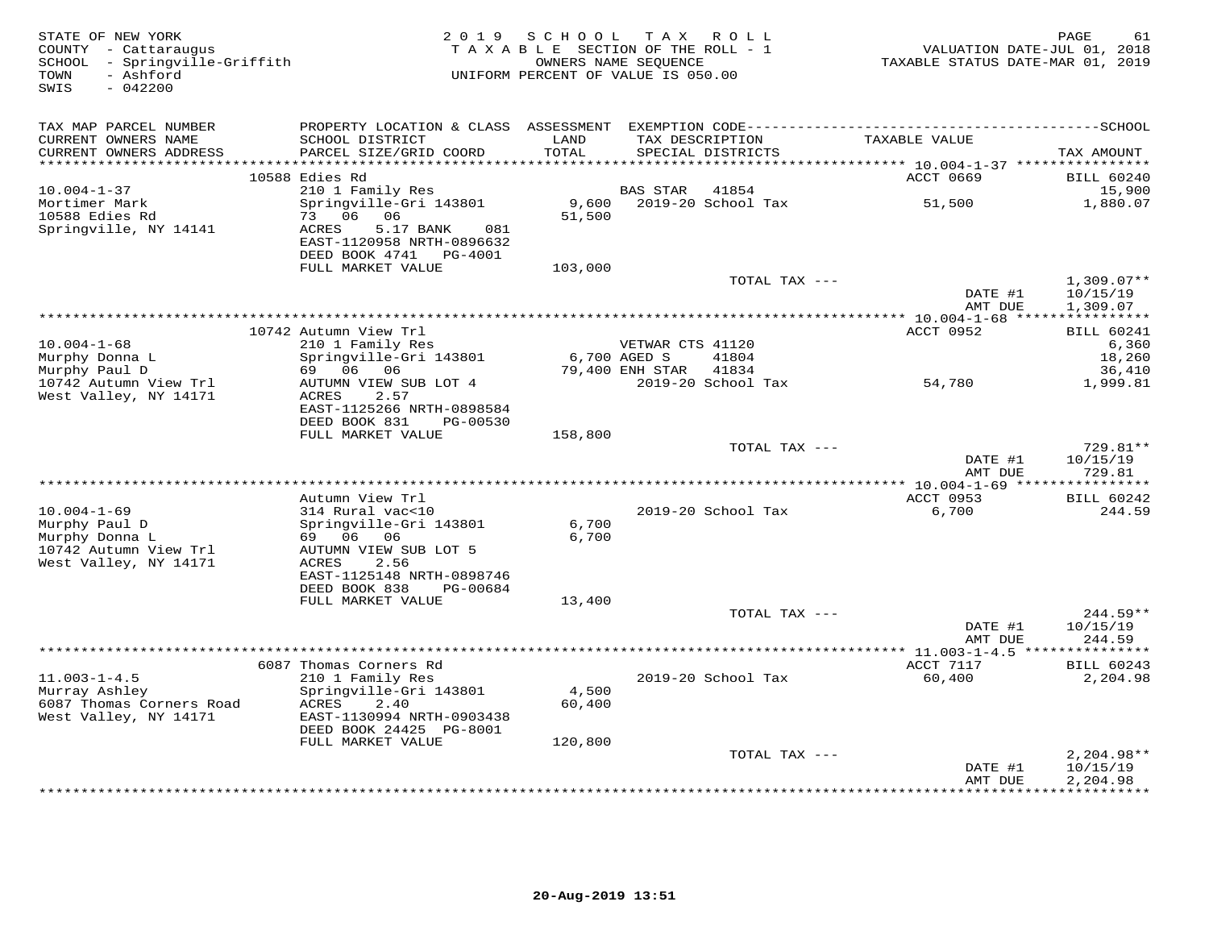| STATE OF NEW YORK<br>COUNTY - Cattaraugus<br>SCHOOL - Springville-Griffith<br>- Ashford<br>TOWN<br>SWIS<br>$-042200$ |                                                                                              |                 | 2019 SCHOOL TAX ROLL<br>TAXABLE SECTION OF THE ROLL - 1<br>OWNERS NAME SEQUENCE<br>UNIFORM PERCENT OF VALUE IS 050.00 | VALUATION DATE-JUL 01, 2018<br>TAXABLE STATUS DATE-MAR 01, 2019 | PAGE<br>61                           |
|----------------------------------------------------------------------------------------------------------------------|----------------------------------------------------------------------------------------------|-----------------|-----------------------------------------------------------------------------------------------------------------------|-----------------------------------------------------------------|--------------------------------------|
| TAX MAP PARCEL NUMBER<br>CURRENT OWNERS NAME                                                                         | SCHOOL DISTRICT                                                                              | LAND<br>TOTAL   | TAX DESCRIPTION                                                                                                       | TAXABLE VALUE                                                   |                                      |
| CURRENT OWNERS ADDRESS<br>************************                                                                   | PARCEL SIZE/GRID COORD                                                                       |                 | SPECIAL DISTRICTS                                                                                                     |                                                                 | TAX AMOUNT                           |
|                                                                                                                      | 10588 Edies Rd                                                                               |                 |                                                                                                                       | ACCT 0669                                                       | <b>BILL 60240</b>                    |
| $10.004 - 1 - 37$<br>Mortimer Mark                                                                                   | 210 1 Family Res<br>Springville-Gri 143801                                                   |                 | BAS STAR<br>41854<br>9,600 2019-20 School Tax                                                                         | 51,500                                                          | 15,900<br>1,880.07                   |
| 10588 Edies Rd<br>Springville, NY 14141                                                                              | 73 06 06<br>ACRES<br>5.17 BANK<br>081<br>EAST-1120958 NRTH-0896632<br>DEED BOOK 4741 PG-4001 | 51,500          |                                                                                                                       |                                                                 |                                      |
|                                                                                                                      | FULL MARKET VALUE                                                                            | 103,000         | TOTAL TAX ---                                                                                                         |                                                                 |                                      |
|                                                                                                                      |                                                                                              |                 |                                                                                                                       | DATE #1<br>AMT DUE                                              | $1,309.07**$<br>10/15/19<br>1,309.07 |
|                                                                                                                      |                                                                                              |                 |                                                                                                                       |                                                                 |                                      |
|                                                                                                                      | 10742 Autumn View Trl                                                                        |                 |                                                                                                                       | ACCT 0952                                                       | <b>BILL 60241</b>                    |
| $10.004 - 1 - 68$                                                                                                    | 210 1 Family Res                                                                             |                 | VETWAR CTS 41120                                                                                                      |                                                                 | 6,360                                |
| Murphy Donna L<br>Murphy Paul D                                                                                      | Springville-Gri 143801<br>69 06 06                                                           | 6,700 AGED S    | 41804<br>79,400 ENH STAR<br>41834                                                                                     |                                                                 | 18,260<br>36,410                     |
| 10742 Autumn View Trl                                                                                                | AUTUMN VIEW SUB LOT 4                                                                        |                 | 2019-20 School Tax                                                                                                    | 54,780                                                          | 1,999.81                             |
| West Valley, NY 14171                                                                                                | ACRES<br>2.57<br>EAST-1125266 NRTH-0898584<br>DEED BOOK 831<br>PG-00530<br>FULL MARKET VALUE | 158,800         |                                                                                                                       |                                                                 |                                      |
|                                                                                                                      |                                                                                              |                 | TOTAL TAX ---                                                                                                         |                                                                 | 729.81**                             |
|                                                                                                                      |                                                                                              |                 |                                                                                                                       | DATE #1<br>AMT DUE                                              | 10/15/19<br>729.81                   |
|                                                                                                                      |                                                                                              |                 |                                                                                                                       |                                                                 |                                      |
|                                                                                                                      | Autumn View Trl                                                                              |                 |                                                                                                                       | ACCT 0953                                                       | <b>BILL 60242</b>                    |
| $10.004 - 1 - 69$<br>Murphy Paul D<br>Murphy Donna L                                                                 | 314 Rural vac<10<br>Springville-Gri 143801<br>69 06 06<br>AUTUMN VIEW SUB LOT 5              | 6,700<br>6,700  | 2019-20 School Tax                                                                                                    | 6,700                                                           | 244.59                               |
| 10742 Autumn View Trl<br>West Valley, NY 14171                                                                       | ACRES<br>2.56<br>EAST-1125148 NRTH-0898746<br>DEED BOOK 838<br>PG-00684                      |                 |                                                                                                                       |                                                                 |                                      |
|                                                                                                                      | FULL MARKET VALUE                                                                            | 13,400          |                                                                                                                       |                                                                 |                                      |
|                                                                                                                      |                                                                                              |                 | TOTAL TAX ---                                                                                                         |                                                                 | $244.59**$                           |
|                                                                                                                      |                                                                                              |                 |                                                                                                                       | DATE #1<br>AMT DUE                                              | 10/15/19<br>244.59                   |
|                                                                                                                      |                                                                                              |                 |                                                                                                                       |                                                                 |                                      |
| $11.003 - 1 - 4.5$                                                                                                   | 6087 Thomas Corners Rd<br>210 1 Family Res                                                   |                 | 2019-20 School Tax                                                                                                    | ACCT 7117<br>60,400                                             | <b>BILL 60243</b><br>2,204.98        |
| Murray Ashley<br>6087 Thomas Corners Road                                                                            | Springville-Gri 143801<br>ACRES<br>2.40                                                      | 4,500<br>60,400 |                                                                                                                       |                                                                 |                                      |
| West Valley, NY 14171                                                                                                | EAST-1130994 NRTH-0903438<br>DEED BOOK 24425 PG-8001                                         |                 |                                                                                                                       |                                                                 |                                      |
|                                                                                                                      | FULL MARKET VALUE                                                                            | 120,800         |                                                                                                                       |                                                                 |                                      |
|                                                                                                                      |                                                                                              |                 | TOTAL TAX ---                                                                                                         | DATE #1                                                         | $2,204.98**$<br>10/15/19             |
|                                                                                                                      |                                                                                              |                 |                                                                                                                       | AMT DUE                                                         | 2,204.98                             |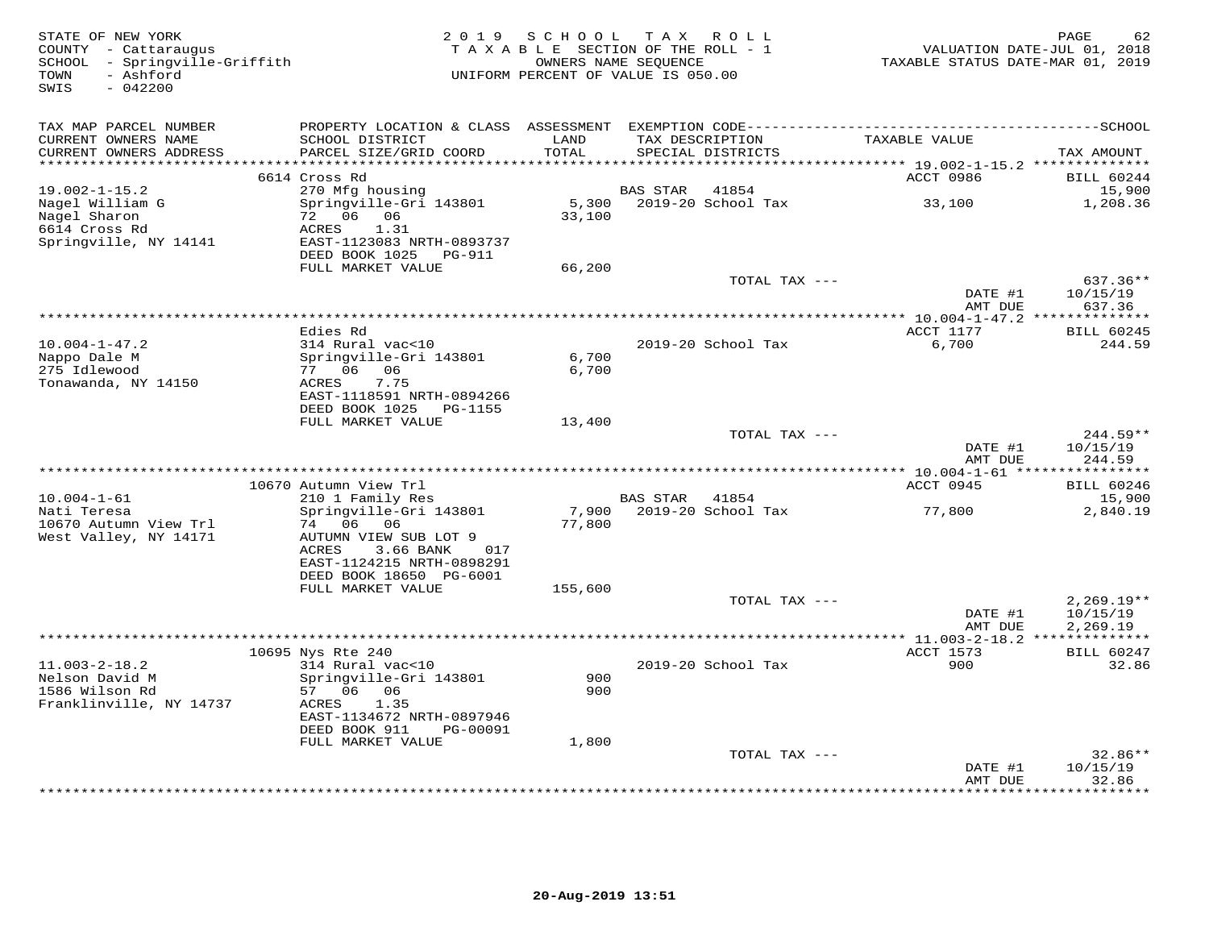| STATE OF NEW YORK<br>COUNTY - Cattaraugus<br>SCHOOL - Springville-Griffith<br>- Ashford<br>TOWN<br>$-042200$<br>SWIS | 2 0 1 9                                                                                                                                          | SCHOOL TAX ROLL<br>TAXABLE SECTION OF THE ROLL - 1<br>OWNERS NAME SEQUENCE<br>UNIFORM PERCENT OF VALUE IS 050.00 |                 |                                      | TAXABLE STATUS DATE-MAR 01, 2019                                      | 62<br>PAGE<br>VALUATION DATE-JUL 01, 2018            |
|----------------------------------------------------------------------------------------------------------------------|--------------------------------------------------------------------------------------------------------------------------------------------------|------------------------------------------------------------------------------------------------------------------|-----------------|--------------------------------------|-----------------------------------------------------------------------|------------------------------------------------------|
| TAX MAP PARCEL NUMBER<br>CURRENT OWNERS NAME<br>CURRENT OWNERS ADDRESS<br>*******************                        | SCHOOL DISTRICT<br>PARCEL SIZE/GRID COORD                                                                                                        | LAND<br>TOTAL<br>********                                                                                        |                 | TAX DESCRIPTION<br>SPECIAL DISTRICTS | TAXABLE VALUE                                                         | TAX AMOUNT                                           |
|                                                                                                                      | 6614 Cross Rd                                                                                                                                    |                                                                                                                  |                 |                                      | *************************** 19.002-1-15.2 **************<br>ACCT 0986 | <b>BILL 60244</b>                                    |
| $19.002 - 1 - 15.2$<br>Nagel William G<br>Nagel Sharon<br>6614 Cross Rd                                              | 270 Mfg housing<br>Springville-Gri 143801<br>72 06 06<br>ACRES<br>1.31                                                                           | 5,300<br>33,100                                                                                                  | BAS STAR        | 41854<br>2019-20 School Tax          | 33,100                                                                | 15,900<br>1,208.36                                   |
| Springville, NY 14141                                                                                                | EAST-1123083 NRTH-0893737<br>DEED BOOK 1025<br>PG-911<br>FULL MARKET VALUE                                                                       | 66,200                                                                                                           |                 |                                      |                                                                       |                                                      |
|                                                                                                                      |                                                                                                                                                  |                                                                                                                  |                 | TOTAL TAX ---                        | DATE #1<br>AMT DUE                                                    | 637.36**<br>10/15/19<br>637.36                       |
|                                                                                                                      |                                                                                                                                                  |                                                                                                                  |                 |                                      |                                                                       |                                                      |
| $10.004 - 1 - 47.2$<br>Nappo Dale M<br>275 Idlewood                                                                  | Edies Rd<br>314 Rural vac<10<br>Springville-Gri 143801<br>77 06 06                                                                               | 6,700<br>6,700                                                                                                   |                 | 2019-20 School Tax                   | ACCT 1177<br>6,700                                                    | <b>BILL 60245</b><br>244.59                          |
| Tonawanda, NY 14150                                                                                                  | ACRES<br>7.75<br>EAST-1118591 NRTH-0894266<br>DEED BOOK 1025 PG-1155<br>FULL MARKET VALUE                                                        | 13,400                                                                                                           |                 |                                      |                                                                       |                                                      |
|                                                                                                                      |                                                                                                                                                  |                                                                                                                  |                 | TOTAL TAX ---                        | DATE #1<br>AMT DUE                                                    | $244.59**$<br>10/15/19<br>244.59                     |
|                                                                                                                      |                                                                                                                                                  |                                                                                                                  |                 |                                      |                                                                       |                                                      |
| $10.004 - 1 - 61$                                                                                                    | 10670 Autumn View Trl<br>210 1 Family Res                                                                                                        |                                                                                                                  | <b>BAS STAR</b> | 41854                                | ACCT 0945                                                             | <b>BILL 60246</b><br>15,900                          |
| Nati Teresa<br>10670 Autumn View Trl<br>West Valley, NY 14171                                                        | Springville-Gri 143801<br>74 06 06<br>AUTUMN VIEW SUB LOT 9<br>ACRES<br>3.66 BANK<br>017<br>EAST-1124215 NRTH-0898291<br>DEED BOOK 18650 PG-6001 | 7,900<br>77,800                                                                                                  |                 | 2019-20 School Tax                   | 77,800                                                                | 2,840.19                                             |
|                                                                                                                      | FULL MARKET VALUE                                                                                                                                | 155,600                                                                                                          |                 |                                      |                                                                       |                                                      |
|                                                                                                                      |                                                                                                                                                  |                                                                                                                  |                 | TOTAL TAX ---                        | DATE #1<br>AMT DUE                                                    | $2,269.19**$<br>10/15/19<br>2,269.19<br>************ |
|                                                                                                                      | 10695 Nys Rte 240                                                                                                                                |                                                                                                                  |                 |                                      | ACCT 1573                                                             | <b>BILL 60247</b>                                    |
| $11.003 - 2 - 18.2$<br>Nelson David M<br>1586 Wilson Rd<br>Franklinville, NY 14737                                   | 314 Rural vac<10<br>Springville-Gri 143801<br>57 06 06<br>ACRES<br>1.35                                                                          | 900<br>900                                                                                                       |                 | 2019-20 School Tax                   | 900                                                                   | 32.86                                                |
|                                                                                                                      | EAST-1134672 NRTH-0897946<br>DEED BOOK 911<br>PG-00091<br>FULL MARKET VALUE                                                                      | 1,800                                                                                                            |                 |                                      |                                                                       |                                                      |
|                                                                                                                      |                                                                                                                                                  |                                                                                                                  |                 | TOTAL TAX ---                        |                                                                       | $32.86**$                                            |
|                                                                                                                      |                                                                                                                                                  |                                                                                                                  |                 |                                      | DATE #1<br>AMT DUE                                                    | 10/15/19<br>32.86<br>* * * * * * *                   |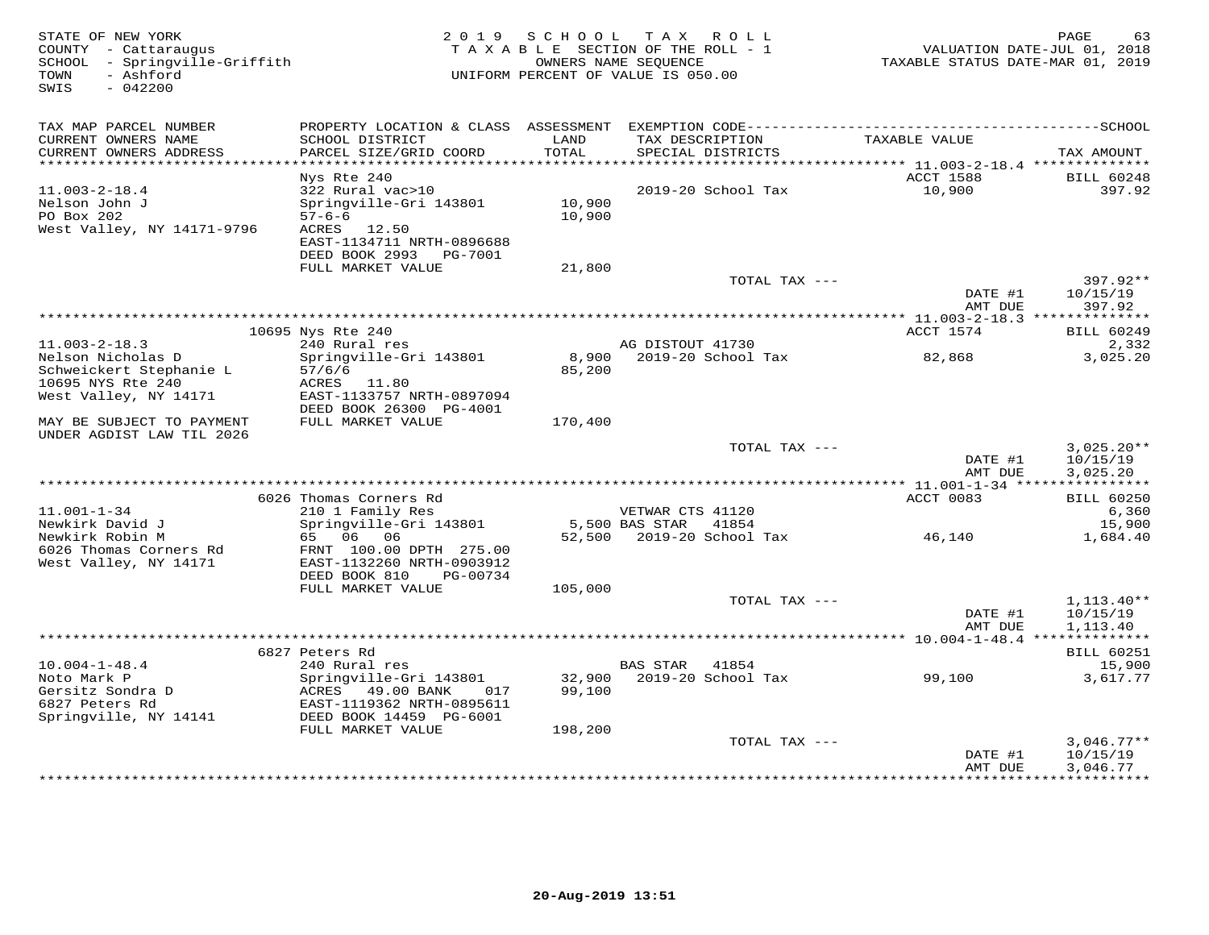| STATE OF NEW YORK<br>COUNTY - Cattaraugus<br>SCHOOL - Springville-Griffith<br>- Ashford<br>TOWN<br>SWIS<br>$-042200$ |                                           |               | 2019 SCHOOL TAX ROLL<br>TAXABLE SECTION OF THE ROLL - 1<br>OWNERS NAME SEQUENCE<br>UNIFORM PERCENT OF VALUE IS 050.00 | VALUATION DATE-JUL 01, 2018<br>TAXABLE STATUS DATE-MAR 01, 2019 | PAGE<br>63                  |
|----------------------------------------------------------------------------------------------------------------------|-------------------------------------------|---------------|-----------------------------------------------------------------------------------------------------------------------|-----------------------------------------------------------------|-----------------------------|
| TAX MAP PARCEL NUMBER                                                                                                |                                           |               |                                                                                                                       |                                                                 |                             |
| CURRENT OWNERS NAME<br>CURRENT OWNERS ADDRESS                                                                        | SCHOOL DISTRICT<br>PARCEL SIZE/GRID COORD | LAND<br>TOTAL | TAX DESCRIPTION<br>SPECIAL DISTRICTS                                                                                  | TAXABLE VALUE                                                   | TAX AMOUNT                  |
| ******************************                                                                                       |                                           |               |                                                                                                                       |                                                                 |                             |
| $11.003 - 2 - 18.4$                                                                                                  | Nys Rte 240<br>322 Rural vac>10           |               | 2019-20 School Tax                                                                                                    | ACCT 1588<br>10,900                                             | <b>BILL 60248</b><br>397.92 |
| Nelson John J                                                                                                        | Springville-Gri 143801                    | 10,900        |                                                                                                                       |                                                                 |                             |
| PO Box 202                                                                                                           | $57 - 6 - 6$                              | 10,900        |                                                                                                                       |                                                                 |                             |
| West Valley, NY 14171-9796                                                                                           | ACRES 12.50                               |               |                                                                                                                       |                                                                 |                             |
|                                                                                                                      | EAST-1134711 NRTH-0896688                 |               |                                                                                                                       |                                                                 |                             |
|                                                                                                                      | DEED BOOK 2993 PG-7001                    |               |                                                                                                                       |                                                                 |                             |
|                                                                                                                      | FULL MARKET VALUE                         | 21,800        | TOTAL TAX ---                                                                                                         |                                                                 | $397.92**$                  |
|                                                                                                                      |                                           |               |                                                                                                                       | DATE #1                                                         | 10/15/19                    |
|                                                                                                                      |                                           |               |                                                                                                                       | AMT DUE                                                         | 397.92                      |
|                                                                                                                      |                                           |               |                                                                                                                       |                                                                 |                             |
|                                                                                                                      | 10695 Nys Rte 240                         |               |                                                                                                                       | ACCT 1574                                                       | <b>BILL 60249</b>           |
| $11.003 - 2 - 18.3$                                                                                                  | 240 Rural res                             |               | AG DISTOUT 41730                                                                                                      |                                                                 | 2,332                       |
| Nelson Nicholas D<br>Schweickert Stephanie L                                                                         | Springville-Gri 143801<br>57/6/6          | 85,200        | 8,900 2019-20 School Tax                                                                                              | 82,868                                                          | 3,025.20                    |
| 10695 NYS Rte 240                                                                                                    | ACRES 11.80                               |               |                                                                                                                       |                                                                 |                             |
| West Valley, NY 14171                                                                                                | EAST-1133757 NRTH-0897094                 |               |                                                                                                                       |                                                                 |                             |
|                                                                                                                      | DEED BOOK 26300 PG-4001                   |               |                                                                                                                       |                                                                 |                             |
| MAY BE SUBJECT TO PAYMENT                                                                                            | FULL MARKET VALUE                         | 170,400       |                                                                                                                       |                                                                 |                             |
| UNDER AGDIST LAW TIL 2026                                                                                            |                                           |               |                                                                                                                       |                                                                 |                             |
|                                                                                                                      |                                           |               | TOTAL TAX ---                                                                                                         | DATE #1                                                         | $3,025.20**$<br>10/15/19    |
|                                                                                                                      |                                           |               |                                                                                                                       | AMT DUE                                                         | 3,025.20                    |
|                                                                                                                      |                                           |               |                                                                                                                       |                                                                 |                             |
|                                                                                                                      | 6026 Thomas Corners Rd                    |               |                                                                                                                       | ACCT 0083                                                       | <b>BILL 60250</b>           |
| $11.001 - 1 - 34$                                                                                                    | 210 1 Family Res                          |               | VETWAR CTS 41120                                                                                                      |                                                                 | 6,360                       |
| Newkirk David J<br>Newkirk Robin M                                                                                   | Springville-Gri 143801<br>65 06 06        | 52,500        | 5,500 BAS STAR<br>41854<br>2019-20 School Tax                                                                         | 46,140                                                          | 15,900<br>1,684.40          |
| 6026 Thomas Corners Rd                                                                                               | FRNT 100.00 DPTH 275.00                   |               |                                                                                                                       |                                                                 |                             |
| West Valley, NY 14171                                                                                                | EAST-1132260 NRTH-0903912                 |               |                                                                                                                       |                                                                 |                             |
|                                                                                                                      | DEED BOOK 810<br>PG-00734                 |               |                                                                                                                       |                                                                 |                             |
|                                                                                                                      | FULL MARKET VALUE                         | 105,000       |                                                                                                                       |                                                                 |                             |
|                                                                                                                      |                                           |               | TOTAL TAX ---                                                                                                         |                                                                 | $1,113.40**$                |
|                                                                                                                      |                                           |               |                                                                                                                       | DATE #1<br>AMT DUE                                              | 10/15/19<br>1,113.40        |
|                                                                                                                      |                                           |               |                                                                                                                       |                                                                 |                             |
| $10.004 - 1 - 48.4$                                                                                                  | 6827 Peters Rd<br>240 Rural res           |               | <b>BAS STAR</b><br>41854                                                                                              |                                                                 | <b>BILL 60251</b><br>15,900 |
| Noto Mark P                                                                                                          | Springville-Gri 143801                    |               | 32,900 2019-20 School Tax                                                                                             | 99,100                                                          | 3,617.77                    |
| Gersitz Sondra D                                                                                                     | ACRES 49.00 BANK 017                      | 99,100        |                                                                                                                       |                                                                 |                             |
| 6827 Peters Rd                                                                                                       | EAST-1119362 NRTH-0895611                 |               |                                                                                                                       |                                                                 |                             |
| Springville, NY 14141                                                                                                | DEED BOOK 14459 PG-6001                   |               |                                                                                                                       |                                                                 |                             |
|                                                                                                                      | FULL MARKET VALUE                         | 198,200       |                                                                                                                       |                                                                 |                             |
|                                                                                                                      |                                           |               | TOTAL TAX ---                                                                                                         | DATE #1                                                         | $3,046.77**$<br>10/15/19    |
|                                                                                                                      |                                           |               |                                                                                                                       | AMT DUE                                                         | 3,046.77                    |
|                                                                                                                      |                                           |               |                                                                                                                       | * * * * * * * * * * * * * * *                                   | * * * * * * * * * * * *     |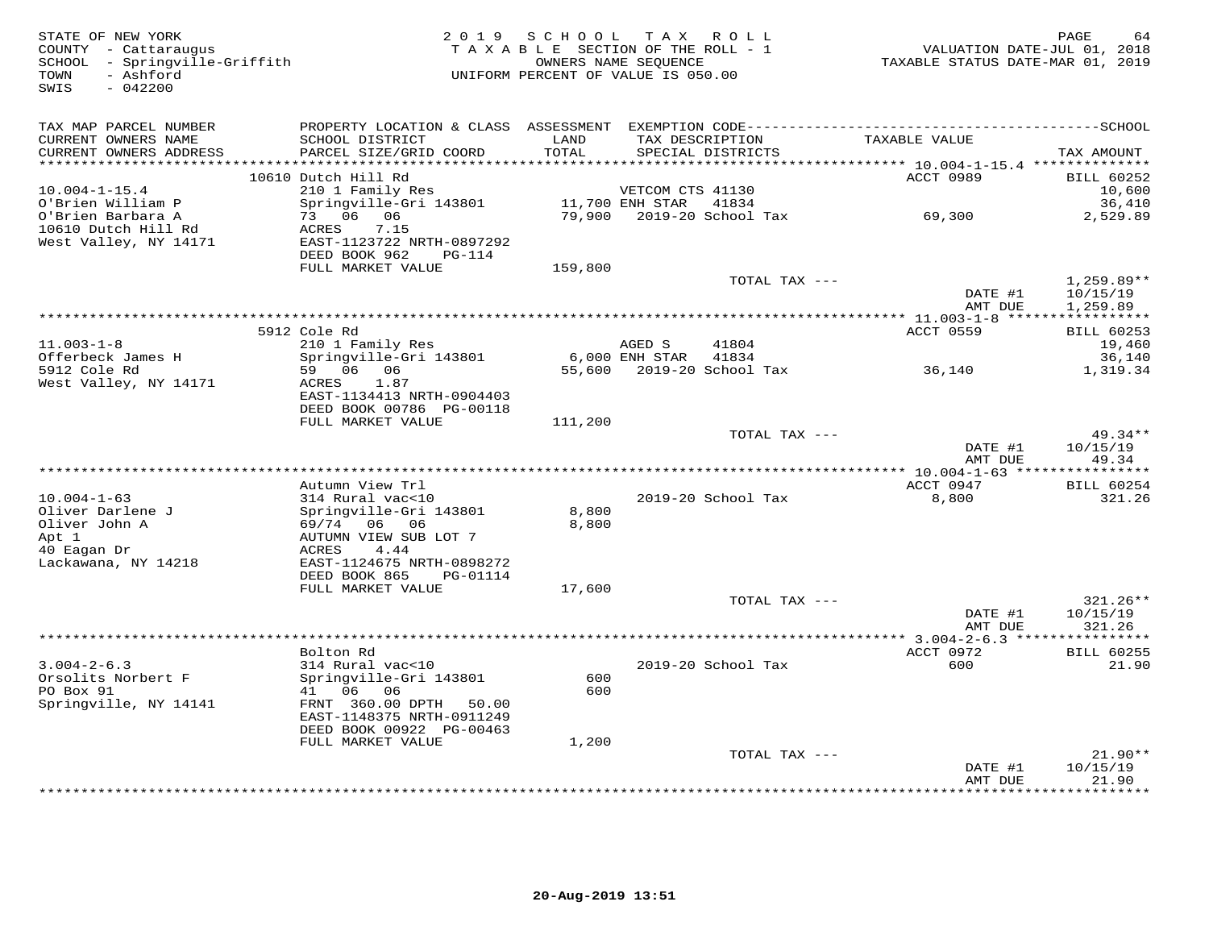| STATE OF NEW YORK<br>COUNTY - Cattaraugus<br>SCHOOL - Springville-Griffith<br>- Ashford<br>TOWN<br>$-042200$<br>SWIS |                                                      | 2019 SCHOOL TAX ROLL<br>TAXABLE SECTION OF THE ROLL - 1<br>OWNERS NAME SEQUENCE<br>UNIFORM PERCENT OF VALUE IS 050.00 |                  |                                      | TAXABLE STATUS DATE-MAR 01, 2019 | PAGE<br>64<br>VALUATION DATE-JUL 01, 2018 |
|----------------------------------------------------------------------------------------------------------------------|------------------------------------------------------|-----------------------------------------------------------------------------------------------------------------------|------------------|--------------------------------------|----------------------------------|-------------------------------------------|
| TAX MAP PARCEL NUMBER                                                                                                |                                                      |                                                                                                                       |                  |                                      |                                  |                                           |
| CURRENT OWNERS NAME<br>CURRENT OWNERS ADDRESS<br>***********************                                             | SCHOOL DISTRICT<br>PARCEL SIZE/GRID COORD            | LAND<br>TOTAL                                                                                                         |                  | TAX DESCRIPTION<br>SPECIAL DISTRICTS | TAXABLE VALUE                    | TAX AMOUNT                                |
|                                                                                                                      | 10610 Dutch Hill Rd                                  |                                                                                                                       |                  |                                      | ACCT 0989                        | <b>BILL 60252</b>                         |
| $10.004 - 1 - 15.4$                                                                                                  | 210 1 Family Res                                     |                                                                                                                       | VETCOM CTS 41130 |                                      |                                  | 10,600                                    |
| O'Brien William P                                                                                                    | Springville-Gri 143801                               |                                                                                                                       | 11,700 ENH STAR  | 41834                                |                                  | 36,410                                    |
| O'Brien Barbara A                                                                                                    | 73 06 06                                             | 79,900                                                                                                                |                  | 2019-20 School Tax                   | 69,300                           | 2,529.89                                  |
| 10610 Dutch Hill Rd                                                                                                  | ACRES<br>7.15                                        |                                                                                                                       |                  |                                      |                                  |                                           |
| West Valley, NY 14171                                                                                                | EAST-1123722 NRTH-0897292<br>DEED BOOK 962<br>PG-114 |                                                                                                                       |                  |                                      |                                  |                                           |
|                                                                                                                      | FULL MARKET VALUE                                    | 159,800                                                                                                               |                  |                                      |                                  |                                           |
|                                                                                                                      |                                                      |                                                                                                                       |                  | TOTAL TAX ---                        |                                  | $1,259.89**$                              |
|                                                                                                                      |                                                      |                                                                                                                       |                  |                                      | DATE #1                          | 10/15/19                                  |
|                                                                                                                      |                                                      |                                                                                                                       |                  |                                      | AMT DUE                          | 1,259.89                                  |
|                                                                                                                      | 5912 Cole Rd                                         |                                                                                                                       |                  |                                      | <b>ACCT 0559</b>                 | <b>BILL 60253</b>                         |
| $11.003 - 1 - 8$                                                                                                     | 210 1 Family Res                                     |                                                                                                                       | AGED S           | 41804                                |                                  | 19,460                                    |
| Offerbeck James H                                                                                                    | Springville-Gri 143801                               |                                                                                                                       | 6,000 ENH STAR   | 41834                                |                                  | 36,140                                    |
| 5912 Cole Rd                                                                                                         | 59 06 06                                             |                                                                                                                       |                  | 55,600 2019-20 School Tax            | 36,140                           | 1,319.34                                  |
| West Valley, NY 14171                                                                                                | ACRES<br>1.87<br>EAST-1134413 NRTH-0904403           |                                                                                                                       |                  |                                      |                                  |                                           |
|                                                                                                                      | DEED BOOK 00786 PG-00118                             |                                                                                                                       |                  |                                      |                                  |                                           |
|                                                                                                                      | FULL MARKET VALUE                                    | 111,200                                                                                                               |                  |                                      |                                  |                                           |
|                                                                                                                      |                                                      |                                                                                                                       |                  | TOTAL TAX ---                        |                                  | $49.34**$                                 |
|                                                                                                                      |                                                      |                                                                                                                       |                  |                                      | DATE #1                          | 10/15/19                                  |
|                                                                                                                      |                                                      |                                                                                                                       |                  |                                      | AMT DUE                          | 49.34                                     |
|                                                                                                                      | Autumn View Trl                                      |                                                                                                                       |                  |                                      | ACCT 0947                        | <b>BILL 60254</b>                         |
| $10.004 - 1 - 63$                                                                                                    | 314 Rural vac<10                                     |                                                                                                                       |                  | 2019-20 School Tax                   | 8,800                            | 321.26                                    |
| Oliver Darlene J                                                                                                     | Springville-Gri 143801                               | 8,800                                                                                                                 |                  |                                      |                                  |                                           |
| Oliver John A                                                                                                        | 69/74 06 06                                          | 8,800                                                                                                                 |                  |                                      |                                  |                                           |
| Apt 1<br>40 Eagan Dr                                                                                                 | AUTUMN VIEW SUB LOT 7<br>ACRES<br>4.44               |                                                                                                                       |                  |                                      |                                  |                                           |
| Lackawana, NY 14218                                                                                                  | EAST-1124675 NRTH-0898272                            |                                                                                                                       |                  |                                      |                                  |                                           |
|                                                                                                                      | DEED BOOK 865<br>PG-01114                            |                                                                                                                       |                  |                                      |                                  |                                           |
|                                                                                                                      | FULL MARKET VALUE                                    | 17,600                                                                                                                |                  |                                      |                                  |                                           |
|                                                                                                                      |                                                      |                                                                                                                       |                  | TOTAL TAX ---                        |                                  | $321.26**$                                |
|                                                                                                                      |                                                      |                                                                                                                       |                  |                                      | DATE #1<br>AMT DUE               | 10/15/19<br>321.26                        |
|                                                                                                                      |                                                      |                                                                                                                       |                  |                                      |                                  | ***********                               |
|                                                                                                                      | Bolton Rd                                            |                                                                                                                       |                  |                                      | ACCT 0972                        | <b>BILL 60255</b>                         |
| $3.004 - 2 - 6.3$                                                                                                    | 314 Rural vac<10                                     |                                                                                                                       |                  | 2019-20 School Tax                   | 600                              | 21.90                                     |
| Orsolits Norbert F                                                                                                   | Springville-Gri 143801                               | 600                                                                                                                   |                  |                                      |                                  |                                           |
| PO Box 91<br>Springville, NY 14141                                                                                   | 41 06 06<br>FRNT 360.00 DPTH 50.00                   | 600                                                                                                                   |                  |                                      |                                  |                                           |
|                                                                                                                      | EAST-1148375 NRTH-0911249                            |                                                                                                                       |                  |                                      |                                  |                                           |
|                                                                                                                      | DEED BOOK 00922 PG-00463                             |                                                                                                                       |                  |                                      |                                  |                                           |
|                                                                                                                      | FULL MARKET VALUE                                    | 1,200                                                                                                                 |                  |                                      |                                  |                                           |
|                                                                                                                      |                                                      |                                                                                                                       |                  | TOTAL TAX ---                        |                                  | $21.90**$                                 |
|                                                                                                                      |                                                      |                                                                                                                       |                  |                                      | DATE #1<br>AMT DUE               | 10/15/19<br>21.90                         |
|                                                                                                                      |                                                      |                                                                                                                       |                  |                                      | *************                    | * * * * * * * *                           |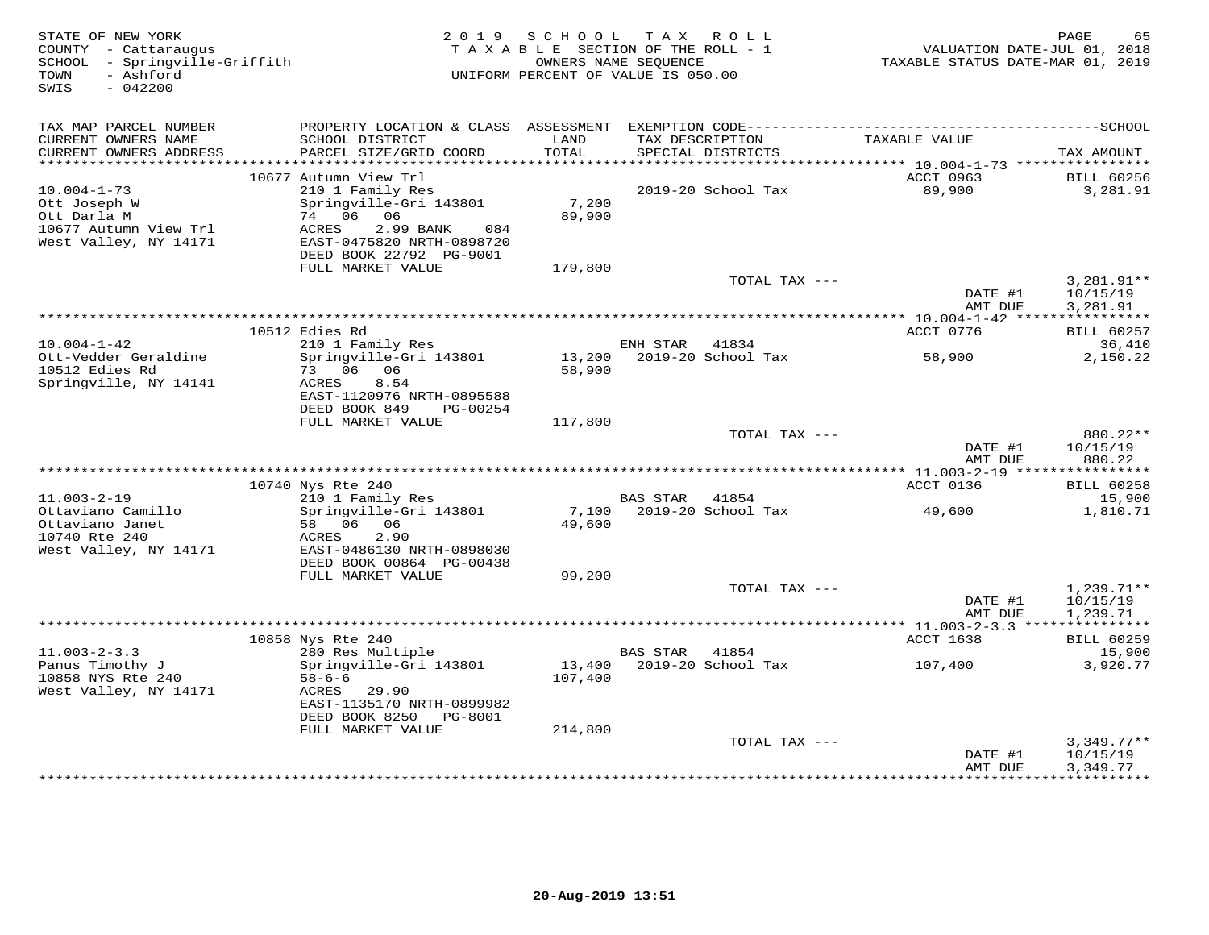| STATE OF NEW YORK<br>COUNTY - Cattaraugus<br>SCHOOL - Springville-Griffith<br>- Ashford<br>TOWN |                                                      | 2019 SCHOOL | TAX ROLL<br>TAXABLE SECTION OF THE ROLL - 1<br>OWNERS NAME SEQUENCE<br>UNIFORM PERCENT OF VALUE IS 050.00 | VALUATION DATE-JUL 01, 2018<br>TAXABLE STATUS DATE-MAR 01, 2019 | PAGE<br>65                    |
|-------------------------------------------------------------------------------------------------|------------------------------------------------------|-------------|-----------------------------------------------------------------------------------------------------------|-----------------------------------------------------------------|-------------------------------|
| SWIS<br>$-042200$                                                                               |                                                      |             |                                                                                                           |                                                                 |                               |
| TAX MAP PARCEL NUMBER                                                                           |                                                      |             |                                                                                                           |                                                                 |                               |
| CURRENT OWNERS NAME                                                                             | SCHOOL DISTRICT                                      | LAND        | TAX DESCRIPTION                                                                                           | TAXABLE VALUE                                                   |                               |
| CURRENT OWNERS ADDRESS                                                                          | PARCEL SIZE/GRID COORD                               | TOTAL       | SPECIAL DISTRICTS                                                                                         |                                                                 | TAX AMOUNT                    |
| ************************                                                                        |                                                      |             |                                                                                                           |                                                                 |                               |
| $10.004 - 1 - 73$                                                                               | 10677 Autumn View Trl<br>210 1 Family Res            |             | 2019-20 School Tax                                                                                        | ACCT 0963<br>89,900                                             | <b>BILL 60256</b><br>3,281.91 |
| Ott Joseph W                                                                                    | Springville-Gri 143801                               | 7,200       |                                                                                                           |                                                                 |                               |
| Ott Darla M                                                                                     | 74 06 06                                             | 89,900      |                                                                                                           |                                                                 |                               |
| 10677 Autumn View Trl                                                                           | ACRES<br>2.99 BANK<br>084                            |             |                                                                                                           |                                                                 |                               |
| West Valley, NY 14171                                                                           | EAST-0475820 NRTH-0898720<br>DEED BOOK 22792 PG-9001 |             |                                                                                                           |                                                                 |                               |
|                                                                                                 | FULL MARKET VALUE                                    | 179,800     |                                                                                                           |                                                                 |                               |
|                                                                                                 |                                                      |             | TOTAL TAX ---                                                                                             |                                                                 | 3,281.91**                    |
|                                                                                                 |                                                      |             |                                                                                                           | DATE #1                                                         | 10/15/19                      |
|                                                                                                 |                                                      |             |                                                                                                           | AMT DUE<br>****************** 10.004-1-42 *****************     | 3,281.91                      |
|                                                                                                 | 10512 Edies Rd                                       |             |                                                                                                           | ACCT 0776                                                       | <b>BILL 60257</b>             |
| $10.004 - 1 - 42$                                                                               | 210 1 Family Res                                     |             | ENH STAR<br>41834                                                                                         |                                                                 | 36,410                        |
| Ott-Vedder Geraldine                                                                            | Springville-Gri 143801                               |             | 13,200 2019-20 School Tax                                                                                 | 58,900                                                          | 2,150.22                      |
| 10512 Edies Rd<br>Springville, NY 14141                                                         | 73 06 06<br>8.54<br>ACRES                            | 58,900      |                                                                                                           |                                                                 |                               |
|                                                                                                 | EAST-1120976 NRTH-0895588                            |             |                                                                                                           |                                                                 |                               |
|                                                                                                 | DEED BOOK 849<br>PG-00254                            |             |                                                                                                           |                                                                 |                               |
|                                                                                                 | FULL MARKET VALUE                                    | 117,800     |                                                                                                           |                                                                 |                               |
|                                                                                                 |                                                      |             | TOTAL TAX ---                                                                                             | DATE #1                                                         | 880.22**<br>10/15/19          |
|                                                                                                 |                                                      |             |                                                                                                           | AMT DUE                                                         | 880.22                        |
|                                                                                                 |                                                      |             |                                                                                                           |                                                                 |                               |
|                                                                                                 | 10740 Nys Rte 240                                    |             |                                                                                                           | ACCT 0136                                                       | <b>BILL 60258</b>             |
| $11.003 - 2 - 19$<br>Ottaviano Camillo                                                          | 210 1 Family Res<br>Springville-Gri 143801           |             | BAS STAR 41854<br>7,100 2019-20 School Tax                                                                | 49,600                                                          | 15,900<br>1,810.71            |
| Ottaviano Janet                                                                                 | 58 06 06                                             | 49,600      |                                                                                                           |                                                                 |                               |
| 10740 Rte 240                                                                                   | ACRES<br>2.90                                        |             |                                                                                                           |                                                                 |                               |
| West Valley, NY 14171                                                                           | EAST-0486130 NRTH-0898030                            |             |                                                                                                           |                                                                 |                               |
|                                                                                                 | DEED BOOK 00864 PG-00438<br>FULL MARKET VALUE        | 99,200      |                                                                                                           |                                                                 |                               |
|                                                                                                 |                                                      |             | TOTAL TAX ---                                                                                             |                                                                 | $1,239.71**$                  |
|                                                                                                 |                                                      |             |                                                                                                           | DATE #1                                                         | 10/15/19                      |
|                                                                                                 |                                                      |             |                                                                                                           | AMT DUE                                                         | 1,239.71                      |
|                                                                                                 | 10858 Nys Rte 240                                    |             |                                                                                                           | ACCT 1638                                                       | <b>BILL 60259</b>             |
| $11.003 - 2 - 3.3$                                                                              | 280 Res Multiple                                     |             | <b>BAS STAR</b><br>41854                                                                                  |                                                                 | 15,900                        |
| Panus Timothy J                                                                                 | Springville-Gri 143801                               | 13,400      | 2019-20 School Tax                                                                                        | 107,400                                                         | 3,920.77                      |
| 10858 NYS Rte 240                                                                               | $58 - 6 - 6$                                         | 107,400     |                                                                                                           |                                                                 |                               |
| West Valley, NY 14171                                                                           | ACRES 29.90<br>EAST-1135170 NRTH-0899982             |             |                                                                                                           |                                                                 |                               |
|                                                                                                 | DEED BOOK 8250<br>PG-8001                            |             |                                                                                                           |                                                                 |                               |
|                                                                                                 | FULL MARKET VALUE                                    | 214,800     |                                                                                                           |                                                                 |                               |
|                                                                                                 |                                                      |             | TOTAL TAX ---                                                                                             |                                                                 | $3,349.77**$                  |
|                                                                                                 |                                                      |             |                                                                                                           | DATE #1<br>AMT DUE                                              | 10/15/19<br>3,349.77          |
|                                                                                                 |                                                      |             |                                                                                                           | * * * * * * * * * * * * * * *                                   | ***********                   |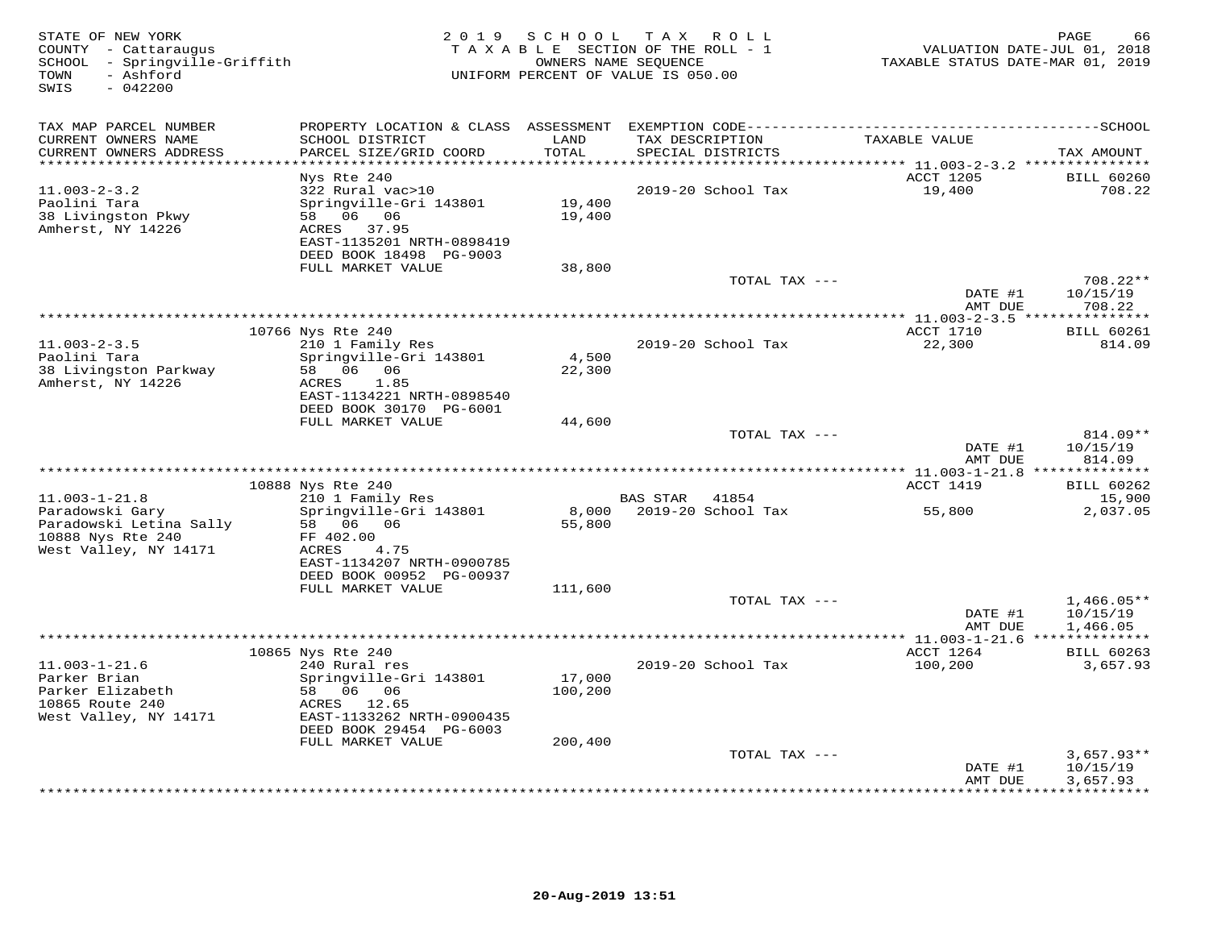| STATE OF NEW YORK<br>COUNTY - Cattaraugus<br>SCHOOL - Springville-Griffith<br>- Ashford<br>TOWN<br>SWIS<br>$-042200$ | 2 0 1 9                                      | SCHOOL        | TAX ROLL<br>TAXABLE SECTION OF THE ROLL - 1<br>OWNERS NAME SEQUENCE<br>UNIFORM PERCENT OF VALUE IS 050.00 | TAXABLE STATUS DATE-MAR 01, 2019 | PAGE<br>66<br>VALUATION DATE-JUL 01, 2018 |
|----------------------------------------------------------------------------------------------------------------------|----------------------------------------------|---------------|-----------------------------------------------------------------------------------------------------------|----------------------------------|-------------------------------------------|
| TAX MAP PARCEL NUMBER                                                                                                |                                              |               |                                                                                                           |                                  |                                           |
| CURRENT OWNERS NAME<br>CURRENT OWNERS ADDRESS<br>**********************                                              | SCHOOL DISTRICT<br>PARCEL SIZE/GRID COORD    | LAND<br>TOTAL | TAX DESCRIPTION<br>SPECIAL DISTRICTS                                                                      | TAXABLE VALUE                    | TAX AMOUNT                                |
|                                                                                                                      | Nys Rte 240                                  |               |                                                                                                           | ACCT 1205                        | <b>BILL 60260</b>                         |
| $11.003 - 2 - 3.2$                                                                                                   | 322 Rural vac>10                             |               | 2019-20 School Tax                                                                                        | 19,400                           | 708.22                                    |
| Paolini Tara                                                                                                         | Springville-Gri 143801                       | 19,400        |                                                                                                           |                                  |                                           |
| 38 Livingston Pkwy                                                                                                   | 58 06 06                                     | 19,400        |                                                                                                           |                                  |                                           |
| Amherst, NY 14226                                                                                                    | 37.95<br>ACRES                               |               |                                                                                                           |                                  |                                           |
|                                                                                                                      | EAST-1135201 NRTH-0898419                    |               |                                                                                                           |                                  |                                           |
|                                                                                                                      | DEED BOOK 18498 PG-9003<br>FULL MARKET VALUE | 38,800        |                                                                                                           |                                  |                                           |
|                                                                                                                      |                                              |               | TOTAL TAX ---                                                                                             |                                  | 708.22**                                  |
|                                                                                                                      |                                              |               |                                                                                                           | DATE #1                          | 10/15/19                                  |
|                                                                                                                      |                                              |               |                                                                                                           | AMT DUE                          | 708.22                                    |
|                                                                                                                      |                                              |               |                                                                                                           | ** 11.003-2-3.5 **************** |                                           |
|                                                                                                                      | 10766 Nys Rte 240                            |               |                                                                                                           | ACCT 1710                        | <b>BILL 60261</b>                         |
| $11.003 - 2 - 3.5$<br>Paolini Tara                                                                                   | 210 1 Family Res<br>Springville-Gri 143801   | 4,500         | 2019-20 School Tax                                                                                        | 22,300                           | 814.09                                    |
| 38 Livingston Parkway                                                                                                | 58 06 06                                     | 22,300        |                                                                                                           |                                  |                                           |
| Amherst, NY 14226                                                                                                    | 1.85<br>ACRES                                |               |                                                                                                           |                                  |                                           |
|                                                                                                                      | EAST-1134221 NRTH-0898540                    |               |                                                                                                           |                                  |                                           |
|                                                                                                                      | DEED BOOK 30170 PG-6001                      |               |                                                                                                           |                                  |                                           |
|                                                                                                                      | FULL MARKET VALUE                            | 44,600        |                                                                                                           |                                  |                                           |
|                                                                                                                      |                                              |               | TOTAL TAX ---                                                                                             | DATE #1                          | 814.09**                                  |
|                                                                                                                      |                                              |               |                                                                                                           | AMT DUE                          | 10/15/19<br>814.09                        |
|                                                                                                                      |                                              |               |                                                                                                           |                                  |                                           |
|                                                                                                                      | 10888 Nys Rte 240                            |               |                                                                                                           | ACCT 1419                        | <b>BILL 60262</b>                         |
| $11.003 - 1 - 21.8$                                                                                                  | 210 1 Family Res                             |               | <b>BAS STAR</b><br>41854                                                                                  |                                  | 15,900                                    |
| Paradowski Gary                                                                                                      | Springville-Gri 143801                       | 8,000         | 2019-20 School Tax                                                                                        | 55,800                           | 2,037.05                                  |
| Paradowski Letina Sally                                                                                              | 58 06 06                                     | 55,800        |                                                                                                           |                                  |                                           |
| 10888 Nys Rte 240<br>West Valley, NY 14171                                                                           | FF 402.00<br>4.75<br>ACRES                   |               |                                                                                                           |                                  |                                           |
|                                                                                                                      | EAST-1134207 NRTH-0900785                    |               |                                                                                                           |                                  |                                           |
|                                                                                                                      | DEED BOOK 00952 PG-00937                     |               |                                                                                                           |                                  |                                           |
|                                                                                                                      | FULL MARKET VALUE                            | 111,600       |                                                                                                           |                                  |                                           |
|                                                                                                                      |                                              |               | TOTAL TAX ---                                                                                             |                                  | $1,466.05**$                              |
|                                                                                                                      |                                              |               |                                                                                                           | DATE #1                          | 10/15/19                                  |
|                                                                                                                      |                                              |               |                                                                                                           | AMT DUE                          | 1,466.05                                  |
|                                                                                                                      | 10865 Nys Rte 240                            |               |                                                                                                           | ** 11.003-1-21.6<br>ACCT 1264    | <b>BILL 60263</b>                         |
| $11.003 - 1 - 21.6$                                                                                                  | 240 Rural res                                |               | 2019-20 School Tax                                                                                        | 100,200                          | 3,657.93                                  |
| Parker Brian                                                                                                         | Springville-Gri 143801                       | 17,000        |                                                                                                           |                                  |                                           |
| Parker Elizabeth                                                                                                     | 58 06 06                                     | 100,200       |                                                                                                           |                                  |                                           |
| 10865 Route 240                                                                                                      | ACRES 12.65                                  |               |                                                                                                           |                                  |                                           |
| West Valley, NY 14171                                                                                                | EAST-1133262 NRTH-0900435                    |               |                                                                                                           |                                  |                                           |
|                                                                                                                      | DEED BOOK 29454 PG-6003                      |               |                                                                                                           |                                  |                                           |
|                                                                                                                      | FULL MARKET VALUE                            | 200,400       | TOTAL TAX ---                                                                                             |                                  | $3,657.93**$                              |
|                                                                                                                      |                                              |               |                                                                                                           | DATE #1                          | 10/15/19                                  |
|                                                                                                                      |                                              |               |                                                                                                           | AMT DUE                          | 3,657.93                                  |
|                                                                                                                      |                                              |               |                                                                                                           | *****                            |                                           |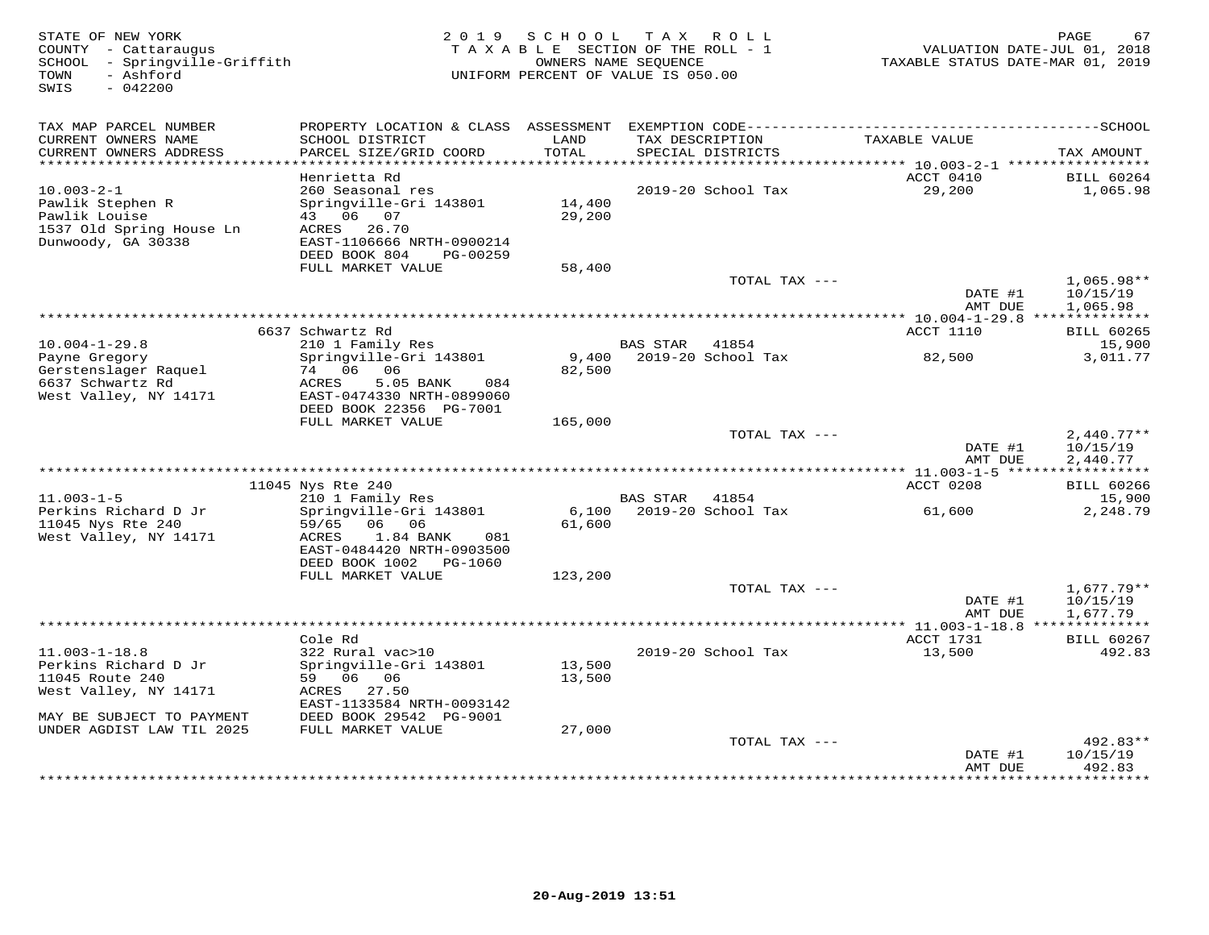| STATE OF NEW YORK<br>COUNTY - Cattaraugus<br>- Springville-Griffith<br>SCHOOL<br>- Ashford<br>TOWN<br>SWIS<br>$-042200$                           | 2 0 1 9                                                                                                                                                  | SCHOOL                     | T A X<br>R O L L<br>TAXABLE SECTION OF THE ROLL - 1<br>OWNERS NAME SEOUENCE<br>UNIFORM PERCENT OF VALUE IS 050.00 | VALUATION DATE-JUL 01, 2018<br>TAXABLE STATUS DATE-MAR 01, 2019 | PAGE<br>67                           |
|---------------------------------------------------------------------------------------------------------------------------------------------------|----------------------------------------------------------------------------------------------------------------------------------------------------------|----------------------------|-------------------------------------------------------------------------------------------------------------------|-----------------------------------------------------------------|--------------------------------------|
| TAX MAP PARCEL NUMBER<br>CURRENT OWNERS NAME                                                                                                      | SCHOOL DISTRICT                                                                                                                                          | LAND                       | TAX DESCRIPTION                                                                                                   | TAXABLE VALUE                                                   |                                      |
| CURRENT OWNERS ADDRESS<br>***********************                                                                                                 | PARCEL SIZE/GRID COORD                                                                                                                                   | TOTAL                      | SPECIAL DISTRICTS                                                                                                 |                                                                 | TAX AMOUNT                           |
|                                                                                                                                                   | Henrietta Rd                                                                                                                                             |                            |                                                                                                                   | ACCT 0410                                                       | <b>BILL 60264</b>                    |
| $10.003 - 2 - 1$<br>Pawlik Stephen R<br>Pawlik Louise<br>1537 Old Spring House Ln<br>Dunwoody, GA 30338                                           | 260 Seasonal res<br>Springville-Gri 143801<br>43 06 07<br>ACRES<br>26.70<br>EAST-1106666 NRTH-0900214                                                    | 14,400<br>29,200           | 2019-20 School Tax                                                                                                | 29,200                                                          | 1,065.98                             |
|                                                                                                                                                   | DEED BOOK 804<br>PG-00259<br>FULL MARKET VALUE                                                                                                           | 58,400                     |                                                                                                                   |                                                                 |                                      |
|                                                                                                                                                   |                                                                                                                                                          |                            | TOTAL TAX ---                                                                                                     | DATE #1<br>AMT DUE                                              | $1,065.98**$<br>10/15/19<br>1,065.98 |
|                                                                                                                                                   |                                                                                                                                                          |                            |                                                                                                                   | ** 10.004-1-29.8 ***************                                |                                      |
| $10.004 - 1 - 29.8$                                                                                                                               | 6637 Schwartz Rd                                                                                                                                         |                            | <b>BAS STAR</b><br>41854                                                                                          | ACCT 1110                                                       | <b>BILL 60265</b>                    |
| Payne Gregory<br>Gerstenslager Raquel<br>6637 Schwartz Rd<br>West Valley, NY 14171                                                                | 210 1 Family Res<br>Springville-Gri 143801<br>74 06 06<br>5.05 BANK<br>ACRES<br>084<br>EAST-0474330 NRTH-0899060<br>DEED BOOK 22356 PG-7001              | 9,400<br>82,500            | 2019-20 School Tax                                                                                                | 82,500                                                          | 15,900<br>3,011.77                   |
|                                                                                                                                                   | FULL MARKET VALUE                                                                                                                                        | 165,000                    |                                                                                                                   |                                                                 |                                      |
|                                                                                                                                                   |                                                                                                                                                          |                            | TOTAL TAX ---                                                                                                     | DATE #1<br>AMT DUE                                              | $2,440.77**$<br>10/15/19<br>2,440.77 |
|                                                                                                                                                   | 11045 Nys Rte 240                                                                                                                                        |                            |                                                                                                                   | *********** 11.003-1-5 ******<br>ACCT 0208                      | ***********<br><b>BILL 60266</b>     |
| $11.003 - 1 - 5$                                                                                                                                  | 210 1 Family Res                                                                                                                                         |                            | 41854<br>BAS STAR                                                                                                 |                                                                 | 15,900                               |
| Perkins Richard D Jr<br>11045 Nys Rte 240<br>West Valley, NY 14171                                                                                | Springville-Gri 143801<br>59/65<br>06<br>06<br>1.84 BANK<br>ACRES<br>081<br>EAST-0484420 NRTH-0903500<br>DEED BOOK 1002<br>PG-1060<br>FULL MARKET VALUE  | 6,100<br>61,600<br>123,200 | $2019-20$ School Tax                                                                                              | 61,600                                                          | 2,248.79                             |
|                                                                                                                                                   |                                                                                                                                                          |                            | TOTAL TAX ---                                                                                                     |                                                                 | $1,677.79**$                         |
|                                                                                                                                                   |                                                                                                                                                          |                            |                                                                                                                   | DATE #1<br>AMT DUE                                              | 10/15/19<br>1,677.79                 |
| ******************************                                                                                                                    | Cole Rd                                                                                                                                                  |                            |                                                                                                                   | ACCT 1731                                                       | <b>BILL 60267</b>                    |
| $11.003 - 1 - 18.8$<br>Perkins Richard D Jr<br>11045 Route 240<br>West Valley, NY 14171<br>MAY BE SUBJECT TO PAYMENT<br>UNDER AGDIST LAW TIL 2025 | 322 Rural vac>10<br>Springville-Gri 143801<br>59 06<br>06<br>ACRES<br>27.50<br>EAST-1133584 NRTH-0093142<br>DEED BOOK 29542 PG-9001<br>FULL MARKET VALUE | 13,500<br>13,500<br>27,000 | 2019-20 School Tax                                                                                                | 13,500                                                          | 492.83                               |
|                                                                                                                                                   |                                                                                                                                                          |                            | TOTAL TAX ---                                                                                                     |                                                                 | 492.83**                             |
|                                                                                                                                                   |                                                                                                                                                          |                            |                                                                                                                   | DATE #1<br>AMT DUE<br>*************                             | 10/15/19<br>492.83<br>**********     |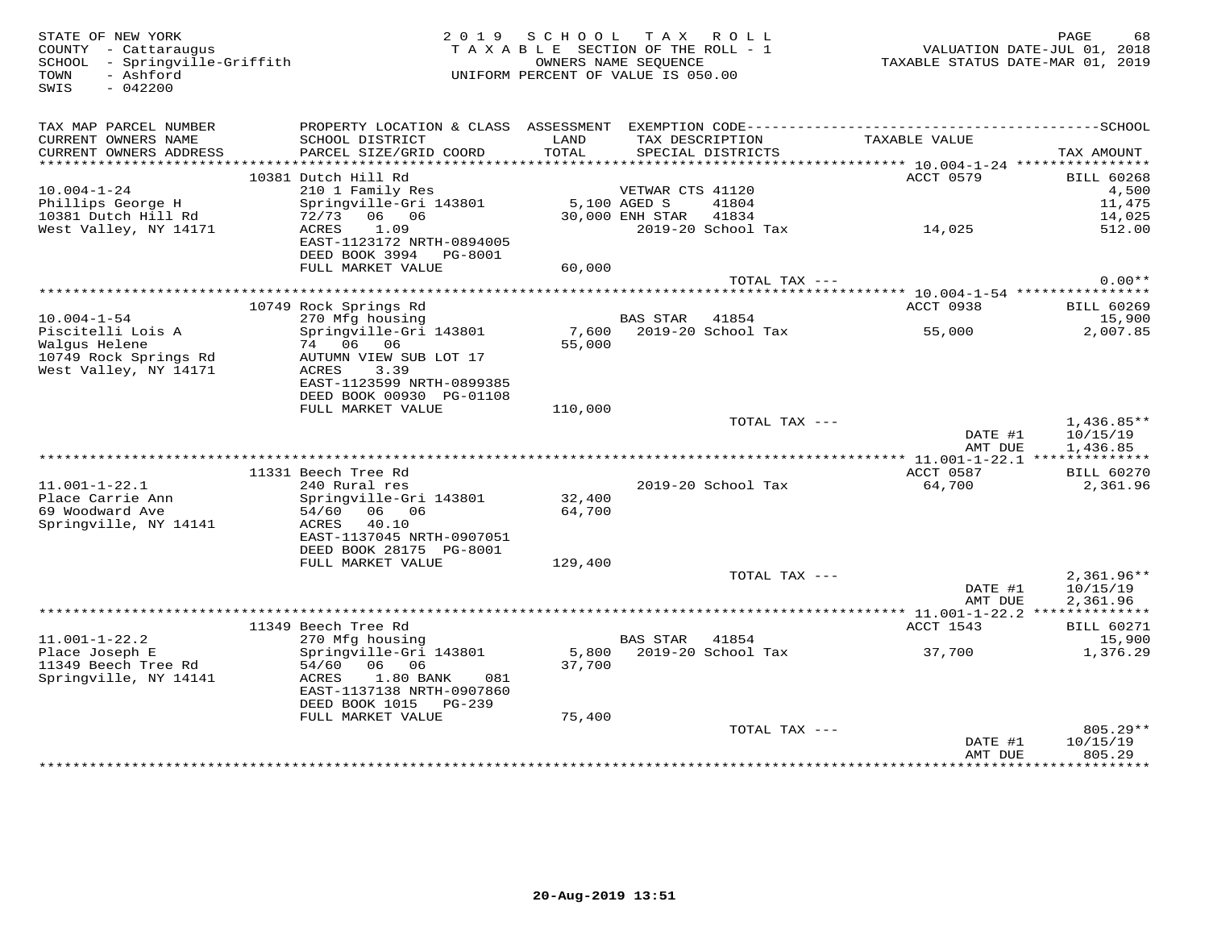| STATE OF NEW YORK<br>COUNTY - Cattaraugus<br>SCHOOL - Springville-Griffith<br>- Ashford<br>TOWN<br>$-042200$<br>SWIS | 2019                                                                                                                        | S C H O O L<br>TAXABLE SECTION OF THE ROLL - 1<br>UNIFORM PERCENT OF VALUE IS 050.00 | OWNERS NAME SEOUENCE | TAX ROLL                 |                    | PAGE<br>68<br>VALUATION DATE-JUL 01, 2018<br>TAXABLE STATUS DATE-MAR 01, 2019 |
|----------------------------------------------------------------------------------------------------------------------|-----------------------------------------------------------------------------------------------------------------------------|--------------------------------------------------------------------------------------|----------------------|--------------------------|--------------------|-------------------------------------------------------------------------------|
| TAX MAP PARCEL NUMBER<br>CURRENT OWNERS NAME                                                                         | SCHOOL DISTRICT                                                                                                             | LAND                                                                                 |                      | TAX DESCRIPTION          | TAXABLE VALUE      |                                                                               |
| CURRENT OWNERS ADDRESS                                                                                               | PARCEL SIZE/GRID COORD                                                                                                      | TOTAL                                                                                |                      | SPECIAL DISTRICTS        |                    | TAX AMOUNT                                                                    |
|                                                                                                                      |                                                                                                                             |                                                                                      |                      |                          |                    |                                                                               |
| $10.004 - 1 - 24$                                                                                                    | 10381 Dutch Hill Rd<br>210 1 Family Res                                                                                     |                                                                                      | VETWAR CTS 41120     |                          | ACCT 0579          | <b>BILL 60268</b><br>4,500                                                    |
| Phillips George H                                                                                                    | Springville-Gri 143801                                                                                                      | 5,100 AGED S                                                                         |                      | 41804                    |                    | 11,475                                                                        |
| 10381 Dutch Hill Rd                                                                                                  | 72/73 06 06                                                                                                                 |                                                                                      | 30,000 ENH STAR      | 41834                    |                    | 14,025                                                                        |
| West Valley, NY 14171                                                                                                | ACRES<br>1.09<br>EAST-1123172 NRTH-0894005<br>DEED BOOK 3994 PG-8001                                                        |                                                                                      |                      | 2019-20 School Tax       | 14,025             | 512.00                                                                        |
|                                                                                                                      | FULL MARKET VALUE                                                                                                           | 60,000                                                                               |                      |                          |                    |                                                                               |
|                                                                                                                      |                                                                                                                             |                                                                                      |                      | TOTAL TAX ---            |                    | $0.00**$                                                                      |
|                                                                                                                      |                                                                                                                             |                                                                                      |                      |                          |                    |                                                                               |
| $10.004 - 1 - 54$                                                                                                    | 10749 Rock Springs Rd<br>270 Mfg housing                                                                                    |                                                                                      | BAS STAR             | 41854                    | ACCT 0938          | <b>BILL 60269</b><br>15,900                                                   |
| Piscitelli Lois A                                                                                                    | Springville-Gri 143801                                                                                                      | 7,600                                                                                |                      | 2019-20 School Tax       | 55,000             | 2,007.85                                                                      |
| Walgus Helene<br>10749 Rock Springs Rd                                                                               | 74 06 06<br>AUTUMN VIEW SUB LOT 17<br>3.39                                                                                  | 55,000                                                                               |                      |                          |                    |                                                                               |
| West Valley, NY 14171                                                                                                | ACRES<br>EAST-1123599 NRTH-0899385<br>DEED BOOK 00930 PG-01108                                                              |                                                                                      |                      |                          |                    |                                                                               |
|                                                                                                                      | FULL MARKET VALUE                                                                                                           | 110,000                                                                              |                      |                          |                    |                                                                               |
|                                                                                                                      |                                                                                                                             |                                                                                      |                      | TOTAL TAX ---            | DATE #1<br>AMT DUE | $1,436.85**$<br>10/15/19<br>1,436.85                                          |
|                                                                                                                      |                                                                                                                             |                                                                                      |                      |                          |                    |                                                                               |
|                                                                                                                      | 11331 Beech Tree Rd                                                                                                         |                                                                                      |                      |                          | ACCT 0587          | <b>BILL 60270</b>                                                             |
| $11.001 - 1 - 22.1$<br>Place Carrie Ann<br>69 Woodward Ave<br>Springville, NY 14141                                  | 240 Rural res<br>Springville-Gri 143801<br>54/60<br>06 06<br>ACRES<br>40.10                                                 | 32,400<br>64,700                                                                     |                      | 2019-20 School Tax       | 64,700             | 2,361.96                                                                      |
|                                                                                                                      | EAST-1137045 NRTH-0907051<br>DEED BOOK 28175 PG-8001                                                                        |                                                                                      |                      |                          |                    |                                                                               |
|                                                                                                                      | FULL MARKET VALUE                                                                                                           | 129,400                                                                              |                      | TOTAL TAX ---            |                    | $2,361.96**$                                                                  |
|                                                                                                                      |                                                                                                                             |                                                                                      |                      |                          | DATE #1<br>AMT DUE | 10/15/19<br>2,361.96                                                          |
|                                                                                                                      |                                                                                                                             |                                                                                      |                      |                          |                    |                                                                               |
| $11.001 - 1 - 22.2$                                                                                                  | 11349 Beech Tree Rd<br>270 Mfg housing                                                                                      |                                                                                      | BAS STAR             | 41854                    | ACCT 1543          | <b>BILL 60271</b><br>15,900                                                   |
| Place Joseph E<br>11349 Beech Tree Rd<br>Springville, NY 14141                                                       | Springville-Gri 143801<br>54/60<br>06 06<br>ACRES<br>1.80 BANK<br>081<br>EAST-1137138 NRTH-0907860<br>DEED BOOK 1015 PG-239 | 37,700                                                                               |                      | 5,800 2019-20 School Tax | 37,700             | 1,376.29                                                                      |
|                                                                                                                      | FULL MARKET VALUE                                                                                                           | 75,400                                                                               |                      |                          |                    |                                                                               |
|                                                                                                                      |                                                                                                                             |                                                                                      |                      | TOTAL TAX ---            | DATE #1<br>AMT DUE | $805.29**$<br>10/15/19<br>805.29                                              |
|                                                                                                                      |                                                                                                                             |                                                                                      |                      |                          |                    |                                                                               |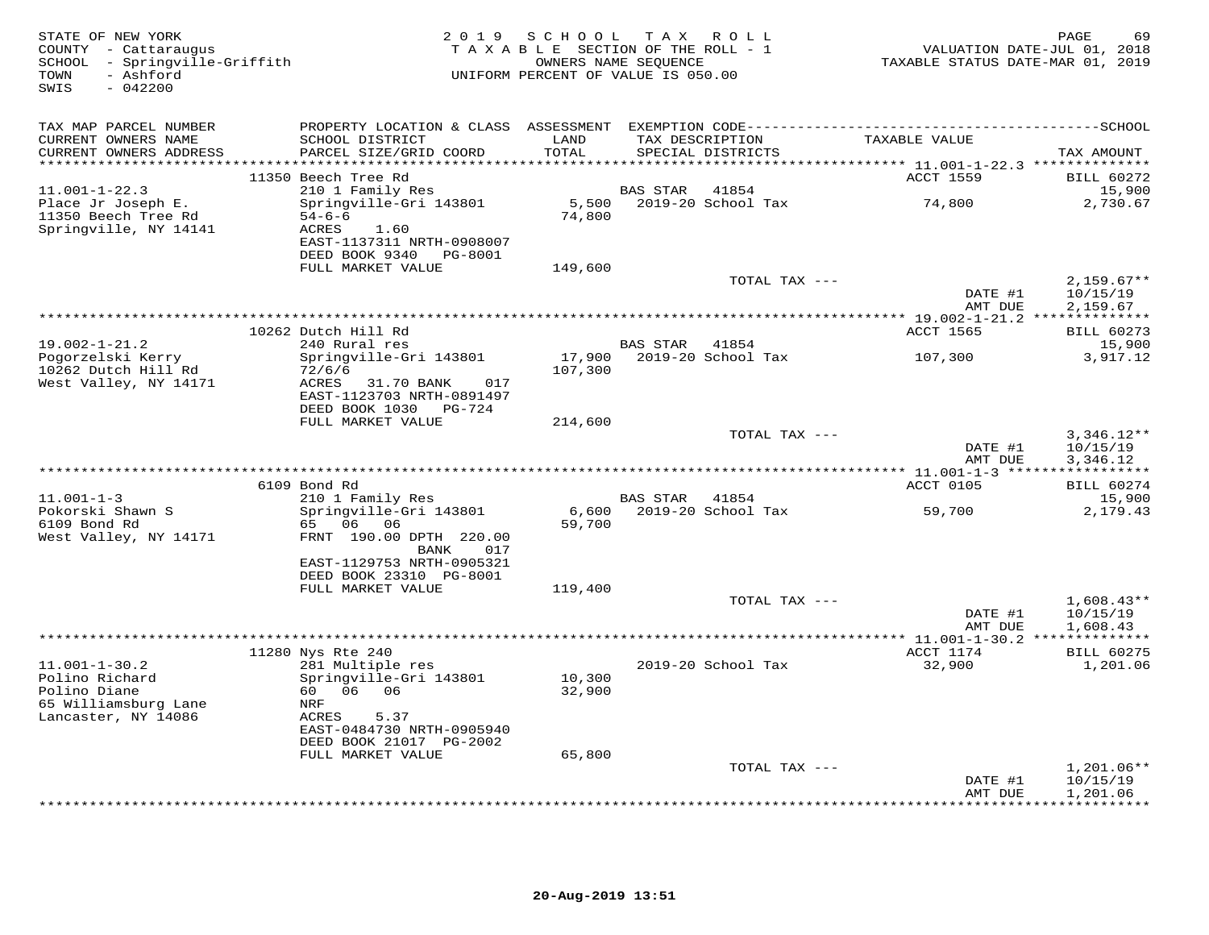| STATE OF NEW YORK<br>COUNTY - Cattaraugus<br>SCHOOL - Springville-Griffith<br>- Ashford<br>TOWN<br>SWIS<br>$-042200$ |                                                                                                                   | 2019 SCHOOL TAX ROLL<br>TAXABLE SECTION OF THE ROLL - 1<br>OWNERS NAME SEQUENCE<br>UNIFORM PERCENT OF VALUE IS 050.00 |                 |                             | VALUATION DATE-JUL 01, 2018<br>TAXABLE STATUS DATE-MAR 01, 2019 | PAGE<br>69                           |
|----------------------------------------------------------------------------------------------------------------------|-------------------------------------------------------------------------------------------------------------------|-----------------------------------------------------------------------------------------------------------------------|-----------------|-----------------------------|-----------------------------------------------------------------|--------------------------------------|
| TAX MAP PARCEL NUMBER<br>CURRENT OWNERS NAME                                                                         | SCHOOL DISTRICT                                                                                                   | LAND                                                                                                                  |                 | TAX DESCRIPTION             | TAXABLE VALUE                                                   |                                      |
| CURRENT OWNERS ADDRESS                                                                                               | PARCEL SIZE/GRID COORD                                                                                            | TOTAL                                                                                                                 |                 | SPECIAL DISTRICTS           |                                                                 | TAX AMOUNT                           |
|                                                                                                                      | 11350 Beech Tree Rd                                                                                               |                                                                                                                       |                 |                             | ACCT 1559                                                       | <b>BILL 60272</b>                    |
| $11.001 - 1 - 22.3$                                                                                                  | 210 1 Family Res                                                                                                  |                                                                                                                       | <b>BAS STAR</b> | 41854                       |                                                                 | 15,900                               |
| Place Jr Joseph E.<br>11350 Beech Tree Rd<br>Springville, NY 14141                                                   | Springville-Gri 143801<br>$54 - 6 - 6$<br>ACRES<br>1.60<br>EAST-1137311 NRTH-0908007<br>DEED BOOK 9340<br>PG-8001 | 74,800                                                                                                                |                 | 5,500 2019-20 School Tax    | 74,800                                                          | 2,730.67                             |
|                                                                                                                      | FULL MARKET VALUE                                                                                                 | 149,600                                                                                                               |                 |                             |                                                                 |                                      |
|                                                                                                                      |                                                                                                                   |                                                                                                                       |                 | TOTAL TAX ---               | DATE #1                                                         | $2,159.67**$<br>10/15/19             |
|                                                                                                                      |                                                                                                                   |                                                                                                                       |                 |                             | AMT DUE                                                         | 2,159.67                             |
|                                                                                                                      | 10262 Dutch Hill Rd                                                                                               |                                                                                                                       |                 |                             | <b>ACCT 1565</b>                                                | <b>BILL 60273</b>                    |
| $19.002 - 1 - 21.2$                                                                                                  | 240 Rural res                                                                                                     |                                                                                                                       | <b>BAS STAR</b> | 41854                       |                                                                 | 15,900                               |
| Pogorzelski Kerry<br>10262 Dutch Hill Rd<br>West Valley, NY 14171                                                    | Springville-Gri 143801<br>72/6/6<br>ACRES<br>31.70 BANK<br>017                                                    | 17,900<br>107,300                                                                                                     |                 | 2019-20 School Tax          | 107,300                                                         | 3,917.12                             |
|                                                                                                                      | EAST-1123703 NRTH-0891497<br>DEED BOOK 1030 PG-724                                                                |                                                                                                                       |                 |                             |                                                                 |                                      |
|                                                                                                                      | FULL MARKET VALUE                                                                                                 | 214,600                                                                                                               |                 |                             |                                                                 |                                      |
|                                                                                                                      |                                                                                                                   |                                                                                                                       |                 | TOTAL TAX ---               | DATE #1<br>AMT DUE                                              | $3,346.12**$<br>10/15/19<br>3,346.12 |
|                                                                                                                      |                                                                                                                   |                                                                                                                       |                 |                             |                                                                 |                                      |
|                                                                                                                      | 6109 Bond Rd                                                                                                      |                                                                                                                       |                 |                             | ACCT 0105                                                       | <b>BILL 60274</b>                    |
| $11.001 - 1 - 3$<br>Pokorski Shawn S                                                                                 | 210 1 Family Res<br>Springville-Gri 143801                                                                        | 6,600                                                                                                                 | BAS STAR        | 41854<br>2019-20 School Tax | 59,700                                                          | 15,900<br>2,179.43                   |
| 6109 Bond Rd<br>West Valley, NY 14171                                                                                | 65 06<br>06<br>FRNT 190.00 DPTH 220.00<br>BANK<br>017                                                             | 59,700                                                                                                                |                 |                             |                                                                 |                                      |
|                                                                                                                      | EAST-1129753 NRTH-0905321<br>DEED BOOK 23310 PG-8001                                                              |                                                                                                                       |                 |                             |                                                                 |                                      |
|                                                                                                                      | FULL MARKET VALUE                                                                                                 | 119,400                                                                                                               |                 |                             |                                                                 |                                      |
|                                                                                                                      |                                                                                                                   |                                                                                                                       |                 | TOTAL TAX ---               |                                                                 | $1,608.43**$                         |
|                                                                                                                      |                                                                                                                   |                                                                                                                       |                 |                             | DATE #1<br>AMT DUE                                              | 10/15/19<br>1,608.43                 |
|                                                                                                                      |                                                                                                                   |                                                                                                                       |                 |                             | ****************** 11.001-1-30.2 **************                 |                                      |
| $11.001 - 1 - 30.2$                                                                                                  | 11280 Nys Rte 240<br>281 Multiple res                                                                             |                                                                                                                       |                 | 2019-20 School Tax          | ACCT 1174<br>32,900                                             | <b>BILL 60275</b><br>1,201.06        |
| Polino Richard<br>Polino Diane<br>65 Williamsburg Lane                                                               | Springville-Gri 143801<br>60 06 06<br>NRF                                                                         | 10,300<br>32,900                                                                                                      |                 |                             |                                                                 |                                      |
| Lancaster, NY 14086                                                                                                  | ACRES<br>5.37<br>EAST-0484730 NRTH-0905940<br>DEED BOOK 21017 PG-2002                                             |                                                                                                                       |                 |                             |                                                                 |                                      |
|                                                                                                                      | FULL MARKET VALUE                                                                                                 | 65,800                                                                                                                |                 | TOTAL TAX ---               |                                                                 | $1,201.06**$                         |
|                                                                                                                      |                                                                                                                   |                                                                                                                       |                 |                             | DATE #1<br>AMT DUE                                              | 10/15/19<br>1,201.06                 |
|                                                                                                                      |                                                                                                                   |                                                                                                                       |                 |                             |                                                                 | <b>+++++++++++</b>                   |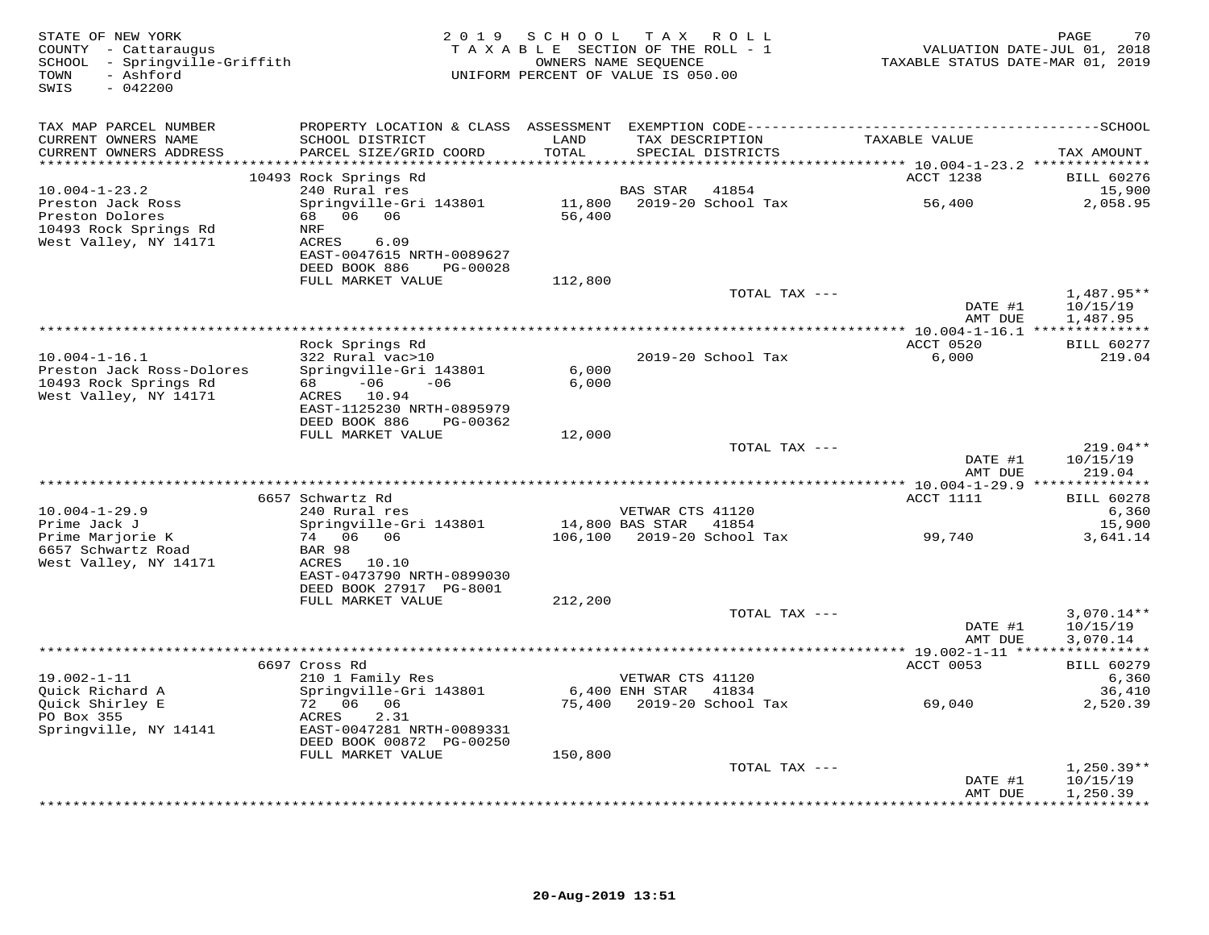| STATE OF NEW YORK<br>COUNTY - Cattaraugus<br>SCHOOL - Springville-Griffith<br>- Ashford<br>TOWN<br>$-042200$<br>SWIS | 2 0 1 9                                             | SCHOOL<br>TAXABLE SECTION OF THE ROLL - 1<br>OWNERS NAME SEQUENCE<br>UNIFORM PERCENT OF VALUE IS 050.00 |                       | TAX ROLL                             | TAXABLE STATUS DATE-MAR 01, 2019 | 70<br>PAGE<br>VALUATION DATE-JUL 01, 2018 |
|----------------------------------------------------------------------------------------------------------------------|-----------------------------------------------------|---------------------------------------------------------------------------------------------------------|-----------------------|--------------------------------------|----------------------------------|-------------------------------------------|
| TAX MAP PARCEL NUMBER                                                                                                |                                                     |                                                                                                         |                       |                                      |                                  |                                           |
| CURRENT OWNERS NAME<br>CURRENT OWNERS ADDRESS                                                                        | SCHOOL DISTRICT<br>PARCEL SIZE/GRID COORD           | LAND<br>TOTAL                                                                                           |                       | TAX DESCRIPTION<br>SPECIAL DISTRICTS | TAXABLE VALUE                    | TAX AMOUNT                                |
|                                                                                                                      |                                                     |                                                                                                         |                       |                                      |                                  |                                           |
|                                                                                                                      | 10493 Rock Springs Rd                               |                                                                                                         |                       |                                      | ACCT 1238                        | <b>BILL 60276</b>                         |
| $10.004 - 1 - 23.2$                                                                                                  | 240 Rural res                                       |                                                                                                         | BAS STAR              | 41854                                |                                  | 15,900                                    |
| Preston Jack Ross<br>Preston Dolores                                                                                 | Springville-Gri 143801<br>68 06 06                  | 56,400                                                                                                  |                       | 11,800    2019-20    School Tax      | 56,400                           | 2,058.95                                  |
| 10493 Rock Springs Rd                                                                                                | NRF                                                 |                                                                                                         |                       |                                      |                                  |                                           |
| West Valley, NY 14171                                                                                                | ACRES<br>6.09                                       |                                                                                                         |                       |                                      |                                  |                                           |
|                                                                                                                      | EAST-0047615 NRTH-0089627                           |                                                                                                         |                       |                                      |                                  |                                           |
|                                                                                                                      | DEED BOOK 886<br>PG-00028<br>FULL MARKET VALUE      | 112,800                                                                                                 |                       |                                      |                                  |                                           |
|                                                                                                                      |                                                     |                                                                                                         |                       | TOTAL TAX ---                        |                                  | $1.487.95**$                              |
|                                                                                                                      |                                                     |                                                                                                         |                       |                                      | DATE #1                          | 10/15/19                                  |
|                                                                                                                      |                                                     |                                                                                                         |                       |                                      | AMT DUE                          | 1,487.95                                  |
|                                                                                                                      | Rock Springs Rd                                     |                                                                                                         |                       |                                      | ACCT 0520                        | <b>BILL 60277</b>                         |
| $10.004 - 1 - 16.1$                                                                                                  | 322 Rural vac>10                                    |                                                                                                         |                       | 2019-20 School Tax                   | 6,000                            | 219.04                                    |
| Preston Jack Ross-Dolores<br>10493 Rock Springs Rd                                                                   | Springville-Gri 143801<br>$-06$<br>$-06$<br>68 — 10 | 6,000<br>6,000                                                                                          |                       |                                      |                                  |                                           |
| West Valley, NY 14171                                                                                                | ACRES 10.94                                         |                                                                                                         |                       |                                      |                                  |                                           |
|                                                                                                                      | EAST-1125230 NRTH-0895979                           |                                                                                                         |                       |                                      |                                  |                                           |
|                                                                                                                      | DEED BOOK 886<br>PG-00362                           |                                                                                                         |                       |                                      |                                  |                                           |
|                                                                                                                      | FULL MARKET VALUE                                   | 12,000                                                                                                  |                       | TOTAL TAX ---                        |                                  | $219.04**$                                |
|                                                                                                                      |                                                     |                                                                                                         |                       |                                      | DATE #1                          | 10/15/19                                  |
|                                                                                                                      |                                                     |                                                                                                         |                       |                                      | AMT DUE                          | 219.04                                    |
|                                                                                                                      | 6657 Schwartz Rd                                    |                                                                                                         |                       |                                      | ACCT 1111                        | <b>BILL 60278</b>                         |
| $10.004 - 1 - 29.9$                                                                                                  | 240 Rural res                                       |                                                                                                         | VETWAR CTS 41120      |                                      |                                  | 6,360                                     |
| Prime Jack J                                                                                                         | Springville-Gri 143801                              |                                                                                                         | 14,800 BAS STAR 41854 |                                      |                                  | 15,900                                    |
| Prime Marjorie K                                                                                                     | 74 06 06                                            |                                                                                                         |                       | 106,100 2019-20 School Tax           | 99,740                           | 3,641.14                                  |
| 6657 Schwartz Road<br>West Valley, NY 14171                                                                          | BAR 98<br>ACRES 10.10                               |                                                                                                         |                       |                                      |                                  |                                           |
|                                                                                                                      | EAST-0473790 NRTH-0899030                           |                                                                                                         |                       |                                      |                                  |                                           |
|                                                                                                                      | DEED BOOK 27917 PG-8001                             |                                                                                                         |                       |                                      |                                  |                                           |
|                                                                                                                      | FULL MARKET VALUE                                   | 212,200                                                                                                 |                       | TOTAL TAX ---                        |                                  | $3,070.14**$                              |
|                                                                                                                      |                                                     |                                                                                                         |                       |                                      | DATE #1                          | 10/15/19                                  |
|                                                                                                                      |                                                     |                                                                                                         |                       |                                      | AMT DUE                          | 3,070.14                                  |
|                                                                                                                      |                                                     |                                                                                                         |                       |                                      |                                  |                                           |
| $19.002 - 1 - 11$                                                                                                    | 6697 Cross Rd<br>210 1 Family Res                   |                                                                                                         | VETWAR CTS 41120      |                                      | ACCT 0053                        | <b>BILL 60279</b><br>6,360                |
| Quick Richard A                                                                                                      | Springville-Gri 143801                              |                                                                                                         | 6,400 ENH STAR 41834  |                                      |                                  | 36,410                                    |
| Quick Shirley E                                                                                                      | 72 06 06                                            | 75,400                                                                                                  |                       | 2019–20 School Tax                   | 69,040                           | 2,520.39                                  |
| PO Box 355<br>Springville, NY 14141                                                                                  | ACRES<br>2.31<br>EAST-0047281 NRTH-0089331          |                                                                                                         |                       |                                      |                                  |                                           |
|                                                                                                                      | DEED BOOK 00872 PG-00250                            |                                                                                                         |                       |                                      |                                  |                                           |
|                                                                                                                      | FULL MARKET VALUE                                   | 150,800                                                                                                 |                       |                                      |                                  |                                           |
|                                                                                                                      |                                                     |                                                                                                         |                       | TOTAL TAX ---                        |                                  | $1,250.39**$                              |
|                                                                                                                      |                                                     |                                                                                                         |                       |                                      | DATE #1<br>AMT DUE               | 10/15/19<br>1,250.39                      |
|                                                                                                                      |                                                     |                                                                                                         |                       |                                      |                                  | .                                         |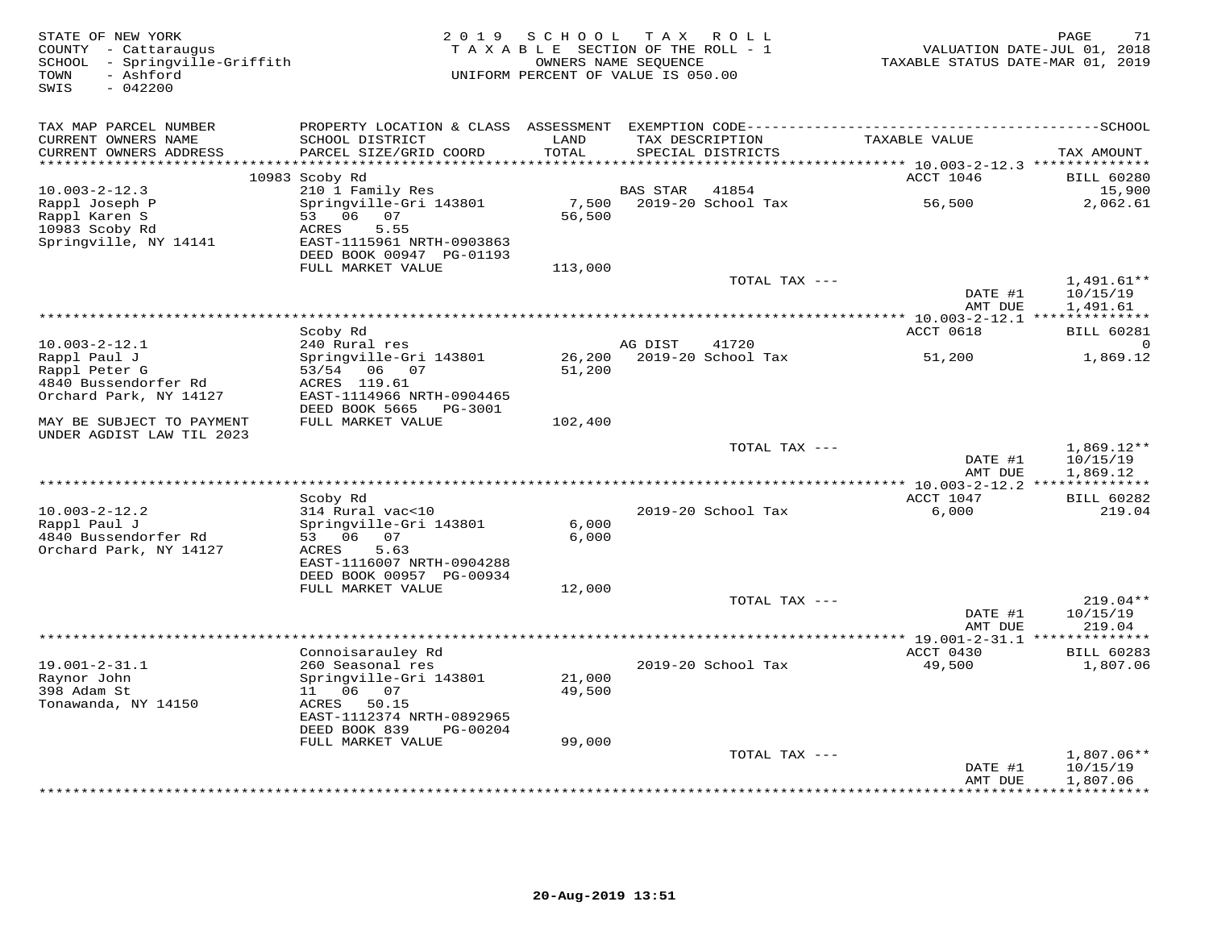| STATE OF NEW YORK<br>COUNTY - Cattaraugus<br>SCHOOL - Springville-Griffith<br>- Ashford<br>TOWN<br>$-042200$<br>SWIS | 2 0 1 9                                               | S C H O O L<br>TAXABLE SECTION OF THE ROLL - 1<br>OWNERS NAME SEQUENCE<br>UNIFORM PERCENT OF VALUE IS 050.00 | T A X                  | R O L L                              | TAXABLE STATUS DATE-MAR 01, 2019                                       | PAGE<br>71<br>VALUATION DATE-JUL 01, 2018 |
|----------------------------------------------------------------------------------------------------------------------|-------------------------------------------------------|--------------------------------------------------------------------------------------------------------------|------------------------|--------------------------------------|------------------------------------------------------------------------|-------------------------------------------|
| TAX MAP PARCEL NUMBER                                                                                                |                                                       |                                                                                                              |                        |                                      |                                                                        |                                           |
| CURRENT OWNERS NAME<br>CURRENT OWNERS ADDRESS<br>**********************                                              | SCHOOL DISTRICT<br>PARCEL SIZE/GRID COORD             | LAND<br>TOTAL                                                                                                |                        | TAX DESCRIPTION<br>SPECIAL DISTRICTS | TAXABLE VALUE                                                          | TAX AMOUNT                                |
|                                                                                                                      | 10983 Scoby Rd                                        |                                                                                                              |                        |                                      | **************************** 10.003-2-12.3 **************<br>ACCT 1046 | <b>BILL 60280</b>                         |
| $10.003 - 2 - 12.3$                                                                                                  | 210 1 Family Res                                      |                                                                                                              | <b>BAS STAR</b>        | 41854                                |                                                                        | 15,900                                    |
| Rappl Joseph P                                                                                                       | Springville-Gri 143801                                | 7,500                                                                                                        |                        | 2019-20 School Tax                   | 56,500                                                                 | 2,062.61                                  |
| Rappl Karen S                                                                                                        | 06<br>53<br>07                                        | 56,500                                                                                                       |                        |                                      |                                                                        |                                           |
| 10983 Scoby Rd                                                                                                       | 5.55<br>ACRES                                         |                                                                                                              |                        |                                      |                                                                        |                                           |
| Springville, NY 14141                                                                                                | EAST-1115961 NRTH-0903863<br>DEED BOOK 00947 PG-01193 |                                                                                                              |                        |                                      |                                                                        |                                           |
|                                                                                                                      | FULL MARKET VALUE                                     | 113,000                                                                                                      |                        |                                      |                                                                        |                                           |
|                                                                                                                      |                                                       |                                                                                                              |                        | TOTAL TAX ---                        |                                                                        | $1,491.61**$                              |
|                                                                                                                      |                                                       |                                                                                                              |                        |                                      | DATE #1                                                                | 10/15/19                                  |
|                                                                                                                      |                                                       |                                                                                                              |                        | ***************************          | AMT DUE                                                                | 1,491.61                                  |
|                                                                                                                      |                                                       |                                                                                                              |                        |                                      | ************ 10.003-2-12.1 ***************<br>ACCT 0618                | <b>BILL 60281</b>                         |
| $10.003 - 2 - 12.1$                                                                                                  | Scoby Rd<br>240 Rural res                             |                                                                                                              | AG DIST                | 41720                                |                                                                        | $\Omega$                                  |
| Rappl Paul J                                                                                                         | Springville-Gri 143801                                | 26,200                                                                                                       |                        | 2019-20 School Tax                   | 51,200                                                                 | 1,869.12                                  |
| Rappl Peter G                                                                                                        | 53/54 06 07                                           | 51,200                                                                                                       |                        |                                      |                                                                        |                                           |
| 4840 Bussendorfer Rd                                                                                                 | ACRES 119.61                                          |                                                                                                              |                        |                                      |                                                                        |                                           |
| Orchard Park, NY 14127                                                                                               | EAST-1114966 NRTH-0904465                             |                                                                                                              |                        |                                      |                                                                        |                                           |
| MAY BE SUBJECT TO PAYMENT<br>UNDER AGDIST LAW TIL 2023                                                               | DEED BOOK 5665<br>PG-3001<br>FULL MARKET VALUE        | 102,400                                                                                                      |                        |                                      |                                                                        |                                           |
|                                                                                                                      |                                                       |                                                                                                              |                        | TOTAL TAX ---                        |                                                                        | $1,869.12**$                              |
|                                                                                                                      |                                                       |                                                                                                              |                        |                                      | DATE #1                                                                | 10/15/19                                  |
|                                                                                                                      |                                                       |                                                                                                              |                        |                                      | AMT DUE                                                                | 1,869.12                                  |
|                                                                                                                      | Scoby Rd                                              |                                                                                                              | *********************  |                                      | * $10.003 - 2 - 12.2$ **************<br>ACCT 1047                      | <b>BILL 60282</b>                         |
| $10.003 - 2 - 12.2$                                                                                                  | 314 Rural vac<10                                      |                                                                                                              |                        | 2019-20 School Tax                   | 6,000                                                                  | 219.04                                    |
| Rappl Paul J                                                                                                         | Springville-Gri 143801                                | 6,000                                                                                                        |                        |                                      |                                                                        |                                           |
| 4840 Bussendorfer Rd                                                                                                 | 53 06<br>07                                           | 6,000                                                                                                        |                        |                                      |                                                                        |                                           |
| Orchard Park, NY 14127                                                                                               | ACRES<br>5.63                                         |                                                                                                              |                        |                                      |                                                                        |                                           |
|                                                                                                                      | EAST-1116007 NRTH-0904288<br>DEED BOOK 00957 PG-00934 |                                                                                                              |                        |                                      |                                                                        |                                           |
|                                                                                                                      | FULL MARKET VALUE                                     | 12,000                                                                                                       |                        |                                      |                                                                        |                                           |
|                                                                                                                      |                                                       |                                                                                                              |                        | TOTAL TAX ---                        |                                                                        | $219.04**$                                |
|                                                                                                                      |                                                       |                                                                                                              |                        |                                      | DATE #1                                                                | 10/15/19                                  |
|                                                                                                                      |                                                       |                                                                                                              |                        |                                      | AMT DUE                                                                | 219.04                                    |
|                                                                                                                      |                                                       |                                                                                                              | ********************** |                                      | ** 19.001-2-31.1 *                                                     |                                           |
| $19.001 - 2 - 31.1$                                                                                                  | Connoisarauley Rd<br>260 Seasonal res                 |                                                                                                              |                        | 2019-20 School Tax                   | ACCT 0430<br>49,500                                                    | <b>BILL 60283</b><br>1,807.06             |
| Raynor John                                                                                                          | Springville-Gri 143801                                | 21,000                                                                                                       |                        |                                      |                                                                        |                                           |
| 398 Adam St                                                                                                          | 11  06  07                                            | 49,500                                                                                                       |                        |                                      |                                                                        |                                           |
| Tonawanda, NY 14150                                                                                                  | ACRES 50.15                                           |                                                                                                              |                        |                                      |                                                                        |                                           |
|                                                                                                                      | EAST-1112374 NRTH-0892965                             |                                                                                                              |                        |                                      |                                                                        |                                           |
|                                                                                                                      | DEED BOOK 839<br>PG-00204<br>FULL MARKET VALUE        | 99,000                                                                                                       |                        |                                      |                                                                        |                                           |
|                                                                                                                      |                                                       |                                                                                                              |                        | TOTAL TAX ---                        |                                                                        | $1,807.06**$                              |
|                                                                                                                      |                                                       |                                                                                                              |                        |                                      | DATE #1                                                                | 10/15/19                                  |
|                                                                                                                      |                                                       |                                                                                                              |                        |                                      | AMT DUE<br>*****                                                       | 1,807.06<br>* * * * * * * *               |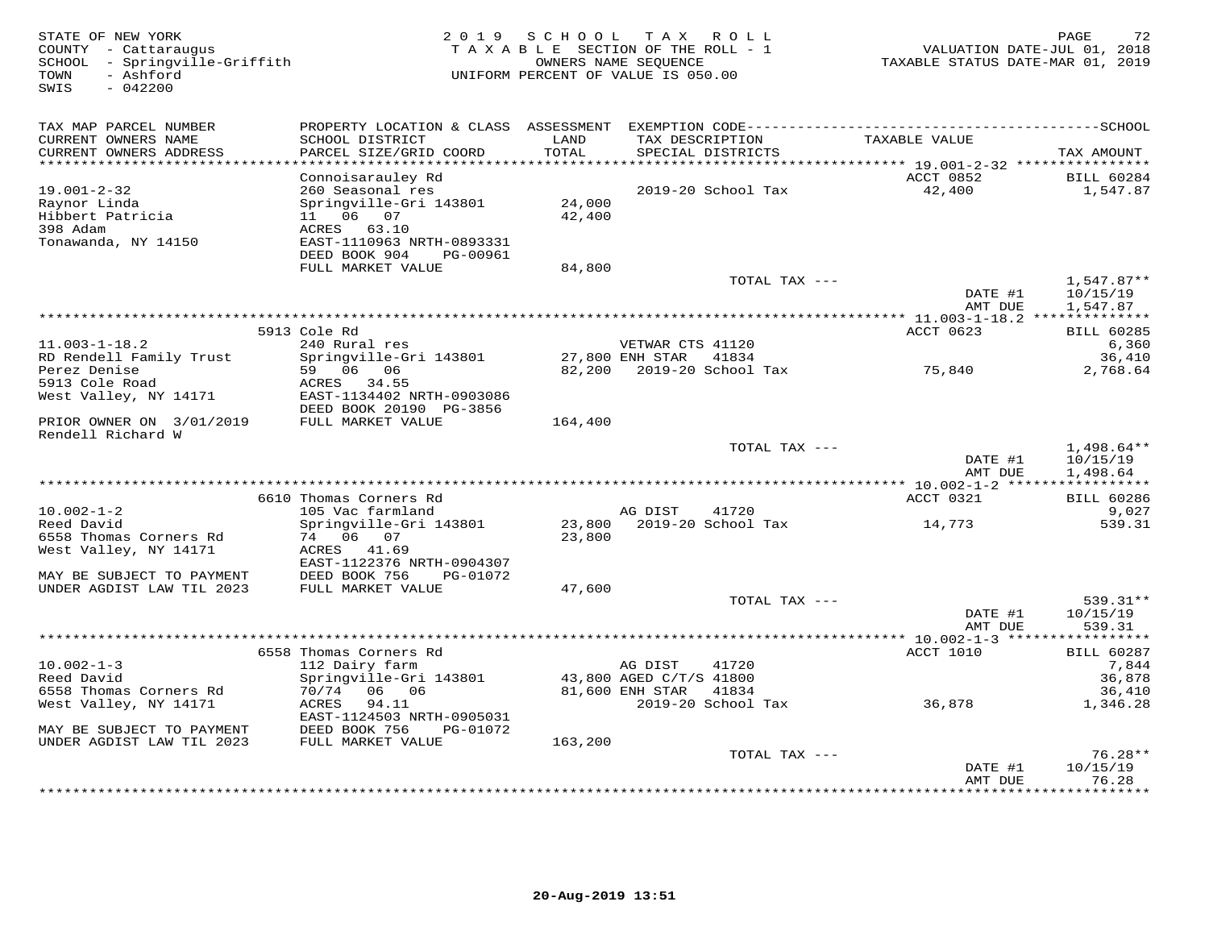STATE OF NEW YORK 2 0 1 9 S C H O O L T A X R O L L PAGE 72 COUNTY - Cattaraugus T A X A B L E SECTION OF THE ROLL - 1 VALUATION DATE-JUL 01, 2018 SCHOOL - Springville-Griffith OWNERS NAME SEQUENCE TAXABLE STATUS DATE-MAR 01, 2019 TOWN - Ashford UNIFORM PERCENT OF VALUE IS 050.00SWIS - 042200TAX MAP PARCEL NUMBER PROPERTY LOCATION & CLASS ASSESSMENT EXEMPTION CODE------------------------------------------SCHOOL CURRENT OWNERS NAME SCHOOL DISTRICT LAND TAX DESCRIPTION TAXABLE VALUE CURRENT OWNERS ADDRESS PARCEL SIZE/GRID COORD TOTAL SPECIAL DISTRICTS TAX AMOUNT \*\*\*\*\*\*\*\*\*\*\*\*\*\*\*\*\*\*\*\*\*\*\*\*\*\*\*\*\*\*\*\*\*\*\*\*\*\*\*\*\*\*\*\*\*\*\*\*\*\*\*\*\*\*\*\*\*\*\*\*\*\*\*\*\*\*\*\*\*\*\*\*\*\*\*\*\*\*\*\*\*\*\*\*\*\*\*\*\*\*\*\*\*\*\*\*\*\*\*\*\*\*\* 19.001-2-32 \*\*\*\*\*\*\*\*\*\*\*\*\*\*\*\*Connoisarauley Rd<br>
19.001-2-32 260 Seasonal res 2019-20 School Tax ACCT 0852 BILL 60284<br>
Hibbert Patricia 11 06 07 42,400<br>
398 Adam ACERS 63.10 ACERS 63.10<br>
Tonawanda, NY 14150 EARES 63.10<br>
24,400<br>
24,400<br>
24,400<br>
24,400<br> FULL MARKET VALUE 84,800TOTAL TAX ---  $1,547.87**$ <br>DATE #1  $1,641.9719$  AMT DUE 1,547.87 \*\*\*\*\*\*\*\*\*\*\*\*\*\*\*\*\*\*\*\*\*\*\*\*\*\*\*\*\*\*\*\*\*\*\*\*\*\*\*\*\*\*\*\*\*\*\*\*\*\*\*\*\*\*\*\*\*\*\*\*\*\*\*\*\*\*\*\*\*\*\*\*\*\*\*\*\*\*\*\*\*\*\*\*\*\*\*\*\*\*\*\*\*\*\*\*\*\*\*\*\*\*\* 11.003-1-18.2 \*\*\*\*\*\*\*\*\*\*\*\*\*\*ACCT 0623 BILL 60285 5913 Cole Rd ACCT 0623 BILL 60285 $6, 360$ 11.003-1-18.2 240 Rural res VETWAR CTS 41120 6,36036,410 RD Rendell Family Trust Springville-Gri 143801 27,800 ENH STAR 41834 36,4102,768.64 Perez Denise 59 06 06 82,200 2019-20 School Tax 75,840 2,768.645913 Cole Road ACRES 34.55 West Valley, NY 14171 EAST-1134402 NRTH-0903086 DEED BOOK 20190 PG-3856 PRIOR OWNER ON 3/01/2019 FULL MARKET VALUE 164,400 Rendell Richard WTOTAL TAX  $---$  1,498.64\*\*  $\text{DATE}$  #1  $10/15/19$ AMT DUE 1,498.64 AMT DUE 1,498.64 \*\*\*\*\*\*\*\*\*\*\*\*\*\*\*\*\*\*\*\*\*\*\*\*\*\*\*\*\*\*\*\*\*\*\*\*\*\*\*\*\*\*\*\*\*\*\*\*\*\*\*\*\*\*\*\*\*\*\*\*\*\*\*\*\*\*\*\*\*\*\*\*\*\*\*\*\*\*\*\*\*\*\*\*\*\*\*\*\*\*\*\*\*\*\*\*\*\*\*\*\*\*\* 10.002-1-2 \*\*\*\*\*\*\*\*\*\*\*\*\*\*\*\*\*ACCT 0321 BILL 60286 6610 Thomas Corners Rd ACCT 0321 BILL 60286 $9,027$ 10.002-1-2 105 Vac farmland AG DIST 41720 9,027539.31 Reed David Springville-Gri 143801 23,800 2019-20 School Tax 14,773 539.316558 Thomas Corners Rd 74 06 07 23,800 West Valley, NY 14171 ACRES 41.69 EAST-1122376 NRTH-0904307 MAY BE SUBJECT TO PAYMENT DEED BOOK 756 PG-01072 UNDER AGDIST LAW TIL 2023 FULL MARKET VALUE 47,600 TOTAL TAX --- 539.31\*\*DATE #1 10/15/19 DATE #1 10/15/19 AMT DUE 539.31AMT DUE 539.31 \*\*\*\*\*\*\*\*\*\*\*\*\*\*\*\*\*\*\*\*\*\*\*\*\*\*\*\*\*\*\*\*\*\*\*\*\*\*\*\*\*\*\*\*\*\*\*\*\*\*\*\*\*\*\*\*\*\*\*\*\*\*\*\*\*\*\*\*\*\*\*\*\*\*\*\*\*\*\*\*\*\*\*\*\*\*\*\*\*\*\*\*\*\*\*\*\*\*\*\*\*\*\* 10.002-1-3 \*\*\*\*\*\*\*\*\*\*\*\*\*\*\*\*\*ACCT 1010 BILL 60287 6558 Thomas Corners Rd ACCT 1010 BILL 602877,844 10.002-1-3 112 Dairy farm AG DIST 41720 7,84436,878 Reed David Springville-Gri 143801 43,800 AGED C/T/S 41800 36,87836,410 6558 Thomas Corners Rd 70/74 06 06 81,600 ENH STAR 41834 36,4101,346.28 West Valley, NY 14171 ACRES 94.11 2019-20 School Tax 36,878 1,346.28 EAST-1124503 NRTH-0905031 MAY BE SUBJECT TO PAYMENT DEED BOOK 756 PG-01072 UNDER AGDIST LAW TIL 2023 FULL MARKET VALUE 163,200TOTAL TAX  $---$  76.28\*\*  $\text{DATE}$ #1  $10/15/19$ AMT DUE 76.28

\*\*\*\*\*\*\*\*\*\*\*\*\*\*\*\*\*\*\*\*\*\*\*\*\*\*\*\*\*\*\*\*\*\*\*\*\*\*\*\*\*\*\*\*\*\*\*\*\*\*\*\*\*\*\*\*\*\*\*\*\*\*\*\*\*\*\*\*\*\*\*\*\*\*\*\*\*\*\*\*\*\*\*\*\*\*\*\*\*\*\*\*\*\*\*\*\*\*\*\*\*\*\*\*\*\*\*\*\*\*\*\*\*\*\*\*\*\*\*\*\*\*\*\*\*\*\*\*\*\*\*\*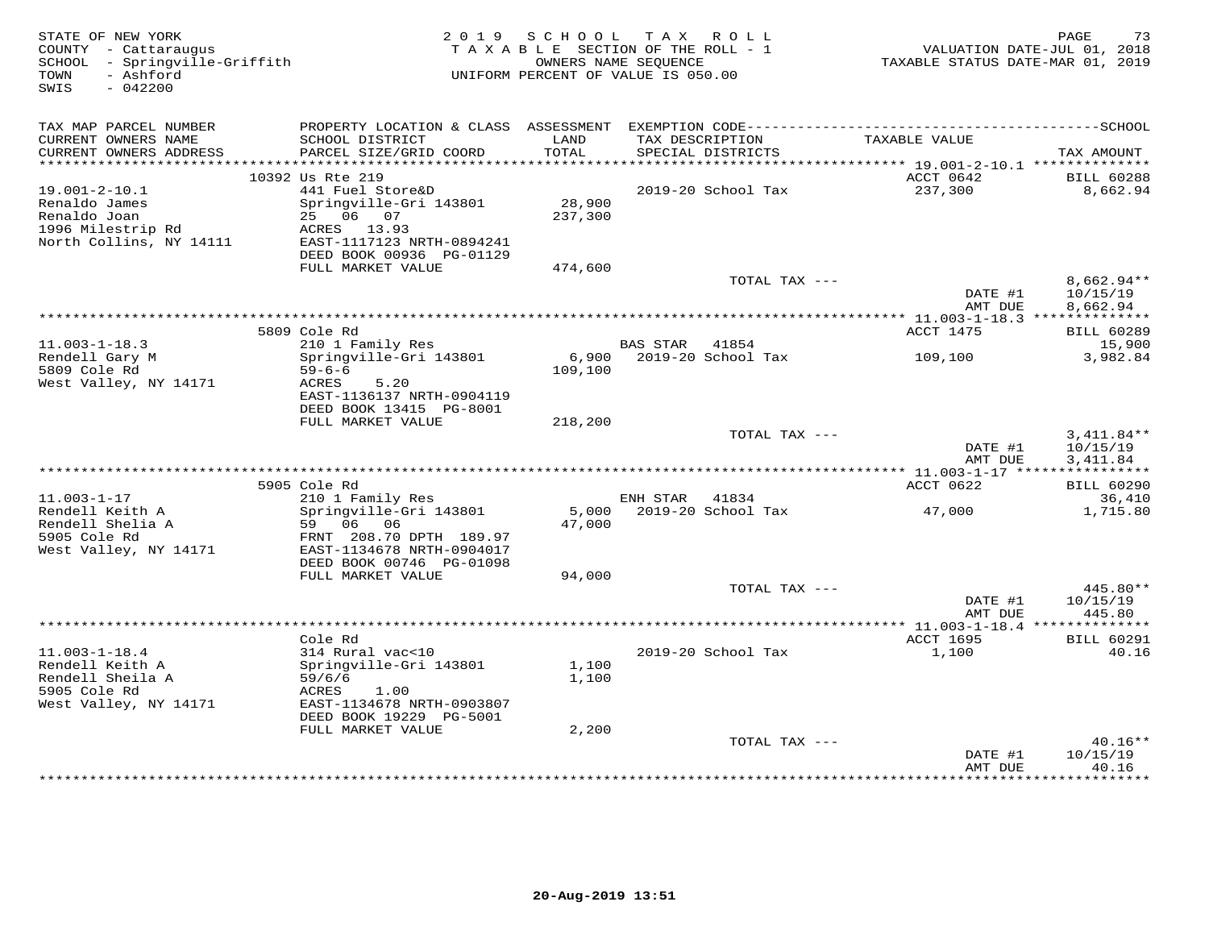| STATE OF NEW YORK<br>COUNTY - Cattaraugus<br>SCHOOL - Springville-Griffith<br>- Ashford<br>TOWN<br>$-042200$<br>SWIS |                                                       | 2019 SCHOOL       | TAX ROLL<br>TAXABLE SECTION OF THE ROLL - 1<br>OWNERS NAME SEOUENCE<br>UNIFORM PERCENT OF VALUE IS 050.00 | VALUATION DATE-JUL 01, 2018<br>TAXABLE STATUS DATE-MAR 01, 2019 | PAGE<br>73                  |
|----------------------------------------------------------------------------------------------------------------------|-------------------------------------------------------|-------------------|-----------------------------------------------------------------------------------------------------------|-----------------------------------------------------------------|-----------------------------|
| TAX MAP PARCEL NUMBER                                                                                                |                                                       |                   |                                                                                                           |                                                                 |                             |
| CURRENT OWNERS NAME<br>CURRENT OWNERS ADDRESS<br>***********************                                             | SCHOOL DISTRICT<br>PARCEL SIZE/GRID COORD             | LAND<br>TOTAL     | TAX DESCRIPTION<br>SPECIAL DISTRICTS                                                                      | TAXABLE VALUE                                                   | TAX AMOUNT                  |
|                                                                                                                      | 10392 Us Rte 219                                      |                   |                                                                                                           | ACCT 0642                                                       | <b>BILL 60288</b>           |
| $19.001 - 2 - 10.1$                                                                                                  | 441 Fuel Store&D                                      |                   | 2019-20 School Tax                                                                                        | 237,300                                                         | 8,662.94                    |
| Renaldo James<br>Renaldo Joan                                                                                        | Springville-Gri 143801<br>25 06 07                    | 28,900<br>237,300 |                                                                                                           |                                                                 |                             |
| 1996 Milestrip Rd                                                                                                    | ACRES 13.93                                           |                   |                                                                                                           |                                                                 |                             |
| North Collins, NY 14111                                                                                              | EAST-1117123 NRTH-0894241<br>DEED BOOK 00936 PG-01129 |                   |                                                                                                           |                                                                 |                             |
|                                                                                                                      | FULL MARKET VALUE                                     | 474,600           |                                                                                                           |                                                                 |                             |
|                                                                                                                      |                                                       |                   | TOTAL TAX ---                                                                                             | DATE #1                                                         | 8,662.94**<br>10/15/19      |
|                                                                                                                      |                                                       |                   |                                                                                                           | AMT DUE                                                         | 8,662.94                    |
|                                                                                                                      |                                                       |                   | **********************************                                                                        | ********** 11.003-1-18.3 **************                         |                             |
| $11.003 - 1 - 18.3$                                                                                                  | 5809 Cole Rd<br>210 1 Family Res                      |                   | <b>BAS STAR</b><br>41854                                                                                  | ACCT 1475                                                       | <b>BILL 60289</b><br>15,900 |
| Rendell Gary M                                                                                                       | Springville-Gri 143801                                | 6,900             | 2019-20 School Tax                                                                                        | 109,100                                                         | 3,982.84                    |
| 5809 Cole Rd                                                                                                         | $59 - 6 - 6$                                          | 109,100           |                                                                                                           |                                                                 |                             |
| West Valley, NY 14171                                                                                                | ACRES<br>5.20<br>EAST-1136137 NRTH-0904119            |                   |                                                                                                           |                                                                 |                             |
|                                                                                                                      | DEED BOOK 13415 PG-8001                               |                   |                                                                                                           |                                                                 |                             |
|                                                                                                                      | FULL MARKET VALUE                                     | 218,200           |                                                                                                           |                                                                 |                             |
|                                                                                                                      |                                                       |                   | TOTAL TAX ---                                                                                             | DATE #1                                                         | $3,411.84**$<br>10/15/19    |
|                                                                                                                      |                                                       |                   |                                                                                                           | AMT DUE                                                         | 3,411.84                    |
|                                                                                                                      | 5905 Cole Rd                                          |                   |                                                                                                           | ACCT 0622                                                       | <b>BILL 60290</b>           |
| $11.003 - 1 - 17$                                                                                                    | 210 1 Family Res                                      |                   | ENH STAR 41834                                                                                            |                                                                 | 36,410                      |
| Rendell Keith A                                                                                                      | Springville-Gri 143801                                | 5,000             | 2019-20 School Tax                                                                                        | 47,000                                                          | 1,715.80                    |
| Rendell Shelia A                                                                                                     | 59 06 06                                              | 47,000            |                                                                                                           |                                                                 |                             |
| 5905 Cole Rd                                                                                                         | FRNT 208.70 DPTH 189.97                               |                   |                                                                                                           |                                                                 |                             |
| West Valley, NY 14171                                                                                                | EAST-1134678 NRTH-0904017<br>DEED BOOK 00746 PG-01098 |                   |                                                                                                           |                                                                 |                             |
|                                                                                                                      | FULL MARKET VALUE                                     | 94,000            |                                                                                                           |                                                                 |                             |
|                                                                                                                      |                                                       |                   | TOTAL TAX ---                                                                                             |                                                                 | 445.80**                    |
|                                                                                                                      |                                                       |                   |                                                                                                           | DATE #1                                                         | 10/15/19                    |
|                                                                                                                      |                                                       |                   |                                                                                                           | AMT DUE<br>****************** 11.003-1-18.4 ***************     | 445.80                      |
|                                                                                                                      | Cole Rd                                               |                   |                                                                                                           | ACCT 1695                                                       | BILL 60291                  |
| $11.003 - 1 - 18.4$                                                                                                  | 314 Rural vac<10                                      |                   | 2019-20 School Tax                                                                                        | 1,100                                                           | 40.16                       |
| Rendell Keith A                                                                                                      | Springville-Gri 143801                                | 1,100             |                                                                                                           |                                                                 |                             |
| Rendell Sheila A<br>5905 Cole Rd                                                                                     | 59/6/6<br>ACRES<br>1.00                               | 1,100             |                                                                                                           |                                                                 |                             |
| West Valley, NY 14171                                                                                                | EAST-1134678 NRTH-0903807                             |                   |                                                                                                           |                                                                 |                             |
|                                                                                                                      | DEED BOOK 19229 PG-5001                               |                   |                                                                                                           |                                                                 |                             |
|                                                                                                                      | FULL MARKET VALUE                                     | 2,200             |                                                                                                           |                                                                 |                             |
|                                                                                                                      |                                                       |                   | TOTAL TAX ---                                                                                             | DATE #1                                                         | $40.16**$<br>10/15/19       |
|                                                                                                                      |                                                       |                   |                                                                                                           | AMT DUE                                                         | 40.16                       |
|                                                                                                                      |                                                       |                   |                                                                                                           |                                                                 | * * * * * * * *             |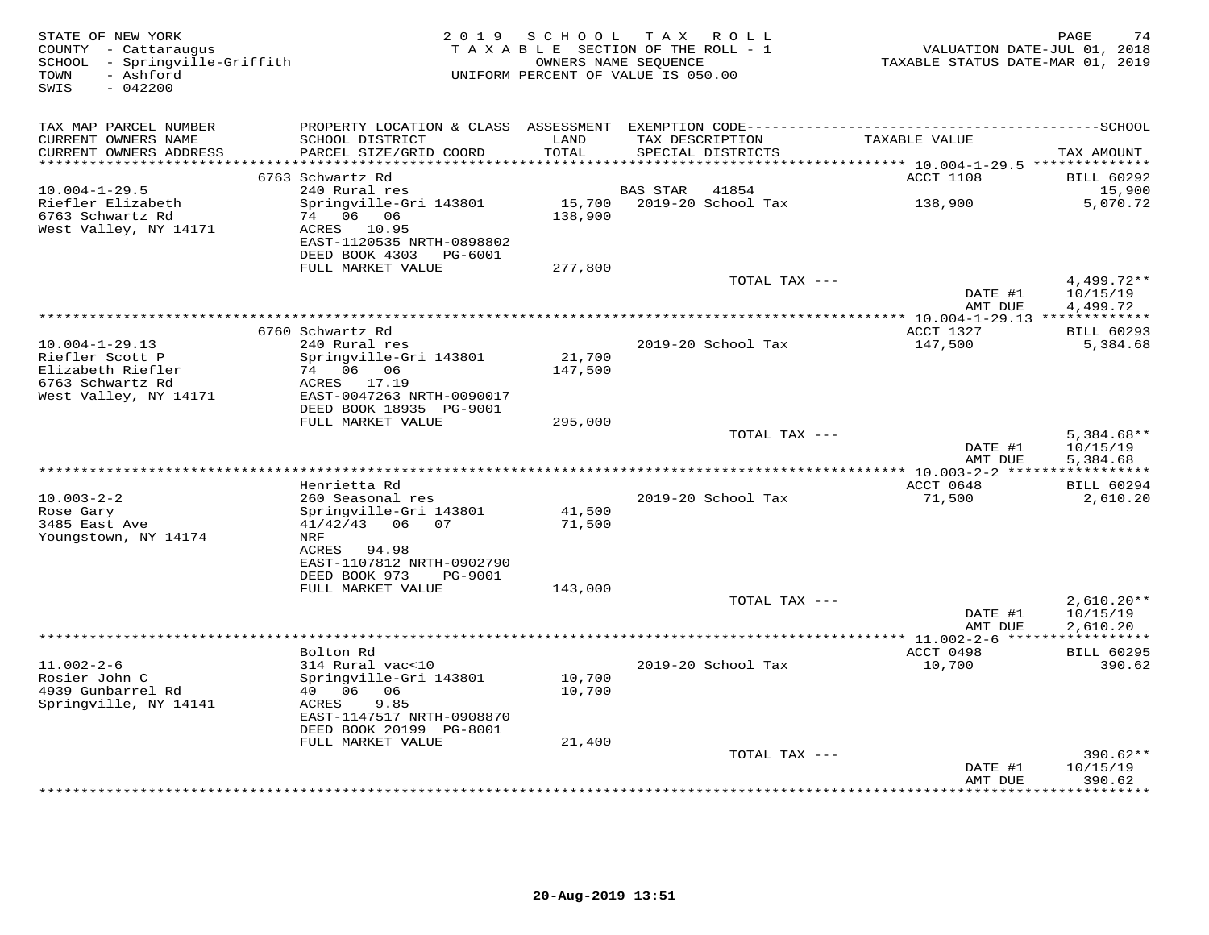| STATE OF NEW YORK<br>COUNTY - Cattaraugus<br>SCHOOL - Springville-Griffith<br>TOWN<br>- Ashford<br>SWIS<br>$-042200$ |                                               | 2019 SCHOOL TAX ROLL<br>TAXABLE SECTION OF THE ROLL - 1<br>UNIFORM PERCENT OF VALUE IS 050.00 | OWNERS NAME SEQUENCE |                           | TAXABLE STATUS DATE-MAR 01, 2019        | PAGE<br>74<br>VALUATION DATE-JUL 01, 2018 |
|----------------------------------------------------------------------------------------------------------------------|-----------------------------------------------|-----------------------------------------------------------------------------------------------|----------------------|---------------------------|-----------------------------------------|-------------------------------------------|
| TAX MAP PARCEL NUMBER                                                                                                |                                               |                                                                                               |                      |                           |                                         |                                           |
| CURRENT OWNERS NAME                                                                                                  | SCHOOL DISTRICT                               | LAND<br>TOTAL                                                                                 | TAX DESCRIPTION      |                           | TAXABLE VALUE                           |                                           |
| CURRENT OWNERS ADDRESS                                                                                               | PARCEL SIZE/GRID COORD                        | ************                                                                                  |                      | SPECIAL DISTRICTS         | ********* 10.004-1-29.5 *************** | TAX AMOUNT                                |
|                                                                                                                      | 6763 Schwartz Rd                              |                                                                                               |                      |                           | ACCT 1108                               | <b>BILL 60292</b>                         |
| $10.004 - 1 - 29.5$                                                                                                  | 240 Rural res                                 |                                                                                               | BAS STAR             | 41854                     |                                         | 15,900                                    |
| Riefler Elizabeth                                                                                                    | Springville-Gri 143801                        |                                                                                               |                      | 15,700 2019-20 School Tax | 138,900                                 | 5,070.72                                  |
| 6763 Schwartz Rd                                                                                                     | 74 06 06                                      | 138,900                                                                                       |                      |                           |                                         |                                           |
| West Valley, NY 14171                                                                                                | ACRES 10.95<br>EAST-1120535 NRTH-0898802      |                                                                                               |                      |                           |                                         |                                           |
|                                                                                                                      | DEED BOOK 4303 PG-6001                        |                                                                                               |                      |                           |                                         |                                           |
|                                                                                                                      | FULL MARKET VALUE                             | 277,800                                                                                       |                      |                           |                                         |                                           |
|                                                                                                                      |                                               |                                                                                               |                      | TOTAL TAX ---             |                                         | $4,499.72**$                              |
|                                                                                                                      |                                               |                                                                                               |                      |                           | DATE #1                                 | 10/15/19                                  |
|                                                                                                                      |                                               |                                                                                               |                      |                           | AMT DUE                                 | 4,499.72                                  |
|                                                                                                                      | 6760 Schwartz Rd                              |                                                                                               |                      |                           | ACCT 1327                               | <b>BILL 60293</b>                         |
| $10.004 - 1 - 29.13$                                                                                                 | 240 Rural res                                 |                                                                                               |                      | 2019-20 School Tax        | 147,500                                 | 5,384.68                                  |
| Riefler Scott P                                                                                                      | Springville-Gri 143801                        | 21,700                                                                                        |                      |                           |                                         |                                           |
| Elizabeth Riefler<br>6763 Schwartz Rd                                                                                | 74 06 06<br>ACRES 17.19                       | 147,500                                                                                       |                      |                           |                                         |                                           |
| West Valley, NY 14171                                                                                                | EAST-0047263 NRTH-0090017                     |                                                                                               |                      |                           |                                         |                                           |
|                                                                                                                      | DEED BOOK 18935 PG-9001                       |                                                                                               |                      |                           |                                         |                                           |
|                                                                                                                      | FULL MARKET VALUE                             | 295,000                                                                                       |                      |                           |                                         |                                           |
|                                                                                                                      |                                               |                                                                                               |                      | TOTAL TAX ---             | DATE #1                                 | $5,384.68**$                              |
|                                                                                                                      |                                               |                                                                                               |                      |                           | AMT DUE                                 | 10/15/19<br>5,384.68                      |
|                                                                                                                      |                                               |                                                                                               |                      |                           |                                         |                                           |
|                                                                                                                      | Henrietta Rd                                  |                                                                                               |                      |                           | ACCT 0648                               | <b>BILL 60294</b>                         |
| $10.003 - 2 - 2$                                                                                                     | 260 Seasonal res                              |                                                                                               |                      | 2019-20 School Tax        | 71,500                                  | 2,610.20                                  |
| Rose Gary<br>3485 East Ave                                                                                           | Springville-Gri 143801<br>$41/42/43$ 06<br>07 | 41,500<br>71,500                                                                              |                      |                           |                                         |                                           |
| Youngstown, NY 14174                                                                                                 | NRF                                           |                                                                                               |                      |                           |                                         |                                           |
|                                                                                                                      | ACRES 94.98                                   |                                                                                               |                      |                           |                                         |                                           |
|                                                                                                                      | EAST-1107812 NRTH-0902790                     |                                                                                               |                      |                           |                                         |                                           |
|                                                                                                                      | DEED BOOK 973<br>PG-9001                      |                                                                                               |                      |                           |                                         |                                           |
|                                                                                                                      | FULL MARKET VALUE                             | 143,000                                                                                       |                      | TOTAL TAX ---             |                                         | $2,610.20**$                              |
|                                                                                                                      |                                               |                                                                                               |                      |                           | DATE #1                                 | 10/15/19                                  |
|                                                                                                                      |                                               |                                                                                               |                      |                           | AMT DUE                                 | 2,610.20                                  |
|                                                                                                                      |                                               |                                                                                               |                      |                           |                                         |                                           |
| $11.002 - 2 - 6$                                                                                                     | Bolton Rd<br>314 Rural vac<10                 |                                                                                               |                      | 2019-20 School Tax        | ACCT 0498<br>10,700                     | <b>BILL 60295</b><br>390.62               |
| Rosier John C                                                                                                        | Springville-Gri 143801                        | 10,700                                                                                        |                      |                           |                                         |                                           |
| 4939 Gunbarrel Rd                                                                                                    | 40  06  06                                    | 10,700                                                                                        |                      |                           |                                         |                                           |
| Springville, NY 14141                                                                                                | ACRES<br>9.85                                 |                                                                                               |                      |                           |                                         |                                           |
|                                                                                                                      | EAST-1147517 NRTH-0908870                     |                                                                                               |                      |                           |                                         |                                           |
|                                                                                                                      | DEED BOOK 20199 PG-8001<br>FULL MARKET VALUE  | 21,400                                                                                        |                      |                           |                                         |                                           |
|                                                                                                                      |                                               |                                                                                               |                      | TOTAL TAX ---             |                                         | 390.62**                                  |
|                                                                                                                      |                                               |                                                                                               |                      |                           | DATE #1                                 | 10/15/19                                  |
|                                                                                                                      |                                               |                                                                                               |                      |                           | AMT DUE<br>***************              | 390.62<br>*********                       |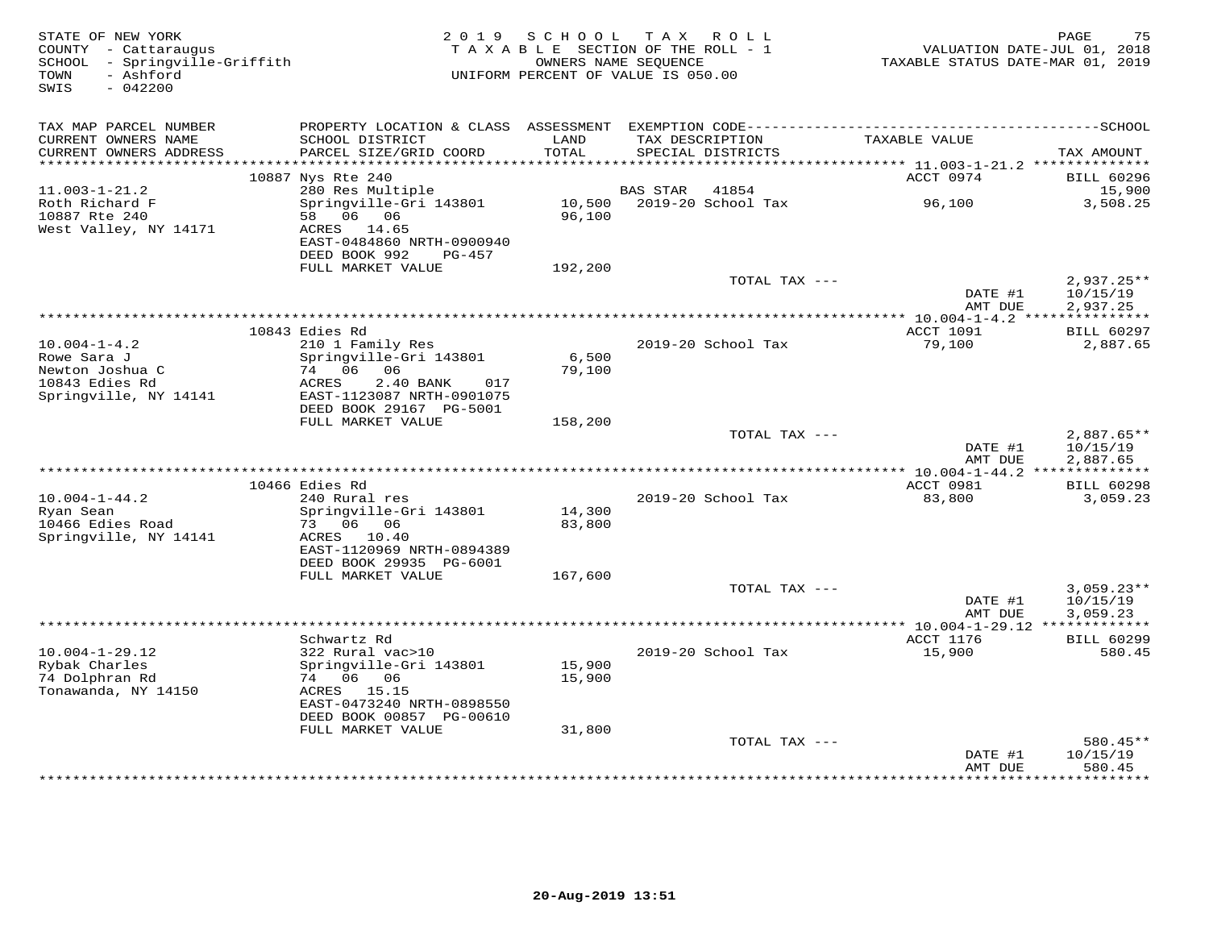| STATE OF NEW YORK<br>COUNTY - Cattaraugus<br>SCHOOL - Springville-Griffith<br>- Ashford<br>TOWN<br>$-042200$<br>SWIS |                                                                       | 2019 SCHOOL      | TAX ROLL<br>TAXABLE SECTION OF THE ROLL - 1<br>OWNERS NAME SEQUENCE<br>UNIFORM PERCENT OF VALUE IS 050.00 | TAXABLE STATUS DATE-MAR 01, 2019         | 75<br>PAGE<br>VALUATION DATE-JUL 01, 2018 |
|----------------------------------------------------------------------------------------------------------------------|-----------------------------------------------------------------------|------------------|-----------------------------------------------------------------------------------------------------------|------------------------------------------|-------------------------------------------|
| TAX MAP PARCEL NUMBER                                                                                                | PROPERTY LOCATION & CLASS ASSESSMENT                                  |                  |                                                                                                           |                                          |                                           |
| CURRENT OWNERS NAME<br>CURRENT OWNERS ADDRESS<br>***********************                                             | SCHOOL DISTRICT<br>PARCEL SIZE/GRID COORD<br>************************ | LAND<br>TOTAL    | TAX DESCRIPTION<br>SPECIAL DISTRICTS                                                                      | TAXABLE VALUE                            | TAX AMOUNT                                |
|                                                                                                                      | 10887 Nys Rte 240                                                     |                  |                                                                                                           | ACCT 0974                                | <b>BILL 60296</b>                         |
| $11.003 - 1 - 21.2$                                                                                                  | 280 Res Multiple                                                      |                  | <b>BAS STAR</b><br>41854                                                                                  |                                          | 15,900                                    |
| Roth Richard F<br>10887 Rte 240                                                                                      | Springville-Gri 143801<br>58 06 06                                    | 10,500<br>96,100 | 2019-20 School Tax                                                                                        | 96,100                                   | 3,508.25                                  |
| West Valley, NY 14171                                                                                                | ACRES 14.65<br>EAST-0484860 NRTH-0900940<br>DEED BOOK 992<br>PG-457   |                  |                                                                                                           |                                          |                                           |
|                                                                                                                      | FULL MARKET VALUE                                                     | 192,200          |                                                                                                           |                                          |                                           |
|                                                                                                                      |                                                                       |                  | TOTAL TAX ---                                                                                             | DATE #1<br>AMT DUE                       | $2,937.25**$<br>10/15/19<br>2,937.25      |
|                                                                                                                      |                                                                       |                  | *************                                                                                             | $* 10.004 - 1 - 4.2$ ****                | ***********                               |
|                                                                                                                      | 10843 Edies Rd                                                        |                  |                                                                                                           | ACCT 1091                                | <b>BILL 60297</b>                         |
| $10.004 - 1 - 4.2$                                                                                                   | 210 1 Family Res                                                      |                  | 2019-20 School Tax                                                                                        | 79,100                                   | 2,887.65                                  |
| Rowe Sara J                                                                                                          | Springville-Gri 143801                                                | 6,500            |                                                                                                           |                                          |                                           |
| Newton Joshua C<br>10843 Edies Rd                                                                                    | 74 06<br>06<br>ACRES<br>2.40 BANK<br>017                              | 79,100           |                                                                                                           |                                          |                                           |
| Springville, NY 14141                                                                                                | EAST-1123087 NRTH-0901075                                             |                  |                                                                                                           |                                          |                                           |
|                                                                                                                      | DEED BOOK 29167 PG-5001                                               |                  |                                                                                                           |                                          |                                           |
|                                                                                                                      | FULL MARKET VALUE                                                     | 158,200          |                                                                                                           |                                          |                                           |
|                                                                                                                      |                                                                       |                  | TOTAL TAX ---                                                                                             |                                          | $2,887.65**$                              |
|                                                                                                                      |                                                                       |                  |                                                                                                           | DATE #1<br>AMT DUE                       | 10/15/19<br>2,887.65                      |
|                                                                                                                      |                                                                       |                  |                                                                                                           |                                          |                                           |
|                                                                                                                      | 10466 Edies Rd                                                        |                  |                                                                                                           | ACCT 0981                                | <b>BILL 60298</b>                         |
| $10.004 - 1 - 44.2$                                                                                                  | 240 Rural res                                                         |                  | 2019-20 School Tax                                                                                        | 83,800                                   | 3,059.23                                  |
| Ryan Sean                                                                                                            | Springville-Gri 143801                                                | 14,300           |                                                                                                           |                                          |                                           |
| 10466 Edies Road<br>Springville, NY 14141                                                                            | 73 06 06<br>ACRES 10.40                                               | 83,800           |                                                                                                           |                                          |                                           |
|                                                                                                                      | EAST-1120969 NRTH-0894389                                             |                  |                                                                                                           |                                          |                                           |
|                                                                                                                      | DEED BOOK 29935 PG-6001                                               |                  |                                                                                                           |                                          |                                           |
|                                                                                                                      | FULL MARKET VALUE                                                     | 167,600          |                                                                                                           |                                          |                                           |
|                                                                                                                      |                                                                       |                  | TOTAL TAX ---                                                                                             |                                          | $3,059.23**$                              |
|                                                                                                                      |                                                                       |                  |                                                                                                           | DATE #1<br>AMT DUE                       | 10/15/19<br>3,059.23                      |
|                                                                                                                      |                                                                       |                  |                                                                                                           | ********** 10.004-1-29.12 ************** |                                           |
|                                                                                                                      | Schwartz Rd                                                           |                  |                                                                                                           | ACCT 1176                                | <b>BILL 60299</b>                         |
| $10.004 - 1 - 29.12$                                                                                                 | 322 Rural vac>10                                                      |                  | 2019-20 School Tax                                                                                        | 15,900                                   | 580.45                                    |
| Rybak Charles                                                                                                        | Springville-Gri 143801                                                | 15,900           |                                                                                                           |                                          |                                           |
| 74 Dolphran Rd<br>Tonawanda, NY 14150                                                                                | 74 06 06<br>ACRES 15.15                                               | 15,900           |                                                                                                           |                                          |                                           |
|                                                                                                                      | EAST-0473240 NRTH-0898550                                             |                  |                                                                                                           |                                          |                                           |
|                                                                                                                      | DEED BOOK 00857 PG-00610                                              |                  |                                                                                                           |                                          |                                           |
|                                                                                                                      | FULL MARKET VALUE                                                     | 31,800           |                                                                                                           |                                          |                                           |
|                                                                                                                      |                                                                       |                  | TOTAL TAX ---                                                                                             |                                          | $580.45**$                                |
|                                                                                                                      |                                                                       |                  |                                                                                                           | DATE #1<br>AMT DUE                       | 10/15/19<br>580.45                        |
|                                                                                                                      |                                                                       |                  |                                                                                                           |                                          | ********                                  |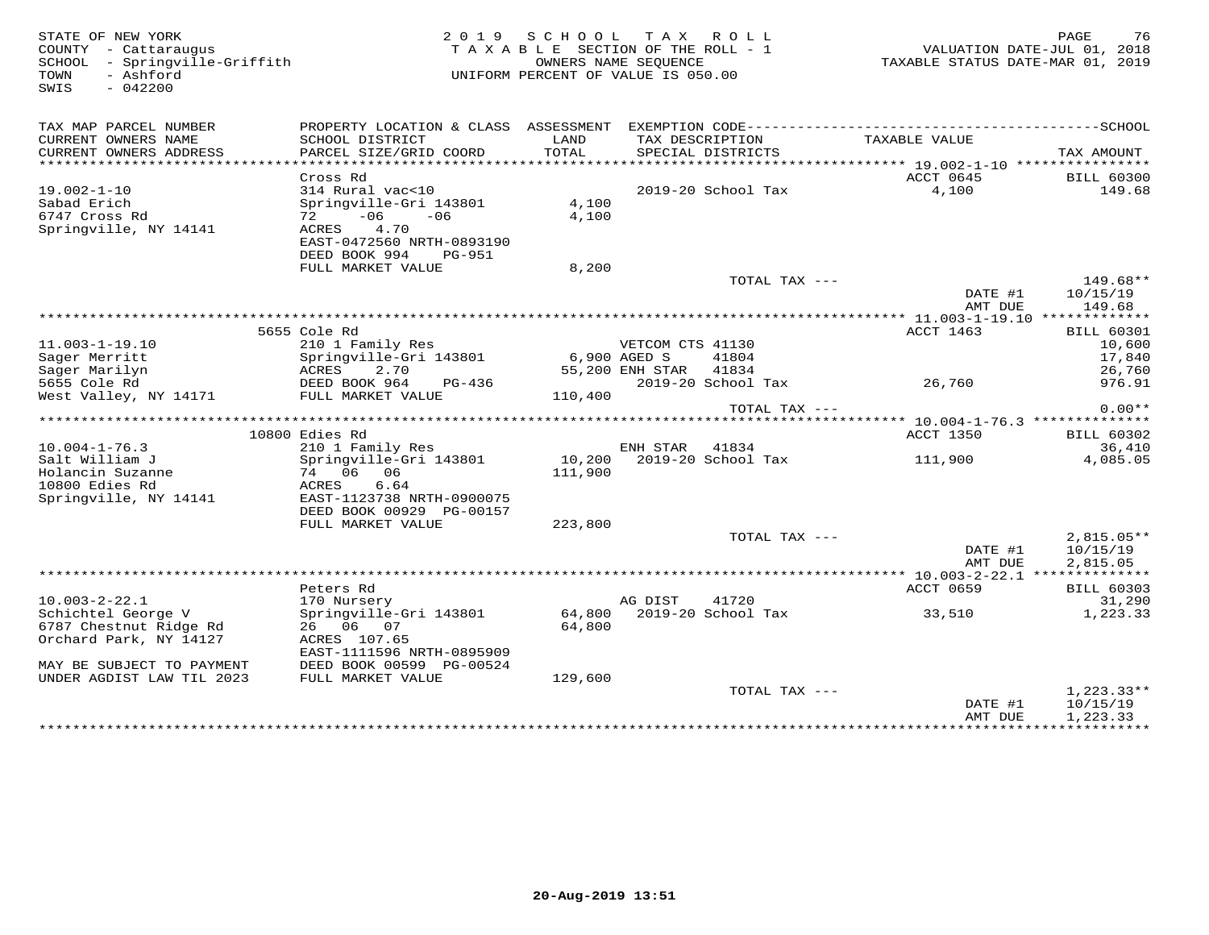STATE OF NEW YORK 2 0 1 9 S C H O O L T A X R O L L PAGE 76 COUNTY - Cattaraugus T A X A B L E SECTION OF THE ROLL - 1 VALUATION DATE-JUL 01, 2018 SCHOOL - Springville-Griffith OWNERS NAME SEQUENCE TAXABLE STATUS DATE-MAR 01, 2019 TOWN - Ashford UNIFORM PERCENT OF VALUE IS 050.00SWIS - 042200TAX MAP PARCEL NUMBER PROPERTY LOCATION & CLASS ASSESSMENT EXEMPTION CODE------------------------------------------SCHOOL CURRENT OWNERS NAME SCHOOL DISTRICT LAND TAX DESCRIPTION TAXABLE VALUE CURRENT OWNERS ADDRESS PARCEL SIZE/GRID COORD TOTAL SPECIAL DISTRICTS TAX AMOUNT \*\*\*\*\*\*\*\*\*\*\*\*\*\*\*\*\*\*\*\*\*\*\*\*\*\*\*\*\*\*\*\*\*\*\*\*\*\*\*\*\*\*\*\*\*\*\*\*\*\*\*\*\*\*\*\*\*\*\*\*\*\*\*\*\*\*\*\*\*\*\*\*\*\*\*\*\*\*\*\*\*\*\*\*\*\*\*\*\*\*\*\*\*\*\*\*\*\*\*\*\*\*\* 19.002-1-10 \*\*\*\*\*\*\*\*\*\*\*\*\*\*\*\* Cross Rd ACCT 0645 BILL 60300 19.002-1-10 314 Rural vac<10 2019-20 School Tax 4,100 149.68Sabad Erich Springville-Gri 143801 4,100 6747 Cross Rd 72 -06 -06 4,100 Springville, NY 14141 ACRES 4.70 EAST-0472560 NRTH-0893190 DEED BOOK 994 PG-951 FULL MARKET VALUE 8,200TOTAL TAX --- 149.68\*\*<br>DATE #1 10/15/19<br>2MT DIE 110/15/19 AMT DUE 149.68 \*\*\*\*\*\*\*\*\*\*\*\*\*\*\*\*\*\*\*\*\*\*\*\*\*\*\*\*\*\*\*\*\*\*\*\*\*\*\*\*\*\*\*\*\*\*\*\*\*\*\*\*\*\*\*\*\*\*\*\*\*\*\*\*\*\*\*\*\*\*\*\*\*\*\*\*\*\*\*\*\*\*\*\*\*\*\*\*\*\*\*\*\*\*\*\*\*\*\*\*\*\*\* 11.003-1-19.10 \*\*\*\*\*\*\*\*\*\*\*\*\*ACCT 1463 BILL 60301 5655 Cole Rd ACCT 1463 BILL 6030110,600 11.003-1-19.10 210 1 Family Res VETCOM CTS 41130 10,600 17,840 Sager Merritt Springville-Gri 143801 6,900 AGED S 41804 17,84026,760 Sager Marilyn ACRES 2.70 55,200 ENH STAR 41834 26,760976.91 5655 Cole Rd DEED BOOK 964 PG-436 2019-20 School Tax 26,760 976.91West Valley, NY 14171 FULL MARKET VALUE 110,400 TOTAL TAX --- 0.00\*\* \*\*\*\*\*\*\*\*\*\*\*\*\*\*\*\*\*\*\*\*\*\*\*\*\*\*\*\*\*\*\*\*\*\*\*\*\*\*\*\*\*\*\*\*\*\*\*\*\*\*\*\*\*\*\*\*\*\*\*\*\*\*\*\*\*\*\*\*\*\*\*\*\*\*\*\*\*\*\*\*\*\*\*\*\*\*\*\*\*\*\*\*\*\*\*\*\*\*\*\*\*\*\* 10.004-1-76.3 \*\*\*\*\*\*\*\*\*\*\*\*\*\*ACCT 1350 BILL 60302 10800 Edies Rd ACCT 1350 BILL 6030236,410 10.004-1-76.3 210 1 Family Res ENH STAR 41834 36,4104.085.05 Salt William J Springville-Gri 143801 10,200 2019-20 School Tax 111,900 4,085.05Holancin Suzanne 74 06 06 111,900 Holancin Suzanne<br>10800 Edies Rd Springville, NY 14141 EAST-1123738 NRTH-0900075 DEED BOOK 00929 PG-00157 DEED BOOK 00929 PG-00157 FULL MARKET VALUE 223,800 TOTAL TAX --- 2,815.05\*\* $\text{DATE}$  #1  $10/15/19$  AMT DUE 2,815.05 \*\*\*\*\*\*\*\*\*\*\*\*\*\*\*\*\*\*\*\*\*\*\*\*\*\*\*\*\*\*\*\*\*\*\*\*\*\*\*\*\*\*\*\*\*\*\*\*\*\*\*\*\*\*\*\*\*\*\*\*\*\*\*\*\*\*\*\*\*\*\*\*\*\*\*\*\*\*\*\*\*\*\*\*\*\*\*\*\*\*\*\*\*\*\*\*\*\*\*\*\*\*\* 10.003-2-22.1 \*\*\*\*\*\*\*\*\*\*\*\*\*\* Peters Rd ACCT 0659 BILL 60303 10.003-2-22.1 170 Nursery AG DIST 41720 31,290 Schichtel George V Springville-Gri 143801 64,800 2019-20 School Tax 33,510 1,223.33 6787 Chestnut Ridge Rd 26 06 07 64,800 Orchard Park, NY 14127 ACRES 107.65 EAST-1111596 NRTH-0895909 MAY BE SUBJECT TO PAYMENT DEED BOOK 00599 PG-00524 UNDER AGDIST LAW TIL 2023 FULL MARKET VALUE 129,600 ${\tt TOTAL\,\,\,} {\tt TAX}\,\, -- \hspace{2.5cm} {\tt 1\,},223\,.\,33***$ DATE #1 10/15/19<br>AMT DUE 1,223.33 \*\*\*\*\*\*\*\*\*\*\*\*\*\*\*\*\*\*\*\*\*\*\*\*\*\*\*\*\*\*\*\*\*\*\*\*\*\*\*\*\*\*\*\*\*\*\*\*\*\*\*\*\*\*\*\*\*\*\*\*\*\*\*\*\*\*\*\*\*\*\*\*\*\*\*\*\*\*\*\*\*\*\*\*\*\*\*\*\*\*\*\*\*\*\*\*\*\*\*\*\*\*\*\*\*\*\*\*\*\*\*\*\*\*\*\*\*\*\*\*\*\*\*\*\*\*\*\*\*\*\*\*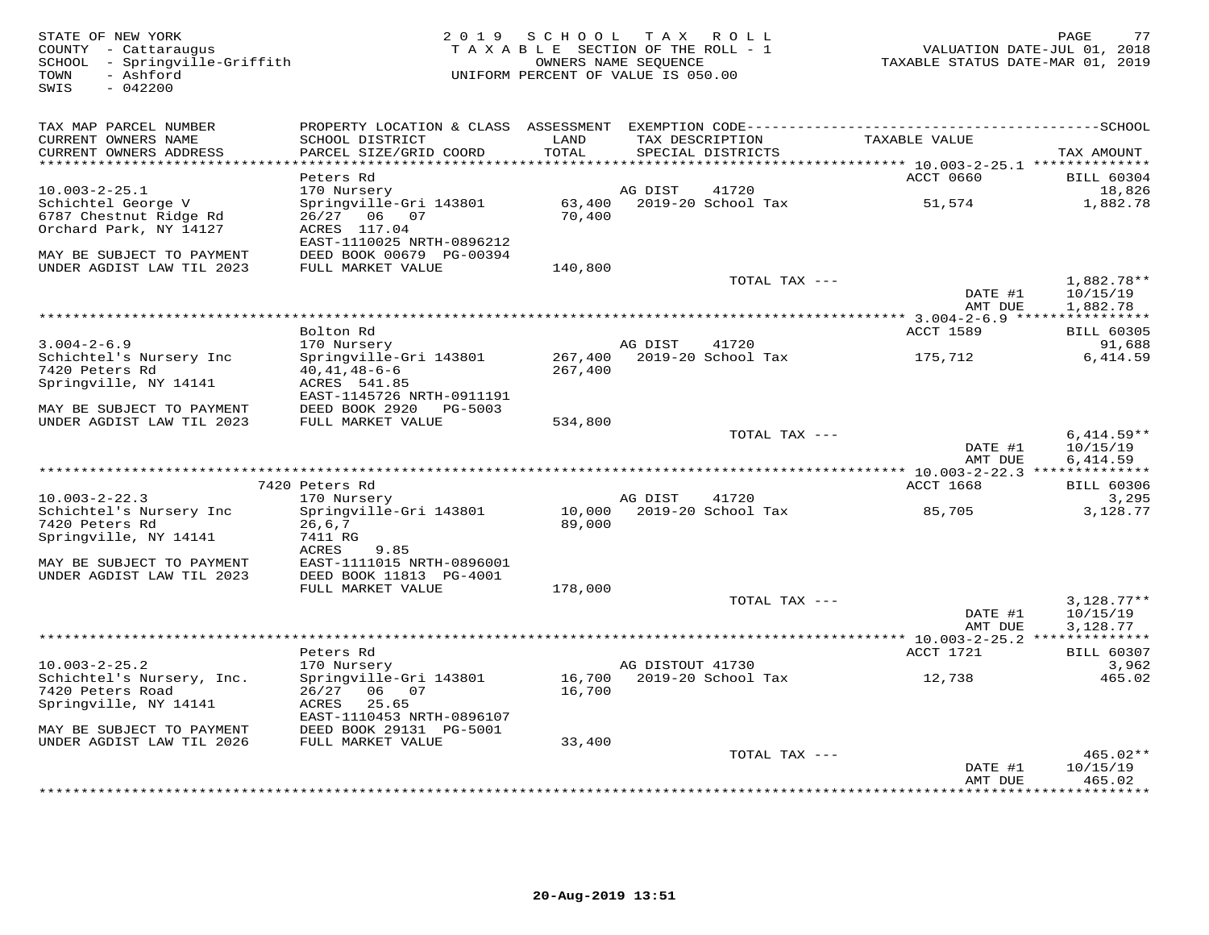SWIS - 042200

#### STATE OF NEW YORK 2 0 1 9 S C H O O L T A X R O L L PAGE 77COUNTY - Cattaraugus T A X A B L E SECTION OF THE ROLL - 1 VALUATION DATE-JUL 01, 2018SCHOOL - Springville-Griffith OWNERS NAME SEQUENCE TAXABLE STATUS DATE-MAR 01, 2019COUNTY - Cattaraugus<br>
SCHOOL - Springville-Griffith<br>
TAXABLE SECTION OF THE ROLL<br>
OWNERS NAME SEQUENCE<br>
OWNERS NAME SEQUENCE<br>
UNIFORM PERCENT OF VALUE IS 050.00

| TAX MAP PARCEL NUMBER<br>CURRENT OWNERS NAME | PROPERTY LOCATION & CLASS ASSESSMENT<br>SCHOOL DISTRICT | LAND             |                  | TAX DESCRIPTION                    | TAXABLE VALUE                            |                            |
|----------------------------------------------|---------------------------------------------------------|------------------|------------------|------------------------------------|------------------------------------------|----------------------------|
| CURRENT OWNERS ADDRESS                       | PARCEL SIZE/GRID COORD                                  | TOTAL            |                  | SPECIAL DISTRICTS                  |                                          | TAX AMOUNT                 |
| ********************                         |                                                         |                  |                  | ********************************** | *********** 10.003-2-25.1 ************** |                            |
|                                              | Peters Rd                                               |                  |                  |                                    | ACCT 0660                                | <b>BILL 60304</b>          |
| $10.003 - 2 - 25.1$                          | 170 Nursery                                             |                  | AG DIST          | 41720                              |                                          | 18,826                     |
| Schichtel George V                           | Springville-Gri 143801                                  | 63,400           |                  | 2019-20 School Tax                 | 51,574                                   | 1,882.78                   |
| 6787 Chestnut Ridge Rd                       | 26/27 06 07                                             | 70,400           |                  |                                    |                                          |                            |
| Orchard Park, NY 14127                       | ACRES 117.04<br>EAST-1110025 NRTH-0896212               |                  |                  |                                    |                                          |                            |
| MAY BE SUBJECT TO PAYMENT                    | DEED BOOK 00679 PG-00394                                |                  |                  |                                    |                                          |                            |
| UNDER AGDIST LAW TIL 2023                    | FULL MARKET VALUE                                       | 140,800          |                  |                                    |                                          |                            |
|                                              |                                                         |                  |                  | TOTAL TAX ---                      |                                          | 1,882.78**                 |
|                                              |                                                         |                  |                  |                                    | DATE #1                                  | 10/15/19                   |
|                                              |                                                         |                  |                  |                                    | AMT DUE                                  | 1,882.78                   |
|                                              |                                                         |                  |                  |                                    |                                          |                            |
|                                              | Bolton Rd                                               |                  |                  |                                    | <b>ACCT 1589</b>                         | <b>BILL 60305</b>          |
| $3.004 - 2 - 6.9$                            | 170 Nursery                                             |                  | AG DIST          | 41720                              |                                          | 91,688                     |
| Schichtel's Nursery Inc                      | Springville-Gri 143801                                  | 267,400          |                  | 2019-20 School Tax                 | 175,712                                  | 6,414.59                   |
| 7420 Peters Rd<br>Springville, NY 14141      | $40, 41, 48 - 6 - 6$<br>ACRES 541.85                    | 267,400          |                  |                                    |                                          |                            |
|                                              | EAST-1145726 NRTH-0911191                               |                  |                  |                                    |                                          |                            |
| MAY BE SUBJECT TO PAYMENT                    | DEED BOOK 2920<br>PG-5003                               |                  |                  |                                    |                                          |                            |
| UNDER AGDIST LAW TIL 2023                    | FULL MARKET VALUE                                       | 534,800          |                  |                                    |                                          |                            |
|                                              |                                                         |                  |                  | TOTAL TAX ---                      |                                          | $6,414.59**$               |
|                                              |                                                         |                  |                  |                                    | DATE #1                                  | 10/15/19                   |
|                                              |                                                         |                  |                  |                                    | AMT DUE                                  | 6,414.59                   |
|                                              |                                                         |                  |                  |                                    |                                          |                            |
|                                              | 7420 Peters Rd                                          |                  |                  |                                    | ACCT 1668                                | <b>BILL 60306</b>          |
| $10.003 - 2 - 22.3$                          | 170 Nursery                                             |                  | AG DIST          | 41720                              |                                          | 3,295                      |
| Schichtel's Nursery Inc<br>7420 Peters Rd    | Springville-Gri 143801<br>26,6,7                        | 10,000<br>89,000 |                  | 2019-20 School Tax                 | 85,705                                   | 3,128.77                   |
| Springville, NY 14141                        | 7411 RG                                                 |                  |                  |                                    |                                          |                            |
|                                              | ACRES<br>9.85                                           |                  |                  |                                    |                                          |                            |
| MAY BE SUBJECT TO PAYMENT                    | EAST-1111015 NRTH-0896001                               |                  |                  |                                    |                                          |                            |
| UNDER AGDIST LAW TIL 2023                    | DEED BOOK 11813 PG-4001                                 |                  |                  |                                    |                                          |                            |
|                                              | FULL MARKET VALUE                                       | 178,000          |                  |                                    |                                          |                            |
|                                              |                                                         |                  |                  | TOTAL TAX ---                      |                                          | $3,128.77**$               |
|                                              |                                                         |                  |                  |                                    | DATE #1                                  | 10/15/19                   |
| *****************************                |                                                         |                  |                  |                                    | AMT DUE                                  | 3,128.77                   |
|                                              |                                                         |                  |                  |                                    |                                          |                            |
| $10.003 - 2 - 25.2$                          | Peters Rd<br>170 Nursery                                |                  | AG DISTOUT 41730 |                                    | ACCT 1721                                | <b>BILL 60307</b><br>3,962 |
| Schichtel's Nursery, Inc.                    | Springville-Gri 143801                                  | 16,700           |                  | 2019-20 School Tax                 | 12,738                                   | 465.02                     |
| 7420 Peters Road                             | 26/27 06 07                                             | 16,700           |                  |                                    |                                          |                            |
| Springville, NY 14141                        | 25.65<br>ACRES                                          |                  |                  |                                    |                                          |                            |
|                                              | EAST-1110453 NRTH-0896107                               |                  |                  |                                    |                                          |                            |
| MAY BE SUBJECT TO PAYMENT                    | DEED BOOK 29131 PG-5001                                 |                  |                  |                                    |                                          |                            |
| UNDER AGDIST LAW TIL 2026                    | FULL MARKET VALUE                                       | 33,400           |                  |                                    |                                          |                            |
|                                              |                                                         |                  |                  | TOTAL TAX ---                      |                                          | $465.02**$                 |
|                                              |                                                         |                  |                  |                                    | DATE #1                                  | 10/15/19                   |
|                                              |                                                         |                  |                  |                                    | AMT DUE                                  | 465.02                     |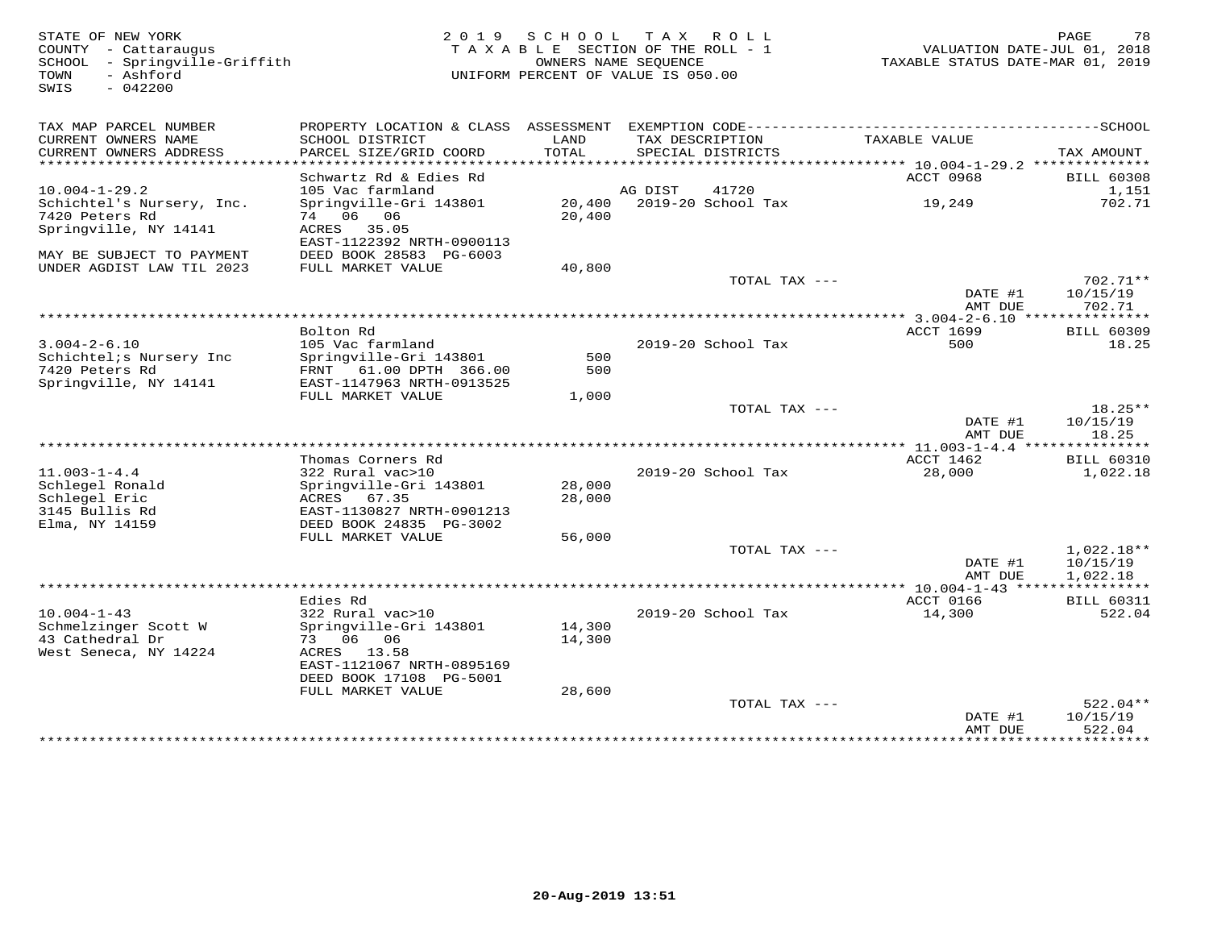STATE OF NEW YORK 2 0 1 9 S C H O O L T A X R O L L PAGE 78 COUNTY - Cattaraugus T A X A B L E SECTION OF THE ROLL - 1 VALUATION DATE-JUL 01, 2018 SCHOOL - Springville-Griffith OWNERS NAME SEQUENCE TAXABLE STATUS DATE-MAR 01, 2019 TOWN - Ashford UNIFORM PERCENT OF VALUE IS 050.00SWIS - 042200TAX MAP PARCEL NUMBER PROPERTY LOCATION & CLASS ASSESSMENT EXEMPTION CODE------------------------------------------SCHOOL CURRENT OWNERS NAME SCHOOL DISTRICT LAND TAX DESCRIPTION TAXABLE VALUE CURRENT OWNERS ADDRESS PARCEL SIZE/GRID COORD TOTAL SPECIAL DISTRICTS TAX AMOUNT \*\*\*\*\*\*\*\*\*\*\*\*\*\*\*\*\*\*\*\*\*\*\*\*\*\*\*\*\*\*\*\*\*\*\*\*\*\*\*\*\*\*\*\*\*\*\*\*\*\*\*\*\*\*\*\*\*\*\*\*\*\*\*\*\*\*\*\*\*\*\*\*\*\*\*\*\*\*\*\*\*\*\*\*\*\*\*\*\*\*\*\*\*\*\*\*\*\*\*\*\*\*\* 10.004-1-29.2 \*\*\*\*\*\*\*\*\*\*\*\*\*\*ACCT 0968 BILL 60308 Schwartz Rd & Edies Rd ACCT 0968 BILL 603081,151 10.004-1-29.2 105 Vac farmland AG DIST 41720 1,151702 71 Schichtel's Nursery, Inc. Springville-Gri 143801 20,400 2019-20 School Tax 19,249 702.717420 Peters Rd 74 06 06 20,400 Springville, NY 14141 ACRES 35.05 EAST-1122392 NRTH-0900113 MAY BE SUBJECT TO PAYMENT DEED BOOK 28583 PG-6003 UNDER AGDIST LAW TIL 2023 FULL MARKET VALUE 40,800 TOTAL TAX --- 702.71\*\*DATE #1 10/15/19<br>2002/219 AMT DUE 702.71 \*\*\*\*\*\*\*\*\*\*\*\*\*\*\*\*\*\*\*\*\*\*\*\*\*\*\*\*\*\*\*\*\*\*\*\*\*\*\*\*\*\*\*\*\*\*\*\*\*\*\*\*\*\*\*\*\*\*\*\*\*\*\*\*\*\*\*\*\*\*\*\*\*\*\*\*\*\*\*\*\*\*\*\*\*\*\*\*\*\*\*\*\*\*\*\*\*\*\*\*\*\*\* 3.004-2-6.10 \*\*\*\*\*\*\*\*\*\*\*\*\*\*\*ACCT 1699 BILL 60309 Bolton Rd ACCT 1699 BILL 6030918.25 3.004-2-6.10 105 Vac farmland 2019-20 School Tax 500 18.25Schichtel;s Nursery Inc Springville-Gri 143801 500 7420 Peters Rd FRNT 61.00 DPTH 366.00 500 Springville, NY 14141 EAST-1147963 NRTH-0913525 FULL MARKET VALUE 1,000TOTAL TAX  $---$  18.25\*\*  $\text{DATE}$  #1  $10/15/19$ AMT DUE 18.25 AMT DUE 18.25 \*\*\*\*\*\*\*\*\*\*\*\*\*\*\*\*\*\*\*\*\*\*\*\*\*\*\*\*\*\*\*\*\*\*\*\*\*\*\*\*\*\*\*\*\*\*\*\*\*\*\*\*\*\*\*\*\*\*\*\*\*\*\*\*\*\*\*\*\*\*\*\*\*\*\*\*\*\*\*\*\*\*\*\*\*\*\*\*\*\*\*\*\*\*\*\*\*\*\*\*\*\*\* 11.003-1-4.4 \*\*\*\*\*\*\*\*\*\*\*\*\*\*\* Thomas Corners Rd ACCT 1462 BILL 6031011.003-1-4.4 322 Rural vac>10 2019-20 School Tax 28,000 1,022.18Schlegel Ronald Springville-Gri 143801 28,000 Schlegel Eric ACRES 67.35 28,000 3145 Bullis Rd EAST-1130827 NRTH-0901213 Elma, NY 14159 DEED BOOK 24835 PG-3002 FULL MARKET VALUE 56,000 TOTAL TAX --- 1,022.18\*\* $\text{DATE}$  #1  $10/15/19$ AMT DUE 1,022.18 AMT DUE 1,022.18 \*\*\*\*\*\*\*\*\*\*\*\*\*\*\*\*\*\*\*\*\*\*\*\*\*\*\*\*\*\*\*\*\*\*\*\*\*\*\*\*\*\*\*\*\*\*\*\*\*\*\*\*\*\*\*\*\*\*\*\*\*\*\*\*\*\*\*\*\*\*\*\*\*\*\*\*\*\*\*\*\*\*\*\*\*\*\*\*\*\*\*\*\*\*\*\*\*\*\*\*\*\*\* 10.004-1-43 \*\*\*\*\*\*\*\*\*\*\*\*\*\*\*\* Edies Rd ACCT 0166 BILL 60311 10.004-1-43 322 Rural vac>10 2019-20 School Tax 14,300 522.04Schmelzinger Scott W Springville-Gri 143801 14,300 43 Cathedral Dr 73 06 06 14,300 West Seneca, NY 14224 EAST-1121067 NRTH-0895169 DEED BOOK 17108 PG-5001 FULL MARKET VALUE 28,60028,600 TOTAL TAX --- 522.04\*\* $10/15/19$  $\texttt{DATE}$ #1 10/15/19 AMT DUE 522.04

\*\*\*\*\*\*\*\*\*\*\*\*\*\*\*\*\*\*\*\*\*\*\*\*\*\*\*\*\*\*\*\*\*\*\*\*\*\*\*\*\*\*\*\*\*\*\*\*\*\*\*\*\*\*\*\*\*\*\*\*\*\*\*\*\*\*\*\*\*\*\*\*\*\*\*\*\*\*\*\*\*\*\*\*\*\*\*\*\*\*\*\*\*\*\*\*\*\*\*\*\*\*\*\*\*\*\*\*\*\*\*\*\*\*\*\*\*\*\*\*\*\*\*\*\*\*\*\*\*\*\*\*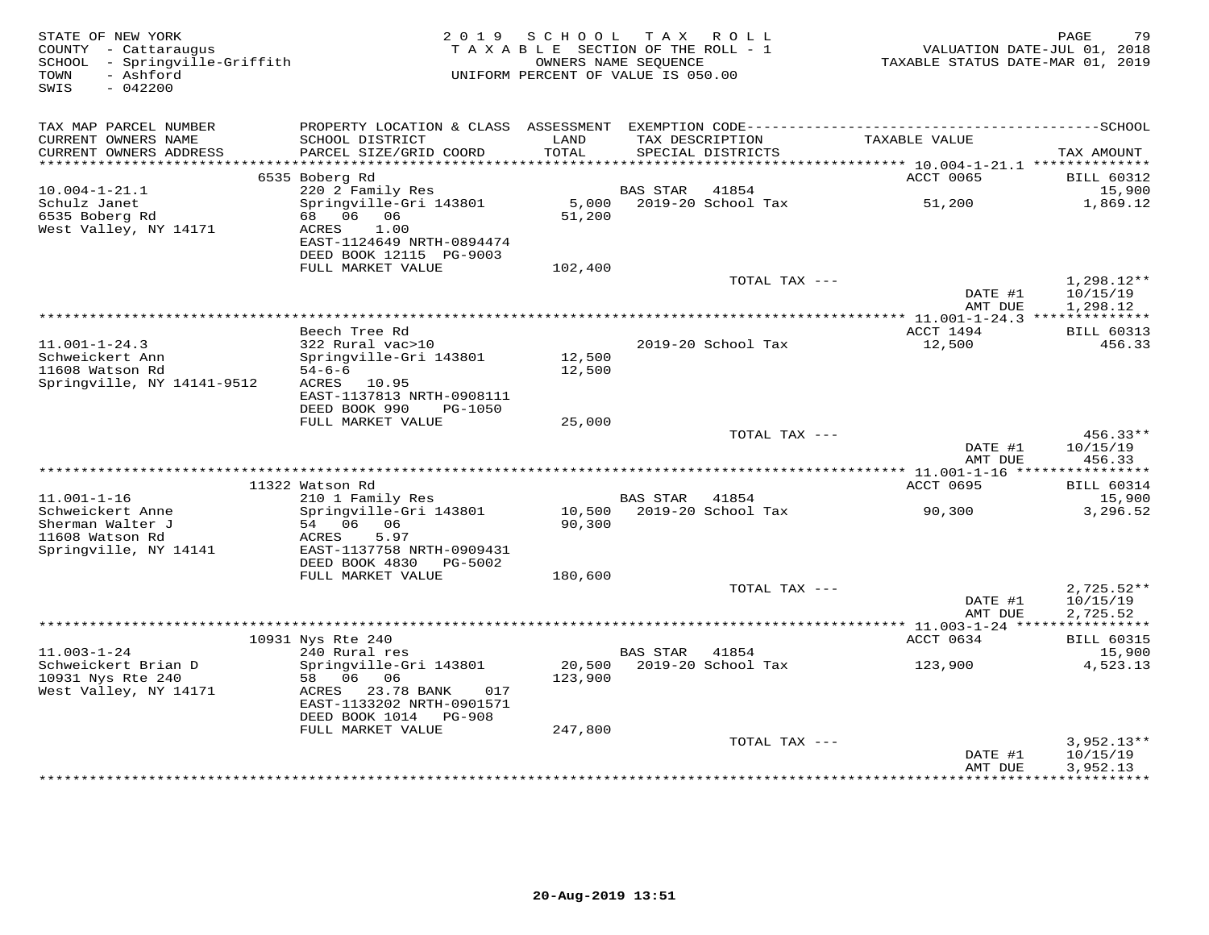| TAX MAP PARCEL NUMBER<br>LAND<br>TAX DESCRIPTION<br>TAXABLE VALUE<br>CURRENT OWNERS NAME<br>SCHOOL DISTRICT<br>CURRENT OWNERS ADDRESS<br>PARCEL SIZE/GRID COORD<br>TOTAL<br>SPECIAL DISTRICTS<br>TAX AMOUNT<br>***********************<br>6535 Boberg Rd<br>ACCT 0065<br><b>BILL 60312</b><br>$10.004 - 1 - 21.1$<br>220 2 Family Res<br>15,900<br>BAS STAR<br>41854<br>Schulz Janet<br>Springville-Gri 143801<br>5,000<br>2019-20 School Tax<br>51,200<br>1,869.12<br>6535 Boberg Rd<br>68 06 06<br>51,200<br>West Valley, NY 14171<br>ACRES<br>1.00<br>EAST-1124649 NRTH-0894474<br>DEED BOOK 12115 PG-9003<br>FULL MARKET VALUE<br>102,400<br>TOTAL TAX ---<br>$1,298.12**$<br>DATE #1<br>10/15/19<br>AMT DUE<br>1,298.12<br>ACCT 1494<br><b>BILL 60313</b><br>Beech Tree Rd<br>$11.001 - 1 - 24.3$<br>322 Rural vac>10<br>2019-20 School Tax<br>12,500<br>456.33<br>Schweickert Ann<br>Springville-Gri 143801<br>12,500<br>11608 Watson Rd<br>$54 - 6 - 6$<br>12,500<br>Springville, NY 14141-9512<br>ACRES 10.95<br>EAST-1137813 NRTH-0908111<br>DEED BOOK 990<br>PG-1050<br>FULL MARKET VALUE<br>25,000<br>TOTAL TAX ---<br>$456.33**$<br>DATE #1<br>10/15/19<br>AMT DUE<br>456.33<br><b>ACCT 0695</b><br><b>BILL 60314</b><br>11322 Watson Rd<br>$11.001 - 1 - 16$<br>210 1 Family Res<br><b>BAS STAR</b><br>41854<br>15,900<br>10,500 2019-20 School Tax<br>Schweickert Anne<br>3,296.52<br>Springville-Gri 143801<br>90,300<br>Sherman Walter J<br>54 06<br>90,300<br>06<br>11608 Watson Rd<br>ACRES<br>5.97<br>Springville, NY 14141<br>EAST-1137758 NRTH-0909431<br>DEED BOOK 4830<br>PG-5002<br>FULL MARKET VALUE<br>180,600<br>TOTAL TAX ---<br>$2,725.52**$<br>DATE #1<br>10/15/19<br>AMT DUE<br>2,725.52<br>***********<br>10931 Nys Rte 240<br>ACCT 0634<br><b>BILL 60315</b><br>$11.003 - 1 - 24$<br>240 Rural res<br><b>BAS STAR</b><br>41854<br>15,900<br>Schweickert Brian D<br>Springville-Gri 143801<br>20,500<br>2019-20 School Tax<br>123,900<br>4,523.13<br>10931 Nys Rte 240<br>58 06 06<br>123,900<br>West Valley, NY 14171<br>23.78 BANK<br>ACRES<br>017<br>EAST-1133202 NRTH-0901571<br>DEED BOOK 1014 PG-908<br>FULL MARKET VALUE<br>247,800<br>TOTAL TAX ---<br>$3,952.13**$<br>DATE #1<br>10/15/19<br>3,952.13<br>AMT DUE<br>* * * * * * * * * * * *<br>*********** | STATE OF NEW YORK<br>COUNTY - Cattaraugus<br>SCHOOL - Springville-Griffith<br>- Ashford<br>TOWN<br>SWIS<br>$-042200$ | 2 0 1 9 | SCHOOL<br>TAXABLE SECTION OF THE ROLL - 1<br>OWNERS NAME SEOUENCE<br>UNIFORM PERCENT OF VALUE IS 050.00 | TAX ROLL | VALUATION DATE-JUL 01, 2018<br>TAXABLE STATUS DATE-MAR 01, 2019 | 79<br>PAGE |
|-----------------------------------------------------------------------------------------------------------------------------------------------------------------------------------------------------------------------------------------------------------------------------------------------------------------------------------------------------------------------------------------------------------------------------------------------------------------------------------------------------------------------------------------------------------------------------------------------------------------------------------------------------------------------------------------------------------------------------------------------------------------------------------------------------------------------------------------------------------------------------------------------------------------------------------------------------------------------------------------------------------------------------------------------------------------------------------------------------------------------------------------------------------------------------------------------------------------------------------------------------------------------------------------------------------------------------------------------------------------------------------------------------------------------------------------------------------------------------------------------------------------------------------------------------------------------------------------------------------------------------------------------------------------------------------------------------------------------------------------------------------------------------------------------------------------------------------------------------------------------------------------------------------------------------------------------------------------------------------------------------------------------------------------------------------------------------------------------------------------------------------------------------------------------------------------------------------------------------------------------------------------------------------------------------|----------------------------------------------------------------------------------------------------------------------|---------|---------------------------------------------------------------------------------------------------------|----------|-----------------------------------------------------------------|------------|
|                                                                                                                                                                                                                                                                                                                                                                                                                                                                                                                                                                                                                                                                                                                                                                                                                                                                                                                                                                                                                                                                                                                                                                                                                                                                                                                                                                                                                                                                                                                                                                                                                                                                                                                                                                                                                                                                                                                                                                                                                                                                                                                                                                                                                                                                                                     |                                                                                                                      |         |                                                                                                         |          |                                                                 |            |
|                                                                                                                                                                                                                                                                                                                                                                                                                                                                                                                                                                                                                                                                                                                                                                                                                                                                                                                                                                                                                                                                                                                                                                                                                                                                                                                                                                                                                                                                                                                                                                                                                                                                                                                                                                                                                                                                                                                                                                                                                                                                                                                                                                                                                                                                                                     |                                                                                                                      |         |                                                                                                         |          |                                                                 |            |
|                                                                                                                                                                                                                                                                                                                                                                                                                                                                                                                                                                                                                                                                                                                                                                                                                                                                                                                                                                                                                                                                                                                                                                                                                                                                                                                                                                                                                                                                                                                                                                                                                                                                                                                                                                                                                                                                                                                                                                                                                                                                                                                                                                                                                                                                                                     |                                                                                                                      |         |                                                                                                         |          |                                                                 |            |
|                                                                                                                                                                                                                                                                                                                                                                                                                                                                                                                                                                                                                                                                                                                                                                                                                                                                                                                                                                                                                                                                                                                                                                                                                                                                                                                                                                                                                                                                                                                                                                                                                                                                                                                                                                                                                                                                                                                                                                                                                                                                                                                                                                                                                                                                                                     |                                                                                                                      |         |                                                                                                         |          |                                                                 |            |
|                                                                                                                                                                                                                                                                                                                                                                                                                                                                                                                                                                                                                                                                                                                                                                                                                                                                                                                                                                                                                                                                                                                                                                                                                                                                                                                                                                                                                                                                                                                                                                                                                                                                                                                                                                                                                                                                                                                                                                                                                                                                                                                                                                                                                                                                                                     |                                                                                                                      |         |                                                                                                         |          |                                                                 |            |
|                                                                                                                                                                                                                                                                                                                                                                                                                                                                                                                                                                                                                                                                                                                                                                                                                                                                                                                                                                                                                                                                                                                                                                                                                                                                                                                                                                                                                                                                                                                                                                                                                                                                                                                                                                                                                                                                                                                                                                                                                                                                                                                                                                                                                                                                                                     |                                                                                                                      |         |                                                                                                         |          |                                                                 |            |
|                                                                                                                                                                                                                                                                                                                                                                                                                                                                                                                                                                                                                                                                                                                                                                                                                                                                                                                                                                                                                                                                                                                                                                                                                                                                                                                                                                                                                                                                                                                                                                                                                                                                                                                                                                                                                                                                                                                                                                                                                                                                                                                                                                                                                                                                                                     |                                                                                                                      |         |                                                                                                         |          |                                                                 |            |
|                                                                                                                                                                                                                                                                                                                                                                                                                                                                                                                                                                                                                                                                                                                                                                                                                                                                                                                                                                                                                                                                                                                                                                                                                                                                                                                                                                                                                                                                                                                                                                                                                                                                                                                                                                                                                                                                                                                                                                                                                                                                                                                                                                                                                                                                                                     |                                                                                                                      |         |                                                                                                         |          |                                                                 |            |
|                                                                                                                                                                                                                                                                                                                                                                                                                                                                                                                                                                                                                                                                                                                                                                                                                                                                                                                                                                                                                                                                                                                                                                                                                                                                                                                                                                                                                                                                                                                                                                                                                                                                                                                                                                                                                                                                                                                                                                                                                                                                                                                                                                                                                                                                                                     |                                                                                                                      |         |                                                                                                         |          |                                                                 |            |
|                                                                                                                                                                                                                                                                                                                                                                                                                                                                                                                                                                                                                                                                                                                                                                                                                                                                                                                                                                                                                                                                                                                                                                                                                                                                                                                                                                                                                                                                                                                                                                                                                                                                                                                                                                                                                                                                                                                                                                                                                                                                                                                                                                                                                                                                                                     |                                                                                                                      |         |                                                                                                         |          |                                                                 |            |
|                                                                                                                                                                                                                                                                                                                                                                                                                                                                                                                                                                                                                                                                                                                                                                                                                                                                                                                                                                                                                                                                                                                                                                                                                                                                                                                                                                                                                                                                                                                                                                                                                                                                                                                                                                                                                                                                                                                                                                                                                                                                                                                                                                                                                                                                                                     |                                                                                                                      |         |                                                                                                         |          |                                                                 |            |
|                                                                                                                                                                                                                                                                                                                                                                                                                                                                                                                                                                                                                                                                                                                                                                                                                                                                                                                                                                                                                                                                                                                                                                                                                                                                                                                                                                                                                                                                                                                                                                                                                                                                                                                                                                                                                                                                                                                                                                                                                                                                                                                                                                                                                                                                                                     |                                                                                                                      |         |                                                                                                         |          |                                                                 |            |
|                                                                                                                                                                                                                                                                                                                                                                                                                                                                                                                                                                                                                                                                                                                                                                                                                                                                                                                                                                                                                                                                                                                                                                                                                                                                                                                                                                                                                                                                                                                                                                                                                                                                                                                                                                                                                                                                                                                                                                                                                                                                                                                                                                                                                                                                                                     |                                                                                                                      |         |                                                                                                         |          |                                                                 |            |
|                                                                                                                                                                                                                                                                                                                                                                                                                                                                                                                                                                                                                                                                                                                                                                                                                                                                                                                                                                                                                                                                                                                                                                                                                                                                                                                                                                                                                                                                                                                                                                                                                                                                                                                                                                                                                                                                                                                                                                                                                                                                                                                                                                                                                                                                                                     |                                                                                                                      |         |                                                                                                         |          |                                                                 |            |
|                                                                                                                                                                                                                                                                                                                                                                                                                                                                                                                                                                                                                                                                                                                                                                                                                                                                                                                                                                                                                                                                                                                                                                                                                                                                                                                                                                                                                                                                                                                                                                                                                                                                                                                                                                                                                                                                                                                                                                                                                                                                                                                                                                                                                                                                                                     |                                                                                                                      |         |                                                                                                         |          |                                                                 |            |
|                                                                                                                                                                                                                                                                                                                                                                                                                                                                                                                                                                                                                                                                                                                                                                                                                                                                                                                                                                                                                                                                                                                                                                                                                                                                                                                                                                                                                                                                                                                                                                                                                                                                                                                                                                                                                                                                                                                                                                                                                                                                                                                                                                                                                                                                                                     |                                                                                                                      |         |                                                                                                         |          |                                                                 |            |
|                                                                                                                                                                                                                                                                                                                                                                                                                                                                                                                                                                                                                                                                                                                                                                                                                                                                                                                                                                                                                                                                                                                                                                                                                                                                                                                                                                                                                                                                                                                                                                                                                                                                                                                                                                                                                                                                                                                                                                                                                                                                                                                                                                                                                                                                                                     |                                                                                                                      |         |                                                                                                         |          |                                                                 |            |
|                                                                                                                                                                                                                                                                                                                                                                                                                                                                                                                                                                                                                                                                                                                                                                                                                                                                                                                                                                                                                                                                                                                                                                                                                                                                                                                                                                                                                                                                                                                                                                                                                                                                                                                                                                                                                                                                                                                                                                                                                                                                                                                                                                                                                                                                                                     |                                                                                                                      |         |                                                                                                         |          |                                                                 |            |
|                                                                                                                                                                                                                                                                                                                                                                                                                                                                                                                                                                                                                                                                                                                                                                                                                                                                                                                                                                                                                                                                                                                                                                                                                                                                                                                                                                                                                                                                                                                                                                                                                                                                                                                                                                                                                                                                                                                                                                                                                                                                                                                                                                                                                                                                                                     |                                                                                                                      |         |                                                                                                         |          |                                                                 |            |
|                                                                                                                                                                                                                                                                                                                                                                                                                                                                                                                                                                                                                                                                                                                                                                                                                                                                                                                                                                                                                                                                                                                                                                                                                                                                                                                                                                                                                                                                                                                                                                                                                                                                                                                                                                                                                                                                                                                                                                                                                                                                                                                                                                                                                                                                                                     |                                                                                                                      |         |                                                                                                         |          |                                                                 |            |
|                                                                                                                                                                                                                                                                                                                                                                                                                                                                                                                                                                                                                                                                                                                                                                                                                                                                                                                                                                                                                                                                                                                                                                                                                                                                                                                                                                                                                                                                                                                                                                                                                                                                                                                                                                                                                                                                                                                                                                                                                                                                                                                                                                                                                                                                                                     |                                                                                                                      |         |                                                                                                         |          |                                                                 |            |
|                                                                                                                                                                                                                                                                                                                                                                                                                                                                                                                                                                                                                                                                                                                                                                                                                                                                                                                                                                                                                                                                                                                                                                                                                                                                                                                                                                                                                                                                                                                                                                                                                                                                                                                                                                                                                                                                                                                                                                                                                                                                                                                                                                                                                                                                                                     |                                                                                                                      |         |                                                                                                         |          |                                                                 |            |
|                                                                                                                                                                                                                                                                                                                                                                                                                                                                                                                                                                                                                                                                                                                                                                                                                                                                                                                                                                                                                                                                                                                                                                                                                                                                                                                                                                                                                                                                                                                                                                                                                                                                                                                                                                                                                                                                                                                                                                                                                                                                                                                                                                                                                                                                                                     |                                                                                                                      |         |                                                                                                         |          |                                                                 |            |
|                                                                                                                                                                                                                                                                                                                                                                                                                                                                                                                                                                                                                                                                                                                                                                                                                                                                                                                                                                                                                                                                                                                                                                                                                                                                                                                                                                                                                                                                                                                                                                                                                                                                                                                                                                                                                                                                                                                                                                                                                                                                                                                                                                                                                                                                                                     |                                                                                                                      |         |                                                                                                         |          |                                                                 |            |
|                                                                                                                                                                                                                                                                                                                                                                                                                                                                                                                                                                                                                                                                                                                                                                                                                                                                                                                                                                                                                                                                                                                                                                                                                                                                                                                                                                                                                                                                                                                                                                                                                                                                                                                                                                                                                                                                                                                                                                                                                                                                                                                                                                                                                                                                                                     |                                                                                                                      |         |                                                                                                         |          |                                                                 |            |
|                                                                                                                                                                                                                                                                                                                                                                                                                                                                                                                                                                                                                                                                                                                                                                                                                                                                                                                                                                                                                                                                                                                                                                                                                                                                                                                                                                                                                                                                                                                                                                                                                                                                                                                                                                                                                                                                                                                                                                                                                                                                                                                                                                                                                                                                                                     |                                                                                                                      |         |                                                                                                         |          |                                                                 |            |
|                                                                                                                                                                                                                                                                                                                                                                                                                                                                                                                                                                                                                                                                                                                                                                                                                                                                                                                                                                                                                                                                                                                                                                                                                                                                                                                                                                                                                                                                                                                                                                                                                                                                                                                                                                                                                                                                                                                                                                                                                                                                                                                                                                                                                                                                                                     |                                                                                                                      |         |                                                                                                         |          |                                                                 |            |
|                                                                                                                                                                                                                                                                                                                                                                                                                                                                                                                                                                                                                                                                                                                                                                                                                                                                                                                                                                                                                                                                                                                                                                                                                                                                                                                                                                                                                                                                                                                                                                                                                                                                                                                                                                                                                                                                                                                                                                                                                                                                                                                                                                                                                                                                                                     |                                                                                                                      |         |                                                                                                         |          |                                                                 |            |
|                                                                                                                                                                                                                                                                                                                                                                                                                                                                                                                                                                                                                                                                                                                                                                                                                                                                                                                                                                                                                                                                                                                                                                                                                                                                                                                                                                                                                                                                                                                                                                                                                                                                                                                                                                                                                                                                                                                                                                                                                                                                                                                                                                                                                                                                                                     |                                                                                                                      |         |                                                                                                         |          |                                                                 |            |
|                                                                                                                                                                                                                                                                                                                                                                                                                                                                                                                                                                                                                                                                                                                                                                                                                                                                                                                                                                                                                                                                                                                                                                                                                                                                                                                                                                                                                                                                                                                                                                                                                                                                                                                                                                                                                                                                                                                                                                                                                                                                                                                                                                                                                                                                                                     |                                                                                                                      |         |                                                                                                         |          |                                                                 |            |
|                                                                                                                                                                                                                                                                                                                                                                                                                                                                                                                                                                                                                                                                                                                                                                                                                                                                                                                                                                                                                                                                                                                                                                                                                                                                                                                                                                                                                                                                                                                                                                                                                                                                                                                                                                                                                                                                                                                                                                                                                                                                                                                                                                                                                                                                                                     |                                                                                                                      |         |                                                                                                         |          |                                                                 |            |
|                                                                                                                                                                                                                                                                                                                                                                                                                                                                                                                                                                                                                                                                                                                                                                                                                                                                                                                                                                                                                                                                                                                                                                                                                                                                                                                                                                                                                                                                                                                                                                                                                                                                                                                                                                                                                                                                                                                                                                                                                                                                                                                                                                                                                                                                                                     |                                                                                                                      |         |                                                                                                         |          |                                                                 |            |
|                                                                                                                                                                                                                                                                                                                                                                                                                                                                                                                                                                                                                                                                                                                                                                                                                                                                                                                                                                                                                                                                                                                                                                                                                                                                                                                                                                                                                                                                                                                                                                                                                                                                                                                                                                                                                                                                                                                                                                                                                                                                                                                                                                                                                                                                                                     |                                                                                                                      |         |                                                                                                         |          |                                                                 |            |
|                                                                                                                                                                                                                                                                                                                                                                                                                                                                                                                                                                                                                                                                                                                                                                                                                                                                                                                                                                                                                                                                                                                                                                                                                                                                                                                                                                                                                                                                                                                                                                                                                                                                                                                                                                                                                                                                                                                                                                                                                                                                                                                                                                                                                                                                                                     |                                                                                                                      |         |                                                                                                         |          |                                                                 |            |
|                                                                                                                                                                                                                                                                                                                                                                                                                                                                                                                                                                                                                                                                                                                                                                                                                                                                                                                                                                                                                                                                                                                                                                                                                                                                                                                                                                                                                                                                                                                                                                                                                                                                                                                                                                                                                                                                                                                                                                                                                                                                                                                                                                                                                                                                                                     |                                                                                                                      |         |                                                                                                         |          |                                                                 |            |
|                                                                                                                                                                                                                                                                                                                                                                                                                                                                                                                                                                                                                                                                                                                                                                                                                                                                                                                                                                                                                                                                                                                                                                                                                                                                                                                                                                                                                                                                                                                                                                                                                                                                                                                                                                                                                                                                                                                                                                                                                                                                                                                                                                                                                                                                                                     |                                                                                                                      |         |                                                                                                         |          |                                                                 |            |
|                                                                                                                                                                                                                                                                                                                                                                                                                                                                                                                                                                                                                                                                                                                                                                                                                                                                                                                                                                                                                                                                                                                                                                                                                                                                                                                                                                                                                                                                                                                                                                                                                                                                                                                                                                                                                                                                                                                                                                                                                                                                                                                                                                                                                                                                                                     |                                                                                                                      |         |                                                                                                         |          |                                                                 |            |
|                                                                                                                                                                                                                                                                                                                                                                                                                                                                                                                                                                                                                                                                                                                                                                                                                                                                                                                                                                                                                                                                                                                                                                                                                                                                                                                                                                                                                                                                                                                                                                                                                                                                                                                                                                                                                                                                                                                                                                                                                                                                                                                                                                                                                                                                                                     |                                                                                                                      |         |                                                                                                         |          |                                                                 |            |
|                                                                                                                                                                                                                                                                                                                                                                                                                                                                                                                                                                                                                                                                                                                                                                                                                                                                                                                                                                                                                                                                                                                                                                                                                                                                                                                                                                                                                                                                                                                                                                                                                                                                                                                                                                                                                                                                                                                                                                                                                                                                                                                                                                                                                                                                                                     |                                                                                                                      |         |                                                                                                         |          |                                                                 |            |
|                                                                                                                                                                                                                                                                                                                                                                                                                                                                                                                                                                                                                                                                                                                                                                                                                                                                                                                                                                                                                                                                                                                                                                                                                                                                                                                                                                                                                                                                                                                                                                                                                                                                                                                                                                                                                                                                                                                                                                                                                                                                                                                                                                                                                                                                                                     |                                                                                                                      |         |                                                                                                         |          |                                                                 |            |
|                                                                                                                                                                                                                                                                                                                                                                                                                                                                                                                                                                                                                                                                                                                                                                                                                                                                                                                                                                                                                                                                                                                                                                                                                                                                                                                                                                                                                                                                                                                                                                                                                                                                                                                                                                                                                                                                                                                                                                                                                                                                                                                                                                                                                                                                                                     |                                                                                                                      |         |                                                                                                         |          |                                                                 |            |
|                                                                                                                                                                                                                                                                                                                                                                                                                                                                                                                                                                                                                                                                                                                                                                                                                                                                                                                                                                                                                                                                                                                                                                                                                                                                                                                                                                                                                                                                                                                                                                                                                                                                                                                                                                                                                                                                                                                                                                                                                                                                                                                                                                                                                                                                                                     |                                                                                                                      |         |                                                                                                         |          |                                                                 |            |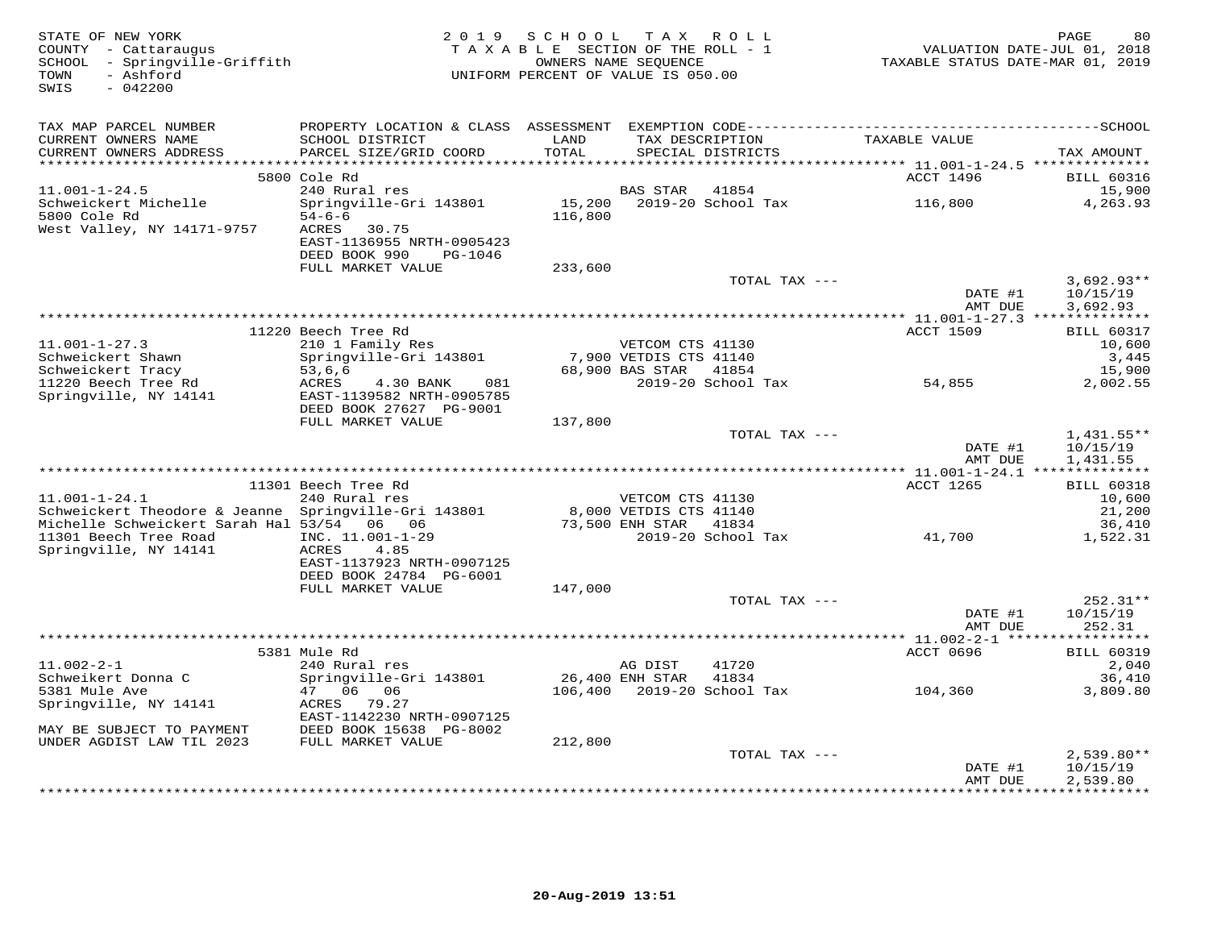| STATE OF NEW YORK<br>COUNTY - Cattaraugus<br>SCHOOL - Springville-Griffith<br>- Ashford<br>TOWN<br>SWIS<br>$-042200$ |                                           | 2019 SCHOOL TAX ROLL<br>TAXABLE SECTION OF THE ROLL - 1<br>UNIFORM PERCENT OF VALUE IS 050.00 | OWNERS NAME SEQUENCE                       |                                      | TAXABLE STATUS DATE-MAR 01, 2019 | PAGE<br>80<br>VALUATION DATE-JUL 01, 2018 |
|----------------------------------------------------------------------------------------------------------------------|-------------------------------------------|-----------------------------------------------------------------------------------------------|--------------------------------------------|--------------------------------------|----------------------------------|-------------------------------------------|
| TAX MAP PARCEL NUMBER                                                                                                |                                           |                                                                                               |                                            |                                      |                                  |                                           |
| CURRENT OWNERS NAME<br>CURRENT OWNERS ADDRESS                                                                        | SCHOOL DISTRICT<br>PARCEL SIZE/GRID COORD | LAND<br>TOTAL                                                                                 |                                            | TAX DESCRIPTION<br>SPECIAL DISTRICTS | TAXABLE VALUE                    | TAX AMOUNT                                |
|                                                                                                                      |                                           |                                                                                               |                                            |                                      |                                  |                                           |
| $11.001 - 1 - 24.5$                                                                                                  | 5800 Cole Rd<br>240 Rural res             |                                                                                               | BAS STAR                                   | 41854                                | ACCT 1496                        | <b>BILL 60316</b><br>15,900               |
| Schweickert Michelle                                                                                                 | Springville-Gri 143801                    |                                                                                               |                                            |                                      | 116,800                          | 4,263.93                                  |
| 5800 Cole Rd                                                                                                         | $54 - 6 - 6$                              | 116,800                                                                                       |                                            |                                      |                                  |                                           |
| West Valley, NY 14171-9757                                                                                           | 30.75<br>ACRES                            |                                                                                               |                                            |                                      |                                  |                                           |
|                                                                                                                      | EAST-1136955 NRTH-0905423                 |                                                                                               |                                            |                                      |                                  |                                           |
|                                                                                                                      | DEED BOOK 990<br>PG-1046                  |                                                                                               |                                            |                                      |                                  |                                           |
|                                                                                                                      | FULL MARKET VALUE                         | 233,600                                                                                       |                                            |                                      |                                  |                                           |
|                                                                                                                      |                                           |                                                                                               |                                            | TOTAL TAX ---                        | DATE #1                          | $3,692.93**$<br>10/15/19                  |
|                                                                                                                      |                                           |                                                                                               |                                            |                                      | AMT DUE                          | 3,692.93                                  |
|                                                                                                                      |                                           |                                                                                               |                                            |                                      |                                  |                                           |
|                                                                                                                      | 11220 Beech Tree Rd                       |                                                                                               |                                            |                                      | <b>ACCT 1509</b>                 | <b>BILL 60317</b>                         |
| $11.001 - 1 - 27.3$<br>Schweickert Shawn                                                                             | 210 1 Family Res                          |                                                                                               | VETCOM CTS 41130<br>7,900 VETDIS CTS 41140 |                                      |                                  | 10,600                                    |
| Schweickert Tracy                                                                                                    | Springville-Gri 143801<br>53,6,6          |                                                                                               | 68,900 BAS STAR 41854                      |                                      |                                  | 3,445<br>15,900                           |
| 11220 Beech Tree Rd                                                                                                  | ACRES<br>081<br>4.30 BANK                 |                                                                                               |                                            | 2019-20 School Tax                   | 54,855                           | 2,002.55                                  |
| Springville, NY 14141                                                                                                | EAST-1139582 NRTH-0905785                 |                                                                                               |                                            |                                      |                                  |                                           |
|                                                                                                                      | DEED BOOK 27627 PG-9001                   |                                                                                               |                                            |                                      |                                  |                                           |
|                                                                                                                      | FULL MARKET VALUE                         | 137,800                                                                                       |                                            |                                      |                                  |                                           |
|                                                                                                                      |                                           |                                                                                               |                                            | TOTAL TAX ---                        |                                  | $1,431.55**$                              |
|                                                                                                                      |                                           |                                                                                               |                                            |                                      | DATE #1<br>AMT DUE               | 10/15/19                                  |
|                                                                                                                      |                                           |                                                                                               |                                            |                                      |                                  | 1,431.55                                  |
|                                                                                                                      | 11301 Beech Tree Rd                       |                                                                                               |                                            |                                      | ACCT 1265                        | <b>BILL 60318</b>                         |
| $11.001 - 1 - 24.1$                                                                                                  | 240 Rural res                             | VETCOM CTS 41130<br>8,000 VETDIS CTS 41140<br>73,500 ENH CTAL                                 |                                            |                                      |                                  | 10,600                                    |
| Schweickert Theodore & Jeanne Springville-Gri 143801                                                                 |                                           |                                                                                               |                                            |                                      |                                  | 21,200                                    |
| Michelle Schweickert Sarah Hal 53/54 06 06                                                                           |                                           |                                                                                               |                                            |                                      |                                  | 36,410                                    |
| 11301 Beech Tree Road                                                                                                | INC. 11.001-1-29                          |                                                                                               |                                            | 2019-20 School Tax                   | 41,700                           | 1,522.31                                  |
| Springville, NY 14141                                                                                                | ACRES 4.85<br>EAST-1137923 NRTH-0907125   |                                                                                               |                                            |                                      |                                  |                                           |
|                                                                                                                      | DEED BOOK 24784 PG-6001                   |                                                                                               |                                            |                                      |                                  |                                           |
|                                                                                                                      | FULL MARKET VALUE                         | 147,000                                                                                       |                                            |                                      |                                  |                                           |
|                                                                                                                      |                                           |                                                                                               |                                            | TOTAL TAX ---                        |                                  | $252.31**$                                |
|                                                                                                                      |                                           |                                                                                               |                                            |                                      | DATE #1                          | 10/15/19                                  |
|                                                                                                                      |                                           |                                                                                               |                                            |                                      | AMT DUE                          | 252.31                                    |
|                                                                                                                      | 5381 Mule Rd                              |                                                                                               |                                            |                                      | ACCT 0696                        | <b>BILL 60319</b>                         |
| $11.002 - 2 - 1$                                                                                                     | 240 Rural res                             |                                                                                               | AG DIST                                    | 41720                                |                                  | 2,040                                     |
| Schweikert Donna C                                                                                                   | Springville-Gri 143801                    | 26,400 ENH STAR                                                                               |                                            | 41834                                |                                  | 36,410                                    |
| 5381 Mule Ave                                                                                                        | 47 06 06                                  |                                                                                               |                                            | 106,400 2019-20 School Tax           | 104,360                          | 3,809.80                                  |
| Springville, NY 14141                                                                                                | ACRES 79.27                               |                                                                                               |                                            |                                      |                                  |                                           |
|                                                                                                                      | EAST-1142230 NRTH-0907125                 |                                                                                               |                                            |                                      |                                  |                                           |
| MAY BE SUBJECT TO PAYMENT                                                                                            | DEED BOOK 15638 PG-8002                   |                                                                                               |                                            |                                      |                                  |                                           |
| UNDER AGDIST LAW TIL 2023                                                                                            | FULL MARKET VALUE                         | 212,800                                                                                       |                                            |                                      |                                  |                                           |
|                                                                                                                      |                                           |                                                                                               |                                            | TOTAL TAX ---                        | DATE #1                          | $2,539.80**$<br>10/15/19                  |
|                                                                                                                      |                                           |                                                                                               |                                            |                                      | AMT DUE                          | 2,539.80                                  |
|                                                                                                                      |                                           |                                                                                               |                                            |                                      |                                  | ************                              |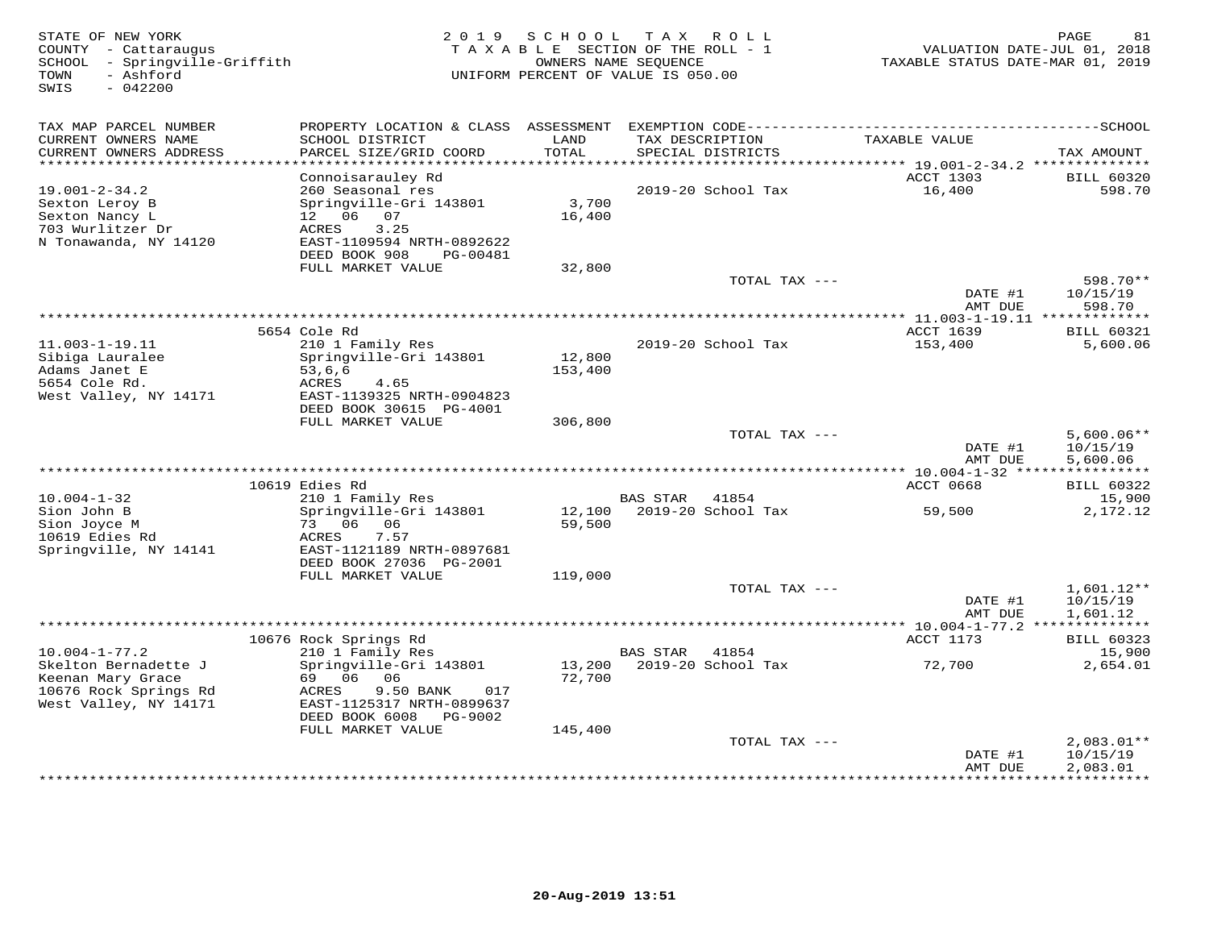| STATE OF NEW YORK<br>COUNTY - Cattaraugus<br>- Springville-Griffith<br>SCHOOL<br>- Ashford<br>TOWN<br>SWIS<br>$-042200$ | 2 0 1 9                                    | SCHOOL            | T A X<br>ROLL<br>TAXABLE SECTION OF THE ROLL - 1<br>OWNERS NAME SEQUENCE<br>UNIFORM PERCENT OF VALUE IS 050.00 | VALUATION DATE-JUL 01, 2018<br>TAXABLE STATUS DATE-MAR 01, 2019 | PAGE<br>81               |
|-------------------------------------------------------------------------------------------------------------------------|--------------------------------------------|-------------------|----------------------------------------------------------------------------------------------------------------|-----------------------------------------------------------------|--------------------------|
| TAX MAP PARCEL NUMBER                                                                                                   | PROPERTY LOCATION & CLASS ASSESSMENT       |                   |                                                                                                                |                                                                 |                          |
| CURRENT OWNERS NAME<br>CURRENT OWNERS ADDRESS                                                                           | SCHOOL DISTRICT<br>PARCEL SIZE/GRID COORD  | LAND<br>TOTAL     | TAX DESCRIPTION<br>SPECIAL DISTRICTS                                                                           | TAXABLE VALUE                                                   | TAX AMOUNT               |
| ***********************                                                                                                 |                                            |                   |                                                                                                                |                                                                 |                          |
|                                                                                                                         | Connoisarauley Rd                          |                   |                                                                                                                | ACCT 1303                                                       | <b>BILL 60320</b>        |
| $19.001 - 2 - 34.2$<br>Sexton Leroy B                                                                                   | 260 Seasonal res<br>Springville-Gri 143801 | 3,700             | 2019-20 School Tax                                                                                             | 16,400                                                          | 598.70                   |
| Sexton Nancy L                                                                                                          | 12  06  07                                 | 16,400            |                                                                                                                |                                                                 |                          |
| 703 Wurlitzer Dr                                                                                                        | 3.25<br>ACRES                              |                   |                                                                                                                |                                                                 |                          |
| N Tonawanda, NY 14120                                                                                                   | EAST-1109594 NRTH-0892622                  |                   |                                                                                                                |                                                                 |                          |
|                                                                                                                         | DEED BOOK 908<br>PG-00481                  |                   |                                                                                                                |                                                                 |                          |
|                                                                                                                         | FULL MARKET VALUE                          | 32,800            | TOTAL TAX ---                                                                                                  |                                                                 | 598.70**                 |
|                                                                                                                         |                                            |                   |                                                                                                                | DATE #1                                                         | 10/15/19                 |
|                                                                                                                         |                                            |                   |                                                                                                                | AMT DUE                                                         | 598.70                   |
|                                                                                                                         | ***************                            |                   |                                                                                                                |                                                                 |                          |
|                                                                                                                         | 5654 Cole Rd                               |                   |                                                                                                                | ACCT 1639                                                       | <b>BILL 60321</b>        |
| $11.003 - 1 - 19.11$                                                                                                    | 210 1 Family Res                           |                   | 2019-20 School Tax                                                                                             | 153,400                                                         | 5,600.06                 |
| Sibiga Lauralee<br>Adams Janet E                                                                                        | Springville-Gri 143801<br>53,6,6           | 12,800<br>153,400 |                                                                                                                |                                                                 |                          |
| 5654 Cole Rd.                                                                                                           | ACRES<br>4.65                              |                   |                                                                                                                |                                                                 |                          |
| West Valley, NY 14171                                                                                                   | EAST-1139325 NRTH-0904823                  |                   |                                                                                                                |                                                                 |                          |
|                                                                                                                         | DEED BOOK 30615 PG-4001                    |                   |                                                                                                                |                                                                 |                          |
|                                                                                                                         | FULL MARKET VALUE                          | 306,800           | TOTAL TAX ---                                                                                                  |                                                                 | $5,600.06**$             |
|                                                                                                                         |                                            |                   |                                                                                                                | DATE #1                                                         | 10/15/19                 |
|                                                                                                                         |                                            |                   |                                                                                                                | AMT DUE                                                         | 5,600.06                 |
|                                                                                                                         |                                            |                   | ***************************                                                                                    | ** 10.004-1-32 *****************                                |                          |
|                                                                                                                         | 10619 Edies Rd                             |                   |                                                                                                                | ACCT 0668                                                       | <b>BILL 60322</b>        |
| $10.004 - 1 - 32$<br>Sion John B                                                                                        | 210 1 Family Res<br>Springville-Gri 143801 | 12,100            | <b>BAS STAR</b><br>41854<br>2019-20 School Tax                                                                 | 59,500                                                          | 15,900<br>2,172.12       |
| Sion Joyce M                                                                                                            | 73 06 06                                   | 59,500            |                                                                                                                |                                                                 |                          |
| 10619 Edies Rd                                                                                                          | 7.57<br>ACRES                              |                   |                                                                                                                |                                                                 |                          |
| Springville, NY 14141                                                                                                   | EAST-1121189 NRTH-0897681                  |                   |                                                                                                                |                                                                 |                          |
|                                                                                                                         | DEED BOOK 27036 PG-2001                    |                   |                                                                                                                |                                                                 |                          |
|                                                                                                                         | FULL MARKET VALUE                          | 119,000           | TOTAL TAX ---                                                                                                  |                                                                 | 1,601.12**               |
|                                                                                                                         |                                            |                   |                                                                                                                | DATE #1                                                         | 10/15/19                 |
|                                                                                                                         |                                            |                   |                                                                                                                | AMT DUE                                                         | 1,601.12                 |
|                                                                                                                         |                                            |                   |                                                                                                                |                                                                 |                          |
|                                                                                                                         | 10676 Rock Springs Rd                      |                   |                                                                                                                | ACCT 1173                                                       | <b>BILL 60323</b>        |
| $10.004 - 1 - 77.2$                                                                                                     | 210 1 Family Res                           |                   | 41854<br><b>BAS STAR</b>                                                                                       |                                                                 | 15,900                   |
| Skelton Bernadette J<br>Keenan Mary Grace                                                                               | Springville-Gri 143801<br>69 06<br>- 06    | 13,200<br>72,700  | 2019-20 School Tax                                                                                             | 72,700                                                          | 2,654.01                 |
| 10676 Rock Springs Rd                                                                                                   | ACRES<br>9.50 BANK<br>017                  |                   |                                                                                                                |                                                                 |                          |
| West Valley, NY 14171                                                                                                   | EAST-1125317 NRTH-0899637                  |                   |                                                                                                                |                                                                 |                          |
|                                                                                                                         | DEED BOOK 6008<br>PG-9002                  |                   |                                                                                                                |                                                                 |                          |
|                                                                                                                         | FULL MARKET VALUE                          | 145,400           |                                                                                                                |                                                                 |                          |
|                                                                                                                         |                                            |                   | TOTAL TAX ---                                                                                                  | DATE #1                                                         | $2,083.01**$<br>10/15/19 |
|                                                                                                                         |                                            |                   |                                                                                                                | AMT DUE                                                         | 2,083.01                 |
|                                                                                                                         |                                            |                   |                                                                                                                |                                                                 | + + + + + + + + + +      |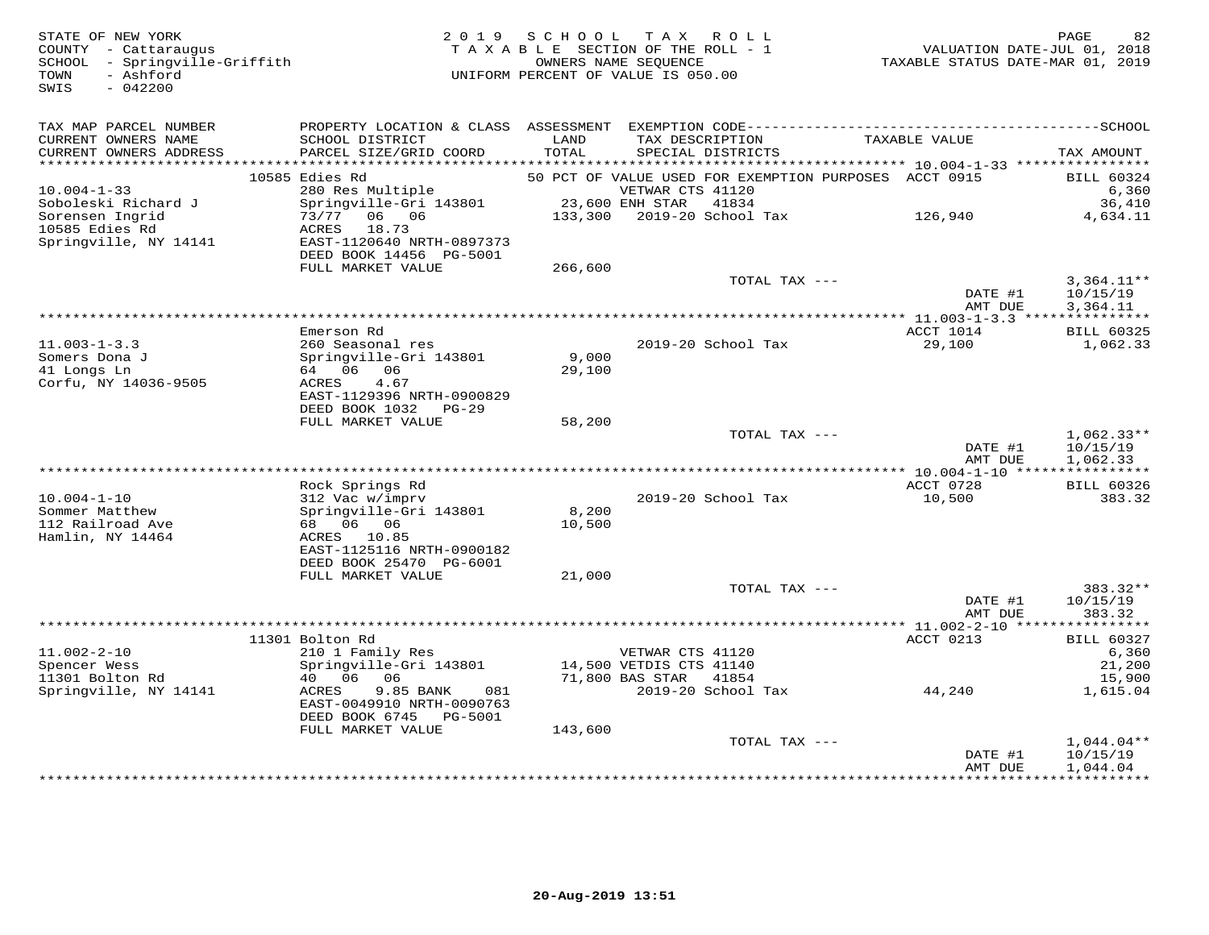| STATE OF NEW YORK<br>COUNTY - Cattaraugus<br>SCHOOL - Springville-Griffith<br>- Ashford<br>TOWN<br>SWIS<br>$-042200$ | 2 0 1 9                                              | SCHOOL          | TAX ROLL<br>TAXABLE SECTION OF THE ROLL - 1<br>OWNERS NAME SEQUENCE<br>UNIFORM PERCENT OF VALUE IS 050.00 | VALUATION DATE-JUL 01, 2018<br>TAXABLE STATUS DATE-MAR 01, 2019 | 82<br>PAGE                           |
|----------------------------------------------------------------------------------------------------------------------|------------------------------------------------------|-----------------|-----------------------------------------------------------------------------------------------------------|-----------------------------------------------------------------|--------------------------------------|
| TAX MAP PARCEL NUMBER                                                                                                |                                                      |                 |                                                                                                           |                                                                 |                                      |
| CURRENT OWNERS NAME<br>CURRENT OWNERS ADDRESS<br>***********************                                             | SCHOOL DISTRICT<br>PARCEL SIZE/GRID COORD            | LAND<br>TOTAL   | TAX DESCRIPTION<br>SPECIAL DISTRICTS                                                                      | TAXABLE VALUE                                                   | TAX AMOUNT                           |
|                                                                                                                      | 10585 Edies Rd                                       |                 | 50 PCT OF VALUE USED FOR EXEMPTION PURPOSES ACCT 0915                                                     |                                                                 | <b>BILL 60324</b>                    |
| $10.004 - 1 - 33$                                                                                                    | 280 Res Multiple                                     |                 | VETWAR CTS 41120                                                                                          |                                                                 | 6,360                                |
| Soboleski Richard J                                                                                                  | Springville-Gri 143801                               |                 | 23,600 ENH STAR<br>41834                                                                                  |                                                                 | 36,410                               |
| Sorensen Ingrid<br>10585 Edies Rd                                                                                    | 73/77 06 06<br>18.73<br>ACRES                        | 133,300         | 2019-20 School Tax                                                                                        | 126,940                                                         | 4,634.11                             |
| Springville, NY 14141                                                                                                | EAST-1120640 NRTH-0897373<br>DEED BOOK 14456 PG-5001 |                 |                                                                                                           |                                                                 |                                      |
|                                                                                                                      | FULL MARKET VALUE                                    | 266,600         |                                                                                                           |                                                                 |                                      |
|                                                                                                                      |                                                      |                 | TOTAL TAX ---                                                                                             | DATE #1<br>AMT DUE                                              | $3,364.11**$<br>10/15/19<br>3,364.11 |
|                                                                                                                      |                                                      |                 |                                                                                                           |                                                                 |                                      |
|                                                                                                                      | Emerson Rd                                           |                 |                                                                                                           | ACCT 1014                                                       | <b>BILL 60325</b>                    |
| $11.003 - 1 - 3.3$                                                                                                   | 260 Seasonal res                                     |                 | 2019-20 School Tax                                                                                        | 29,100                                                          | 1,062.33                             |
| Somers Dona J<br>41 Longs Ln                                                                                         | Springville-Gri 143801<br>64 06 06                   | 9,000<br>29,100 |                                                                                                           |                                                                 |                                      |
| Corfu, NY 14036-9505                                                                                                 | ACRES<br>4.67                                        |                 |                                                                                                           |                                                                 |                                      |
|                                                                                                                      | EAST-1129396 NRTH-0900829                            |                 |                                                                                                           |                                                                 |                                      |
|                                                                                                                      | DEED BOOK 1032 PG-29                                 |                 |                                                                                                           |                                                                 |                                      |
|                                                                                                                      | FULL MARKET VALUE                                    | 58,200          |                                                                                                           |                                                                 |                                      |
|                                                                                                                      |                                                      |                 | TOTAL TAX ---                                                                                             | DATE #1                                                         | $1,062.33**$<br>10/15/19             |
|                                                                                                                      |                                                      |                 |                                                                                                           | AMT DUE                                                         | 1,062.33                             |
|                                                                                                                      |                                                      |                 |                                                                                                           |                                                                 |                                      |
|                                                                                                                      | Rock Springs Rd                                      |                 |                                                                                                           | ACCT 0728                                                       | <b>BILL 60326</b>                    |
| $10.004 - 1 - 10$<br>Sommer Matthew                                                                                  | 312 Vac w/imprv<br>Springville-Gri 143801            | 8,200           | 2019-20 School Tax                                                                                        | 10,500                                                          | 383.32                               |
| 112 Railroad Ave                                                                                                     | 68 06 06                                             | 10,500          |                                                                                                           |                                                                 |                                      |
| Hamlin, NY 14464                                                                                                     | ACRES 10.85                                          |                 |                                                                                                           |                                                                 |                                      |
|                                                                                                                      | EAST-1125116 NRTH-0900182                            |                 |                                                                                                           |                                                                 |                                      |
|                                                                                                                      | DEED BOOK 25470 PG-6001                              |                 |                                                                                                           |                                                                 |                                      |
|                                                                                                                      | FULL MARKET VALUE                                    | 21,000          | TOTAL TAX ---                                                                                             |                                                                 | 383.32**                             |
|                                                                                                                      |                                                      |                 |                                                                                                           | DATE #1                                                         | 10/15/19                             |
|                                                                                                                      |                                                      |                 |                                                                                                           | AMT DUE                                                         | 383.32                               |
|                                                                                                                      |                                                      |                 |                                                                                                           |                                                                 |                                      |
| $11.002 - 2 - 10$                                                                                                    | 11301 Bolton Rd                                      |                 | VETWAR CTS 41120                                                                                          | ACCT 0213                                                       | <b>BILL 60327</b>                    |
| Spencer Wess                                                                                                         | 210 1 Family Res<br>Springville-Gri 143801           |                 | 14,500 VETDIS CTS 41140                                                                                   |                                                                 | 6,360<br>21,200                      |
| 11301 Bolton Rd                                                                                                      | 40 06<br>06                                          |                 | 71,800 BAS STAR<br>41854                                                                                  |                                                                 | 15,900                               |
| Springville, NY 14141                                                                                                | 9.85 BANK<br>ACRES<br>081                            |                 | 2019-20 School Tax                                                                                        | 44,240                                                          | 1,615.04                             |
|                                                                                                                      | EAST-0049910 NRTH-0090763<br>DEED BOOK 6745 PG-5001  |                 |                                                                                                           |                                                                 |                                      |
|                                                                                                                      | FULL MARKET VALUE                                    | 143,600         | TOTAL TAX ---                                                                                             |                                                                 | $1,044.04**$                         |
|                                                                                                                      |                                                      |                 |                                                                                                           | DATE #1                                                         | 10/15/19                             |
|                                                                                                                      |                                                      |                 |                                                                                                           | AMT DUE<br>+ + + + + + + + + + + + +                            | 1,044.04<br>.                        |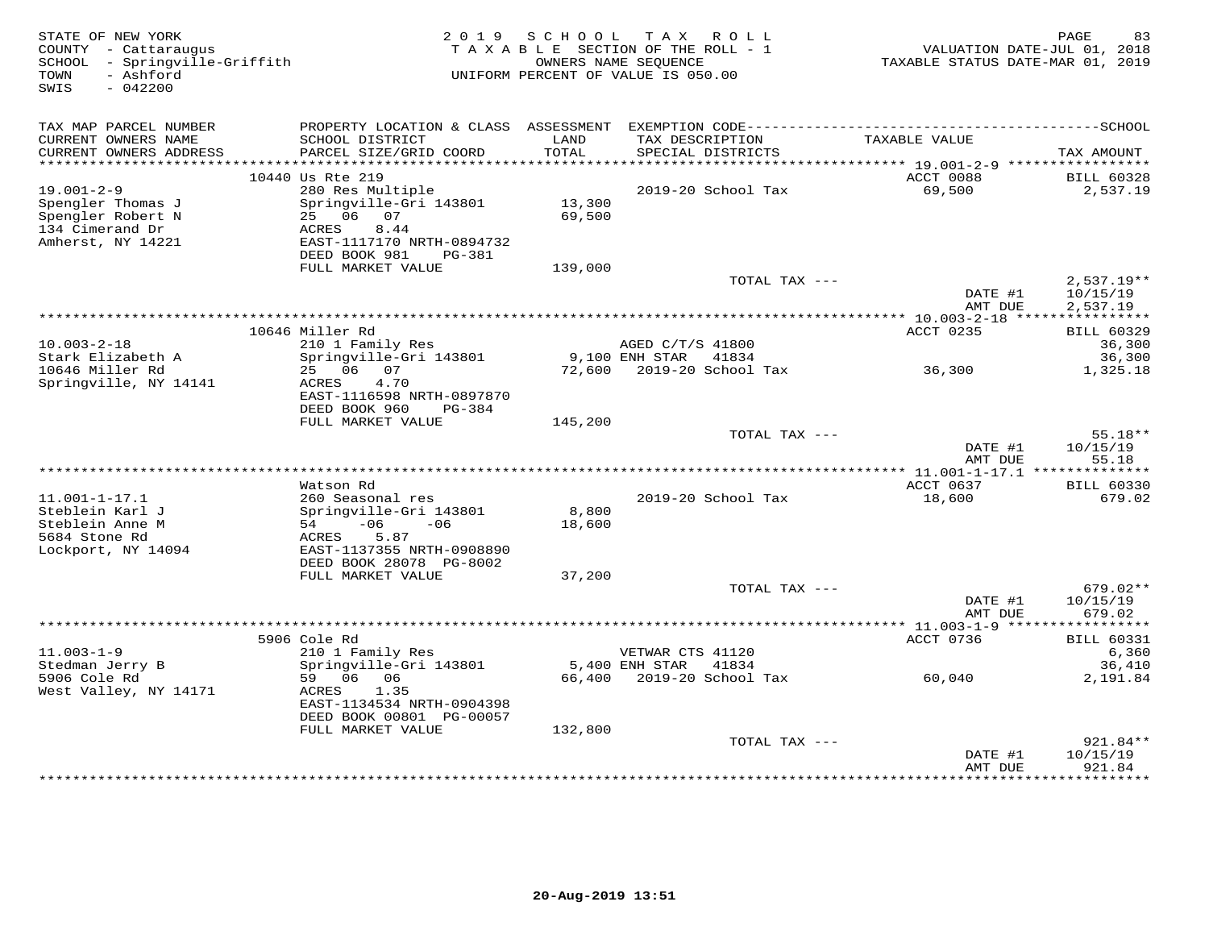| STATE OF NEW YORK<br>COUNTY - Cattaraugus<br>SCHOOL - Springville-Griffith<br>- Ashford<br>TOWN<br>SWIS<br>$-042200$ | 2019                                                  | S C H O O L   | TAX ROLL<br>TAXABLE SECTION OF THE ROLL - 1<br>OWNERS NAME SEQUENCE<br>UNIFORM PERCENT OF VALUE IS 050.00 | VALUATION DATE-JUL 01, 2018<br>TAXABLE STATUS DATE-MAR 01, 2019 | PAGE<br>83                    |
|----------------------------------------------------------------------------------------------------------------------|-------------------------------------------------------|---------------|-----------------------------------------------------------------------------------------------------------|-----------------------------------------------------------------|-------------------------------|
| TAX MAP PARCEL NUMBER                                                                                                |                                                       |               |                                                                                                           |                                                                 |                               |
| CURRENT OWNERS NAME<br>CURRENT OWNERS ADDRESS                                                                        | SCHOOL DISTRICT<br>PARCEL SIZE/GRID COORD             | LAND<br>TOTAL | TAX DESCRIPTION<br>SPECIAL DISTRICTS                                                                      | TAXABLE VALUE                                                   | TAX AMOUNT                    |
| ************************                                                                                             |                                                       |               |                                                                                                           |                                                                 |                               |
| $19.001 - 2 - 9$                                                                                                     | 10440 Us Rte 219<br>280 Res Multiple                  |               | 2019-20 School Tax                                                                                        | ACCT 0088<br>69,500                                             | <b>BILL 60328</b><br>2,537.19 |
| Spengler Thomas J                                                                                                    | Springville-Gri 143801                                | 13,300        |                                                                                                           |                                                                 |                               |
| Spengler Robert N                                                                                                    | 25 06 07                                              | 69,500        |                                                                                                           |                                                                 |                               |
| 134 Cimerand Dr                                                                                                      | ACRES<br>8.44                                         |               |                                                                                                           |                                                                 |                               |
| Amherst, NY 14221                                                                                                    | EAST-1117170 NRTH-0894732                             |               |                                                                                                           |                                                                 |                               |
|                                                                                                                      | DEED BOOK 981<br>PG-381                               |               |                                                                                                           |                                                                 |                               |
|                                                                                                                      | FULL MARKET VALUE                                     | 139,000       | TOTAL TAX ---                                                                                             |                                                                 | $2,537.19**$                  |
|                                                                                                                      |                                                       |               |                                                                                                           | DATE #1                                                         | 10/15/19                      |
|                                                                                                                      |                                                       |               |                                                                                                           | AMT DUE                                                         | 2,537.19                      |
|                                                                                                                      |                                                       |               | ***********************************                                                                       | ************ 10.003-2-18 *****                                  | ***********                   |
|                                                                                                                      | 10646 Miller Rd                                       |               |                                                                                                           | ACCT 0235                                                       | <b>BILL 60329</b>             |
| $10.003 - 2 - 18$                                                                                                    | 210 1 Family Res                                      |               | AGED C/T/S 41800                                                                                          |                                                                 | 36,300                        |
| Stark Elizabeth A<br>10646 Miller Rd                                                                                 | Springville-Gri 143801<br>25 06 07                    |               | 9,100 ENH STAR<br>41834<br>72,600 2019-20 School Tax                                                      | 36,300                                                          | 36,300<br>1,325.18            |
| Springville, NY 14141                                                                                                | ACRES<br>4.70                                         |               |                                                                                                           |                                                                 |                               |
|                                                                                                                      | EAST-1116598 NRTH-0897870                             |               |                                                                                                           |                                                                 |                               |
|                                                                                                                      | DEED BOOK 960<br>PG-384                               |               |                                                                                                           |                                                                 |                               |
|                                                                                                                      | FULL MARKET VALUE                                     | 145,200       |                                                                                                           |                                                                 |                               |
|                                                                                                                      |                                                       |               | TOTAL TAX ---                                                                                             |                                                                 | $55.18**$                     |
|                                                                                                                      |                                                       |               |                                                                                                           | DATE #1<br>AMT DUE                                              | 10/15/19<br>55.18             |
|                                                                                                                      |                                                       |               |                                                                                                           |                                                                 |                               |
|                                                                                                                      | Watson Rd                                             |               |                                                                                                           | ACCT 0637                                                       | <b>BILL 60330</b>             |
| $11.001 - 1 - 17.1$                                                                                                  | 260 Seasonal res                                      |               | 2019-20 School Tax                                                                                        | 18,600                                                          | 679.02                        |
| Steblein Karl J                                                                                                      | Springville-Gri 143801                                | 8,800         |                                                                                                           |                                                                 |                               |
| Steblein Anne M                                                                                                      | $-06$<br>$-06$<br>54                                  | 18,600        |                                                                                                           |                                                                 |                               |
| 5684 Stone Rd<br>Lockport, NY 14094                                                                                  | 5.87<br>ACRES<br>EAST-1137355 NRTH-0908890            |               |                                                                                                           |                                                                 |                               |
|                                                                                                                      | DEED BOOK 28078 PG-8002                               |               |                                                                                                           |                                                                 |                               |
|                                                                                                                      | FULL MARKET VALUE                                     | 37,200        |                                                                                                           |                                                                 |                               |
|                                                                                                                      |                                                       |               | TOTAL TAX ---                                                                                             |                                                                 | $679.02**$                    |
|                                                                                                                      |                                                       |               |                                                                                                           | DATE #1                                                         | 10/15/19                      |
|                                                                                                                      |                                                       |               |                                                                                                           | AMT DUE                                                         | 679.02<br>***********         |
|                                                                                                                      | 5906 Cole Rd                                          |               |                                                                                                           | ACCT 0736                                                       | <b>BILL 60331</b>             |
| $11.003 - 1 - 9$                                                                                                     | 210 1 Family Res                                      |               | VETWAR CTS 41120                                                                                          |                                                                 | 6,360                         |
| Stedman Jerry B                                                                                                      | Springville-Gri 143801                                |               | 5,400 ENH STAR<br>41834                                                                                   |                                                                 | 36,410                        |
| 5906 Cole Rd                                                                                                         | 59 06 06                                              | 66,400        | 2019-20 School Tax                                                                                        | 60,040                                                          | 2,191.84                      |
| West Valley, NY 14171                                                                                                | ACRES<br>1.35                                         |               |                                                                                                           |                                                                 |                               |
|                                                                                                                      | EAST-1134534 NRTH-0904398<br>DEED BOOK 00801 PG-00057 |               |                                                                                                           |                                                                 |                               |
|                                                                                                                      | FULL MARKET VALUE                                     | 132,800       |                                                                                                           |                                                                 |                               |
|                                                                                                                      |                                                       |               | TOTAL TAX ---                                                                                             |                                                                 | 921.84**                      |
|                                                                                                                      |                                                       |               |                                                                                                           | DATE #1                                                         | 10/15/19                      |
|                                                                                                                      |                                                       |               |                                                                                                           | AMT DUE<br>*************                                        | 921.84<br>**********          |
|                                                                                                                      |                                                       |               |                                                                                                           |                                                                 |                               |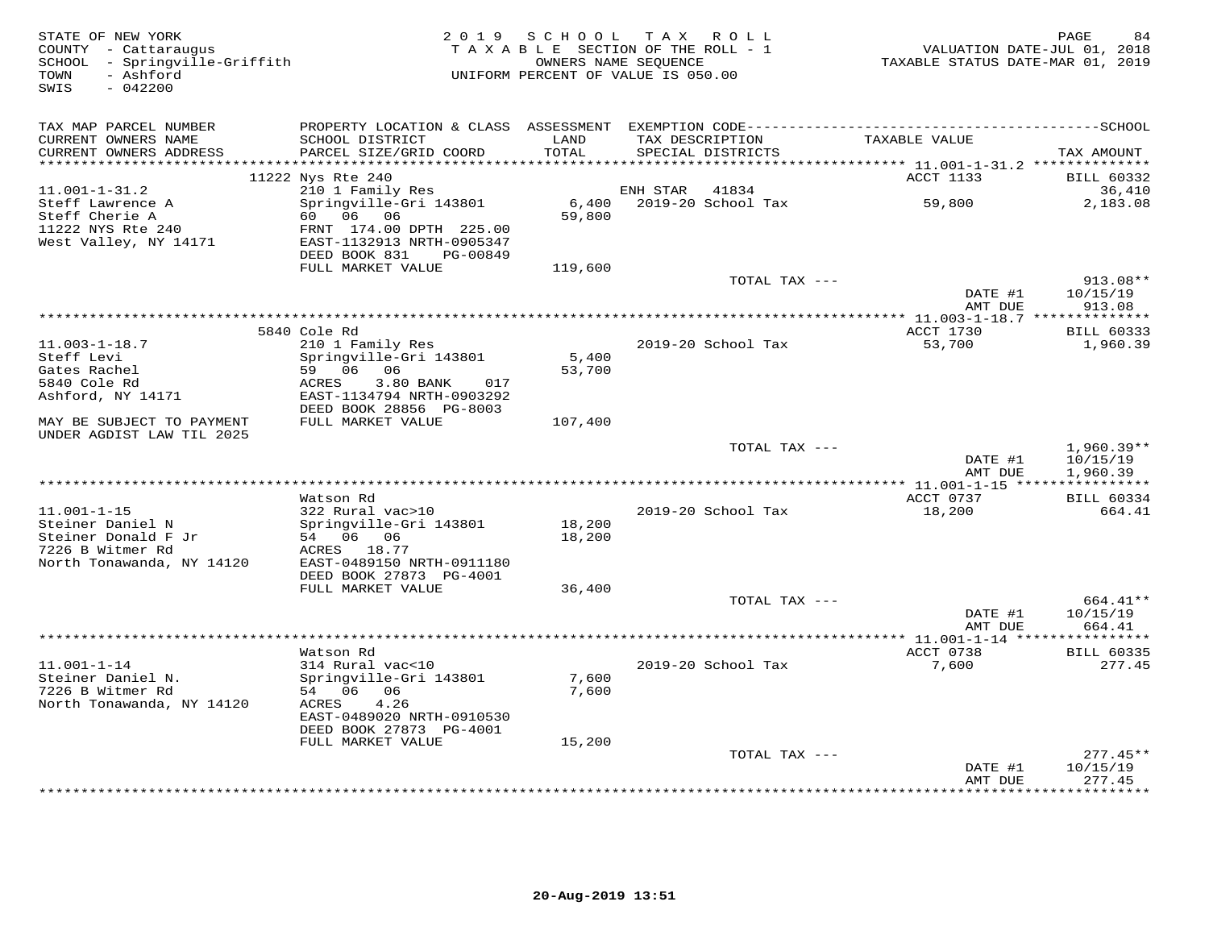| STATE OF NEW YORK<br>COUNTY - Cattaraugus<br>SCHOOL - Springville-Griffith<br>- Ashford<br>TOWN<br>$-042200$<br>SWIS |                                                      |                 | 2019 SCHOOL TAX ROLL<br>TAXABLE SECTION OF THE ROLL - 1<br>OWNERS NAME SEQUENCE<br>UNIFORM PERCENT OF VALUE IS 050.00 |               | TAXABLE STATUS DATE-MAR 01, 2019            | PAGE<br>84<br>VALUATION DATE-JUL 01, 2018 |
|----------------------------------------------------------------------------------------------------------------------|------------------------------------------------------|-----------------|-----------------------------------------------------------------------------------------------------------------------|---------------|---------------------------------------------|-------------------------------------------|
| TAX MAP PARCEL NUMBER                                                                                                |                                                      |                 |                                                                                                                       |               |                                             |                                           |
| CURRENT OWNERS NAME<br>CURRENT OWNERS ADDRESS<br>***********************                                             | SCHOOL DISTRICT<br>PARCEL SIZE/GRID COORD            | LAND<br>TOTAL   | TAX DESCRIPTION<br>SPECIAL DISTRICTS                                                                                  |               | TAXABLE VALUE                               | TAX AMOUNT                                |
|                                                                                                                      | 11222 Nys Rte 240                                    |                 |                                                                                                                       |               | ACCT 1133                                   | <b>BILL 60332</b>                         |
| $11.001 - 1 - 31.2$                                                                                                  | 210 1 Family Res                                     |                 | ENH STAR                                                                                                              | 41834         |                                             | 36,410                                    |
| Steff Lawrence A                                                                                                     | Springville-Gri 143801                               | $6,400$         | 2019-20 School Tax                                                                                                    |               | 59,800                                      | 2,183.08                                  |
| Steff Cherie A                                                                                                       | 60 06 06                                             | 59,800          |                                                                                                                       |               |                                             |                                           |
| 11222 NYS Rte 240                                                                                                    | FRNT 174.00 DPTH 225.00                              |                 |                                                                                                                       |               |                                             |                                           |
| West Valley, NY 14171                                                                                                | EAST-1132913 NRTH-0905347                            |                 |                                                                                                                       |               |                                             |                                           |
|                                                                                                                      | DEED BOOK 831<br>PG-00849                            |                 |                                                                                                                       |               |                                             |                                           |
|                                                                                                                      | FULL MARKET VALUE                                    | 119,600         |                                                                                                                       | TOTAL TAX --- |                                             | $913.08**$                                |
|                                                                                                                      |                                                      |                 |                                                                                                                       |               | DATE #1                                     | 10/15/19                                  |
|                                                                                                                      |                                                      |                 |                                                                                                                       |               | AMT DUE                                     | 913.08                                    |
|                                                                                                                      |                                                      |                 |                                                                                                                       |               |                                             |                                           |
|                                                                                                                      | 5840 Cole Rd                                         |                 |                                                                                                                       |               | ACCT 1730                                   | <b>BILL 60333</b>                         |
| $11.003 - 1 - 18.7$                                                                                                  | 210 1 Family Res                                     |                 | 2019-20 School Tax                                                                                                    |               | 53,700                                      | 1,960.39                                  |
| Steff Levi<br>Gates Rachel                                                                                           | Springville-Gri 143801<br>59 06 06                   | 5,400<br>53,700 |                                                                                                                       |               |                                             |                                           |
| 5840 Cole Rd                                                                                                         | ACRES<br>$3.80$ BANK<br>017                          |                 |                                                                                                                       |               |                                             |                                           |
| Ashford, NY 14171                                                                                                    | EAST-1134794 NRTH-0903292                            |                 |                                                                                                                       |               |                                             |                                           |
|                                                                                                                      | DEED BOOK 28856 PG-8003                              |                 |                                                                                                                       |               |                                             |                                           |
| MAY BE SUBJECT TO PAYMENT<br>UNDER AGDIST LAW TIL 2025                                                               | FULL MARKET VALUE                                    | 107,400         |                                                                                                                       |               |                                             |                                           |
|                                                                                                                      |                                                      |                 |                                                                                                                       | TOTAL TAX --- |                                             | $1,960.39**$                              |
|                                                                                                                      |                                                      |                 |                                                                                                                       |               | DATE #1                                     | 10/15/19                                  |
|                                                                                                                      |                                                      |                 | ************************                                                                                              |               | AMT DUE<br>** 11.001-1-15 ***************** | 1,960.39                                  |
|                                                                                                                      | Watson Rd                                            |                 |                                                                                                                       |               | ACCT 0737                                   | <b>BILL 60334</b>                         |
| $11.001 - 1 - 15$                                                                                                    | 322 Rural vac>10                                     |                 | 2019-20 School Tax                                                                                                    |               | 18,200                                      | 664.41                                    |
| Steiner Daniel N                                                                                                     | Springville-Gri 143801                               | 18,200          |                                                                                                                       |               |                                             |                                           |
| Steiner Donald F Jr                                                                                                  | 54 06 06                                             | 18,200          |                                                                                                                       |               |                                             |                                           |
| 7226 B Witmer Rd                                                                                                     | ACRES 18.77                                          |                 |                                                                                                                       |               |                                             |                                           |
| North Tonawanda, NY 14120                                                                                            | EAST-0489150 NRTH-0911180<br>DEED BOOK 27873 PG-4001 |                 |                                                                                                                       |               |                                             |                                           |
|                                                                                                                      | FULL MARKET VALUE                                    | 36,400          |                                                                                                                       |               |                                             |                                           |
|                                                                                                                      |                                                      |                 |                                                                                                                       | TOTAL TAX --- |                                             | 664.41**                                  |
|                                                                                                                      |                                                      |                 |                                                                                                                       |               | DATE #1                                     | 10/15/19                                  |
|                                                                                                                      |                                                      |                 |                                                                                                                       |               | AMT DUE                                     | 664.41                                    |
|                                                                                                                      | ************************                             |                 | ***********************                                                                                               |               | $*** 11.001 - 1 - 14$ ***                   |                                           |
| $11.001 - 1 - 14$                                                                                                    | Watson Rd<br>314 Rural vac<10                        |                 | 2019-20 School Tax                                                                                                    |               | ACCT 0738<br>7,600                          | <b>BILL 60335</b><br>277.45               |
| Steiner Daniel N.                                                                                                    | Springville-Gri 143801                               | 7,600           |                                                                                                                       |               |                                             |                                           |
| 7226 B Witmer Rd                                                                                                     | 54 06 06                                             | 7,600           |                                                                                                                       |               |                                             |                                           |
| North Tonawanda, NY 14120                                                                                            | 4.26<br>ACRES                                        |                 |                                                                                                                       |               |                                             |                                           |
|                                                                                                                      | EAST-0489020 NRTH-0910530                            |                 |                                                                                                                       |               |                                             |                                           |
|                                                                                                                      | DEED BOOK 27873 PG-4001                              |                 |                                                                                                                       |               |                                             |                                           |
|                                                                                                                      | FULL MARKET VALUE                                    | 15,200          |                                                                                                                       | TOTAL TAX --- |                                             | $277.45**$                                |
|                                                                                                                      |                                                      |                 |                                                                                                                       |               | DATE #1                                     | 10/15/19                                  |
|                                                                                                                      |                                                      |                 |                                                                                                                       |               | AMT DUE                                     | 277.45                                    |
|                                                                                                                      |                                                      |                 |                                                                                                                       |               | ************                                | * * * * * * * * ·                         |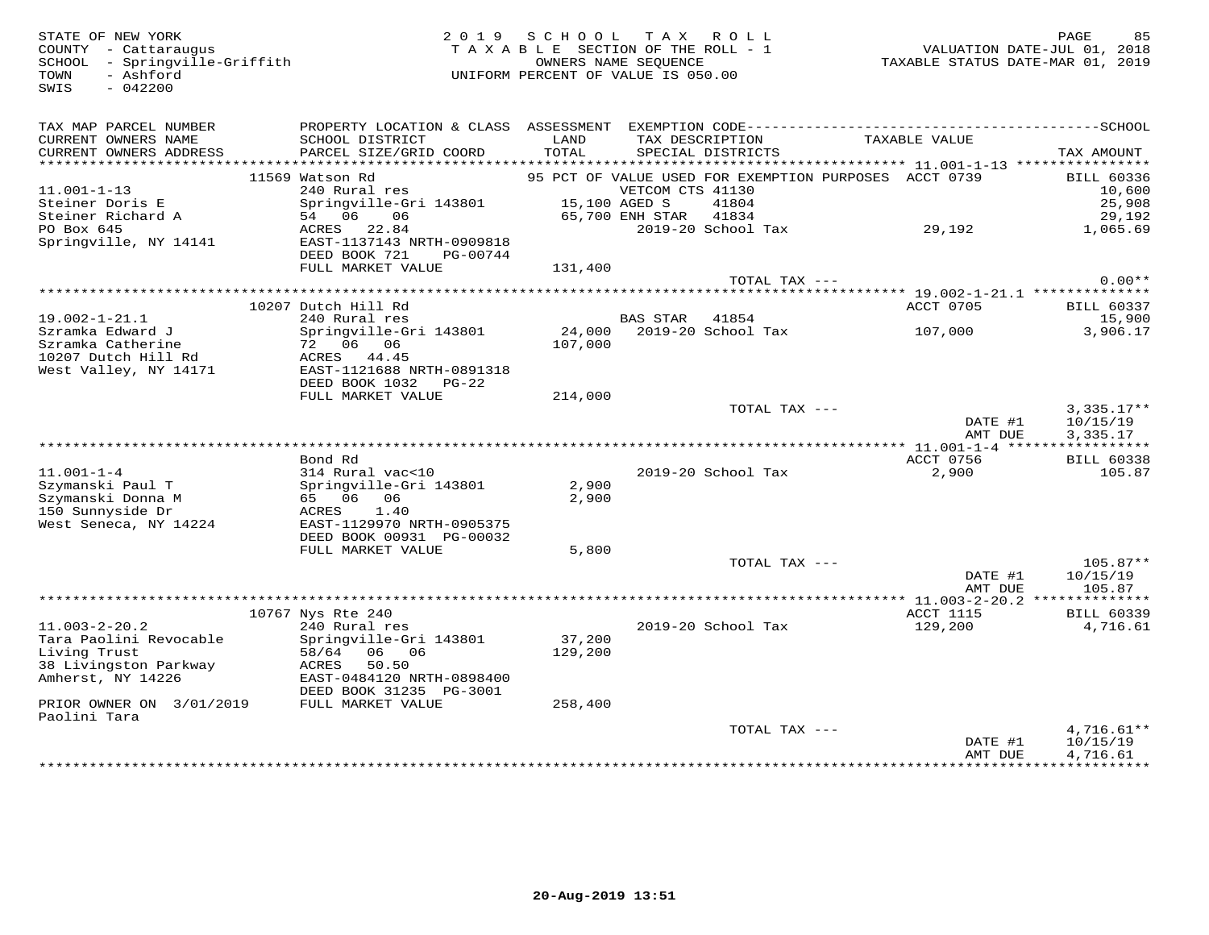SWIS - 042200

## 85 PAGE 15 PAGE 15 PAGE 15 PAGE 15 PAGE 15 PAGE 15 PAGE 15 PAGE 15 PAGE 2 0 1 9 S C H O O L T A X R O L<br>2018 COUNTY - Cattaraugus<br>2019 SCHOOL - Springville-Griffith 1 2019 - 1 CHOOL - Springville-Griffith 1 COUNERS NAME SE COUNTY - Cattaraugus<br>
SCHOOL - Springville-Griffith<br>
TAXABLE SECTION OF THE ROLL<br>
OWNERS NAME SEQUENCE<br>
OWNERS NAME SEQUENCE<br>
UNIFORM PERCENT OF VALUE IS 050.00

| TAX MAP PARCEL NUMBER<br>CURRENT OWNERS NAME<br>CURRENT OWNERS ADDRESS<br>********************** | PROPERTY LOCATION & CLASS<br>SCHOOL DISTRICT<br>PARCEL SIZE/GRID COORD                        | ASSESSMENT<br>LAND<br>TOTAL | TAX DESCRIPTION<br>SPECIAL DISTRICTS                                                                                            | TAXABLE VALUE                                   | TAX AMOUNT                                      |
|--------------------------------------------------------------------------------------------------|-----------------------------------------------------------------------------------------------|-----------------------------|---------------------------------------------------------------------------------------------------------------------------------|-------------------------------------------------|-------------------------------------------------|
| $11.001 - 1 - 13$<br>Steiner Doris E<br>Steiner Richard A                                        | 11569 Watson Rd<br>240 Rural res<br>Springville-Gri 143801<br>54 06<br>06                     |                             | 95 PCT OF VALUE USED FOR EXEMPTION PURPOSES ACCT 0739<br>VETCOM CTS 41130<br>15,100 AGED S<br>41804<br>41834<br>65,700 ENH STAR |                                                 | <b>BILL 60336</b><br>10,600<br>25,908<br>29,192 |
| PO Box 645<br>Springville, NY 14141                                                              | ACRES<br>22.84<br>EAST-1137143 NRTH-0909818<br>DEED BOOK 721<br>PG-00744<br>FULL MARKET VALUE | 131,400                     | 2019-20 School Tax                                                                                                              | 29,192                                          | 1,065.69                                        |
|                                                                                                  |                                                                                               |                             | TOTAL TAX $---$                                                                                                                 |                                                 | $0.00**$                                        |
|                                                                                                  |                                                                                               |                             |                                                                                                                                 | ********** 19.002-1-21.1 **************         |                                                 |
|                                                                                                  | 10207 Dutch Hill Rd                                                                           |                             |                                                                                                                                 | ACCT 0705                                       | BILL 60337                                      |
| $19.002 - 1 - 21.1$                                                                              | 240 Rural res                                                                                 |                             | <b>BAS STAR</b><br>41854                                                                                                        |                                                 | 15,900                                          |
| Szramka Edward J<br>Szramka Catherine                                                            | Springville-Gri 143801<br>72 06 06                                                            | 24,000<br>107,000           | 2019-20 School Tax                                                                                                              | 107,000                                         | 3,906.17                                        |
| 10207 Dutch Hill Rd<br>West Valley, NY 14171                                                     | ACRES 44.45<br>EAST-1121688 NRTH-0891318<br>DEED BOOK 1032<br>PG-22                           |                             |                                                                                                                                 |                                                 |                                                 |
|                                                                                                  | FULL MARKET VALUE                                                                             | 214,000                     |                                                                                                                                 |                                                 |                                                 |
|                                                                                                  |                                                                                               |                             | TOTAL TAX ---                                                                                                                   |                                                 | $3,335.17**$                                    |
|                                                                                                  |                                                                                               |                             |                                                                                                                                 | DATE #1                                         | 10/15/19                                        |
|                                                                                                  |                                                                                               |                             |                                                                                                                                 | AMT DUE                                         | 3,335.17                                        |
|                                                                                                  |                                                                                               |                             |                                                                                                                                 | **** 11.001-1-4 ******************<br>ACCT 0756 |                                                 |
| $11.001 - 1 - 4$                                                                                 | Bond Rd<br>314 Rural vac<10                                                                   |                             | 2019-20 School Tax                                                                                                              | 2,900                                           | <b>BILL 60338</b><br>105.87                     |
| Szymanski Paul T                                                                                 | Springville-Gri 143801                                                                        | 2,900                       |                                                                                                                                 |                                                 |                                                 |
| Szymanski Donna M                                                                                | 65 06<br>06                                                                                   | 2,900                       |                                                                                                                                 |                                                 |                                                 |
| 150 Sunnyside Dr                                                                                 | 1.40<br>ACRES                                                                                 |                             |                                                                                                                                 |                                                 |                                                 |
| West Seneca, NY 14224                                                                            | EAST-1129970 NRTH-0905375                                                                     |                             |                                                                                                                                 |                                                 |                                                 |
|                                                                                                  | DEED BOOK 00931 PG-00032                                                                      |                             |                                                                                                                                 |                                                 |                                                 |
|                                                                                                  | FULL MARKET VALUE                                                                             | 5,800                       |                                                                                                                                 |                                                 |                                                 |
|                                                                                                  |                                                                                               |                             | TOTAL TAX ---                                                                                                                   | DATE #1                                         | $105.87**$<br>10/15/19                          |
|                                                                                                  |                                                                                               |                             |                                                                                                                                 | AMT DUE                                         | 105.87                                          |
|                                                                                                  |                                                                                               |                             |                                                                                                                                 |                                                 |                                                 |
| $11.003 - 2 - 20.2$                                                                              | 10767 Nys Rte 240<br>240 Rural res                                                            |                             | 2019-20 School Tax                                                                                                              | ACCT 1115<br>129,200                            | <b>BILL 60339</b><br>4,716.61                   |
| Tara Paolini Revocable                                                                           | Springville-Gri 143801                                                                        | 37,200                      |                                                                                                                                 |                                                 |                                                 |
| Living Trust                                                                                     | 58/64<br>06<br>06                                                                             | 129,200                     |                                                                                                                                 |                                                 |                                                 |
| 38 Livingston Parkway                                                                            | 50.50<br>ACRES                                                                                |                             |                                                                                                                                 |                                                 |                                                 |
| Amherst, NY 14226                                                                                | EAST-0484120 NRTH-0898400<br>DEED BOOK 31235 PG-3001                                          |                             |                                                                                                                                 |                                                 |                                                 |
| PRIOR OWNER ON 3/01/2019<br>Paolini Tara                                                         | FULL MARKET VALUE                                                                             | 258,400                     |                                                                                                                                 |                                                 |                                                 |
|                                                                                                  |                                                                                               |                             | TOTAL TAX $---$                                                                                                                 |                                                 | $4,716.61**$                                    |
|                                                                                                  |                                                                                               |                             |                                                                                                                                 | DATE #1                                         | 10/15/19                                        |
|                                                                                                  |                                                                                               |                             |                                                                                                                                 | AMT DUE<br>***********************************  | 4,716.61                                        |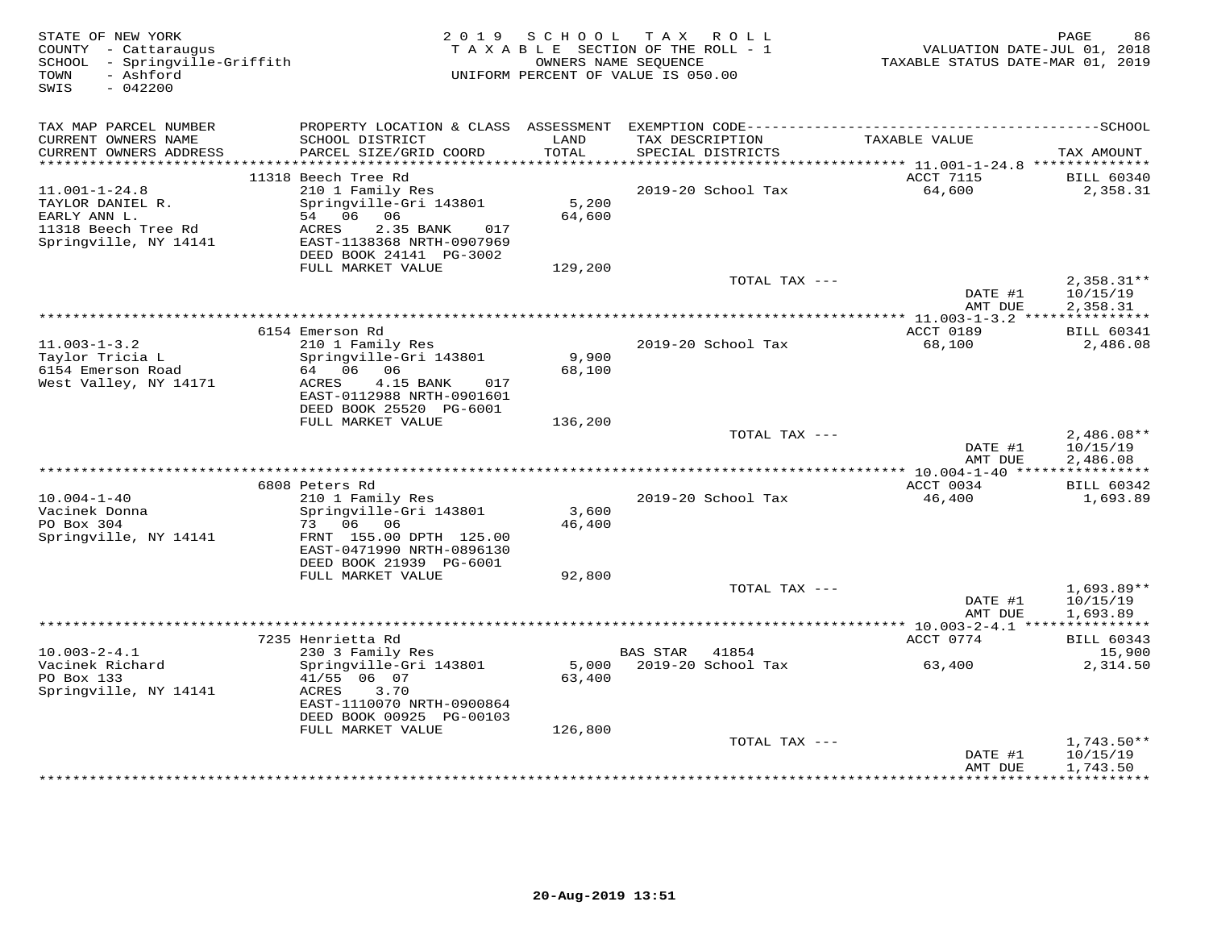| STATE OF NEW YORK<br>COUNTY - Cattaraugus<br>SCHOOL - Springville-Griffith<br>- Ashford<br>TOWN<br>SWIS<br>$-042200$ |                                                                                                                                             | 2019 SCHOOL     | TAX ROLL<br>TAXABLE SECTION OF THE ROLL - 1<br>OWNERS NAME SEQUENCE<br>UNIFORM PERCENT OF VALUE IS 050.00 | VALUATION DATE-JUL 01, 2018<br>TAXABLE STATUS DATE-MAR 01, 2019 | PAGE<br>86                           |
|----------------------------------------------------------------------------------------------------------------------|---------------------------------------------------------------------------------------------------------------------------------------------|-----------------|-----------------------------------------------------------------------------------------------------------|-----------------------------------------------------------------|--------------------------------------|
| TAX MAP PARCEL NUMBER                                                                                                |                                                                                                                                             |                 |                                                                                                           |                                                                 |                                      |
| CURRENT OWNERS NAME<br>CURRENT OWNERS ADDRESS                                                                        | SCHOOL DISTRICT<br>PARCEL SIZE/GRID COORD                                                                                                   | LAND<br>TOTAL   | TAX DESCRIPTION<br>SPECIAL DISTRICTS                                                                      | TAXABLE VALUE                                                   | TAX AMOUNT                           |
| ************************                                                                                             | 11318 Beech Tree Rd                                                                                                                         |                 |                                                                                                           | ACCT 7115                                                       | <b>BILL 60340</b>                    |
| $11.001 - 1 - 24.8$<br>TAYLOR DANIEL R.<br>EARLY ANN L.<br>11318 Beech Tree Rd<br>Springville, NY 14141              | 210 1 Family Res<br>Springville-Gri 143801<br>54 06 06<br>2.35 BANK<br>ACRES<br>017<br>EAST-1138368 NRTH-0907969<br>DEED BOOK 24141 PG-3002 | 5,200<br>64,600 | 2019-20 School Tax                                                                                        | 64,600                                                          | 2,358.31                             |
|                                                                                                                      | FULL MARKET VALUE                                                                                                                           | 129,200         | TOTAL TAX ---                                                                                             | DATE #1                                                         | $2,358.31**$<br>10/15/19             |
|                                                                                                                      |                                                                                                                                             |                 |                                                                                                           | AMT DUE                                                         | 2,358.31                             |
|                                                                                                                      | 6154 Emerson Rd                                                                                                                             |                 |                                                                                                           | ************ 11.003-1-3.2 ****************<br>ACCT 0189         | <b>BILL 60341</b>                    |
| $11.003 - 1 - 3.2$<br>Taylor Tricia L<br>6154 Emerson Road<br>West Valley, NY 14171                                  | 210 1 Family Res<br>Springville-Gri 143801<br>64 06 06<br>4.15 BANK<br>ACRES<br>017<br>EAST-0112988 NRTH-0901601<br>DEED BOOK 25520 PG-6001 | 9,900<br>68,100 | 2019-20 School Tax                                                                                        | 68,100                                                          | 2,486.08                             |
|                                                                                                                      | FULL MARKET VALUE                                                                                                                           | 136,200         |                                                                                                           |                                                                 |                                      |
|                                                                                                                      |                                                                                                                                             |                 | TOTAL TAX ---                                                                                             | DATE #1<br>AMT DUE                                              | $2,486.08**$<br>10/15/19<br>2,486.08 |
|                                                                                                                      | 6808 Peters Rd                                                                                                                              |                 |                                                                                                           | ACCT 0034                                                       | <b>BILL 60342</b>                    |
| $10.004 - 1 - 40$<br>Vacinek Donna<br>PO Box 304<br>Springville, NY 14141                                            | 210 1 Family Res<br>Springville-Gri 143801<br>73 06 06<br>FRNT 155.00 DPTH 125.00<br>EAST-0471990 NRTH-0896130<br>DEED BOOK 21939 PG-6001   | 3,600<br>46,400 | 2019-20 School Tax                                                                                        | 46,400                                                          | 1,693.89                             |
|                                                                                                                      | FULL MARKET VALUE                                                                                                                           | 92,800          |                                                                                                           |                                                                 |                                      |
|                                                                                                                      |                                                                                                                                             |                 | TOTAL TAX ---                                                                                             | DATE #1<br>AMT DUE                                              | $1,693.89**$<br>10/15/19<br>1,693.89 |
|                                                                                                                      |                                                                                                                                             |                 |                                                                                                           |                                                                 |                                      |
| $10.003 - 2 - 4.1$                                                                                                   | 7235 Henrietta Rd<br>230 3 Family Res                                                                                                       |                 | <b>BAS STAR</b><br>41854                                                                                  | ACCT 0774                                                       | <b>BILL 60343</b><br>15,900          |
| Vacinek Richard<br>PO Box 133<br>Springville, NY 14141                                                               | Springville-Gri 143801<br>41/55 06 07<br>3.70<br>ACRES<br>EAST-1110070 NRTH-0900864<br>DEED BOOK 00925 PG-00103                             | 5,000<br>63,400 | 2019-20 School Tax                                                                                        | 63,400                                                          | 2,314.50                             |
|                                                                                                                      | FULL MARKET VALUE                                                                                                                           | 126,800         | TOTAL TAX ---                                                                                             |                                                                 | $1,743.50**$                         |
|                                                                                                                      |                                                                                                                                             |                 |                                                                                                           | DATE #1<br>AMT DUE<br>*************                             | 10/15/19<br>1,743.50<br>**********   |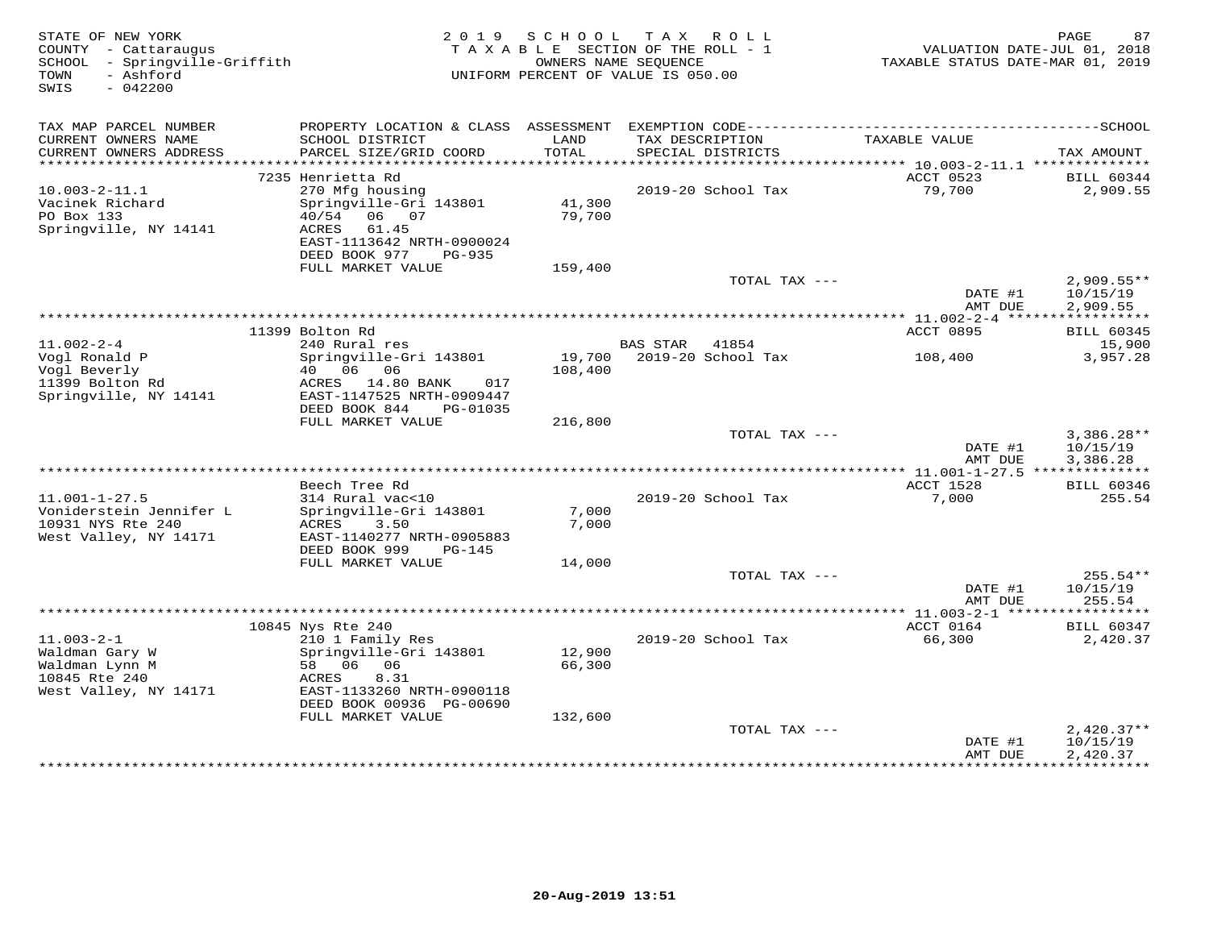| STATE OF NEW YORK<br>COUNTY - Cattaraugus<br>- Springville-Griffith<br>SCHOOL<br>- Ashford<br>TOWN<br>SWIS<br>$-042200$ |                                            | 2019 SCHOOL<br>TAXABLE SECTION OF THE ROLL - 1<br>UNIFORM PERCENT OF VALUE IS 050.00 | OWNERS NAME SEOUENCE | TAX ROLL                           | TAXABLE STATUS DATE-MAR 01, 2019 | PAGE<br>87<br>VALUATION DATE-JUL 01, 2018 |
|-------------------------------------------------------------------------------------------------------------------------|--------------------------------------------|--------------------------------------------------------------------------------------|----------------------|------------------------------------|----------------------------------|-------------------------------------------|
| TAX MAP PARCEL NUMBER                                                                                                   |                                            |                                                                                      |                      |                                    |                                  |                                           |
| CURRENT OWNERS NAME                                                                                                     | SCHOOL DISTRICT                            | LAND                                                                                 |                      | TAX DESCRIPTION                    | TAXABLE VALUE                    |                                           |
| CURRENT OWNERS ADDRESS                                                                                                  | PARCEL SIZE/GRID COORD                     | TOTAL                                                                                |                      | SPECIAL DISTRICTS                  |                                  | TAX AMOUNT                                |
| **********************                                                                                                  |                                            |                                                                                      |                      |                                    |                                  |                                           |
| $10.003 - 2 - 11.1$                                                                                                     | 7235 Henrietta Rd<br>270 Mfg housing       |                                                                                      |                      | 2019-20 School Tax                 | ACCT 0523<br>79,700              | <b>BILL 60344</b><br>2,909.55             |
| Vacinek Richard                                                                                                         | Springville-Gri 143801                     | 41,300                                                                               |                      |                                    |                                  |                                           |
| PO Box 133                                                                                                              | 40/54 06 07                                | 79,700                                                                               |                      |                                    |                                  |                                           |
| Springville, NY 14141                                                                                                   | 61.45<br>ACRES                             |                                                                                      |                      |                                    |                                  |                                           |
|                                                                                                                         | EAST-1113642 NRTH-0900024                  |                                                                                      |                      |                                    |                                  |                                           |
|                                                                                                                         | DEED BOOK 977<br>PG-935                    |                                                                                      |                      |                                    |                                  |                                           |
|                                                                                                                         | FULL MARKET VALUE                          | 159,400                                                                              |                      | TOTAL TAX ---                      |                                  | $2,909.55**$                              |
|                                                                                                                         |                                            |                                                                                      |                      |                                    | DATE #1                          | 10/15/19                                  |
|                                                                                                                         |                                            |                                                                                      |                      |                                    | AMT DUE                          | 2,909.55                                  |
|                                                                                                                         |                                            |                                                                                      |                      |                                    |                                  | ***********                               |
|                                                                                                                         | 11399 Bolton Rd                            |                                                                                      |                      |                                    | ACCT 0895                        | <b>BILL 60345</b>                         |
| $11.002 - 2 - 4$<br>Vogl Ronald P                                                                                       | 240 Rural res<br>Springville-Gri 143801    |                                                                                      | <b>BAS STAR</b>      | 41854<br>19,700 2019-20 School Tax | 108,400                          | 15,900<br>3,957.28                        |
| Vogl Beverly                                                                                                            | 40 06 06                                   | 108,400                                                                              |                      |                                    |                                  |                                           |
| 11399 Bolton Rd                                                                                                         | ACRES 14.80 BANK<br>017                    |                                                                                      |                      |                                    |                                  |                                           |
| Springville, NY 14141                                                                                                   | EAST-1147525 NRTH-0909447                  |                                                                                      |                      |                                    |                                  |                                           |
|                                                                                                                         | DEED BOOK 844<br>PG-01035                  |                                                                                      |                      |                                    |                                  |                                           |
|                                                                                                                         | FULL MARKET VALUE                          | 216,800                                                                              |                      | TOTAL TAX ---                      |                                  |                                           |
|                                                                                                                         |                                            |                                                                                      |                      |                                    | DATE #1                          | $3,386.28**$<br>10/15/19                  |
|                                                                                                                         |                                            |                                                                                      |                      |                                    | AMT DUE                          | 3,386.28                                  |
|                                                                                                                         |                                            |                                                                                      |                      |                                    |                                  |                                           |
|                                                                                                                         | Beech Tree Rd                              |                                                                                      |                      |                                    | ACCT 1528                        | <b>BILL 60346</b>                         |
| $11.001 - 1 - 27.5$                                                                                                     | 314 Rural vac<10                           |                                                                                      |                      | 2019-20 School Tax                 | 7,000                            | 255.54                                    |
| Voniderstein Jennifer L<br>10931 NYS Rte 240                                                                            | Springville-Gri 143801<br>ACRES<br>3.50    | 7,000<br>7,000                                                                       |                      |                                    |                                  |                                           |
| West Valley, NY 14171                                                                                                   | EAST-1140277 NRTH-0905883                  |                                                                                      |                      |                                    |                                  |                                           |
|                                                                                                                         | DEED BOOK 999<br>PG-145                    |                                                                                      |                      |                                    |                                  |                                           |
|                                                                                                                         | FULL MARKET VALUE                          | 14,000                                                                               |                      |                                    |                                  |                                           |
|                                                                                                                         |                                            |                                                                                      |                      | TOTAL TAX ---                      |                                  | $255.54**$                                |
|                                                                                                                         |                                            |                                                                                      |                      |                                    | DATE #1<br>AMT DUE               | 10/15/19<br>255.54                        |
|                                                                                                                         |                                            |                                                                                      |                      |                                    |                                  |                                           |
|                                                                                                                         | 10845 Nys Rte 240                          |                                                                                      |                      |                                    | ACCT 0164                        | <b>BILL 60347</b>                         |
| $11.003 - 2 - 1$                                                                                                        | 210 1 Family Res                           |                                                                                      |                      | 2019-20 School Tax                 | 66,300                           | 2,420.37                                  |
| Waldman Gary W                                                                                                          | Springville-Gri 143801                     | 12,900                                                                               |                      |                                    |                                  |                                           |
| Waldman Lynn M                                                                                                          | 58 06 06                                   | 66,300                                                                               |                      |                                    |                                  |                                           |
| 10845 Rte 240<br>West Valley, NY 14171                                                                                  | ACRES<br>8.31<br>EAST-1133260 NRTH-0900118 |                                                                                      |                      |                                    |                                  |                                           |
|                                                                                                                         | DEED BOOK 00936 PG-00690                   |                                                                                      |                      |                                    |                                  |                                           |
|                                                                                                                         | FULL MARKET VALUE                          | 132,600                                                                              |                      |                                    |                                  |                                           |
|                                                                                                                         |                                            |                                                                                      |                      | TOTAL TAX ---                      |                                  | $2,420.37**$                              |
|                                                                                                                         |                                            |                                                                                      |                      |                                    | DATE #1                          | 10/15/19                                  |
|                                                                                                                         |                                            |                                                                                      |                      |                                    | AMT DUE                          | 2,420.37<br>**********                    |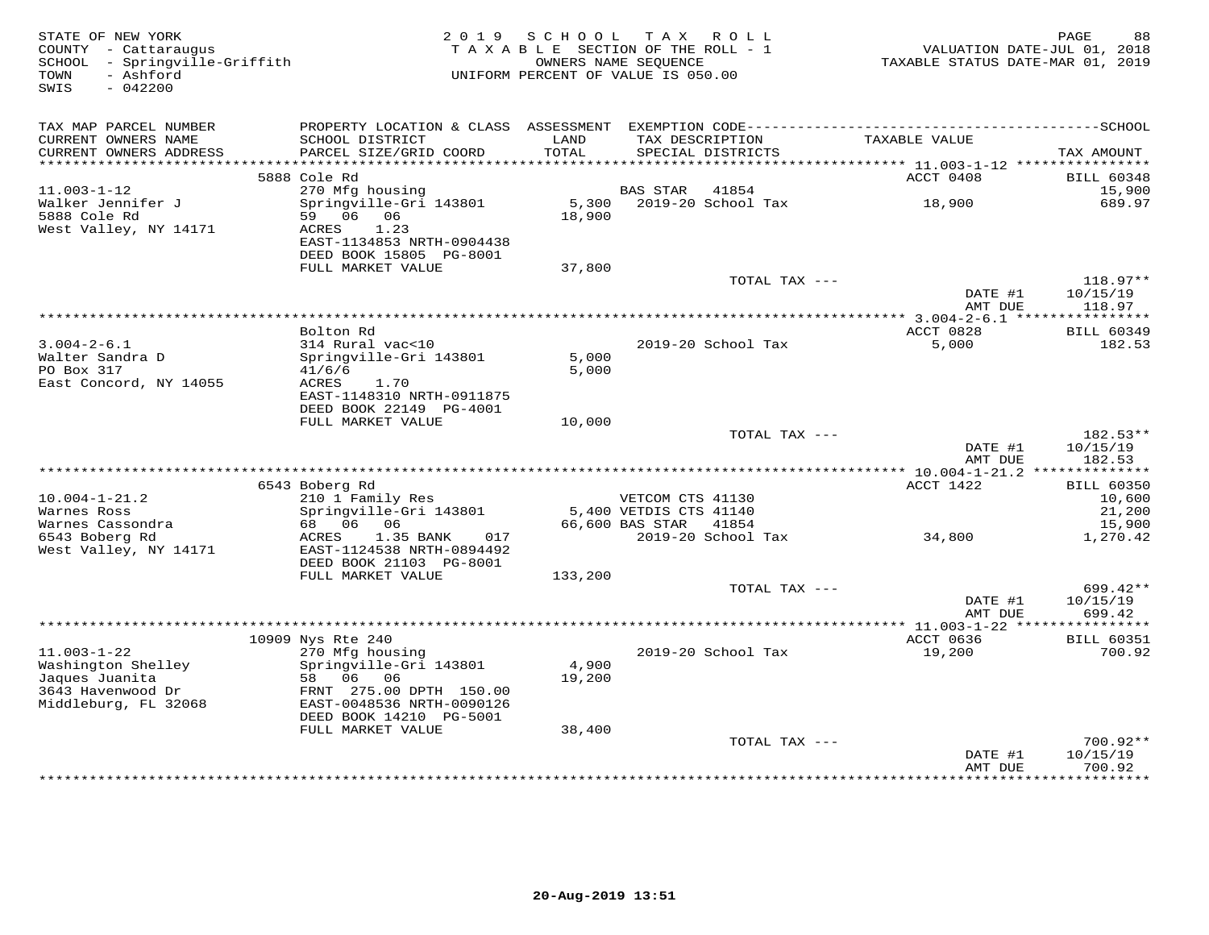| STATE OF NEW YORK<br>COUNTY - Cattaraugus<br>SCHOOL - Springville-Griffith<br>- Ashford<br>TOWN<br>$-042200$<br>SWIS | 2 0 1 9                                      | SCHOOL<br>TAXABLE SECTION OF THE ROLL - 1<br>UNIFORM PERCENT OF VALUE IS 050.00 | OWNERS NAME SEQUENCE   | TAX ROLL           | VALUATION DATE-JUL 01, 2018<br>TAXABLE STATUS DATE-MAR 01, 2019 | PAGE<br>88                  |
|----------------------------------------------------------------------------------------------------------------------|----------------------------------------------|---------------------------------------------------------------------------------|------------------------|--------------------|-----------------------------------------------------------------|-----------------------------|
| TAX MAP PARCEL NUMBER                                                                                                |                                              |                                                                                 |                        |                    |                                                                 |                             |
| CURRENT OWNERS NAME<br>CURRENT OWNERS ADDRESS                                                                        | SCHOOL DISTRICT<br>PARCEL SIZE/GRID COORD    | LAND<br>TOTAL                                                                   | TAX DESCRIPTION        | SPECIAL DISTRICTS  | TAXABLE VALUE                                                   | TAX AMOUNT                  |
| ***********************                                                                                              |                                              |                                                                                 |                        |                    |                                                                 |                             |
| $11.003 - 1 - 12$                                                                                                    | 5888 Cole Rd<br>270 Mfg housing              |                                                                                 | BAS STAR               | 41854              | ACCT 0408                                                       | <b>BILL 60348</b><br>15,900 |
| Walker Jennifer J                                                                                                    | Springville-Gri 143801                       | 5,300                                                                           |                        | 2019-20 School Tax | 18,900                                                          | 689.97                      |
| 5888 Cole Rd                                                                                                         | 59 06<br>06                                  | 18,900                                                                          |                        |                    |                                                                 |                             |
| West Valley, NY 14171                                                                                                | 1.23<br>ACRES                                |                                                                                 |                        |                    |                                                                 |                             |
|                                                                                                                      | EAST-1134853 NRTH-0904438                    |                                                                                 |                        |                    |                                                                 |                             |
|                                                                                                                      | DEED BOOK 15805 PG-8001                      |                                                                                 |                        |                    |                                                                 |                             |
|                                                                                                                      | FULL MARKET VALUE                            | 37,800                                                                          |                        | TOTAL TAX ---      |                                                                 | $118.97**$                  |
|                                                                                                                      |                                              |                                                                                 |                        |                    | DATE #1                                                         | 10/15/19                    |
|                                                                                                                      |                                              |                                                                                 |                        |                    | AMT DUE                                                         | 118.97                      |
|                                                                                                                      |                                              |                                                                                 |                        |                    |                                                                 |                             |
| $3.004 - 2 - 6.1$                                                                                                    | Bolton Rd<br>314 Rural vac<10                |                                                                                 |                        | 2019-20 School Tax | ACCT 0828<br>5,000                                              | <b>BILL 60349</b><br>182.53 |
| Walter Sandra D                                                                                                      | Springville-Gri 143801                       | 5,000                                                                           |                        |                    |                                                                 |                             |
| PO Box 317                                                                                                           | 41/6/6                                       | 5,000                                                                           |                        |                    |                                                                 |                             |
| East Concord, NY 14055                                                                                               | ACRES<br>1.70                                |                                                                                 |                        |                    |                                                                 |                             |
|                                                                                                                      | EAST-1148310 NRTH-0911875                    |                                                                                 |                        |                    |                                                                 |                             |
|                                                                                                                      | DEED BOOK 22149 PG-4001<br>FULL MARKET VALUE | 10,000                                                                          |                        |                    |                                                                 |                             |
|                                                                                                                      |                                              |                                                                                 |                        | TOTAL TAX ---      |                                                                 | 182.53**                    |
|                                                                                                                      |                                              |                                                                                 |                        |                    | DATE #1                                                         | 10/15/19                    |
|                                                                                                                      |                                              |                                                                                 |                        |                    | AMT DUE                                                         | 182.53                      |
|                                                                                                                      |                                              |                                                                                 |                        |                    |                                                                 |                             |
| $10.004 - 1 - 21.2$                                                                                                  | 6543 Boberg Rd<br>210 1 Family Res           |                                                                                 | VETCOM CTS 41130       |                    | ACCT 1422                                                       | <b>BILL 60350</b><br>10,600 |
| Warnes Ross                                                                                                          | Springville-Gri 143801                       |                                                                                 | 5,400 VETDIS CTS 41140 |                    |                                                                 | 21,200                      |
| Warnes Cassondra                                                                                                     | 68  06  06                                   |                                                                                 | 66,600 BAS STAR        | 41854              |                                                                 | 15,900                      |
| 6543 Boberg Rd                                                                                                       | 1.35 BANK<br>017<br>ACRES                    |                                                                                 |                        | 2019-20 School Tax | 34,800                                                          | 1,270.42                    |
| West Valley, NY 14171                                                                                                | EAST-1124538 NRTH-0894492                    |                                                                                 |                        |                    |                                                                 |                             |
|                                                                                                                      | DEED BOOK 21103 PG-8001<br>FULL MARKET VALUE | 133,200                                                                         |                        |                    |                                                                 |                             |
|                                                                                                                      |                                              |                                                                                 |                        | TOTAL TAX ---      |                                                                 | 699.42**                    |
|                                                                                                                      |                                              |                                                                                 |                        |                    | DATE #1                                                         | 10/15/19                    |
|                                                                                                                      |                                              |                                                                                 |                        |                    | AMT DUE                                                         | 699.42                      |
|                                                                                                                      |                                              |                                                                                 |                        |                    |                                                                 |                             |
| $11.003 - 1 - 22$                                                                                                    | 10909 Nys Rte 240<br>270 Mfg housing         |                                                                                 |                        | 2019-20 School Tax | ACCT 0636<br>19,200                                             | <b>BILL 60351</b><br>700.92 |
| Washington Shelley                                                                                                   | Springville-Gri 143801                       | 4,900                                                                           |                        |                    |                                                                 |                             |
| Jaques Juanita                                                                                                       | 58 06<br>06                                  | 19,200                                                                          |                        |                    |                                                                 |                             |
| 3643 Havenwood Dr                                                                                                    | FRNT 275.00 DPTH 150.00                      |                                                                                 |                        |                    |                                                                 |                             |
| Middleburg, FL 32068                                                                                                 | EAST-0048536 NRTH-0090126                    |                                                                                 |                        |                    |                                                                 |                             |
|                                                                                                                      | DEED BOOK 14210 PG-5001<br>FULL MARKET VALUE | 38,400                                                                          |                        |                    |                                                                 |                             |
|                                                                                                                      |                                              |                                                                                 |                        | TOTAL TAX ---      |                                                                 | $700.92**$                  |
|                                                                                                                      |                                              |                                                                                 |                        |                    | DATE #1                                                         | 10/15/19                    |
|                                                                                                                      |                                              |                                                                                 |                        |                    | AMT DUE                                                         | 700.92                      |
|                                                                                                                      |                                              |                                                                                 |                        |                    |                                                                 | ***********                 |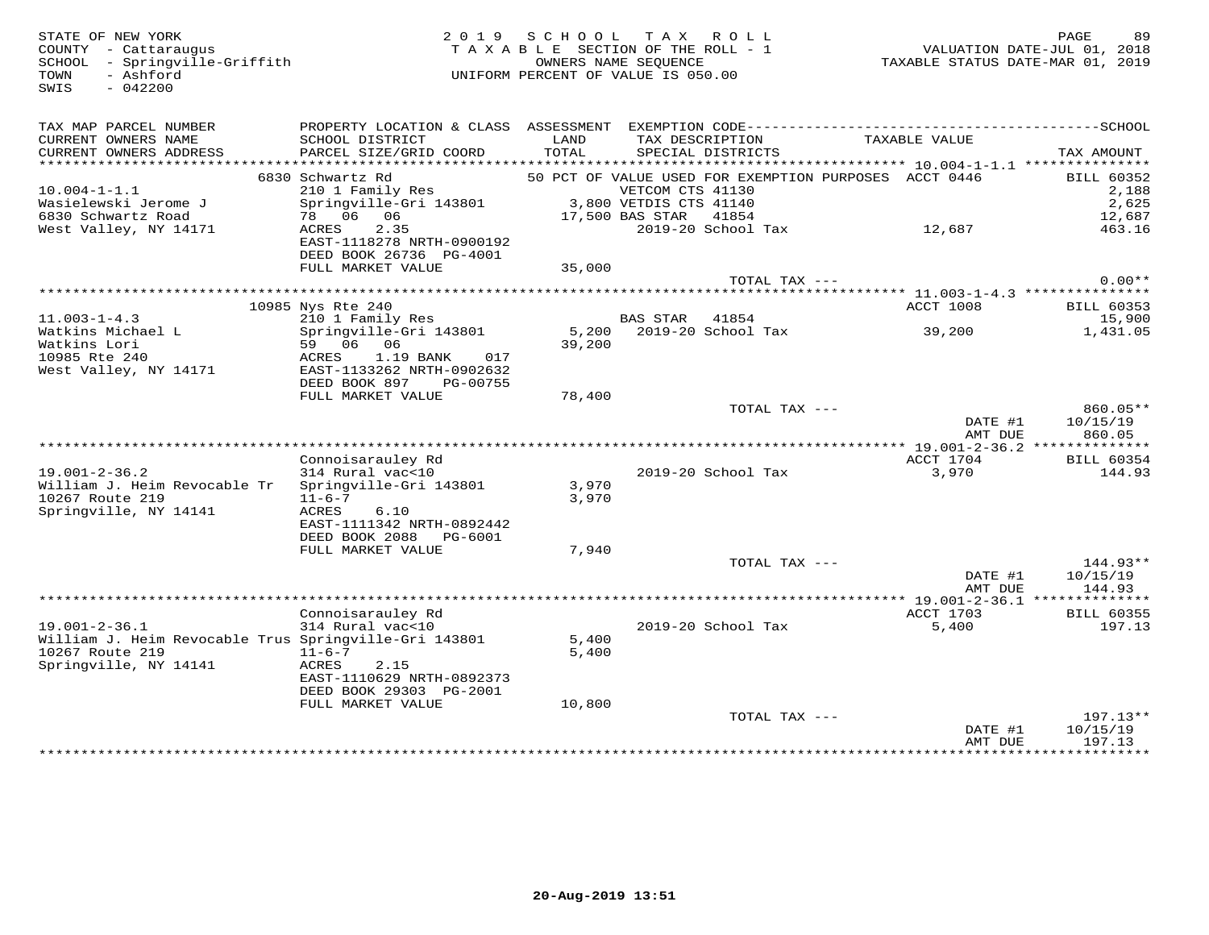SWIS - 042200

# STATE OF NEW YORK 2 0 1 9 S C H O O L T A X R O L L PAGE 89 COUNTY - Cattaraugus T A X A B L E SECTION OF THE ROLL - 1 VALUATION DATE-JUL 01, 2018 SCHOOL - Springville-Griffith OWNERS NAME SEQUENCE TAXABLE STATUS DATE-MAR 01, 2019 TOWN - Ashford UNIFORM PERCENT OF VALUE IS 050.00

| TAX MAP PARCEL NUMBER<br>CURRENT OWNERS NAME<br>CURRENT OWNERS ADDRESS<br>********************** | PROPERTY LOCATION & CLASS ASSESSMENT<br>SCHOOL DISTRICT<br>PARCEL SIZE/GRID COORD   | LAND<br>TOTAL | EXEMPTION CODE-----------<br>TAX DESCRIPTION<br>SPECIAL DISTRICTS         | TAXABLE VALUE                      | -------------SCHOOL<br>TAX AMOUNT |
|--------------------------------------------------------------------------------------------------|-------------------------------------------------------------------------------------|---------------|---------------------------------------------------------------------------|------------------------------------|-----------------------------------|
|                                                                                                  | 6830 Schwartz Rd                                                                    |               |                                                                           |                                    |                                   |
| $10.004 - 1 - 1.1$                                                                               | 210 1 Family Res                                                                    |               | 50 PCT OF VALUE USED FOR EXEMPTION PURPOSES ACCT 0446<br>VETCOM CTS 41130 |                                    | <b>BILL 60352</b><br>2,188        |
| Wasielewski Jerome J                                                                             | Springville-Gri 143801                                                              |               | 3,800 VETDIS CTS 41140                                                    |                                    | 2,625                             |
| 6830 Schwartz Road                                                                               | 78 06<br>06                                                                         |               | 41854                                                                     |                                    |                                   |
|                                                                                                  | 2.35                                                                                |               | 17,500 BAS STAR                                                           |                                    | 12,687                            |
| West Valley, NY 14171                                                                            | ACRES<br>EAST-1118278 NRTH-0900192<br>DEED BOOK 26736 PG-4001                       |               | 2019-20 School Tax                                                        | 12,687                             | 463.16                            |
|                                                                                                  | FULL MARKET VALUE                                                                   | 35,000        |                                                                           |                                    |                                   |
|                                                                                                  |                                                                                     |               | TOTAL TAX ---                                                             |                                    | $0.00**$                          |
|                                                                                                  |                                                                                     |               |                                                                           | ***** 11.003-1-4.3 *************** |                                   |
|                                                                                                  | 10985 Nys Rte 240                                                                   |               |                                                                           | <b>ACCT 1008</b>                   | BILL 60353                        |
| $11.003 - 1 - 4.3$                                                                               | 210 1 Family Res                                                                    |               | <b>BAS STAR</b><br>41854                                                  |                                    | 15,900                            |
| Watkins Michael L                                                                                | Springville-Gri 143801                                                              | 5,200         | 2019-20 School Tax                                                        | 39,200                             | 1,431.05                          |
| Watkins Lori                                                                                     | 59 06<br>06                                                                         | 39,200        |                                                                           |                                    |                                   |
| 10985 Rte 240<br>West Valley, NY 14171                                                           | 1.19 BANK<br>ACRES<br>017<br>EAST-1133262 NRTH-0902632<br>DEED BOOK 897<br>PG-00755 |               |                                                                           |                                    |                                   |
|                                                                                                  | FULL MARKET VALUE                                                                   | 78,400        |                                                                           |                                    |                                   |
|                                                                                                  |                                                                                     |               | TOTAL TAX ---                                                             |                                    | 860.05**                          |
|                                                                                                  |                                                                                     |               |                                                                           | DATE #1                            | 10/15/19                          |
|                                                                                                  |                                                                                     |               |                                                                           | AMT DUE                            | 860.05                            |
|                                                                                                  |                                                                                     |               |                                                                           |                                    |                                   |
|                                                                                                  | Connoisarauley Rd                                                                   |               |                                                                           | ACCT 1704                          | <b>BILL 60354</b>                 |
| $19.001 - 2 - 36.2$                                                                              | 314 Rural vac<10                                                                    |               | $2019-20$ School Tax                                                      | 3,970                              | 144.93                            |
| William J. Heim Revocable Tr                                                                     | Springville-Gri 143801                                                              | 3,970         |                                                                           |                                    |                                   |
| 10267 Route 219                                                                                  | $11 - 6 - 7$                                                                        | 3,970         |                                                                           |                                    |                                   |
| Springville, NY 14141                                                                            | ACRES<br>6.10                                                                       |               |                                                                           |                                    |                                   |
|                                                                                                  | EAST-1111342 NRTH-0892442                                                           |               |                                                                           |                                    |                                   |
|                                                                                                  | DEED BOOK 2088<br>PG-6001                                                           |               |                                                                           |                                    |                                   |
|                                                                                                  | FULL MARKET VALUE                                                                   | 7,940         |                                                                           |                                    |                                   |
|                                                                                                  |                                                                                     |               | TOTAL TAX ---                                                             |                                    | $144.93**$                        |
|                                                                                                  |                                                                                     |               |                                                                           | DATE #1                            | 10/15/19                          |
|                                                                                                  |                                                                                     |               |                                                                           | AMT DUE                            | 144.93                            |
|                                                                                                  |                                                                                     |               |                                                                           |                                    |                                   |
|                                                                                                  | Connoisarauley Rd                                                                   |               |                                                                           | ACCT 1703                          | <b>BILL 60355</b>                 |
| $19.001 - 2 - 36.1$                                                                              | 314 Rural vac<10                                                                    |               | 2019-20 School Tax                                                        | 5,400                              | 197.13                            |
| William J. Heim Revocable Trus Springville-Gri 143801                                            |                                                                                     | 5,400         |                                                                           |                                    |                                   |
| 10267 Route 219                                                                                  | $11 - 6 - 7$                                                                        | 5,400         |                                                                           |                                    |                                   |
| Springville, NY 14141                                                                            | 2.15<br>ACRES                                                                       |               |                                                                           |                                    |                                   |
|                                                                                                  | EAST-1110629 NRTH-0892373                                                           |               |                                                                           |                                    |                                   |
|                                                                                                  | DEED BOOK 29303 PG-2001                                                             |               |                                                                           |                                    |                                   |
|                                                                                                  | FULL MARKET VALUE                                                                   | 10,800        |                                                                           |                                    |                                   |
|                                                                                                  |                                                                                     |               | TOTAL TAX ---                                                             |                                    | $197.13**$                        |
|                                                                                                  |                                                                                     |               |                                                                           | DATE #1                            | 10/15/19                          |
|                                                                                                  |                                                                                     |               |                                                                           | AMT DUE                            | 197.13                            |
|                                                                                                  |                                                                                     |               |                                                                           |                                    | ***********                       |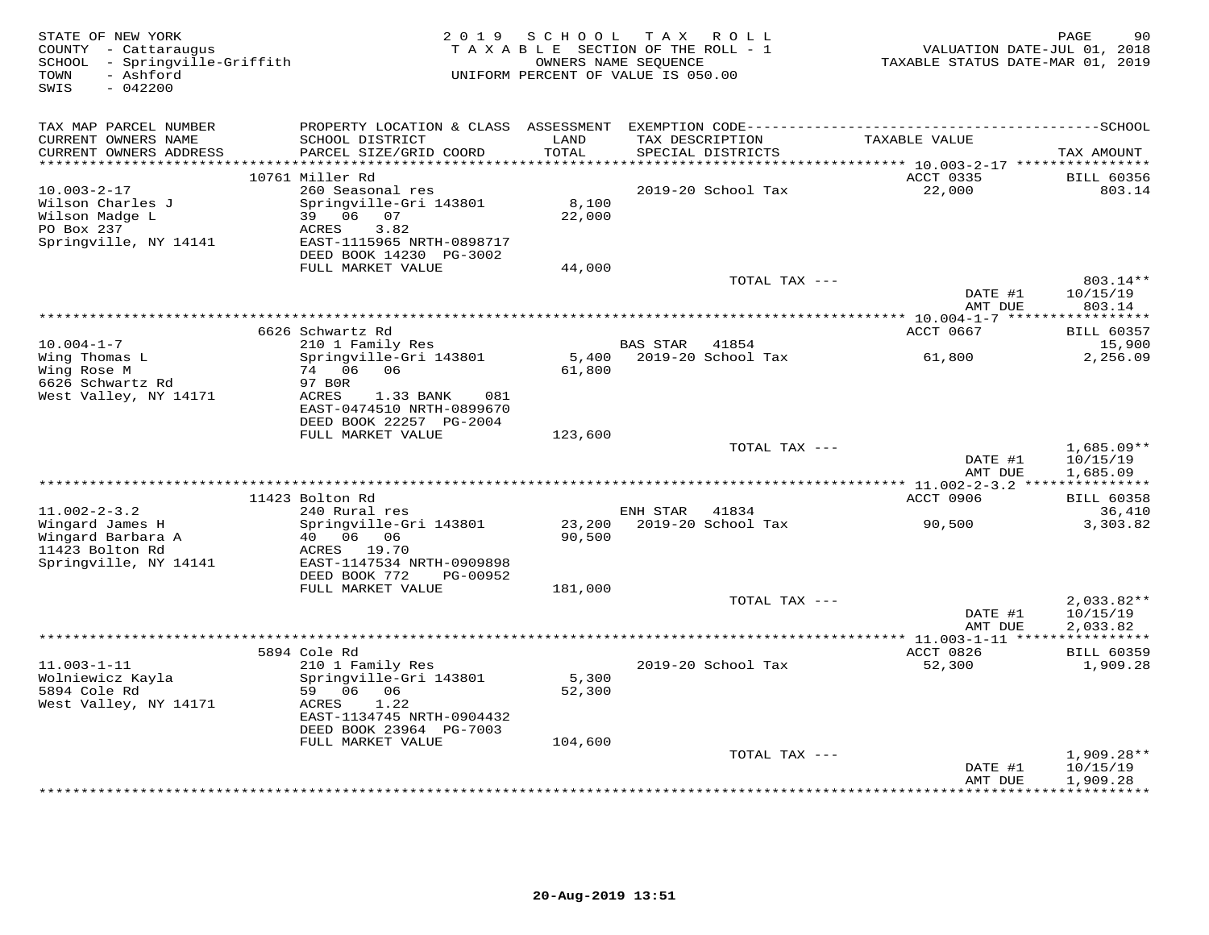| STATE OF NEW YORK<br>COUNTY - Cattaraugus<br>SCHOOL - Springville-Griffith<br>- Ashford<br>TOWN<br>$-042200$<br>SWIS |                                                                       |                  | 2019 SCHOOL TAX ROLL<br>TAXABLE SECTION OF THE ROLL - 1<br>OWNERS NAME SEQUENCE<br>UNIFORM PERCENT OF VALUE IS 050.00 | VALUATION DATE-JUL 01, 2018<br>TAXABLE STATUS DATE-MAR 01, 2019 | 90<br>PAGE                          |
|----------------------------------------------------------------------------------------------------------------------|-----------------------------------------------------------------------|------------------|-----------------------------------------------------------------------------------------------------------------------|-----------------------------------------------------------------|-------------------------------------|
| TAX MAP PARCEL NUMBER                                                                                                |                                                                       |                  |                                                                                                                       |                                                                 |                                     |
| CURRENT OWNERS NAME<br>CURRENT OWNERS ADDRESS                                                                        | SCHOOL DISTRICT<br>PARCEL SIZE/GRID COORD                             | LAND<br>TOTAL    | TAX DESCRIPTION<br>SPECIAL DISTRICTS                                                                                  | TAXABLE VALUE                                                   | TAX AMOUNT                          |
|                                                                                                                      | 10761 Miller Rd                                                       |                  |                                                                                                                       | ACCT 0335                                                       | <b>BILL 60356</b>                   |
| $10.003 - 2 - 17$<br>Wilson Charles J                                                                                | 260 Seasonal res<br>Springville-Gri 143801<br>39 06 07                | 8,100            | 2019-20 School Tax                                                                                                    | 22,000                                                          | 803.14                              |
| Wilson Madge L<br>PO Box 237<br>Springville, NY 14141                                                                | ACRES<br>3.82<br>EAST-1115965 NRTH-0898717                            | 22,000           |                                                                                                                       |                                                                 |                                     |
|                                                                                                                      | DEED BOOK 14230 PG-3002<br>FULL MARKET VALUE                          | 44,000           |                                                                                                                       |                                                                 |                                     |
|                                                                                                                      |                                                                       |                  | TOTAL TAX ---                                                                                                         |                                                                 | 803.14**                            |
|                                                                                                                      |                                                                       |                  |                                                                                                                       | DATE #1<br>AMT DUE                                              | 10/15/19<br>803.14                  |
|                                                                                                                      |                                                                       |                  |                                                                                                                       |                                                                 |                                     |
| $10.004 - 1 - 7$                                                                                                     | 6626 Schwartz Rd<br>210 1 Family Res                                  |                  | BAS STAR 41854                                                                                                        | ACCT 0667                                                       | <b>BILL 60357</b><br>15,900         |
| Wing Thomas L<br>Wing Rose M                                                                                         | Springville-Gri 143801<br>74 06<br>06                                 | 5,400<br>61,800  | 2019-20 School Tax                                                                                                    | 61,800                                                          | 2,256.09                            |
| 6626 Schwartz Rd<br>West Valley, NY 14171                                                                            | 97 BOR<br>ACRES<br>1.33 BANK<br>081<br>EAST-0474510 NRTH-0899670      |                  |                                                                                                                       |                                                                 |                                     |
|                                                                                                                      | DEED BOOK 22257 PG-2004<br>FULL MARKET VALUE                          | 123,600          |                                                                                                                       |                                                                 |                                     |
|                                                                                                                      |                                                                       |                  | TOTAL TAX ---                                                                                                         | DATE #1                                                         | $1,685.09**$<br>10/15/19            |
|                                                                                                                      |                                                                       |                  |                                                                                                                       | AMT DUE                                                         | 1,685.09                            |
|                                                                                                                      | 11423 Bolton Rd                                                       |                  |                                                                                                                       | ACCT 0906                                                       | <b>BILL 60358</b>                   |
| $11.002 - 2 - 3.2$                                                                                                   | 240 Rural res                                                         |                  | ENH STAR<br>41834                                                                                                     |                                                                 | 36,410                              |
| Wingard James H<br>Wingard Barbara A                                                                                 | Springville-Gri 143801<br>40   06   06                                | 23,200<br>90,500 | 2019-20 School Tax                                                                                                    | 90,500                                                          | 3,303.82                            |
| 11423 Bolton Rd<br>Springville, NY 14141                                                                             | ACRES 19.70<br>EAST-1147534 NRTH-0909898<br>DEED BOOK 772<br>PG-00952 |                  |                                                                                                                       |                                                                 |                                     |
|                                                                                                                      | FULL MARKET VALUE                                                     | 181,000          |                                                                                                                       |                                                                 |                                     |
|                                                                                                                      |                                                                       |                  | TOTAL TAX ---                                                                                                         | DATE #1<br>AMT DUE                                              | $2,033.82**$<br>10/15/19            |
|                                                                                                                      |                                                                       |                  |                                                                                                                       |                                                                 | 2,033.82<br>***********             |
|                                                                                                                      | 5894 Cole Rd                                                          |                  |                                                                                                                       | ACCT 0826                                                       | <b>BILL 60359</b>                   |
| $11.003 - 1 - 11$<br>Wolniewicz Kayla                                                                                | 210 1 Family Res<br>Springville-Gri 143801                            | 5,300            | 2019-20 School Tax                                                                                                    | 52,300                                                          | 1,909.28                            |
| 5894 Cole Rd<br>West Valley, NY 14171                                                                                | 59 06 06<br>1.22<br>ACRES<br>EAST-1134745 NRTH-0904432                | 52,300           |                                                                                                                       |                                                                 |                                     |
|                                                                                                                      | DEED BOOK 23964 PG-7003<br>FULL MARKET VALUE                          | 104,600          |                                                                                                                       |                                                                 |                                     |
|                                                                                                                      |                                                                       |                  | TOTAL TAX ---                                                                                                         |                                                                 | $1,909.28**$                        |
|                                                                                                                      |                                                                       |                  |                                                                                                                       | DATE #1<br>AMT DUE                                              | 10/15/19<br>1,909.28<br>*********** |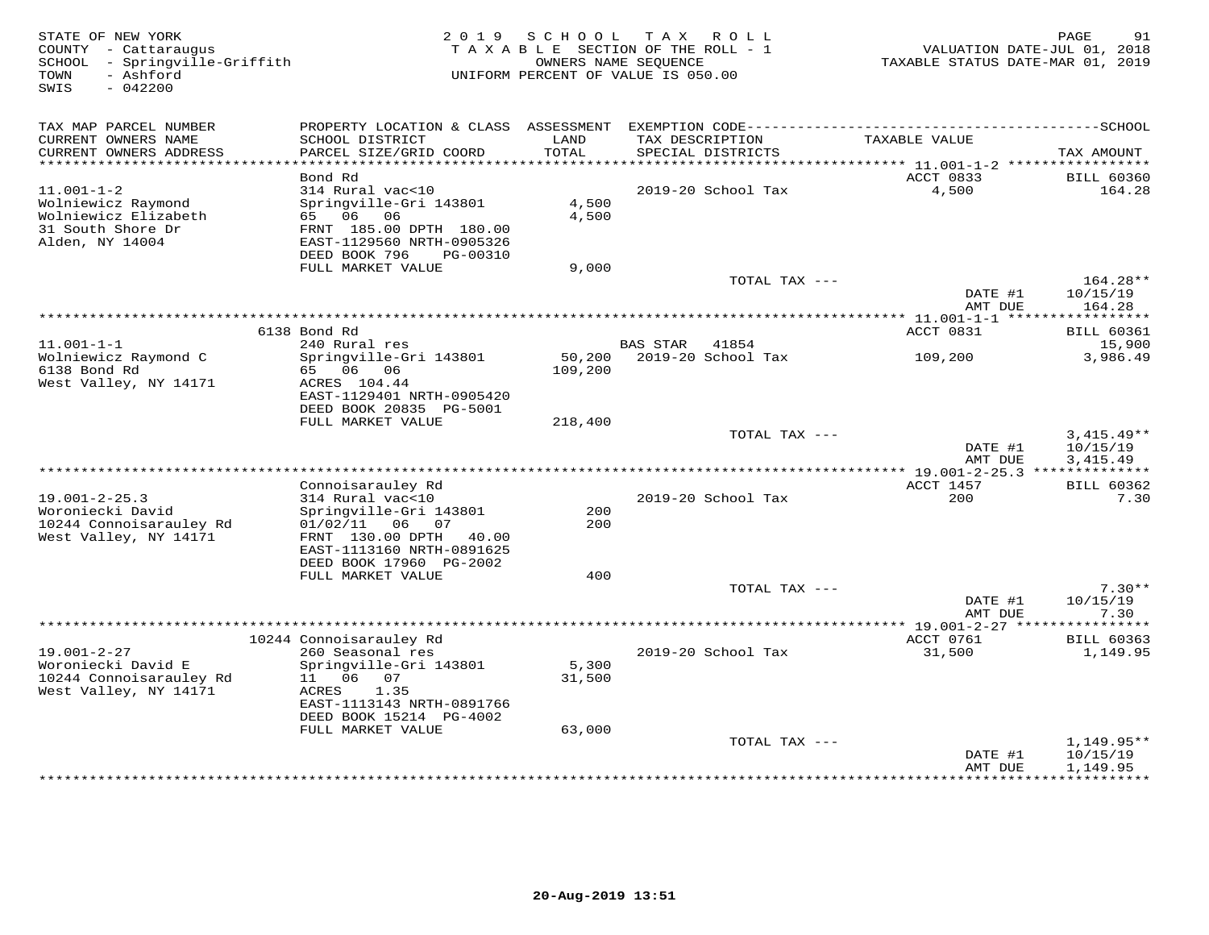| STATE OF NEW YORK<br>COUNTY - Cattaraugus<br>- Springville-Griffith<br>SCHOOL<br>TOWN<br>- Ashford<br>SWIS<br>$-042200$ |                                              | 2019 SCHOOL   | T A X<br>R O L L<br>TAXABLE SECTION OF THE ROLL - 1<br>OWNERS NAME SEQUENCE<br>UNIFORM PERCENT OF VALUE IS 050.00 | VALUATION DATE-JUL 01, 2018<br>TAXABLE STATUS DATE-MAR 01, 2019 | PAGE<br>91                      |
|-------------------------------------------------------------------------------------------------------------------------|----------------------------------------------|---------------|-------------------------------------------------------------------------------------------------------------------|-----------------------------------------------------------------|---------------------------------|
| TAX MAP PARCEL NUMBER                                                                                                   |                                              |               |                                                                                                                   |                                                                 |                                 |
| CURRENT OWNERS NAME<br>CURRENT OWNERS ADDRESS                                                                           | SCHOOL DISTRICT<br>PARCEL SIZE/GRID COORD    | LAND<br>TOTAL | TAX DESCRIPTION<br>SPECIAL DISTRICTS                                                                              | TAXABLE VALUE                                                   | TAX AMOUNT                      |
| ******************************                                                                                          |                                              |               |                                                                                                                   |                                                                 |                                 |
|                                                                                                                         | Bond Rd                                      |               |                                                                                                                   | ACCT 0833                                                       | <b>BILL 60360</b>               |
| $11.001 - 1 - 2$                                                                                                        | 314 Rural vac<10                             |               | 2019-20 School Tax                                                                                                | 4,500                                                           | 164.28                          |
| Wolniewicz Raymond                                                                                                      | Springville-Gri 143801                       | 4,500         |                                                                                                                   |                                                                 |                                 |
| Wolniewicz Elizabeth<br>31 South Shore Dr                                                                               | 65 06 06<br>FRNT 185.00 DPTH 180.00          | 4,500         |                                                                                                                   |                                                                 |                                 |
| Alden, NY 14004                                                                                                         | EAST-1129560 NRTH-0905326                    |               |                                                                                                                   |                                                                 |                                 |
|                                                                                                                         | DEED BOOK 796<br>PG-00310                    |               |                                                                                                                   |                                                                 |                                 |
|                                                                                                                         | FULL MARKET VALUE                            | 9,000         |                                                                                                                   |                                                                 |                                 |
|                                                                                                                         |                                              |               | TOTAL TAX ---                                                                                                     | DATE #1                                                         | $164.28**$<br>10/15/19          |
|                                                                                                                         |                                              |               |                                                                                                                   | AMT DUE                                                         | 164.28                          |
|                                                                                                                         |                                              |               |                                                                                                                   |                                                                 |                                 |
|                                                                                                                         | 6138 Bond Rd                                 |               |                                                                                                                   | ACCT 0831                                                       | <b>BILL 60361</b>               |
| $11.001 - 1 - 1$<br>Wolniewicz Raymond C                                                                                | 240 Rural res<br>Springville-Gri 143801      | 50,200        | <b>BAS STAR</b><br>41854<br>2019-20 School Tax                                                                    | 109,200                                                         | 15,900<br>3,986.49              |
| 6138 Bond Rd                                                                                                            | 65 06 06                                     | 109,200       |                                                                                                                   |                                                                 |                                 |
| West Valley, NY 14171                                                                                                   | ACRES 104.44<br>EAST-1129401 NRTH-0905420    |               |                                                                                                                   |                                                                 |                                 |
|                                                                                                                         | DEED BOOK 20835 PG-5001                      |               |                                                                                                                   |                                                                 |                                 |
|                                                                                                                         | FULL MARKET VALUE                            | 218,400       |                                                                                                                   |                                                                 |                                 |
|                                                                                                                         |                                              |               | TOTAL TAX ---                                                                                                     |                                                                 | $3,415.49**$                    |
|                                                                                                                         |                                              |               |                                                                                                                   | DATE #1<br>AMT DUE                                              | 10/15/19<br>3,415.49            |
|                                                                                                                         |                                              |               |                                                                                                                   | ** 19.001-2-25.3 **************                                 |                                 |
|                                                                                                                         | Connoisarauley Rd                            |               |                                                                                                                   | ACCT 1457                                                       | <b>BILL 60362</b>               |
| $19.001 - 2 - 25.3$                                                                                                     | 314 Rural vac<10                             |               | 2019-20 School Tax                                                                                                | 200                                                             | 7.30                            |
| Woroniecki David<br>10244 Connoisarauley Rd                                                                             | Springville-Gri 143801<br>$01/02/11$ 06 07   | 200<br>200    |                                                                                                                   |                                                                 |                                 |
| West Valley, NY 14171                                                                                                   | FRNT 130.00 DPTH 40.00                       |               |                                                                                                                   |                                                                 |                                 |
|                                                                                                                         | EAST-1113160 NRTH-0891625                    |               |                                                                                                                   |                                                                 |                                 |
|                                                                                                                         | DEED BOOK 17960 PG-2002                      |               |                                                                                                                   |                                                                 |                                 |
|                                                                                                                         | FULL MARKET VALUE                            | 400           | TOTAL TAX ---                                                                                                     |                                                                 | $7.30**$                        |
|                                                                                                                         |                                              |               |                                                                                                                   | DATE #1                                                         | 10/15/19                        |
|                                                                                                                         |                                              |               |                                                                                                                   | AMT DUE                                                         | 7.30                            |
|                                                                                                                         |                                              |               |                                                                                                                   |                                                                 |                                 |
|                                                                                                                         | 10244 Connoisarauley Rd                      |               |                                                                                                                   | ACCT 0761                                                       | <b>BILL 60363</b>               |
| $19.001 - 2 - 27$<br>Woroniecki David E                                                                                 | 260 Seasonal res<br>Springville-Gri 143801   | 5,300         | 2019-20 School Tax                                                                                                | 31,500                                                          | 1,149.95                        |
| 10244 Connoisarauley Rd                                                                                                 | 11 06 07                                     | 31,500        |                                                                                                                   |                                                                 |                                 |
| West Valley, NY 14171                                                                                                   | 1.35<br>ACRES                                |               |                                                                                                                   |                                                                 |                                 |
|                                                                                                                         | EAST-1113143 NRTH-0891766                    |               |                                                                                                                   |                                                                 |                                 |
|                                                                                                                         | DEED BOOK 15214 PG-4002<br>FULL MARKET VALUE | 63,000        |                                                                                                                   |                                                                 |                                 |
|                                                                                                                         |                                              |               | TOTAL TAX ---                                                                                                     |                                                                 | 1,149.95**                      |
|                                                                                                                         |                                              |               |                                                                                                                   | DATE #1                                                         | 10/15/19                        |
|                                                                                                                         |                                              |               |                                                                                                                   | AMT DUE                                                         | 1,149.95<br>. + + + + + + + + + |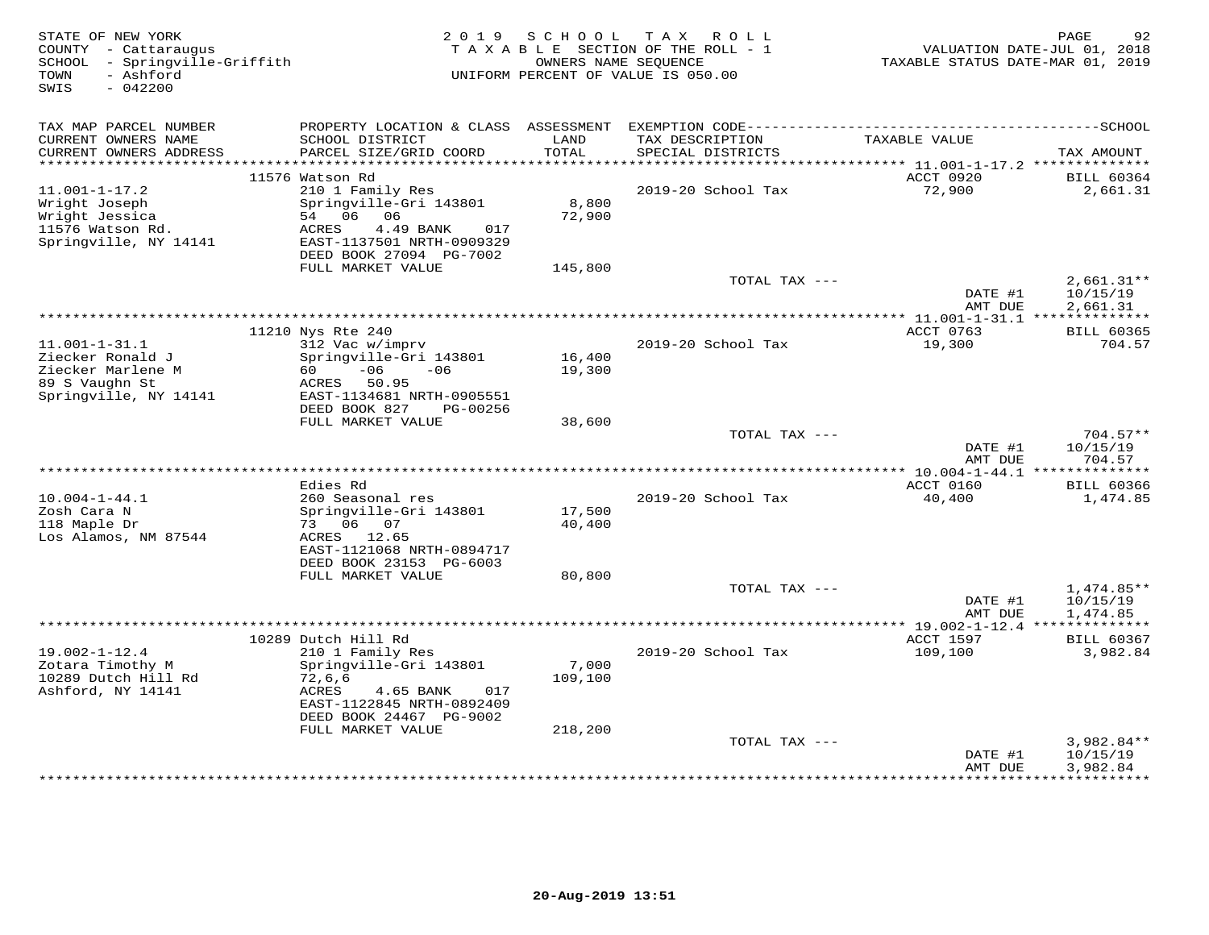| TAX MAP PARCEL NUMBER<br>CURRENT OWNERS NAME<br>SCHOOL DISTRICT<br>LAND<br>TAX DESCRIPTION<br>TAXABLE VALUE<br>CURRENT OWNERS ADDRESS<br>PARCEL SIZE/GRID COORD<br><b>TOTAL</b><br>SPECIAL DISTRICTS<br>TAX AMOUNT<br>***********************<br>11576 Watson Rd<br>ACCT 0920<br><b>BILL 60364</b><br>$11.001 - 1 - 17.2$<br>210 1 Family Res<br>2019-20 School Tax<br>72,900<br>2,661.31<br>8,800<br>Wright Joseph<br>Springville-Gri 143801<br>72,900<br>Wright Jessica<br>54 06<br>06<br>11576 Watson Rd.<br>ACRES<br>4.49 BANK<br>017<br>Springville, NY 14141<br>EAST-1137501 NRTH-0909329<br>DEED BOOK 27094 PG-7002<br>FULL MARKET VALUE<br>145,800<br>TOTAL TAX ---<br>$2,661.31**$<br>DATE #1<br>10/15/19<br>2,661.31<br>AMT DUE<br>* 11.001-1-31.1 **************<br>ACCT 0763<br>11210 Nys Rte 240<br><b>BILL 60365</b><br>$11.001 - 1 - 31.1$<br>312 Vac w/imprv<br>2019-20 School Tax<br>19,300<br>704.57<br>Ziecker Ronald J<br>16,400<br>Springville-Gri 143801<br>Ziecker Marlene M<br>$-06$<br>$-06$<br>19,300<br>60<br>89 S Vaughn St<br>ACRES<br>50.95<br>Springville, NY 14141<br>EAST-1134681 NRTH-0905551<br>DEED BOOK 827<br>PG-00256<br>FULL MARKET VALUE<br>38,600<br>TOTAL TAX ---<br>$704.57**$<br>DATE #1<br>10/15/19<br>AMT DUE<br>704.57<br>** 10.004-1-44.1 ***************<br>ACCT 0160<br>Edies Rd<br><b>BILL 60366</b><br>$10.004 - 1 - 44.1$<br>260 Seasonal res<br>2019-20 School Tax<br>40,400<br>1,474.85<br>17,500<br>Zosh Cara N<br>Springville-Gri 143801<br>118 Maple Dr<br>73 06<br>07<br>40,400<br>Los Alamos, NM 87544<br>ACRES 12.65<br>EAST-1121068 NRTH-0894717<br>DEED BOOK 23153 PG-6003<br>FULL MARKET VALUE<br>80,800<br>TOTAL TAX ---<br>$1,474.85**$<br>DATE #1<br>10/15/19<br>AMT DUE<br>1,474.85<br>*********** 19.002-1-12.4 ***************<br>10289 Dutch Hill Rd<br>ACCT 1597<br><b>BILL 60367</b><br>$19.002 - 1 - 12.4$<br>109,100<br>210 1 Family Res<br>2019-20 School Tax<br>3,982.84<br>Zotara Timothy M<br>Springville-Gri 143801<br>7,000<br>10289 Dutch Hill Rd<br>72,6,6<br>109,100<br>Ashford, NY 14141<br>ACRES<br>4.65 BANK<br>017<br>EAST-1122845 NRTH-0892409<br>DEED BOOK 24467 PG-9002<br>FULL MARKET VALUE<br>218,200<br>3,982.84**<br>TOTAL TAX ---<br>DATE #1<br>10/15/19<br>3,982.84<br>AMT DUE<br>***********<br>**************** | STATE OF NEW YORK<br>COUNTY - Cattaraugus<br>SCHOOL - Springville-Griffith<br>- Ashford<br>TOWN<br>SWIS<br>$-042200$ | 2 0 1 9 | SCHOOL<br>OWNERS NAME SEOUENCE | T A X<br>ROLL<br>TAXABLE SECTION OF THE ROLL - 1<br>UNIFORM PERCENT OF VALUE IS 050.00 | TAXABLE STATUS DATE-MAR 01, 2019 | PAGE<br>92<br>VALUATION DATE-JUL 01, 2018 |
|---------------------------------------------------------------------------------------------------------------------------------------------------------------------------------------------------------------------------------------------------------------------------------------------------------------------------------------------------------------------------------------------------------------------------------------------------------------------------------------------------------------------------------------------------------------------------------------------------------------------------------------------------------------------------------------------------------------------------------------------------------------------------------------------------------------------------------------------------------------------------------------------------------------------------------------------------------------------------------------------------------------------------------------------------------------------------------------------------------------------------------------------------------------------------------------------------------------------------------------------------------------------------------------------------------------------------------------------------------------------------------------------------------------------------------------------------------------------------------------------------------------------------------------------------------------------------------------------------------------------------------------------------------------------------------------------------------------------------------------------------------------------------------------------------------------------------------------------------------------------------------------------------------------------------------------------------------------------------------------------------------------------------------------------------------------------------------------------------------------------------------------------------------------------------------------------------------------------------------------------------------------------------------------------------------------------|----------------------------------------------------------------------------------------------------------------------|---------|--------------------------------|----------------------------------------------------------------------------------------|----------------------------------|-------------------------------------------|
|                                                                                                                                                                                                                                                                                                                                                                                                                                                                                                                                                                                                                                                                                                                                                                                                                                                                                                                                                                                                                                                                                                                                                                                                                                                                                                                                                                                                                                                                                                                                                                                                                                                                                                                                                                                                                                                                                                                                                                                                                                                                                                                                                                                                                                                                                                                     |                                                                                                                      |         |                                |                                                                                        |                                  |                                           |
|                                                                                                                                                                                                                                                                                                                                                                                                                                                                                                                                                                                                                                                                                                                                                                                                                                                                                                                                                                                                                                                                                                                                                                                                                                                                                                                                                                                                                                                                                                                                                                                                                                                                                                                                                                                                                                                                                                                                                                                                                                                                                                                                                                                                                                                                                                                     |                                                                                                                      |         |                                |                                                                                        |                                  |                                           |
|                                                                                                                                                                                                                                                                                                                                                                                                                                                                                                                                                                                                                                                                                                                                                                                                                                                                                                                                                                                                                                                                                                                                                                                                                                                                                                                                                                                                                                                                                                                                                                                                                                                                                                                                                                                                                                                                                                                                                                                                                                                                                                                                                                                                                                                                                                                     |                                                                                                                      |         |                                |                                                                                        |                                  |                                           |
|                                                                                                                                                                                                                                                                                                                                                                                                                                                                                                                                                                                                                                                                                                                                                                                                                                                                                                                                                                                                                                                                                                                                                                                                                                                                                                                                                                                                                                                                                                                                                                                                                                                                                                                                                                                                                                                                                                                                                                                                                                                                                                                                                                                                                                                                                                                     |                                                                                                                      |         |                                |                                                                                        |                                  |                                           |
|                                                                                                                                                                                                                                                                                                                                                                                                                                                                                                                                                                                                                                                                                                                                                                                                                                                                                                                                                                                                                                                                                                                                                                                                                                                                                                                                                                                                                                                                                                                                                                                                                                                                                                                                                                                                                                                                                                                                                                                                                                                                                                                                                                                                                                                                                                                     |                                                                                                                      |         |                                |                                                                                        |                                  |                                           |
|                                                                                                                                                                                                                                                                                                                                                                                                                                                                                                                                                                                                                                                                                                                                                                                                                                                                                                                                                                                                                                                                                                                                                                                                                                                                                                                                                                                                                                                                                                                                                                                                                                                                                                                                                                                                                                                                                                                                                                                                                                                                                                                                                                                                                                                                                                                     |                                                                                                                      |         |                                |                                                                                        |                                  |                                           |
|                                                                                                                                                                                                                                                                                                                                                                                                                                                                                                                                                                                                                                                                                                                                                                                                                                                                                                                                                                                                                                                                                                                                                                                                                                                                                                                                                                                                                                                                                                                                                                                                                                                                                                                                                                                                                                                                                                                                                                                                                                                                                                                                                                                                                                                                                                                     |                                                                                                                      |         |                                |                                                                                        |                                  |                                           |
|                                                                                                                                                                                                                                                                                                                                                                                                                                                                                                                                                                                                                                                                                                                                                                                                                                                                                                                                                                                                                                                                                                                                                                                                                                                                                                                                                                                                                                                                                                                                                                                                                                                                                                                                                                                                                                                                                                                                                                                                                                                                                                                                                                                                                                                                                                                     |                                                                                                                      |         |                                |                                                                                        |                                  |                                           |
|                                                                                                                                                                                                                                                                                                                                                                                                                                                                                                                                                                                                                                                                                                                                                                                                                                                                                                                                                                                                                                                                                                                                                                                                                                                                                                                                                                                                                                                                                                                                                                                                                                                                                                                                                                                                                                                                                                                                                                                                                                                                                                                                                                                                                                                                                                                     |                                                                                                                      |         |                                |                                                                                        |                                  |                                           |
|                                                                                                                                                                                                                                                                                                                                                                                                                                                                                                                                                                                                                                                                                                                                                                                                                                                                                                                                                                                                                                                                                                                                                                                                                                                                                                                                                                                                                                                                                                                                                                                                                                                                                                                                                                                                                                                                                                                                                                                                                                                                                                                                                                                                                                                                                                                     |                                                                                                                      |         |                                |                                                                                        |                                  |                                           |
|                                                                                                                                                                                                                                                                                                                                                                                                                                                                                                                                                                                                                                                                                                                                                                                                                                                                                                                                                                                                                                                                                                                                                                                                                                                                                                                                                                                                                                                                                                                                                                                                                                                                                                                                                                                                                                                                                                                                                                                                                                                                                                                                                                                                                                                                                                                     |                                                                                                                      |         |                                |                                                                                        |                                  |                                           |
|                                                                                                                                                                                                                                                                                                                                                                                                                                                                                                                                                                                                                                                                                                                                                                                                                                                                                                                                                                                                                                                                                                                                                                                                                                                                                                                                                                                                                                                                                                                                                                                                                                                                                                                                                                                                                                                                                                                                                                                                                                                                                                                                                                                                                                                                                                                     |                                                                                                                      |         |                                |                                                                                        |                                  |                                           |
|                                                                                                                                                                                                                                                                                                                                                                                                                                                                                                                                                                                                                                                                                                                                                                                                                                                                                                                                                                                                                                                                                                                                                                                                                                                                                                                                                                                                                                                                                                                                                                                                                                                                                                                                                                                                                                                                                                                                                                                                                                                                                                                                                                                                                                                                                                                     |                                                                                                                      |         |                                |                                                                                        |                                  |                                           |
|                                                                                                                                                                                                                                                                                                                                                                                                                                                                                                                                                                                                                                                                                                                                                                                                                                                                                                                                                                                                                                                                                                                                                                                                                                                                                                                                                                                                                                                                                                                                                                                                                                                                                                                                                                                                                                                                                                                                                                                                                                                                                                                                                                                                                                                                                                                     |                                                                                                                      |         |                                |                                                                                        |                                  |                                           |
|                                                                                                                                                                                                                                                                                                                                                                                                                                                                                                                                                                                                                                                                                                                                                                                                                                                                                                                                                                                                                                                                                                                                                                                                                                                                                                                                                                                                                                                                                                                                                                                                                                                                                                                                                                                                                                                                                                                                                                                                                                                                                                                                                                                                                                                                                                                     |                                                                                                                      |         |                                |                                                                                        |                                  |                                           |
|                                                                                                                                                                                                                                                                                                                                                                                                                                                                                                                                                                                                                                                                                                                                                                                                                                                                                                                                                                                                                                                                                                                                                                                                                                                                                                                                                                                                                                                                                                                                                                                                                                                                                                                                                                                                                                                                                                                                                                                                                                                                                                                                                                                                                                                                                                                     |                                                                                                                      |         |                                |                                                                                        |                                  |                                           |
|                                                                                                                                                                                                                                                                                                                                                                                                                                                                                                                                                                                                                                                                                                                                                                                                                                                                                                                                                                                                                                                                                                                                                                                                                                                                                                                                                                                                                                                                                                                                                                                                                                                                                                                                                                                                                                                                                                                                                                                                                                                                                                                                                                                                                                                                                                                     |                                                                                                                      |         |                                |                                                                                        |                                  |                                           |
|                                                                                                                                                                                                                                                                                                                                                                                                                                                                                                                                                                                                                                                                                                                                                                                                                                                                                                                                                                                                                                                                                                                                                                                                                                                                                                                                                                                                                                                                                                                                                                                                                                                                                                                                                                                                                                                                                                                                                                                                                                                                                                                                                                                                                                                                                                                     |                                                                                                                      |         |                                |                                                                                        |                                  |                                           |
|                                                                                                                                                                                                                                                                                                                                                                                                                                                                                                                                                                                                                                                                                                                                                                                                                                                                                                                                                                                                                                                                                                                                                                                                                                                                                                                                                                                                                                                                                                                                                                                                                                                                                                                                                                                                                                                                                                                                                                                                                                                                                                                                                                                                                                                                                                                     |                                                                                                                      |         |                                |                                                                                        |                                  |                                           |
|                                                                                                                                                                                                                                                                                                                                                                                                                                                                                                                                                                                                                                                                                                                                                                                                                                                                                                                                                                                                                                                                                                                                                                                                                                                                                                                                                                                                                                                                                                                                                                                                                                                                                                                                                                                                                                                                                                                                                                                                                                                                                                                                                                                                                                                                                                                     |                                                                                                                      |         |                                |                                                                                        |                                  |                                           |
|                                                                                                                                                                                                                                                                                                                                                                                                                                                                                                                                                                                                                                                                                                                                                                                                                                                                                                                                                                                                                                                                                                                                                                                                                                                                                                                                                                                                                                                                                                                                                                                                                                                                                                                                                                                                                                                                                                                                                                                                                                                                                                                                                                                                                                                                                                                     |                                                                                                                      |         |                                |                                                                                        |                                  |                                           |
|                                                                                                                                                                                                                                                                                                                                                                                                                                                                                                                                                                                                                                                                                                                                                                                                                                                                                                                                                                                                                                                                                                                                                                                                                                                                                                                                                                                                                                                                                                                                                                                                                                                                                                                                                                                                                                                                                                                                                                                                                                                                                                                                                                                                                                                                                                                     |                                                                                                                      |         |                                |                                                                                        |                                  |                                           |
|                                                                                                                                                                                                                                                                                                                                                                                                                                                                                                                                                                                                                                                                                                                                                                                                                                                                                                                                                                                                                                                                                                                                                                                                                                                                                                                                                                                                                                                                                                                                                                                                                                                                                                                                                                                                                                                                                                                                                                                                                                                                                                                                                                                                                                                                                                                     |                                                                                                                      |         |                                |                                                                                        |                                  |                                           |
|                                                                                                                                                                                                                                                                                                                                                                                                                                                                                                                                                                                                                                                                                                                                                                                                                                                                                                                                                                                                                                                                                                                                                                                                                                                                                                                                                                                                                                                                                                                                                                                                                                                                                                                                                                                                                                                                                                                                                                                                                                                                                                                                                                                                                                                                                                                     |                                                                                                                      |         |                                |                                                                                        |                                  |                                           |
|                                                                                                                                                                                                                                                                                                                                                                                                                                                                                                                                                                                                                                                                                                                                                                                                                                                                                                                                                                                                                                                                                                                                                                                                                                                                                                                                                                                                                                                                                                                                                                                                                                                                                                                                                                                                                                                                                                                                                                                                                                                                                                                                                                                                                                                                                                                     |                                                                                                                      |         |                                |                                                                                        |                                  |                                           |
|                                                                                                                                                                                                                                                                                                                                                                                                                                                                                                                                                                                                                                                                                                                                                                                                                                                                                                                                                                                                                                                                                                                                                                                                                                                                                                                                                                                                                                                                                                                                                                                                                                                                                                                                                                                                                                                                                                                                                                                                                                                                                                                                                                                                                                                                                                                     |                                                                                                                      |         |                                |                                                                                        |                                  |                                           |
|                                                                                                                                                                                                                                                                                                                                                                                                                                                                                                                                                                                                                                                                                                                                                                                                                                                                                                                                                                                                                                                                                                                                                                                                                                                                                                                                                                                                                                                                                                                                                                                                                                                                                                                                                                                                                                                                                                                                                                                                                                                                                                                                                                                                                                                                                                                     |                                                                                                                      |         |                                |                                                                                        |                                  |                                           |
|                                                                                                                                                                                                                                                                                                                                                                                                                                                                                                                                                                                                                                                                                                                                                                                                                                                                                                                                                                                                                                                                                                                                                                                                                                                                                                                                                                                                                                                                                                                                                                                                                                                                                                                                                                                                                                                                                                                                                                                                                                                                                                                                                                                                                                                                                                                     |                                                                                                                      |         |                                |                                                                                        |                                  |                                           |
|                                                                                                                                                                                                                                                                                                                                                                                                                                                                                                                                                                                                                                                                                                                                                                                                                                                                                                                                                                                                                                                                                                                                                                                                                                                                                                                                                                                                                                                                                                                                                                                                                                                                                                                                                                                                                                                                                                                                                                                                                                                                                                                                                                                                                                                                                                                     |                                                                                                                      |         |                                |                                                                                        |                                  |                                           |
|                                                                                                                                                                                                                                                                                                                                                                                                                                                                                                                                                                                                                                                                                                                                                                                                                                                                                                                                                                                                                                                                                                                                                                                                                                                                                                                                                                                                                                                                                                                                                                                                                                                                                                                                                                                                                                                                                                                                                                                                                                                                                                                                                                                                                                                                                                                     |                                                                                                                      |         |                                |                                                                                        |                                  |                                           |
|                                                                                                                                                                                                                                                                                                                                                                                                                                                                                                                                                                                                                                                                                                                                                                                                                                                                                                                                                                                                                                                                                                                                                                                                                                                                                                                                                                                                                                                                                                                                                                                                                                                                                                                                                                                                                                                                                                                                                                                                                                                                                                                                                                                                                                                                                                                     |                                                                                                                      |         |                                |                                                                                        |                                  |                                           |
|                                                                                                                                                                                                                                                                                                                                                                                                                                                                                                                                                                                                                                                                                                                                                                                                                                                                                                                                                                                                                                                                                                                                                                                                                                                                                                                                                                                                                                                                                                                                                                                                                                                                                                                                                                                                                                                                                                                                                                                                                                                                                                                                                                                                                                                                                                                     |                                                                                                                      |         |                                |                                                                                        |                                  |                                           |
|                                                                                                                                                                                                                                                                                                                                                                                                                                                                                                                                                                                                                                                                                                                                                                                                                                                                                                                                                                                                                                                                                                                                                                                                                                                                                                                                                                                                                                                                                                                                                                                                                                                                                                                                                                                                                                                                                                                                                                                                                                                                                                                                                                                                                                                                                                                     |                                                                                                                      |         |                                |                                                                                        |                                  |                                           |
|                                                                                                                                                                                                                                                                                                                                                                                                                                                                                                                                                                                                                                                                                                                                                                                                                                                                                                                                                                                                                                                                                                                                                                                                                                                                                                                                                                                                                                                                                                                                                                                                                                                                                                                                                                                                                                                                                                                                                                                                                                                                                                                                                                                                                                                                                                                     |                                                                                                                      |         |                                |                                                                                        |                                  |                                           |
|                                                                                                                                                                                                                                                                                                                                                                                                                                                                                                                                                                                                                                                                                                                                                                                                                                                                                                                                                                                                                                                                                                                                                                                                                                                                                                                                                                                                                                                                                                                                                                                                                                                                                                                                                                                                                                                                                                                                                                                                                                                                                                                                                                                                                                                                                                                     |                                                                                                                      |         |                                |                                                                                        |                                  |                                           |
|                                                                                                                                                                                                                                                                                                                                                                                                                                                                                                                                                                                                                                                                                                                                                                                                                                                                                                                                                                                                                                                                                                                                                                                                                                                                                                                                                                                                                                                                                                                                                                                                                                                                                                                                                                                                                                                                                                                                                                                                                                                                                                                                                                                                                                                                                                                     |                                                                                                                      |         |                                |                                                                                        |                                  |                                           |
|                                                                                                                                                                                                                                                                                                                                                                                                                                                                                                                                                                                                                                                                                                                                                                                                                                                                                                                                                                                                                                                                                                                                                                                                                                                                                                                                                                                                                                                                                                                                                                                                                                                                                                                                                                                                                                                                                                                                                                                                                                                                                                                                                                                                                                                                                                                     |                                                                                                                      |         |                                |                                                                                        |                                  |                                           |
|                                                                                                                                                                                                                                                                                                                                                                                                                                                                                                                                                                                                                                                                                                                                                                                                                                                                                                                                                                                                                                                                                                                                                                                                                                                                                                                                                                                                                                                                                                                                                                                                                                                                                                                                                                                                                                                                                                                                                                                                                                                                                                                                                                                                                                                                                                                     |                                                                                                                      |         |                                |                                                                                        |                                  |                                           |
|                                                                                                                                                                                                                                                                                                                                                                                                                                                                                                                                                                                                                                                                                                                                                                                                                                                                                                                                                                                                                                                                                                                                                                                                                                                                                                                                                                                                                                                                                                                                                                                                                                                                                                                                                                                                                                                                                                                                                                                                                                                                                                                                                                                                                                                                                                                     |                                                                                                                      |         |                                |                                                                                        |                                  |                                           |
|                                                                                                                                                                                                                                                                                                                                                                                                                                                                                                                                                                                                                                                                                                                                                                                                                                                                                                                                                                                                                                                                                                                                                                                                                                                                                                                                                                                                                                                                                                                                                                                                                                                                                                                                                                                                                                                                                                                                                                                                                                                                                                                                                                                                                                                                                                                     |                                                                                                                      |         |                                |                                                                                        |                                  |                                           |
|                                                                                                                                                                                                                                                                                                                                                                                                                                                                                                                                                                                                                                                                                                                                                                                                                                                                                                                                                                                                                                                                                                                                                                                                                                                                                                                                                                                                                                                                                                                                                                                                                                                                                                                                                                                                                                                                                                                                                                                                                                                                                                                                                                                                                                                                                                                     |                                                                                                                      |         |                                |                                                                                        |                                  |                                           |
|                                                                                                                                                                                                                                                                                                                                                                                                                                                                                                                                                                                                                                                                                                                                                                                                                                                                                                                                                                                                                                                                                                                                                                                                                                                                                                                                                                                                                                                                                                                                                                                                                                                                                                                                                                                                                                                                                                                                                                                                                                                                                                                                                                                                                                                                                                                     |                                                                                                                      |         |                                |                                                                                        |                                  |                                           |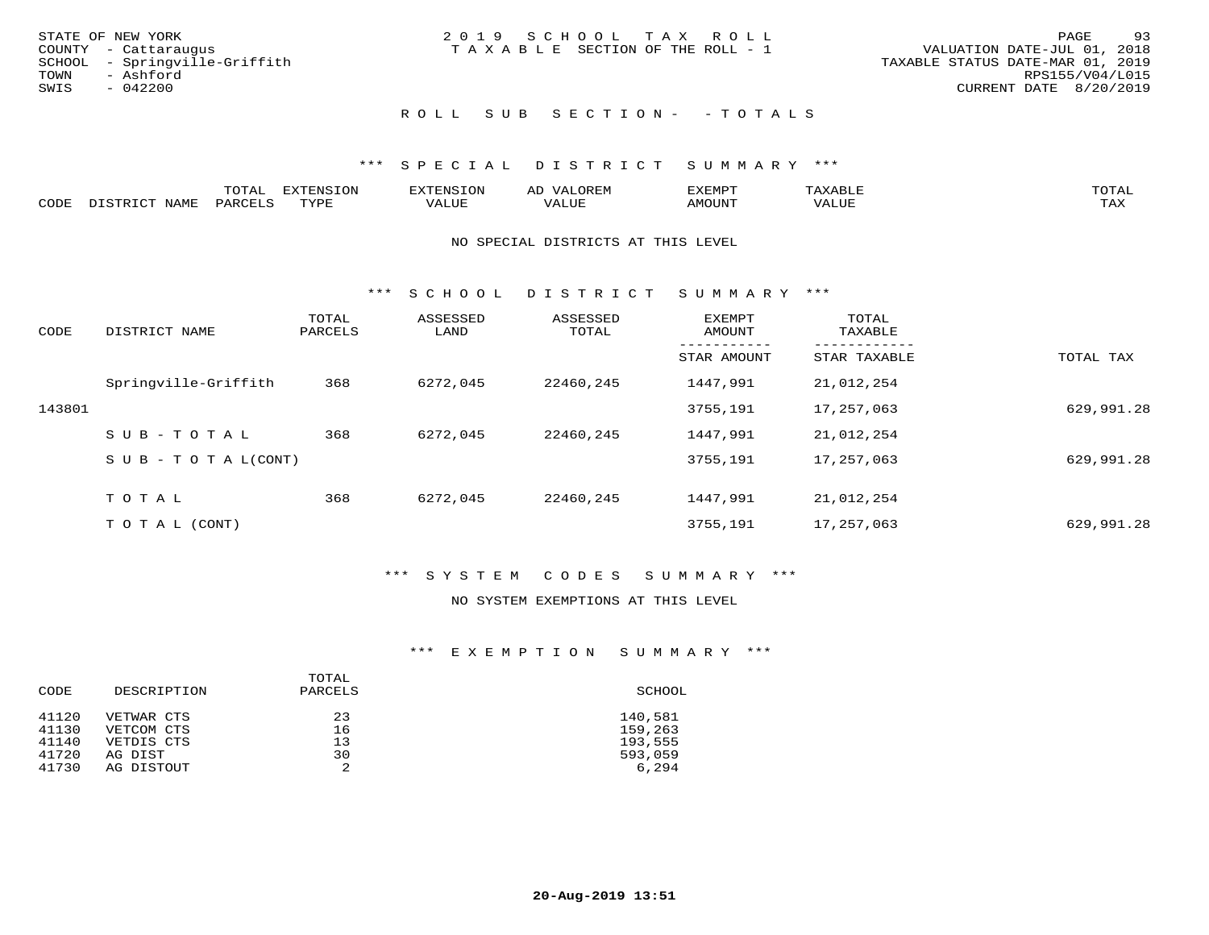|      | STATE OF NEW YORK             | 2019 SCHOOL TAX ROLL                  |  |  |                                  |                 | PAGE | -93 |
|------|-------------------------------|---------------------------------------|--|--|----------------------------------|-----------------|------|-----|
|      | COUNTY - Cattaraugus          | T A X A B L E SECTION OF THE ROLL - 1 |  |  | VALUATION DATE-JUL 01, 2018      |                 |      |     |
|      | SCHOOL - Springville-Griffith |                                       |  |  | TAXABLE STATUS DATE-MAR 01, 2019 |                 |      |     |
| TOWN | - Ashford                     |                                       |  |  |                                  | RPS155/V04/L015 |      |     |
| SWIS | $-042200$                     |                                       |  |  | CURRENT DATE 8/20/2019           |                 |      |     |
|      |                               |                                       |  |  |                                  |                 |      |     |

## ROLL SUB SECTION - - TOTALS

#### \*\*\* SPECIAL DISTRICT SUMMARY \*\*\*

|      |                            | momn.<br>UIAL       | EXTENSION | TENSION        | OREM<br>ΑL | SXEMPT | $\Delta$ x $\Delta$ | TOTAL |
|------|----------------------------|---------------------|-----------|----------------|------------|--------|---------------------|-------|
| CODE | <b>NAMF</b><br>חי היה דרות | PARCEL'<br>$\cdots$ | TVDL<br>. | T T T<br>VALUE | VALUE      | AMOUNT | VALUE               | TAX   |

#### NO SPECIAL DISTRICTS AT THIS LEVEL

\*\*\* S C H O O L D I S T R I C T S U M M A R Y \*\*\*

| CODE   | DISTRICT NAME                    | TOTAL<br>PARCELS | ASSESSED<br>LAND | ASSESSED<br>TOTAL | EXEMPT<br>AMOUNT | TOTAL<br>TAXABLE |            |
|--------|----------------------------------|------------------|------------------|-------------------|------------------|------------------|------------|
|        |                                  |                  |                  |                   | STAR AMOUNT      | STAR TAXABLE     | TOTAL TAX  |
|        | Springville-Griffith             | 368              | 6272,045         | 22460,245         | 1447,991         | 21,012,254       |            |
| 143801 |                                  |                  |                  |                   | 3755,191         | 17,257,063       | 629,991.28 |
|        | $SUB - TO TAL$                   | 368              | 6272,045         | 22460,245         | 1447,991         | 21,012,254       |            |
|        | $S \cup B - T \cup T A L (CONT)$ |                  |                  |                   | 3755,191         | 17,257,063       | 629,991.28 |
|        | TOTAL                            | 368              | 6272,045         | 22460,245         | 1447,991         | 21,012,254       |            |
|        |                                  |                  |                  |                   |                  |                  |            |
|        | T O T A L (CONT)                 |                  |                  |                   | 3755,191         | 17,257,063       | 629,991.28 |

#### \*\*\* S Y S T E M C O D E S S U M M A R Y \*\*\*

#### NO SYSTEM EXEMPTIONS AT THIS LEVEL

#### \*\*\* E X E M P T I O N S U M M A R Y \*\*\*

| CODE           | DESCRIPTION              | TOTAL<br>PARCELS | SCHOOL             |
|----------------|--------------------------|------------------|--------------------|
| 41120<br>41130 | VETWAR CTS<br>VETCOM CTS | 23<br>16         | 140,581<br>159,263 |
| 41140          | VETDIS CTS               | 13               | 193,555            |
| 41720          | AG DIST                  | 30               | 593,059            |
| 41730          | AG DISTOUT               | 2                | 6,294              |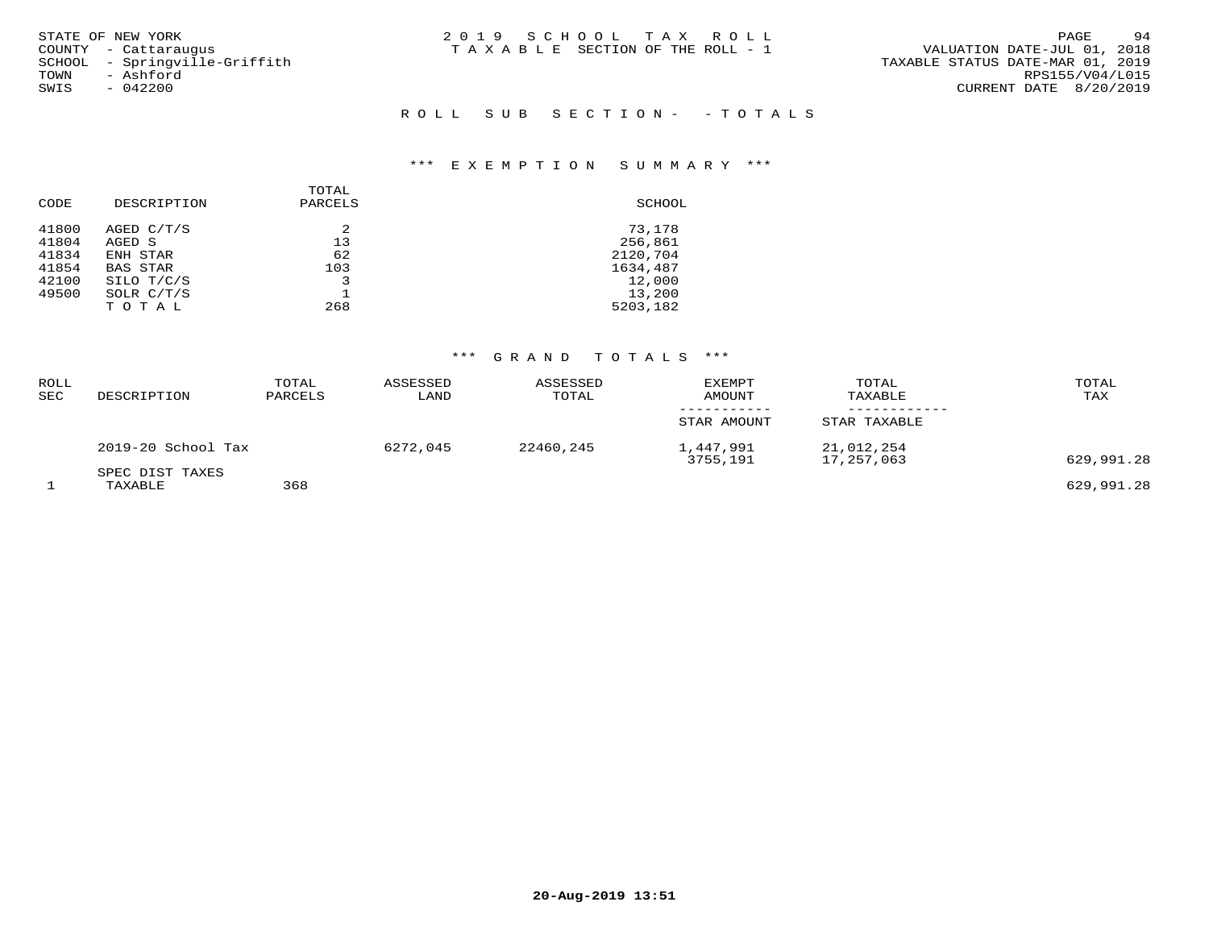| STATE OF NEW YORK<br>COUNTY - Cattaraugus<br>SCHOOL - Springville-Griffith<br>- Ashford<br>TOWN<br>SWIS<br>$-042200$ | 2019 SCHOOL TAX ROLL<br>TAXABLE SECTION OF THE ROLL - 1 | 94<br>PAGE<br>VALUATION DATE-JUL 01, 2018<br>TAXABLE STATUS DATE-MAR 01, 2019<br>RPS155/V04/L015<br>CURRENT DATE 8/20/2019 |
|----------------------------------------------------------------------------------------------------------------------|---------------------------------------------------------|----------------------------------------------------------------------------------------------------------------------------|
|                                                                                                                      | ROLL SUB SECTION- - TOTALS                              |                                                                                                                            |

## \*\*\* E X E M P T I O N S U M M A R Y \*\*\*

| CODE  | DESCRIPTION     | TOTAL<br>PARCELS | SCHOOL   |
|-------|-----------------|------------------|----------|
| 41800 | AGED C/T/S      | 2                | 73,178   |
| 41804 | AGED S          | 13               | 256,861  |
| 41834 | ENH STAR        | 62               | 2120,704 |
| 41854 | <b>BAS STAR</b> | 103              | 1634,487 |
| 42100 | SILO T/C/S      | 3                | 12,000   |
| 49500 | SOLR $C/T/S$    |                  | 13,200   |
|       | TOTAL           | 268              | 5203,182 |
|       |                 |                  |          |

#### \*\*\* G R A N D T O T A L S \*\*\*

| ROLL<br>SEC | DESCRIPTION                | TOTAL<br>PARCELS | ASSESSED<br>LAND | ASSESSED<br>TOTAL | <b>EXEMPT</b><br>AMOUNT | TOTAL<br>TAXABLE         | TOTAL<br>TAX |
|-------------|----------------------------|------------------|------------------|-------------------|-------------------------|--------------------------|--------------|
|             |                            |                  |                  |                   | STAR AMOUNT             | STAR TAXABLE             |              |
|             | 2019-20 School Tax         |                  | 6272,045         | 22460,245         | 1,447,991<br>3755,191   | 21,012,254<br>17,257,063 | 629,991.28   |
|             | SPEC DIST TAXES<br>TAXABLE | 368              |                  |                   |                         |                          | 629,991.28   |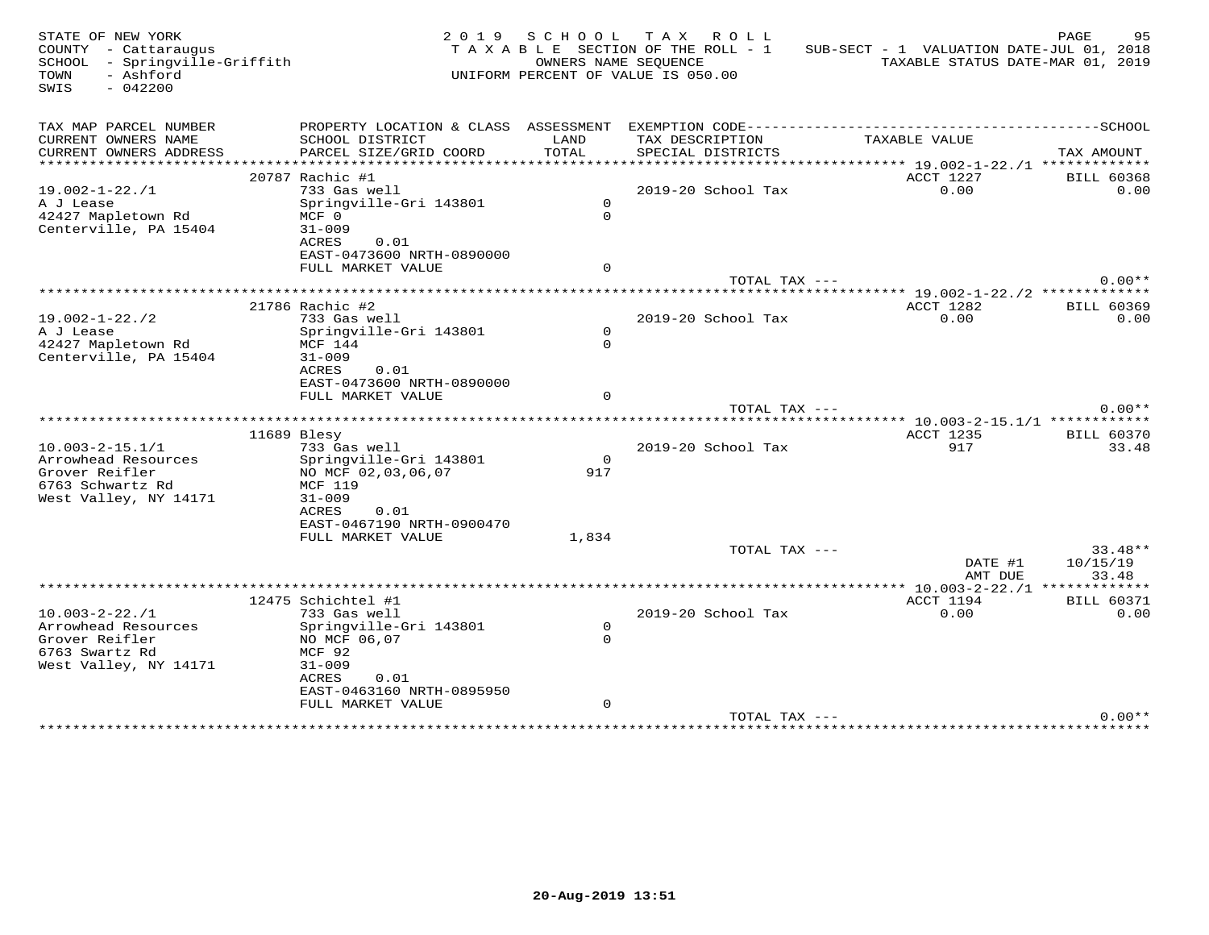| STATE OF NEW YORK<br>COUNTY - Cattaraugus<br>SCHOOL - Springville-Griffith<br>- Ashford<br>TOWN<br>SWIS<br>$-042200$ |                                                                            | 2019 SCHOOL   | TAX ROLL<br>TAXABLE SECTION OF THE ROLL - 1<br>OWNERS NAME SEQUENCE<br>UNIFORM PERCENT OF VALUE IS 050.00 | SUB-SECT - 1 VALUATION DATE-JUL 01, 2018                    | PAGE<br>95<br>TAXABLE STATUS DATE-MAR 01, 2019 |
|----------------------------------------------------------------------------------------------------------------------|----------------------------------------------------------------------------|---------------|-----------------------------------------------------------------------------------------------------------|-------------------------------------------------------------|------------------------------------------------|
| TAX MAP PARCEL NUMBER                                                                                                | PROPERTY LOCATION & CLASS ASSESSMENT EXEMPTION CODE----------------------- |               |                                                                                                           |                                                             | -----------------SCHOOL                        |
| CURRENT OWNERS NAME<br>CURRENT OWNERS ADDRESS                                                                        | SCHOOL DISTRICT<br>PARCEL SIZE/GRID COORD                                  | LAND<br>TOTAL | TAX DESCRIPTION<br>SPECIAL DISTRICTS                                                                      | TAXABLE VALUE                                               | TAX AMOUNT                                     |
|                                                                                                                      | 20787 Rachic #1                                                            |               |                                                                                                           | ***************** 19.002-1-22./1 *************<br>ACCT 1227 | <b>BILL 60368</b>                              |
| $19.002 - 1 - 22.71$                                                                                                 | 733 Gas well                                                               |               | 2019-20 School Tax                                                                                        | 0.00                                                        | 0.00                                           |
| A J Lease                                                                                                            | Springville-Gri 143801                                                     | $\Omega$      |                                                                                                           |                                                             |                                                |
| 42427 Mapletown Rd                                                                                                   | MCF 0                                                                      | $\mathbf{0}$  |                                                                                                           |                                                             |                                                |
| Centerville, PA 15404                                                                                                | $31 - 009$                                                                 |               |                                                                                                           |                                                             |                                                |
|                                                                                                                      | ACRES<br>0.01                                                              |               |                                                                                                           |                                                             |                                                |
|                                                                                                                      | EAST-0473600 NRTH-0890000                                                  |               |                                                                                                           |                                                             |                                                |
|                                                                                                                      | FULL MARKET VALUE                                                          | $\mathbf 0$   |                                                                                                           |                                                             |                                                |
|                                                                                                                      |                                                                            |               | TOTAL TAX ---                                                                                             |                                                             | $0.00**$                                       |
|                                                                                                                      |                                                                            |               |                                                                                                           | ********* 19.002-1-22./2 *************                      |                                                |
|                                                                                                                      | 21786 Rachic #2                                                            |               |                                                                                                           | ACCT 1282                                                   | <b>BILL 60369</b>                              |
| $19.002 - 1 - 22.72$                                                                                                 | 733 Gas well                                                               |               | 2019-20 School Tax                                                                                        | 0.00                                                        | 0.00                                           |
| A J Lease                                                                                                            | Springville-Gri 143801                                                     | $\mathsf{O}$  |                                                                                                           |                                                             |                                                |
| 42427 Mapletown Rd                                                                                                   | MCF 144                                                                    | $\Omega$      |                                                                                                           |                                                             |                                                |
| Centerville, PA 15404                                                                                                | $31 - 009$                                                                 |               |                                                                                                           |                                                             |                                                |
|                                                                                                                      | ACRES<br>0.01<br>EAST-0473600 NRTH-0890000                                 |               |                                                                                                           |                                                             |                                                |
|                                                                                                                      | FULL MARKET VALUE                                                          | $\Omega$      |                                                                                                           |                                                             |                                                |
|                                                                                                                      |                                                                            |               | TOTAL TAX ---                                                                                             |                                                             | $0.00**$                                       |
|                                                                                                                      |                                                                            |               |                                                                                                           |                                                             |                                                |
|                                                                                                                      | 11689 Blesy                                                                |               |                                                                                                           | <b>ACCT 1235</b>                                            | <b>BILL 60370</b>                              |
| $10.003 - 2 - 15.1/1$                                                                                                | 733 Gas well                                                               |               | 2019-20 School Tax                                                                                        | 917                                                         | 33.48                                          |
| Arrowhead Resources                                                                                                  | Springville-Gri 143801                                                     | $\circ$       |                                                                                                           |                                                             |                                                |
| Grover Reifler                                                                                                       | NO MCF 02,03,06,07                                                         | 917           |                                                                                                           |                                                             |                                                |
| 6763 Schwartz Rd                                                                                                     | MCF 119                                                                    |               |                                                                                                           |                                                             |                                                |
| West Valley, NY 14171                                                                                                | $31 - 009$                                                                 |               |                                                                                                           |                                                             |                                                |
|                                                                                                                      | ACRES<br>0.01                                                              |               |                                                                                                           |                                                             |                                                |
|                                                                                                                      | EAST-0467190 NRTH-0900470                                                  |               |                                                                                                           |                                                             |                                                |
|                                                                                                                      | FULL MARKET VALUE                                                          | 1,834         |                                                                                                           |                                                             |                                                |
|                                                                                                                      |                                                                            |               | TOTAL TAX ---                                                                                             | DATE #1                                                     | $33.48**$<br>10/15/19                          |
|                                                                                                                      |                                                                            |               |                                                                                                           | AMT DUE                                                     | 33.48                                          |
|                                                                                                                      |                                                                            |               | *************                                                                                             |                                                             | ** 10.003-2-22./1 *************                |
|                                                                                                                      | 12475 Schichtel #1                                                         |               |                                                                                                           | ACCT 1194                                                   | <b>BILL 60371</b>                              |
| $10.003 - 2 - 22.71$                                                                                                 | 733 Gas well                                                               |               | 2019-20 School Tax                                                                                        | 0.00                                                        | 0.00                                           |
| Arrowhead Resources                                                                                                  | Springville-Gri 143801                                                     | $\circ$       |                                                                                                           |                                                             |                                                |
| Grover Reifler                                                                                                       | NO MCF 06,07                                                               | $\Omega$      |                                                                                                           |                                                             |                                                |
| 6763 Swartz Rd                                                                                                       | MCF 92                                                                     |               |                                                                                                           |                                                             |                                                |
| West Valley, NY 14171                                                                                                | $31 - 009$                                                                 |               |                                                                                                           |                                                             |                                                |
|                                                                                                                      | <b>ACRES</b><br>0.01                                                       |               |                                                                                                           |                                                             |                                                |
|                                                                                                                      | EAST-0463160 NRTH-0895950                                                  |               |                                                                                                           |                                                             |                                                |
|                                                                                                                      | FULL MARKET VALUE                                                          | $\mathbf 0$   |                                                                                                           |                                                             |                                                |
|                                                                                                                      |                                                                            |               | TOTAL TAX ---                                                                                             |                                                             | $0.00**$                                       |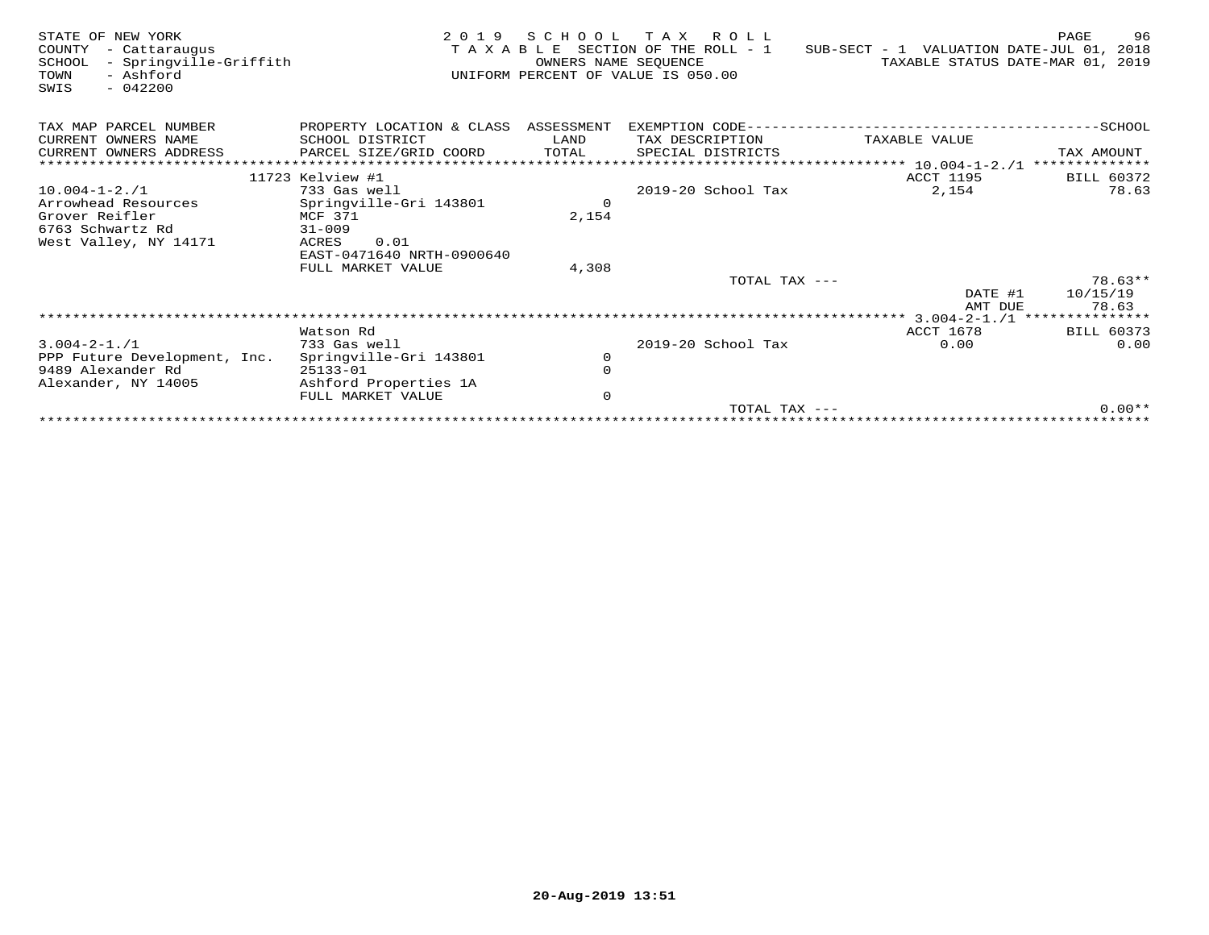| STATE OF NEW YORK<br>COUNTY<br>- Cattaraugus<br>- Springville-Griffith<br>SCHOOL<br>- Ashford<br>TOWN<br>$-042200$<br>SWIS | 2 0 1 9                              | OWNERS NAME SEOUENCE | SCHOOL TAX ROLL<br>TAXABLE SECTION OF THE ROLL - 1<br>UNIFORM PERCENT OF VALUE IS 050.00 | SUB-SECT - 1 VALUATION DATE-JUL 01, 2018<br>TAXABLE STATUS DATE-MAR 01, 2019 | PAGE<br>96        |
|----------------------------------------------------------------------------------------------------------------------------|--------------------------------------|----------------------|------------------------------------------------------------------------------------------|------------------------------------------------------------------------------|-------------------|
| TAX MAP PARCEL NUMBER                                                                                                      | PROPERTY LOCATION & CLASS ASSESSMENT |                      | EXEMPTION CODE------------                                                               |                                                                              | $-$ SCHOOL        |
| CURRENT OWNERS NAME                                                                                                        | SCHOOL DISTRICT                      | LAND                 | TAX DESCRIPTION                                                                          | TAXABLE VALUE                                                                |                   |
| CURRENT OWNERS ADDRESS                                                                                                     | PARCEL SIZE/GRID COORD               | TOTAL                | SPECIAL DISTRICTS                                                                        |                                                                              | TAX AMOUNT        |
|                                                                                                                            |                                      |                      |                                                                                          |                                                                              | **************    |
|                                                                                                                            | 11723 Kelview #1                     |                      |                                                                                          | ACCT 1195                                                                    | BILL 60372        |
| $10.004 - 1 - 2.71$                                                                                                        | 733 Gas well                         |                      | $2019-20$ School Tax                                                                     | 2,154                                                                        | 78.63             |
| Arrowhead Resources                                                                                                        | Springville-Gri 143801               | $\mathbf 0$          |                                                                                          |                                                                              |                   |
| Grover Reifler                                                                                                             | MCF 371                              | 2,154                |                                                                                          |                                                                              |                   |
| 6763 Schwartz Rd                                                                                                           | $31 - 009$                           |                      |                                                                                          |                                                                              |                   |
| West Valley, NY 14171                                                                                                      | 0.01<br>ACRES                        |                      |                                                                                          |                                                                              |                   |
|                                                                                                                            | EAST-0471640 NRTH-0900640            |                      |                                                                                          |                                                                              |                   |
|                                                                                                                            | FULL MARKET VALUE                    | 4,308                |                                                                                          |                                                                              |                   |
|                                                                                                                            |                                      |                      | TOTAL TAX ---                                                                            |                                                                              | $78.63**$         |
|                                                                                                                            |                                      |                      |                                                                                          | DATE #1                                                                      | 10/15/19          |
|                                                                                                                            |                                      |                      |                                                                                          | AMT DUE                                                                      | 78.63             |
|                                                                                                                            |                                      |                      |                                                                                          |                                                                              |                   |
|                                                                                                                            | Watson Rd                            |                      |                                                                                          | ACCT 1678                                                                    | <b>BILL 60373</b> |
| $3.004 - 2 - 1.71$                                                                                                         | 733 Gas well                         |                      | 2019-20 School Tax                                                                       | 0.00                                                                         | 0.00              |
| PPP Future Development, Inc.                                                                                               | Springville-Gri 143801               | $\circ$              |                                                                                          |                                                                              |                   |
| 9489 Alexander Rd                                                                                                          | 25133-01                             | $\mathbf 0$          |                                                                                          |                                                                              |                   |
| Alexander, NY 14005                                                                                                        | Ashford Properties 1A                |                      |                                                                                          |                                                                              |                   |
|                                                                                                                            | FULL MARKET VALUE                    | $\mathbf 0$          |                                                                                          |                                                                              | $0.00**$          |
|                                                                                                                            |                                      |                      | $TOTAL$ $TAX$ $---$                                                                      |                                                                              |                   |
|                                                                                                                            |                                      |                      |                                                                                          |                                                                              |                   |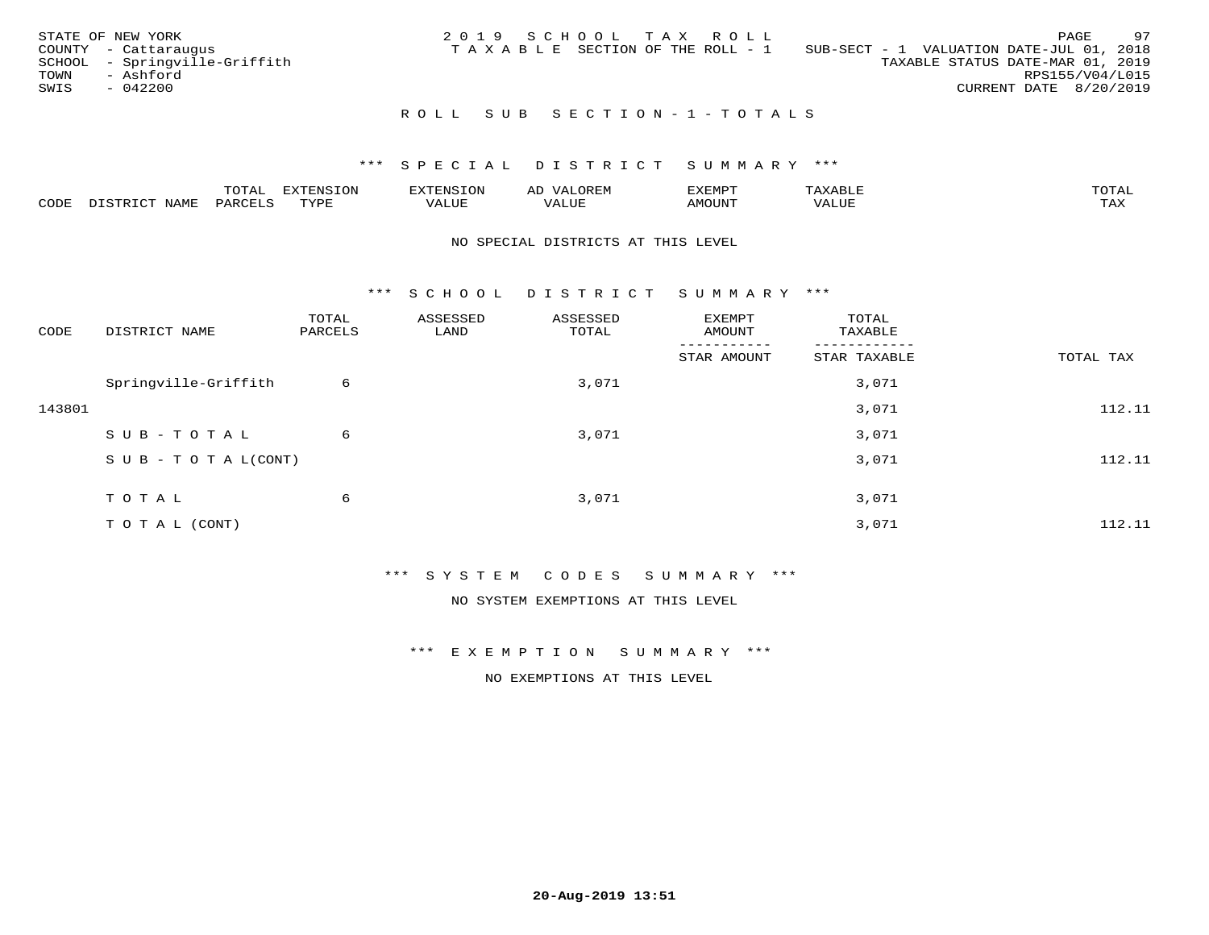|      | STATE OF NEW YORK             |  |  | 2019 SCHOOL TAX ROLL                  |                                          |                                  |                        | PAGE | 97 |
|------|-------------------------------|--|--|---------------------------------------|------------------------------------------|----------------------------------|------------------------|------|----|
|      | COUNTY - Cattaraugus          |  |  | T A X A B L E SECTION OF THE ROLL - 1 | SUB-SECT - 1 VALUATION DATE-JUL 01, 2018 |                                  |                        |      |    |
|      | SCHOOL - Springville-Griffith |  |  |                                       |                                          | TAXABLE STATUS DATE-MAR 01, 2019 |                        |      |    |
| TOWN | - Ashford                     |  |  |                                       |                                          |                                  | RPS155/V04/L015        |      |    |
| SWIS | $-042200$                     |  |  |                                       |                                          |                                  | CURRENT DATE 8/20/2019 |      |    |
|      |                               |  |  |                                       |                                          |                                  |                        |      |    |

### R O L L S U B S E C T I O N - 1 - T O T A L S

#### \*\*\* S P E C I A L D I S T R I C T S U M M A R Y \*\*\*

|      |              | ---- | ח 77 | F.N.S              | ΑL | דסMדאי        |       | $m \wedge m \wedge n$ |
|------|--------------|------|------|--------------------|----|---------------|-------|-----------------------|
| CODE | - --<br>NAME | 'AKV | TVDF | <b>TTT</b><br>ALUE |    | <b>MOTIN'</b> | T T T | ГAX                   |

#### NO SPECIAL DISTRICTS AT THIS LEVEL

\*\*\* S C H O O L D I S T R I C T S U M M A R Y \*\*\*

| CODE   | DISTRICT NAME                    | TOTAL<br>PARCELS | ASSESSED<br>LAND | ASSESSED<br>TOTAL | EXEMPT<br>AMOUNT | TOTAL<br>TAXABLE |           |
|--------|----------------------------------|------------------|------------------|-------------------|------------------|------------------|-----------|
|        |                                  |                  |                  |                   | STAR AMOUNT      | STAR TAXABLE     | TOTAL TAX |
|        | Springville-Griffith             | 6                |                  | 3,071             |                  | 3,071            |           |
| 143801 |                                  |                  |                  |                   |                  | 3,071            | 112.11    |
|        | SUB-TOTAL                        | 6                |                  | 3,071             |                  | 3,071            |           |
|        | $S \cup B - T \cup T A L (CONT)$ |                  |                  |                   |                  | 3,071            | 112.11    |
|        | TOTAL                            | 6                |                  | 3,071             |                  | 3,071            |           |
|        |                                  |                  |                  |                   |                  |                  |           |
|        | T O T A L (CONT)                 |                  |                  |                   |                  | 3,071            | 112.11    |

\*\*\* S Y S T E M C O D E S S U M M A R Y \*\*\*

NO SYSTEM EXEMPTIONS AT THIS LEVEL

\*\*\* E X E M P T I O N S U M M A R Y \*\*\*

NO EXEMPTIONS AT THIS LEVEL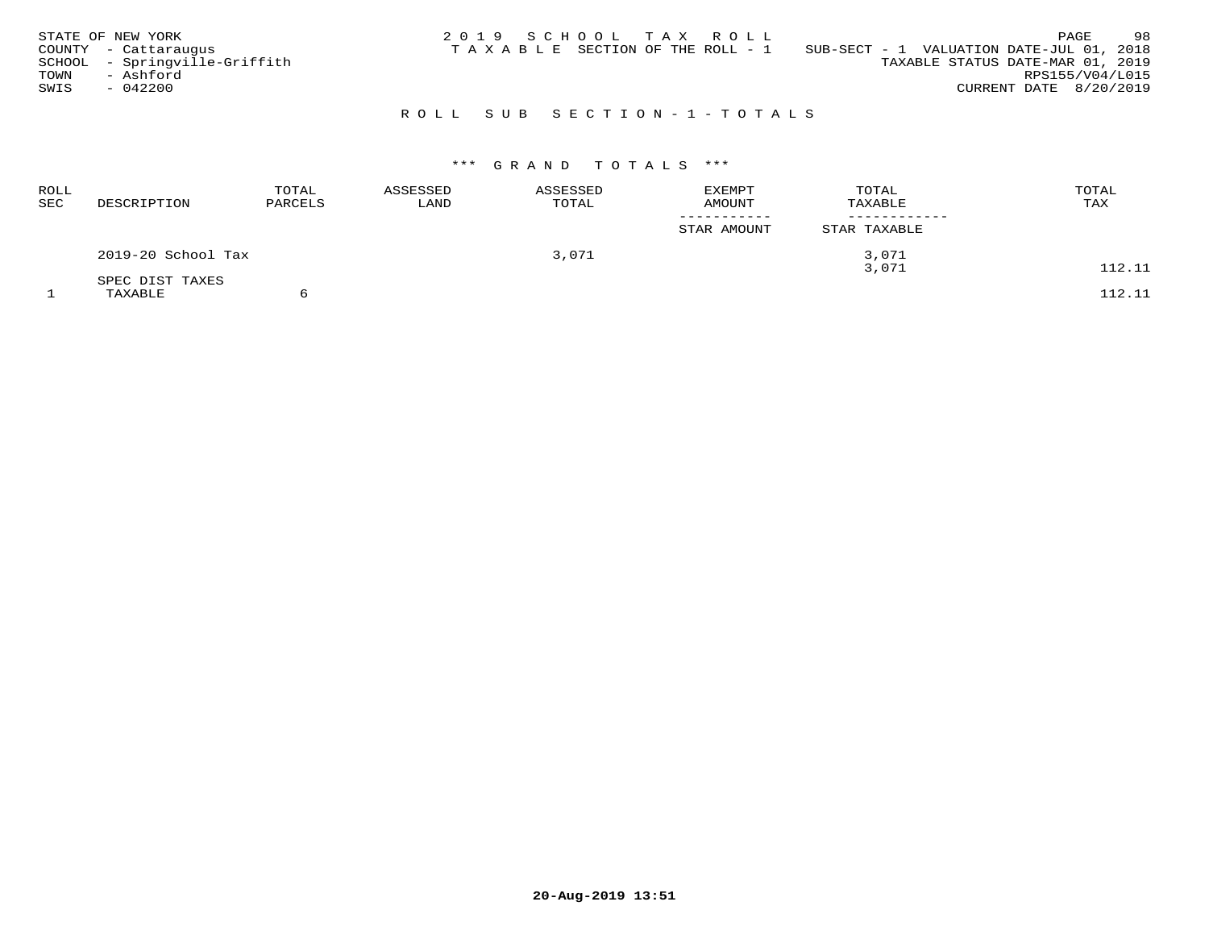| STATE OF NEW YORK<br>COUNTY - Cattaraugus<br>SCHOOL - Springville-Griffith | 2019 SCHOOL TAX ROLL<br>SUB-SECT - 1 VALUATION DATE-JUL 01, 2018<br>TAXABLE SECTION OF THE ROLL - 1<br>TAXABLE STATUS DATE-MAR 01, 2019 | 98<br>PAGE                                |
|----------------------------------------------------------------------------|-----------------------------------------------------------------------------------------------------------------------------------------|-------------------------------------------|
| TOWN<br>- Ashford<br>SWIS<br>$-042200$                                     |                                                                                                                                         | RPS155/V04/L015<br>CURRENT DATE 8/20/2019 |

## R O L L S U B S E C T I O N - 1 - T O T A L S

## \*\*\* G R A N D T O T A L S \*\*\*

| <b>ROLL</b><br>SEC | DESCRIPTION        | TOTAL<br>PARCELS | ASSESSED<br>LAND | ASSESSED<br>TOTAL | <b>EXEMPT</b><br><b>AMOUNT</b> | TOTAL<br>TAXABLE | TOTAL<br>TAX |
|--------------------|--------------------|------------------|------------------|-------------------|--------------------------------|------------------|--------------|
|                    |                    |                  |                  |                   | STAR AMOUNT                    | STAR TAXABLE     |              |
|                    | 2019-20 School Tax |                  |                  | 3,071             |                                | 3,071            |              |
|                    | SPEC DIST TAXES    |                  |                  |                   |                                | 3,071            | 112.11       |
|                    | TAXABLE            |                  |                  |                   |                                |                  | 112.11       |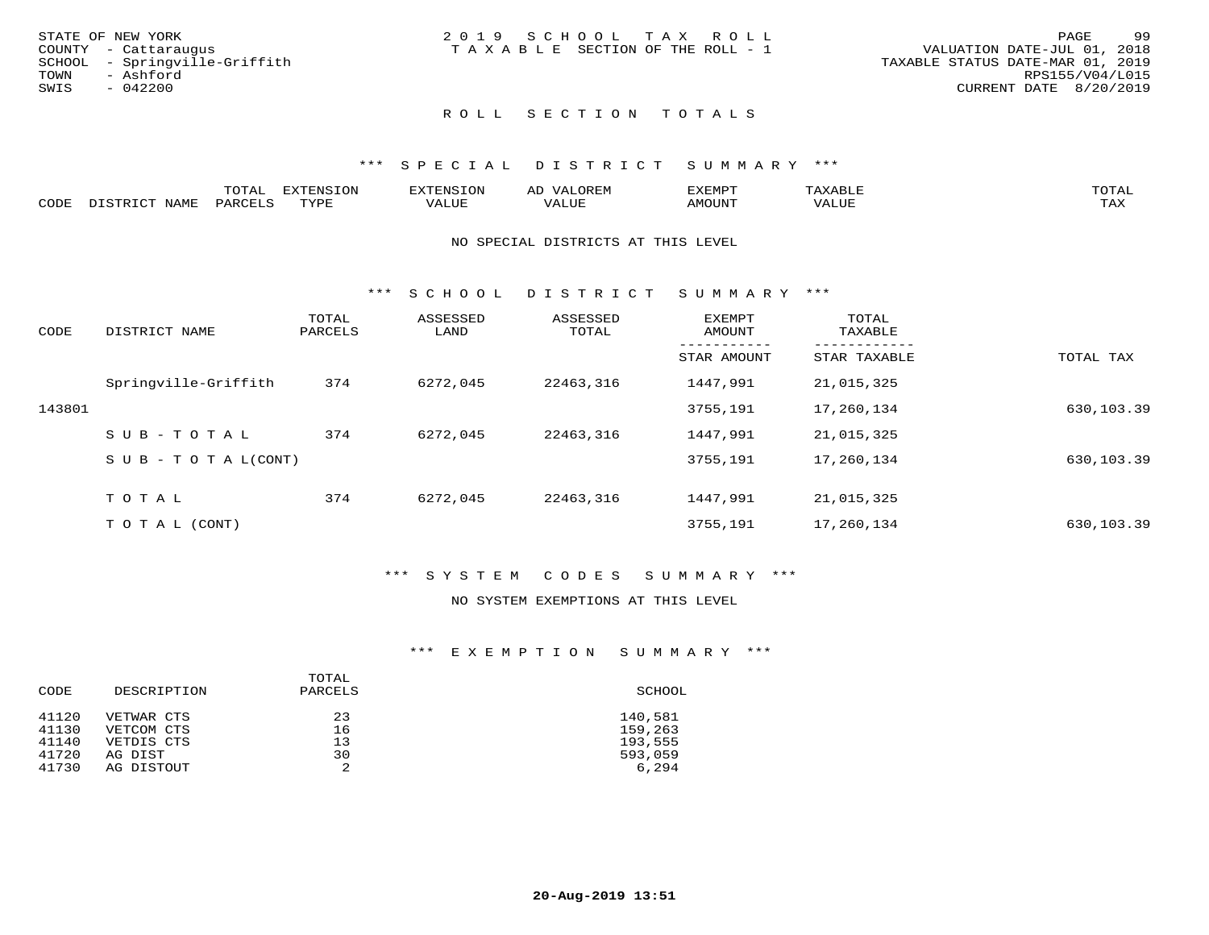| STATE OF NEW YORK             | 2019 SCHOOL TAX ROLL                  | -99<br>PAGE                      |
|-------------------------------|---------------------------------------|----------------------------------|
| COUNTY - Cattaraugus          | T A X A B L E SECTION OF THE ROLL - 1 | VALUATION DATE-JUL 01, 2018      |
| SCHOOL - Springville-Griffith |                                       | TAXABLE STATUS DATE-MAR 01, 2019 |
| TOWN<br>- Ashford             |                                       | RPS155/V04/L015                  |
| SWIS<br>$-042200$             |                                       | CURRENT DATE 8/20/2019           |
|                               |                                       |                                  |
|                               |                                       |                                  |

## ROLL SECTION TOTALS

#### \*\*\* SPECIAL DISTRICT SUMMARY \*\*\*

|      |                  | momn'<br>TATAT     | <b>DYMONIC TONT</b><br>∸⊥∖ ( ) ⊥ ( ) ⊥∨ | "NSTOL        | OREN                   | KEMPT: | $max$ is $max$ $n$ | $m \wedge m \wedge r$ |
|------|------------------|--------------------|-----------------------------------------|---------------|------------------------|--------|--------------------|-----------------------|
| CODE | NAME<br>, ד אידי | PARCF <sup>+</sup> | TVDE<br>. <u>.</u>                      | <i>J</i> ALUE | . <del>.</del><br>ALUF | AMOUNT | <b>VALUL</b>       | TA Y<br>⊥ ∟∡∡         |

#### NO SPECIAL DISTRICTS AT THIS LEVEL

\*\*\* S C H O O L D I S T R I C T S U M M A R Y \*\*\*

| CODE   | DISTRICT NAME                    | TOTAL<br>PARCELS | ASSESSED<br>LAND | ASSESSED<br>TOTAL | EXEMPT<br>AMOUNT | TOTAL<br>TAXABLE |            |
|--------|----------------------------------|------------------|------------------|-------------------|------------------|------------------|------------|
|        |                                  |                  |                  |                   | STAR AMOUNT      | STAR TAXABLE     | TOTAL TAX  |
|        | Springville-Griffith             | 374              | 6272,045         | 22463,316         | 1447,991         | 21,015,325       |            |
| 143801 |                                  |                  |                  |                   | 3755,191         | 17,260,134       | 630,103.39 |
|        | SUB-TOTAL                        | 374              | 6272,045         | 22463,316         | 1447,991         | 21,015,325       |            |
|        | $S \cup B - T \cup T A L (CONT)$ |                  |                  |                   | 3755,191         | 17,260,134       | 630,103.39 |
|        | TOTAL                            | 374              | 6272,045         | 22463,316         | 1447,991         | 21,015,325       |            |
|        | T O T A L (CONT)                 |                  |                  |                   | 3755,191         | 17,260,134       | 630,103.39 |

#### \*\*\* S Y S T E M C O D E S S U M M A R Y \*\*\*

#### NO SYSTEM EXEMPTIONS AT THIS LEVEL

#### \*\*\* E X E M P T I O N S U M M A R Y \*\*\*

| CODE  | DESCRIPTION | TOTAL<br>PARCELS | SCHOOL  |
|-------|-------------|------------------|---------|
| 41120 | VETWAR CTS  | 23               | 140,581 |
| 41130 | VETCOM CTS  | 16               | 159,263 |
| 41140 | VETDIS CTS  | 13               | 193,555 |
| 41720 | AG DIST     | 30               | 593,059 |
| 41730 | AG DISTOUT  | $\mathfrak{D}$   | 6,294   |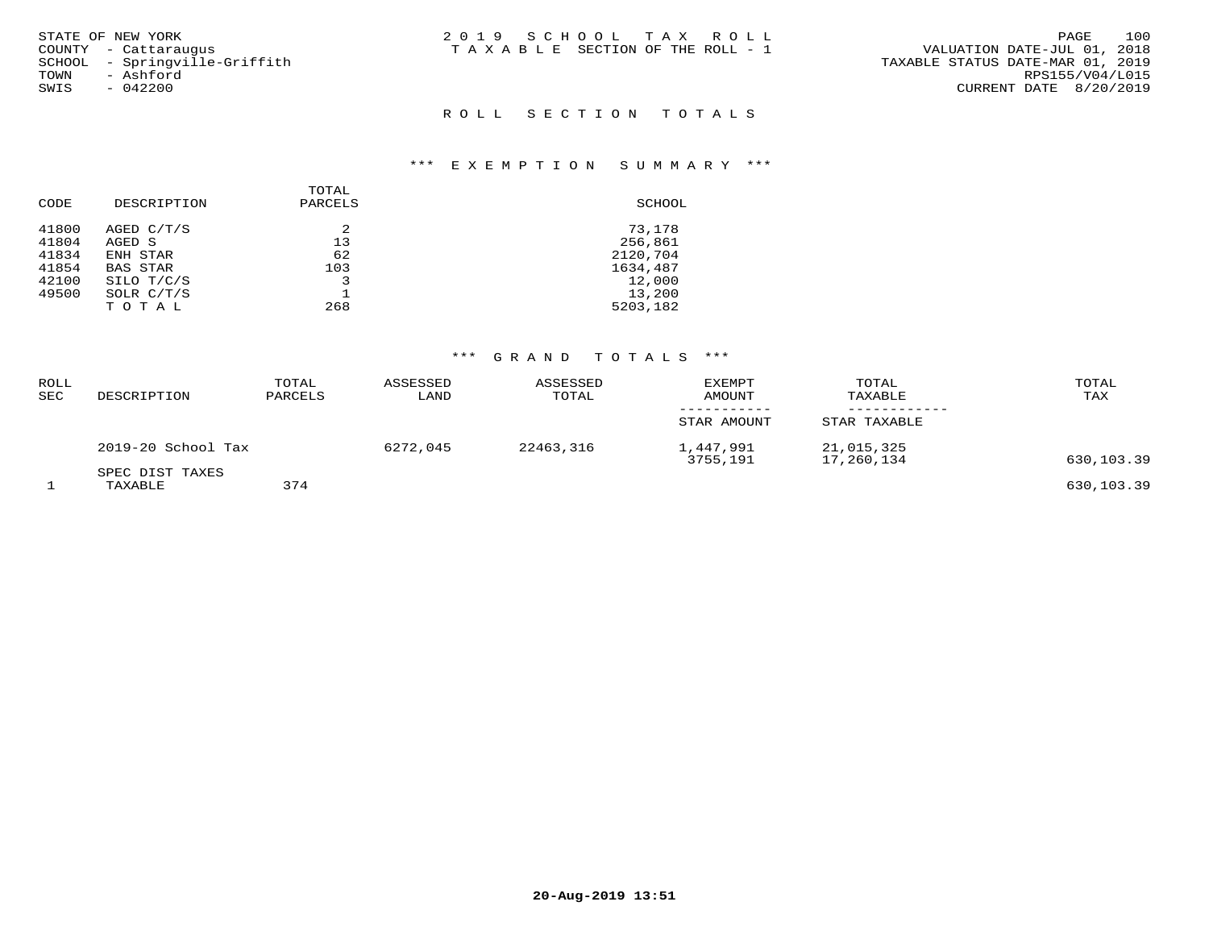| STATE OF NEW YORK<br>COUNTY - Cattarauqus<br>SCHOOL - Sprinqville-Griffith | 2019 SCHOOL TAX ROLL<br>T A X A B L E SECTION OF THE ROLL - 1 | 100<br>PAGE<br>VALUATION DATE-JUL 01, 2018<br>TAXABLE STATUS DATE-MAR 01, 2019 |
|----------------------------------------------------------------------------|---------------------------------------------------------------|--------------------------------------------------------------------------------|
| - Ashford<br>TOWN<br>SWIS<br>$-042200$                                     |                                                               | RPS155/V04/L015<br>CURRENT DATE 8/20/2019                                      |
|                                                                            | ROLL SECTION TOTALS                                           |                                                                                |

## \*\*\* E X E M P T I O N S U M M A R Y \*\*\*

| CODE  | DESCRIPTION  | TOTAL<br>PARCELS | SCHOOL   |
|-------|--------------|------------------|----------|
| 41800 | AGED C/T/S   | 2                | 73,178   |
| 41804 | AGED S       | 13               | 256,861  |
| 41834 | ENH STAR     | 62               | 2120,704 |
| 41854 | BAS STAR     | 103              | 1634,487 |
| 42100 | SILO T/C/S   |                  | 12,000   |
| 49500 | SOLR $C/T/S$ |                  | 13,200   |
|       | TOTAL        | 268              | 5203,182 |
|       |              |                  |          |

#### \*\*\* G R A N D T O T A L S \*\*\*

| ROLL<br>SEC | DESCRIPTION                | TOTAL<br>PARCELS | ASSESSED<br>LAND | ASSESSED<br>TOTAL | <b>EXEMPT</b><br>AMOUNT | TOTAL<br>TAXABLE         | TOTAL<br>TAX |
|-------------|----------------------------|------------------|------------------|-------------------|-------------------------|--------------------------|--------------|
|             |                            |                  |                  |                   | STAR AMOUNT             | STAR TAXABLE             |              |
|             | 2019-20 School Tax         |                  | 6272,045         | 22463,316         | 1,447,991<br>3755,191   | 21,015,325<br>17,260,134 | 630,103.39   |
|             | SPEC DIST TAXES<br>TAXABLE | 374              |                  |                   |                         |                          | 630,103.39   |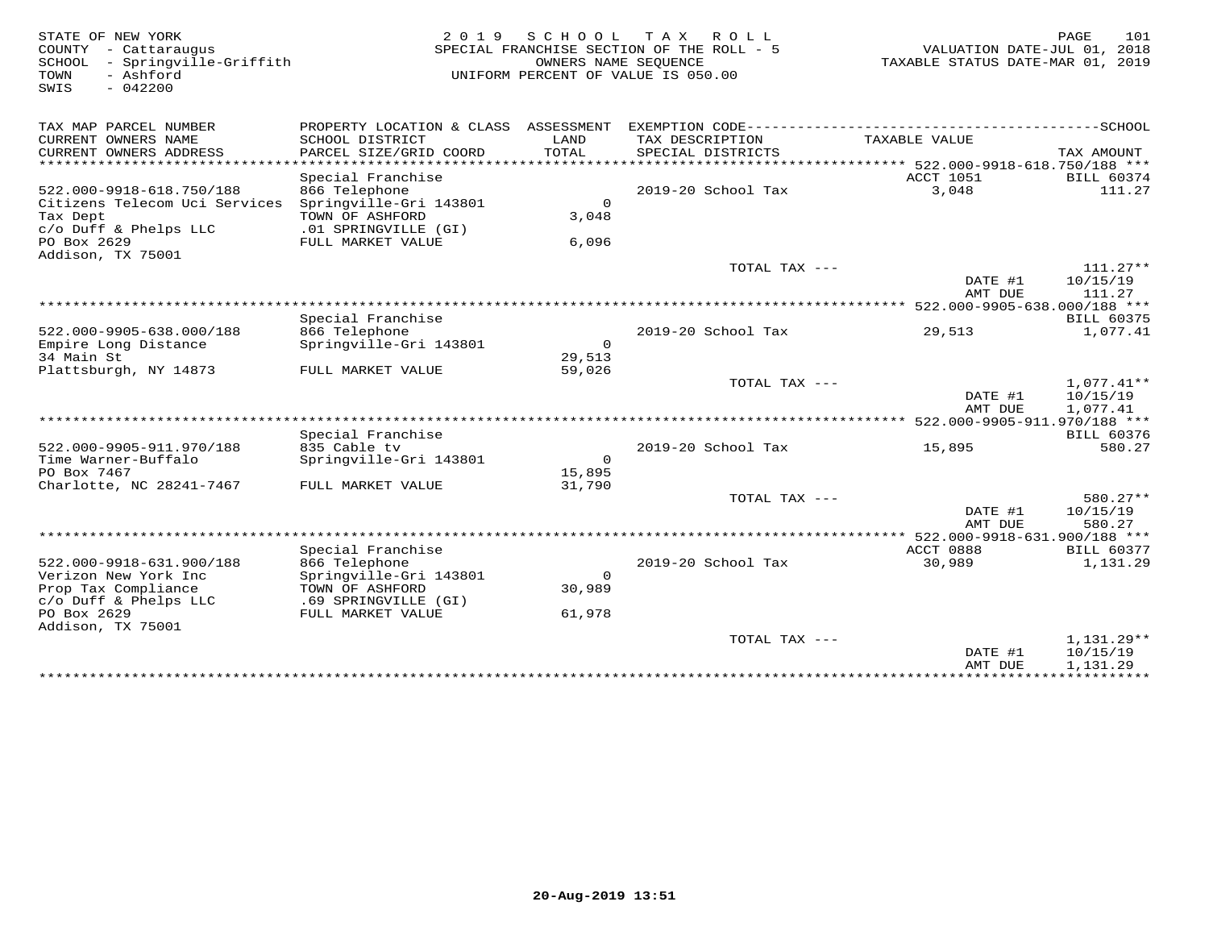| STATE OF NEW YORK<br>COUNTY<br>- Cattaraugus<br>- Springville-Griffith<br>SCHOOL<br>- Ashford<br>TOWN<br>$-042200$<br>SWIS | 2 0 1 9                                                            | SCHOOL<br>OWNERS NAME SEQUENCE | T A X<br>ROLL<br>SPECIAL FRANCHISE SECTION OF THE ROLL - 5<br>UNIFORM PERCENT OF VALUE IS 050.00 | VALUATION DATE-JUL 01, 2018<br>TAXABLE STATUS DATE-MAR 01, 2019 | PAGE<br>101                   |
|----------------------------------------------------------------------------------------------------------------------------|--------------------------------------------------------------------|--------------------------------|--------------------------------------------------------------------------------------------------|-----------------------------------------------------------------|-------------------------------|
| TAX MAP PARCEL NUMBER                                                                                                      | PROPERTY LOCATION & CLASS ASSESSMENT                               |                                |                                                                                                  |                                                                 |                               |
| CURRENT OWNERS NAME<br>CURRENT OWNERS ADDRESS<br>*********************                                                     | SCHOOL DISTRICT<br>PARCEL SIZE/GRID COORD<br>* * * * * * * * * * * | LAND<br>TOTAL                  | TAX DESCRIPTION<br>SPECIAL DISTRICTS<br>***********************************                      | TAXABLE VALUE<br>*********** 522.000-9918-618.750/188 ***       | TAX AMOUNT                    |
|                                                                                                                            | Special Franchise                                                  |                                |                                                                                                  | ACCT 1051                                                       | <b>BILL 60374</b>             |
| 522.000-9918-618.750/188                                                                                                   | 866 Telephone                                                      |                                | 2019-20 School Tax                                                                               | 3,048                                                           | 111.27                        |
| Citizens Telecom Uci Services<br>Tax Dept                                                                                  | Springville-Gri 143801<br>TOWN OF ASHFORD                          | $\Omega$<br>3,048              |                                                                                                  |                                                                 |                               |
| $c/O$ Duff & Phelps LLC<br>PO Box 2629<br>Addison, TX 75001                                                                | .01 SPRINGVILLE (GI)<br>FULL MARKET VALUE                          | 6,096                          |                                                                                                  |                                                                 |                               |
|                                                                                                                            |                                                                    |                                | TOTAL TAX ---                                                                                    |                                                                 | $111.27**$                    |
|                                                                                                                            |                                                                    |                                |                                                                                                  | DATE #1<br>AMT DUE                                              | 10/15/19<br>111.27            |
|                                                                                                                            |                                                                    |                                |                                                                                                  | 522.000-9905-638.000/188 ***                                    |                               |
|                                                                                                                            | Special Franchise<br>866 Telephone                                 |                                | 2019-20 School Tax                                                                               |                                                                 | <b>BILL 60375</b><br>1,077.41 |
| 522.000-9905-638.000/188<br>Empire Long Distance<br>34 Main St                                                             | Springville-Gri 143801                                             | $\Omega$<br>29,513             |                                                                                                  | 29,513                                                          |                               |
| Plattsburgh, NY 14873                                                                                                      | FULL MARKET VALUE                                                  | 59,026                         |                                                                                                  |                                                                 |                               |
|                                                                                                                            |                                                                    |                                | TOTAL TAX ---                                                                                    | DATE #1<br>AMT DUE                                              | $1,077.41**$<br>10/15/19      |
|                                                                                                                            |                                                                    |                                |                                                                                                  | *** 522.000-9905-911.970/188 ***                                | 1,077.41                      |
|                                                                                                                            | Special Franchise                                                  |                                |                                                                                                  |                                                                 | <b>BILL 60376</b>             |
| 522.000-9905-911.970/188                                                                                                   | 835 Cable tv                                                       |                                | 2019-20 School Tax                                                                               | 15,895                                                          | 580.27                        |
| Time Warner-Buffalo                                                                                                        | Springville-Gri 143801                                             | $\Omega$                       |                                                                                                  |                                                                 |                               |
| PO Box 7467<br>Charlotte, NC 28241-7467                                                                                    |                                                                    | 15,895<br>31,790               |                                                                                                  |                                                                 |                               |
|                                                                                                                            | FULL MARKET VALUE                                                  |                                | TOTAL TAX ---                                                                                    |                                                                 | 580.27**                      |
|                                                                                                                            |                                                                    |                                |                                                                                                  | DATE #1                                                         | 10/15/19                      |
|                                                                                                                            |                                                                    |                                |                                                                                                  | AMT DUE                                                         | 580.27                        |
|                                                                                                                            |                                                                    |                                |                                                                                                  | ******** 522.000-9918-631.900/188 ***                           |                               |
|                                                                                                                            | Special Franchise                                                  |                                |                                                                                                  | ACCT 0888                                                       | <b>BILL 60377</b>             |
| 522.000-9918-631.900/188                                                                                                   | 866 Telephone                                                      | $\Omega$                       | 2019-20 School Tax                                                                               | 30,989                                                          | 1,131.29                      |
| Verizon New York Inc<br>Prop Tax Compliance                                                                                | Springville-Gri 143801<br>TOWN OF ASHFORD                          | 30,989                         |                                                                                                  |                                                                 |                               |
| c/o Duff & Phelps LLC                                                                                                      | .69 SPRINGVILLE (GI)                                               |                                |                                                                                                  |                                                                 |                               |
| PO Box 2629<br>Addison, TX 75001                                                                                           | FULL MARKET VALUE                                                  | 61,978                         |                                                                                                  |                                                                 |                               |
|                                                                                                                            |                                                                    |                                | TOTAL TAX ---                                                                                    | DATE #1                                                         | 1,131.29**<br>10/15/19        |
|                                                                                                                            | **************************************                             |                                |                                                                                                  | AMT DUE<br>***************************                          | 1,131.29                      |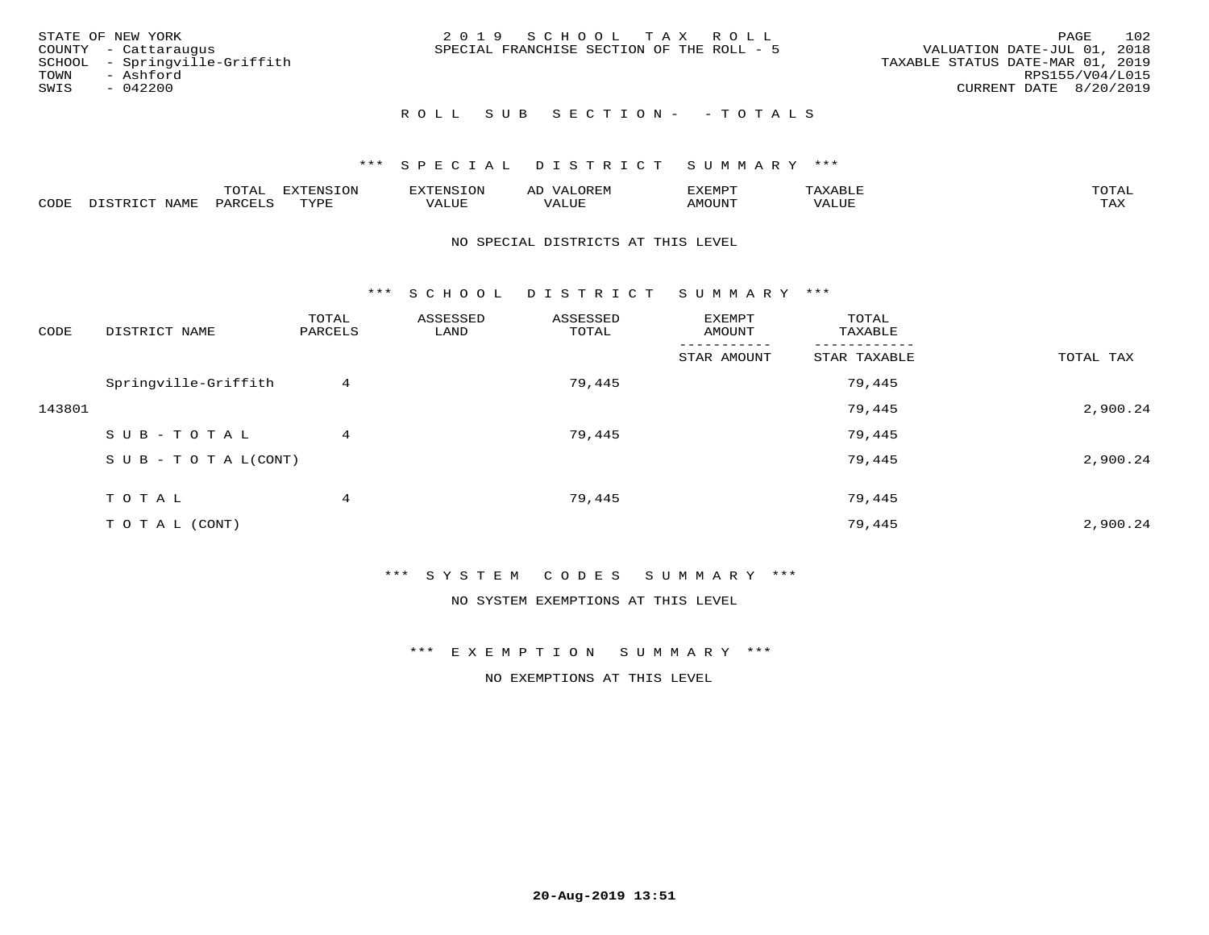| STATE OF NEW YORK<br>COUNTY - Cattaraugus<br>SCHOOL - Springville-Griffith<br>- Ashford<br>TOWN<br>SWIS<br>$-042200$ | 2019 SCHOOL TAX ROLL<br>SPECIAL FRANCHISE SECTION OF THE ROLL - 5 | 102<br>PAGE<br>VALUATION DATE-JUL 01, 2018<br>TAXABLE STATUS DATE-MAR 01, 2019<br>RPS155/V04/L015<br>CURRENT DATE 8/20/2019 |
|----------------------------------------------------------------------------------------------------------------------|-------------------------------------------------------------------|-----------------------------------------------------------------------------------------------------------------------------|
|                                                                                                                      | ROLL SUB SECTION- - TOTALS                                        |                                                                                                                             |

#### \*\*\* S P E C I A L D I S T R I C T S U M M A R Y \*\*\*

|      |                      | ----           | <b>FYTFNSION</b><br>- 75 | <b>FNC</b>     | ᅺᅜᄓ                      | SXEMPT | $\Delta$<br>.                  | $m \wedge m \wedge n$ |
|------|----------------------|----------------|--------------------------|----------------|--------------------------|--------|--------------------------------|-----------------------|
| CODE | <b>NTAMT</b><br>⊥∙⊥⊥ | D.ODT.<br>PARL | $m \tau \tau m$<br>.     | T T T<br>ALUF: | , <del>,</del> , , , , , | MOUN.  | , 77 T TT <del>D</del><br>ALUE | TAX                   |

#### NO SPECIAL DISTRICTS AT THIS LEVEL

\*\*\* S C H O O L D I S T R I C T S U M M A R Y \*\*\*

| CODE   | DISTRICT NAME                    | TOTAL<br>PARCELS | ASSESSED<br>LAND | ASSESSED<br>TOTAL | EXEMPT<br>AMOUNT | TOTAL<br>TAXABLE |           |
|--------|----------------------------------|------------------|------------------|-------------------|------------------|------------------|-----------|
|        |                                  |                  |                  |                   | STAR AMOUNT      | STAR TAXABLE     | TOTAL TAX |
|        | Springville-Griffith             | 4                |                  | 79,445            |                  | 79,445           |           |
| 143801 |                                  |                  |                  |                   |                  | 79,445           | 2,900.24  |
|        | SUB-TOTAL                        | 4                |                  | 79,445            |                  | 79,445           |           |
|        | $S \cup B - T \cup T A L (CONT)$ |                  |                  |                   |                  | 79,445           | 2,900.24  |
|        | TOTAL                            | 4                |                  | 79,445            |                  | 79,445           |           |
|        | T O T A L (CONT)                 |                  |                  |                   |                  | 79,445           | 2,900.24  |

\*\*\* S Y S T E M C O D E S S U M M A R Y \*\*\*

NO SYSTEM EXEMPTIONS AT THIS LEVEL

\*\*\* E X E M P T I O N S U M M A R Y \*\*\*

NO EXEMPTIONS AT THIS LEVEL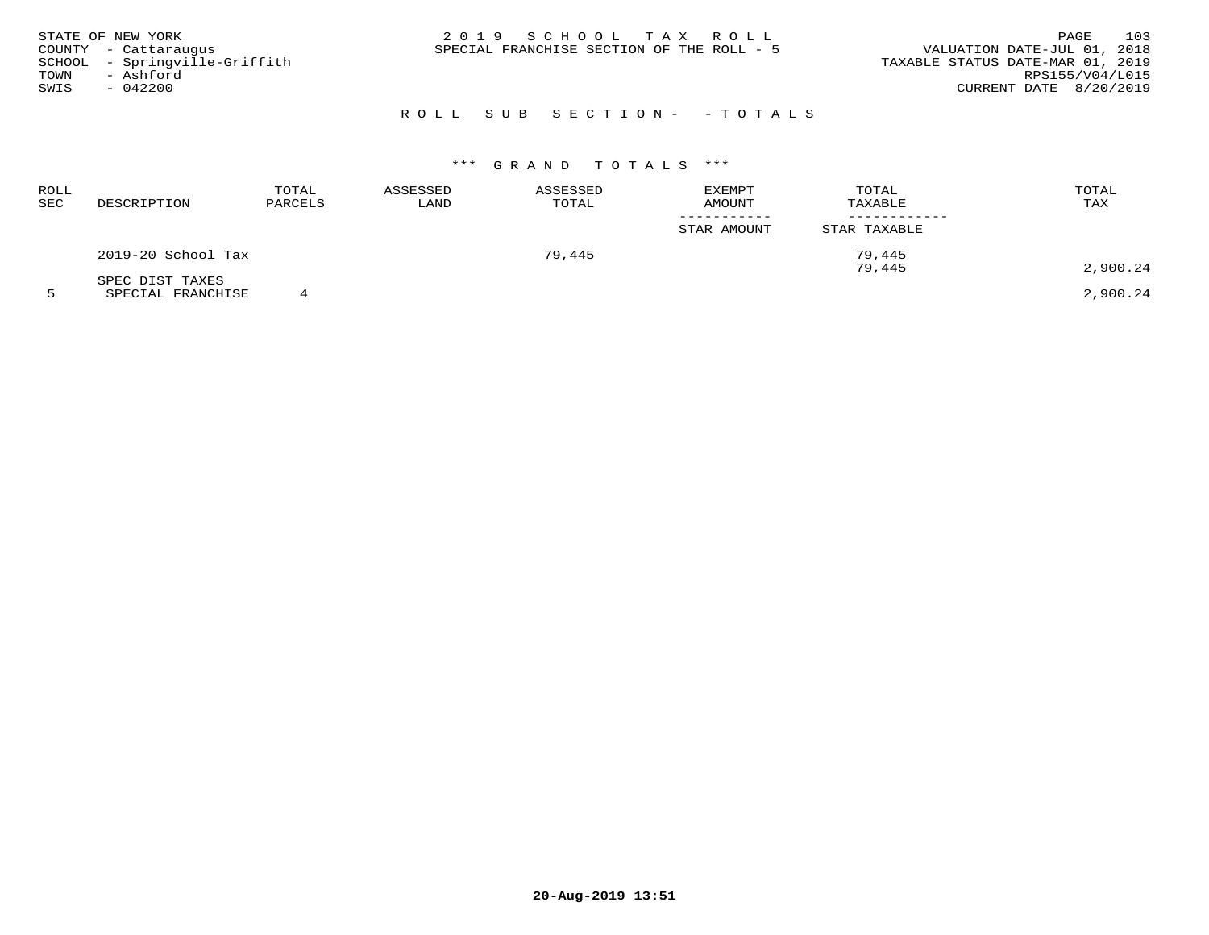| STATE OF NEW YORK<br>COUNTY - Cattaraugus<br>SCHOOL - Springville-Griffith<br>TOWN<br>- Ashford<br>SWIS<br>$-042200$ | 2019 SCHOOL TAX ROLL<br>SPECIAL FRANCHISE SECTION OF THE ROLL - 5 | 103<br>PAGE<br>VALUATION DATE-JUL 01, 2018<br>TAXABLE STATUS DATE-MAR 01, 2019<br>RPS155/V04/L015<br>CURRENT DATE 8/20/2019 |
|----------------------------------------------------------------------------------------------------------------------|-------------------------------------------------------------------|-----------------------------------------------------------------------------------------------------------------------------|
|                                                                                                                      | ROLL SUB SECTION- - TOTALS                                        |                                                                                                                             |

## \*\*\* G R A N D T O T A L S \*\*\*

| ROLL<br>SEC | DESCRIPTION        | TOTAL<br>PARCELS | ASSESSED<br>LAND | ASSESSED<br>TOTAL | <b>EXEMPT</b><br><b>AMOUNT</b> | TOTAL<br>TAXABLE | TOTAL<br>TAX |
|-------------|--------------------|------------------|------------------|-------------------|--------------------------------|------------------|--------------|
|             |                    |                  |                  |                   | STAR AMOUNT                    | STAR TAXABLE     |              |
|             | 2019-20 School Tax |                  |                  | 79,445            |                                | 79,445           |              |
|             | SPEC DIST TAXES    |                  |                  |                   |                                | 79,445           | 2,900.24     |
|             |                    |                  |                  |                   |                                |                  |              |

5 SPECIAL FRANCHISE 4 2,900.24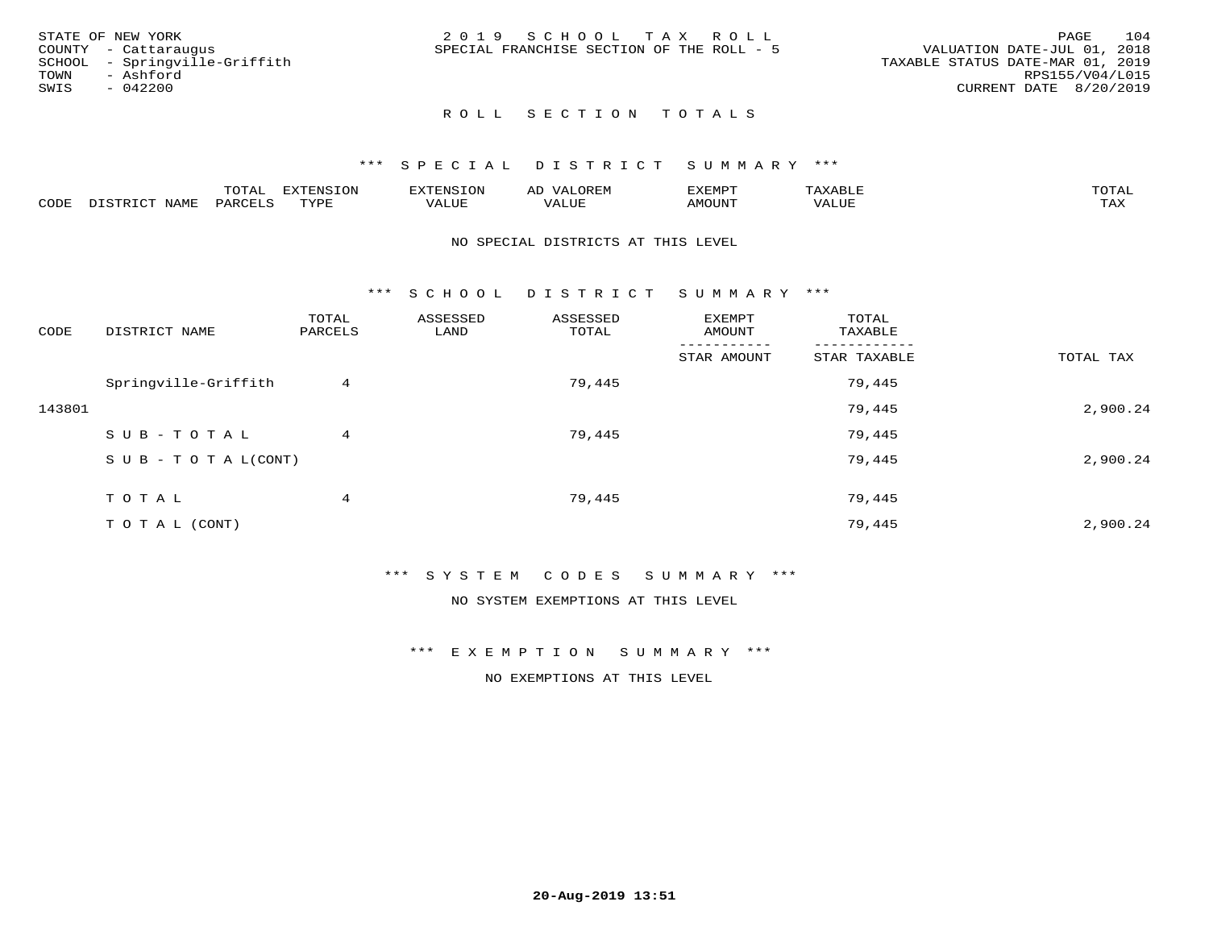| STATE OF NEW YORK             | 2019 SCHOOL TAX ROLL                      | 104<br>PAGE                      |
|-------------------------------|-------------------------------------------|----------------------------------|
| COUNTY - Cattaraugus          | SPECIAL FRANCHISE SECTION OF THE ROLL - 5 | VALUATION DATE-JUL 01, 2018      |
| SCHOOL - Springville-Griffith |                                           | TAXABLE STATUS DATE-MAR 01, 2019 |
| TOWN<br>- Ashford             |                                           | RPS155/V04/L015                  |
| SWIS<br>$-042200$             |                                           | CURRENT DATE 8/20/2019           |
|                               |                                           |                                  |

### ROLL SECTION TOTALS

#### \*\*\* S P E C I A L D I S T R I C T S U M M A R Y \*\*\*

|      |                      | mom n | <b>ELIMENT CLOSE</b><br>LUP | ALS.               | ΑL            | ,,, <del>,</del> ,,, <del>,</del><br>، ب<br>- ۱٬۱۳۰ نالاند |                         |                    |
|------|----------------------|-------|-----------------------------|--------------------|---------------|------------------------------------------------------------|-------------------------|--------------------|
| CODE | <b>NAMT</b><br>11.17 | PARC  | TVDF                        | <b>TTT</b><br>ALUR | T T T<br>ALUE | TUUOMA                                                     | . <del>.</del><br>'ALUL | $m \times r$<br>∸⊷ |

#### NO SPECIAL DISTRICTS AT THIS LEVEL

\*\*\* S C H O O L D I S T R I C T S U M M A R Y \*\*\*

| CODE   | DISTRICT NAME                    | TOTAL<br>PARCELS | ASSESSED<br>LAND | ASSESSED<br>TOTAL | EXEMPT<br>AMOUNT | TOTAL<br>TAXABLE |           |
|--------|----------------------------------|------------------|------------------|-------------------|------------------|------------------|-----------|
|        |                                  |                  |                  |                   | STAR AMOUNT      | STAR TAXABLE     | TOTAL TAX |
|        | Springville-Griffith             | 4                |                  | 79,445            |                  | 79,445           |           |
| 143801 |                                  |                  |                  |                   |                  | 79,445           | 2,900.24  |
|        | SUB-TOTAL                        | 4                |                  | 79,445            |                  | 79,445           |           |
|        | $S \cup B - T \cup T A L (CONT)$ |                  |                  |                   |                  | 79,445           | 2,900.24  |
|        | T O T A L                        | 4                |                  | 79,445            |                  | 79,445           |           |
|        | T O T A L (CONT)                 |                  |                  |                   |                  | 79,445           | 2,900.24  |

\*\*\* S Y S T E M C O D E S S U M M A R Y \*\*\*

NO SYSTEM EXEMPTIONS AT THIS LEVEL

\*\*\* E X E M P T I O N S U M M A R Y \*\*\*

NO EXEMPTIONS AT THIS LEVEL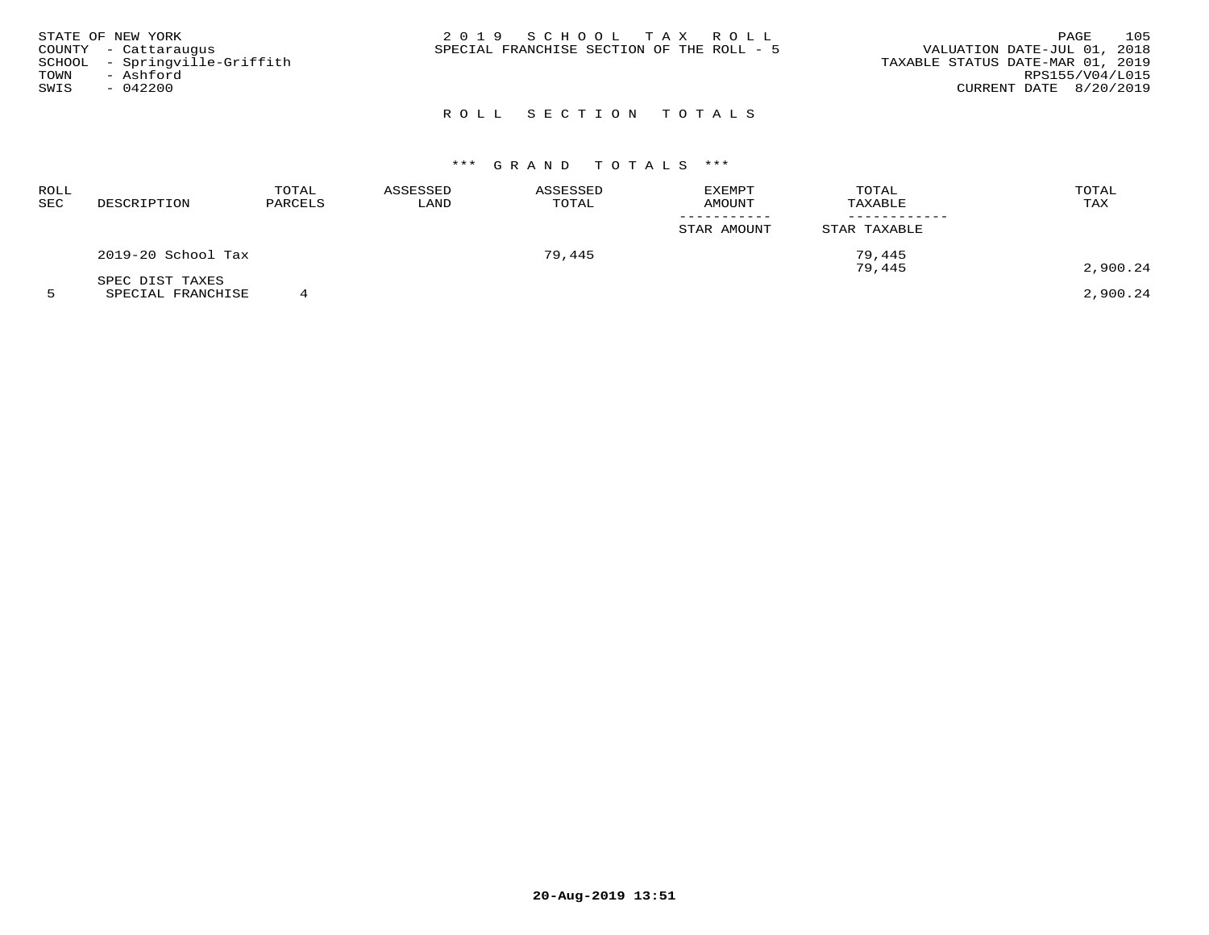| STATE OF NEW YORK<br>COUNTY - Cattaraugus<br>SCHOOL - Springville-Griffith<br>TOWN<br>- Ashford<br>SWIS<br>$-042200$ | 2019 SCHOOL TAX ROLL<br>SPECIAL FRANCHISE SECTION OF THE ROLL - 5 | 105<br>PAGE<br>VALUATION DATE-JUL 01, 2018<br>TAXABLE STATUS DATE-MAR 01, 2019<br>RPS155/V04/L015<br>CURRENT DATE 8/20/2019 |
|----------------------------------------------------------------------------------------------------------------------|-------------------------------------------------------------------|-----------------------------------------------------------------------------------------------------------------------------|
|                                                                                                                      |                                                                   |                                                                                                                             |

## ROLL SECTION TOTALS

## \*\*\* G R A N D T O T A L S \*\*\*

| ROLL<br>SEC | DESCRIPTION        | TOTAL<br>PARCELS | ASSESSED<br>LAND | ASSESSED<br>TOTAL | EXEMPT<br>AMOUNT | TOTAL<br>TAXABLE | TOTAL<br>TAX |
|-------------|--------------------|------------------|------------------|-------------------|------------------|------------------|--------------|
|             |                    |                  |                  |                   | STAR AMOUNT      | STAR TAXABLE     |              |
|             | 2019-20 School Tax |                  | 79,445           | 79,445            |                  |                  |              |
|             | SPEC DIST TAXES    |                  |                  |                   |                  | 79,445           | 2,900.24     |

5 SPECIAL FRANCHISE 4 2,900.24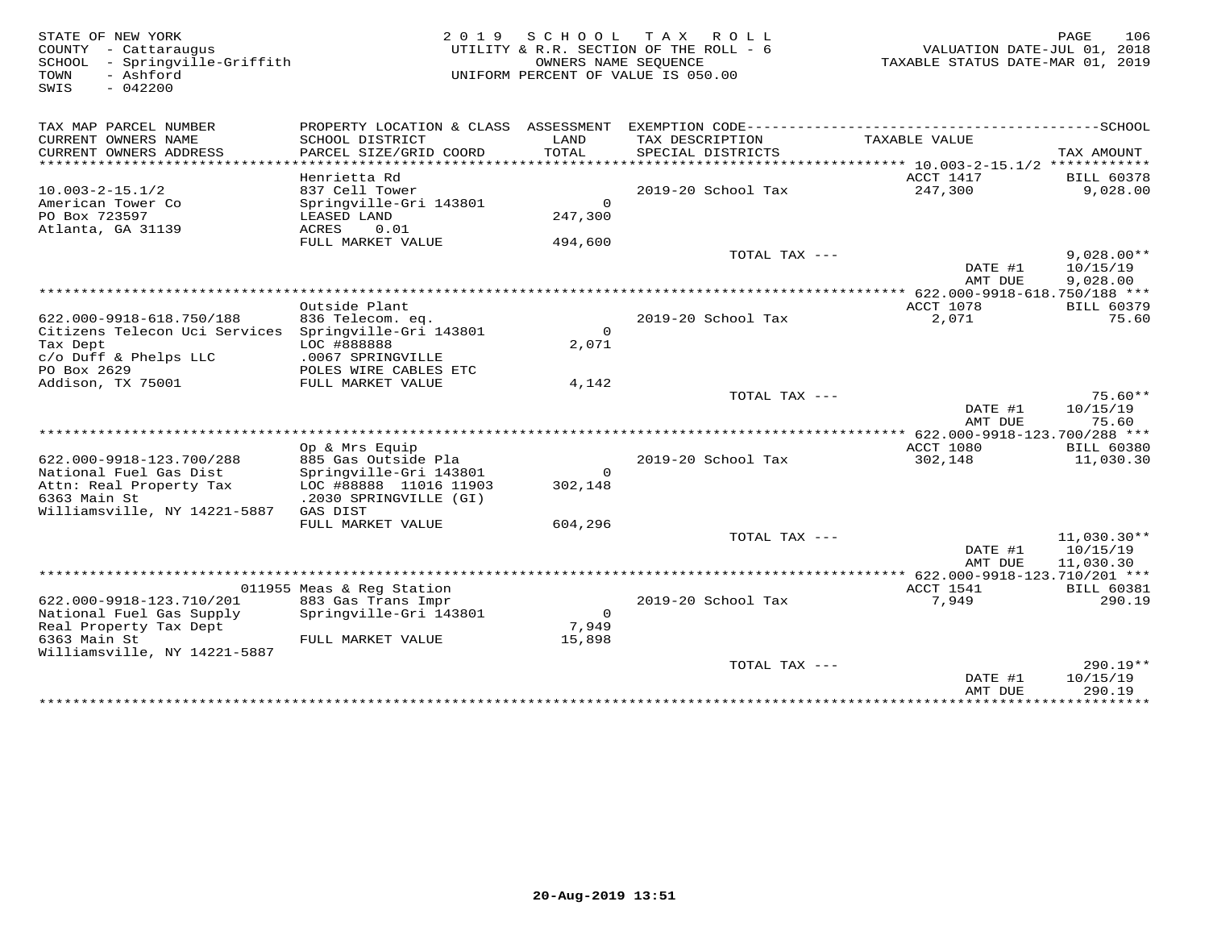| STATE OF NEW YORK<br>COUNTY - Cattaraugus<br>- Springville-Griffith<br>SCHOOL<br>- Ashford<br>TOWN<br>$-042200$<br>SWIS | 2 0 1 9                                                             |                               | SCHOOL TAX ROLL<br>UTILITY & R.R. SECTION OF THE ROLL - 6<br>OWNERS NAME SEQUENCE<br>UNIFORM PERCENT OF VALUE IS 050.00 | VALUATION DATE-JUL 01, 2018<br>TAXABLE STATUS DATE-MAR 01, 2019 | PAGE<br>106                   |
|-------------------------------------------------------------------------------------------------------------------------|---------------------------------------------------------------------|-------------------------------|-------------------------------------------------------------------------------------------------------------------------|-----------------------------------------------------------------|-------------------------------|
| TAX MAP PARCEL NUMBER                                                                                                   |                                                                     |                               |                                                                                                                         |                                                                 |                               |
| CURRENT OWNERS NAME<br>CURRENT OWNERS ADDRESS<br>*********************                                                  | SCHOOL DISTRICT<br>PARCEL SIZE/GRID COORD<br>********************** | LAND<br>TOTAL<br>************ | TAX DESCRIPTION<br>SPECIAL DISTRICTS                                                                                    | TAXABLE VALUE                                                   | TAX AMOUNT                    |
|                                                                                                                         |                                                                     |                               |                                                                                                                         |                                                                 |                               |
| $10.003 - 2 - 15.1/2$                                                                                                   | Henrietta Rd<br>837 Cell Tower                                      |                               | 2019-20 School Tax                                                                                                      | ACCT 1417<br>247,300                                            | <b>BILL 60378</b><br>9,028.00 |
| American Tower Co                                                                                                       | Springville-Gri 143801                                              | $\Omega$                      |                                                                                                                         |                                                                 |                               |
| PO Box 723597                                                                                                           | LEASED LAND                                                         | 247,300                       |                                                                                                                         |                                                                 |                               |
| Atlanta, GA 31139                                                                                                       | 0.01<br>ACRES                                                       |                               |                                                                                                                         |                                                                 |                               |
|                                                                                                                         | FULL MARKET VALUE                                                   | 494,600                       |                                                                                                                         |                                                                 |                               |
|                                                                                                                         |                                                                     |                               | TOTAL TAX ---                                                                                                           |                                                                 | $9,028.00**$                  |
|                                                                                                                         |                                                                     |                               |                                                                                                                         | DATE #1                                                         | 10/15/19                      |
|                                                                                                                         |                                                                     |                               |                                                                                                                         | AMT DUE                                                         | 9,028.00                      |
|                                                                                                                         |                                                                     |                               |                                                                                                                         | *************** 622.000-9918-618.750/188 ***                    |                               |
|                                                                                                                         | Outside Plant                                                       |                               |                                                                                                                         | ACCT 1078                                                       | <b>BILL 60379</b>             |
| 622.000-9918-618.750/188<br>Citizens Telecon Uci Services Springville-Gri 143801                                        | 836 Telecom. eq.                                                    | $\Omega$                      | 2019-20 School Tax                                                                                                      | 2,071                                                           | 75.60                         |
| Tax Dept                                                                                                                | LOC #888888                                                         | 2,071                         |                                                                                                                         |                                                                 |                               |
| c/o Duff & Phelps LLC                                                                                                   | .0067 SPRINGVILLE                                                   |                               |                                                                                                                         |                                                                 |                               |
| PO Box 2629                                                                                                             | POLES WIRE CABLES ETC                                               |                               |                                                                                                                         |                                                                 |                               |
| Addison, TX 75001                                                                                                       | FULL MARKET VALUE                                                   | 4,142                         |                                                                                                                         |                                                                 |                               |
|                                                                                                                         |                                                                     |                               | TOTAL TAX ---                                                                                                           |                                                                 | $75.60**$                     |
|                                                                                                                         |                                                                     |                               |                                                                                                                         | DATE #1                                                         | 10/15/19                      |
|                                                                                                                         |                                                                     |                               |                                                                                                                         | AMT DUE                                                         | 75.60                         |
| ******************************                                                                                          |                                                                     |                               |                                                                                                                         |                                                                 |                               |
|                                                                                                                         | Op & Mrs Equip                                                      |                               |                                                                                                                         | ACCT 1080                                                       | <b>BILL 60380</b>             |
| 622.000-9918-123.700/288<br>National Fuel Gas Dist                                                                      | 885 Gas Outside Pla<br>Springville-Gri 143801                       | $\mathsf{O}$                  | 2019-20 School Tax                                                                                                      | 302,148                                                         | 11,030.30                     |
| Attn: Real Property Tax                                                                                                 | LOC #88888 11016 11903                                              | 302,148                       |                                                                                                                         |                                                                 |                               |
| 6363 Main St                                                                                                            | .2030 SPRINGVILLE (GI)                                              |                               |                                                                                                                         |                                                                 |                               |
| Williamsville, NY 14221-5887                                                                                            | GAS DIST                                                            |                               |                                                                                                                         |                                                                 |                               |
|                                                                                                                         | FULL MARKET VALUE                                                   | 604,296                       |                                                                                                                         |                                                                 |                               |
|                                                                                                                         |                                                                     |                               | TOTAL TAX ---                                                                                                           |                                                                 | $11,030.30**$                 |
|                                                                                                                         |                                                                     |                               |                                                                                                                         | DATE #1                                                         | 10/15/19                      |
|                                                                                                                         |                                                                     |                               |                                                                                                                         | AMT DUE                                                         | 11,030.30                     |
|                                                                                                                         |                                                                     |                               |                                                                                                                         |                                                                 |                               |
|                                                                                                                         | 011955 Meas & Reg Station                                           |                               |                                                                                                                         | ACCT 1541                                                       | <b>BILL 60381</b>             |
| 622.000-9918-123.710/201                                                                                                | 883 Gas Trans Impr                                                  | $\circ$                       | 2019-20 School Tax                                                                                                      | 7,949                                                           | 290.19                        |
| National Fuel Gas Supply<br>Real Property Tax Dept                                                                      | Springville-Gri 143801                                              | 7,949                         |                                                                                                                         |                                                                 |                               |
| 6363 Main St                                                                                                            | FULL MARKET VALUE                                                   | 15,898                        |                                                                                                                         |                                                                 |                               |
| Williamsville, NY 14221-5887                                                                                            |                                                                     |                               |                                                                                                                         |                                                                 |                               |
|                                                                                                                         |                                                                     |                               | TOTAL TAX ---                                                                                                           |                                                                 | $290.19**$                    |
|                                                                                                                         |                                                                     |                               |                                                                                                                         | DATE #1                                                         | 10/15/19                      |
|                                                                                                                         |                                                                     |                               |                                                                                                                         | AMT DUE                                                         | 290.19                        |
|                                                                                                                         |                                                                     |                               |                                                                                                                         | ***************                                                 | ***********                   |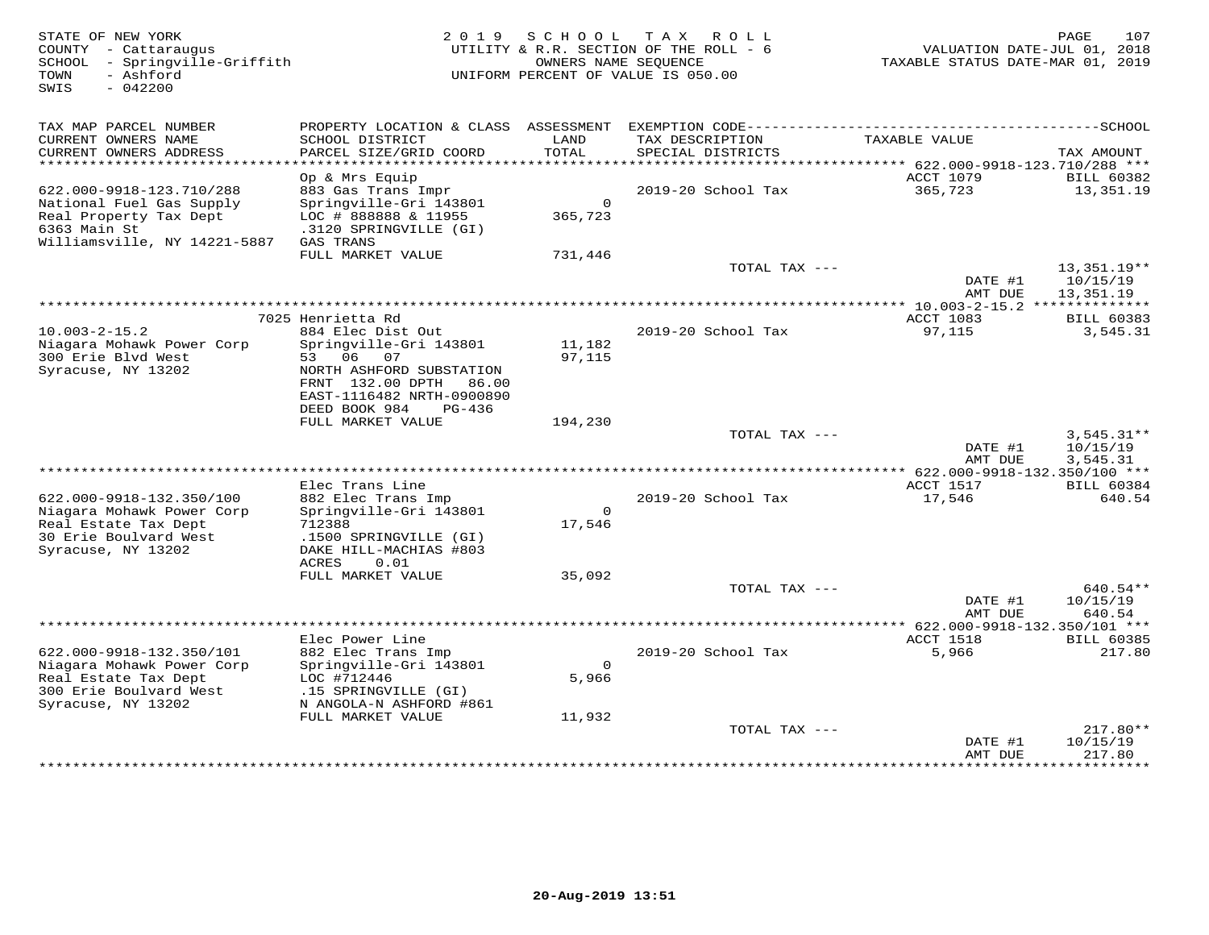| COUNTY - Cattaraugus<br>SCHOOL - Springville-Griffith<br>- Ashford<br>TOWN<br>SWIS<br>$-042200$                                | 2 0 1 9                                                                                                                                                   |                    | SCHOOL TAX<br>R O L L<br>UTILITY & R.R. SECTION OF THE ROLL - 6<br>OWNERS NAME SEQUENCE<br>UNIFORM PERCENT OF VALUE IS 050.00 | VALUATION DATE-JUL 01, 2018<br>TAXABLE STATUS DATE-MAR 01, 2019 | 107<br>PAGE                          |
|--------------------------------------------------------------------------------------------------------------------------------|-----------------------------------------------------------------------------------------------------------------------------------------------------------|--------------------|-------------------------------------------------------------------------------------------------------------------------------|-----------------------------------------------------------------|--------------------------------------|
| TAX MAP PARCEL NUMBER<br>CURRENT OWNERS NAME<br>CURRENT OWNERS ADDRESS                                                         | SCHOOL DISTRICT<br>PARCEL SIZE/GRID COORD                                                                                                                 | LAND<br>TOTAL      | TAX DESCRIPTION<br>SPECIAL DISTRICTS                                                                                          | TAXABLE VALUE                                                   | TAX AMOUNT                           |
| ******************************                                                                                                 |                                                                                                                                                           |                    |                                                                                                                               |                                                                 |                                      |
| 622.000-9918-123.710/288<br>National Fuel Gas Supply<br>Real Property Tax Dept<br>6363 Main St<br>Williamsville, NY 14221-5887 | Op & Mrs Equip<br>883 Gas Trans Impr<br>Springville-Gri 143801<br>LOC # 888888 & 11955<br>.3120 SPRINGVILLE (GI)<br>GAS TRANS                             | $\circ$<br>365,723 | 2019-20 School Tax                                                                                                            | ACCT 1079<br>365,723                                            | <b>BILL 60382</b><br>13,351.19       |
|                                                                                                                                | FULL MARKET VALUE                                                                                                                                         | 731,446            |                                                                                                                               |                                                                 |                                      |
|                                                                                                                                |                                                                                                                                                           |                    | TOTAL TAX ---                                                                                                                 | DATE #1                                                         | $13,351.19**$<br>10/15/19            |
|                                                                                                                                |                                                                                                                                                           |                    |                                                                                                                               | AMT DUE                                                         | 13,351.19                            |
|                                                                                                                                | 7025 Henrietta Rd                                                                                                                                         |                    |                                                                                                                               | ACCT 1083                                                       | <b>BILL 60383</b>                    |
| $10.003 - 2 - 15.2$<br>Niagara Mohawk Power Corp<br>300 Erie Blvd West<br>Syracuse, NY 13202                                   | 884 Elec Dist Out<br>Springville-Gri 143801<br>53 06<br>07<br>NORTH ASHFORD SUBSTATION<br>FRNT 132.00 DPTH 86.00<br>EAST-1116482 NRTH-0900890<br>$PG-436$ | 11,182<br>97,115   | 2019-20 School Tax                                                                                                            | 97,115                                                          | 3,545.31                             |
|                                                                                                                                | DEED BOOK 984<br>FULL MARKET VALUE                                                                                                                        | 194,230            |                                                                                                                               |                                                                 |                                      |
|                                                                                                                                |                                                                                                                                                           |                    | TOTAL TAX ---                                                                                                                 | DATE #1<br>AMT DUE                                              | $3,545.31**$<br>10/15/19<br>3,545.31 |
|                                                                                                                                |                                                                                                                                                           |                    |                                                                                                                               |                                                                 |                                      |
| 622.000-9918-132.350/100<br>Niagara Mohawk Power Corp<br>Real Estate Tax Dept<br>30 Erie Boulvard West<br>Syracuse, NY 13202   | Elec Trans Line<br>882 Elec Trans Imp<br>Springville-Gri 143801<br>712388<br>.1500 SPRINGVILLE (GI)<br>DAKE HILL-MACHIAS #803<br>ACRES                    | $\circ$<br>17,546  | 2019-20 School Tax                                                                                                            | ACCT 1517<br>17,546                                             | <b>BILL 60384</b><br>640.54          |
|                                                                                                                                | 0.01<br>FULL MARKET VALUE                                                                                                                                 | 35,092             |                                                                                                                               |                                                                 |                                      |
|                                                                                                                                |                                                                                                                                                           |                    | TOTAL TAX ---                                                                                                                 | DATE #1<br>AMT DUE                                              | 640.54**<br>10/15/19<br>640.54       |
| ******************************                                                                                                 |                                                                                                                                                           |                    |                                                                                                                               |                                                                 |                                      |
| 622.000-9918-132.350/101<br>Niagara Mohawk Power Corp<br>Real Estate Tax Dept<br>300 Erie Boulvard West<br>Syracuse, NY 13202  | Elec Power Line<br>882 Elec Trans Imp<br>Springville-Gri 143801<br>LOC #712446<br>.15 SPRINGVILLE (GI)<br>N ANGOLA-N ASHFORD #861                         | $\circ$<br>5,966   | 2019-20 School Tax                                                                                                            | ACCT 1518<br>5,966                                              | <b>BILL 60385</b><br>217.80          |
|                                                                                                                                | FULL MARKET VALUE                                                                                                                                         | 11,932             |                                                                                                                               |                                                                 |                                      |
|                                                                                                                                |                                                                                                                                                           |                    | TOTAL TAX ---                                                                                                                 | DATE #1<br>AMT DUE                                              | $217.80**$<br>10/15/19<br>217.80     |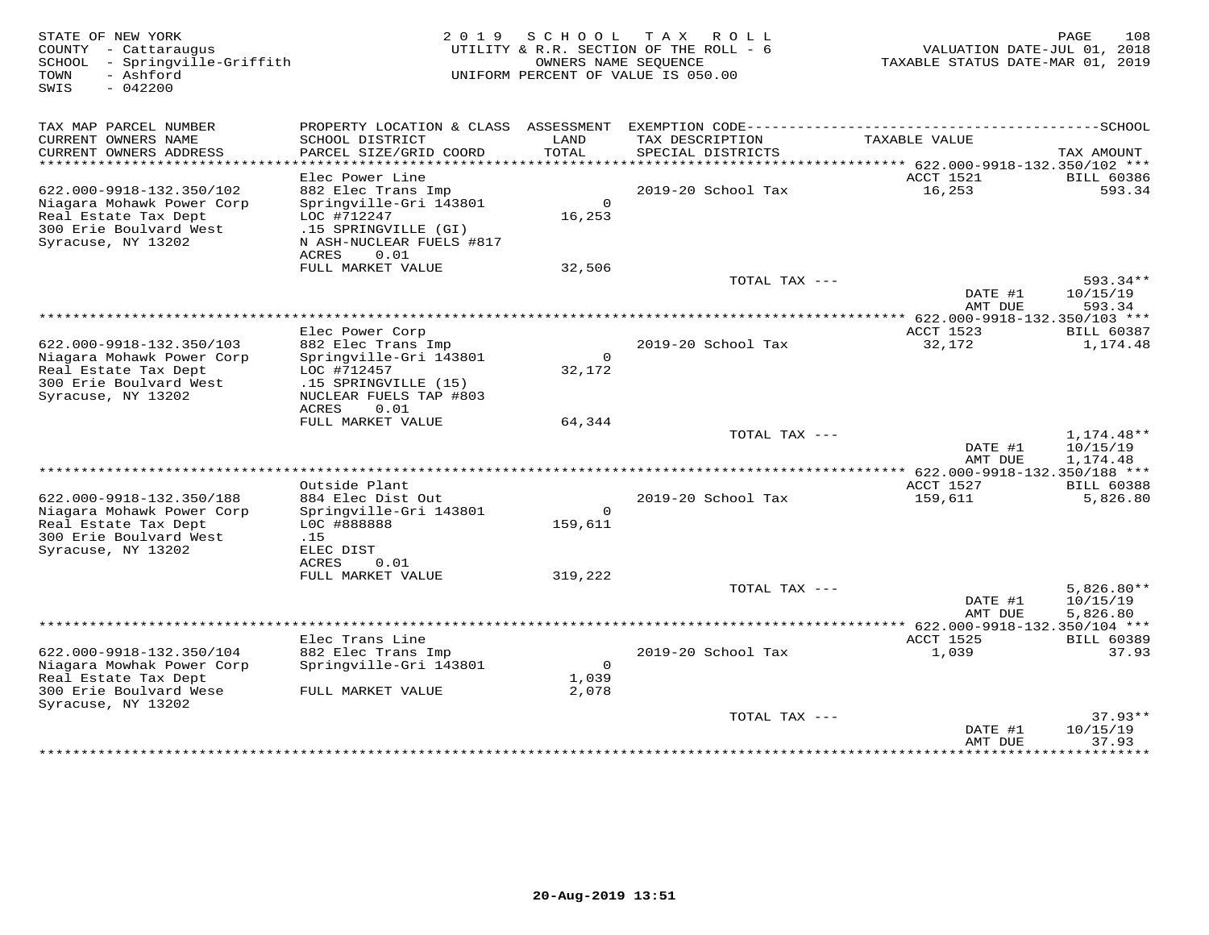| PROPERTY LOCATION & CLASS ASSESSMENT<br>TAX MAP PARCEL NUMBER<br>CURRENT OWNERS NAME<br>SCHOOL DISTRICT<br>LAND<br>TAX DESCRIPTION<br>TAXABLE VALUE<br><b>TOTAL</b><br>CURRENT OWNERS ADDRESS<br>PARCEL SIZE/GRID COORD<br>SPECIAL DISTRICTS<br>TAX AMOUNT<br>***********************<br>ACCT 1521<br>Elec Power Line<br><b>BILL 60386</b><br>622.000-9918-132.350/102<br>2019-20 School Tax<br>16,253<br>593.34<br>882 Elec Trans Imp<br>$\Omega$<br>Niagara Mohawk Power Corp<br>Springville-Gri 143801<br>LOC #712247<br>16,253<br>Real Estate Tax Dept<br>300 Erie Boulvard West<br>.15 SPRINGVILLE (GI)<br>Syracuse, NY 13202<br>N ASH-NUCLEAR FUELS #817<br>ACRES<br>0.01<br>FULL MARKET VALUE<br>32,506<br>TOTAL TAX ---<br>593.34**<br>DATE #1<br>10/15/19<br>593.34<br>AMT DUE<br>Elec Power Corp<br>ACCT 1523<br><b>BILL 60387</b><br>622.000-9918-132.350/103<br>882 Elec Trans Imp<br>2019-20 School Tax<br>32,172<br>1,174.48<br>$\circ$<br>Springville-Gri 143801<br>Niagara Mohawk Power Corp<br>Real Estate Tax Dept<br>LOC #712457<br>32,172<br>300 Erie Boulvard West<br>.15 SPRINGVILLE (15)<br>Syracuse, NY 13202<br>NUCLEAR FUELS TAP #803<br>ACRES<br>0.01<br>FULL MARKET VALUE<br>64,344<br>TOTAL TAX ---<br>1,174.48**<br>DATE #1<br>10/15/19<br>AMT DUE<br>1,174.48<br>*********** 622.000-9918-132.350/188 ***<br>Outside Plant<br>ACCT 1527<br><b>BILL 60388</b><br>884 Elec Dist Out<br>159,611<br>622.000-9918-132.350/188<br>$2019-20$ School Tax<br>5,826.80<br>Niagara Mohawk Power Corp<br>Springville-Gri 143801<br>$\circ$<br>Real Estate Tax Dept<br>LOC #888888<br>159,611<br>300 Erie Boulvard West<br>.15<br>Syracuse, NY 13202<br>ELEC DIST<br>ACRES<br>0.01<br>FULL MARKET VALUE<br>319,222<br>TOTAL TAX ---<br>$5,826.80**$<br>DATE #1<br>10/15/19<br>5,826.80<br>AMT DUE<br>Elec Trans Line<br>ACCT 1525<br><b>BILL 60389</b><br>622.000-9918-132.350/104<br>882 Elec Trans Imp<br>2019-20 School Tax<br>37.93<br>1,039<br>Niagara Mowhak Power Corp<br>Springville-Gri 143801<br>$\circ$<br>Real Estate Tax Dept<br>1,039<br>300 Erie Boulvard Wese<br>FULL MARKET VALUE<br>2,078<br>Syracuse, NY 13202<br>$37.93**$<br>TOTAL TAX ---<br>10/15/19<br>DATE #1<br>AMT DUE<br>37.93<br>********<br>************** | STATE OF NEW YORK<br>COUNTY - Cattaraugus<br>SCHOOL<br>- Springville-Griffith<br>- Ashford<br>TOWN<br>$-042200$<br>SWIS | 2 0 1 9 | SCHOOL<br>OWNERS NAME SEOUENCE | T A X<br>R O L L<br>UTILITY & R.R. SECTION OF THE ROLL - 6<br>UNIFORM PERCENT OF VALUE IS 050.00 | VALUATION DATE-JUL 01, 2018<br>TAXABLE STATUS DATE-MAR 01, 2019 | 108<br>PAGE |
|------------------------------------------------------------------------------------------------------------------------------------------------------------------------------------------------------------------------------------------------------------------------------------------------------------------------------------------------------------------------------------------------------------------------------------------------------------------------------------------------------------------------------------------------------------------------------------------------------------------------------------------------------------------------------------------------------------------------------------------------------------------------------------------------------------------------------------------------------------------------------------------------------------------------------------------------------------------------------------------------------------------------------------------------------------------------------------------------------------------------------------------------------------------------------------------------------------------------------------------------------------------------------------------------------------------------------------------------------------------------------------------------------------------------------------------------------------------------------------------------------------------------------------------------------------------------------------------------------------------------------------------------------------------------------------------------------------------------------------------------------------------------------------------------------------------------------------------------------------------------------------------------------------------------------------------------------------------------------------------------------------------------------------------------------------------------------------------------------------------------------------------------------------------------------------------------------------------------------------------------------------|-------------------------------------------------------------------------------------------------------------------------|---------|--------------------------------|--------------------------------------------------------------------------------------------------|-----------------------------------------------------------------|-------------|
|                                                                                                                                                                                                                                                                                                                                                                                                                                                                                                                                                                                                                                                                                                                                                                                                                                                                                                                                                                                                                                                                                                                                                                                                                                                                                                                                                                                                                                                                                                                                                                                                                                                                                                                                                                                                                                                                                                                                                                                                                                                                                                                                                                                                                                                            |                                                                                                                         |         |                                |                                                                                                  |                                                                 |             |
|                                                                                                                                                                                                                                                                                                                                                                                                                                                                                                                                                                                                                                                                                                                                                                                                                                                                                                                                                                                                                                                                                                                                                                                                                                                                                                                                                                                                                                                                                                                                                                                                                                                                                                                                                                                                                                                                                                                                                                                                                                                                                                                                                                                                                                                            |                                                                                                                         |         |                                |                                                                                                  |                                                                 |             |
|                                                                                                                                                                                                                                                                                                                                                                                                                                                                                                                                                                                                                                                                                                                                                                                                                                                                                                                                                                                                                                                                                                                                                                                                                                                                                                                                                                                                                                                                                                                                                                                                                                                                                                                                                                                                                                                                                                                                                                                                                                                                                                                                                                                                                                                            |                                                                                                                         |         |                                |                                                                                                  |                                                                 |             |
|                                                                                                                                                                                                                                                                                                                                                                                                                                                                                                                                                                                                                                                                                                                                                                                                                                                                                                                                                                                                                                                                                                                                                                                                                                                                                                                                                                                                                                                                                                                                                                                                                                                                                                                                                                                                                                                                                                                                                                                                                                                                                                                                                                                                                                                            |                                                                                                                         |         |                                |                                                                                                  |                                                                 |             |
|                                                                                                                                                                                                                                                                                                                                                                                                                                                                                                                                                                                                                                                                                                                                                                                                                                                                                                                                                                                                                                                                                                                                                                                                                                                                                                                                                                                                                                                                                                                                                                                                                                                                                                                                                                                                                                                                                                                                                                                                                                                                                                                                                                                                                                                            |                                                                                                                         |         |                                |                                                                                                  |                                                                 |             |
|                                                                                                                                                                                                                                                                                                                                                                                                                                                                                                                                                                                                                                                                                                                                                                                                                                                                                                                                                                                                                                                                                                                                                                                                                                                                                                                                                                                                                                                                                                                                                                                                                                                                                                                                                                                                                                                                                                                                                                                                                                                                                                                                                                                                                                                            |                                                                                                                         |         |                                |                                                                                                  |                                                                 |             |
|                                                                                                                                                                                                                                                                                                                                                                                                                                                                                                                                                                                                                                                                                                                                                                                                                                                                                                                                                                                                                                                                                                                                                                                                                                                                                                                                                                                                                                                                                                                                                                                                                                                                                                                                                                                                                                                                                                                                                                                                                                                                                                                                                                                                                                                            |                                                                                                                         |         |                                |                                                                                                  |                                                                 |             |
|                                                                                                                                                                                                                                                                                                                                                                                                                                                                                                                                                                                                                                                                                                                                                                                                                                                                                                                                                                                                                                                                                                                                                                                                                                                                                                                                                                                                                                                                                                                                                                                                                                                                                                                                                                                                                                                                                                                                                                                                                                                                                                                                                                                                                                                            |                                                                                                                         |         |                                |                                                                                                  |                                                                 |             |
|                                                                                                                                                                                                                                                                                                                                                                                                                                                                                                                                                                                                                                                                                                                                                                                                                                                                                                                                                                                                                                                                                                                                                                                                                                                                                                                                                                                                                                                                                                                                                                                                                                                                                                                                                                                                                                                                                                                                                                                                                                                                                                                                                                                                                                                            |                                                                                                                         |         |                                |                                                                                                  |                                                                 |             |
|                                                                                                                                                                                                                                                                                                                                                                                                                                                                                                                                                                                                                                                                                                                                                                                                                                                                                                                                                                                                                                                                                                                                                                                                                                                                                                                                                                                                                                                                                                                                                                                                                                                                                                                                                                                                                                                                                                                                                                                                                                                                                                                                                                                                                                                            |                                                                                                                         |         |                                |                                                                                                  |                                                                 |             |
|                                                                                                                                                                                                                                                                                                                                                                                                                                                                                                                                                                                                                                                                                                                                                                                                                                                                                                                                                                                                                                                                                                                                                                                                                                                                                                                                                                                                                                                                                                                                                                                                                                                                                                                                                                                                                                                                                                                                                                                                                                                                                                                                                                                                                                                            |                                                                                                                         |         |                                |                                                                                                  |                                                                 |             |
|                                                                                                                                                                                                                                                                                                                                                                                                                                                                                                                                                                                                                                                                                                                                                                                                                                                                                                                                                                                                                                                                                                                                                                                                                                                                                                                                                                                                                                                                                                                                                                                                                                                                                                                                                                                                                                                                                                                                                                                                                                                                                                                                                                                                                                                            |                                                                                                                         |         |                                |                                                                                                  |                                                                 |             |
|                                                                                                                                                                                                                                                                                                                                                                                                                                                                                                                                                                                                                                                                                                                                                                                                                                                                                                                                                                                                                                                                                                                                                                                                                                                                                                                                                                                                                                                                                                                                                                                                                                                                                                                                                                                                                                                                                                                                                                                                                                                                                                                                                                                                                                                            |                                                                                                                         |         |                                |                                                                                                  |                                                                 |             |
|                                                                                                                                                                                                                                                                                                                                                                                                                                                                                                                                                                                                                                                                                                                                                                                                                                                                                                                                                                                                                                                                                                                                                                                                                                                                                                                                                                                                                                                                                                                                                                                                                                                                                                                                                                                                                                                                                                                                                                                                                                                                                                                                                                                                                                                            |                                                                                                                         |         |                                |                                                                                                  |                                                                 |             |
|                                                                                                                                                                                                                                                                                                                                                                                                                                                                                                                                                                                                                                                                                                                                                                                                                                                                                                                                                                                                                                                                                                                                                                                                                                                                                                                                                                                                                                                                                                                                                                                                                                                                                                                                                                                                                                                                                                                                                                                                                                                                                                                                                                                                                                                            |                                                                                                                         |         |                                |                                                                                                  |                                                                 |             |
|                                                                                                                                                                                                                                                                                                                                                                                                                                                                                                                                                                                                                                                                                                                                                                                                                                                                                                                                                                                                                                                                                                                                                                                                                                                                                                                                                                                                                                                                                                                                                                                                                                                                                                                                                                                                                                                                                                                                                                                                                                                                                                                                                                                                                                                            |                                                                                                                         |         |                                |                                                                                                  |                                                                 |             |
|                                                                                                                                                                                                                                                                                                                                                                                                                                                                                                                                                                                                                                                                                                                                                                                                                                                                                                                                                                                                                                                                                                                                                                                                                                                                                                                                                                                                                                                                                                                                                                                                                                                                                                                                                                                                                                                                                                                                                                                                                                                                                                                                                                                                                                                            |                                                                                                                         |         |                                |                                                                                                  |                                                                 |             |
|                                                                                                                                                                                                                                                                                                                                                                                                                                                                                                                                                                                                                                                                                                                                                                                                                                                                                                                                                                                                                                                                                                                                                                                                                                                                                                                                                                                                                                                                                                                                                                                                                                                                                                                                                                                                                                                                                                                                                                                                                                                                                                                                                                                                                                                            |                                                                                                                         |         |                                |                                                                                                  |                                                                 |             |
|                                                                                                                                                                                                                                                                                                                                                                                                                                                                                                                                                                                                                                                                                                                                                                                                                                                                                                                                                                                                                                                                                                                                                                                                                                                                                                                                                                                                                                                                                                                                                                                                                                                                                                                                                                                                                                                                                                                                                                                                                                                                                                                                                                                                                                                            |                                                                                                                         |         |                                |                                                                                                  |                                                                 |             |
|                                                                                                                                                                                                                                                                                                                                                                                                                                                                                                                                                                                                                                                                                                                                                                                                                                                                                                                                                                                                                                                                                                                                                                                                                                                                                                                                                                                                                                                                                                                                                                                                                                                                                                                                                                                                                                                                                                                                                                                                                                                                                                                                                                                                                                                            |                                                                                                                         |         |                                |                                                                                                  |                                                                 |             |
|                                                                                                                                                                                                                                                                                                                                                                                                                                                                                                                                                                                                                                                                                                                                                                                                                                                                                                                                                                                                                                                                                                                                                                                                                                                                                                                                                                                                                                                                                                                                                                                                                                                                                                                                                                                                                                                                                                                                                                                                                                                                                                                                                                                                                                                            |                                                                                                                         |         |                                |                                                                                                  |                                                                 |             |
|                                                                                                                                                                                                                                                                                                                                                                                                                                                                                                                                                                                                                                                                                                                                                                                                                                                                                                                                                                                                                                                                                                                                                                                                                                                                                                                                                                                                                                                                                                                                                                                                                                                                                                                                                                                                                                                                                                                                                                                                                                                                                                                                                                                                                                                            |                                                                                                                         |         |                                |                                                                                                  |                                                                 |             |
|                                                                                                                                                                                                                                                                                                                                                                                                                                                                                                                                                                                                                                                                                                                                                                                                                                                                                                                                                                                                                                                                                                                                                                                                                                                                                                                                                                                                                                                                                                                                                                                                                                                                                                                                                                                                                                                                                                                                                                                                                                                                                                                                                                                                                                                            |                                                                                                                         |         |                                |                                                                                                  |                                                                 |             |
|                                                                                                                                                                                                                                                                                                                                                                                                                                                                                                                                                                                                                                                                                                                                                                                                                                                                                                                                                                                                                                                                                                                                                                                                                                                                                                                                                                                                                                                                                                                                                                                                                                                                                                                                                                                                                                                                                                                                                                                                                                                                                                                                                                                                                                                            |                                                                                                                         |         |                                |                                                                                                  |                                                                 |             |
|                                                                                                                                                                                                                                                                                                                                                                                                                                                                                                                                                                                                                                                                                                                                                                                                                                                                                                                                                                                                                                                                                                                                                                                                                                                                                                                                                                                                                                                                                                                                                                                                                                                                                                                                                                                                                                                                                                                                                                                                                                                                                                                                                                                                                                                            |                                                                                                                         |         |                                |                                                                                                  |                                                                 |             |
|                                                                                                                                                                                                                                                                                                                                                                                                                                                                                                                                                                                                                                                                                                                                                                                                                                                                                                                                                                                                                                                                                                                                                                                                                                                                                                                                                                                                                                                                                                                                                                                                                                                                                                                                                                                                                                                                                                                                                                                                                                                                                                                                                                                                                                                            |                                                                                                                         |         |                                |                                                                                                  |                                                                 |             |
|                                                                                                                                                                                                                                                                                                                                                                                                                                                                                                                                                                                                                                                                                                                                                                                                                                                                                                                                                                                                                                                                                                                                                                                                                                                                                                                                                                                                                                                                                                                                                                                                                                                                                                                                                                                                                                                                                                                                                                                                                                                                                                                                                                                                                                                            |                                                                                                                         |         |                                |                                                                                                  |                                                                 |             |
|                                                                                                                                                                                                                                                                                                                                                                                                                                                                                                                                                                                                                                                                                                                                                                                                                                                                                                                                                                                                                                                                                                                                                                                                                                                                                                                                                                                                                                                                                                                                                                                                                                                                                                                                                                                                                                                                                                                                                                                                                                                                                                                                                                                                                                                            |                                                                                                                         |         |                                |                                                                                                  |                                                                 |             |
|                                                                                                                                                                                                                                                                                                                                                                                                                                                                                                                                                                                                                                                                                                                                                                                                                                                                                                                                                                                                                                                                                                                                                                                                                                                                                                                                                                                                                                                                                                                                                                                                                                                                                                                                                                                                                                                                                                                                                                                                                                                                                                                                                                                                                                                            |                                                                                                                         |         |                                |                                                                                                  |                                                                 |             |
|                                                                                                                                                                                                                                                                                                                                                                                                                                                                                                                                                                                                                                                                                                                                                                                                                                                                                                                                                                                                                                                                                                                                                                                                                                                                                                                                                                                                                                                                                                                                                                                                                                                                                                                                                                                                                                                                                                                                                                                                                                                                                                                                                                                                                                                            |                                                                                                                         |         |                                |                                                                                                  |                                                                 |             |
|                                                                                                                                                                                                                                                                                                                                                                                                                                                                                                                                                                                                                                                                                                                                                                                                                                                                                                                                                                                                                                                                                                                                                                                                                                                                                                                                                                                                                                                                                                                                                                                                                                                                                                                                                                                                                                                                                                                                                                                                                                                                                                                                                                                                                                                            |                                                                                                                         |         |                                |                                                                                                  |                                                                 |             |
|                                                                                                                                                                                                                                                                                                                                                                                                                                                                                                                                                                                                                                                                                                                                                                                                                                                                                                                                                                                                                                                                                                                                                                                                                                                                                                                                                                                                                                                                                                                                                                                                                                                                                                                                                                                                                                                                                                                                                                                                                                                                                                                                                                                                                                                            |                                                                                                                         |         |                                |                                                                                                  |                                                                 |             |
|                                                                                                                                                                                                                                                                                                                                                                                                                                                                                                                                                                                                                                                                                                                                                                                                                                                                                                                                                                                                                                                                                                                                                                                                                                                                                                                                                                                                                                                                                                                                                                                                                                                                                                                                                                                                                                                                                                                                                                                                                                                                                                                                                                                                                                                            |                                                                                                                         |         |                                |                                                                                                  |                                                                 |             |
|                                                                                                                                                                                                                                                                                                                                                                                                                                                                                                                                                                                                                                                                                                                                                                                                                                                                                                                                                                                                                                                                                                                                                                                                                                                                                                                                                                                                                                                                                                                                                                                                                                                                                                                                                                                                                                                                                                                                                                                                                                                                                                                                                                                                                                                            |                                                                                                                         |         |                                |                                                                                                  |                                                                 |             |
|                                                                                                                                                                                                                                                                                                                                                                                                                                                                                                                                                                                                                                                                                                                                                                                                                                                                                                                                                                                                                                                                                                                                                                                                                                                                                                                                                                                                                                                                                                                                                                                                                                                                                                                                                                                                                                                                                                                                                                                                                                                                                                                                                                                                                                                            |                                                                                                                         |         |                                |                                                                                                  |                                                                 |             |
|                                                                                                                                                                                                                                                                                                                                                                                                                                                                                                                                                                                                                                                                                                                                                                                                                                                                                                                                                                                                                                                                                                                                                                                                                                                                                                                                                                                                                                                                                                                                                                                                                                                                                                                                                                                                                                                                                                                                                                                                                                                                                                                                                                                                                                                            |                                                                                                                         |         |                                |                                                                                                  |                                                                 |             |
|                                                                                                                                                                                                                                                                                                                                                                                                                                                                                                                                                                                                                                                                                                                                                                                                                                                                                                                                                                                                                                                                                                                                                                                                                                                                                                                                                                                                                                                                                                                                                                                                                                                                                                                                                                                                                                                                                                                                                                                                                                                                                                                                                                                                                                                            |                                                                                                                         |         |                                |                                                                                                  |                                                                 |             |
|                                                                                                                                                                                                                                                                                                                                                                                                                                                                                                                                                                                                                                                                                                                                                                                                                                                                                                                                                                                                                                                                                                                                                                                                                                                                                                                                                                                                                                                                                                                                                                                                                                                                                                                                                                                                                                                                                                                                                                                                                                                                                                                                                                                                                                                            |                                                                                                                         |         |                                |                                                                                                  |                                                                 |             |
|                                                                                                                                                                                                                                                                                                                                                                                                                                                                                                                                                                                                                                                                                                                                                                                                                                                                                                                                                                                                                                                                                                                                                                                                                                                                                                                                                                                                                                                                                                                                                                                                                                                                                                                                                                                                                                                                                                                                                                                                                                                                                                                                                                                                                                                            |                                                                                                                         |         |                                |                                                                                                  |                                                                 |             |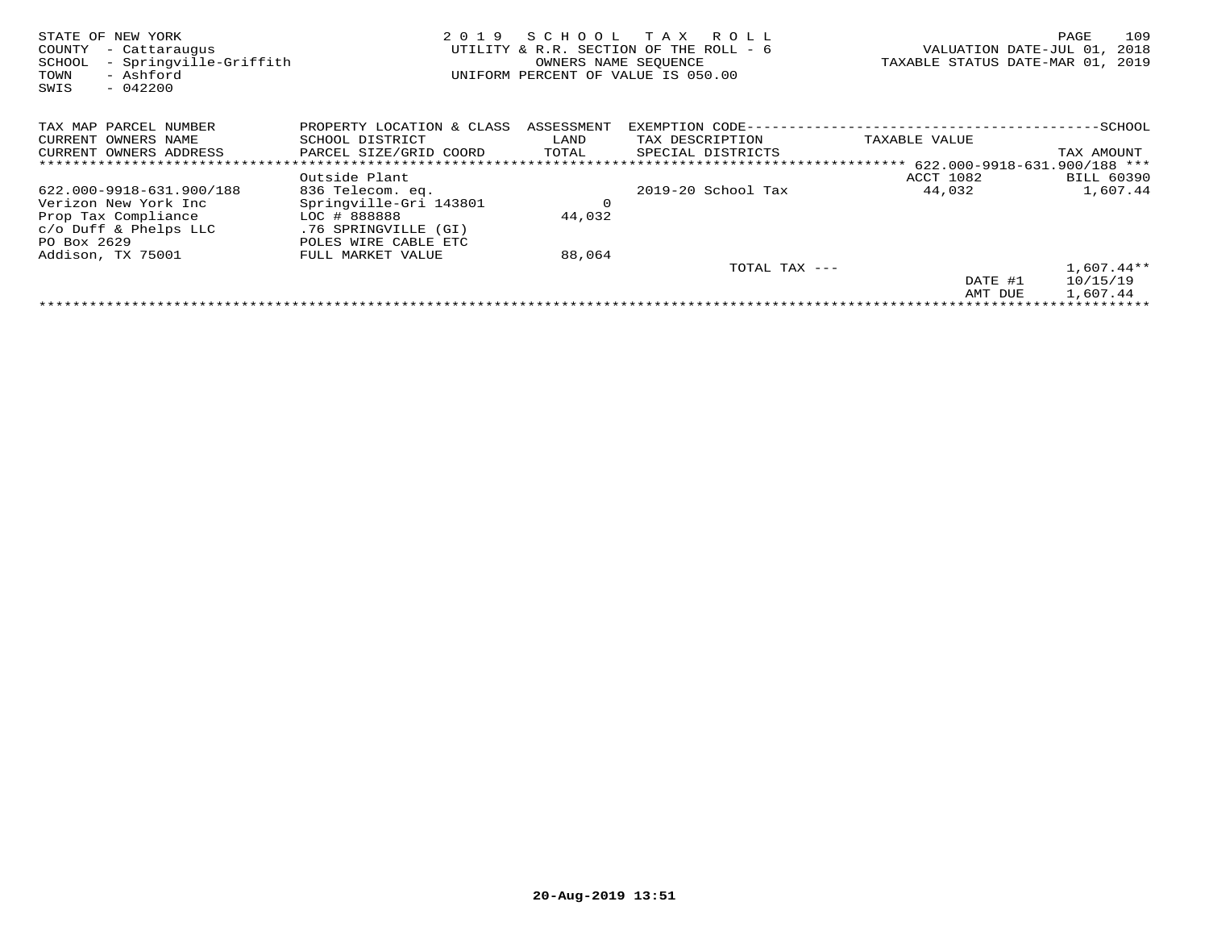| STATE OF NEW YORK<br>- Cattaraugus<br>COUNTY<br>- Springville-Griffith<br>SCHOOL<br>- Ashford<br>TOWN<br>$-042200$<br>SWIS | 2019                      | SCHOOL     | T A X<br>R O L L<br>UTILITY & R.R. SECTION OF THE ROLL - 6<br>OWNERS NAME SEOUENCE<br>UNIFORM PERCENT OF VALUE IS 050.00 | VALUATION DATE-JUL 01,<br>TAXABLE STATUS DATE-MAR 01, | 109<br>PAGE<br>2018<br>2019 |
|----------------------------------------------------------------------------------------------------------------------------|---------------------------|------------|--------------------------------------------------------------------------------------------------------------------------|-------------------------------------------------------|-----------------------------|
| TAX MAP PARCEL NUMBER                                                                                                      | PROPERTY LOCATION & CLASS | ASSESSMENT | EXEMPTION CODE-                                                                                                          |                                                       | -SCHOOL                     |
| CURRENT OWNERS NAME                                                                                                        | SCHOOL DISTRICT           | LAND       | TAX DESCRIPTION                                                                                                          | TAXABLE VALUE                                         |                             |
| CURRENT OWNERS ADDRESS                                                                                                     | PARCEL SIZE/GRID COORD    | TOTAL      | SPECIAL DISTRICTS                                                                                                        |                                                       | TAX AMOUNT                  |
| ******************************                                                                                             |                           |            |                                                                                                                          |                                                       |                             |
|                                                                                                                            | Outside Plant             |            |                                                                                                                          | ACCT 1082                                             | <b>BILL 60390</b>           |
| 622.000-9918-631.900/188                                                                                                   | 836 Telecom. eq.          |            | 2019-20 School Tax                                                                                                       | 44,032                                                | 1,607.44                    |
| Verizon New York Inc                                                                                                       | Springville-Gri 143801    | $\circ$    |                                                                                                                          |                                                       |                             |
| Prop Tax Compliance                                                                                                        | LOC # 888888              | 44,032     |                                                                                                                          |                                                       |                             |
| $c$ /o Duff & Phelps LLC                                                                                                   | .76 SPRINGVILLE (GI)      |            |                                                                                                                          |                                                       |                             |
| PO Box 2629                                                                                                                | POLES WIRE CABLE ETC      |            |                                                                                                                          |                                                       |                             |
| Addison, TX 75001                                                                                                          | FULL MARKET VALUE         | 88,064     |                                                                                                                          |                                                       |                             |
|                                                                                                                            |                           |            | TOTAL TAX ---                                                                                                            |                                                       | $1,607.44**$                |
|                                                                                                                            |                           |            |                                                                                                                          | DATE #1                                               | 10/15/19                    |
|                                                                                                                            |                           |            |                                                                                                                          | AMT DUE                                               | 1,607.44                    |
|                                                                                                                            |                           |            |                                                                                                                          |                                                       |                             |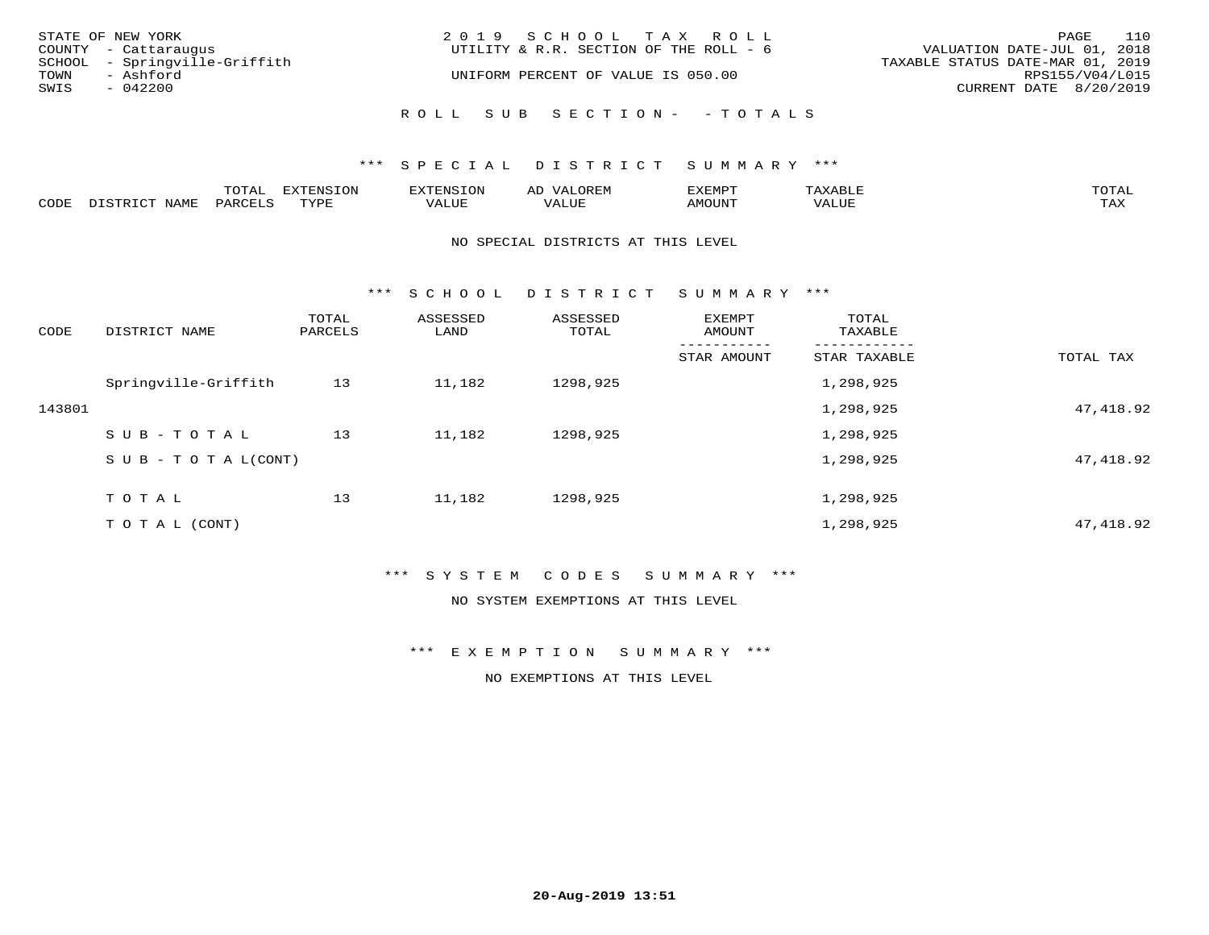| STATE OF NEW YORK<br>COUNTY - Cattaraugus          | 2019 SCHOOL TAX ROLL<br>UTILITY & R.R. SECTION OF THE ROLL - 6 | 110<br>PAGE<br>VALUATION DATE-JUL 01, 2018          |
|----------------------------------------------------|----------------------------------------------------------------|-----------------------------------------------------|
| SCHOOL - Springville-Griffith<br>TOWN<br>- Ashford | UNIFORM PERCENT OF VALUE IS 050.00                             | TAXABLE STATUS DATE-MAR 01, 2019<br>RPS155/V04/L015 |
| SWIS<br>$-042200$                                  |                                                                | CURRENT DATE 8/20/2019                              |
|                                                    | ROLL SUB SECTION- - TOTALS                                     |                                                     |

### \*\*\* SPECIAL DISTRICT SUMMARY \*\*\*

|      |      | $m \wedge m \wedge n$<br>◡∸ғ | TON                              | . HUNY              | AĽ                  | ے ا      |       | $m \wedge m \wedge n$ |
|------|------|------------------------------|----------------------------------|---------------------|---------------------|----------|-------|-----------------------|
| CODE | NAMF | 'AK                          | $m \times r \times r$<br>- - - - | T T T<br>اللالمستحم | - ---<br>اللالمستعم | 57077375 | VALUF | $m \times r$<br>- −-  |

#### NO SPECIAL DISTRICTS AT THIS LEVEL

\*\*\* S C H O O L D I S T R I C T S U M M A R Y \*\*\*

| CODE   | DISTRICT NAME                    | TOTAL<br>PARCELS | ASSESSED<br>LAND | ASSESSED<br>TOTAL | EXEMPT<br>AMOUNT | TOTAL<br>TAXABLE |            |
|--------|----------------------------------|------------------|------------------|-------------------|------------------|------------------|------------|
|        |                                  |                  |                  |                   | STAR AMOUNT      | STAR TAXABLE     | TOTAL TAX  |
|        | Springville-Griffith             | 13               | 11,182           | 1298,925          |                  | 1,298,925        |            |
| 143801 |                                  |                  |                  |                   |                  | 1,298,925        | 47,418.92  |
|        | SUB-TOTAL                        | 13               | 11,182           | 1298,925          |                  | 1,298,925        |            |
|        | $S \cup B - T \cup T A L (CONT)$ |                  |                  |                   |                  | 1,298,925        | 47, 418.92 |
|        | TOTAL                            | 13               | 11,182           | 1298,925          |                  | 1,298,925        |            |
|        | T O T A L (CONT)                 |                  |                  |                   |                  | 1,298,925        | 47, 418.92 |

# \*\*\* S Y S T E M C O D E S S U M M A R Y \*\*\*

NO SYSTEM EXEMPTIONS AT THIS LEVEL

\*\*\* E X E M P T I O N S U M M A R Y \*\*\*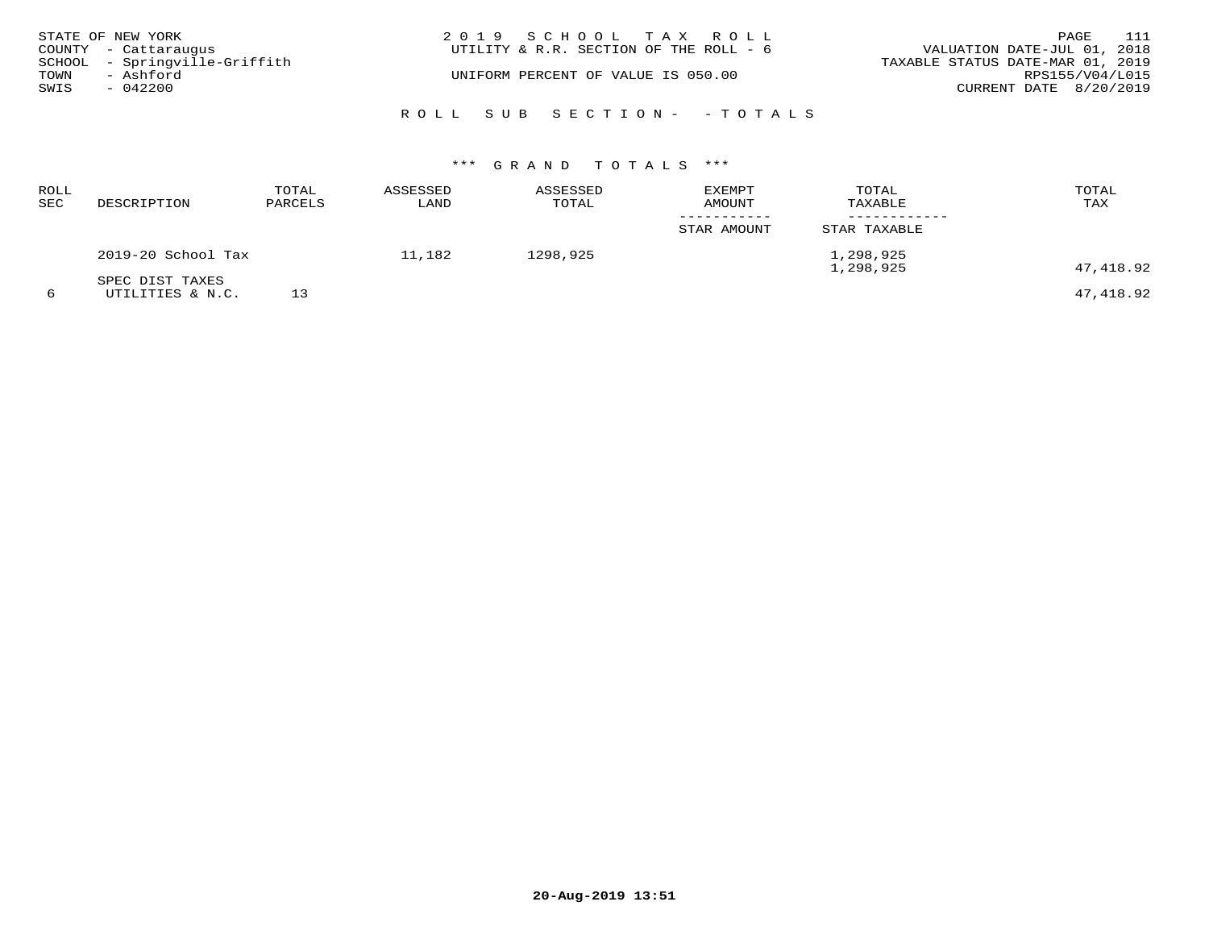|      | STATE OF NEW YORK<br>COUNTY - Cattaraugus  | 2019 SCHOOL TAX ROLL<br>UTILITY & R.R. SECTION OF THE ROLL - 6 | 111<br>PAGE<br>VALUATION DATE-JUL 01, 2018          |
|------|--------------------------------------------|----------------------------------------------------------------|-----------------------------------------------------|
| TOWN | SCHOOL - Springville-Griffith<br>- Ashford | UNIFORM PERCENT OF VALUE IS 050.00                             | TAXABLE STATUS DATE-MAR 01, 2019<br>RPS155/V04/L015 |
| SWIS | $-042200$                                  |                                                                | CURRENT DATE 8/20/2019                              |
|      |                                            | ROLL SUB SECTION- - TOTALS                                     |                                                     |

| ROLL<br>SEC | DESCRIPTION                         | TOTAL<br>PARCELS | ASSESSED<br>LAND | ASSESSED<br>TOTAL | EXEMPT<br>AMOUNT | TOTAL<br>TAXABLE       | TOTAL<br>TAX |
|-------------|-------------------------------------|------------------|------------------|-------------------|------------------|------------------------|--------------|
|             |                                     |                  |                  |                   | STAR AMOUNT      | STAR TAXABLE           |              |
|             | 2019-20 School Tax                  |                  | 11,182           | 1298,925          |                  | 1,298,925<br>1,298,925 | 47,418.92    |
| 6           | SPEC DIST TAXES<br>UTILITIES & N.C. |                  |                  |                   |                  |                        | 47,418.92    |

**20-Aug-2019 13:51**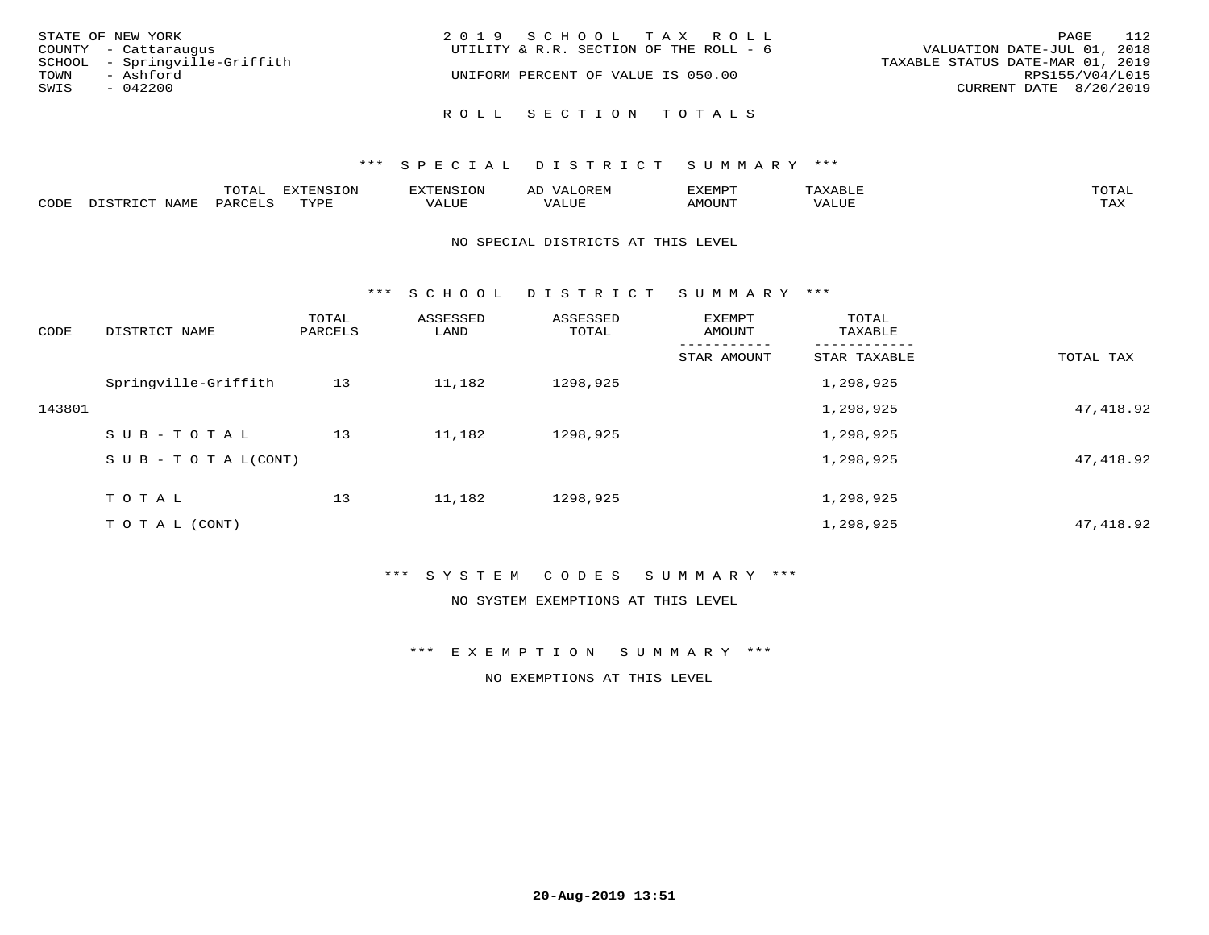| STATE OF NEW YORK                                     | 2019 SCHOOL TAX ROLL<br>UTILITY & R.R. SECTION OF THE ROLL - 6 | 112<br>PAGE<br>VALUATION DATE-JUL 01, 2018 |
|-------------------------------------------------------|----------------------------------------------------------------|--------------------------------------------|
| COUNTY - Cattaraugus<br>SCHOOL - Springville-Griffith |                                                                | TAXABLE STATUS DATE-MAR 01, 2019           |
| TOWN<br>- Ashford<br>SWIS<br>$-042200$                | UNIFORM PERCENT OF VALUE IS 050.00                             | RPS155/V04/L015<br>CURRENT DATE 8/20/2019  |
|                                                       | ROLL SECTION TOTALS                                            |                                            |

|      |                          | momn.<br>LUIAL     | <b>EXTENSION</b> | $117$ mm $170707$<br>אי | ΑD<br>.JREN      | 33773850<br>ivi D'<br>ניומיום בי | $max$ and $max$ | $m \wedge m \wedge n$ |
|------|--------------------------|--------------------|------------------|-------------------------|------------------|----------------------------------|-----------------|-----------------------|
| CODE | <b>NAME</b><br>DISTO TOT | PARCE <sup>T</sup> | TVDF             | VALUE                   | -- - ---<br>ALUE | TUUOM4                           | VALUE           | <b>TAY</b><br>⊥⇔∆     |

### NO SPECIAL DISTRICTS AT THIS LEVEL

\*\*\* S C H O O L D I S T R I C T S U M M A R Y \*\*\*

| CODE   | DISTRICT NAME                    | TOTAL<br>PARCELS | ASSESSED<br>LAND | ASSESSED<br>TOTAL | EXEMPT<br>AMOUNT | TOTAL<br>TAXABLE |            |
|--------|----------------------------------|------------------|------------------|-------------------|------------------|------------------|------------|
|        |                                  |                  |                  |                   | STAR AMOUNT      | STAR TAXABLE     | TOTAL TAX  |
|        | Springville-Griffith             | 13               | 11,182           | 1298,925          |                  | 1,298,925        |            |
| 143801 |                                  |                  |                  |                   |                  | 1,298,925        | 47,418.92  |
|        | SUB-TOTAL                        | 13               | 11,182           | 1298,925          |                  | 1,298,925        |            |
|        | $S \cup B - T \cup T A L (CONT)$ |                  |                  |                   |                  | 1,298,925        | 47,418.92  |
|        | TOTAL                            | 13               | 11,182           | 1298,925          |                  | 1,298,925        |            |
|        | T O T A L (CONT)                 |                  |                  |                   |                  | 1,298,925        | 47, 418.92 |

# \*\*\* S Y S T E M C O D E S S U M M A R Y \*\*\*

NO SYSTEM EXEMPTIONS AT THIS LEVEL

\*\*\* E X E M P T I O N S U M M A R Y \*\*\*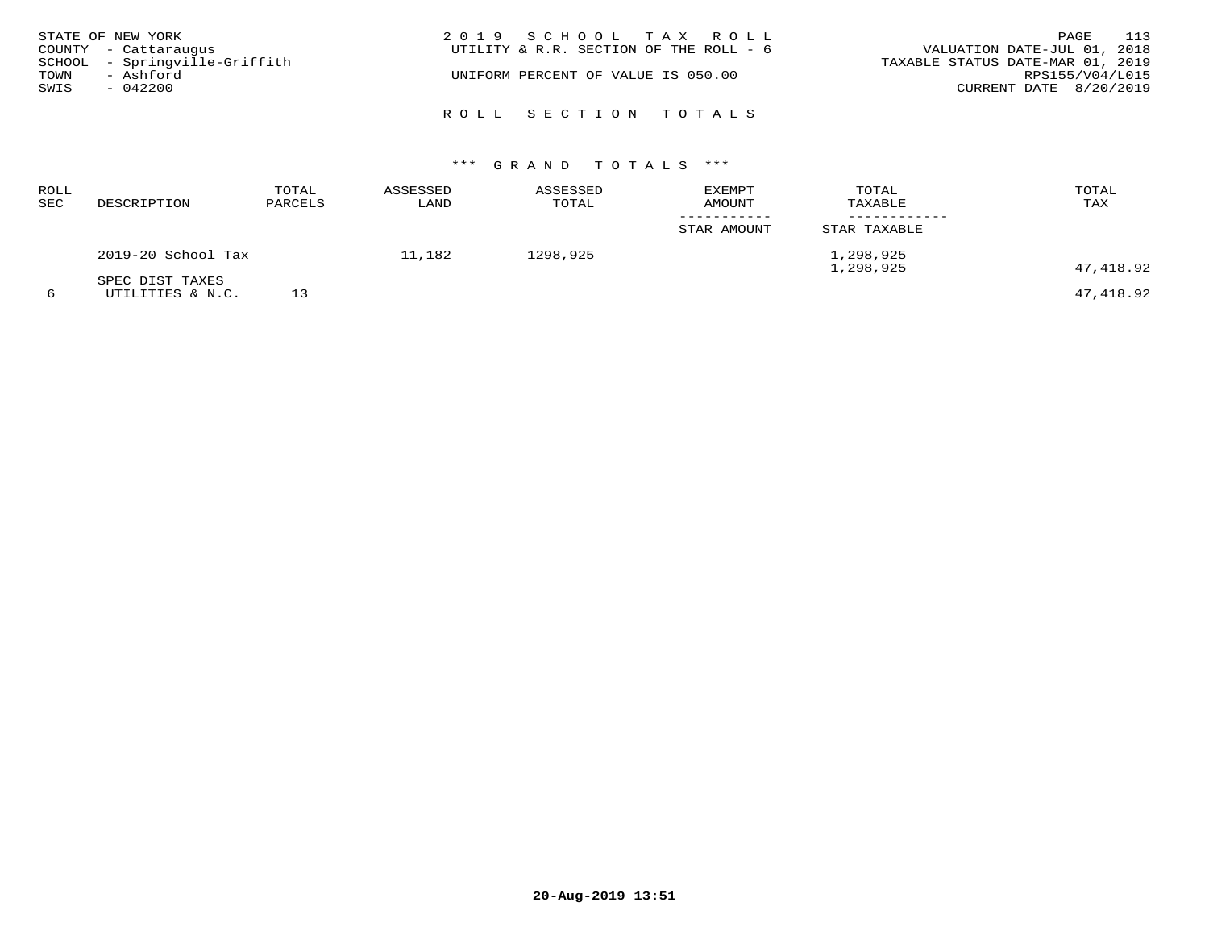| STATE OF NEW YORK | COUNTY - Cattaraugus          | 2019 SCHOOL TAX ROLL<br>UTILITY & R.R. SECTION OF THE ROLL - 6 | 113<br>PAGE<br>VALUATION DATE-JUL 01, 2018 |
|-------------------|-------------------------------|----------------------------------------------------------------|--------------------------------------------|
|                   | SCHOOL - Springville-Griffith |                                                                | TAXABLE STATUS DATE-MAR 01, 2019           |
| TOWN<br>SWIS      | - Ashford<br>$-042200$        | UNIFORM PERCENT OF VALUE IS 050.00                             | RPS155/V04/L015<br>CURRENT DATE 8/20/2019  |
|                   |                               | ROLL SECTION TOTALS                                            |                                            |

| ROLL<br>SEC | DESCRIPTION                         | TOTAL<br>PARCELS | ASSESSED<br>LAND | ASSESSED<br>TOTAL | <b>EXEMPT</b><br>AMOUNT | TOTAL<br>TAXABLE       | TOTAL<br>TAX |
|-------------|-------------------------------------|------------------|------------------|-------------------|-------------------------|------------------------|--------------|
|             |                                     |                  |                  |                   | STAR AMOUNT             | STAR TAXABLE           |              |
|             | 2019-20 School Tax                  |                  | 11,182           | 1298,925          |                         | 1,298,925<br>1,298,925 | 47,418.92    |
| 6           | SPEC DIST TAXES<br>UTILITIES & N.C. |                  |                  |                   |                         |                        | 47,418.92    |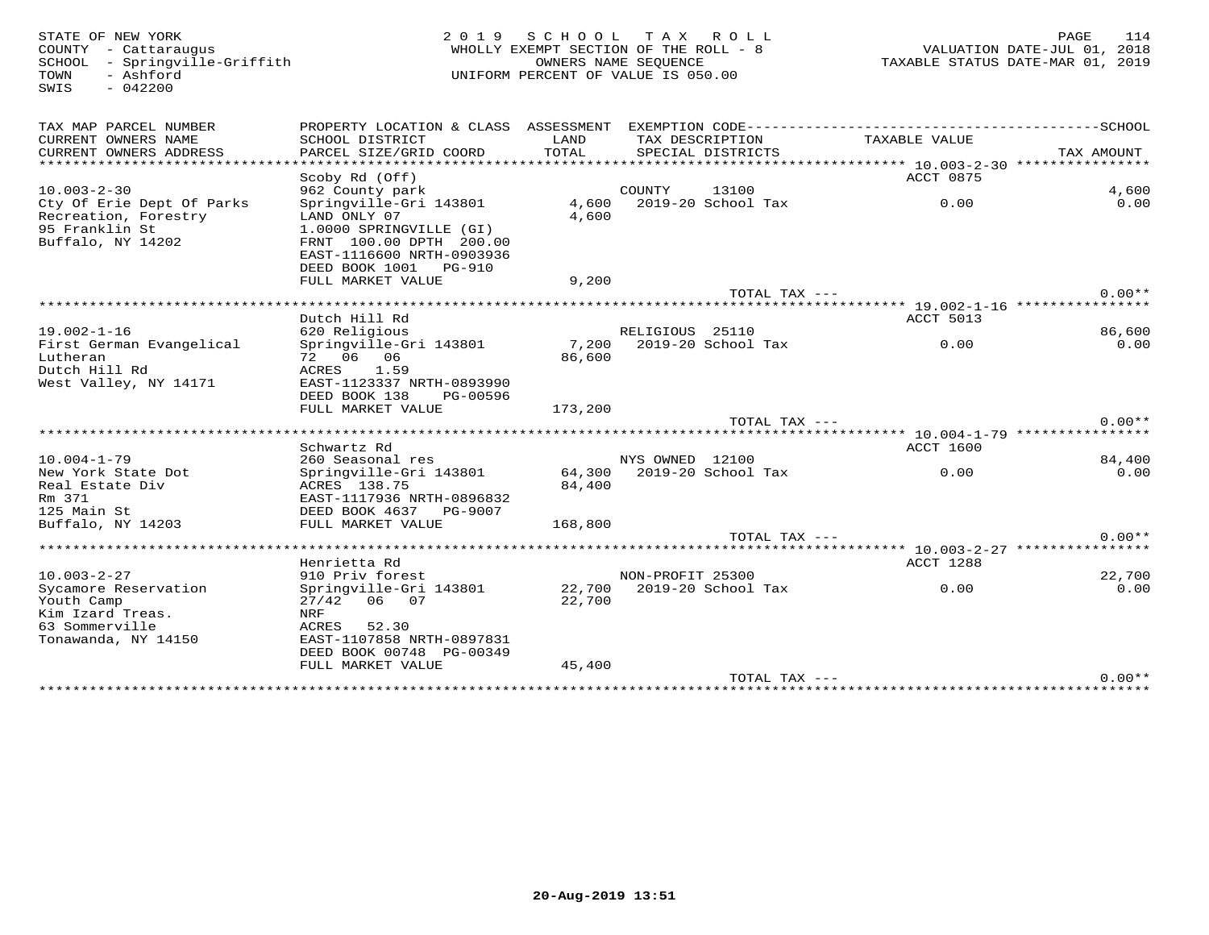SWIS - 042200

### STATE OF NEW YORK PURSE AND ROUGHLY AND DUN SUCHOOL TAX ROLL FAX ROLL TRAM MEDICOUNTY - CATTAR COUNTY - CATTAR<br>COUNTY - CATTAR COUNTY - CATTAR OUN SUCHOOL AND MENOLLY EXEMPT SECTION OF THE ROLL - 8 TAXABLE STATUS DATE-UUL WHOLLY EXEMPT SECTION OF THE ROLL -  $8$  SCHOOL - Springville-Griffith OWNERS NAME SEQUENCE TAXABLE STATUS DATE-MAR 01, 2019UNIFORM PERCENT OF VALUE IS 050.00

| TAX MAP PARCEL NUMBER<br>CURRENT OWNERS NAME | PROPERTY LOCATION & CLASS ASSESSMENT<br>SCHOOL DISTRICT | LAND    |                  | TAX DESCRIPTION    | TAXABLE VALUE                                                   |            |
|----------------------------------------------|---------------------------------------------------------|---------|------------------|--------------------|-----------------------------------------------------------------|------------|
| CURRENT OWNERS ADDRESS                       | PARCEL SIZE/GRID COORD                                  | TOTAL   |                  | SPECIAL DISTRICTS  |                                                                 | TAX AMOUNT |
| ****************                             |                                                         |         |                  |                    |                                                                 |            |
|                                              | Scoby Rd (Off)                                          |         |                  |                    | ACCT 0875                                                       |            |
| $10.003 - 2 - 30$                            | 962 County park                                         |         | COUNTY           | 13100              |                                                                 | 4,600      |
| Cty Of Erie Dept Of Parks                    | Springville-Gri 143801                                  | 4,600   |                  | 2019-20 School Tax | 0.00                                                            | 0.00       |
| Recreation, Forestry                         | LAND ONLY 07                                            | 4,600   |                  |                    |                                                                 |            |
| 95 Franklin St                               | 1.0000 SPRINGVILLE (GI)                                 |         |                  |                    |                                                                 |            |
| Buffalo, NY 14202                            | FRNT 100.00 DPTH 200.00                                 |         |                  |                    |                                                                 |            |
|                                              | EAST-1116600 NRTH-0903936                               |         |                  |                    |                                                                 |            |
|                                              | DEED BOOK 1001 PG-910                                   |         |                  |                    |                                                                 |            |
|                                              | FULL MARKET VALUE                                       | 9,200   |                  |                    |                                                                 |            |
|                                              |                                                         |         |                  | TOTAL TAX ---      |                                                                 | $0.00**$   |
|                                              |                                                         |         |                  |                    | ********** 19.002-1-16 ************                             |            |
|                                              | Dutch Hill Rd                                           |         |                  |                    | ACCT 5013                                                       |            |
| $19.002 - 1 - 16$                            | 620 Religious                                           |         | RELIGIOUS 25110  |                    |                                                                 | 86,600     |
| First German Evangelical                     | Springville-Gri 143801                                  | 7,200   |                  | 2019-20 School Tax | 0.00                                                            | 0.00       |
| Lutheran                                     | 72 06 06                                                | 86,600  |                  |                    |                                                                 |            |
| Dutch Hill Rd                                | ACRES<br>1.59                                           |         |                  |                    |                                                                 |            |
| West Valley, NY 14171                        | EAST-1123337 NRTH-0893990                               |         |                  |                    |                                                                 |            |
|                                              | DEED BOOK 138<br>PG-00596                               |         |                  |                    |                                                                 |            |
|                                              | FULL MARKET VALUE                                       | 173,200 |                  |                    |                                                                 |            |
| ****************************                 | ****************************                            |         |                  | TOTAL TAX $---$    | ********************************** 10.004-1-79 **************** | $0.00**$   |
|                                              | Schwartz Rd                                             |         |                  |                    | ACCT 1600                                                       |            |
| $10.004 - 1 - 79$                            | 260 Seasonal res                                        |         | NYS OWNED 12100  |                    |                                                                 | 84,400     |
| New York State Dot                           | Springville-Gri 143801                                  | 64,300  |                  | 2019-20 School Tax | 0.00                                                            | 0.00       |
| Real Estate Div                              | ACRES 138.75                                            | 84,400  |                  |                    |                                                                 |            |
| Rm 371                                       | EAST-1117936 NRTH-0896832                               |         |                  |                    |                                                                 |            |
| 125 Main St                                  | DEED BOOK 4637 PG-9007                                  |         |                  |                    |                                                                 |            |
| Buffalo, NY 14203                            | FULL MARKET VALUE                                       | 168,800 |                  |                    |                                                                 |            |
|                                              |                                                         |         |                  | TOTAL TAX $---$    |                                                                 | $0.00**$   |
|                                              |                                                         |         |                  |                    | *********** 10.003-2-27 ***********                             |            |
|                                              | Henrietta Rd                                            |         |                  |                    | ACCT 1288                                                       |            |
| $10.003 - 2 - 27$                            | 910 Priv forest                                         |         | NON-PROFIT 25300 |                    |                                                                 | 22,700     |
| Sycamore Reservation                         | Springville-Gri 143801                                  | 22,700  |                  | 2019-20 School Tax | 0.00                                                            | 0.00       |
| Youth Camp                                   | 27/42<br>06 07                                          | 22,700  |                  |                    |                                                                 |            |
| Kim Izard Treas.                             | NRF                                                     |         |                  |                    |                                                                 |            |
| 63 Sommerville                               | ACRES<br>52.30                                          |         |                  |                    |                                                                 |            |
| Tonawanda, NY 14150                          | EAST-1107858 NRTH-0897831                               |         |                  |                    |                                                                 |            |
|                                              | DEED BOOK 00748 PG-00349                                |         |                  |                    |                                                                 |            |
|                                              | FULL MARKET VALUE                                       | 45,400  |                  |                    |                                                                 |            |
|                                              |                                                         |         |                  | TOTAL TAX ---      |                                                                 | $0.00**$   |
| *****************                            |                                                         |         |                  |                    |                                                                 |            |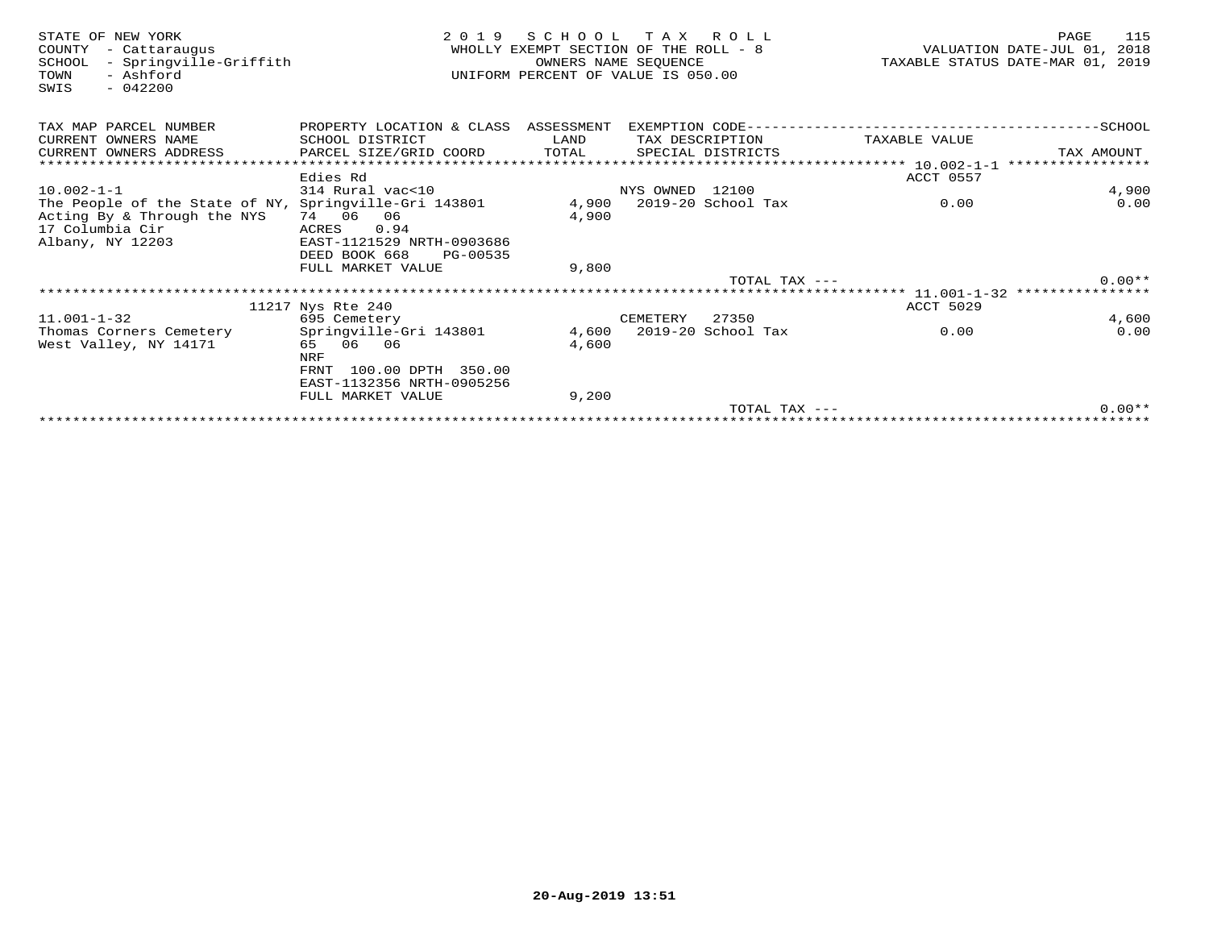| STATE OF NEW YORK<br>- Cattaraugus<br>COUNTY<br>- Springville-Griffith<br>SCHOOL<br>- Ashford<br>TOWN<br>$-042200$<br>SWIS | 2 0 1 9                                                | SCHOOL<br>WHOLLY EXEMPT SECTION OF THE ROLL - 8<br>UNIFORM PERCENT OF VALUE IS 050.00 | TAX ROLL<br>OWNERS NAME SEQUENCE |                          |                                                        | PAGE<br>115<br>VALUATION DATE-JUL 01,<br>2018<br>TAXABLE STATUS DATE-MAR 01, 2019 |  |
|----------------------------------------------------------------------------------------------------------------------------|--------------------------------------------------------|---------------------------------------------------------------------------------------|----------------------------------|--------------------------|--------------------------------------------------------|-----------------------------------------------------------------------------------|--|
| TAX MAP PARCEL NUMBER                                                                                                      | PROPERTY LOCATION & CLASS                              | ASSESSMENT                                                                            |                                  |                          | EXEMPTION CODE----------------------------             | $---------SCH00L$                                                                 |  |
| CURRENT OWNERS NAME                                                                                                        | SCHOOL DISTRICT                                        | LAND                                                                                  | TAX DESCRIPTION                  |                          | TAXABLE VALUE                                          |                                                                                   |  |
| CURRENT OWNERS ADDRESS                                                                                                     | PARCEL SIZE/GRID COORD                                 | TOTAL                                                                                 |                                  | SPECIAL DISTRICTS        |                                                        | TAX AMOUNT                                                                        |  |
|                                                                                                                            |                                                        |                                                                                       |                                  |                          |                                                        |                                                                                   |  |
|                                                                                                                            | Edies Rd                                               |                                                                                       |                                  |                          | ACCT 0557                                              |                                                                                   |  |
| $10.002 - 1 - 1$                                                                                                           | 314 Rural vac<10                                       |                                                                                       | NYS OWNED 12100                  |                          |                                                        | 4,900                                                                             |  |
| The People of the State of NY, Springville-Gri 143801                                                                      |                                                        | 4,900                                                                                 |                                  | 2019-20 School Tax       | 0.00                                                   | 0.00                                                                              |  |
| Acting By & Through the NYS                                                                                                | 74 06<br>06                                            | 4,900                                                                                 |                                  |                          |                                                        |                                                                                   |  |
| 17 Columbia Cir                                                                                                            | 0.94<br>ACRES                                          |                                                                                       |                                  |                          |                                                        |                                                                                   |  |
| Albany, NY 12203                                                                                                           | EAST-1121529 NRTH-0903686<br>DEED BOOK 668<br>PG-00535 |                                                                                       |                                  |                          |                                                        |                                                                                   |  |
|                                                                                                                            | FULL MARKET VALUE                                      | 9,800                                                                                 |                                  |                          |                                                        |                                                                                   |  |
|                                                                                                                            |                                                        |                                                                                       |                                  | TOTAL TAX $---$          |                                                        | $0.00**$                                                                          |  |
|                                                                                                                            |                                                        |                                                                                       |                                  |                          | ************************ 11.001-1-32 ***************** |                                                                                   |  |
|                                                                                                                            | 11217 Nys Rte 240                                      |                                                                                       |                                  |                          | <b>ACCT 5029</b>                                       |                                                                                   |  |
| $11.001 - 1 - 32$                                                                                                          | 695 Cemetery                                           |                                                                                       | CEMETERY                         | 27350                    |                                                        | 4,600                                                                             |  |
| Thomas Corners Cemetery                                                                                                    | Springville-Gri 143801                                 |                                                                                       |                                  | 4,600 2019-20 School Tax | 0.00                                                   | 0.00                                                                              |  |
| West Valley, NY 14171                                                                                                      | 65 06 06                                               | 4,600                                                                                 |                                  |                          |                                                        |                                                                                   |  |
|                                                                                                                            | <b>NRF</b>                                             |                                                                                       |                                  |                          |                                                        |                                                                                   |  |
|                                                                                                                            | 100.00 DPTH 350.00<br>FRNT                             |                                                                                       |                                  |                          |                                                        |                                                                                   |  |
|                                                                                                                            | EAST-1132356 NRTH-0905256                              |                                                                                       |                                  |                          |                                                        |                                                                                   |  |
|                                                                                                                            | FULL MARKET VALUE                                      | 9,200                                                                                 |                                  |                          |                                                        |                                                                                   |  |
|                                                                                                                            |                                                        |                                                                                       |                                  | TOTAL TAX $---$          |                                                        | $0.00**$                                                                          |  |
|                                                                                                                            |                                                        |                                                                                       |                                  | ********************     |                                                        |                                                                                   |  |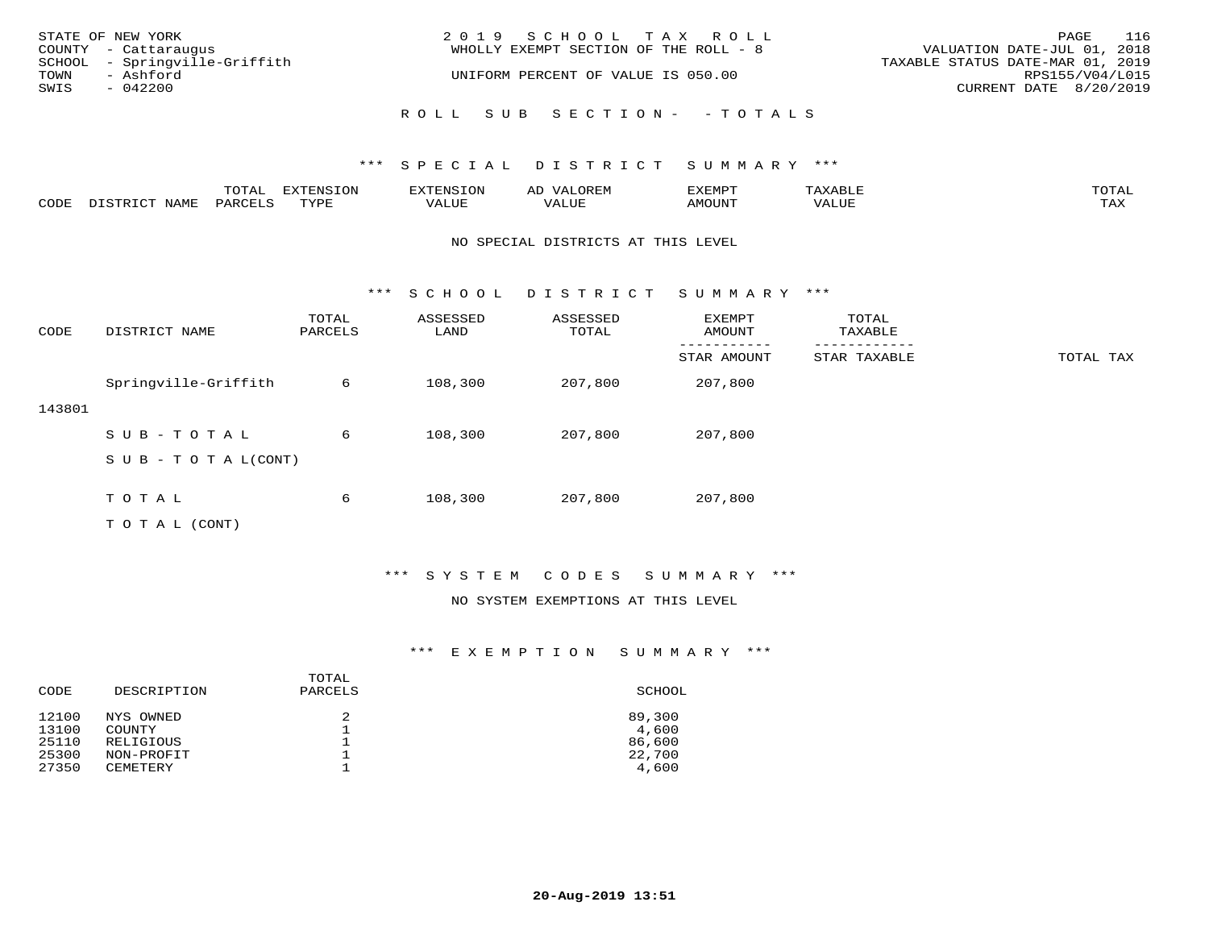| STATE OF NEW YORK<br>COUNTY - Cattaraugus          | 2019 SCHOOL TAX ROLL<br>WHOLLY EXEMPT SECTION OF THE ROLL - 8 | 116<br>PAGE<br>VALUATION DATE-JUL 01, 2018          |
|----------------------------------------------------|---------------------------------------------------------------|-----------------------------------------------------|
| SCHOOL - Springville-Griffith<br>TOWN<br>- Ashford | UNIFORM PERCENT OF VALUE IS 050.00                            | TAXABLE STATUS DATE-MAR 01, 2019<br>RPS155/V04/L015 |
| SWIS<br>- 042200                                   |                                                               | CURRENT DATE 8/20/2019                              |
|                                                    | ROLL SUB SECTION- - TOTALS                                    |                                                     |

|      |      | momn:<br>LUIAI | $\pi$ |       | ΑL | ית הרדעי |               | $T$ $\cap$ $T$ $\Delta$ |
|------|------|----------------|-------|-------|----|----------|---------------|-------------------------|
| CODE | NAME | יחמת.          | mvnt  | VALUE |    | AMOUNT   | , , , , , , , | TAY.<br>- - - - -       |

### NO SPECIAL DISTRICTS AT THIS LEVEL

\*\*\* S C H O O L D I S T R I C T S U M M A R Y \*\*\*

| CODE   | DISTRICT NAME              | TOTAL<br>PARCELS | ASSESSED<br>LAND | ASSESSED<br>TOTAL | EXEMPT<br>AMOUNT | TOTAL<br>TAXABLE |           |
|--------|----------------------------|------------------|------------------|-------------------|------------------|------------------|-----------|
|        |                            |                  |                  |                   | STAR AMOUNT      | STAR TAXABLE     | TOTAL TAX |
|        | Springville-Griffith       | 6                | 108,300          | 207,800           | 207,800          |                  |           |
| 143801 |                            |                  |                  |                   |                  |                  |           |
|        | SUB-TOTAL                  | 6                | 108,300          | 207,800           | 207,800          |                  |           |
|        | S U B - T O T A $L$ (CONT) |                  |                  |                   |                  |                  |           |
|        |                            |                  |                  |                   |                  |                  |           |
|        | TOTAL                      | 6                | 108,300          | 207,800           | 207,800          |                  |           |
|        | T O T A L (CONT)           |                  |                  |                   |                  |                  |           |

\*\*\* S Y S T E M C O D E S S U M M A R Y \*\*\*

### NO SYSTEM EXEMPTIONS AT THIS LEVEL

### \*\*\* E X E M P T I O N S U M M A R Y \*\*\*

| CODE           | DESCRIPTION         | TOTAL<br>PARCELS | SCHOOL          |
|----------------|---------------------|------------------|-----------------|
| 12100<br>13100 | NYS OWNED           | 2                | 89,300          |
| 25110          | COUNTY<br>RELIGIOUS |                  | 4,600<br>86,600 |
| 25300          | NON-PROFIT          |                  | 22,700          |
| 27350          | <b>CEMETERY</b>     |                  | 4,600           |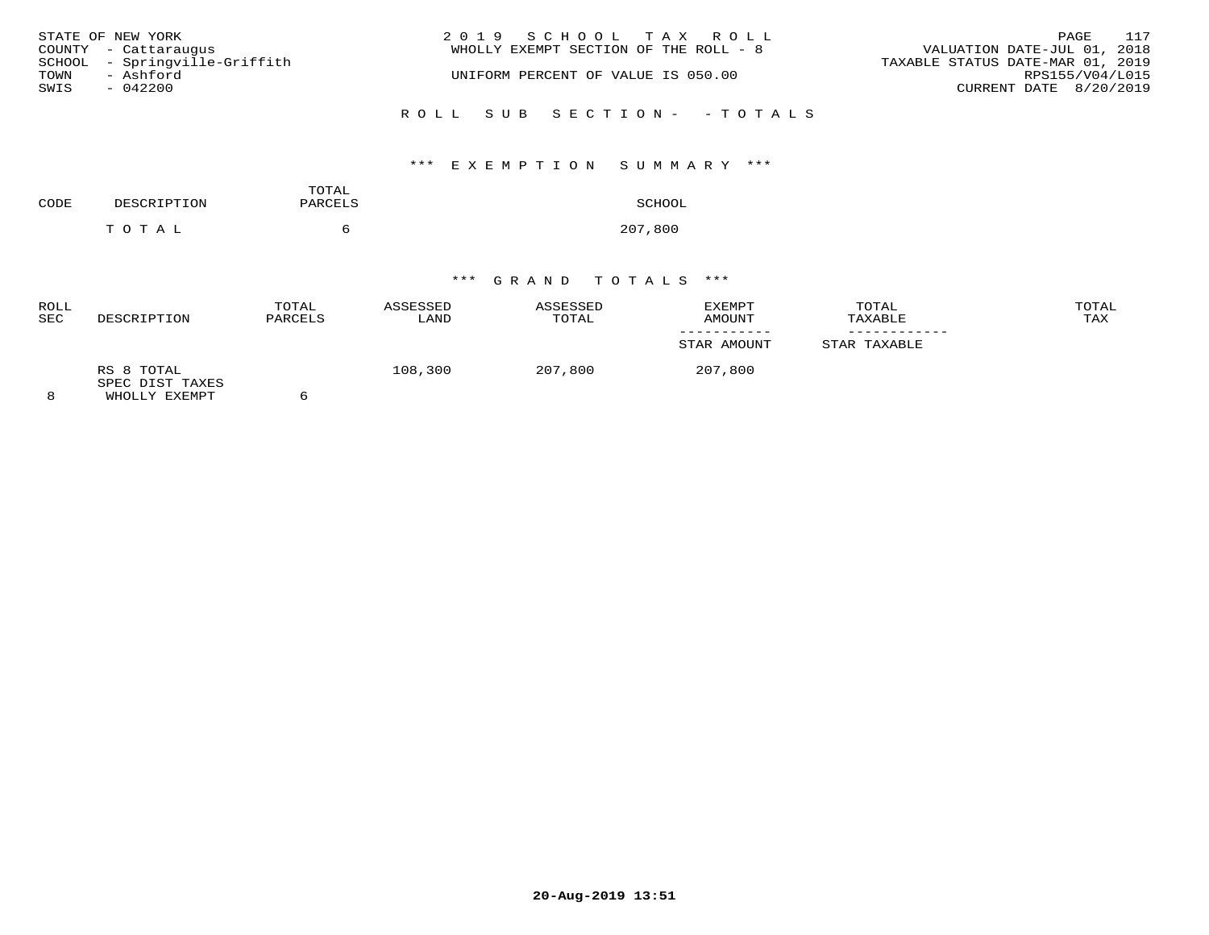| STATE OF NEW YORK<br>COUNTY - Cattaraugus<br>SCHOOL - Springville-Griffith | 2019 SCHOOL TAX ROLL<br>WHOLLY EXEMPT SECTION OF THE ROLL - 8 | 117<br>PAGE<br>VALUATION DATE-JUL 01, 2018<br>TAXABLE STATUS DATE-MAR 01, 2019 |
|----------------------------------------------------------------------------|---------------------------------------------------------------|--------------------------------------------------------------------------------|
| - Ashford<br>TOWN<br>SWIS<br>$-042200$                                     | UNIFORM PERCENT OF VALUE IS 050.00                            | RPS155/V04/L015<br>CURRENT DATE 8/20/2019                                      |
|                                                                            | ROLL SUB SECTION- - TOTALS                                    |                                                                                |

# \*\*\* E X E M P T I O N S U M M A R Y \*\*\*

| CODE | DESCRIPTION | TOTAL<br>PARCELS | SCHOOL  |
|------|-------------|------------------|---------|
|      | TOTAL       |                  | 207,800 |

| <b>ROLL</b><br><b>SEC</b> | DESCRIPTION                                    | TOTAL<br>PARCELS | ASSESSED<br>LAND | ASSESSED<br>TOTAL | EXEMPT<br>AMOUNT | TOTAL<br>TAXABLE | TOTAL<br>TAX |
|---------------------------|------------------------------------------------|------------------|------------------|-------------------|------------------|------------------|--------------|
|                           |                                                |                  |                  |                   | STAR AMOUNT      | STAR TAXABLE     |              |
| 8                         | RS 8 TOTAL<br>SPEC DIST TAXES<br>WHOLLY EXEMPT |                  | 108,300          | 207,800           | 207,800          |                  |              |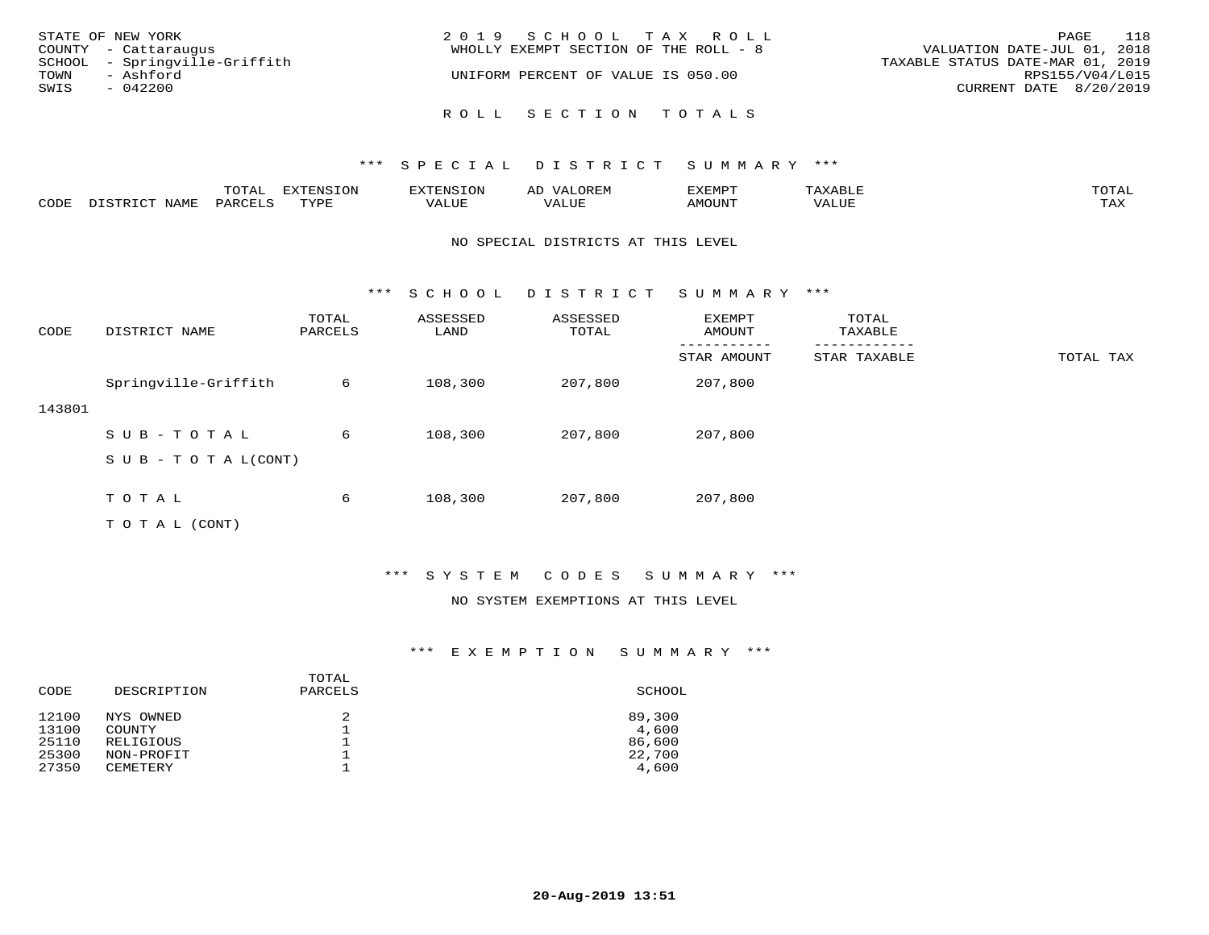| STATE OF NEW YORK<br>COUNTY - Cattaraugus<br>SCHOOL - Springville-Griffith<br>TOWN<br>- Ashford<br>SWIS<br>$-042200$ | 2019 SCHOOL TAX ROLL<br>WHOLLY EXEMPT SECTION OF THE ROLL - 8<br>UNIFORM PERCENT OF VALUE IS 050.00 | 118<br>PAGE<br>VALUATION DATE-JUL 01, 2018<br>TAXABLE STATUS DATE-MAR 01, 2019<br>RPS155/V04/L015<br>CURRENT DATE 8/20/2019 |
|----------------------------------------------------------------------------------------------------------------------|-----------------------------------------------------------------------------------------------------|-----------------------------------------------------------------------------------------------------------------------------|
|                                                                                                                      | ROLL SECTION TOTALS                                                                                 |                                                                                                                             |

|      |      | $m \wedge m \wedge n$<br>⊥∪⊥AL | <b>DIZPOILIC TOM</b><br>⊥ບ⊥ | EN-  | .<br>AL'<br>٠، تن ١٠ | 5773570      |          | $m \wedge m \wedge n$<br>$\mathsf{L}^{\mathsf{L}}$ |
|------|------|--------------------------------|-----------------------------|------|----------------------|--------------|----------|----------------------------------------------------|
| CODE | NAMF | PARO                           | TVDF<br><u>ـ د د</u>        | ALUE |                      | <b>MOUNT</b> | 7 A LU B | may<br>- ∠∡∡                                       |

### NO SPECIAL DISTRICTS AT THIS LEVEL

\*\*\* S C H O O L D I S T R I C T S U M M A R Y \*\*\*

| CODE   | DISTRICT NAME                    | TOTAL<br>PARCELS | ASSESSED<br>LAND | ASSESSED<br>TOTAL | EXEMPT<br>AMOUNT | TOTAL<br>TAXABLE |           |
|--------|----------------------------------|------------------|------------------|-------------------|------------------|------------------|-----------|
|        |                                  |                  |                  |                   | STAR AMOUNT      | STAR TAXABLE     | TOTAL TAX |
|        | Springville-Griffith             | 6                | 108,300          | 207,800           | 207,800          |                  |           |
| 143801 |                                  |                  |                  |                   |                  |                  |           |
|        | SUB-TOTAL                        | 6                | 108,300          | 207,800           | 207,800          |                  |           |
|        | $S \cup B - T \cup T A L (CONT)$ |                  |                  |                   |                  |                  |           |
|        |                                  |                  |                  |                   |                  |                  |           |
|        | TOTAL                            | 6                | 108,300          | 207,800           | 207,800          |                  |           |
|        | T O T A L (CONT)                 |                  |                  |                   |                  |                  |           |

# \*\*\* S Y S T E M C O D E S S U M M A R Y \*\*\*

### NO SYSTEM EXEMPTIONS AT THIS LEVEL

### \*\*\* E X E M P T I O N S U M M A R Y \*\*\*

| CODE  | DESCRIPTION | TOTAL<br>PARCELS | SCHOOL |
|-------|-------------|------------------|--------|
| 12100 | NYS OWNED   | 2                | 89,300 |
| 13100 | COUNTY      |                  | 4,600  |
| 25110 | RELIGIOUS   |                  | 86,600 |
| 25300 | NON-PROFIT  |                  | 22,700 |
| 27350 | CEMETERY    |                  | 4,600  |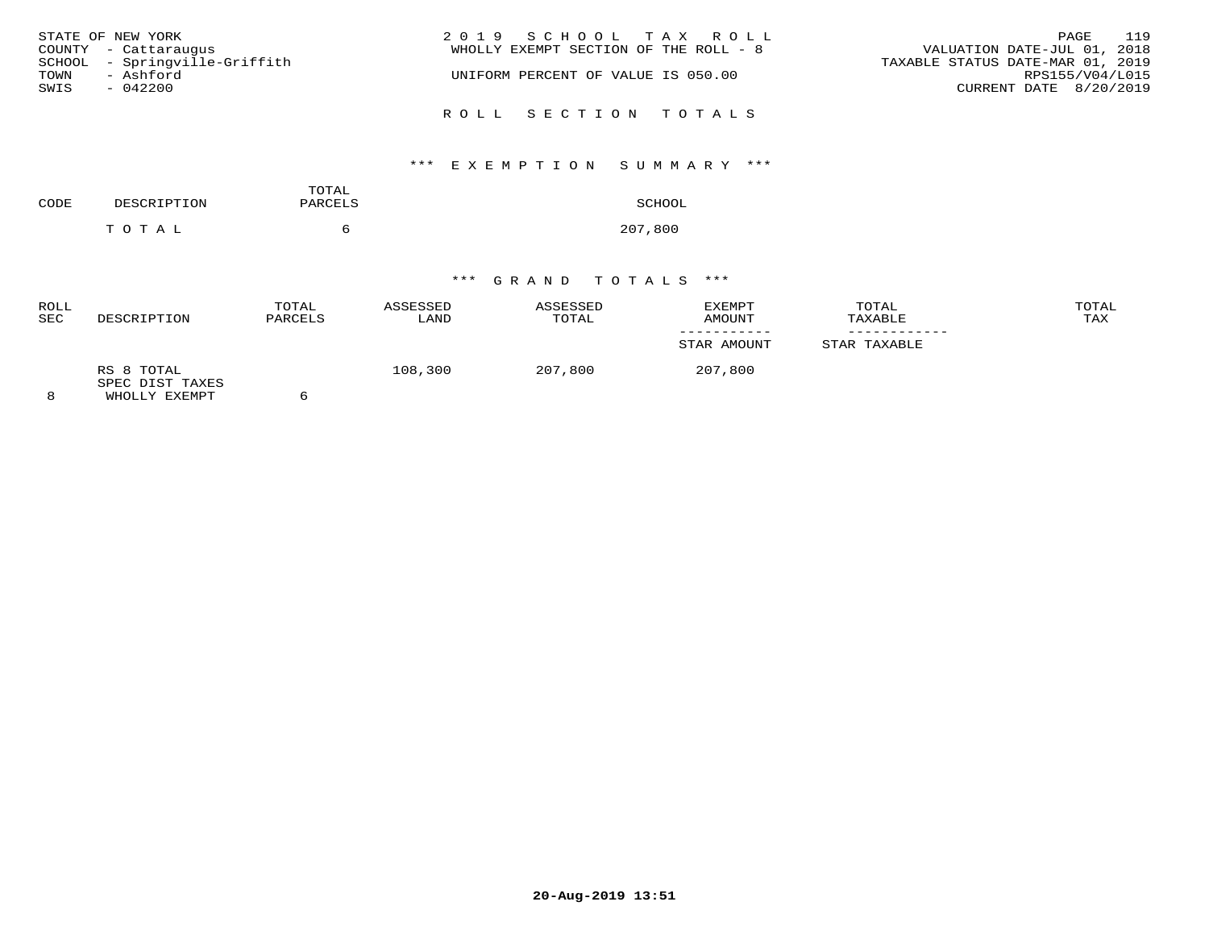| STATE OF NEW YORK             | 2019 SCHOOL TAX ROLL                  | 119<br>PAGE                      |
|-------------------------------|---------------------------------------|----------------------------------|
| COUNTY - Cattaraugus          | WHOLLY EXEMPT SECTION OF THE ROLL - 8 | VALUATION DATE-JUL 01, 2018      |
| SCHOOL - Springville-Griffith |                                       | TAXABLE STATUS DATE-MAR 01, 2019 |
| TOWN<br>- Ashford             | UNIFORM PERCENT OF VALUE IS 050.00    | RPS155/V04/L015                  |
| SWIS<br>$-042200$             |                                       | CURRENT DATE 8/20/2019           |
|                               |                                       |                                  |
|                               | ROLL SECTION TOTALS                   |                                  |

# \*\*\* E X E M P T I O N S U M M A R Y \*\*\*

| CODE | DESCRIPTION | TOTAL<br>PARCELS | SCHOOL  |
|------|-------------|------------------|---------|
|      | тотаь       |                  | 207,800 |

| <b>ROLL</b><br><b>SEC</b> | DESCRIPTION                                    | TOTAL<br>PARCELS | ASSESSED<br>LAND | ASSESSED<br>TOTAL | <b>EXEMPT</b><br>AMOUNT | TOTAL<br>TAXABLE | TOTAL<br>TAX |
|---------------------------|------------------------------------------------|------------------|------------------|-------------------|-------------------------|------------------|--------------|
|                           |                                                |                  |                  |                   | STAR AMOUNT             | STAR TAXABLE     |              |
| 8                         | RS 8 TOTAL<br>SPEC DIST TAXES<br>WHOLLY EXEMPT |                  | 108,300          | 207,800           | 207,800                 |                  |              |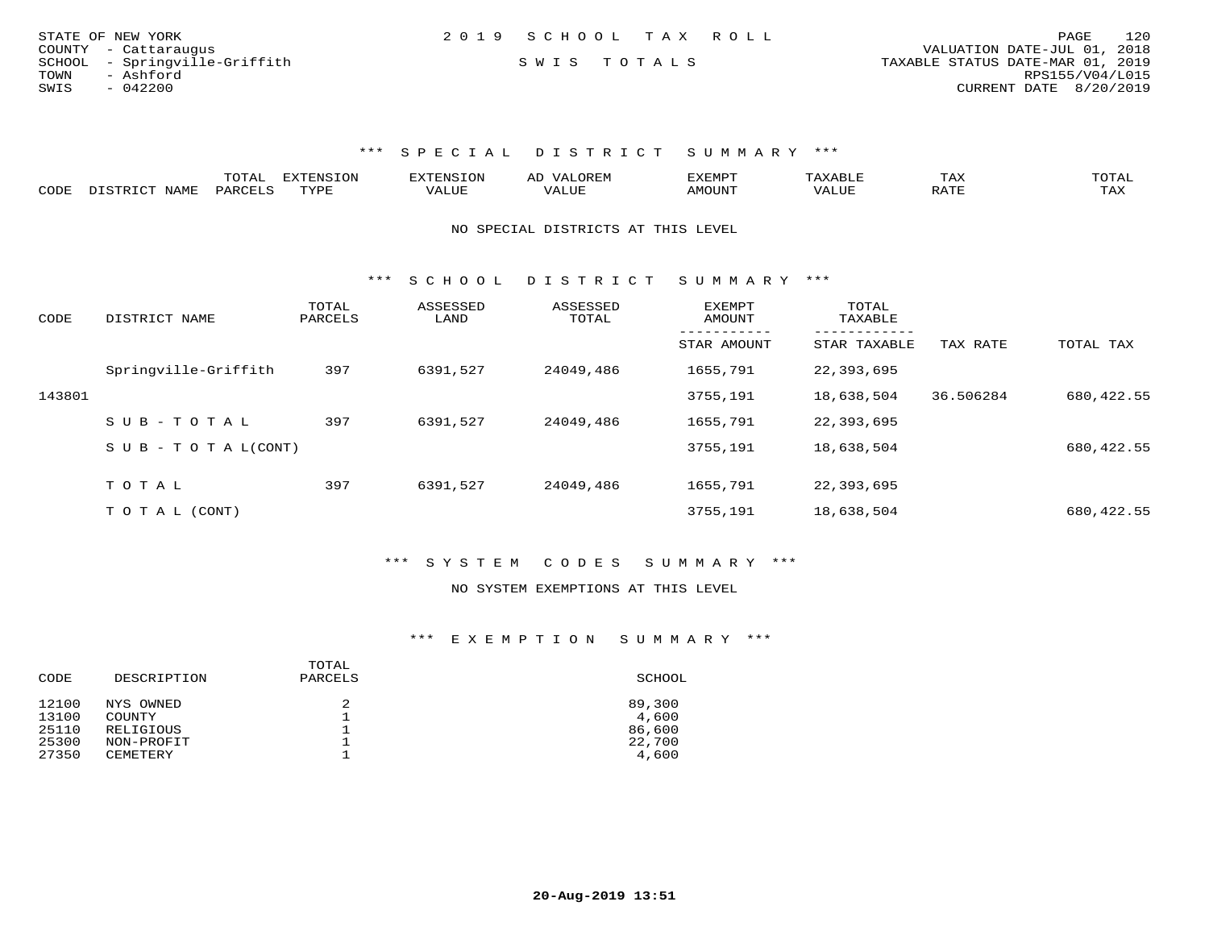| STATE OF NEW YORK             | 2019 SCHOOL TAX ROLL |  |                                  | PAGE                   | 120 |
|-------------------------------|----------------------|--|----------------------------------|------------------------|-----|
| COUNTY - Cattaraugus          |                      |  | VALUATION DATE-JUL 01, 2018      |                        |     |
| SCHOOL - Springville-Griffith | SWIS TOTALS          |  | TAXABLE STATUS DATE-MAR 01, 2019 |                        |     |
| TOWN<br>- Ashford             |                      |  |                                  | RPS155/V04/L015        |     |
| SWIS<br>$-042200$             |                      |  |                                  | CURRENT DATE 8/20/2019 |     |

|      |                                                 |         | <b>EXTENSION</b> |       | A <sub>1</sub> | EXEMP.          |       | 1 A A                              |                     |
|------|-------------------------------------------------|---------|------------------|-------|----------------|-----------------|-------|------------------------------------|---------------------|
| CODE | NAME.<br>$T$ $\cap$ $\cap$ $\cap$ $\cap$ $\cap$ | DARCTIC | rvdf             | 1.111 | ALUI           | MOUN.<br>ו טו ב | VALUL | סידי ג<br>$\overline{\phantom{a}}$ | $m \times r$<br>TAX |

NO SPECIAL DISTRICTS AT THIS LEVEL

\*\*\* S C H O O L D I S T R I C T S U M M A R Y \*\*\*

| CODE   | DISTRICT NAME              | TOTAL<br>PARCELS | ASSESSED<br>LAND | ASSESSED<br>TOTAL | <b>EXEMPT</b><br>AMOUNT | TOTAL<br>TAXABLE<br>--------- |           |            |
|--------|----------------------------|------------------|------------------|-------------------|-------------------------|-------------------------------|-----------|------------|
|        |                            |                  |                  |                   | STAR AMOUNT             | STAR TAXABLE                  | TAX RATE  | TOTAL TAX  |
|        | Springville-Griffith       | 397              | 6391,527         | 24049,486         | 1655,791                | 22,393,695                    |           |            |
| 143801 |                            |                  |                  |                   | 3755,191                | 18,638,504                    | 36.506284 | 680,422.55 |
|        | SUB-TOTAL                  | 397              | 6391,527         | 24049,486         | 1655,791                | 22,393,695                    |           |            |
|        | S U B - T O T A $L$ (CONT) |                  |                  |                   | 3755,191                | 18,638,504                    |           | 680,422.55 |
|        |                            |                  |                  |                   |                         |                               |           |            |
|        | TOTAL                      | 397              | 6391,527         | 24049,486         | 1655,791                | 22,393,695                    |           |            |
|        | T O T A L (CONT)           |                  |                  |                   | 3755,191                | 18,638,504                    |           | 680,422.55 |

\*\*\* S Y S T E M C O D E S S U M M A R Y \*\*\*

#### NO SYSTEM EXEMPTIONS AT THIS LEVEL

# \*\*\* E X E M P T I O N S U M M A R Y \*\*\*

| CODE  | DESCRIPTION   | TOTAL<br>PARCELS | SCHOOL |
|-------|---------------|------------------|--------|
| 12100 | NYS OWNED     | 2                | 89,300 |
| 13100 | <b>COUNTY</b> |                  | 4,600  |
| 25110 | RELIGIOUS     |                  | 86,600 |
| 25300 | NON-PROFIT    |                  | 22,700 |
| 27350 | CEMETERY      |                  | 4,600  |
|       |               |                  |        |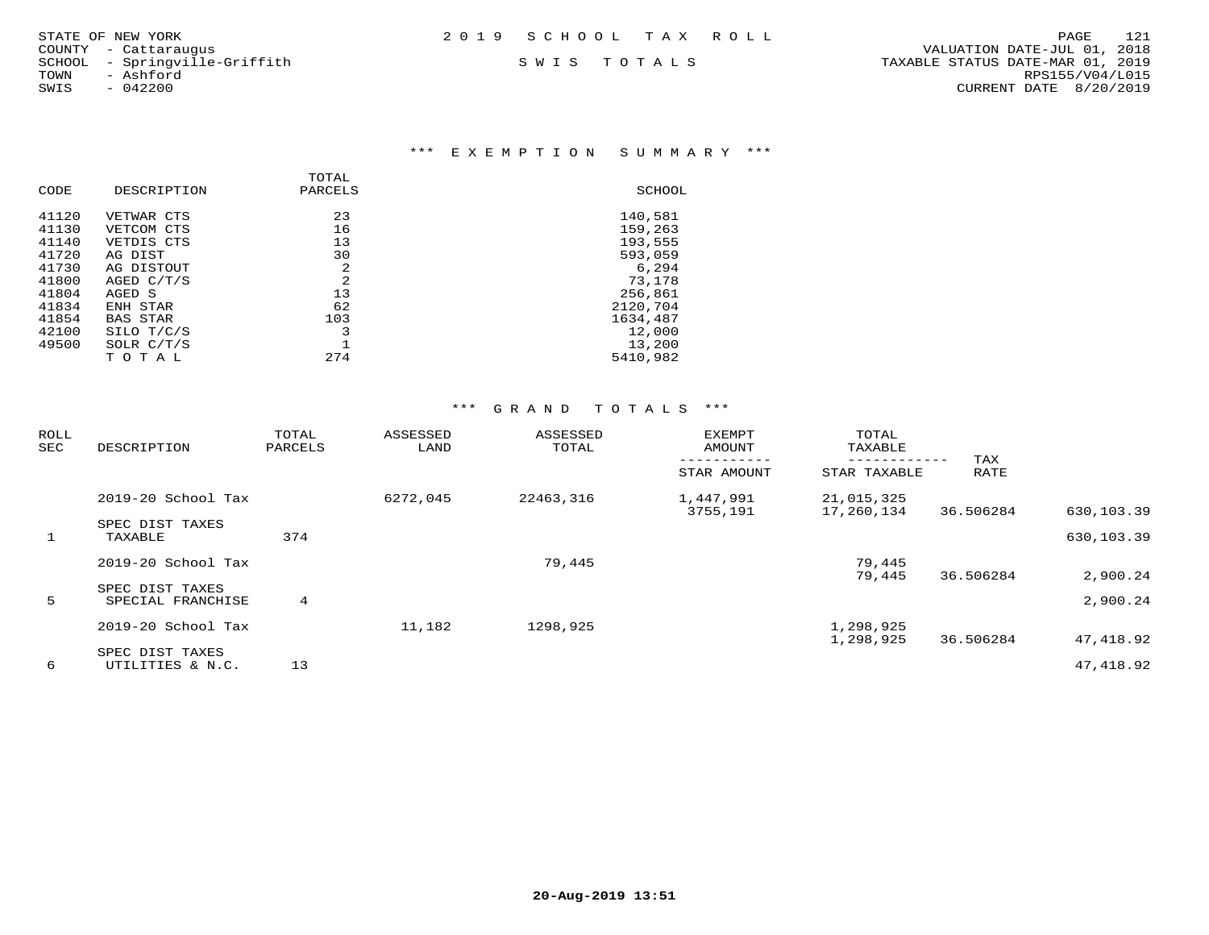| STATE OF NEW YORK | 2019 SCHOOL TAX ROLL |  | PAGE | 121 |
|-------------------|----------------------|--|------|-----|
|                   |                      |  |      |     |

COUNTY - Cattaraugus<br>SCHOOL - Springville-Griffith<br>TOWN - Ashford

### \*\*\* E X E M P T I O N S U M M A R Y \*\*\*

| CODE  | DESCRIPTION     | TOTAL<br>PARCELS | SCHOOL   |
|-------|-----------------|------------------|----------|
| 41120 | VETWAR CTS      | 23               | 140,581  |
| 41130 | VETCOM CTS      | 16               | 159,263  |
| 41140 | VETDIS CTS      | 13               | 193,555  |
| 41720 | AG DIST         | 30               | 593,059  |
| 41730 | AG DISTOUT      | 2                | 6,294    |
| 41800 | AGED C/T/S      | 2                | 73,178   |
| 41804 | AGED S          | 13               | 256,861  |
| 41834 | ENH STAR        | 62               | 2120,704 |
| 41854 | <b>BAS STAR</b> | 103              | 1634,487 |
| 42100 | SILO T/C/S      | 3                | 12,000   |
| 49500 | SOLR C/T/S      |                  | 13,200   |
|       | TOTAL           | 274              | 5410,982 |
|       |                 |                  |          |

| <b>ROLL</b><br>SEC | DESCRIPTION                          | TOTAL<br>PARCELS | ASSESSED<br>LAND | ASSESSED<br>TOTAL | <b>EXEMPT</b><br>AMOUNT | TOTAL<br>TAXABLE         | TAX       |            |
|--------------------|--------------------------------------|------------------|------------------|-------------------|-------------------------|--------------------------|-----------|------------|
|                    |                                      |                  |                  |                   | STAR AMOUNT             | STAR TAXABLE             | RATE      |            |
|                    | $2019-20$ School Tax                 |                  | 6272,045         | 22463,316         | 1,447,991<br>3755,191   | 21,015,325<br>17,260,134 | 36.506284 | 630,103.39 |
| $\mathbf{1}$       | SPEC DIST TAXES<br>TAXABLE           | 374              |                  |                   |                         |                          |           | 630,103.39 |
|                    | 2019-20 School Tax                   |                  |                  | 79,445            |                         | 79,445<br>79,445         | 36.506284 | 2,900.24   |
| 5                  | SPEC DIST TAXES<br>SPECIAL FRANCHISE | $4^{\circ}$      |                  |                   |                         |                          |           | 2,900.24   |
|                    | 2019-20 School Tax                   |                  | 11,182           | 1298,925          |                         | 1,298,925<br>1,298,925   | 36.506284 | 47,418.92  |
| 6                  | SPEC DIST TAXES<br>UTILITIES & N.C.  | 13               |                  |                   |                         |                          |           | 47,418.92  |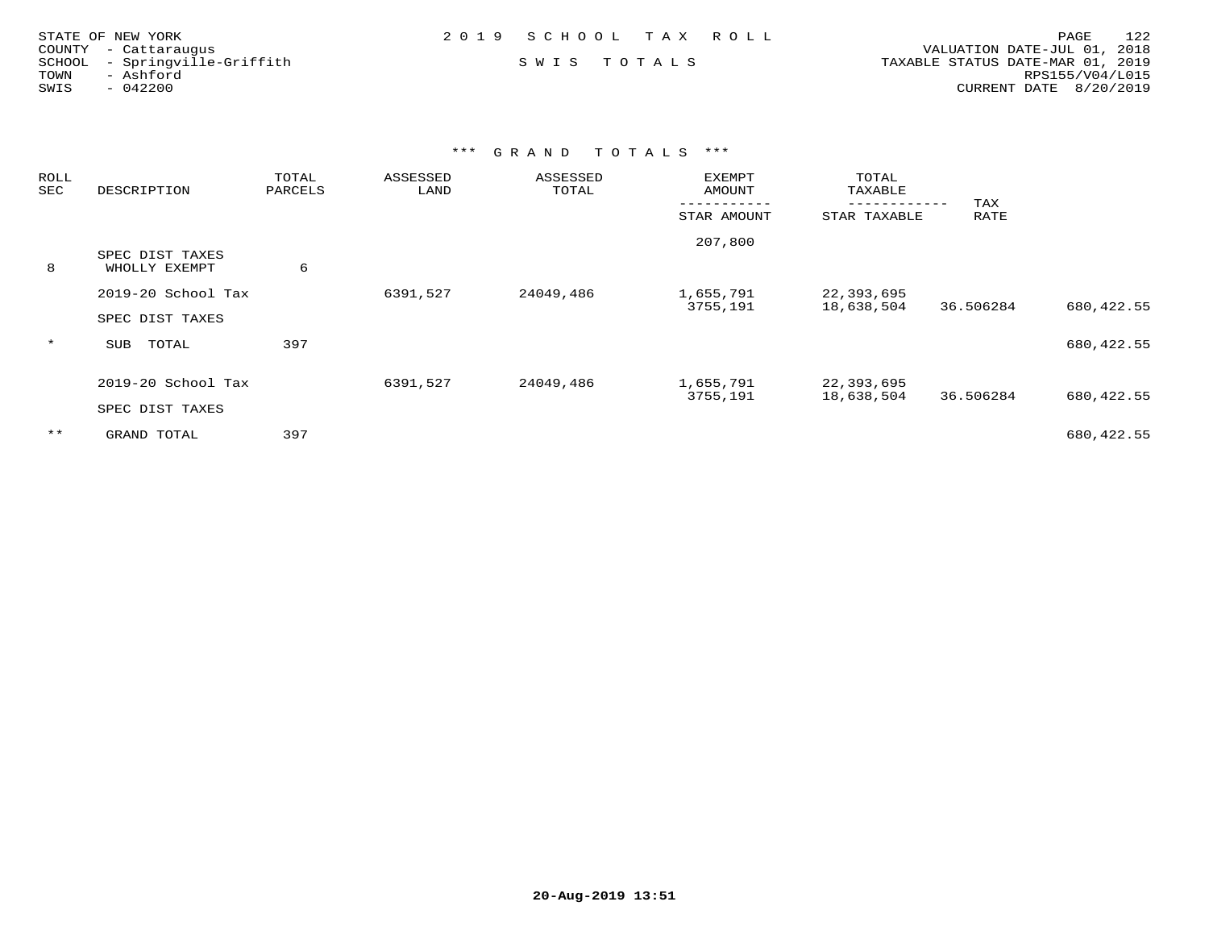| STATE OF NEW YORK             | 2019 SCHOOL TAX ROLL | 122<br>PAGE                      |
|-------------------------------|----------------------|----------------------------------|
| COUNTY - Cattaraugus          |                      | VALUATION DATE-JUL 01, 2018      |
| SCHOOL - Springville-Griffith | SWIS TOTALS          | TAXABLE STATUS DATE-MAR 01, 2019 |
| TOWN<br>- Ashford             |                      | RPS155/V04/L015                  |
| $-042200$<br>SWIS             |                      | CURRENT DATE 8/20/2019           |

| <b>ROLL</b><br>SEC | DESCRIPTION                           | TOTAL<br>PARCELS | ASSESSED<br>LAND | ASSESSED<br>TOTAL | <b>EXEMPT</b><br><b>AMOUNT</b> | TOTAL<br>TAXABLE          |             |             |
|--------------------|---------------------------------------|------------------|------------------|-------------------|--------------------------------|---------------------------|-------------|-------------|
|                    |                                       |                  |                  |                   | STAR AMOUNT                    | ---------<br>STAR TAXABLE | TAX<br>RATE |             |
| 8                  | SPEC DIST TAXES<br>WHOLLY EXEMPT      | 6                |                  |                   | 207,800                        |                           |             |             |
|                    | 2019-20 School Tax<br>SPEC DIST TAXES |                  | 6391,527         | 24049,486         | 1,655,791<br>3755,191          | 22,393,695<br>18,638,504  | 36.506284   | 680, 422.55 |
| $\star$            | TOTAL<br>SUB                          | 397              |                  |                   |                                |                           |             | 680, 422.55 |
|                    | 2019-20 School Tax<br>SPEC DIST TAXES |                  | 6391,527         | 24049,486         | 1,655,791<br>3755,191          | 22,393,695<br>18,638,504  | 36.506284   | 680,422.55  |
| $***$              | GRAND TOTAL                           | 397              |                  |                   |                                |                           |             | 680,422.55  |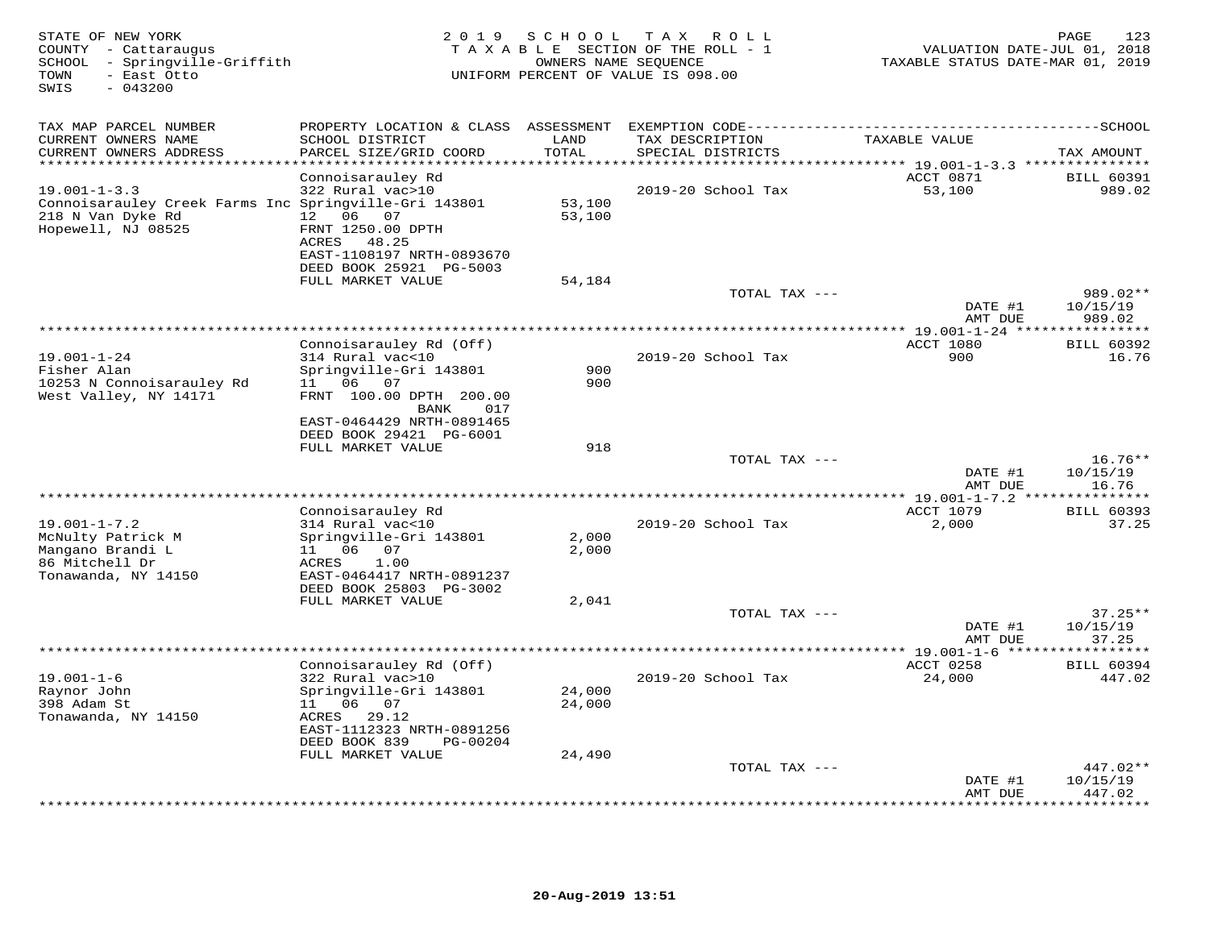| STATE OF NEW YORK<br>COUNTY - Cattaraugus<br>SCHOOL - Springville-Griffith<br>- East Otto<br>TOWN<br>SWIS<br>$-043200$ | 2 0 1 9                                                                                             | S C H O O L                    | T A X<br>R O L L<br>TAXABLE SECTION OF THE ROLL - 1<br>OWNERS NAME SEQUENCE<br>UNIFORM PERCENT OF VALUE IS 098.00 | VALUATION DATE-JUL 01, 2018<br>TAXABLE STATUS DATE-MAR 01, 2019 | PAGE<br>123                    |
|------------------------------------------------------------------------------------------------------------------------|-----------------------------------------------------------------------------------------------------|--------------------------------|-------------------------------------------------------------------------------------------------------------------|-----------------------------------------------------------------|--------------------------------|
| TAX MAP PARCEL NUMBER                                                                                                  | PROPERTY LOCATION & CLASS ASSESSMENT                                                                |                                |                                                                                                                   |                                                                 |                                |
| CURRENT OWNERS NAME<br>CURRENT OWNERS ADDRESS                                                                          | SCHOOL DISTRICT<br>PARCEL SIZE/GRID COORD                                                           | LAND<br>TOTAL                  | TAX DESCRIPTION<br>SPECIAL DISTRICTS                                                                              | TAXABLE VALUE                                                   | TAX AMOUNT                     |
|                                                                                                                        |                                                                                                     | * * * * * *                    |                                                                                                                   | ****** 19.001-1-3.3 ***************                             |                                |
| $19.001 - 1 - 3.3$<br>Connoisarauley Creek Farms Inc Springville-Gri 143801<br>218 N Van Dyke Rd<br>Hopewell, NJ 08525 | Connoisarauley Rd<br>322 Rural vac>10<br>12  06  07<br>FRNT 1250.00 DPTH<br>ACRES 48.25             | 53,100<br>53,100               | 2019-20 School Tax                                                                                                | ACCT 0871<br>53,100                                             | <b>BILL 60391</b><br>989.02    |
|                                                                                                                        | EAST-1108197 NRTH-0893670<br>DEED BOOK 25921 PG-5003<br>FULL MARKET VALUE                           | 54,184                         |                                                                                                                   |                                                                 |                                |
|                                                                                                                        |                                                                                                     |                                | TOTAL TAX ---                                                                                                     |                                                                 | 989.02**                       |
|                                                                                                                        |                                                                                                     |                                |                                                                                                                   | DATE #1<br>AMT DUE                                              | 10/15/19<br>989.02             |
|                                                                                                                        |                                                                                                     |                                |                                                                                                                   | ******** 19.001-1-24 ***                                        | *********                      |
| $19.001 - 1 - 24$<br>Fisher Alan                                                                                       | Connoisarauley Rd (Off)<br>314 Rural vac<10<br>Springville-Gri 143801                               | 900                            | 2019-20 School Tax                                                                                                | ACCT 1080<br>900                                                | <b>BILL 60392</b><br>16.76     |
| 10253 N Connoisarauley Rd<br>West Valley, NY 14171                                                                     | 11 06 07<br>FRNT 100.00 DPTH 200.00<br>BANK<br>017<br>EAST-0464429 NRTH-0891465                     | 900                            |                                                                                                                   |                                                                 |                                |
|                                                                                                                        | DEED BOOK 29421 PG-6001<br>FULL MARKET VALUE                                                        | 918                            |                                                                                                                   |                                                                 |                                |
|                                                                                                                        |                                                                                                     |                                | TOTAL TAX ---                                                                                                     | DATE #1                                                         | $16.76**$<br>10/15/19          |
|                                                                                                                        |                                                                                                     | ****************************** |                                                                                                                   | AMT DUE<br>***** 19.001-1-7.2 **                                | 16.76<br>* * * * * * * *       |
|                                                                                                                        | Connoisarauley Rd                                                                                   |                                |                                                                                                                   | ACCT 1079                                                       | <b>BILL 60393</b>              |
| $19.001 - 1 - 7.2$<br>McNulty Patrick M<br>Mangano Brandi L                                                            | 314 Rural vac<10<br>Springville-Gri 143801<br>11 06<br>07                                           | 2,000<br>2,000                 | 2019-20 School Tax                                                                                                | 2,000                                                           | 37.25                          |
| 86 Mitchell Dr<br>Tonawanda, NY 14150                                                                                  | ACRES<br>1.00<br>EAST-0464417 NRTH-0891237<br>DEED BOOK 25803 PG-3002                               |                                |                                                                                                                   |                                                                 |                                |
|                                                                                                                        | FULL MARKET VALUE                                                                                   | 2,041                          |                                                                                                                   |                                                                 |                                |
|                                                                                                                        |                                                                                                     |                                | TOTAL TAX ---                                                                                                     | DATE #1<br>AMT DUE                                              | $37.25**$<br>10/15/19<br>37.25 |
|                                                                                                                        |                                                                                                     |                                |                                                                                                                   |                                                                 |                                |
| $19.001 - 1 - 6$<br>Raynor John<br>398 Adam St<br>Tonawanda, NY 14150                                                  | Connoisarauley Rd (Off)<br>322 Rural vac>10<br>Springville-Gri 143801<br>11 06 07<br>ACRES<br>29.12 | 24,000<br>24,000               | 2019-20 School Tax                                                                                                | ACCT 0258<br>24,000                                             | <b>BILL 60394</b><br>447.02    |
|                                                                                                                        | EAST-1112323 NRTH-0891256<br>DEED BOOK 839<br>PG-00204                                              |                                |                                                                                                                   |                                                                 |                                |
|                                                                                                                        | FULL MARKET VALUE                                                                                   | 24,490                         | TOTAL TAX ---                                                                                                     | DATE #1                                                         | $447.02**$<br>10/15/19         |
|                                                                                                                        |                                                                                                     |                                |                                                                                                                   | AMT DUE                                                         | 447.02<br>.                    |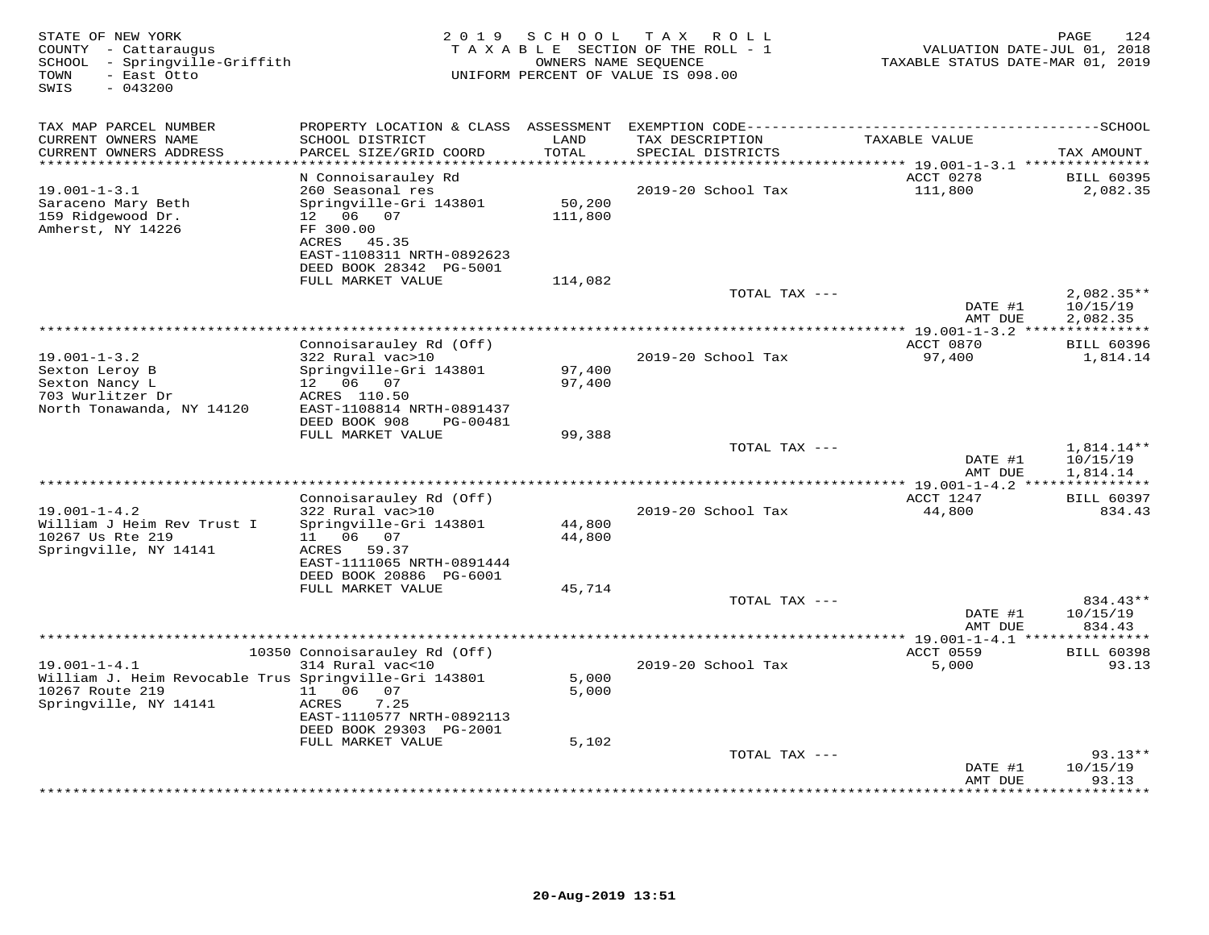| STATE OF NEW YORK<br>COUNTY - Cattaraugus<br>- Springville-Griffith<br>SCHOOL<br>TOWN<br>- East Otto<br>SWIS<br>$-043200$ | 2 0 1 9                                                                                                                | S C H O O L       | T A X<br>R O L L<br>TAXABLE SECTION OF THE ROLL - 1<br>OWNERS NAME SEQUENCE<br>UNIFORM PERCENT OF VALUE IS 098.00 | VALUATION DATE-JUL 01, 2018<br>TAXABLE STATUS DATE-MAR 01, 2019 | 124<br>PAGE                        |
|---------------------------------------------------------------------------------------------------------------------------|------------------------------------------------------------------------------------------------------------------------|-------------------|-------------------------------------------------------------------------------------------------------------------|-----------------------------------------------------------------|------------------------------------|
| TAX MAP PARCEL NUMBER                                                                                                     |                                                                                                                        |                   |                                                                                                                   |                                                                 |                                    |
| CURRENT OWNERS NAME<br>CURRENT OWNERS ADDRESS<br>**********************                                                   | SCHOOL DISTRICT<br>PARCEL SIZE/GRID COORD                                                                              | LAND<br>TOTAL     | TAX DESCRIPTION<br>SPECIAL DISTRICTS                                                                              | TAXABLE VALUE                                                   | TAX AMOUNT                         |
|                                                                                                                           | N Connoisarauley Rd                                                                                                    |                   |                                                                                                                   | ACCT 0278                                                       | <b>BILL 60395</b>                  |
| $19.001 - 1 - 3.1$                                                                                                        | 260 Seasonal res                                                                                                       |                   | 2019-20 School Tax                                                                                                | 111,800                                                         | 2,082.35                           |
| Saraceno Mary Beth<br>159 Ridgewood Dr.<br>Amherst, NY 14226                                                              | Springville-Gri 143801<br>12 06 07<br>FF 300.00<br>ACRES 45.35<br>EAST-1108311 NRTH-0892623<br>DEED BOOK 28342 PG-5001 | 50,200<br>111,800 |                                                                                                                   |                                                                 |                                    |
|                                                                                                                           | FULL MARKET VALUE                                                                                                      | 114,082           |                                                                                                                   |                                                                 |                                    |
|                                                                                                                           |                                                                                                                        |                   | TOTAL TAX ---                                                                                                     | DATE #1                                                         | $2,082.35**$<br>10/15/19           |
|                                                                                                                           |                                                                                                                        |                   |                                                                                                                   | AMT DUE                                                         | 2,082.35                           |
|                                                                                                                           | Connoisarauley Rd (Off)                                                                                                |                   |                                                                                                                   | ************ 19.001-1-3.2<br>ACCT 0870                          | <b>BILL 60396</b>                  |
| $19.001 - 1 - 3.2$                                                                                                        | 322 Rural vac>10                                                                                                       |                   | 2019-20 School Tax                                                                                                | 97,400                                                          | 1,814.14                           |
| Sexton Leroy B<br>Sexton Nancy L<br>703 Wurlitzer Dr<br>North Tonawanda, NY 14120                                         | Springville-Gri 143801<br>12 06 07<br>ACRES 110.50<br>EAST-1108814 NRTH-0891437                                        | 97,400<br>97,400  |                                                                                                                   |                                                                 |                                    |
|                                                                                                                           | DEED BOOK 908<br>PG-00481                                                                                              |                   |                                                                                                                   |                                                                 |                                    |
|                                                                                                                           | FULL MARKET VALUE                                                                                                      | 99,388            |                                                                                                                   |                                                                 |                                    |
|                                                                                                                           |                                                                                                                        |                   | TOTAL TAX ---                                                                                                     | DATE #1<br>AMT DUE                                              | 1,814.14**<br>10/15/19<br>1,814.14 |
|                                                                                                                           |                                                                                                                        |                   | *********************************                                                                                 | ** 19.001-1-4.2 ***                                             |                                    |
|                                                                                                                           | Connoisarauley Rd (Off)                                                                                                |                   |                                                                                                                   | ACCT 1247                                                       | <b>BILL 60397</b>                  |
| $19.001 - 1 - 4.2$<br>William J Heim Rev Trust I<br>10267 Us Rte 219<br>Springville, NY 14141                             | 322 Rural vac>10<br>Springville-Gri 143801<br>11   06   07<br>ACRES 59.37<br>EAST-1111065 NRTH-0891444                 | 44,800<br>44,800  | 2019-20 School Tax                                                                                                | 44,800                                                          | 834.43                             |
|                                                                                                                           | DEED BOOK 20886 PG-6001<br>FULL MARKET VALUE                                                                           | 45,714            |                                                                                                                   |                                                                 |                                    |
|                                                                                                                           |                                                                                                                        |                   | TOTAL TAX ---                                                                                                     | DATE #1<br>AMT DUE                                              | 834.43**<br>10/15/19<br>834.43     |
|                                                                                                                           | ******************************                                                                                         |                   | **********************                                                                                            | ** 19.001-1-4.1 **                                              |                                    |
| $19.001 - 1 - 4.1$                                                                                                        | 10350 Connoisarauley Rd (Off)<br>314 Rural vac<10                                                                      |                   | 2019-20 School Tax                                                                                                | ACCT 0559<br>5,000                                              | <b>BILL 60398</b><br>93.13         |
| William J. Heim Revocable Trus Springville-Gri 143801<br>10267 Route 219<br>Springville, NY 14141                         | 11 06<br>07<br>7.25<br>ACRES<br>EAST-1110577 NRTH-0892113<br>DEED BOOK 29303 PG-2001                                   | 5,000<br>5,000    |                                                                                                                   |                                                                 |                                    |
|                                                                                                                           | FULL MARKET VALUE                                                                                                      | 5,102             |                                                                                                                   |                                                                 |                                    |
|                                                                                                                           |                                                                                                                        |                   | TOTAL TAX ---                                                                                                     | DATE #1<br>AMT DUE                                              | $93.13**$<br>10/15/19<br>93.13     |
|                                                                                                                           |                                                                                                                        |                   |                                                                                                                   |                                                                 | ******                             |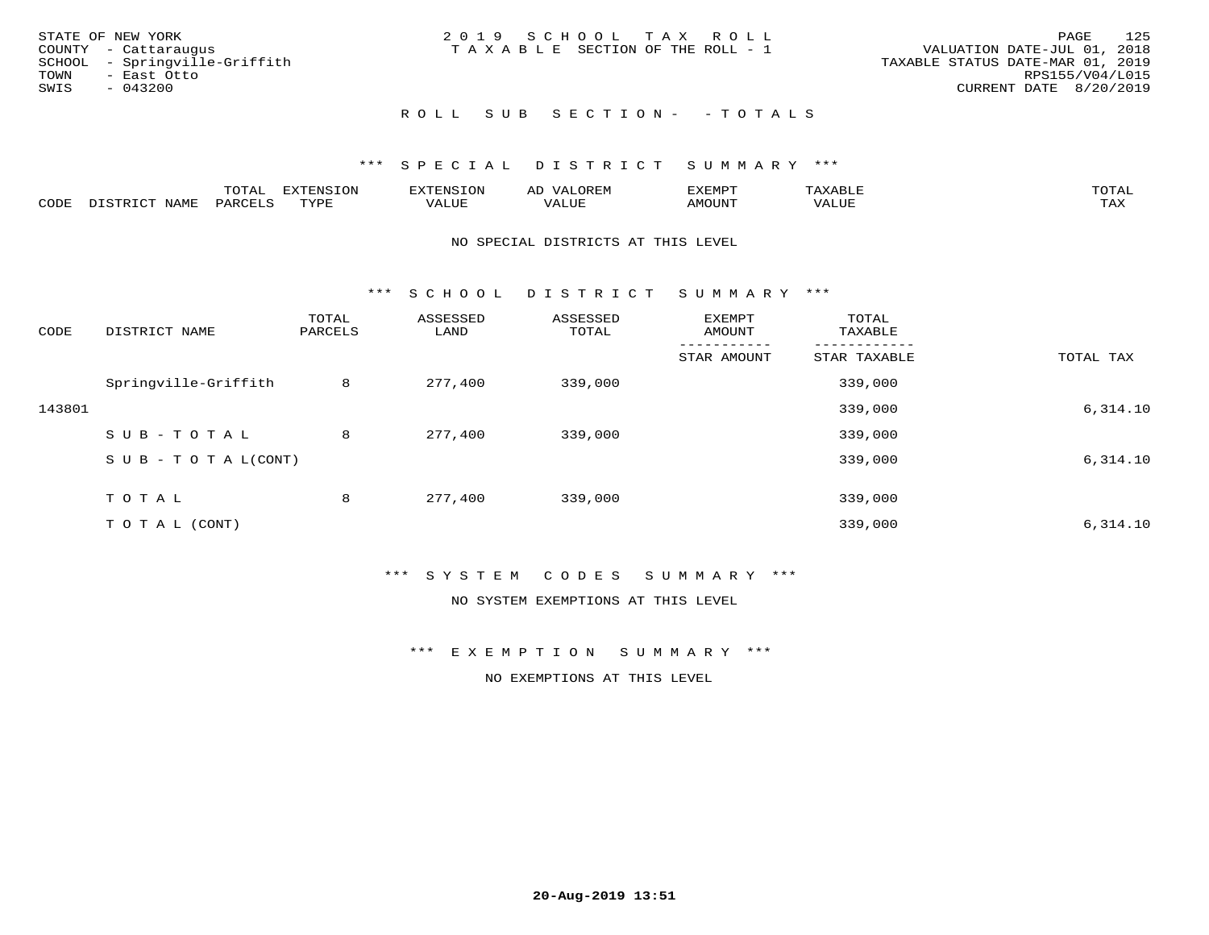| STATE OF NEW YORK             | 2019 SCHOOL TAX ROLL                  | 125<br>PAGE                      |
|-------------------------------|---------------------------------------|----------------------------------|
| COUNTY - Cattaraugus          | T A X A B L E SECTION OF THE ROLL - 1 | VALUATION DATE-JUL 01, 2018      |
| SCHOOL - Springville-Griffith |                                       | TAXABLE STATUS DATE-MAR 01, 2019 |
| TOWN<br>- East Otto           |                                       | RPS155/V04/L015                  |
| SWIS<br>$-043200$             |                                       | CURRENT DATE 8/20/2019           |
|                               |                                       |                                  |
|                               |                                       |                                  |

# R O L L S U B S E C T I O N - - T O T A L S

### \*\*\* S P E C I A L D I S T R I C T S U M M A R Y \*\*\*

|      |                      | ----<br><u>UIAI</u> | <b>FYTFNSION</b><br>- 75 | <b>FNC</b>     | ᅺᅜᄓ                      | SXEMPT | $\Delta$<br>.                  | $m \wedge m \wedge n$ |
|------|----------------------|---------------------|--------------------------|----------------|--------------------------|--------|--------------------------------|-----------------------|
| CODE | <b>NTAMT</b><br>⊥∙⊥⊥ | D.ODT.<br>PARL      | $m \tau \tau m$<br>.     | T T T<br>ALUF: | , <del>,</del> , , , , , | MOUN.  | , 77 T TT <del>D</del><br>ALUE | TAX                   |

#### NO SPECIAL DISTRICTS AT THIS LEVEL

\*\*\* S C H O O L D I S T R I C T S U M M A R Y \*\*\*

| CODE   | DISTRICT NAME                    | TOTAL<br>PARCELS | ASSESSED<br>LAND | ASSESSED<br>TOTAL | EXEMPT<br>AMOUNT | TOTAL<br>TAXABLE |           |
|--------|----------------------------------|------------------|------------------|-------------------|------------------|------------------|-----------|
|        |                                  |                  |                  |                   | STAR AMOUNT      | STAR TAXABLE     | TOTAL TAX |
|        | Springville-Griffith             | 8                | 277,400          | 339,000           |                  | 339,000          |           |
| 143801 |                                  |                  |                  |                   |                  | 339,000          | 6,314.10  |
|        | SUB-TOTAL                        | 8                | 277,400          | 339,000           |                  | 339,000          |           |
|        | $S \cup B - T \cup T A L (CONT)$ |                  |                  |                   |                  | 339,000          | 6,314.10  |
|        | TOTAL                            | 8                | 277,400          | 339,000           |                  | 339,000          |           |
|        | TO TAL (CONT)                    |                  |                  |                   |                  | 339,000          | 6,314.10  |

\*\*\* S Y S T E M C O D E S S U M M A R Y \*\*\*

NO SYSTEM EXEMPTIONS AT THIS LEVEL

\*\*\* E X E M P T I O N S U M M A R Y \*\*\*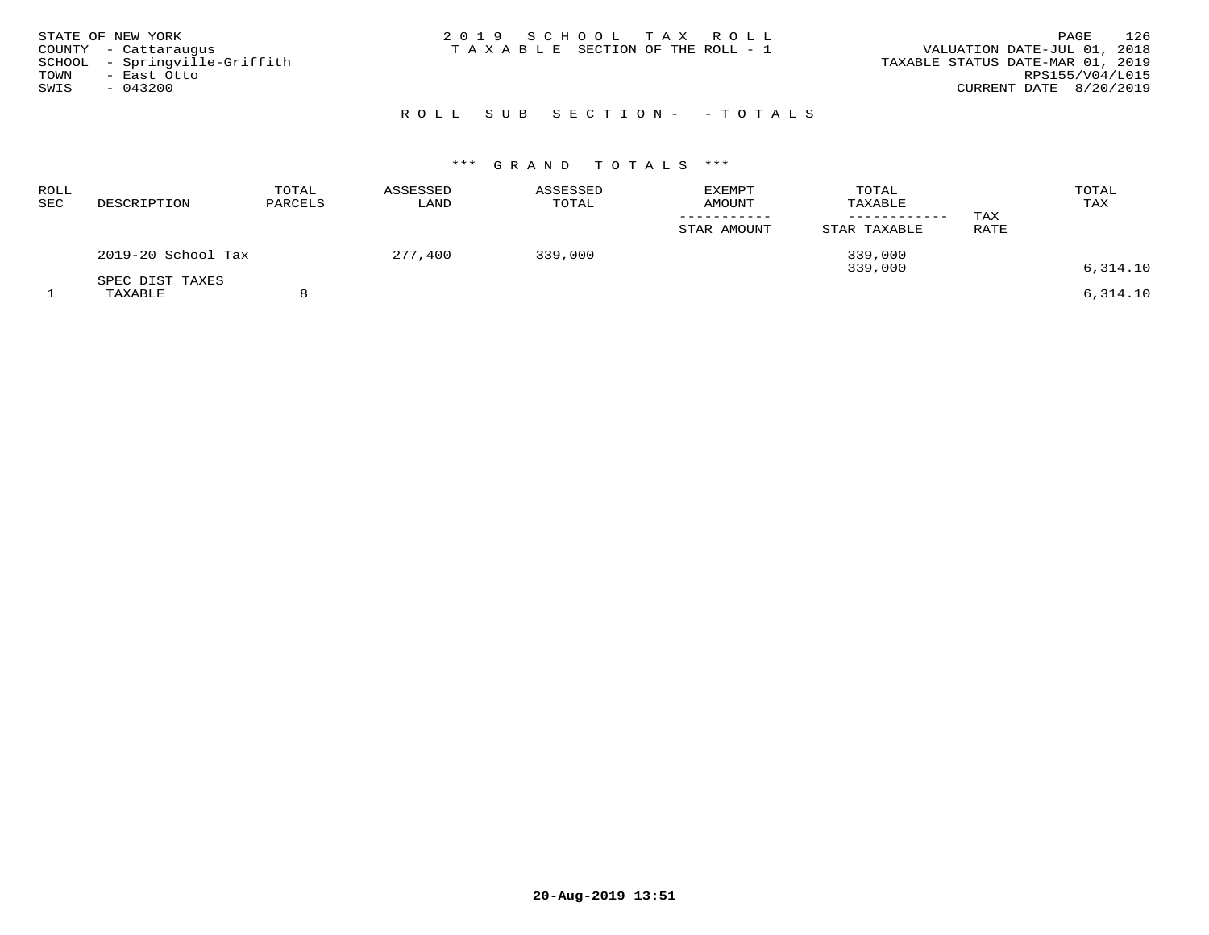| STATE OF NEW YORK<br>COUNTY - Cattaraugus<br>SCHOOL - Springville-Griffith<br>TOWN<br>– East Otto<br>SWIS<br>$-043200$ | 2019 SCHOOL TAX ROLL<br>T A X A B L E SECTION OF THE ROLL - 1 | 126<br>PAGE<br>VALUATION DATE-JUL 01, 2018<br>TAXABLE STATUS DATE-MAR 01, 2019<br>RPS155/V04/L015<br>CURRENT DATE 8/20/2019 |
|------------------------------------------------------------------------------------------------------------------------|---------------------------------------------------------------|-----------------------------------------------------------------------------------------------------------------------------|
|                                                                                                                        | ROLL SUB SECTION- - TOTALS                                    |                                                                                                                             |

| ROLL<br>SEC | DESCRIPTION        | TOTAL<br>PARCELS | ASSESSED<br>LAND | ASSESSED<br>TOTAL | <b>EXEMPT</b><br>AMOUNT | TOTAL<br>TAXABLE<br>--------- | TAX  | TOTAL<br>TAX |
|-------------|--------------------|------------------|------------------|-------------------|-------------------------|-------------------------------|------|--------------|
|             |                    |                  |                  |                   | STAR AMOUNT             | STAR TAXABLE                  | RATE |              |
|             | 2019-20 School Tax |                  | 277,400          | 339,000           |                         | 339,000<br>339,000            |      | 6,314.10     |
|             | SPEC DIST TAXES    |                  |                  |                   |                         |                               |      |              |
|             | TAXABLE            |                  |                  |                   |                         |                               |      | 6,314.10     |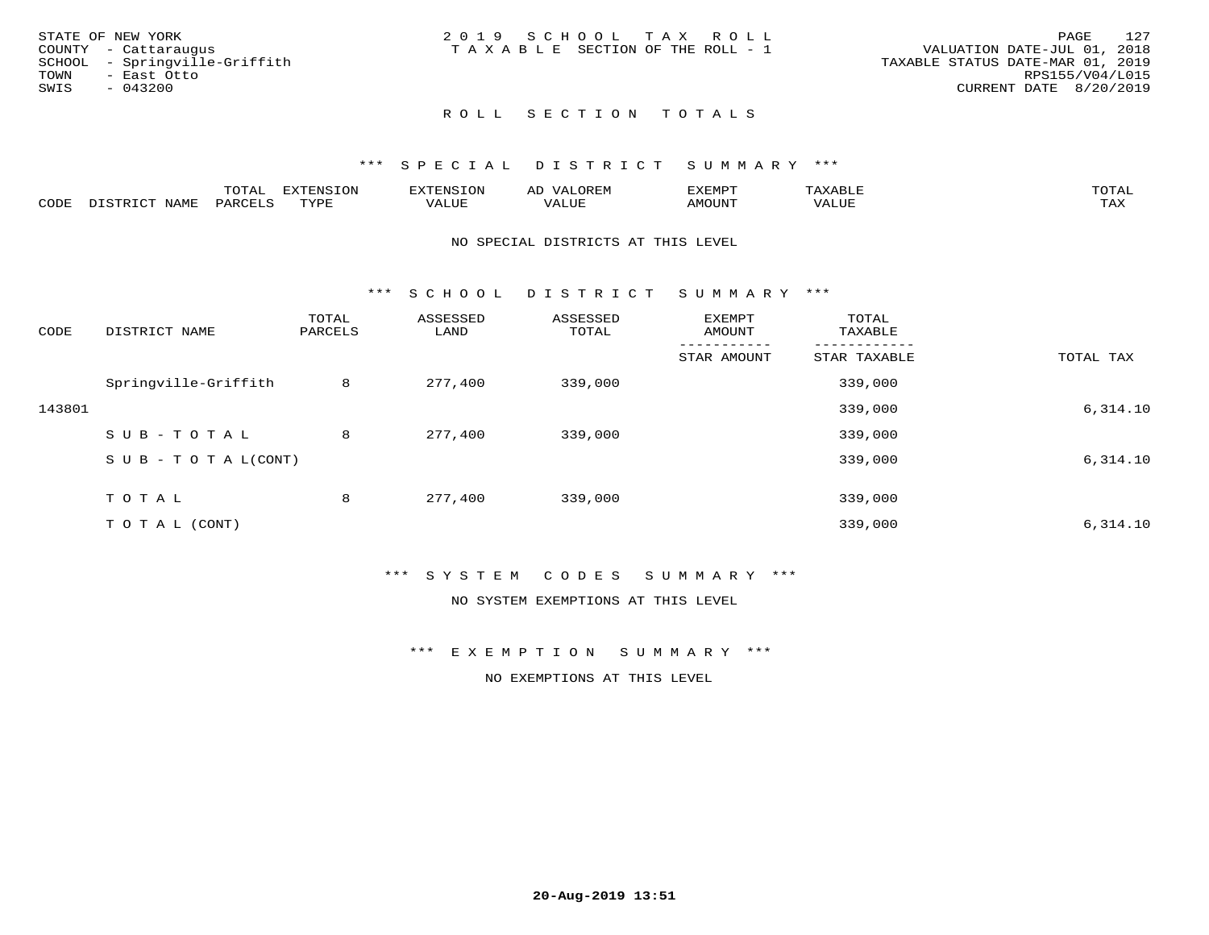| STATE OF NEW YORK             | 2019 SCHOOL TAX ROLL            | 127<br>PAGE                      |
|-------------------------------|---------------------------------|----------------------------------|
| COUNTY - Cattaraugus          | TAXABLE SECTION OF THE ROLL - 1 | VALUATION DATE-JUL 01, 2018      |
| SCHOOL - Springville-Griffith |                                 | TAXABLE STATUS DATE-MAR 01, 2019 |
| TOWN<br>– East Otto           |                                 | RPS155/V04/L015                  |
| SWIS<br>- 043200              |                                 | CURRENT DATE 8/20/2019           |
|                               |                                 |                                  |
|                               |                                 |                                  |

# ROLL SECTION TOTALS

#### \*\*\* S P E C I A L D I S T R I C T S U M M A R Y \*\*\*

|      |                  | momm <sup>.</sup><br>TOTAT | <b>ELIMENT OF ONT</b><br>T OTA | <b>FINS</b> | OREM                     | CXEMPT        | $max$ and $max$          | $m \wedge m \wedge n$ |
|------|------------------|----------------------------|--------------------------------|-------------|--------------------------|---------------|--------------------------|-----------------------|
| CODE | NAME<br>DISTRICT | PARCELS                    | TVDF<br>.                      | 7ALUE.      | . <del>.</del><br>. ALUF | <b>AMOUNT</b> | * * * * * * * *<br>'ALUL | <b>TAY</b><br>⊥⇔∆     |

#### NO SPECIAL DISTRICTS AT THIS LEVEL

\*\*\* S C H O O L D I S T R I C T S U M M A R Y \*\*\*

| CODE   | DISTRICT NAME                    | TOTAL<br>PARCELS | ASSESSED<br>LAND | ASSESSED<br>TOTAL | EXEMPT<br>AMOUNT | TOTAL<br>TAXABLE |           |
|--------|----------------------------------|------------------|------------------|-------------------|------------------|------------------|-----------|
|        |                                  |                  |                  |                   | STAR AMOUNT      | STAR TAXABLE     | TOTAL TAX |
|        | Springville-Griffith             | 8                | 277,400          | 339,000           |                  | 339,000          |           |
| 143801 |                                  |                  |                  |                   |                  | 339,000          | 6,314.10  |
|        | SUB-TOTAL                        | 8                | 277,400          | 339,000           |                  | 339,000          |           |
|        | $S \cup B - T \cup T A L (CONT)$ |                  |                  |                   |                  | 339,000          | 6,314.10  |
|        | TOTAL                            | 8                | 277,400          | 339,000           |                  | 339,000          |           |
|        | T O T A L (CONT)                 |                  |                  |                   |                  | 339,000          | 6,314.10  |

### \*\*\* S Y S T E M C O D E S S U M M A R Y \*\*\*

NO SYSTEM EXEMPTIONS AT THIS LEVEL

\*\*\* E X E M P T I O N S U M M A R Y \*\*\*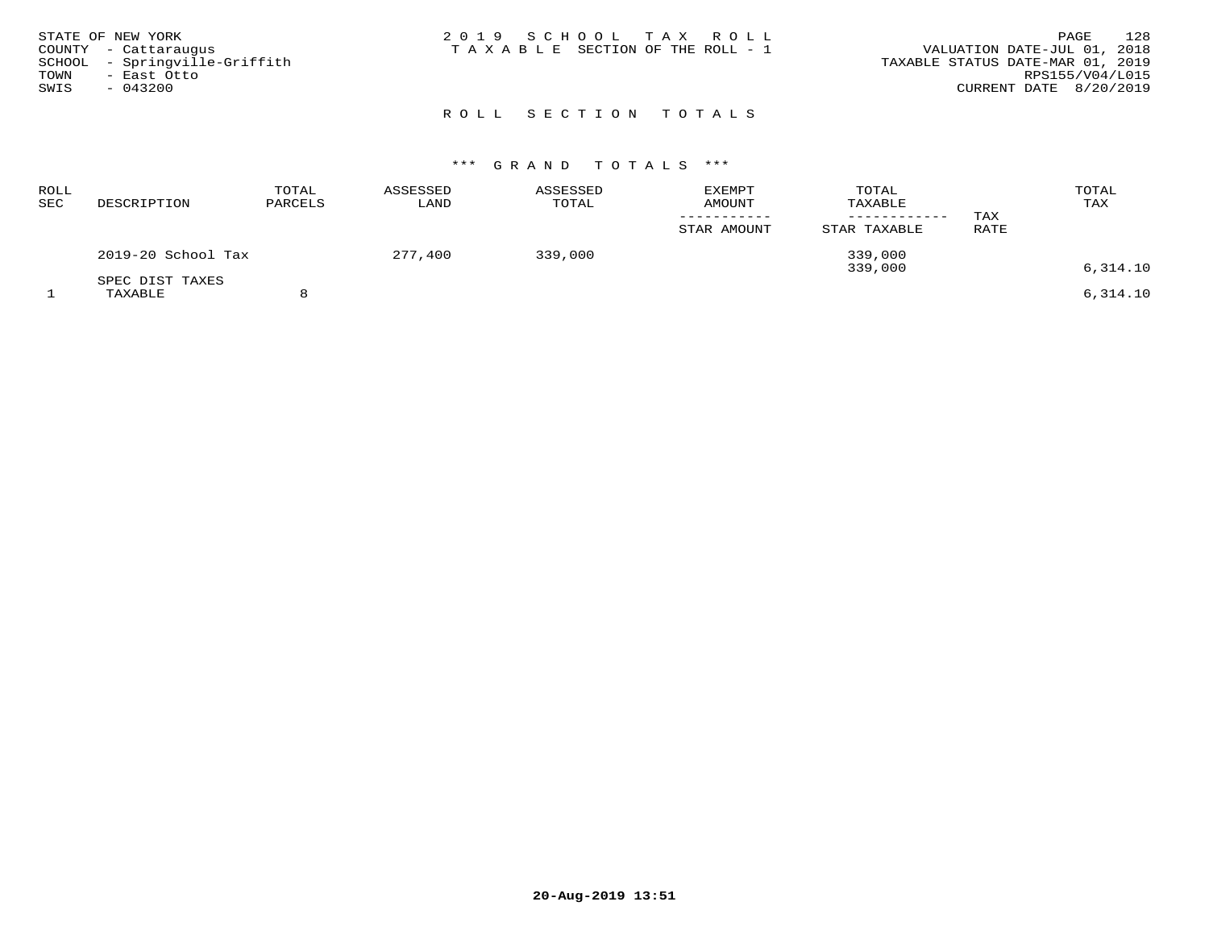| STATE OF NEW YORK<br>COUNTY - Cattaraugus<br>SCHOOL - Springville-Griffith<br>TOWN<br>- East Otto<br>SWIS<br>$-043200$ | 2019 SCHOOL TAX ROLL<br>T A X A B L E SECTION OF THE ROLL - 1 | 128<br>PAGE<br>VALUATION DATE-JUL 01, 2018<br>TAXABLE STATUS DATE-MAR 01, 2019<br>RPS155/V04/L015<br>CURRENT DATE 8/20/2019 |
|------------------------------------------------------------------------------------------------------------------------|---------------------------------------------------------------|-----------------------------------------------------------------------------------------------------------------------------|
|                                                                                                                        | ROLL SECTION TOTALS                                           |                                                                                                                             |

| <b>ROLL</b><br>SEC | DESCRIPTION                | TOTAL<br>PARCELS | ASSESSED<br>LAND | ASSESSED<br>TOTAL | <b>EXEMPT</b><br><b>AMOUNT</b><br>STAR AMOUNT | TOTAL<br>TAXABLE<br>STAR TAXABLE | TAX<br>RATE | TOTAL<br>TAX |
|--------------------|----------------------------|------------------|------------------|-------------------|-----------------------------------------------|----------------------------------|-------------|--------------|
|                    | 2019-20 School Tax         |                  | 277,400          | 339,000           |                                               | 339,000<br>339,000               |             | 6,314.10     |
|                    | SPEC DIST TAXES<br>TAXABLE |                  |                  |                   |                                               |                                  |             | 6.314.10     |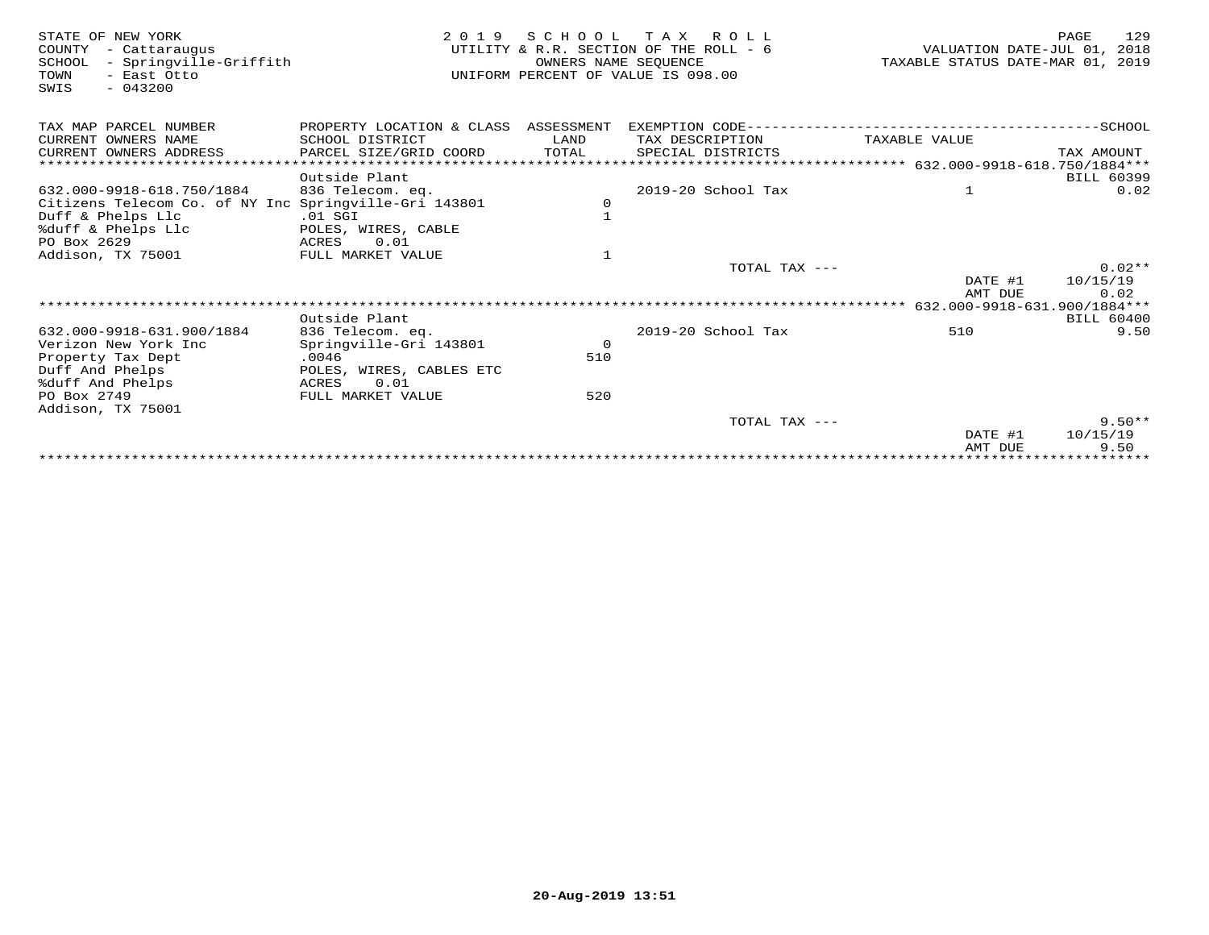| STATE OF NEW YORK<br>COUNTY<br>- Cattaraugus<br>- Springville-Griffith<br>SCHOOL<br>- East Otto<br>TOWN<br>SWIS<br>$-043200$ | 2 0 1 9                              | OWNERS NAME SEOUENCE | SCHOOL TAX ROLL<br>UTILITY & R.R. SECTION OF THE ROLL - 6<br>UNIFORM PERCENT OF VALUE IS 098.00 | VALUATION DATE-JUL 01,<br>TAXABLE STATUS DATE-MAR 01, 2019 | 129<br>PAGE<br>2018       |
|------------------------------------------------------------------------------------------------------------------------------|--------------------------------------|----------------------|-------------------------------------------------------------------------------------------------|------------------------------------------------------------|---------------------------|
| TAX MAP PARCEL NUMBER                                                                                                        | PROPERTY LOCATION & CLASS ASSESSMENT |                      |                                                                                                 |                                                            |                           |
| CURRENT OWNERS NAME                                                                                                          | SCHOOL DISTRICT                      | LAND                 | TAX DESCRIPTION                                                                                 | TAXABLE VALUE                                              |                           |
| CURRENT OWNERS ADDRESS                                                                                                       | PARCEL SIZE/GRID COORD               | TOTAL                | SPECIAL DISTRICTS                                                                               |                                                            | TAX AMOUNT                |
|                                                                                                                              |                                      |                      |                                                                                                 |                                                            |                           |
|                                                                                                                              | Outside Plant                        |                      |                                                                                                 |                                                            | BILL 60399                |
| 632.000-9918-618.750/1884                                                                                                    | 836 Telecom. eq.                     |                      | 2019-20 School Tax                                                                              | 1                                                          | 0.02                      |
| Citizens Telecom Co. of NY Inc Springville-Gri 143801                                                                        |                                      | 0                    |                                                                                                 |                                                            |                           |
| Duff & Phelps Llc                                                                                                            | $.01$ SGI                            | $\mathbf{1}$         |                                                                                                 |                                                            |                           |
| %duff & Phelps Llc                                                                                                           | POLES, WIRES, CABLE                  |                      |                                                                                                 |                                                            |                           |
| PO Box 2629                                                                                                                  | 0.01<br>ACRES                        |                      |                                                                                                 |                                                            |                           |
| Addison, TX 75001                                                                                                            | FULL MARKET VALUE                    | $\mathbf{1}$         |                                                                                                 |                                                            |                           |
|                                                                                                                              |                                      |                      | TOTAL TAX ---                                                                                   |                                                            | $0.02**$                  |
|                                                                                                                              |                                      |                      |                                                                                                 | DATE #1                                                    | 10/15/19                  |
|                                                                                                                              |                                      |                      |                                                                                                 | AMT DUE                                                    | 0.02                      |
|                                                                                                                              |                                      |                      |                                                                                                 | 632.000-9918-631.900/1884***                               |                           |
|                                                                                                                              | Outside Plant                        |                      |                                                                                                 |                                                            | <b>BILL 60400</b>         |
| 632.000-9918-631.900/1884                                                                                                    | 836 Telecom. eq.                     |                      | 2019-20 School Tax                                                                              | 510                                                        | 9.50                      |
| Verizon New York Inc                                                                                                         | Springville-Gri 143801               | $\overline{0}$       |                                                                                                 |                                                            |                           |
| Property Tax Dept                                                                                                            | .0046                                | 510                  |                                                                                                 |                                                            |                           |
| Duff And Phelps                                                                                                              | POLES, WIRES, CABLES ETC             |                      |                                                                                                 |                                                            |                           |
| %duff And Phelps                                                                                                             | 0.01<br>ACRES                        |                      |                                                                                                 |                                                            |                           |
| PO Box 2749                                                                                                                  | FULL MARKET VALUE                    | 520                  |                                                                                                 |                                                            |                           |
| Addison, TX 75001                                                                                                            |                                      |                      |                                                                                                 |                                                            |                           |
|                                                                                                                              |                                      |                      | TOTAL TAX $---$                                                                                 |                                                            | $9.50**$<br>10/15/19      |
|                                                                                                                              |                                      |                      |                                                                                                 | DATE #1<br>AMT DUE                                         | 9.50                      |
|                                                                                                                              |                                      |                      |                                                                                                 |                                                            | * * * * * * * * * * * * * |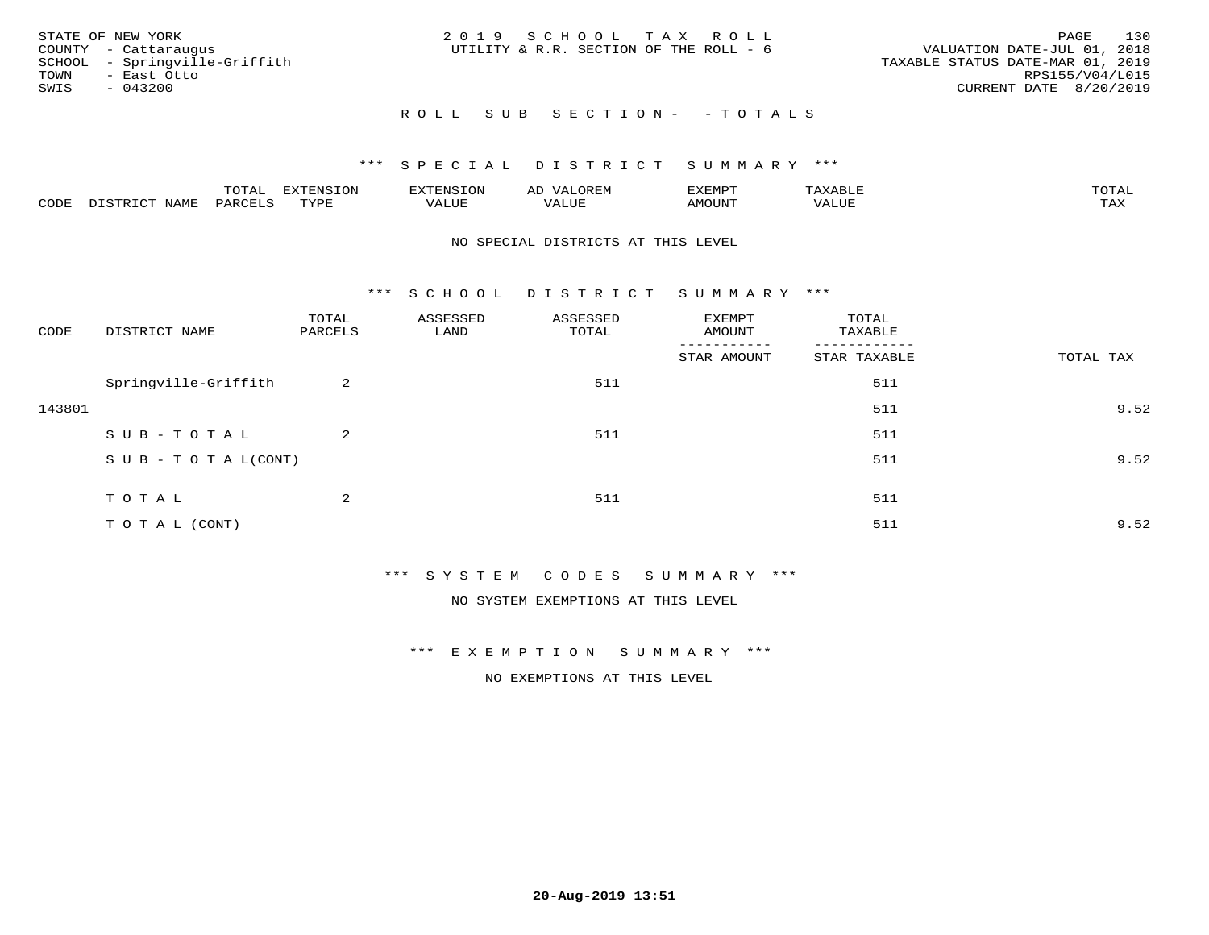| STATE OF NEW YORK                                     | 2019 SCHOOL TAX ROLL                   | 130<br>PAGE                                                     |
|-------------------------------------------------------|----------------------------------------|-----------------------------------------------------------------|
| COUNTY - Cattaraugus<br>SCHOOL - Springville-Griffith | UTILITY & R.R. SECTION OF THE ROLL - 6 | VALUATION DATE-JUL 01, 2018<br>TAXABLE STATUS DATE-MAR 01, 2019 |
| TOWN<br>- East Otto                                   |                                        | RPS155/V04/L015                                                 |
| SWIS<br>- 043200                                      |                                        | CURRENT DATE 8/20/2019                                          |
|                                                       | ROLL SUB SECTION- - TOTALS             |                                                                 |

|      |      | $m \wedge m \wedge n$<br>◡∸ғ | TON                              | . HUNY              | AĽ                  | ے ا      |       | $m \wedge m \wedge n$ |
|------|------|------------------------------|----------------------------------|---------------------|---------------------|----------|-------|-----------------------|
| CODE | NAMF | 'AK                          | $m \times r \times r$<br>- - - - | T T T<br>اللالمستحم | - ---<br>اللالمستعم | 57077375 | VALUF | $m \times r$<br>- −-  |

#### NO SPECIAL DISTRICTS AT THIS LEVEL

\*\*\* S C H O O L D I S T R I C T S U M M A R Y \*\*\*

| CODE   | DISTRICT NAME                    | TOTAL<br>PARCELS | ASSESSED<br>LAND | ASSESSED<br>TOTAL | EXEMPT<br>AMOUNT | TOTAL<br>TAXABLE |           |
|--------|----------------------------------|------------------|------------------|-------------------|------------------|------------------|-----------|
|        |                                  |                  |                  |                   | STAR AMOUNT      | STAR TAXABLE     | TOTAL TAX |
|        | Springville-Griffith             | 2                |                  | 511               |                  | 511              |           |
| 143801 |                                  |                  |                  |                   |                  | 511              | 9.52      |
|        | SUB-TOTAL                        | $\overline{a}$   |                  | 511               |                  | 511              |           |
|        | $S \cup B - T \cup T A L (CONT)$ |                  |                  |                   |                  | 511              | 9.52      |
|        | TOTAL                            | 2                |                  | 511               |                  | 511              |           |
|        | TO TAL (CONT)                    |                  |                  |                   |                  | 511              | 9.52      |

\*\*\* S Y S T E M C O D E S S U M M A R Y \*\*\*

NO SYSTEM EXEMPTIONS AT THIS LEVEL

\*\*\* E X E M P T I O N S U M M A R Y \*\*\*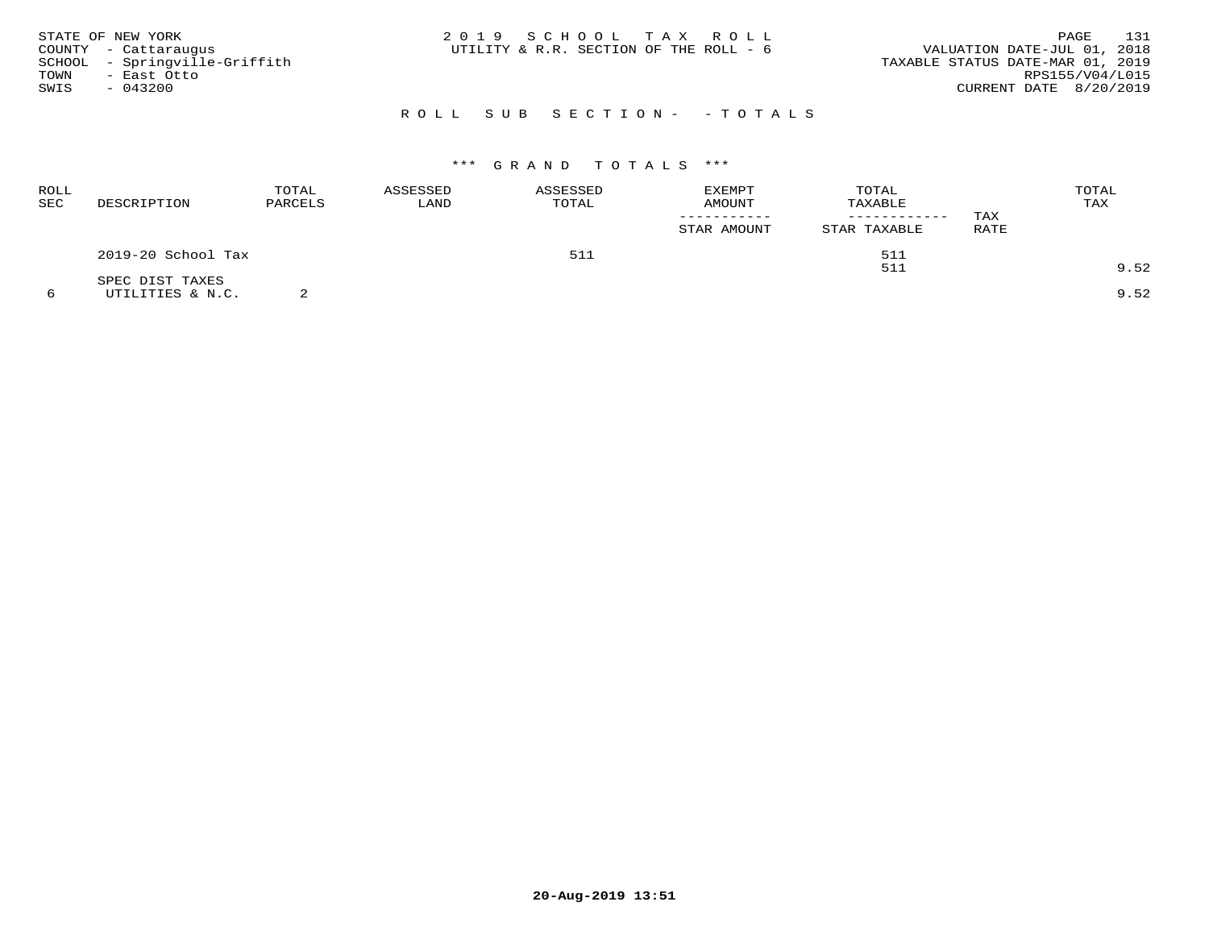| STATE OF NEW YORK<br>COUNTY - Cattaraugus<br>SCHOOL - Springville-Griffith<br>TOWN<br>- East Otto<br>SWIS<br>- 043200 | 2019 SCHOOL TAX ROLL<br>UTILITY & R.R. SECTION OF THE ROLL - 6 | 131<br>PAGE<br>VALUATION DATE-JUL 01, 2018<br>TAXABLE STATUS DATE-MAR 01, 2019<br>RPS155/V04/L015<br>CURRENT DATE 8/20/2019 |
|-----------------------------------------------------------------------------------------------------------------------|----------------------------------------------------------------|-----------------------------------------------------------------------------------------------------------------------------|
|                                                                                                                       | ROLL SUB SECTION- - TOTALS                                     |                                                                                                                             |

| ROLL<br>SEC | DESCRIPTION                         | TOTAL<br>PARCELS | ASSESSED<br>LAND | ASSESSED<br>TOTAL | <b>EXEMPT</b><br>AMOUNT<br>STAR AMOUNT | TOTAL<br>TAXABLE<br>------------<br>STAR TAXABLE | TAX<br>RATE | TOTAL<br>TAX |
|-------------|-------------------------------------|------------------|------------------|-------------------|----------------------------------------|--------------------------------------------------|-------------|--------------|
|             | 2019-20 School Tax                  |                  |                  | 511               |                                        | 511                                              |             |              |
|             |                                     |                  |                  |                   |                                        | 511                                              |             | 9.52         |
|             | SPEC DIST TAXES<br>UTILITIES & N.C. |                  |                  |                   |                                        |                                                  |             | 9.52         |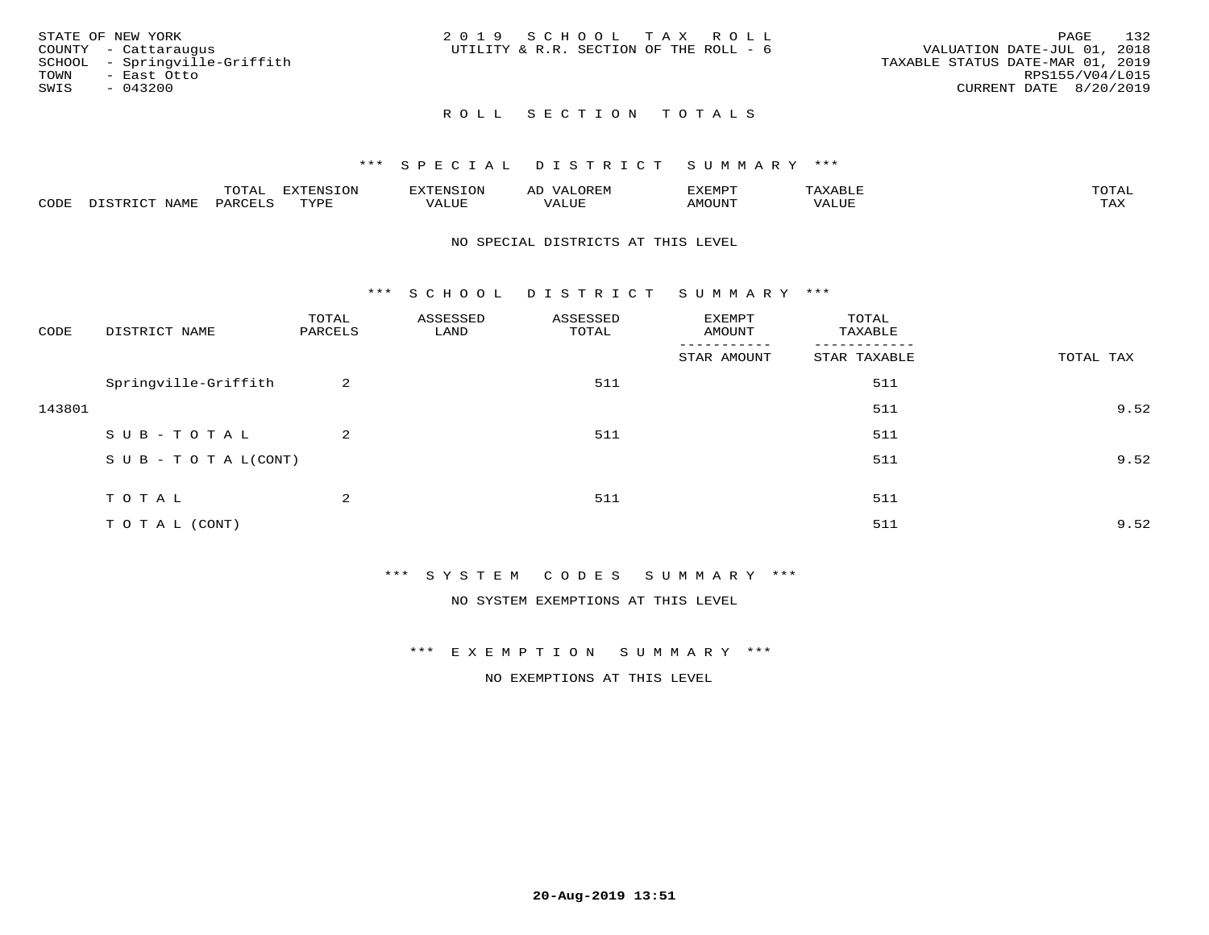|      | STATE OF NEW YORK             | 2019 SCHOOL TAX ROLL                   |  |  |                                  |                        | PAGE | 132             |
|------|-------------------------------|----------------------------------------|--|--|----------------------------------|------------------------|------|-----------------|
|      | COUNTY - Cattaraugus          | UTILITY & R.R. SECTION OF THE ROLL - 6 |  |  | VALUATION DATE-JUL 01, 2018      |                        |      |                 |
|      | SCHOOL - Springville-Griffith |                                        |  |  | TAXABLE STATUS DATE-MAR 01, 2019 |                        |      |                 |
| TOWN | - East Otto                   |                                        |  |  |                                  |                        |      | RPS155/V04/L015 |
| SWIS | $-043200$                     |                                        |  |  |                                  | CURRENT DATE 8/20/2019 |      |                 |
|      |                               |                                        |  |  |                                  |                        |      |                 |

# ROLL SECTION TOTALS

### \*\*\* S P E C I A L D I S T R I C T S U M M A R Y \*\*\*

|      |               | m^m*<br><u>UIAI</u> | . v             | $\mathbf{H}$<br>– ∺'Ni≻'    | AL       | $T\rightarrow T\rightarrow T\rightarrow T\rightarrow T\rightarrow T$ | P      | $m \wedge m \wedge n$ |
|------|---------------|---------------------|-----------------|-----------------------------|----------|----------------------------------------------------------------------|--------|-----------------------|
| CODE | ∧T∆M™<br>⊥∙⊥⊥ | VAKU                | $m \tau \tau n$ | <b>TTT</b><br>اللالما للده. | TA T TTT | MOTIN'                                                               | تتتت ت | ГAX                   |

#### NO SPECIAL DISTRICTS AT THIS LEVEL

\*\*\* S C H O O L D I S T R I C T S U M M A R Y \*\*\*

| CODE   | DISTRICT NAME                    | TOTAL<br>PARCELS | ASSESSED<br>LAND | ASSESSED<br>TOTAL | EXEMPT<br>AMOUNT<br>------- | TOTAL<br>TAXABLE<br>-------- |           |
|--------|----------------------------------|------------------|------------------|-------------------|-----------------------------|------------------------------|-----------|
|        |                                  |                  |                  |                   | STAR AMOUNT                 | STAR TAXABLE                 | TOTAL TAX |
|        | Springville-Griffith             | 2                |                  | 511               |                             | 511                          |           |
| 143801 |                                  |                  |                  |                   |                             | 511                          | 9.52      |
|        | SUB-TOTAL                        | 2                |                  | 511               |                             | 511                          |           |
|        | $S \cup B - T \cup T A L (CONT)$ |                  |                  |                   |                             | 511                          | 9.52      |
|        | TOTAL                            | 2                |                  | 511               |                             | 511                          |           |
|        | TO TAL (CONT)                    |                  |                  |                   |                             | 511                          | 9.52      |

\*\*\* S Y S T E M C O D E S S U M M A R Y \*\*\*

NO SYSTEM EXEMPTIONS AT THIS LEVEL

\*\*\* E X E M P T I O N S U M M A R Y \*\*\*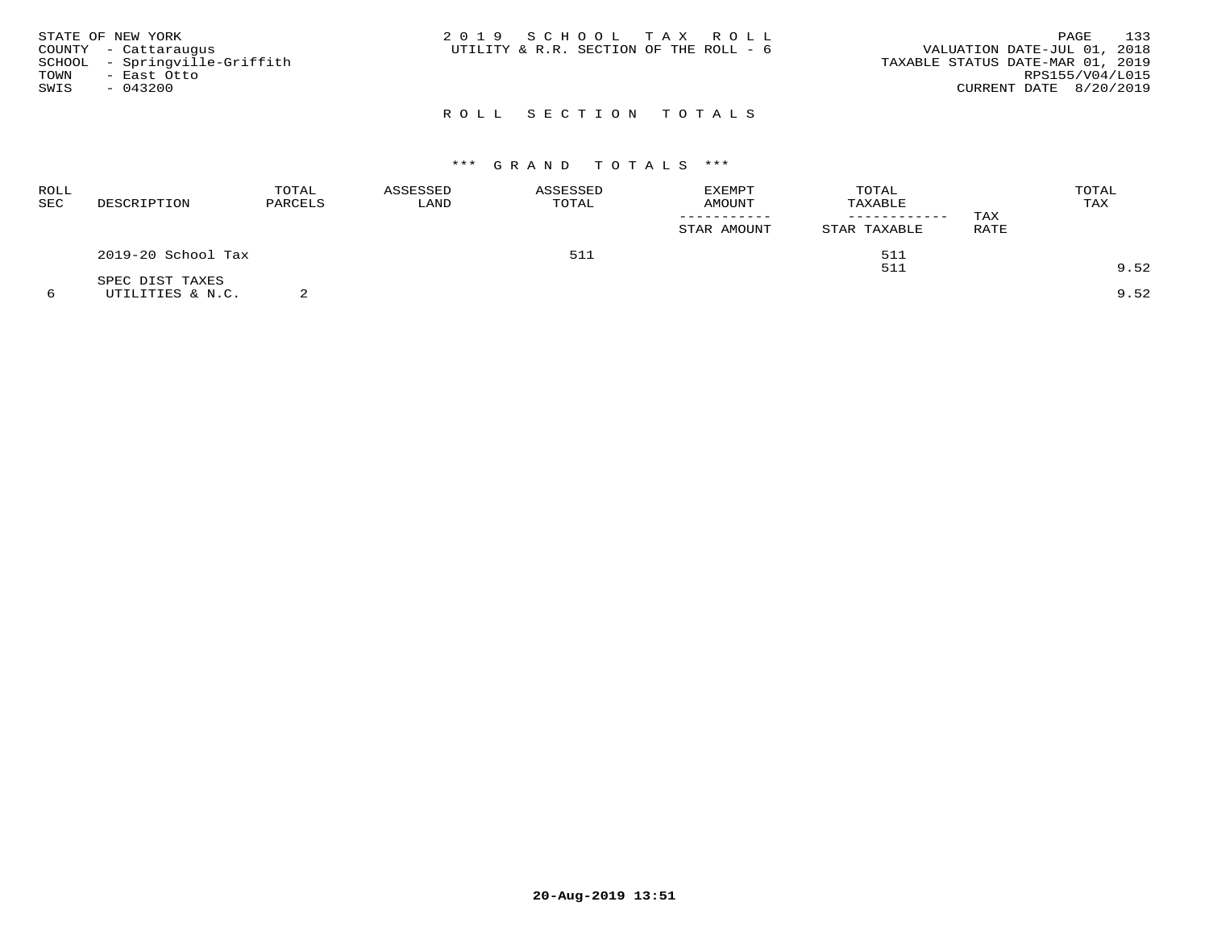| STATE OF NEW YORK<br>COUNTY - Cattaraugus<br>SCHOOL - Springville-Griffith<br>TOWN<br>- East Otto<br>SWIS<br>$-043200$ | 2019 SCHOOL TAX ROLL<br>UTILITY & R.R. SECTION OF THE ROLL - 6 | 133<br>PAGE<br>VALUATION DATE-JUL 01, 2018<br>TAXABLE STATUS DATE-MAR 01, 2019<br>RPS155/V04/L015<br>CURRENT DATE 8/20/2019 |
|------------------------------------------------------------------------------------------------------------------------|----------------------------------------------------------------|-----------------------------------------------------------------------------------------------------------------------------|
|                                                                                                                        | ROLL SECTION TOTALS                                            |                                                                                                                             |

| ROLL<br>SEC | DESCRIPTION        | TOTAL<br>PARCELS | ASSESSED<br>LAND | ASSESSED<br>TOTAL | <b>EXEMPT</b><br>AMOUNT | TOTAL<br>TAXABLE<br>------------ | TAX  | TOTAL<br>TAX |
|-------------|--------------------|------------------|------------------|-------------------|-------------------------|----------------------------------|------|--------------|
|             |                    |                  |                  |                   | STAR AMOUNT             | STAR TAXABLE                     | RATE |              |
|             | 2019-20 School Tax |                  |                  | 511               |                         | 511                              |      |              |
|             | SPEC DIST TAXES    |                  |                  |                   |                         | 511                              |      | 9.52         |
|             | UTILITIES & N.C.   |                  |                  |                   |                         |                                  |      | 9.52         |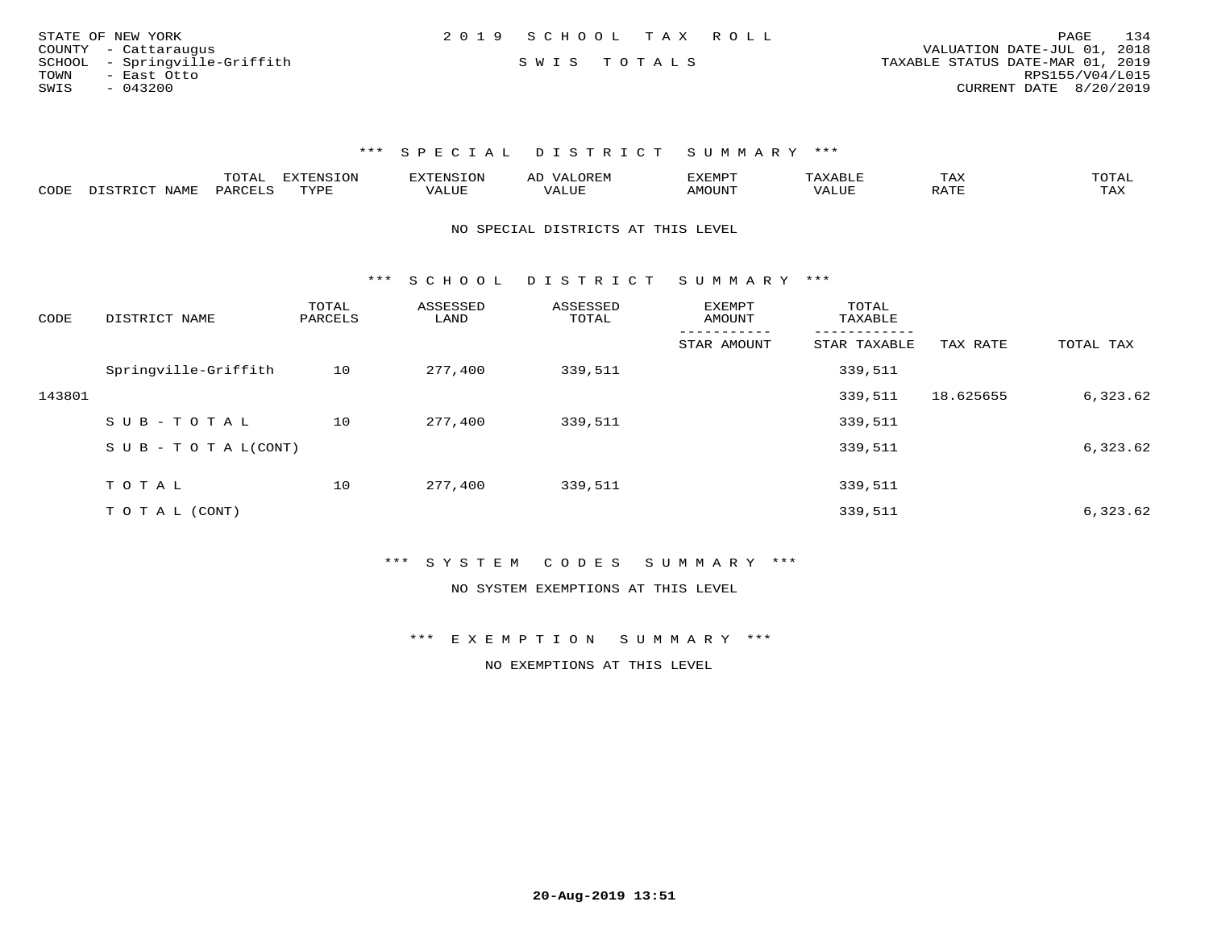| STATE OF NEW YORK             | 2019 SCHOOL TAX ROLL | 134<br>PAGE                      |
|-------------------------------|----------------------|----------------------------------|
| COUNTY - Cattaraugus          |                      | VALUATION DATE-JUL 01, 2018      |
| SCHOOL - Springville-Griffith | SWIS TOTALS          | TAXABLE STATUS DATE-MAR 01, 2019 |
| TOWN<br>- East Otto           |                      | RPS155/V04/L015                  |
| SWIS<br>- 043200              |                      | CURRENT DATE 8/20/2019           |

|      |                                  | "Ω"ΠΟ"<br>⊥∪⊥⊓⊥ | <b>EXTENSION</b> |                         | A <sub>L</sub> | XEMPT:        |                        | 1 A A       |                     |
|------|----------------------------------|-----------------|------------------|-------------------------|----------------|---------------|------------------------|-------------|---------------------|
| CODE | <b>NAMF</b><br><u>היה דפידים</u> | <b>PARC</b>     | TYPE             | $\mathcal{A}\text{LUF}$ |                | <b>AMOUNT</b> | , 7 7 T T T T<br>VALUE | הדרח ג<br>▵ | $m \times r$<br>⊥≞∆ |

#### NO SPECIAL DISTRICTS AT THIS LEVEL

\*\*\* S C H O O L D I S T R I C T S U M M A R Y \*\*\*

| CODE   | DISTRICT NAME        | TOTAL<br>PARCELS | ASSESSED<br>LAND | ASSESSED<br>TOTAL | <b>EXEMPT</b><br>AMOUNT | TOTAL<br>TAXABLE |           |           |
|--------|----------------------|------------------|------------------|-------------------|-------------------------|------------------|-----------|-----------|
|        |                      |                  |                  |                   | STAR AMOUNT             | STAR TAXABLE     | TAX RATE  | TOTAL TAX |
|        | Springville-Griffith | 10               | 277,400          | 339,511           |                         | 339,511          |           |           |
| 143801 |                      |                  |                  |                   |                         | 339,511          | 18.625655 | 6,323.62  |
|        | SUB-TOTAL            | 10               | 277,400          | 339,511           |                         | 339,511          |           |           |
|        | SUB - TO TAL(CONT)   |                  |                  |                   |                         | 339,511          |           | 6,323.62  |
|        |                      |                  |                  |                   |                         |                  |           |           |
|        | TOTAL                | 10               | 277,400          | 339,511           |                         | 339,511          |           |           |
|        | T O T A L (CONT)     |                  |                  |                   |                         | 339,511          |           | 6,323.62  |

### \*\*\* S Y S T E M C O D E S S U M M A R Y \*\*\*

#### NO SYSTEM EXEMPTIONS AT THIS LEVEL

\*\*\* E X E M P T I O N S U M M A R Y \*\*\*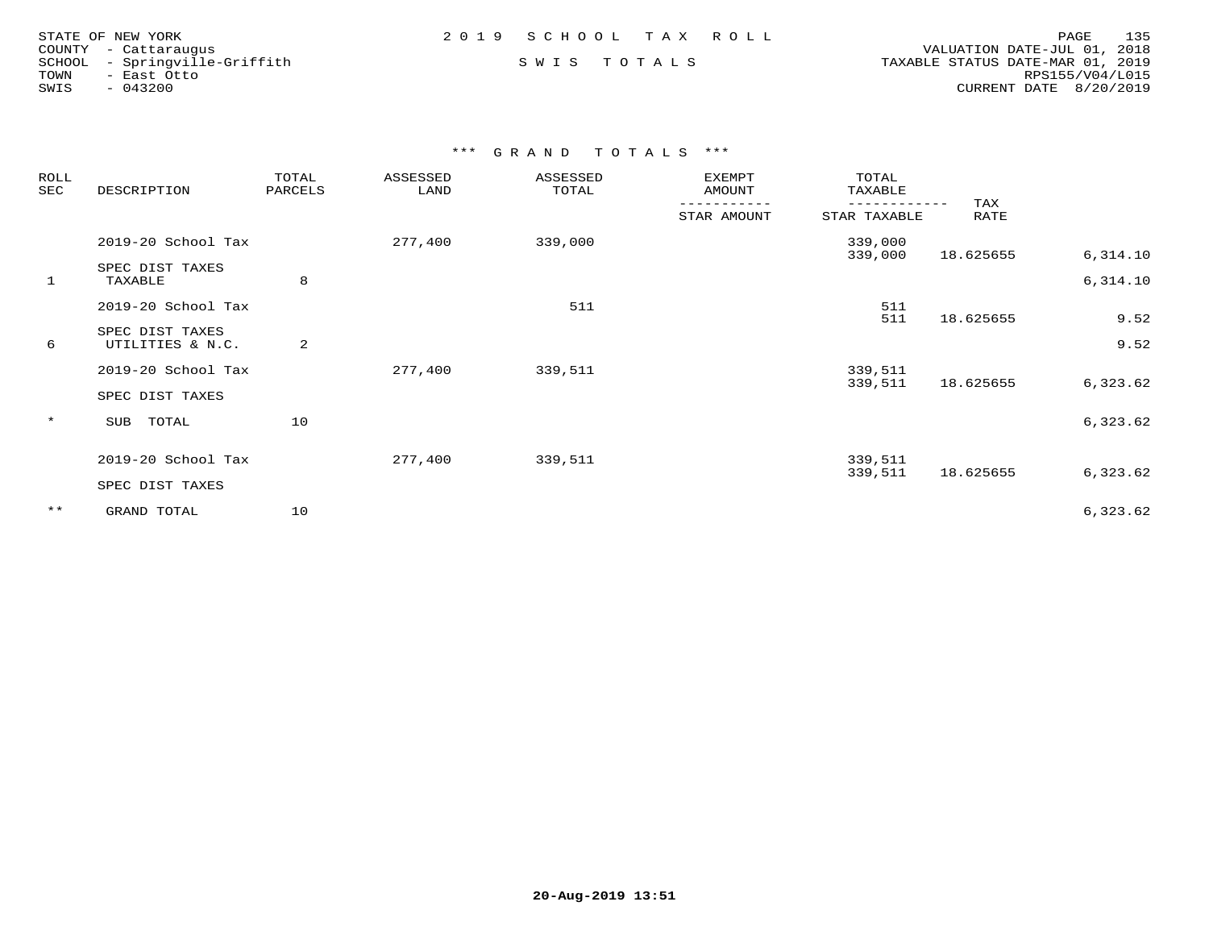| STATE OF NEW YORK |                        |
|-------------------|------------------------|
|                   | COUNTY - Cattarauqus   |
| SCHOOL            | - Springville-Griffith |
| TOWN              | - East Otto            |
| SWIS              | $-043200$              |

 COUNTY - Cattaraugus VALUATION DATE-JUL 01, 2018 SCHOOL - Springville-Griffith S W I S T O T A L S TAXABLE STATUS DATE-MAR 01, 2019 TOWN - East Otto RPS155/V04/L015SWIS - 043200 CURRENT DATE 8/20/2019

| ROLL<br>SEC | DESCRIPTION                         | TOTAL<br>PARCELS |         | ASSESSED<br>ASSESSED<br>TOTAL<br>LAND |             | TOTAL<br>TAXABLE           |             |          |
|-------------|-------------------------------------|------------------|---------|---------------------------------------|-------------|----------------------------|-------------|----------|
|             |                                     |                  |         |                                       | STAR AMOUNT | ----------<br>STAR TAXABLE | TAX<br>RATE |          |
|             | 2019-20 School Tax                  |                  | 277,400 | 339,000                               |             | 339,000<br>339,000         | 18.625655   | 6,314.10 |
| 1           | SPEC DIST TAXES<br>TAXABLE          | 8                |         |                                       |             |                            |             | 6,314.10 |
|             | 2019-20 School Tax                  |                  |         | 511                                   |             | 511<br>511                 |             | 9.52     |
| 6           | SPEC DIST TAXES<br>UTILITIES & N.C. | 2                |         |                                       |             |                            | 18.625655   | 9.52     |
|             | 2019-20 School Tax                  |                  | 277,400 | 339,511                               |             | 339,511                    |             |          |
|             | SPEC DIST TAXES                     |                  |         |                                       |             | 339,511                    | 18.625655   | 6,323.62 |
| $\star$     | TOTAL<br>SUB                        | 10               |         |                                       |             |                            |             | 6,323.62 |
|             | 2019-20 School Tax                  |                  | 277,400 | 339,511                               |             | 339,511                    |             |          |
|             | SPEC DIST TAXES                     |                  |         |                                       |             | 339,511                    | 18.625655   | 6,323.62 |
| $***$       | GRAND TOTAL                         | 10               |         |                                       |             |                            |             | 6,323.62 |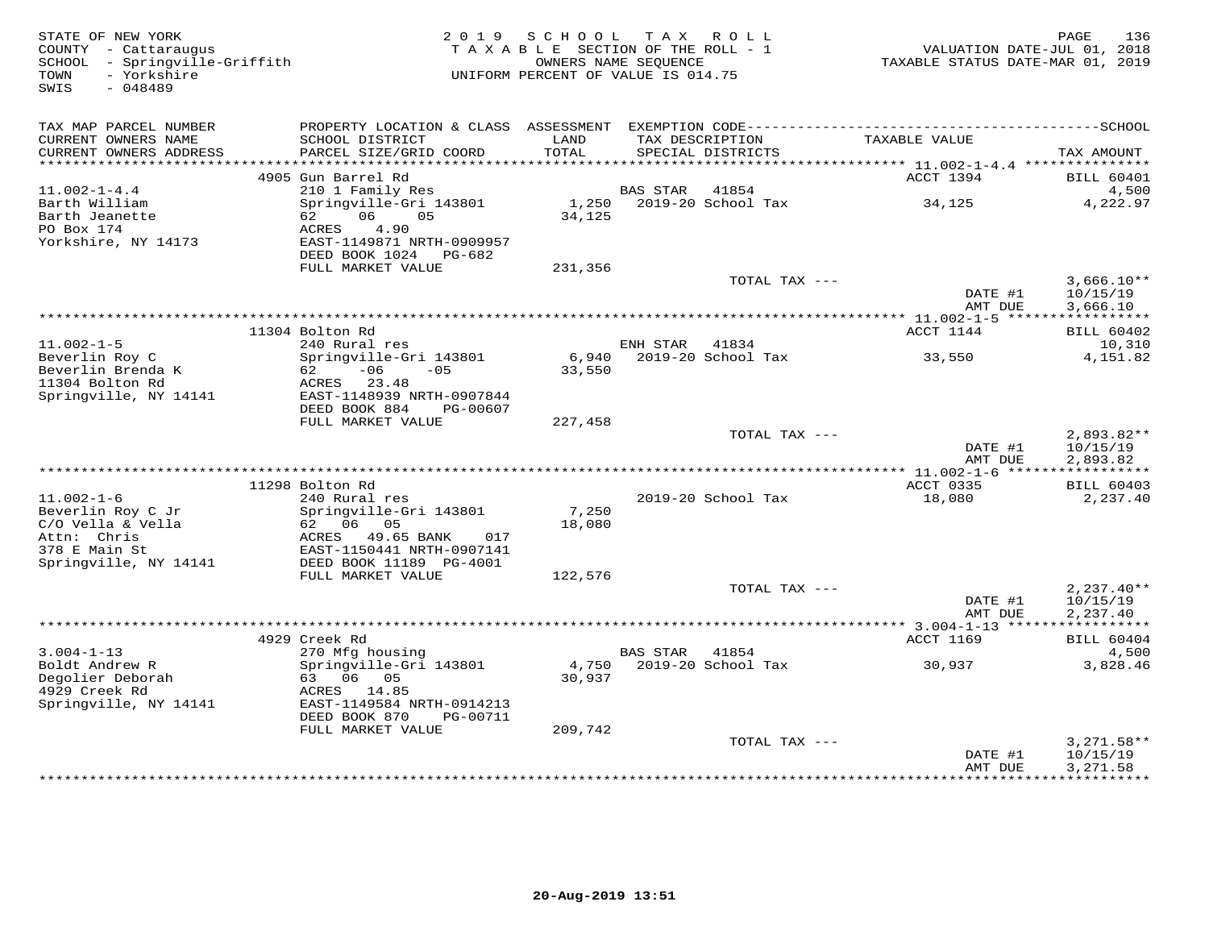| STATE OF NEW YORK<br>COUNTY - Cattaraugus                                 | 2 0 1 9                                            | SCHOOL<br>TAXABLE SECTION OF THE ROLL - 1                  |                 | TAX ROLL                             | VALUATION DATE-JUL 01, 2018             | PAGE<br>136                |
|---------------------------------------------------------------------------|----------------------------------------------------|------------------------------------------------------------|-----------------|--------------------------------------|-----------------------------------------|----------------------------|
| SCHOOL - Springville-Griffith<br>- Yorkshire<br>TOWN<br>SWIS<br>$-048489$ |                                                    | OWNERS NAME SEQUENCE<br>UNIFORM PERCENT OF VALUE IS 014.75 |                 |                                      | TAXABLE STATUS DATE-MAR 01, 2019        |                            |
| TAX MAP PARCEL NUMBER                                                     |                                                    |                                                            |                 |                                      |                                         |                            |
| CURRENT OWNERS NAME<br>CURRENT OWNERS ADDRESS                             | SCHOOL DISTRICT<br>PARCEL SIZE/GRID COORD          | LAND<br>TOTAL                                              |                 | TAX DESCRIPTION<br>SPECIAL DISTRICTS | TAXABLE VALUE                           | TAX AMOUNT                 |
| **********************                                                    |                                                    |                                                            |                 |                                      |                                         |                            |
| $11.002 - 1 - 4.4$                                                        | 4905 Gun Barrel Rd<br>210 1 Family Res             |                                                            | <b>BAS STAR</b> | 41854                                | ACCT 1394                               | <b>BILL 60401</b><br>4,500 |
| Barth William                                                             | Springville-Gri 143801                             | 1,250                                                      |                 | 2019-20 School Tax                   | 34,125                                  | 4,222.97                   |
| Barth Jeanette<br>PO Box 174                                              | 06<br>05<br>62<br>4.90<br>ACRES                    | 34,125                                                     |                 |                                      |                                         |                            |
| Yorkshire, NY 14173                                                       | EAST-1149871 NRTH-0909957<br>DEED BOOK 1024 PG-682 |                                                            |                 |                                      |                                         |                            |
|                                                                           | FULL MARKET VALUE                                  | 231,356                                                    |                 |                                      |                                         |                            |
|                                                                           |                                                    |                                                            |                 | TOTAL TAX ---                        | DATE #1                                 | $3,666.10**$<br>10/15/19   |
|                                                                           |                                                    |                                                            |                 |                                      | AMT DUE<br>********** 11.002-1-5 ****** | 3,666.10<br>***********    |
|                                                                           | 11304 Bolton Rd                                    |                                                            |                 |                                      | ACCT 1144                               | <b>BILL 60402</b>          |
| $11.002 - 1 - 5$                                                          | 240 Rural res                                      |                                                            | ENH STAR        | 41834                                |                                         | 10,310                     |
| Beverlin Roy C                                                            | Springville-Gri 143801                             | 6,940                                                      |                 | 2019-20 School Tax                   | 33,550                                  | 4,151.82                   |
| Beverlin Brenda K                                                         | $-06$<br>$-05$<br>62 —                             | 33,550                                                     |                 |                                      |                                         |                            |
| 11304 Bolton Rd                                                           | ACRES 23.48<br>EAST-1148939 NRTH-0907844           |                                                            |                 |                                      |                                         |                            |
| Springville, NY 14141                                                     | DEED BOOK 884<br>PG-00607                          |                                                            |                 |                                      |                                         |                            |
|                                                                           | FULL MARKET VALUE                                  | 227,458                                                    |                 |                                      |                                         |                            |
|                                                                           |                                                    |                                                            |                 | TOTAL TAX ---                        |                                         | 2,893.82**                 |
|                                                                           |                                                    |                                                            |                 |                                      | DATE #1                                 | 10/15/19                   |
|                                                                           |                                                    |                                                            |                 |                                      | AMT DUE                                 | 2,893.82                   |
|                                                                           | 11298 Bolton Rd                                    |                                                            |                 |                                      | ACCT 0335                               | <b>BILL 60403</b>          |
| $11.002 - 1 - 6$                                                          | 240 Rural res                                      |                                                            |                 | 2019-20 School Tax                   | 18,080                                  | 2,237.40                   |
| Beverlin Roy C Jr                                                         | Springville-Gri 143801                             | 7,250                                                      |                 |                                      |                                         |                            |
| C/O Vella & Vella                                                         | 62 06 05                                           | 18,080                                                     |                 |                                      |                                         |                            |
| Attn: Chris                                                               | ACRES<br>49.65 BANK<br>017                         |                                                            |                 |                                      |                                         |                            |
| 378 E Main St                                                             | EAST-1150441 NRTH-0907141                          |                                                            |                 |                                      |                                         |                            |
| Springville, NY 14141                                                     | DEED BOOK 11189 PG-4001<br>FULL MARKET VALUE       | 122,576                                                    |                 |                                      |                                         |                            |
|                                                                           |                                                    |                                                            |                 | TOTAL TAX ---                        |                                         | $2,237.40**$               |
|                                                                           |                                                    |                                                            |                 |                                      | DATE #1                                 | 10/15/19                   |
|                                                                           |                                                    |                                                            |                 |                                      | AMT DUE                                 | 2,237.40                   |
|                                                                           |                                                    |                                                            |                 |                                      | ********** 3.004-1-13 ******            | ***********                |
| $3.004 - 1 - 13$                                                          | 4929 Creek Rd<br>270 Mfg housing                   |                                                            | <b>BAS STAR</b> | 41854                                | ACCT 1169                               | <b>BILL 60404</b><br>4,500 |
| Boldt Andrew R                                                            | Springville-Gri 143801                             | 4,750                                                      |                 | 2019-20 School Tax                   | 30,937                                  | 3,828.46                   |
| Degolier Deborah                                                          | 63 06 05                                           | 30,937                                                     |                 |                                      |                                         |                            |
| 4929 Creek Rd                                                             | ACRES 14.85                                        |                                                            |                 |                                      |                                         |                            |
| Springville, NY 14141                                                     | EAST-1149584 NRTH-0914213                          |                                                            |                 |                                      |                                         |                            |
|                                                                           | DEED BOOK 870<br>PG-00711                          |                                                            |                 |                                      |                                         |                            |
|                                                                           | FULL MARKET VALUE                                  | 209,742                                                    |                 | TOTAL TAX ---                        |                                         | $3,271.58**$               |
|                                                                           |                                                    |                                                            |                 |                                      | DATE #1                                 | 10/15/19                   |
|                                                                           |                                                    |                                                            |                 |                                      | AMT DUE                                 | 3,271.58                   |
|                                                                           |                                                    |                                                            |                 |                                      |                                         | <b>++++++++++</b>          |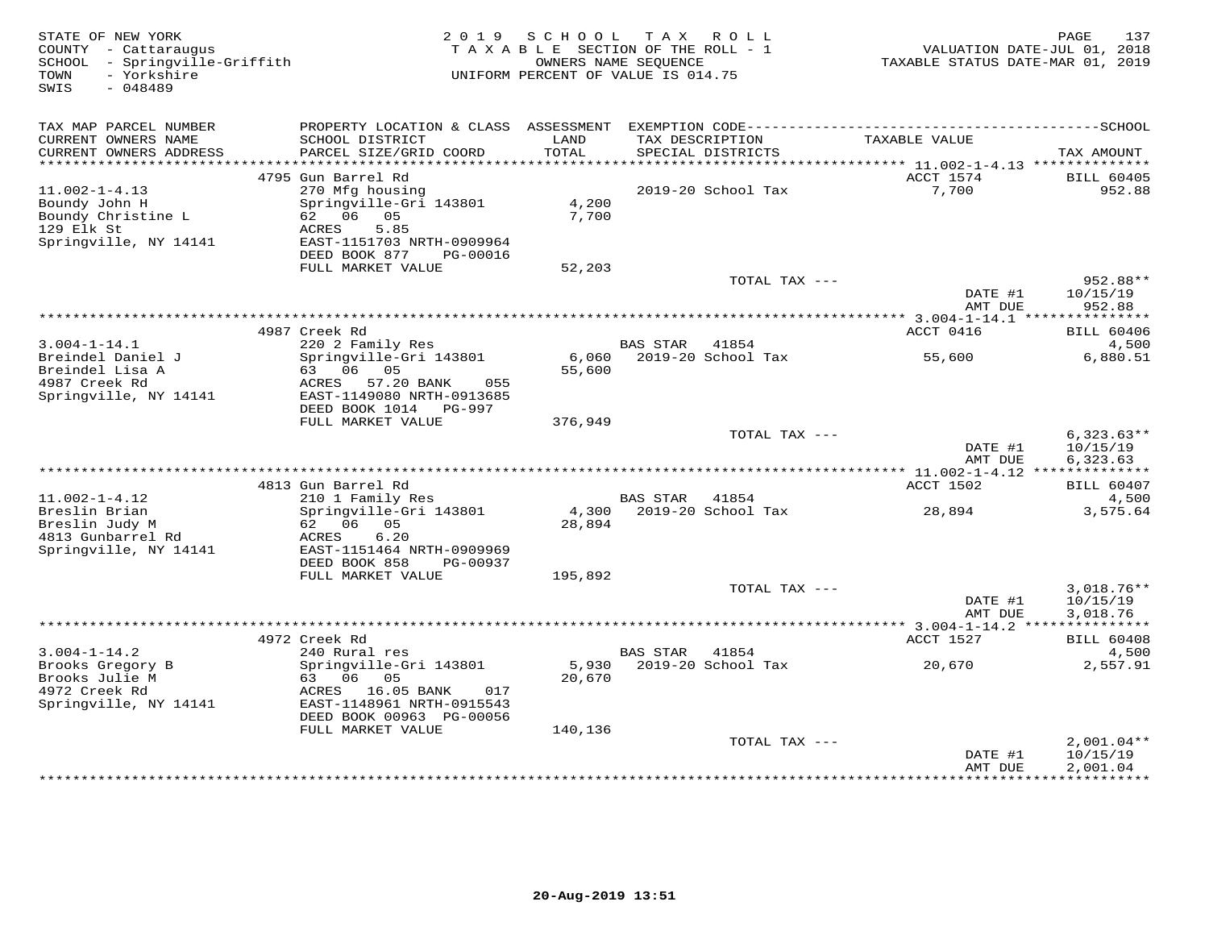| STATE OF NEW YORK<br>COUNTY - Cattaraugus<br>- Springville-Griffith<br>SCHOOL<br>- Yorkshire<br>TOWN<br>$-048489$<br>SWIS | 2 0 1 9<br>TAXABLE SECTION OF THE ROLL - 1<br>UNIFORM PERCENT OF VALUE IS 014.75 | 137<br>PAGE<br>VALUATION DATE-JUL 01, 2018<br>TAXABLE STATUS DATE-MAR 01, 2019 |                                      |               |                                                     |                                 |
|---------------------------------------------------------------------------------------------------------------------------|----------------------------------------------------------------------------------|--------------------------------------------------------------------------------|--------------------------------------|---------------|-----------------------------------------------------|---------------------------------|
| TAX MAP PARCEL NUMBER                                                                                                     |                                                                                  |                                                                                |                                      |               |                                                     |                                 |
| CURRENT OWNERS NAME<br>CURRENT OWNERS ADDRESS                                                                             | SCHOOL DISTRICT<br>PARCEL SIZE/GRID COORD                                        | LAND<br>TOTAL                                                                  | TAX DESCRIPTION<br>SPECIAL DISTRICTS |               | TAXABLE VALUE                                       | TAX AMOUNT                      |
| ************************                                                                                                  | 4795 Gun Barrel Rd                                                               |                                                                                |                                      |               | ACCT 1574                                           | <b>BILL 60405</b>               |
| $11.002 - 1 - 4.13$                                                                                                       | 270 Mfg housing                                                                  |                                                                                | 2019-20 School Tax                   |               | 7,700                                               | 952.88                          |
| Boundy John H                                                                                                             | Springville-Gri 143801                                                           | 4,200                                                                          |                                      |               |                                                     |                                 |
| Boundy Christine L                                                                                                        | 62 06<br>05                                                                      | 7,700                                                                          |                                      |               |                                                     |                                 |
| 129 Elk St                                                                                                                | ACRES<br>5.85                                                                    |                                                                                |                                      |               |                                                     |                                 |
| Springville, NY 14141                                                                                                     | EAST-1151703 NRTH-0909964<br>DEED BOOK 877<br>PG-00016                           |                                                                                |                                      |               |                                                     |                                 |
|                                                                                                                           | FULL MARKET VALUE                                                                | 52,203                                                                         |                                      |               |                                                     |                                 |
|                                                                                                                           |                                                                                  |                                                                                |                                      | TOTAL TAX --- |                                                     | 952.88**                        |
|                                                                                                                           |                                                                                  |                                                                                |                                      |               | DATE #1<br>AMT DUE                                  | 10/15/19<br>952.88              |
|                                                                                                                           |                                                                                  |                                                                                |                                      |               |                                                     |                                 |
| $3.004 - 1 - 14.1$                                                                                                        | 4987 Creek Rd<br>220 2 Family Res                                                |                                                                                | <b>BAS STAR</b>                      | 41854         | ACCT 0416                                           | <b>BILL 60406</b><br>4,500      |
| Breindel Daniel J                                                                                                         | Springville-Gri 143801                                                           | 6,060                                                                          | 2019-20 School Tax                   |               | 55,600                                              | 6,880.51                        |
| Breindel Lisa A                                                                                                           | 63 06 05                                                                         | 55,600                                                                         |                                      |               |                                                     |                                 |
| 4987 Creek Rd<br>Springville, NY 14141                                                                                    | ACRES 57.20 BANK<br>055<br>EAST-1149080 NRTH-0913685                             |                                                                                |                                      |               |                                                     |                                 |
|                                                                                                                           | DEED BOOK 1014 PG-997                                                            |                                                                                |                                      |               |                                                     |                                 |
|                                                                                                                           | FULL MARKET VALUE                                                                | 376,949                                                                        |                                      |               |                                                     |                                 |
|                                                                                                                           |                                                                                  |                                                                                |                                      | TOTAL TAX --- |                                                     | $6,323.63**$                    |
|                                                                                                                           |                                                                                  |                                                                                |                                      |               | DATE #1                                             | 10/15/19                        |
|                                                                                                                           |                                                                                  |                                                                                |                                      |               | AMT DUE<br>*********** 11.002-1-4.12 ************** | 6,323.63                        |
|                                                                                                                           | 4813 Gun Barrel Rd                                                               |                                                                                |                                      |               | ACCT 1502                                           | <b>BILL 60407</b>               |
| $11.002 - 1 - 4.12$                                                                                                       | 210 1 Family Res                                                                 |                                                                                | BAS STAR                             | 41854         |                                                     | 4,500                           |
| Breslin Brian                                                                                                             | Springville-Gri 143801                                                           | 4,300                                                                          | 2019-20 School Tax                   |               | 28,894                                              | 3,575.64                        |
| Breslin Judy M                                                                                                            | 62 06 05                                                                         | 28,894                                                                         |                                      |               |                                                     |                                 |
| 4813 Gunbarrel Rd                                                                                                         | 6.20<br>ACRES                                                                    |                                                                                |                                      |               |                                                     |                                 |
| Springville, NY 14141                                                                                                     | EAST-1151464 NRTH-0909969<br>DEED BOOK 858<br>PG-00937                           |                                                                                |                                      |               |                                                     |                                 |
|                                                                                                                           | FULL MARKET VALUE                                                                | 195,892                                                                        |                                      |               |                                                     |                                 |
|                                                                                                                           |                                                                                  |                                                                                |                                      | TOTAL TAX --- |                                                     | $3,018.76**$                    |
|                                                                                                                           |                                                                                  |                                                                                |                                      |               | DATE #1                                             | 10/15/19                        |
|                                                                                                                           |                                                                                  |                                                                                |                                      |               | AMT DUE                                             | 3,018.76                        |
|                                                                                                                           | 4972 Creek Rd                                                                    |                                                                                |                                      |               | ACCT 1527                                           | <b>BILL 60408</b>               |
| $3.004 - 1 - 14.2$                                                                                                        | 240 Rural res                                                                    |                                                                                | <b>BAS STAR</b>                      | 41854         |                                                     | 4,500                           |
| Brooks Gregory B                                                                                                          | Springville-Gri 143801                                                           | 5,930                                                                          | 2019-20 School Tax                   |               | 20,670                                              | 2,557.91                        |
| Brooks Julie M                                                                                                            | 63 06<br>05                                                                      | 20,670                                                                         |                                      |               |                                                     |                                 |
| 4972 Creek Rd                                                                                                             | ACRES<br>16.05 BANK<br>017                                                       |                                                                                |                                      |               |                                                     |                                 |
| Springville, NY 14141                                                                                                     | EAST-1148961 NRTH-0915543                                                        |                                                                                |                                      |               |                                                     |                                 |
|                                                                                                                           | DEED BOOK 00963 PG-00056<br>FULL MARKET VALUE                                    | 140,136                                                                        |                                      |               |                                                     |                                 |
|                                                                                                                           |                                                                                  |                                                                                |                                      | TOTAL TAX --- |                                                     | $2,001.04**$                    |
|                                                                                                                           |                                                                                  |                                                                                |                                      |               | DATE #1                                             | 10/15/19                        |
|                                                                                                                           |                                                                                  |                                                                                |                                      |               | AMT DUE                                             | 2,001.04<br>+ + + + + + + + + + |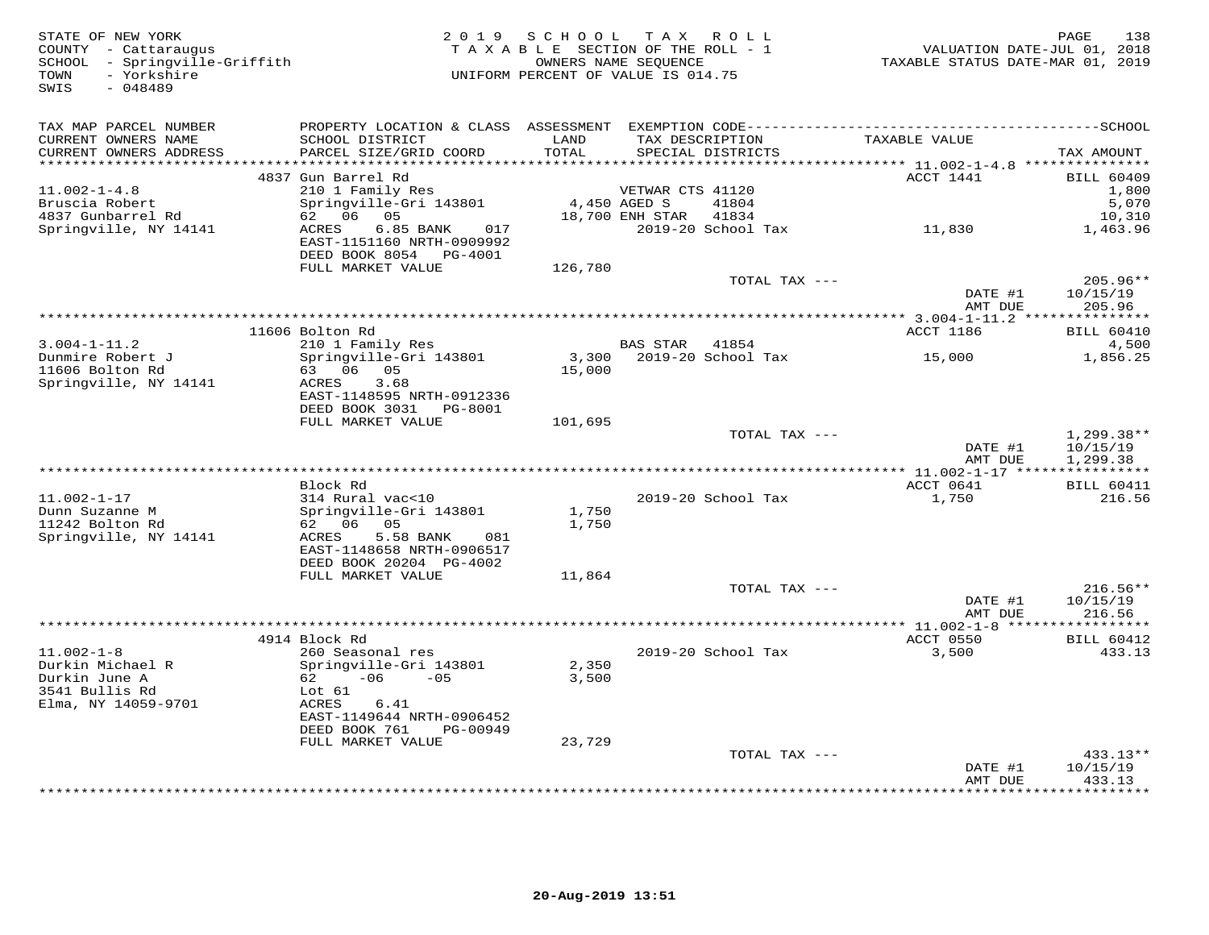| STATE OF NEW YORK<br>COUNTY - Cattaraugus<br>SCHOOL - Springville-Griffith<br>- Yorkshire<br>TOWN<br>$-048489$<br>SWIS |                                                                                                                                           | 2019 SCHOOL TAX ROLL<br>TAXABLE SECTION OF THE ROLL - 1<br>UNIFORM PERCENT OF VALUE IS 014.75 | OWNERS NAME SEQUENCE |                                      | VALUATION DATE-JUL 01, 2018<br>TAXABLE STATUS DATE-MAR 01, 2019 | PAGE<br>138                          |
|------------------------------------------------------------------------------------------------------------------------|-------------------------------------------------------------------------------------------------------------------------------------------|-----------------------------------------------------------------------------------------------|----------------------|--------------------------------------|-----------------------------------------------------------------|--------------------------------------|
| TAX MAP PARCEL NUMBER<br>CURRENT OWNERS NAME<br>CURRENT OWNERS ADDRESS<br>**********************                       | PROPERTY LOCATION & CLASS ASSESSMENT EXEMPTION CODE-----------------------------------SCHOOL<br>SCHOOL DISTRICT<br>PARCEL SIZE/GRID COORD | LAND<br>TOTAL                                                                                 |                      | TAX DESCRIPTION<br>SPECIAL DISTRICTS | TAXABLE VALUE                                                   | TAX AMOUNT                           |
|                                                                                                                        | 4837 Gun Barrel Rd                                                                                                                        |                                                                                               |                      |                                      | ACCT 1441                                                       | <b>BILL 60409</b>                    |
| $11.002 - 1 - 4.8$                                                                                                     | 210 1 Family Res                                                                                                                          |                                                                                               | VETWAR CTS 41120     |                                      |                                                                 | 1,800                                |
| Bruscia Robert                                                                                                         | Springville-Gri 143801                                                                                                                    | 4,450 AGED S                                                                                  |                      | 41804                                |                                                                 | 5,070                                |
| 4837 Gunbarrel Rd<br>Springville, NY 14141                                                                             | 62 06 05<br>ACRES<br>6.85 BANK<br>017<br>EAST-1151160 NRTH-0909992<br>DEED BOOK 8054 PG-4001                                              |                                                                                               | 18,700 ENH STAR      | 41834<br>2019-20 School Tax          | 11,830                                                          | 10,310<br>1,463.96                   |
|                                                                                                                        | FULL MARKET VALUE                                                                                                                         | 126,780                                                                                       |                      |                                      |                                                                 |                                      |
|                                                                                                                        |                                                                                                                                           |                                                                                               |                      | TOTAL TAX ---                        | DATE #1<br>AMT DUE                                              | $205.96**$<br>10/15/19<br>205.96     |
|                                                                                                                        |                                                                                                                                           |                                                                                               |                      |                                      |                                                                 |                                      |
|                                                                                                                        | 11606 Bolton Rd                                                                                                                           |                                                                                               |                      |                                      | ACCT 1186                                                       | <b>BILL 60410</b>                    |
| $3.004 - 1 - 11.2$                                                                                                     | 210 1 Family Res                                                                                                                          |                                                                                               | BAS STAR 41854       |                                      |                                                                 | 4,500                                |
| Dunmire Robert J<br>11606 Bolton Rd                                                                                    | Springville-Gri 143801<br>63 06 05                                                                                                        | 15,000                                                                                        |                      | 3,300 2019-20 School Tax             | 15,000                                                          | 1,856.25                             |
| Springville, NY 14141                                                                                                  | ACRES<br>3.68<br>EAST-1148595 NRTH-0912336<br>DEED BOOK 3031 PG-8001                                                                      |                                                                                               |                      |                                      |                                                                 |                                      |
|                                                                                                                        | FULL MARKET VALUE                                                                                                                         | 101,695                                                                                       |                      |                                      |                                                                 |                                      |
|                                                                                                                        |                                                                                                                                           |                                                                                               |                      | TOTAL TAX ---                        | DATE #1<br>AMT DUE                                              | $1,299.38**$<br>10/15/19<br>1,299.38 |
|                                                                                                                        |                                                                                                                                           |                                                                                               |                      |                                      |                                                                 |                                      |
|                                                                                                                        | Block Rd                                                                                                                                  |                                                                                               |                      |                                      | ACCT 0641                                                       | <b>BILL 60411</b>                    |
| $11.002 - 1 - 17$                                                                                                      | 314 Rural vac<10                                                                                                                          |                                                                                               |                      | 2019-20 School Tax                   | 1,750                                                           | 216.56                               |
| Dunn Suzanne M                                                                                                         | Springville-Gri 143801                                                                                                                    | 1,750                                                                                         |                      |                                      |                                                                 |                                      |
| 11242 Bolton Rd                                                                                                        | 62 06 05                                                                                                                                  | 1,750                                                                                         |                      |                                      |                                                                 |                                      |
| Springville, NY 14141                                                                                                  | ACRES<br>5.58 BANK<br>081<br>EAST-1148658 NRTH-0906517<br>DEED BOOK 20204 PG-4002                                                         |                                                                                               |                      |                                      |                                                                 |                                      |
|                                                                                                                        | FULL MARKET VALUE                                                                                                                         | 11,864                                                                                        |                      |                                      |                                                                 |                                      |
|                                                                                                                        |                                                                                                                                           |                                                                                               |                      | TOTAL TAX ---                        |                                                                 | $216.56**$                           |
|                                                                                                                        |                                                                                                                                           |                                                                                               |                      |                                      | DATE #1<br>AMT DUE                                              | 10/15/19<br>216.56                   |
|                                                                                                                        |                                                                                                                                           |                                                                                               |                      |                                      |                                                                 |                                      |
|                                                                                                                        | 4914 Block Rd                                                                                                                             |                                                                                               |                      |                                      | ACCT 0550                                                       | <b>BILL 60412</b>                    |
| $11.002 - 1 - 8$                                                                                                       | 260 Seasonal res                                                                                                                          |                                                                                               |                      | 2019-20 School Tax                   | 3,500                                                           | 433.13                               |
| Durkin Michael R<br>Durkin June A                                                                                      | Springville-Gri 143801<br>$62 -06 -05$                                                                                                    | 2,350<br>3,500                                                                                |                      |                                      |                                                                 |                                      |
| 3541 Bullis Rd                                                                                                         | Lot 61                                                                                                                                    |                                                                                               |                      |                                      |                                                                 |                                      |
| Elma, NY 14059-9701                                                                                                    | ACRES<br>6.41                                                                                                                             |                                                                                               |                      |                                      |                                                                 |                                      |
|                                                                                                                        | EAST-1149644 NRTH-0906452<br>DEED BOOK 761<br>PG-00949                                                                                    |                                                                                               |                      |                                      |                                                                 |                                      |
|                                                                                                                        | FULL MARKET VALUE                                                                                                                         | 23,729                                                                                        |                      |                                      |                                                                 |                                      |
|                                                                                                                        |                                                                                                                                           |                                                                                               |                      | TOTAL TAX ---                        |                                                                 | 433.13**                             |
|                                                                                                                        |                                                                                                                                           |                                                                                               |                      |                                      | DATE #1<br>AMT DUE                                              | 10/15/19<br>433.13                   |
|                                                                                                                        |                                                                                                                                           |                                                                                               |                      |                                      |                                                                 | ********                             |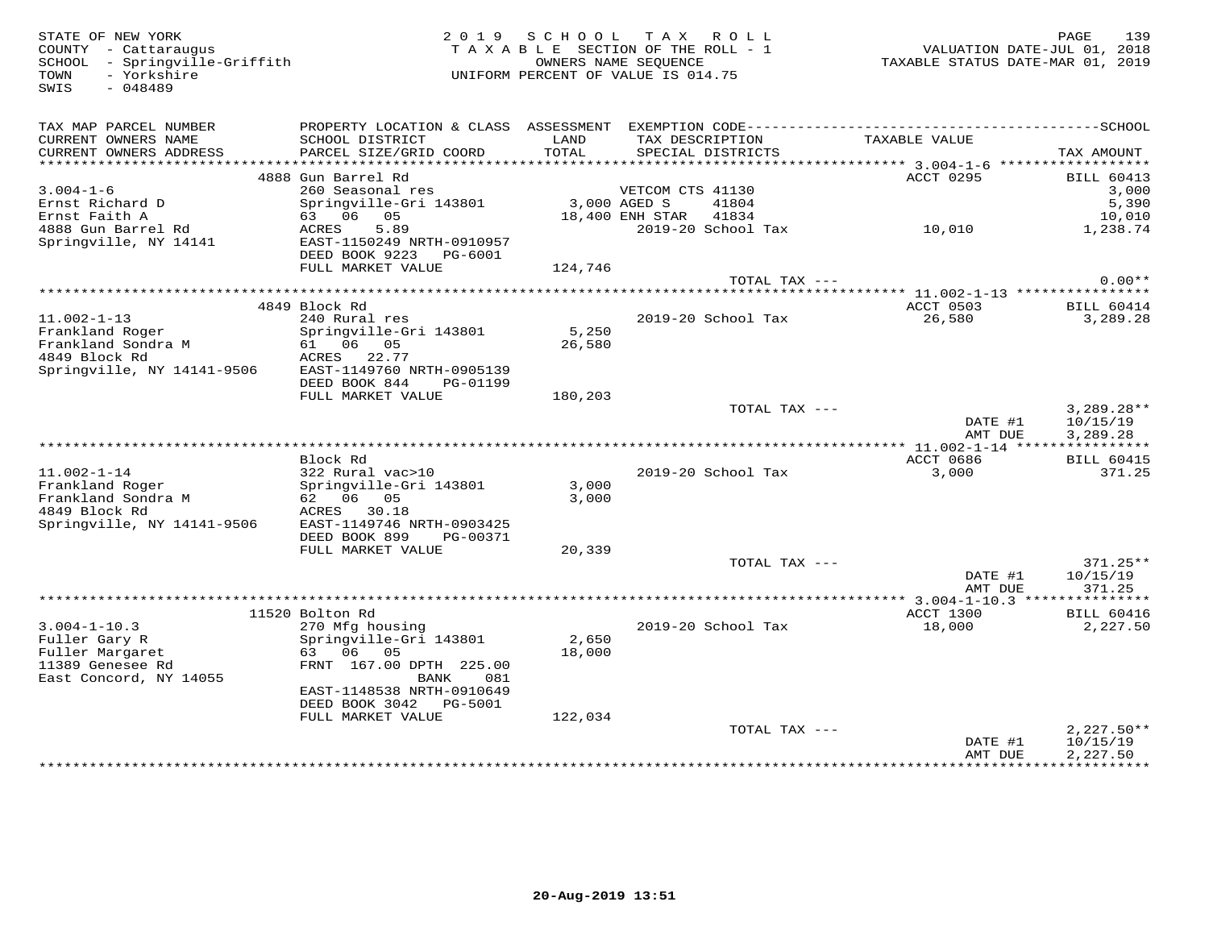SWIS - 048489

STATE OF NEW YORK 2 0 1 9 S C H O O L T A X R O L L PAGE 139 COUNTY - Cattaraugus T A X A B L E SECTION OF THE ROLL - 1 VALUATION DATE-JUL 01, 2018 SCHOOL - Springville-Griffith OWNERS NAME SEQUENCE TAXABLE STATUS DATE-MAR 01, 2019 TOWN - Yorkshire UNIFORM PERCENT OF VALUE IS 014.75

| TAX MAP PARCEL NUMBER                 |                                    |                 |                          |               |                                            |
|---------------------------------------|------------------------------------|-----------------|--------------------------|---------------|--------------------------------------------|
| CURRENT OWNERS NAME                   | SCHOOL DISTRICT                    | LAND            | TAX DESCRIPTION          | TAXABLE VALUE |                                            |
| CURRENT OWNERS ADDRESS                | PARCEL SIZE/GRID COORD             | TOTAL           | SPECIAL DISTRICTS        |               | TAX AMOUNT                                 |
| ***********************               |                                    |                 |                          |               |                                            |
|                                       | 4888 Gun Barrel Rd                 |                 |                          | ACCT 0295     | <b>BILL 60413</b>                          |
| $3.004 - 1 - 6$                       | 260 Seasonal res                   |                 | VETCOM CTS 41130         |               | 3,000                                      |
| Ernst Richard D                       | Springville-Gri 143801             | 3,000 AGED S    | 41804                    |               | 5,390                                      |
| Ernst Faith A                         | 63 06 05                           |                 | 18,400 ENH STAR<br>41834 |               | 10,010                                     |
| 4888 Gun Barrel Rd                    | 5.89<br>ACRES                      |                 | 2019-20 School Tax       | 10,010        | 1,238.74                                   |
| Springville, NY 14141                 | EAST-1150249 NRTH-0910957          |                 |                          |               |                                            |
|                                       | DEED BOOK 9223<br>PG-6001          |                 |                          |               |                                            |
|                                       | FULL MARKET VALUE                  | 124,746         |                          |               |                                            |
|                                       |                                    |                 |                          | TOTAL TAX --- | $0.00**$                                   |
|                                       |                                    |                 |                          |               |                                            |
| $11.002 - 1 - 13$                     | 4849 Block Rd                      |                 |                          | ACCT 0503     | <b>BILL 60414</b>                          |
|                                       | 240 Rural res                      |                 | 2019-20 School Tax       | 26,580        | 3,289.28                                   |
| Frankland Roger<br>Frankland Sondra M | Springville-Gri 143801<br>61 06 05 | 5,250<br>26,580 |                          |               |                                            |
| 4849 Block Rd                         | ACRES<br>22.77                     |                 |                          |               |                                            |
| Springville, NY 14141-9506            | EAST-1149760 NRTH-0905139          |                 |                          |               |                                            |
|                                       | DEED BOOK 844<br>PG-01199          |                 |                          |               |                                            |
|                                       | FULL MARKET VALUE                  | 180,203         |                          |               |                                            |
|                                       |                                    |                 |                          | TOTAL TAX --- | $3,289.28**$                               |
|                                       |                                    |                 |                          |               | DATE #1<br>10/15/19                        |
|                                       |                                    |                 |                          |               | AMT DUE<br>3,289.28                        |
|                                       |                                    |                 |                          |               |                                            |
|                                       | Block Rd                           |                 |                          | ACCT 0686     | <b>BILL 60415</b>                          |
| $11.002 - 1 - 14$                     | 322 Rural vac>10                   |                 | 2019-20 School Tax       |               | 3,000<br>371.25                            |
| Frankland Roger                       | Springville-Gri 143801             | 3,000           |                          |               |                                            |
| Frankland Sondra M                    | 62 06 05                           | 3,000           |                          |               |                                            |
| 4849 Block Rd                         | ACRES 30.18                        |                 |                          |               |                                            |
| Springville, NY 14141-9506            | EAST-1149746 NRTH-0903425          |                 |                          |               |                                            |
|                                       | DEED BOOK 899<br>PG-00371          |                 |                          |               |                                            |
|                                       |                                    |                 |                          |               |                                            |
|                                       | FULL MARKET VALUE                  | 20,339          |                          |               |                                            |
|                                       |                                    |                 |                          | TOTAL TAX --- | $371.25**$                                 |
|                                       |                                    |                 |                          |               | DATE #1<br>10/15/19                        |
|                                       |                                    |                 |                          |               | AMT DUE<br>371.25                          |
|                                       |                                    |                 |                          |               |                                            |
|                                       | 11520 Bolton Rd                    |                 |                          | ACCT 1300     | <b>BILL 60416</b>                          |
| $3.004 - 1 - 10.3$                    | 270 Mfg housing                    |                 | 2019-20 School Tax       | 18,000        | 2,227.50                                   |
| Fuller Gary R                         | Springville-Gri 143801             | 2,650           |                          |               |                                            |
| Fuller Margaret                       | 63 06<br>05                        | 18,000          |                          |               |                                            |
| 11389 Genesee Rd                      | FRNT 167.00 DPTH 225.00            |                 |                          |               |                                            |
| East Concord, NY 14055                | 081<br>BANK                        |                 |                          |               |                                            |
|                                       | EAST-1148538 NRTH-0910649          |                 |                          |               |                                            |
|                                       | DEED BOOK 3042 PG-5001             |                 |                          |               |                                            |
|                                       | FULL MARKET VALUE                  | 122,034         |                          |               |                                            |
|                                       |                                    |                 |                          | TOTAL TAX --- | $2,227.50**$                               |
|                                       |                                    |                 |                          |               | 10/15/19<br>DATE #1<br>2,227.50<br>AMT DUE |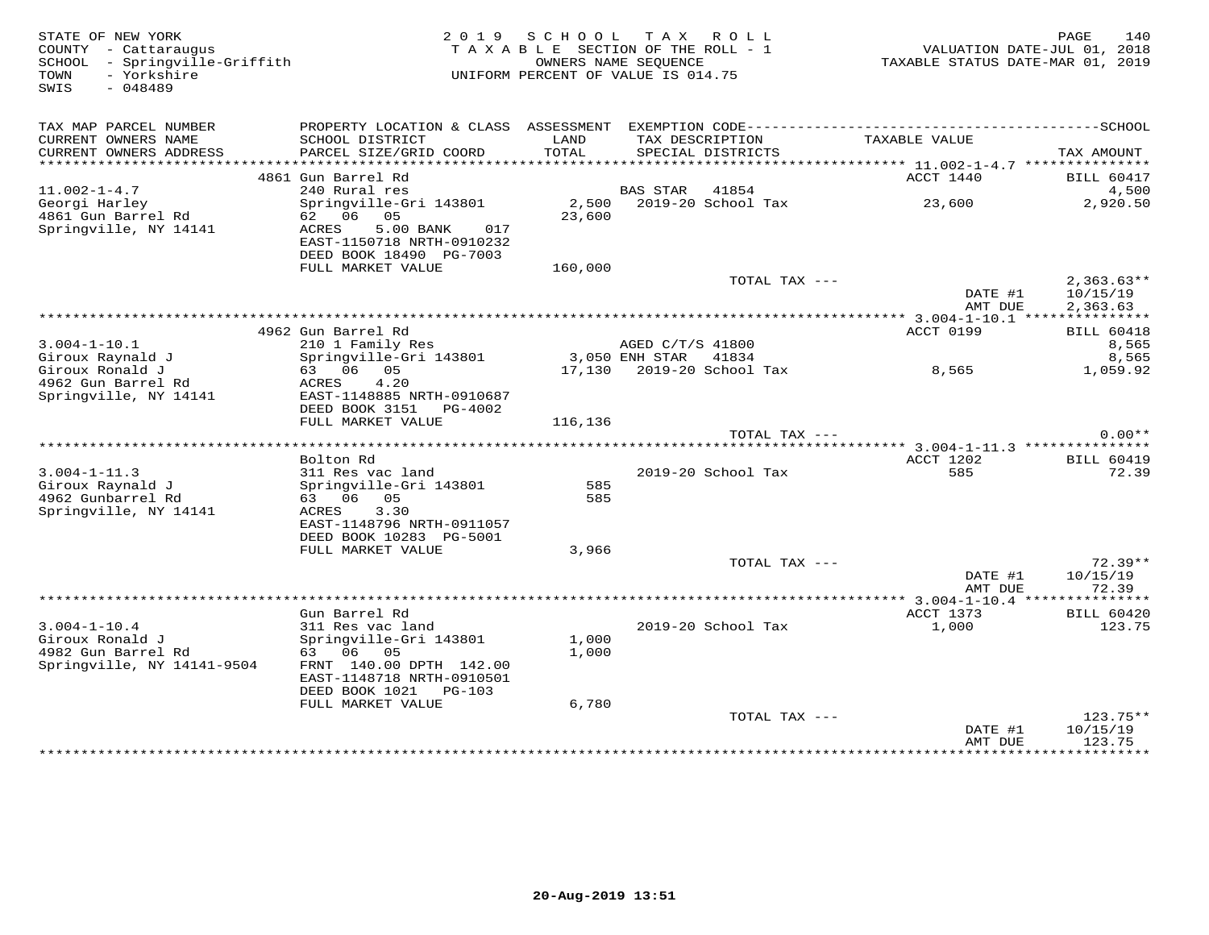| STATE OF NEW YORK<br>COUNTY - Cattaraugus<br>SCHOOL - Springville-Griffith<br>- Yorkshire<br>TOWN<br>$-048489$<br>SWIS |                                    | 2019 SCHOOL TAX ROLL<br>TAXABLE SECTION OF THE ROLL - 1<br>UNIFORM PERCENT OF VALUE IS 014.75 | OWNERS NAME SEOUENCE |                          | VALUATION DATE-JUL 01, 2018<br>TAXABLE STATUS DATE-MAR 01, 2019 | 140<br>PAGE                 |
|------------------------------------------------------------------------------------------------------------------------|------------------------------------|-----------------------------------------------------------------------------------------------|----------------------|--------------------------|-----------------------------------------------------------------|-----------------------------|
|                                                                                                                        |                                    |                                                                                               |                      |                          |                                                                 |                             |
| TAX MAP PARCEL NUMBER<br>CURRENT OWNERS NAME                                                                           | SCHOOL DISTRICT                    | LAND                                                                                          |                      | TAX DESCRIPTION          | TAXABLE VALUE                                                   |                             |
| CURRENT OWNERS ADDRESS                                                                                                 | PARCEL SIZE/GRID COORD             | TOTAL                                                                                         |                      | SPECIAL DISTRICTS        |                                                                 | TAX AMOUNT                  |
|                                                                                                                        | 4861 Gun Barrel Rd                 |                                                                                               |                      |                          | ACCT 1440                                                       | <b>BILL 60417</b>           |
| $11.002 - 1 - 4.7$                                                                                                     | 240 Rural res                      |                                                                                               | <b>BAS STAR</b>      | 41854                    |                                                                 | 4,500                       |
| Georgi Harley                                                                                                          | Springville-Gri 143801             |                                                                                               |                      | 2,500 2019-20 School Tax | 23,600                                                          | 2,920.50                    |
| 4861 Gun Barrel Rd                                                                                                     | 62 06 05                           | 23,600                                                                                        |                      |                          |                                                                 |                             |
| Springville, NY 14141                                                                                                  | ACRES<br>5.00 BANK<br>017          |                                                                                               |                      |                          |                                                                 |                             |
|                                                                                                                        | EAST-1150718 NRTH-0910232          |                                                                                               |                      |                          |                                                                 |                             |
|                                                                                                                        | DEED BOOK 18490 PG-7003            |                                                                                               |                      |                          |                                                                 |                             |
|                                                                                                                        | FULL MARKET VALUE                  | 160,000                                                                                       |                      | TOTAL TAX ---            |                                                                 | $2,363.63**$                |
|                                                                                                                        |                                    |                                                                                               |                      |                          | DATE #1<br>AMT DUE                                              | 10/15/19<br>2,363.63        |
|                                                                                                                        |                                    |                                                                                               |                      |                          |                                                                 |                             |
|                                                                                                                        | 4962 Gun Barrel Rd                 |                                                                                               |                      |                          | ACCT 0199                                                       | <b>BILL 60418</b>           |
| $3.004 - 1 - 10.1$                                                                                                     | 210 1 Family Res                   |                                                                                               | AGED C/T/S 41800     |                          |                                                                 | 8,565                       |
| Giroux Raynald J                                                                                                       | Springville-Gri 143801             |                                                                                               | 3,050 ENH STAR 41834 |                          | 17,130 2019-20 School Tax 8,565                                 | 8,565                       |
| Giroux Ronald J<br>4962 Gun Barrel Rd                                                                                  | 63 06 05<br>4.20<br>ACRES          |                                                                                               |                      |                          |                                                                 | 1,059.92                    |
| Springville, NY 14141                                                                                                  | EAST-1148885 NRTH-0910687          |                                                                                               |                      |                          |                                                                 |                             |
|                                                                                                                        | DEED BOOK 3151 PG-4002             |                                                                                               |                      |                          |                                                                 |                             |
|                                                                                                                        | FULL MARKET VALUE                  | 116,136                                                                                       |                      |                          |                                                                 |                             |
|                                                                                                                        |                                    |                                                                                               |                      | TOTAL TAX ---            |                                                                 | $0.00**$                    |
|                                                                                                                        |                                    |                                                                                               |                      |                          |                                                                 |                             |
|                                                                                                                        | Bolton Rd                          |                                                                                               |                      |                          | ACCT 1202                                                       | <b>BILL 60419</b>           |
| $3.004 - 1 - 11.3$                                                                                                     | 311 Res vac land                   |                                                                                               |                      | 2019-20 School Tax       | 585                                                             | 72.39                       |
| Giroux Raynald J<br>4962 Gunbarrel Rd                                                                                  | Springville-Gri 143801<br>63 06 05 | 585<br>585                                                                                    |                      |                          |                                                                 |                             |
| Springville, NY 14141                                                                                                  | ACRES<br>3.30                      |                                                                                               |                      |                          |                                                                 |                             |
|                                                                                                                        | EAST-1148796 NRTH-0911057          |                                                                                               |                      |                          |                                                                 |                             |
|                                                                                                                        | DEED BOOK 10283 PG-5001            |                                                                                               |                      |                          |                                                                 |                             |
|                                                                                                                        | FULL MARKET VALUE                  | 3,966                                                                                         |                      |                          |                                                                 |                             |
|                                                                                                                        |                                    |                                                                                               |                      | TOTAL TAX ---            |                                                                 | $72.39**$                   |
|                                                                                                                        |                                    |                                                                                               |                      |                          | DATE #1                                                         | 10/15/19                    |
|                                                                                                                        |                                    |                                                                                               |                      |                          | AMT DUE                                                         | 72.39                       |
|                                                                                                                        |                                    |                                                                                               |                      |                          |                                                                 |                             |
| $3.004 - 1 - 10.4$                                                                                                     | Gun Barrel Rd<br>311 Res vac land  |                                                                                               |                      | 2019-20 School Tax       | ACCT 1373                                                       | <b>BILL 60420</b><br>123.75 |
| Giroux Ronald J                                                                                                        | Springville-Gri 143801             | 1,000                                                                                         |                      |                          | 1,000                                                           |                             |
| 4982 Gun Barrel Rd                                                                                                     | 63 06 05                           | 1,000                                                                                         |                      |                          |                                                                 |                             |
| Springville, NY 14141-9504                                                                                             | FRNT 140.00 DPTH 142.00            |                                                                                               |                      |                          |                                                                 |                             |
|                                                                                                                        | EAST-1148718 NRTH-0910501          |                                                                                               |                      |                          |                                                                 |                             |
|                                                                                                                        | DEED BOOK 1021 PG-103              |                                                                                               |                      |                          |                                                                 |                             |
|                                                                                                                        | FULL MARKET VALUE                  | 6,780                                                                                         |                      |                          |                                                                 |                             |
|                                                                                                                        |                                    |                                                                                               |                      | TOTAL TAX ---            |                                                                 | $123.75**$                  |
|                                                                                                                        |                                    |                                                                                               |                      |                          | DATE #1                                                         | 10/15/19                    |
|                                                                                                                        |                                    |                                                                                               |                      |                          | AMT DUE                                                         | 123.75<br>***********       |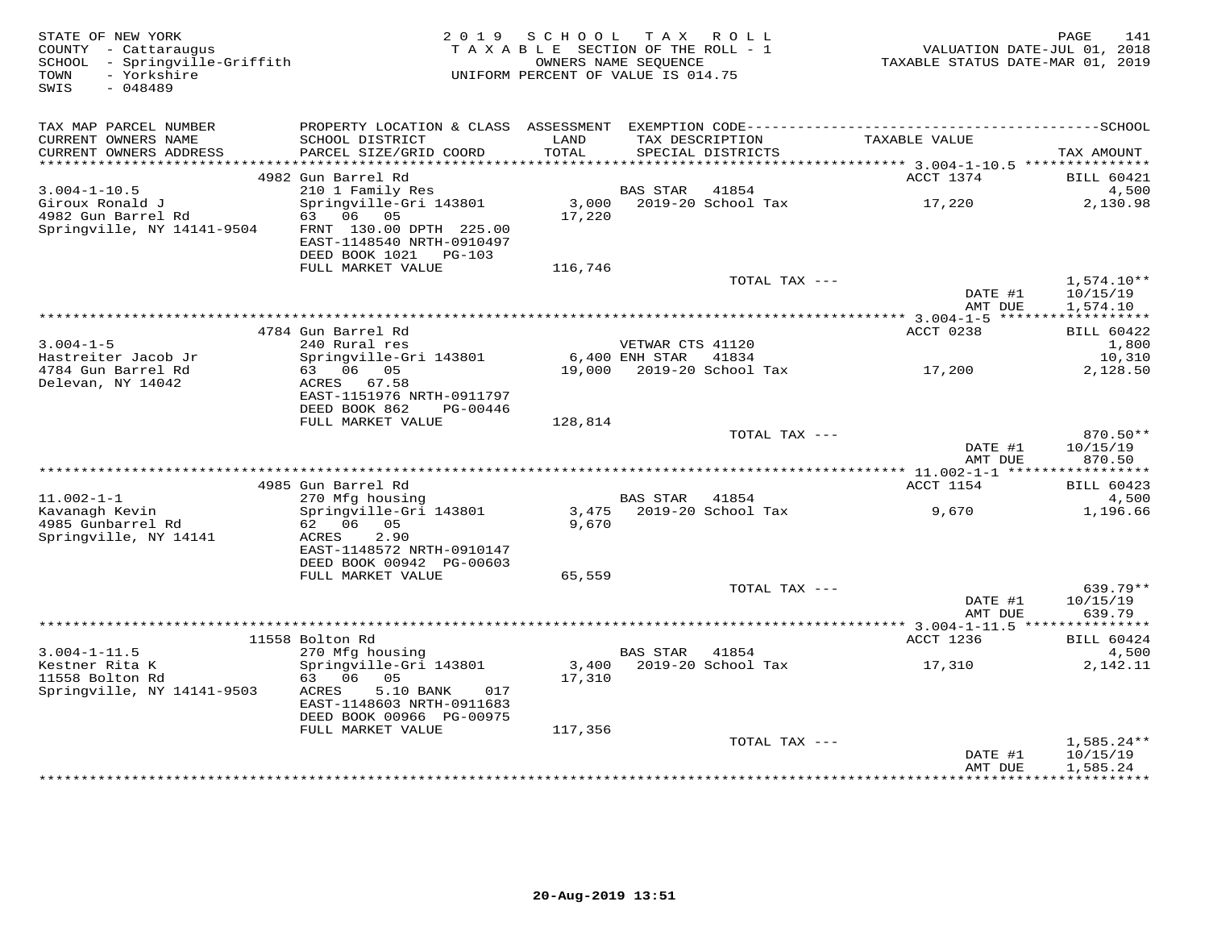| STATE OF NEW YORK<br>COUNTY - Cattaraugus<br>SCHOOL - Springville-Griffith<br>- Yorkshire<br>TOWN<br>SWIS<br>$-048489$ |                                                                                              | 2019 SCHOOL<br>TAXABLE SECTION OF THE ROLL - 1<br>OWNERS NAME SEOUENCE<br>UNIFORM PERCENT OF VALUE IS 014.75 |                      | TAX ROLL                             | VALUATION DATE-JUL 01, 2018<br>TAXABLE STATUS DATE-MAR 01, 2019 | PAGE                 | 141                        |
|------------------------------------------------------------------------------------------------------------------------|----------------------------------------------------------------------------------------------|--------------------------------------------------------------------------------------------------------------|----------------------|--------------------------------------|-----------------------------------------------------------------|----------------------|----------------------------|
| TAX MAP PARCEL NUMBER                                                                                                  | PROPERTY LOCATION & CLASS ASSESSMENT EXEMPTION CODE-----------------------------------SCHOOL |                                                                                                              |                      |                                      |                                                                 |                      |                            |
| CURRENT OWNERS NAME<br>CURRENT OWNERS ADDRESS                                                                          | SCHOOL DISTRICT<br>PARCEL SIZE/GRID COORD                                                    | LAND<br>TOTAL                                                                                                |                      | TAX DESCRIPTION<br>SPECIAL DISTRICTS | TAXABLE VALUE                                                   | TAX AMOUNT           |                            |
|                                                                                                                        |                                                                                              |                                                                                                              |                      |                                      |                                                                 |                      |                            |
| $3.004 - 1 - 10.5$                                                                                                     | 4982 Gun Barrel Rd<br>210 1 Family Res                                                       |                                                                                                              | <b>BAS STAR</b>      | 41854                                | ACCT 1374                                                       |                      | <b>BILL 60421</b><br>4,500 |
| Giroux Ronald J<br>4982 Gun Barrel Rd                                                                                  | Springville-Gri 143801<br>63 06 05                                                           | 3,000<br>17,220                                                                                              |                      | 2019-20 School Tax                   | 17,220                                                          |                      | 2,130.98                   |
| Springville, NY 14141-9504                                                                                             | FRNT 130.00 DPTH 225.00<br>EAST-1148540 NRTH-0910497<br>DEED BOOK 1021 PG-103                |                                                                                                              |                      |                                      |                                                                 |                      |                            |
|                                                                                                                        | FULL MARKET VALUE                                                                            | 116,746                                                                                                      |                      |                                      |                                                                 |                      |                            |
|                                                                                                                        |                                                                                              |                                                                                                              |                      | TOTAL TAX ---                        | DATE #1                                                         | 10/15/19             | $1,574.10**$               |
|                                                                                                                        |                                                                                              |                                                                                                              |                      |                                      | AMT DUE                                                         | 1,574.10             |                            |
|                                                                                                                        | 4784 Gun Barrel Rd                                                                           |                                                                                                              |                      |                                      | ************** 3.004-1-5 *******<br>ACCT 0238                   | ***********          | <b>BILL 60422</b>          |
| $3.004 - 1 - 5$                                                                                                        | 240 Rural res                                                                                |                                                                                                              | VETWAR CTS 41120     |                                      |                                                                 |                      | 1,800                      |
| Hastreiter Jacob Jr                                                                                                    | Springville-Gri 143801                                                                       |                                                                                                              | 6,400 ENH STAR 41834 |                                      |                                                                 |                      | 10,310                     |
| 4784 Gun Barrel Rd                                                                                                     | 63 06 05                                                                                     |                                                                                                              |                      | 19,000 2019-20 School Tax            | 17,200                                                          |                      | 2,128.50                   |
| Delevan, NY 14042                                                                                                      | ACRES 67.58<br>EAST-1151976 NRTH-0911797<br>DEED BOOK 862<br>PG-00446                        |                                                                                                              |                      |                                      |                                                                 |                      |                            |
|                                                                                                                        | FULL MARKET VALUE                                                                            | 128,814                                                                                                      |                      |                                      |                                                                 |                      |                            |
|                                                                                                                        |                                                                                              |                                                                                                              |                      | TOTAL TAX ---                        |                                                                 |                      | 870.50**                   |
|                                                                                                                        |                                                                                              |                                                                                                              |                      |                                      | DATE #1<br>AMT DUE                                              | 10/15/19             | 870.50                     |
|                                                                                                                        |                                                                                              |                                                                                                              |                      |                                      |                                                                 |                      |                            |
|                                                                                                                        | 4985 Gun Barrel Rd                                                                           |                                                                                                              |                      |                                      | ACCT 1154                                                       |                      | <b>BILL 60423</b>          |
| $11.002 - 1 - 1$<br>Kavanagh Kevin                                                                                     | 270 Mfg housing<br>Springville-Gri 143801                                                    |                                                                                                              | BAS STAR 41854       | 3,475 2019-20 School Tax             | 9,670                                                           |                      | 4,500<br>1,196.66          |
| 4985 Gunbarrel Rd                                                                                                      | 62 06<br>05                                                                                  | 9,670                                                                                                        |                      |                                      |                                                                 |                      |                            |
| Springville, NY 14141                                                                                                  | 2.90<br>ACRES                                                                                |                                                                                                              |                      |                                      |                                                                 |                      |                            |
|                                                                                                                        | EAST-1148572 NRTH-0910147<br>DEED BOOK 00942 PG-00603                                        |                                                                                                              |                      |                                      |                                                                 |                      |                            |
|                                                                                                                        | FULL MARKET VALUE                                                                            | 65,559                                                                                                       |                      |                                      |                                                                 |                      |                            |
|                                                                                                                        |                                                                                              |                                                                                                              |                      | TOTAL TAX ---                        |                                                                 |                      | 639.79**                   |
|                                                                                                                        |                                                                                              |                                                                                                              |                      |                                      | DATE #1                                                         | 10/15/19             |                            |
|                                                                                                                        |                                                                                              |                                                                                                              |                      |                                      | AMT DUE                                                         |                      | 639.79                     |
|                                                                                                                        | 11558 Bolton Rd                                                                              |                                                                                                              |                      |                                      | ACCT 1236                                                       |                      | <b>BILL 60424</b>          |
| $3.004 - 1 - 11.5$                                                                                                     | 270 Mfg housing                                                                              |                                                                                                              | BAS STAR             | 41854                                |                                                                 |                      | 4,500                      |
| Kestner Rita K                                                                                                         | Springville-Gri 143801                                                                       | 3,400                                                                                                        |                      | 2019-20 School Tax                   | 17,310                                                          |                      | 2,142.11                   |
| 11558 Bolton Rd                                                                                                        | 63 06 05                                                                                     | 17,310                                                                                                       |                      |                                      |                                                                 |                      |                            |
| Springville, NY 14141-9503                                                                                             | ACRES<br>5.10 BANK<br>017<br>EAST-1148603 NRTH-0911683                                       |                                                                                                              |                      |                                      |                                                                 |                      |                            |
|                                                                                                                        | DEED BOOK 00966 PG-00975                                                                     |                                                                                                              |                      |                                      |                                                                 |                      |                            |
|                                                                                                                        | FULL MARKET VALUE                                                                            | 117,356                                                                                                      |                      | TOTAL TAX ---                        |                                                                 |                      | $1,585.24**$               |
|                                                                                                                        |                                                                                              |                                                                                                              |                      |                                      | DATE #1<br>AMT DUE                                              | 10/15/19<br>1,585.24 |                            |
|                                                                                                                        |                                                                                              |                                                                                                              |                      |                                      |                                                                 |                      |                            |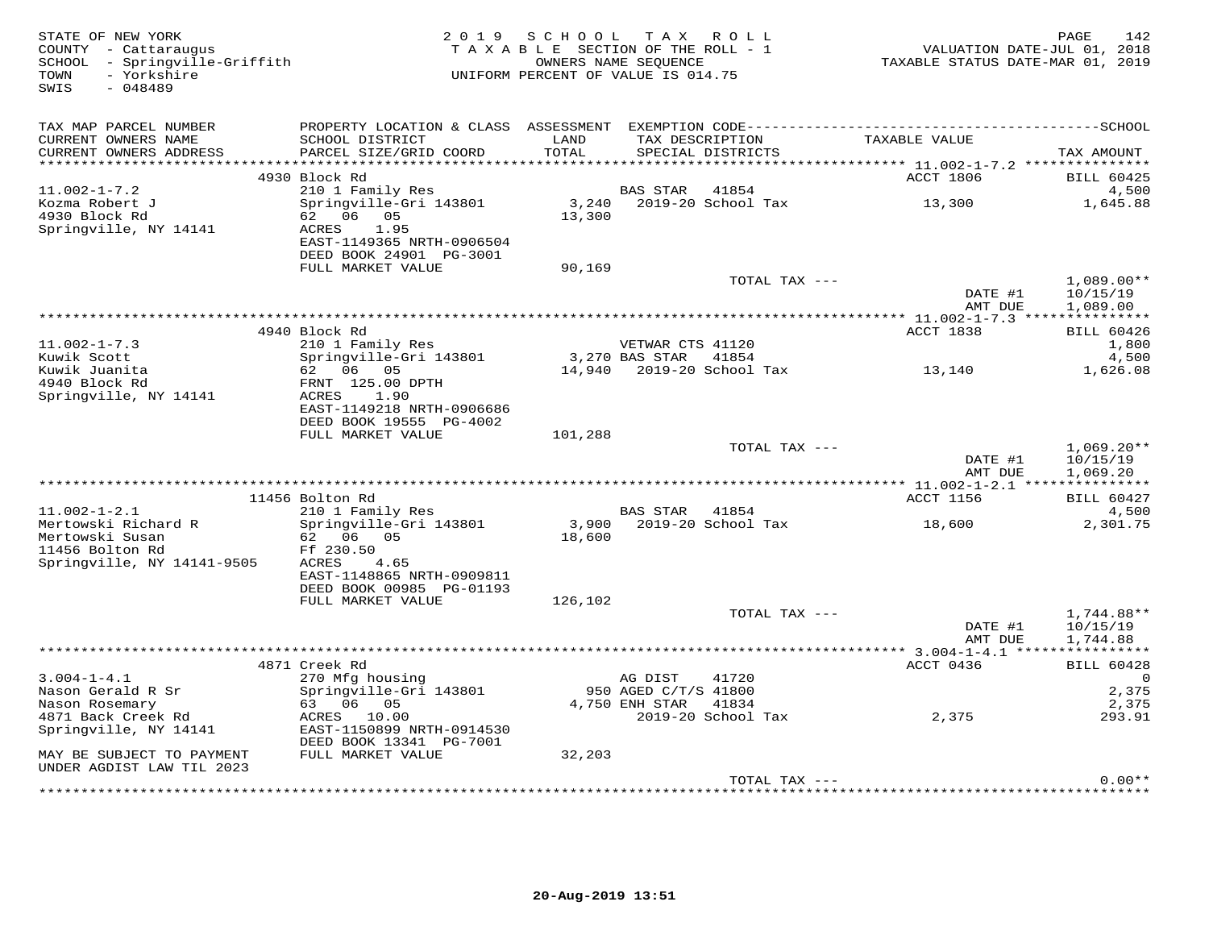| STATE OF NEW YORK<br>COUNTY - Cattaraugus<br>SCHOOL - Springville-Griffith<br>- Yorkshire<br>TOWN<br>SWIS<br>$-048489$ |                                                                                                                                 | 2019 SCHOOL<br>TAXABLE SECTION OF THE ROLL - 1<br>UNIFORM PERCENT OF VALUE IS 014.75 | TAX ROLL<br>OWNERS NAME SEQUENCE |                                      | TAXABLE STATUS DATE-MAR 01, 2019 | 142<br>PAGE<br>VALUATION DATE-JUL 01, 2018 |
|------------------------------------------------------------------------------------------------------------------------|---------------------------------------------------------------------------------------------------------------------------------|--------------------------------------------------------------------------------------|----------------------------------|--------------------------------------|----------------------------------|--------------------------------------------|
| TAX MAP PARCEL NUMBER<br>CURRENT OWNERS NAME<br>CURRENT OWNERS ADDRESS                                                 | SCHOOL DISTRICT<br>PARCEL SIZE/GRID COORD                                                                                       | LAND<br>TOTAL                                                                        |                                  | TAX DESCRIPTION<br>SPECIAL DISTRICTS | TAXABLE VALUE                    | TAX AMOUNT                                 |
|                                                                                                                        | 4930 Block Rd                                                                                                                   |                                                                                      |                                  |                                      | ACCT 1806                        | <b>BILL 60425</b>                          |
| $11.002 - 1 - 7.2$<br>Kozma Robert J<br>4930 Block Rd<br>Springville, NY 14141                                         | 210 1 Family Res<br>Springville-Gri 143801<br>62 06 05<br>ACRES<br>1.95<br>EAST-1149365 NRTH-0906504<br>DEED BOOK 24901 PG-3001 | 13,300                                                                               | <b>BAS STAR</b>                  | 41854                                | 13,300                           | 4,500<br>1,645.88                          |
|                                                                                                                        | FULL MARKET VALUE                                                                                                               | 90,169                                                                               |                                  |                                      |                                  |                                            |
|                                                                                                                        |                                                                                                                                 |                                                                                      |                                  | TOTAL TAX ---                        | DATE #1<br>AMT DUE               | $1,089.00**$<br>10/15/19<br>1,089.00       |
|                                                                                                                        | 4940 Block Rd                                                                                                                   |                                                                                      |                                  |                                      | ACCT 1838                        | <b>BILL 60426</b>                          |
| $11.002 - 1 - 7.3$                                                                                                     | 210 1 Family Res                                                                                                                |                                                                                      | VETWAR CTS 41120                 |                                      |                                  | 1,800                                      |
| Kuwik Scott<br>Kuwik Juanita<br>4940 Block Rd<br>Springville, NY 14141                                                 | Springville-Gri 143801<br>62 06 05<br>FRNT 125.00 DPTH<br>ACRES<br>1.90<br>EAST-1149218 NRTH-0906686                            |                                                                                      | 3,270 BAS STAR                   | 41854<br>14,940 2019-20 School Tax   | 13,140                           | 4,500<br>1,626.08                          |
|                                                                                                                        | DEED BOOK 19555 PG-4002<br>FULL MARKET VALUE                                                                                    | 101,288                                                                              |                                  |                                      |                                  |                                            |
|                                                                                                                        |                                                                                                                                 |                                                                                      |                                  | TOTAL TAX ---                        | DATE #1<br>AMT DUE               | $1,069.20**$<br>10/15/19<br>1,069.20       |
|                                                                                                                        |                                                                                                                                 |                                                                                      |                                  |                                      |                                  |                                            |
| $11.002 - 1 - 2.1$<br>Mertowski Richard R                                                                              | 11456 Bolton Rd<br>210 1 Family Res<br>Springville-Gri 143801                                                                   | 3,900                                                                                | BAS STAR                         | 41854<br>2019-20 School Tax          | ACCT 1156<br>18,600              | <b>BILL 60427</b><br>4,500<br>2,301.75     |
| Mertowski Susan<br>11456 Bolton Rd<br>Springville, NY 14141-9505                                                       | 62 06 05<br>Ff 230.50<br>ACRES<br>4.65<br>EAST-1148865 NRTH-0909811<br>DEED BOOK 00985 PG-01193                                 | 18,600                                                                               |                                  |                                      |                                  |                                            |
|                                                                                                                        | FULL MARKET VALUE                                                                                                               | 126,102                                                                              |                                  |                                      |                                  |                                            |
|                                                                                                                        |                                                                                                                                 |                                                                                      |                                  | TOTAL TAX ---                        | DATE #1<br>AMT DUE               | 1,744.88**<br>10/15/19<br>1,744.88         |
|                                                                                                                        | 4871 Creek Rd                                                                                                                   |                                                                                      |                                  |                                      | ACCT 0436                        | <b>BILL 60428</b>                          |
| $3.004 - 1 - 4.1$                                                                                                      | 270 Mfg housing                                                                                                                 |                                                                                      | AG DIST                          | 41720                                |                                  | 0                                          |
| Nason Gerald R Sr                                                                                                      | Springville-Gri 143801                                                                                                          |                                                                                      | 950 AGED C/T/S 41800             |                                      |                                  | 2,375                                      |
| Nason Rosemary<br>4871 Back Creek Rd<br>Springville, NY 14141                                                          | 63 06 05<br>ACRES 10.00<br>EAST-1150899 NRTH-0914530<br>DEED BOOK 13341 PG-7001                                                 |                                                                                      | 4,750 ENH STAR                   | 41834<br>2019-20 School Tax          | 2,375                            | 2,375<br>293.91                            |
| MAY BE SUBJECT TO PAYMENT<br>UNDER AGDIST LAW TIL 2023                                                                 | FULL MARKET VALUE                                                                                                               | 32,203                                                                               |                                  |                                      |                                  |                                            |
|                                                                                                                        |                                                                                                                                 |                                                                                      |                                  | TOTAL TAX ---                        |                                  | $0.00**$                                   |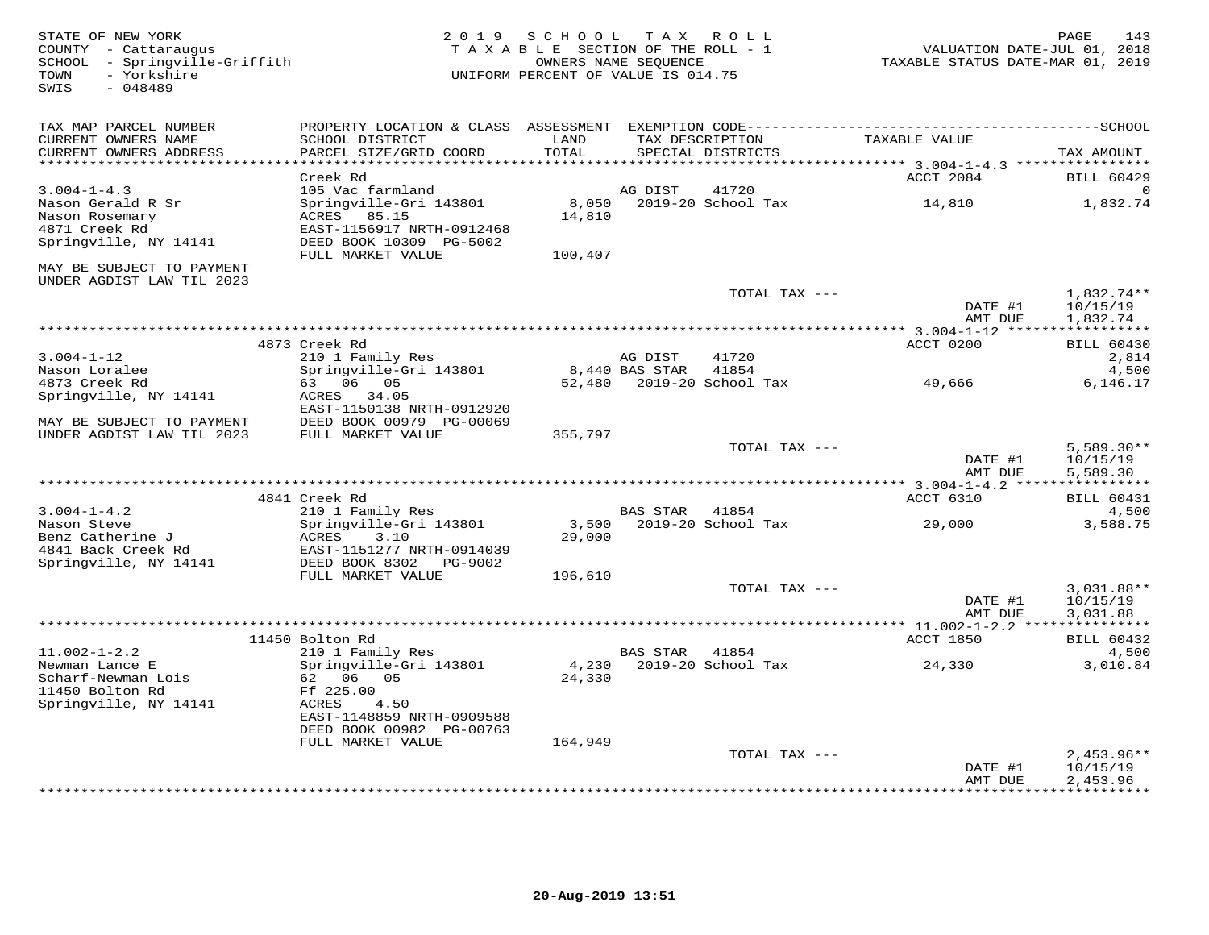STATE OF NEW YORK 2 0 1 9 S C H O O L T A X R O L L PAGE 143 COUNTY - Cattaraugus T A X A B L E SECTION OF THE ROLL - 1 VALUATION DATE-JUL 01, 2018 SCHOOL - Springville-Griffith OWNERS NAME SEQUENCE TAXABLE STATUS DATE-MAR 01, 2019 TOWN - Yorkshire UNIFORM PERCENT OF VALUE IS 014.75SWIS - 048489TAX MAP PARCEL NUMBER PROPERTY LOCATION & CLASS ASSESSMENT EXEMPTION CODE------------------------------------------SCHOOL CURRENT OWNERS NAME SCHOOL DISTRICT LAND TAX DESCRIPTION TAXABLE VALUE CURRENT OWNERS ADDRESS PARCEL SIZE/GRID COORD TOTAL SPECIAL DISTRICTS TAX AMOUNT \*\*\*\*\*\*\*\*\*\*\*\*\*\*\*\*\*\*\*\*\*\*\*\*\*\*\*\*\*\*\*\*\*\*\*\*\*\*\*\*\*\*\*\*\*\*\*\*\*\*\*\*\*\*\*\*\*\*\*\*\*\*\*\*\*\*\*\*\*\*\*\*\*\*\*\*\*\*\*\*\*\*\*\*\*\*\*\*\*\*\*\*\*\*\*\*\*\*\*\*\*\*\* 3.004-1-4.3 \*\*\*\*\*\*\*\*\*\*\*\*\*\*\*\*ACCT 2084 BILL 60429 3.004-1-4.3 Creek Rd<br>
Nason Gerald R Sr Springville-Gri 143801 accord and a mason Gerald R Sr Springville-Gri 143801 and a mason Rosemary<br>
Nason Rosemary ACRES 85.15 14,810 1,832.74<br>
4871 Creek Rd EAST-1156917 NRTH-0912468 MAY BE SUBJECT TO PAYMENT UNDER AGDIST LAW TIL 2023TOTAL TAX  $---$  1,832.74\*\* DATE #1 10/15/19<br>2010 11:22:23:24 AMT DUE 1,832.74 \*\*\*\*\*\*\*\*\*\*\*\*\*\*\*\*\*\*\*\*\*\*\*\*\*\*\*\*\*\*\*\*\*\*\*\*\*\*\*\*\*\*\*\*\*\*\*\*\*\*\*\*\*\*\*\*\*\*\*\*\*\*\*\*\*\*\*\*\*\*\*\*\*\*\*\*\*\*\*\*\*\*\*\*\*\*\*\*\*\*\*\*\*\*\*\*\*\*\*\*\*\*\* 3.004-1-12 \*\*\*\*\*\*\*\*\*\*\*\*\*\*\*\*\* 4873 Creek Rd ACCT 0200 BILL 60430 3.004-1-12 210 1 Family Res AG DIST 41720 2,814 Nason Loralee Springville-Gri 143801 8,440 BAS STAR 41854 4,500 4873 Creek Rd 63 06 05 52,480 2019-20 School Tax 49,666 6,146.17 Springville, NY 14141 ACRES 34.05 EAST-1150138 NRTH-0912920 MAY BE SUBJECT TO PAYMENT DEED BOOK 00979 PG-00069 UNDER AGDIST LAW TIL 2023 FULL MARKET VALUE 355,797 TOTAL TAX --- 5,589.30\*\* DATE #1 10/15/19AMT DUE 5,589.30 AMT DUE 5,589.30 \*\*\*\*\*\*\*\*\*\*\*\*\*\*\*\*\*\*\*\*\*\*\*\*\*\*\*\*\*\*\*\*\*\*\*\*\*\*\*\*\*\*\*\*\*\*\*\*\*\*\*\*\*\*\*\*\*\*\*\*\*\*\*\*\*\*\*\*\*\*\*\*\*\*\*\*\*\*\*\*\*\*\*\*\*\*\*\*\*\*\*\*\*\*\*\*\*\*\*\*\*\*\* 3.004-1-4.2 \*\*\*\*\*\*\*\*\*\*\*\*\*\*\*\* 4841 Creek Rd ACCT 6310 BILL 604313.004-1-4.2 210 1 Family Res BAS STAR 41854 4,500 3,588.75 Nason Steve Springville-Gri 143801 3,500 2019-20 School Tax 29,000 3,588.75Benz Catherine J ACRES 3.10 29,000 4841 Back Creek Rd EAST-1151277 NRTH-0914039 Springville, NY 14141 DEED BOOK 8302 PG-9002 FULL MARKET VALUE 196,610 TOTAL TAX --- 3,031.88\*\* $\text{DATE}$  #1  $10/15/19$ AMT DUE 3.031.88 AMT DUE 3,031.88 \*\*\*\*\*\*\*\*\*\*\*\*\*\*\*\*\*\*\*\*\*\*\*\*\*\*\*\*\*\*\*\*\*\*\*\*\*\*\*\*\*\*\*\*\*\*\*\*\*\*\*\*\*\*\*\*\*\*\*\*\*\*\*\*\*\*\*\*\*\*\*\*\*\*\*\*\*\*\*\*\*\*\*\*\*\*\*\*\*\*\*\*\*\*\*\*\*\*\*\*\*\*\* 11.002-1-2.2 \*\*\*\*\*\*\*\*\*\*\*\*\*\*\* 11450 Bolton Rd ACCT 1850 BILL 60432 11.002-1-2.2 210 1 Family Res BAS STAR 41854 4,500 Newman Lance E Springville-Gri 143801 4,230 2019-20 School Tax 24,330 3,010.84 Scharf-Newman Lois 62 06 05 24,330 11450 Bolton Rd Ff 225.00 Springville, NY 14141 ACRES 4.50 EAST-1148859 NRTH-0909588 DEED BOOK 00982 PG-00763 FULL MARKET VALUE 164,949TOTAL TAX ---  $2,453.96**$ <br>DATE #1  $10/15/19$ AMT DUE 2,453.96 \*\*\*\*\*\*\*\*\*\*\*\*\*\*\*\*\*\*\*\*\*\*\*\*\*\*\*\*\*\*\*\*\*\*\*\*\*\*\*\*\*\*\*\*\*\*\*\*\*\*\*\*\*\*\*\*\*\*\*\*\*\*\*\*\*\*\*\*\*\*\*\*\*\*\*\*\*\*\*\*\*\*\*\*\*\*\*\*\*\*\*\*\*\*\*\*\*\*\*\*\*\*\*\*\*\*\*\*\*\*\*\*\*\*\*\*\*\*\*\*\*\*\*\*\*\*\*\*\*\*\*\*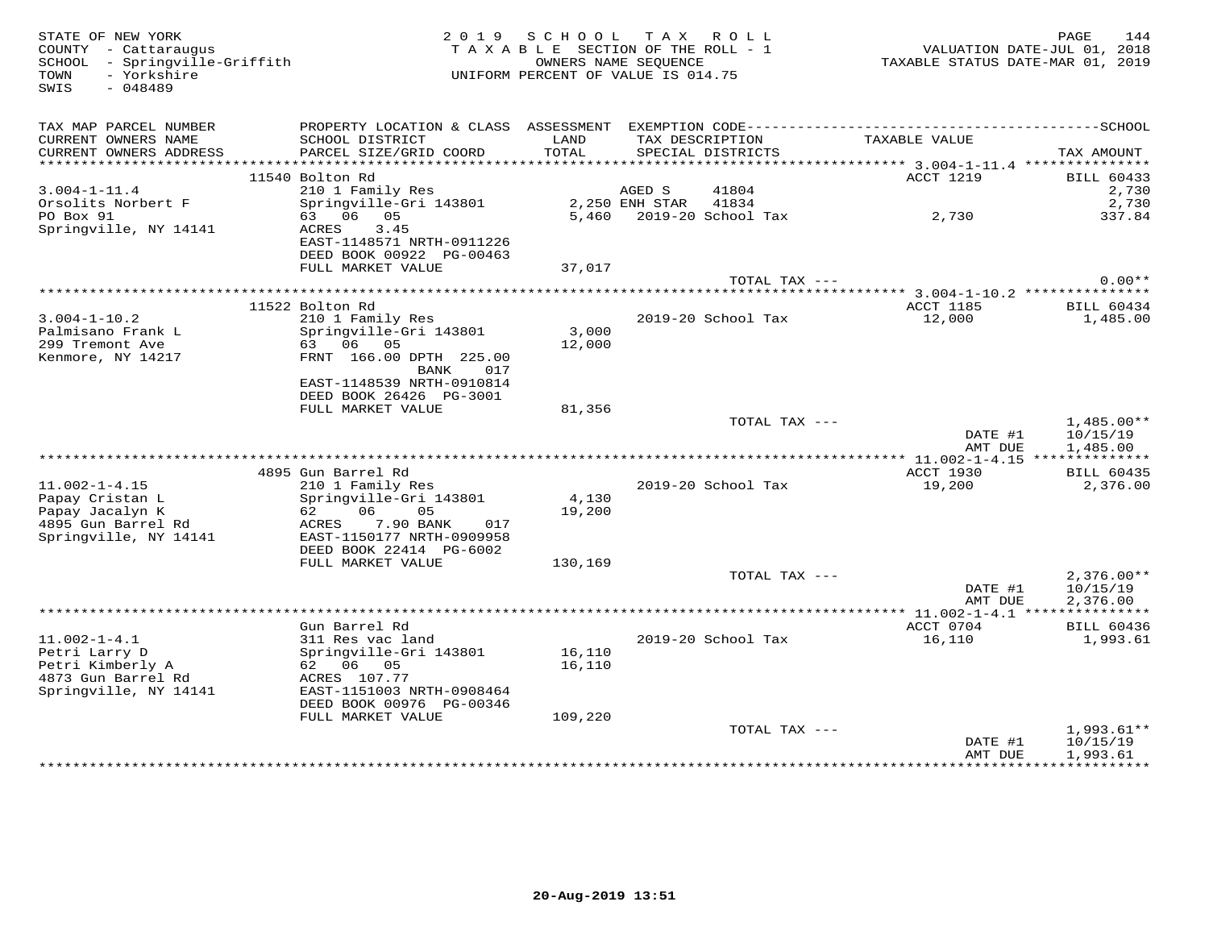| STATE OF NEW YORK<br>COUNTY - Cattaraugus<br>SCHOOL - Springville-Griffith<br>- Yorkshire<br>TOWN<br>SWIS<br>$-048489$ |                                     | 2019 SCHOOL<br>TAXABLE SECTION OF THE ROLL - 1<br>OWNERS NAME SEQUENCE<br>UNIFORM PERCENT OF VALUE IS 014.75 |                | TAX ROLL                 |                     | 144<br>PAGE<br>VALUATION DATE-JUL 01, 2018<br>TAXABLE STATUS DATE-MAR 01, 2019 |
|------------------------------------------------------------------------------------------------------------------------|-------------------------------------|--------------------------------------------------------------------------------------------------------------|----------------|--------------------------|---------------------|--------------------------------------------------------------------------------|
| TAX MAP PARCEL NUMBER<br>CURRENT OWNERS NAME                                                                           | SCHOOL DISTRICT                     | LAND                                                                                                         |                | TAX DESCRIPTION          | TAXABLE VALUE       |                                                                                |
| CURRENT OWNERS ADDRESS                                                                                                 | PARCEL SIZE/GRID COORD              | TOTAL                                                                                                        |                | SPECIAL DISTRICTS        |                     | TAX AMOUNT                                                                     |
|                                                                                                                        |                                     |                                                                                                              |                |                          |                     |                                                                                |
|                                                                                                                        | 11540 Bolton Rd                     |                                                                                                              |                |                          | ACCT 1219           | <b>BILL 60433</b>                                                              |
| $3.004 - 1 - 11.4$                                                                                                     | 210 1 Family Res                    |                                                                                                              | AGED S         | 41804                    |                     | 2,730                                                                          |
| Orsolits Norbert F                                                                                                     | Springville-Gri 143801              |                                                                                                              | 2,250 ENH STAR | 41834                    |                     | 2,730                                                                          |
| PO Box 91<br>Springville, NY 14141                                                                                     | 63 06 05<br>3.45<br>ACRES           |                                                                                                              |                | 5,460 2019-20 School Tax | 2,730               | 337.84                                                                         |
|                                                                                                                        | EAST-1148571 NRTH-0911226           |                                                                                                              |                |                          |                     |                                                                                |
|                                                                                                                        | DEED BOOK 00922 PG-00463            |                                                                                                              |                |                          |                     |                                                                                |
|                                                                                                                        | FULL MARKET VALUE                   | 37,017                                                                                                       |                |                          |                     |                                                                                |
|                                                                                                                        |                                     |                                                                                                              |                | TOTAL TAX ---            |                     | $0.00**$                                                                       |
|                                                                                                                        |                                     |                                                                                                              |                |                          |                     |                                                                                |
| $3.004 - 1 - 10.2$                                                                                                     | 11522 Bolton Rd<br>210 1 Family Res |                                                                                                              |                | 2019-20 School Tax       | ACCT 1185<br>12,000 | <b>BILL 60434</b>                                                              |
| Palmisano Frank L                                                                                                      | Springville-Gri 143801              | 3,000                                                                                                        |                |                          |                     | 1,485.00                                                                       |
| 299 Tremont Ave                                                                                                        | 63 06 05                            | 12,000                                                                                                       |                |                          |                     |                                                                                |
| Kenmore, NY 14217                                                                                                      | FRNT 166.00 DPTH 225.00             |                                                                                                              |                |                          |                     |                                                                                |
|                                                                                                                        | BANK<br>017                         |                                                                                                              |                |                          |                     |                                                                                |
|                                                                                                                        | EAST-1148539 NRTH-0910814           |                                                                                                              |                |                          |                     |                                                                                |
|                                                                                                                        | DEED BOOK 26426 PG-3001             |                                                                                                              |                |                          |                     |                                                                                |
|                                                                                                                        | FULL MARKET VALUE                   | 81,356                                                                                                       |                | TOTAL TAX ---            |                     |                                                                                |
|                                                                                                                        |                                     |                                                                                                              |                |                          | DATE #1             | $1,485.00**$<br>10/15/19                                                       |
|                                                                                                                        |                                     |                                                                                                              |                |                          | AMT DUE             | 1,485.00                                                                       |
|                                                                                                                        |                                     |                                                                                                              |                |                          |                     |                                                                                |
|                                                                                                                        | 4895 Gun Barrel Rd                  |                                                                                                              |                |                          | ACCT 1930           | <b>BILL 60435</b>                                                              |
| $11.002 - 1 - 4.15$                                                                                                    | 210 1 Family Res                    |                                                                                                              |                | 2019-20 School Tax       | 19,200              | 2,376.00                                                                       |
| Papay Cristan L                                                                                                        | Springville-Gri 143801<br>62 06     | 4,130                                                                                                        |                |                          |                     |                                                                                |
| Papay Jacalyn K<br>4895 Gun Barrel Rd                                                                                  | 05<br>ACRES<br>7.90 BANK<br>017     | 19,200                                                                                                       |                |                          |                     |                                                                                |
| Springville, NY 14141                                                                                                  | EAST-1150177 NRTH-0909958           |                                                                                                              |                |                          |                     |                                                                                |
|                                                                                                                        | DEED BOOK 22414 PG-6002             |                                                                                                              |                |                          |                     |                                                                                |
|                                                                                                                        | FULL MARKET VALUE                   | 130,169                                                                                                      |                |                          |                     |                                                                                |
|                                                                                                                        |                                     |                                                                                                              |                | TOTAL TAX ---            |                     | $2,376.00**$                                                                   |
|                                                                                                                        |                                     |                                                                                                              |                |                          | DATE #1             | 10/15/19                                                                       |
|                                                                                                                        |                                     |                                                                                                              |                |                          | AMT DUE             | 2,376.00                                                                       |
|                                                                                                                        | Gun Barrel Rd                       |                                                                                                              |                |                          | ACCT 0704           | <b>BILL 60436</b>                                                              |
| $11.002 - 1 - 4.1$                                                                                                     | 311 Res vac land                    |                                                                                                              |                | 2019-20 School Tax       | 16,110              | 1,993.61                                                                       |
| Petri Larry D                                                                                                          | Springville-Gri 143801              | 16,110                                                                                                       |                |                          |                     |                                                                                |
| Petri Kimberly A                                                                                                       | 62 06 05                            | 16,110                                                                                                       |                |                          |                     |                                                                                |
| 4873 Gun Barrel Rd                                                                                                     | ACRES 107.77                        |                                                                                                              |                |                          |                     |                                                                                |
| Springville, NY 14141                                                                                                  | EAST-1151003 NRTH-0908464           |                                                                                                              |                |                          |                     |                                                                                |
|                                                                                                                        | DEED BOOK 00976 PG-00346            |                                                                                                              |                |                          |                     |                                                                                |
|                                                                                                                        | FULL MARKET VALUE                   | 109,220                                                                                                      |                | TOTAL TAX ---            |                     | $1,993.61**$                                                                   |
|                                                                                                                        |                                     |                                                                                                              |                |                          | DATE #1             | 10/15/19                                                                       |
|                                                                                                                        |                                     |                                                                                                              |                |                          | AMT DUE             | 1,993.61                                                                       |
|                                                                                                                        |                                     |                                                                                                              |                |                          | ***************     | ***********                                                                    |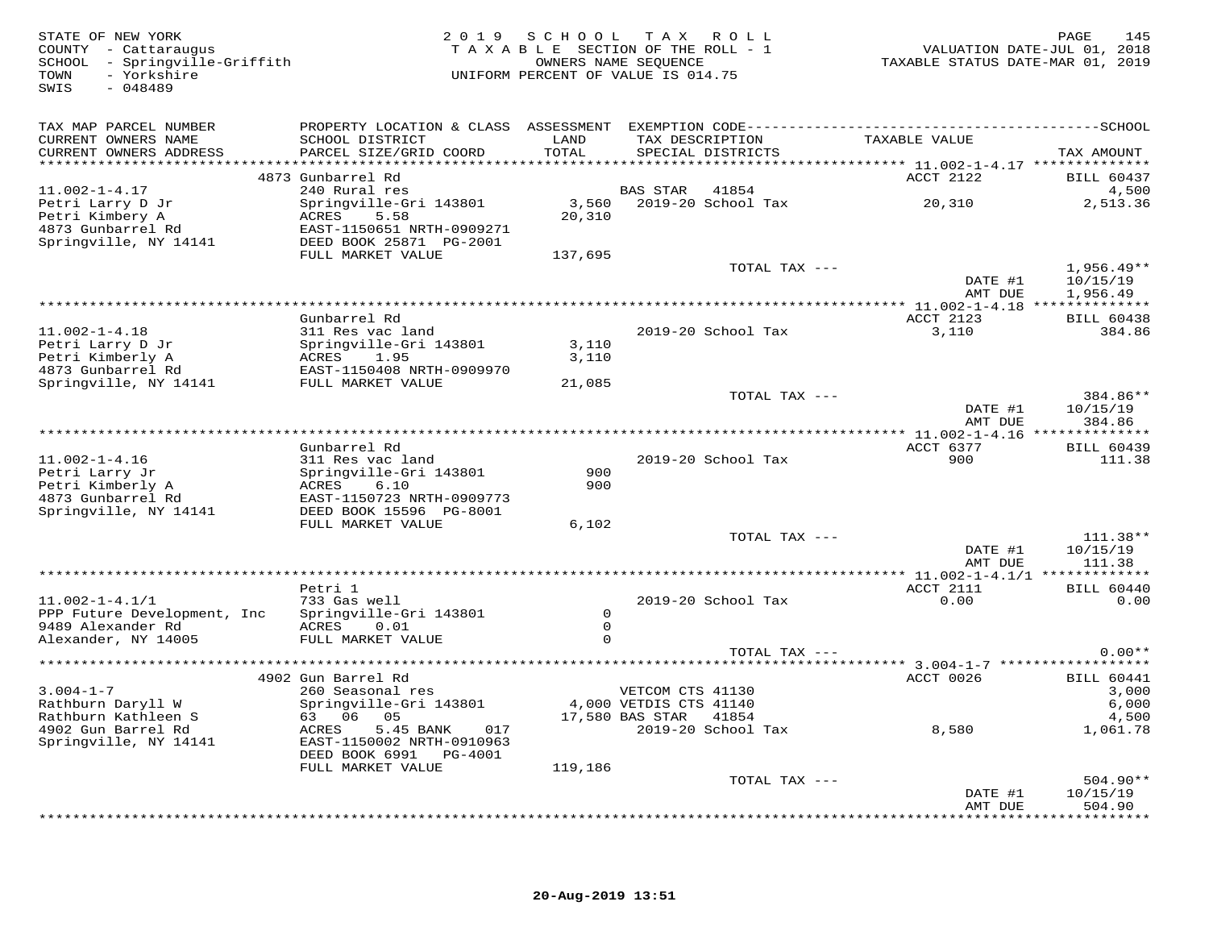FATE OF NEW YORK AND RAGE the section of the SC H O O L T A X R O L L PACE the SCOUNTY - Cattaraugus (2019 S C H O O L T A X R O L L PACE the SCOUNTY - Cattaraugus (2019 S C H O O L T A X R O L L PACE TOUND PATE-JUL 01, 20 SWIS - 048489 TAX MAP PARCEL NUMBER PROPERTY LOCATION & CLASS ASSESSMENT EXEMPTION CODE------------------------------------------SCHOOL CURRENT OWNERS NAME SCHOOL DISTRICT LAND TAX DESCRIPTION TAXABLE VALUE CURRENT OWNERS ADDRESS PARCEL SIZE/GRID COORD TOTAL SPECIAL DISTRICTS TAX AMOUNT \*\*\*\*\*\*\*\*\*\*\*\*\*\*\*\*\*\*\*\*\*\*\*\*\*\*\*\*\*\*\*\*\*\*\*\*\*\*\*\*\*\*\*\*\*\*\*\*\*\*\*\*\*\*\*\*\*\*\*\*\*\*\*\*\*\*\*\*\*\*\*\*\*\*\*\*\*\*\*\*\*\*\*\*\*\*\*\*\*\*\*\*\*\*\*\*\*\*\*\*\*\*\* 11.002-1-4.17 \*\*\*\*\*\*\*\*\*\*\*\*\*\*4873 Gunbarrel Rd<br>
2002-1-4.17 4873 Gunbarrel Rd<br>
Petri Larry DJr Springville-Gri 143801 5.58 5.58 2019-20 School Tax 20,310 4,500<br>
4873 Gunbarrel Rd EAST-1150651 NRTH-0909271 20,310 2,513.36<br>
4873 Gunbarrel Rd EAST-115065 DATE #1 10/15/19 AMT DUE 1,956.49\*\*\*\*\*\*\*\*\*\*\*\*\*\*\*\*\*\*\*\*\*\*\*\*\*\*\*\*\*\*\*\*\*\*\*\*\*\*\*\*\*\*\*\*\*\*\*\*\*\*\*\*\*\*\*\*\*\*\*\*\*\*\*\*\*\*\*\*\*\*\*\*\*\*\*\*\*\*\*\*\*\*\*\*\*\*\*\*\*\*\*\*\*\*\*\*\*\*\*\*\*\*\* 11.002-1-4.18 \*\*\*\*\*\*\*\*\*\*\*\*\*\* Gunbarrel Rd ACCT 2123 BILL 6043811.002-1-4.18 311 Res vac land 2019-20 School Tax 3,110 384.86Petri Larry D Jr Springville-Gri 143801 3,110 Petri Kimberly A ACRES 1.95 3,110 4873 Gunbarrel Rd EAST-1150408 NRTH-0909970 Springville, NY 14141 FULL MARKET VALUE 21,085 TOTAL TAX --- 384.86\*\*DATE #1 10/15/19<br>2010 11:00 11:00 11:00 11:00 11:00 11:00 12:00 12:00 12:00 12:00 12:00 12:00 12:00 12:00 12:00 12:00 12:00 12: AMT DUE 384.86\*\*\*\*\*\*\*\*\*\*\*\*\*\*\*\*\*\*\*\*\*\*\*\*\*\*\*\*\*\*\*\*\*\*\*\*\*\*\*\*\*\*\*\*\*\*\*\*\*\*\*\*\*\*\*\*\*\*\*\*\*\*\*\*\*\*\*\*\*\*\*\*\*\*\*\*\*\*\*\*\*\*\*\*\*\*\*\*\*\*\*\*\*\*\*\*\*\*\*\*\*\*\* 11.002-1-4.16 \*\*\*\*\*\*\*\*\*\*\*\*\*\* Gunbarrel Rd ACCT 6377 BILL 6043911.002-1-4.16 311 Res vac land 2019-20 School Tax 900 111.38Petri Larry Jr Springville-Gri 143801 900 Petri Kimberly A ACRES 6.10 900 4873 Gunbarrel Rd EAST-1150723 NRTH-0909773 Springville, NY 14141 DEED BOOK 15596 PG-8001 FULL MARKET VALUE 6,102 TOTAL TAX --- 111.38\*\*DATE #1 10/15/19<br>2011 - 2021 - 2032 - 2033 - 2044 - 2045 - 2044 - 2044 - 2044 - 2044 - 2044 - 2044 - 2044 - 2044 - 2044 - 2044 amt due total and the same of the same of the same of the same of  $111.38$ \*\*\*\*\*\*\*\*\*\*\*\*\*\*\*\*\*\*\*\*\*\*\*\*\*\*\*\*\*\*\*\*\*\*\*\*\*\*\*\*\*\*\*\*\*\*\*\*\*\*\*\*\*\*\*\*\*\*\*\*\*\*\*\*\*\*\*\*\*\*\*\*\*\*\*\*\*\*\*\*\*\*\*\*\*\*\*\*\*\*\*\*\*\*\*\*\*\*\*\*\*\*\* 11.002-1-4.1/1 \*\*\*\*\*\*\*\*\*\*\*\*\*Petri 1 میلیون می دون برای است.<br>2010 ع است می دون دور است الله علی برای است می دون دور است و دور است و دور است و دور است و دور است و دور است و<br>2010 ع است و دور است و دور است و دور است و دور است و دور است و دور است و دور ا 11.002-1-4.1/1 733 Gas well 2019-20 School Tax 0.00 0.00PPP Future Development, Inc Springville-Gri 143801 0<br>9489 Alexander Rd ACRES 0.01 0<br>Alexander, NY 14005 FULL MARKET VALUE TOTAL TAX --- 0.00\*\* \*\*\*\*\*\*\*\*\*\*\*\*\*\*\*\*\*\*\*\*\*\*\*\*\*\*\*\*\*\*\*\*\*\*\*\*\*\*\*\*\*\*\*\*\*\*\*\*\*\*\*\*\*\*\*\*\*\*\*\*\*\*\*\*\*\*\*\*\*\*\*\*\*\*\*\*\*\*\*\*\*\*\*\*\*\*\*\*\*\*\*\*\*\*\*\*\*\*\*\*\*\*\* 3.004-1-7 \*\*\*\*\*\*\*\*\*\*\*\*\*\*\*\*\*\* 4902 Gun Barrel Rd ACCT 0026 BILL 60441 3.004-1-7 260 Seasonal res VETCOM CTS 41130 3,000 Rathburn Daryll W Springville-Gri 143801 4,000 VETDIS CTS 41140 6,000 Rathburn Kathleen S 63 06 05 17,580 BAS STAR 41854 4,500 4902 Gun Barrel Rd ACRES 5.45 BANK 017 2019-20 School Tax 8,580 1,061.78 Springville, NY 14141 EAST-1150002 NRTH-0910963 DEED BOOK 6991 PG-4001FULL MARKET VALUE 119,186  $T$ OTAL TAX  $---$  504.90\*\*  $\text{DATE}$  #1  $10/15/19$ amt due to the source of the state of the state of the state of the state of the state of the state of the state of the state of the state of the state of the state of the state of the state of the state of the state of th

\*\*\*\*\*\*\*\*\*\*\*\*\*\*\*\*\*\*\*\*\*\*\*\*\*\*\*\*\*\*\*\*\*\*\*\*\*\*\*\*\*\*\*\*\*\*\*\*\*\*\*\*\*\*\*\*\*\*\*\*\*\*\*\*\*\*\*\*\*\*\*\*\*\*\*\*\*\*\*\*\*\*\*\*\*\*\*\*\*\*\*\*\*\*\*\*\*\*\*\*\*\*\*\*\*\*\*\*\*\*\*\*\*\*\*\*\*\*\*\*\*\*\*\*\*\*\*\*\*\*\*\*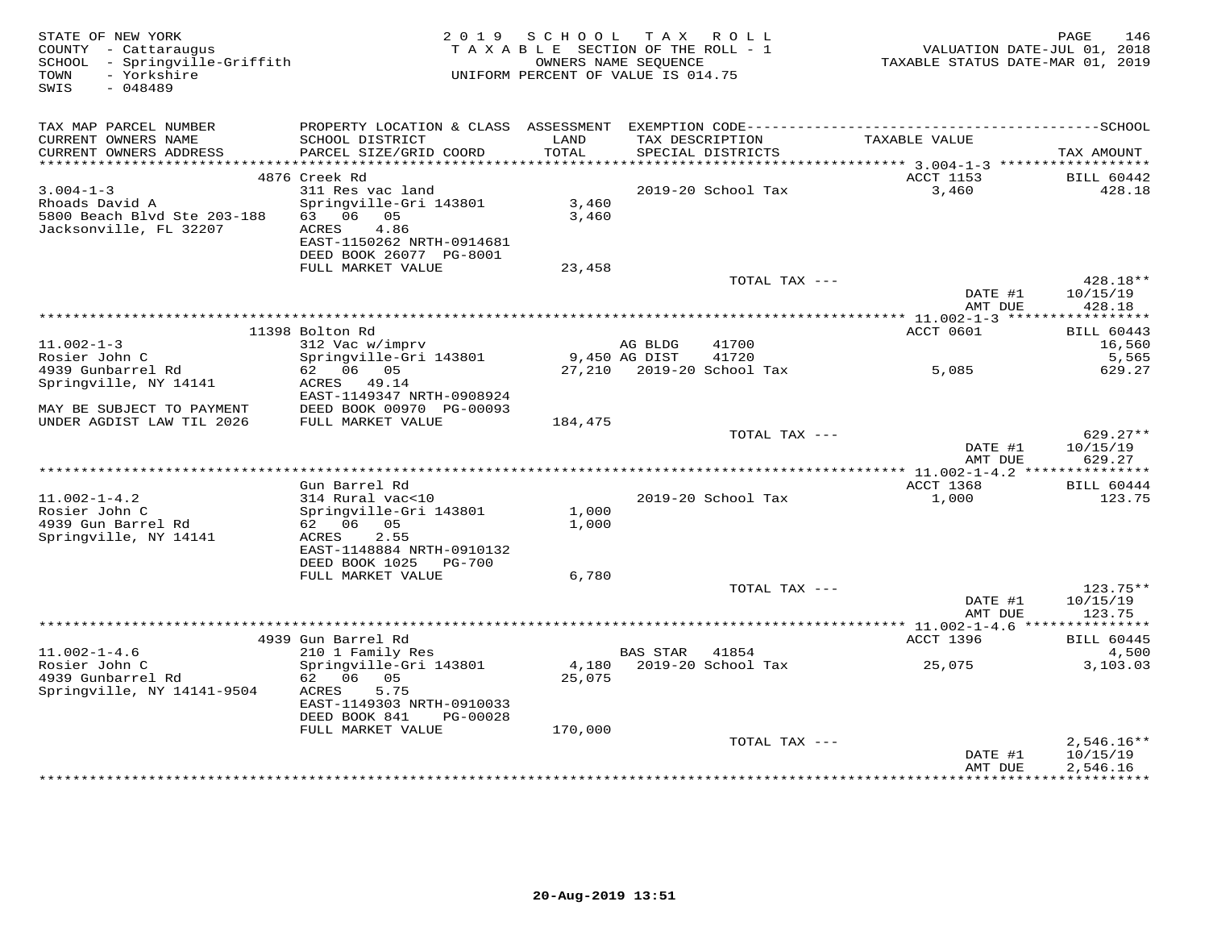| STATE OF NEW YORK<br>COUNTY - Cattaraugus<br>SCHOOL - Springville-Griffith<br>- Yorkshire<br>TOWN |                           | 2019 SCHOOL<br>TAXABLE SECTION OF THE ROLL - 1<br>OWNERS NAME SEOUENCE<br>UNIFORM PERCENT OF VALUE IS 014.75 |                 | TAX ROLL                  | TAXABLE STATUS DATE-MAR 01, 2019 | 146<br>PAGE<br>VALUATION DATE-JUL 01, 2018 |
|---------------------------------------------------------------------------------------------------|---------------------------|--------------------------------------------------------------------------------------------------------------|-----------------|---------------------------|----------------------------------|--------------------------------------------|
| SWIS<br>$-048489$                                                                                 |                           |                                                                                                              |                 |                           |                                  |                                            |
| TAX MAP PARCEL NUMBER                                                                             |                           |                                                                                                              |                 |                           |                                  |                                            |
| CURRENT OWNERS NAME                                                                               | SCHOOL DISTRICT           | LAND                                                                                                         | TAX DESCRIPTION |                           | TAXABLE VALUE                    |                                            |
| CURRENT OWNERS ADDRESS                                                                            | PARCEL SIZE/GRID COORD    | TOTAL                                                                                                        |                 | SPECIAL DISTRICTS         |                                  | TAX AMOUNT                                 |
|                                                                                                   | 4876 Creek Rd             |                                                                                                              |                 |                           | ACCT 1153                        | <b>BILL 60442</b>                          |
| $3.004 - 1 - 3$                                                                                   | 311 Res vac land          |                                                                                                              |                 | 2019-20 School Tax        | 3,460                            | 428.18                                     |
| Rhoads David A                                                                                    | Springville-Gri 143801    | 3,460                                                                                                        |                 |                           |                                  |                                            |
| 5800 Beach Blvd Ste 203-188<br>Jacksonville, FL 32207                                             | 63 06 05<br>4.86<br>ACRES | 3,460                                                                                                        |                 |                           |                                  |                                            |
|                                                                                                   | EAST-1150262 NRTH-0914681 |                                                                                                              |                 |                           |                                  |                                            |
|                                                                                                   | DEED BOOK 26077 PG-8001   |                                                                                                              |                 |                           |                                  |                                            |
|                                                                                                   | FULL MARKET VALUE         | 23,458                                                                                                       |                 |                           |                                  |                                            |
|                                                                                                   |                           |                                                                                                              |                 | TOTAL TAX ---             |                                  | 428.18**                                   |
|                                                                                                   |                           |                                                                                                              |                 |                           | DATE #1<br>AMT DUE               | 10/15/19<br>428.18                         |
|                                                                                                   |                           |                                                                                                              |                 |                           | ************** 11.002-1-3 *****  | ***********                                |
|                                                                                                   | 11398 Bolton Rd           |                                                                                                              |                 |                           | ACCT 0601                        | <b>BILL 60443</b>                          |
| $11.002 - 1 - 3$                                                                                  | 312 Vac w/imprv           |                                                                                                              | AG BLDG         | 41700                     |                                  | 16,560                                     |
| Rosier John C                                                                                     | Springville-Gri 143801    | 9,450 AG DIST                                                                                                |                 | 41720                     |                                  | 5,565                                      |
| 4939 Gunbarrel Rd<br>Springville, NY 14141                                                        | 62 06 05<br>ACRES 49.14   |                                                                                                              |                 | 27,210 2019-20 School Tax | 5,085                            | 629.27                                     |
|                                                                                                   | EAST-1149347 NRTH-0908924 |                                                                                                              |                 |                           |                                  |                                            |
| MAY BE SUBJECT TO PAYMENT                                                                         | DEED BOOK 00970 PG-00093  |                                                                                                              |                 |                           |                                  |                                            |
| UNDER AGDIST LAW TIL 2026                                                                         | FULL MARKET VALUE         | 184,475                                                                                                      |                 |                           |                                  |                                            |
|                                                                                                   |                           |                                                                                                              |                 | TOTAL TAX ---             |                                  | $629.27**$                                 |
|                                                                                                   |                           |                                                                                                              |                 |                           | DATE #1<br>AMT DUE               | 10/15/19<br>629.27                         |
|                                                                                                   |                           |                                                                                                              |                 |                           |                                  |                                            |
|                                                                                                   | Gun Barrel Rd             |                                                                                                              |                 |                           | ACCT 1368                        | <b>BILL 60444</b>                          |
| $11.002 - 1 - 4.2$                                                                                | 314 Rural vac<10          |                                                                                                              |                 | 2019-20 School Tax        | 1,000                            | 123.75                                     |
| Rosier John C                                                                                     | Springville-Gri 143801    | 1,000                                                                                                        |                 |                           |                                  |                                            |
| 4939 Gun Barrel Rd<br>Springville, NY 14141                                                       | 62 06 05<br>2.55<br>ACRES | 1,000                                                                                                        |                 |                           |                                  |                                            |
|                                                                                                   | EAST-1148884 NRTH-0910132 |                                                                                                              |                 |                           |                                  |                                            |
|                                                                                                   | DEED BOOK 1025<br>PG-700  |                                                                                                              |                 |                           |                                  |                                            |
|                                                                                                   | FULL MARKET VALUE         | 6,780                                                                                                        |                 |                           |                                  |                                            |
|                                                                                                   |                           |                                                                                                              |                 | TOTAL TAX ---             |                                  | 123.75**                                   |
|                                                                                                   |                           |                                                                                                              |                 |                           | DATE #1<br>AMT DUE               | 10/15/19<br>123.75                         |
|                                                                                                   |                           |                                                                                                              |                 |                           |                                  |                                            |
|                                                                                                   | 4939 Gun Barrel Rd        |                                                                                                              |                 |                           | ACCT 1396                        | <b>BILL 60445</b>                          |
| $11.002 - 1 - 4.6$                                                                                | 210 1 Family Res          |                                                                                                              | <b>BAS STAR</b> | 41854                     |                                  | 4,500                                      |
| Rosier John C                                                                                     | Springville-Gri 143801    | 4,180                                                                                                        |                 | 2019-20 School Tax        | 25,075                           | 3,103.03                                   |
| 4939 Gunbarrel Rd<br>Springville, NY 14141-9504                                                   | 62 06 05<br>5.75<br>ACRES | 25,075                                                                                                       |                 |                           |                                  |                                            |
|                                                                                                   | EAST-1149303 NRTH-0910033 |                                                                                                              |                 |                           |                                  |                                            |
|                                                                                                   | DEED BOOK 841<br>PG-00028 |                                                                                                              |                 |                           |                                  |                                            |
|                                                                                                   | FULL MARKET VALUE         | 170,000                                                                                                      |                 |                           |                                  |                                            |
|                                                                                                   |                           |                                                                                                              |                 | TOTAL TAX ---             |                                  | $2,546.16**$                               |
|                                                                                                   |                           |                                                                                                              |                 |                           | DATE #1<br>AMT DUE               | 10/15/19<br>2,546.16                       |
|                                                                                                   |                           |                                                                                                              |                 |                           |                                  | **********                                 |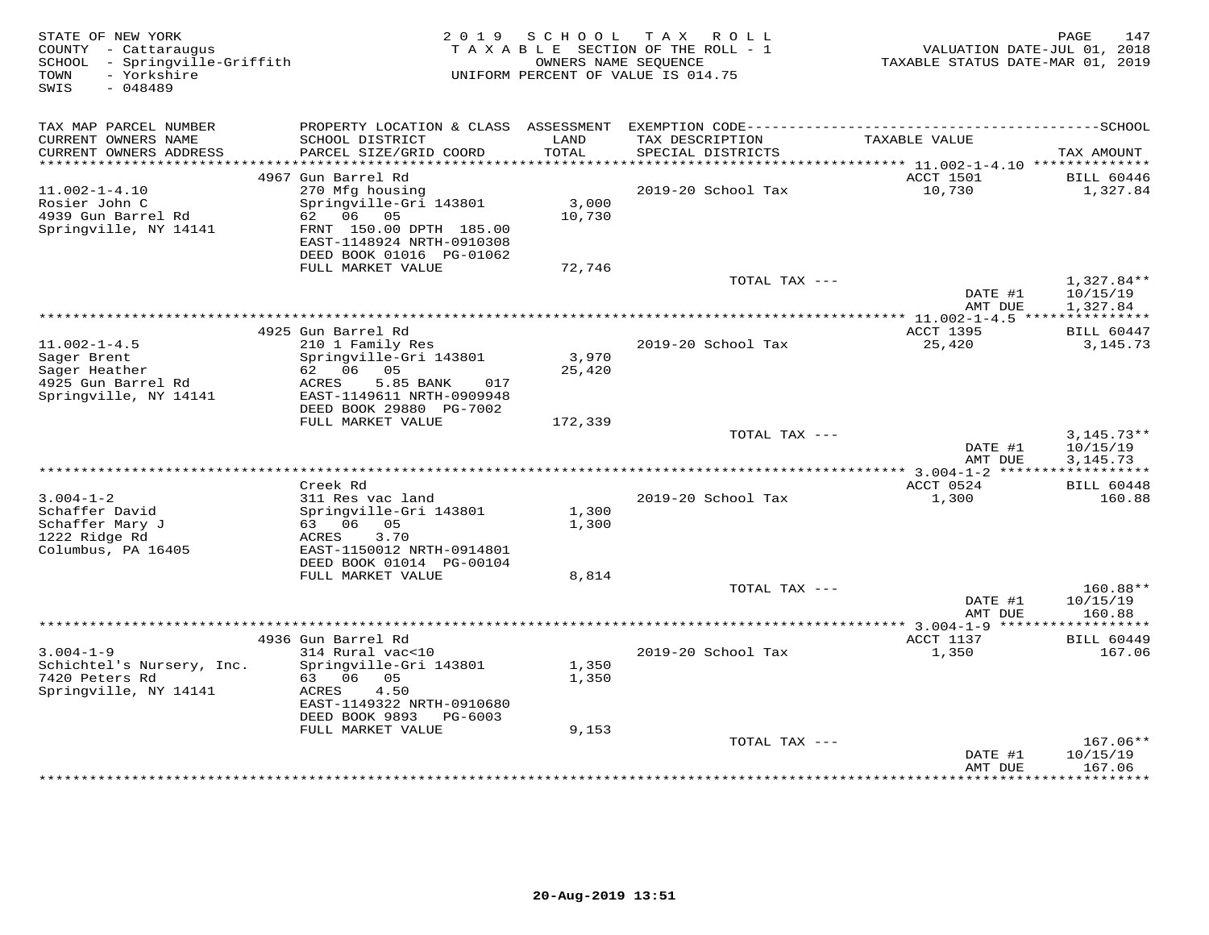| STATE OF NEW YORK<br>COUNTY - Cattaraugus<br>SCHOOL - Springville-Griffith<br>- Yorkshire<br>TOWN<br>SWIS<br>$-048489$ |                                                                                   | 2019 SCHOOL     | TAX ROLL<br>TAXABLE SECTION OF THE ROLL - 1<br>OWNERS NAME SEQUENCE<br>UNIFORM PERCENT OF VALUE IS 014.75 | VALUATION DATE-JUL 01, 2018<br>TAXABLE STATUS DATE-MAR 01, 2019 | PAGE<br>147              |
|------------------------------------------------------------------------------------------------------------------------|-----------------------------------------------------------------------------------|-----------------|-----------------------------------------------------------------------------------------------------------|-----------------------------------------------------------------|--------------------------|
| TAX MAP PARCEL NUMBER                                                                                                  |                                                                                   |                 |                                                                                                           |                                                                 |                          |
| CURRENT OWNERS NAME<br>CURRENT OWNERS ADDRESS                                                                          | SCHOOL DISTRICT<br>PARCEL SIZE/GRID COORD                                         | LAND<br>TOTAL   | TAX DESCRIPTION<br>SPECIAL DISTRICTS                                                                      | TAXABLE VALUE                                                   | TAX AMOUNT               |
|                                                                                                                        |                                                                                   |                 |                                                                                                           |                                                                 |                          |
| $11.002 - 1 - 4.10$                                                                                                    | 4967 Gun Barrel Rd<br>270 Mfg housing                                             |                 | 2019-20 School Tax                                                                                        | ACCT 1501<br>10,730                                             | BILL 60446<br>1,327.84   |
| Rosier John C<br>4939 Gun Barrel Rd                                                                                    | Springville-Gri 143801<br>62 06 05                                                | 3,000<br>10,730 |                                                                                                           |                                                                 |                          |
| Springville, NY 14141                                                                                                  | FRNT 150.00 DPTH 185.00<br>EAST-1148924 NRTH-0910308<br>DEED BOOK 01016 PG-01062  |                 |                                                                                                           |                                                                 |                          |
|                                                                                                                        | FULL MARKET VALUE                                                                 | 72,746          |                                                                                                           |                                                                 |                          |
|                                                                                                                        |                                                                                   |                 | TOTAL TAX ---                                                                                             | DATE #1                                                         | $1,327.84**$<br>10/15/19 |
|                                                                                                                        |                                                                                   |                 |                                                                                                           | AMT DUE                                                         | 1,327.84                 |
|                                                                                                                        | 4925 Gun Barrel Rd                                                                |                 |                                                                                                           | ACCT 1395                                                       | <b>BILL 60447</b>        |
| $11.002 - 1 - 4.5$                                                                                                     | 210 1 Family Res                                                                  |                 | 2019-20 School Tax                                                                                        | 25,420                                                          | 3, 145. 73               |
| Sager Brent                                                                                                            | Springville-Gri 143801                                                            | 3,970           |                                                                                                           |                                                                 |                          |
| Sager Heather                                                                                                          | 62 06 05                                                                          | 25,420          |                                                                                                           |                                                                 |                          |
| 4925 Gun Barrel Rd<br>Springville, NY 14141                                                                            | 5.85 BANK<br>ACRES<br>017<br>EAST-1149611 NRTH-0909948<br>DEED BOOK 29880 PG-7002 |                 |                                                                                                           |                                                                 |                          |
|                                                                                                                        | FULL MARKET VALUE                                                                 | 172,339         |                                                                                                           |                                                                 |                          |
|                                                                                                                        |                                                                                   |                 | TOTAL TAX ---                                                                                             |                                                                 | $3,145.73**$             |
|                                                                                                                        |                                                                                   |                 |                                                                                                           | DATE #1                                                         | 10/15/19                 |
|                                                                                                                        |                                                                                   |                 |                                                                                                           | AMT DUE                                                         | 3, 145. 73               |
|                                                                                                                        | Creek Rd                                                                          |                 |                                                                                                           | ACCT 0524                                                       | <b>BILL 60448</b>        |
| $3.004 - 1 - 2$                                                                                                        | 311 Res vac land                                                                  |                 | 2019-20 School Tax                                                                                        | 1,300                                                           | 160.88                   |
| Schaffer David                                                                                                         | Springville-Gri 143801                                                            | 1,300           |                                                                                                           |                                                                 |                          |
| Schaffer Mary J                                                                                                        | 63 06 05                                                                          | 1,300           |                                                                                                           |                                                                 |                          |
| 1222 Ridge Rd                                                                                                          | 3.70<br>ACRES                                                                     |                 |                                                                                                           |                                                                 |                          |
| Columbus, PA 16405                                                                                                     | EAST-1150012 NRTH-0914801                                                         |                 |                                                                                                           |                                                                 |                          |
|                                                                                                                        | DEED BOOK 01014 PG-00104<br>FULL MARKET VALUE                                     | 8,814           |                                                                                                           |                                                                 |                          |
|                                                                                                                        |                                                                                   |                 | TOTAL TAX ---                                                                                             |                                                                 | 160.88**                 |
|                                                                                                                        |                                                                                   |                 |                                                                                                           | DATE #1                                                         | 10/15/19                 |
|                                                                                                                        |                                                                                   |                 |                                                                                                           | AMT DUE                                                         | 160.88                   |
|                                                                                                                        |                                                                                   |                 |                                                                                                           |                                                                 |                          |
|                                                                                                                        | 4936 Gun Barrel Rd                                                                |                 |                                                                                                           | ACCT 1137                                                       | <b>BILL 60449</b>        |
| $3.004 - 1 - 9$<br>Schichtel's Nursery, Inc.                                                                           | 314 Rural vac<10<br>Springville-Gri 143801                                        | 1,350           | 2019-20 School Tax                                                                                        | 1,350                                                           | 167.06                   |
| 7420 Peters Rd                                                                                                         | 63 06 05                                                                          | 1,350           |                                                                                                           |                                                                 |                          |
| Springville, NY 14141                                                                                                  | ACRES<br>4.50                                                                     |                 |                                                                                                           |                                                                 |                          |
|                                                                                                                        | EAST-1149322 NRTH-0910680                                                         |                 |                                                                                                           |                                                                 |                          |
|                                                                                                                        | DEED BOOK 9893 PG-6003                                                            |                 |                                                                                                           |                                                                 |                          |
|                                                                                                                        | FULL MARKET VALUE                                                                 | 9,153           |                                                                                                           |                                                                 |                          |
|                                                                                                                        |                                                                                   |                 | TOTAL TAX ---                                                                                             | DATE #1                                                         | 167.06**<br>10/15/19     |
|                                                                                                                        |                                                                                   |                 |                                                                                                           | AMT DUE                                                         | 167.06                   |
|                                                                                                                        |                                                                                   |                 |                                                                                                           | *************                                                   | * * * * * * * * *        |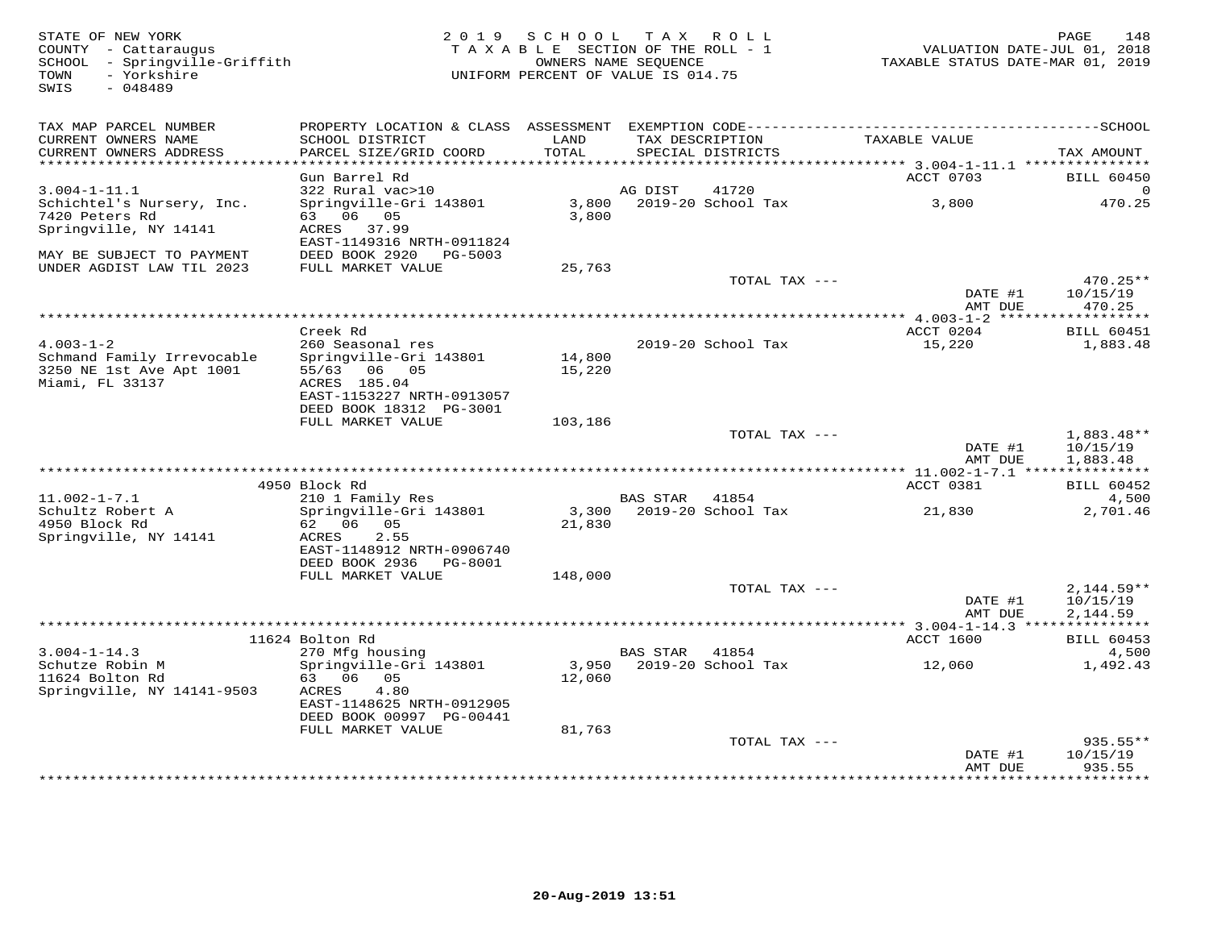| STATE OF NEW YORK<br>COUNTY - Cattaraugus<br>SCHOOL - Springville-Griffith<br>- Yorkshire<br>TOWN<br>$-048489$<br>SWIS | 2 0 1 9                                                                             | S C H O O L<br>TAXABLE SECTION OF THE ROLL - 1<br>OWNERS NAME SEQUENCE<br>UNIFORM PERCENT OF VALUE IS 014.75 |                 | TAX ROLL                             | VALUATION DATE-JUL 01, 2018<br>TAXABLE STATUS DATE-MAR 01, 2019 | PAGE<br>148                          |
|------------------------------------------------------------------------------------------------------------------------|-------------------------------------------------------------------------------------|--------------------------------------------------------------------------------------------------------------|-----------------|--------------------------------------|-----------------------------------------------------------------|--------------------------------------|
| TAX MAP PARCEL NUMBER<br>CURRENT OWNERS NAME<br>CURRENT OWNERS ADDRESS<br>**********************                       | SCHOOL DISTRICT<br>PARCEL SIZE/GRID COORD                                           | LAND<br>TOTAL                                                                                                |                 | TAX DESCRIPTION<br>SPECIAL DISTRICTS | TAXABLE VALUE                                                   | TAX AMOUNT                           |
|                                                                                                                        | Gun Barrel Rd                                                                       |                                                                                                              |                 |                                      | ACCT 0703                                                       | <b>BILL 60450</b>                    |
| $3.004 - 1 - 11.1$<br>Schichtel's Nursery, Inc.<br>7420 Peters Rd                                                      | 322 Rural vac>10<br>Springville-Gri 143801<br>63 06 05                              | 3,800<br>3,800                                                                                               | AG DIST         | 41720<br>2019-20 School Tax          | 3,800                                                           | $\Omega$<br>470.25                   |
| Springville, NY 14141                                                                                                  | ACRES<br>37.99<br>EAST-1149316 NRTH-0911824                                         |                                                                                                              |                 |                                      |                                                                 |                                      |
| MAY BE SUBJECT TO PAYMENT<br>UNDER AGDIST LAW TIL 2023                                                                 | DEED BOOK 2920<br>PG-5003<br>FULL MARKET VALUE                                      | 25,763                                                                                                       |                 |                                      |                                                                 |                                      |
|                                                                                                                        |                                                                                     |                                                                                                              |                 | TOTAL TAX ---                        | DATE #1<br>AMT DUE                                              | $470.25**$<br>10/15/19<br>470.25     |
|                                                                                                                        |                                                                                     | ********************************                                                                             |                 |                                      | *** 4.003-1-2 ******                                            | *********                            |
| $4.003 - 1 - 2$<br>Schmand Family Irrevocable                                                                          | Creek Rd<br>260 Seasonal res<br>Springville-Gri 143801                              | 14,800                                                                                                       |                 | 2019-20 School Tax                   | ACCT 0204<br>15,220                                             | <b>BILL 60451</b><br>1,883.48        |
| 3250 NE 1st Ave Apt 1001<br>Miami, FL 33137                                                                            | 55/63 06 05<br>ACRES 185.04<br>EAST-1153227 NRTH-0913057<br>DEED BOOK 18312 PG-3001 | 15,220                                                                                                       |                 |                                      |                                                                 |                                      |
|                                                                                                                        | FULL MARKET VALUE                                                                   | 103,186                                                                                                      |                 |                                      |                                                                 |                                      |
|                                                                                                                        |                                                                                     |                                                                                                              |                 | TOTAL TAX ---                        | DATE #1<br>AMT DUE                                              | $1,883.48**$<br>10/15/19<br>1,883.48 |
|                                                                                                                        | 4950 Block Rd                                                                       |                                                                                                              |                 |                                      | ACCT 0381                                                       | <b>BILL 60452</b>                    |
| $11.002 - 1 - 7.1$                                                                                                     | 210 1 Family Res                                                                    |                                                                                                              | <b>BAS STAR</b> | 41854                                |                                                                 | 4,500                                |
| Schultz Robert A<br>4950 Block Rd<br>Springville, NY 14141                                                             | Springville-Gri 143801<br>62 06<br>05<br>ACRES<br>2.55<br>EAST-1148912 NRTH-0906740 | 3,300<br>21,830                                                                                              |                 | 2019-20 School Tax                   | 21,830                                                          | 2,701.46                             |
|                                                                                                                        | DEED BOOK 2936<br>PG-8001<br>FULL MARKET VALUE                                      | 148,000                                                                                                      |                 |                                      |                                                                 |                                      |
|                                                                                                                        |                                                                                     |                                                                                                              |                 | TOTAL TAX $---$                      |                                                                 | $2,144.59**$                         |
|                                                                                                                        |                                                                                     |                                                                                                              |                 |                                      | DATE #1<br>AMT DUE<br>********** 3.004-1-14.3 ***************   | 10/15/19<br>2,144.59                 |
|                                                                                                                        | 11624 Bolton Rd                                                                     |                                                                                                              |                 |                                      | ACCT 1600                                                       | <b>BILL 60453</b>                    |
| $3.004 - 1 - 14.3$                                                                                                     | 270 Mfg housing                                                                     |                                                                                                              | <b>BAS STAR</b> | 41854                                |                                                                 | 4,500                                |
| Schutze Robin M<br>11624 Bolton Rd<br>Springville, NY 14141-9503                                                       | Springville-Gri 143801<br>63 06<br>05<br>4.80<br>ACRES<br>EAST-1148625 NRTH-0912905 | 3,950<br>12,060                                                                                              |                 | 2019-20 School Tax                   | 12,060                                                          | 1,492.43                             |
|                                                                                                                        | DEED BOOK 00997 PG-00441<br>FULL MARKET VALUE                                       | 81,763                                                                                                       |                 |                                      |                                                                 |                                      |
|                                                                                                                        |                                                                                     |                                                                                                              |                 | TOTAL TAX ---                        | DATE #1                                                         | $935.55**$<br>10/15/19               |
|                                                                                                                        |                                                                                     |                                                                                                              |                 |                                      | AMT DUE                                                         | 935.55<br>* * * * * * * * *          |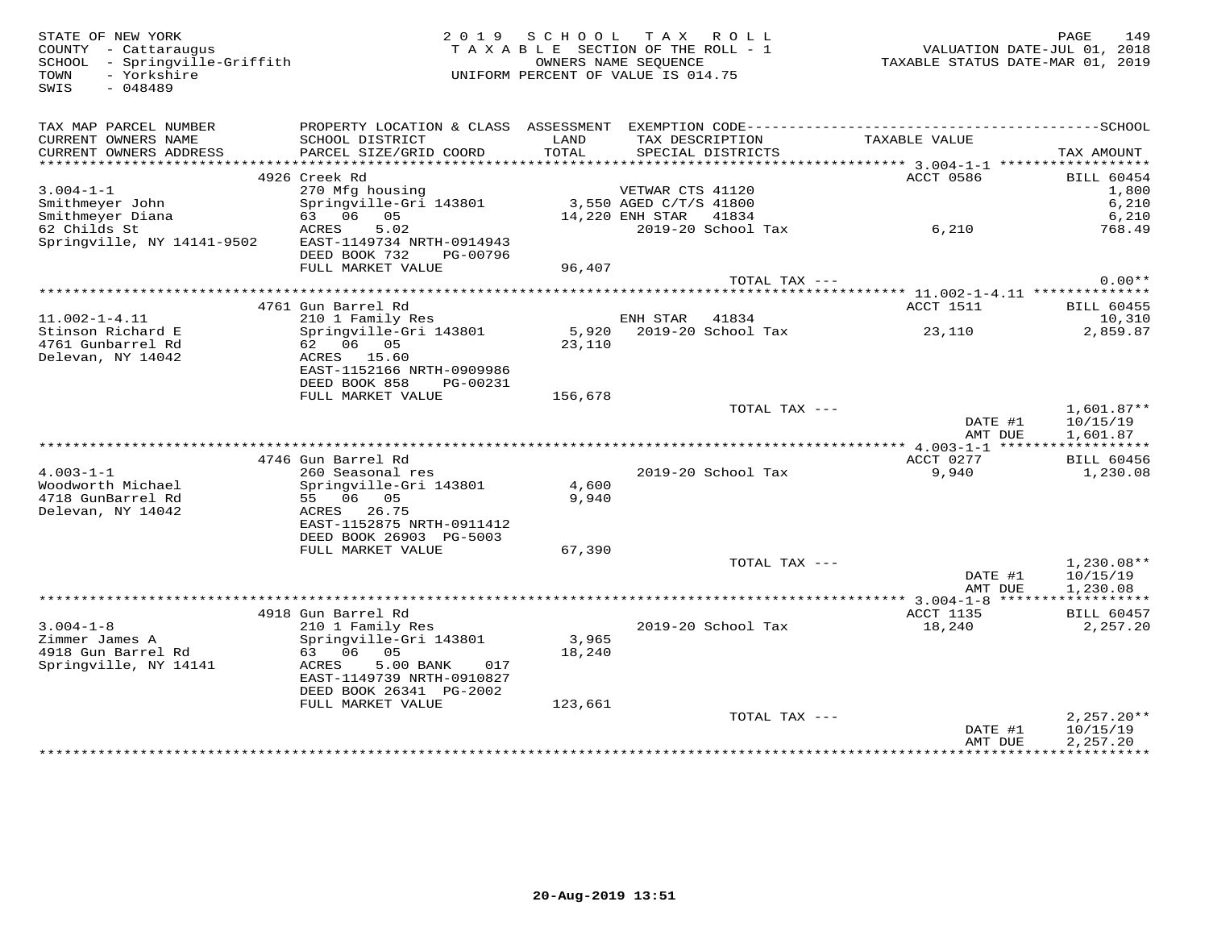SWIS - 048489

STATE OF NEW YORK 2 0 1 9 S C H O O L T A X R O L L PAGE 149TAXABLE SECTION OF THE ROLL - 1 SCHOOL - Springville-Griffith OWNERS NAME SEQUENCE TAXABLE STATUS DATE-MAR 01, 2019UNIFORM PERCENT OF VALUE IS 014.75

| TAX MAP PARCEL NUMBER                       | PROPERTY LOCATION & CLASS ASSESSMENT |         |                          |               |                            |
|---------------------------------------------|--------------------------------------|---------|--------------------------|---------------|----------------------------|
| CURRENT OWNERS NAME                         | SCHOOL DISTRICT                      | LAND    | TAX DESCRIPTION          | TAXABLE VALUE |                            |
| CURRENT OWNERS ADDRESS                      | PARCEL SIZE/GRID COORD               | TOTAL   | SPECIAL DISTRICTS        |               | TAX AMOUNT                 |
| *************************                   |                                      |         |                          |               |                            |
| $3.004 - 1 - 1$                             | 4926 Creek Rd<br>270 Mfg housing     |         | VETWAR CTS 41120         | ACCT 0586     | <b>BILL 60454</b><br>1,800 |
| Smithmeyer John                             | Springville-Gri 143801               |         | 3,550 AGED C/T/S 41800   |               | 6,210                      |
| Smithmeyer Diana                            | 63 06 05                             |         | 14,220 ENH STAR<br>41834 |               | 6,210                      |
| 62 Childs St                                | ACRES<br>5.02                        |         | 2019-20 School Tax       | 6,210         | 768.49                     |
| Springville, NY 14141-9502                  | EAST-1149734 NRTH-0914943            |         |                          |               |                            |
|                                             | DEED BOOK 732<br>PG-00796            |         |                          |               |                            |
|                                             | FULL MARKET VALUE                    | 96,407  |                          |               |                            |
|                                             |                                      |         | TOTAL TAX ---            |               | $0.00**$                   |
|                                             |                                      |         |                          |               |                            |
|                                             | 4761 Gun Barrel Rd                   |         |                          | ACCT 1511     | BILL 60455                 |
| $11.002 - 1 - 4.11$                         | 210 1 Family Res                     |         | ENH STAR<br>41834        |               | 10,310                     |
| Stinson Richard E                           | Springville-Gri 143801               | 5,920   | 2019-20 School Tax       | 23,110        | 2,859.87                   |
| 4761 Gunbarrel Rd                           | 62 06 05                             | 23,110  |                          |               |                            |
| Delevan, NY 14042                           | ACRES<br>15.60                       |         |                          |               |                            |
|                                             | EAST-1152166 NRTH-0909986            |         |                          |               |                            |
|                                             | DEED BOOK 858<br>PG-00231            |         |                          |               |                            |
|                                             | FULL MARKET VALUE                    | 156,678 |                          |               |                            |
|                                             |                                      |         | TOTAL TAX ---            |               | $1,601.87**$               |
|                                             |                                      |         |                          | DATE #1       | 10/15/19                   |
|                                             |                                      |         |                          | AMT DUE       | 1,601.87                   |
|                                             | 4746 Gun Barrel Rd                   |         |                          | ACCT 0277     | <b>BILL 60456</b>          |
| $4.003 - 1 - 1$                             | 260 Seasonal res                     |         | 2019-20 School Tax       | 9,940         | 1,230.08                   |
| Woodworth Michael                           | Springville-Gri 143801               | 4,600   |                          |               |                            |
| 4718 GunBarrel Rd                           | 55 06 05                             | 9,940   |                          |               |                            |
| Delevan, NY 14042                           | ACRES<br>26.75                       |         |                          |               |                            |
|                                             | EAST-1152875 NRTH-0911412            |         |                          |               |                            |
|                                             | DEED BOOK 26903 PG-5003              |         |                          |               |                            |
|                                             | FULL MARKET VALUE                    | 67,390  |                          |               |                            |
|                                             |                                      |         | TOTAL TAX ---            |               | $1,230.08**$               |
|                                             |                                      |         |                          | DATE #1       | 10/15/19                   |
|                                             |                                      |         |                          | AMT DUE       | 1,230.08                   |
|                                             |                                      |         |                          |               |                            |
|                                             | 4918 Gun Barrel Rd                   |         |                          | ACCT 1135     | BILL 60457                 |
| $3.004 - 1 - 8$                             | 210 1 Family Res                     |         | 2019-20 School Tax       | 18,240        | 2,257.20                   |
| Zimmer James A                              | Springville-Gri 143801<br>63 06 05   | 3,965   |                          |               |                            |
| 4918 Gun Barrel Rd<br>Springville, NY 14141 | 5.00 BANK<br>ACRES<br>017            | 18,240  |                          |               |                            |
|                                             | EAST-1149739 NRTH-0910827            |         |                          |               |                            |
|                                             | DEED BOOK 26341 PG-2002              |         |                          |               |                            |
|                                             | FULL MARKET VALUE                    | 123,661 |                          |               |                            |
|                                             |                                      |         | TOTAL TAX ---            |               | $2,257.20**$               |
|                                             |                                      |         |                          | DATE #1       | 10/15/19                   |
|                                             |                                      |         |                          | AMT DUE       | 2,257.20                   |
|                                             |                                      |         |                          |               |                            |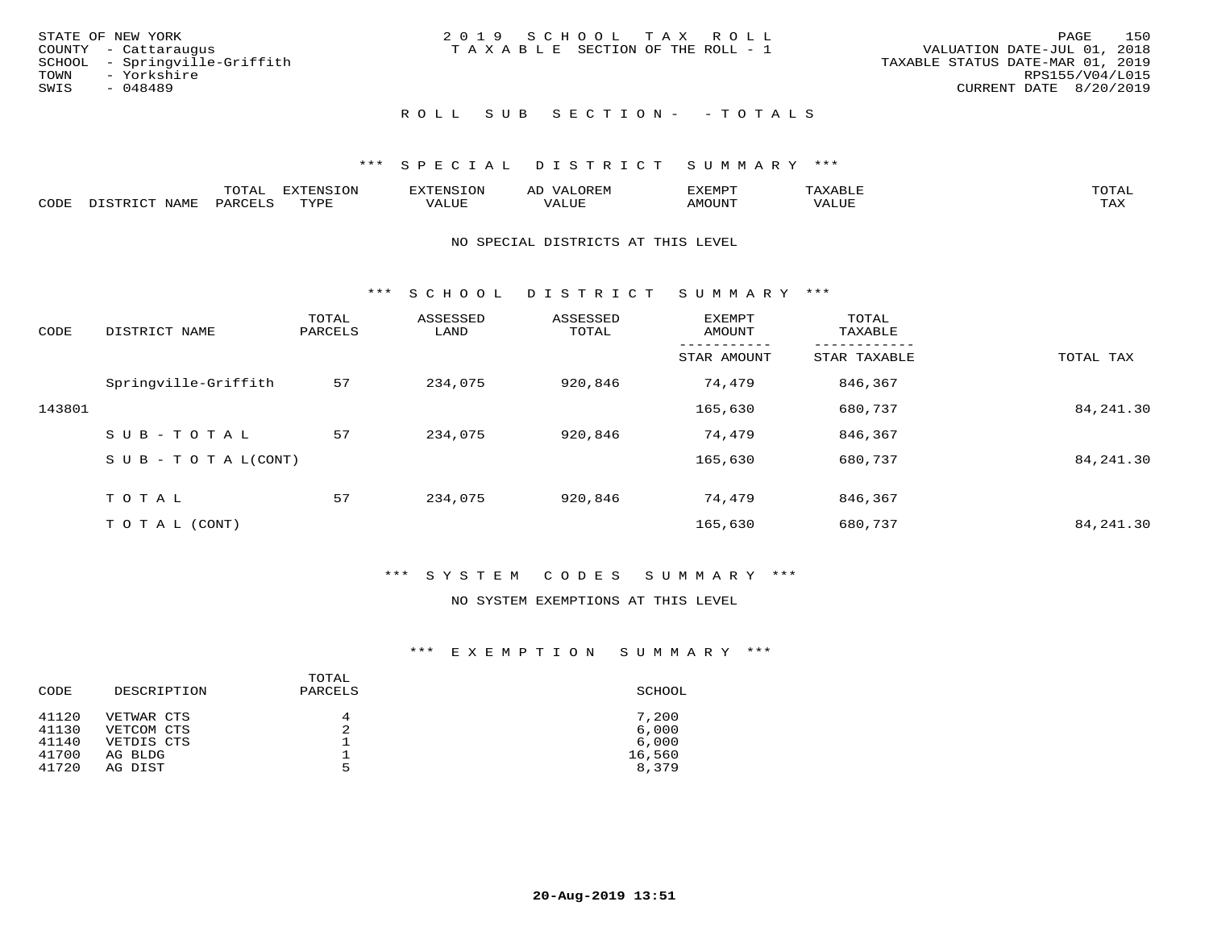|      | STATE OF NEW YORK             | 2019 SCHOOL TAX ROLL             |                             | PAGE | 150 |
|------|-------------------------------|----------------------------------|-----------------------------|------|-----|
|      | COUNTY - Cattaraugus          | TAXABLE SECTION OF THE ROLL - 1  | VALUATION DATE-JUL 01, 2018 |      |     |
|      | SCHOOL - Springville-Griffith | TAXABLE STATUS DATE-MAR 01, 2019 |                             |      |     |
| TOWN | - Yorkshire                   |                                  | RPS155/V04/L015             |      |     |
| SWIS | - 048489                      |                                  | CURRENT DATE 8/20/2019      |      |     |
|      |                               |                                  |                             |      |     |

## ROLL SUB SECTION - - TOTALS

## \*\*\* S P E C I A L D I S T R I C T S U M M A R Y \*\*\*

|      |                   | -----<br>◡⊥▱ | <b>FYTFNSION</b><br>. v | H'NL'     |                          | .XEMP" | $\Delta$<br>.       | TOTAL |
|------|-------------------|--------------|-------------------------|-----------|--------------------------|--------|---------------------|-------|
| CODE | NTAM <sup>T</sup> | PARC         | $m \times r \cap \tau$  | تلالالتدك | , <del>,</del> , , , , , | MOUN.  | <b>TITT</b><br>ALUL | TAX   |

#### NO SPECIAL DISTRICTS AT THIS LEVEL

\*\*\* S C H O O L D I S T R I C T S U M M A R Y \*\*\*

| CODE   | DISTRICT NAME                    | TOTAL<br>PARCELS | ASSESSED<br>LAND | ASSESSED<br>TOTAL | EXEMPT<br>AMOUNT | TOTAL<br>TAXABLE |            |
|--------|----------------------------------|------------------|------------------|-------------------|------------------|------------------|------------|
|        |                                  |                  |                  |                   | STAR AMOUNT      | STAR TAXABLE     | TOTAL TAX  |
|        | Springville-Griffith             | 57               | 234,075          | 920,846           | 74,479           | 846,367          |            |
| 143801 |                                  |                  |                  |                   | 165,630          | 680,737          | 84, 241.30 |
|        | SUB-TOTAL                        | 57               | 234,075          | 920,846           | 74,479           | 846,367          |            |
|        | $S \cup B - T \cup T A L (CONT)$ |                  |                  |                   | 165,630          | 680,737          | 84, 241.30 |
|        | TOTAL                            | 57               | 234,075          | 920,846           | 74,479           | 846,367          |            |
|        | T O T A L (CONT)                 |                  |                  |                   | 165,630          | 680,737          | 84, 241.30 |

## \*\*\* S Y S T E M C O D E S S U M M A R Y \*\*\*

#### NO SYSTEM EXEMPTIONS AT THIS LEVEL

| CODE  | DESCRIPTION | TOTAL<br>PARCELS | SCHOOL |
|-------|-------------|------------------|--------|
| 41120 | VETWAR CTS  | 4                | 7,200  |
| 41130 | VETCOM CTS  | 2                | 6,000  |
| 41140 | VETDIS CTS  |                  | 6,000  |
| 41700 | AG BLDG     |                  | 16,560 |
| 41720 | AG DIST     | 5                | 8,379  |
|       |             |                  |        |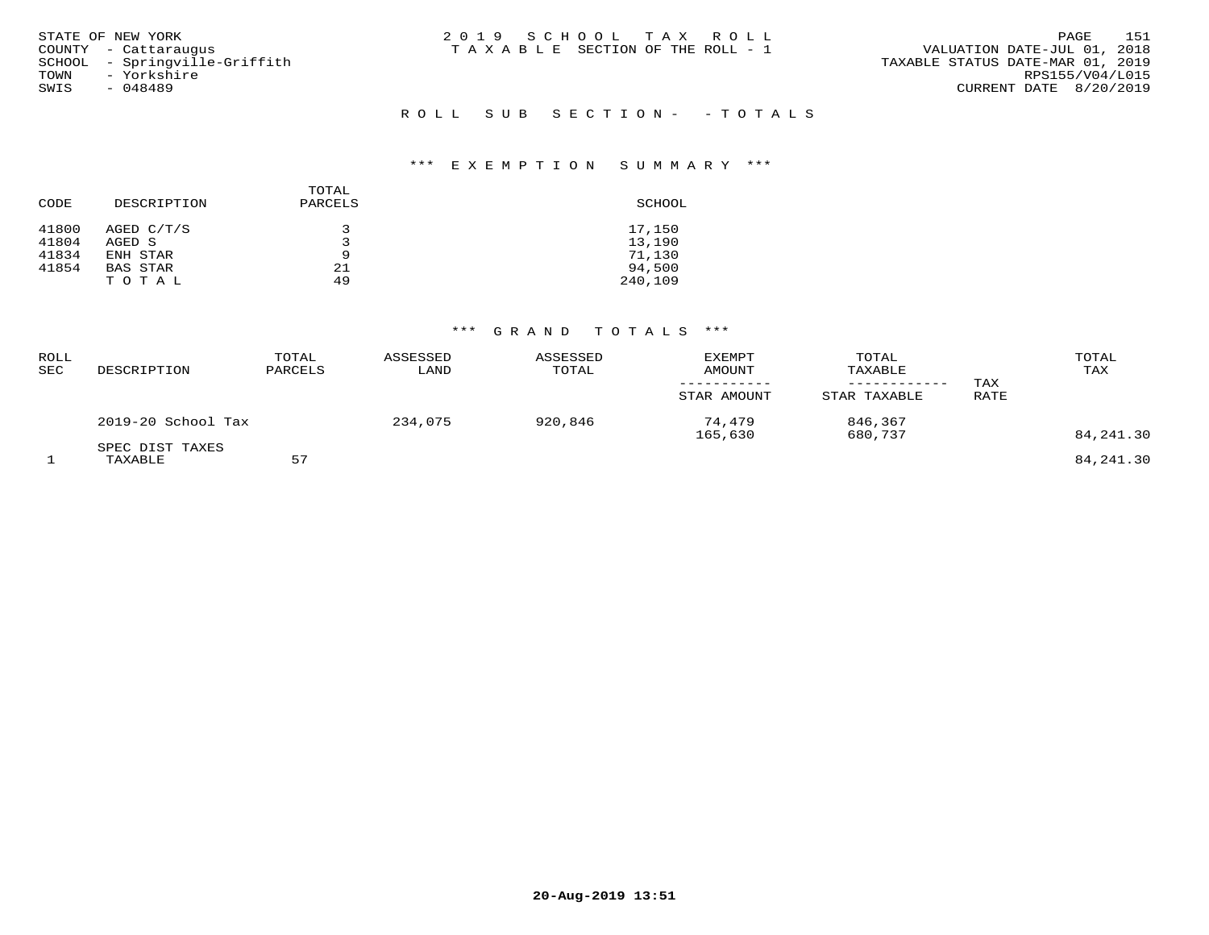| STATE OF NEW YORK<br>COUNTY - Cattaraugus<br>SCHOOL - Springville-Griffith<br>- Yorkshire<br>TOWN<br>SWIS<br>- 048489 | 2019 SCHOOL TAX ROLL<br>T A X A B L E SECTION OF THE ROLL - 1 | - 151<br>PAGE<br>VALUATION DATE-JUL 01, 2018<br>TAXABLE STATUS DATE-MAR 01, 2019<br>RPS155/V04/L015<br>CURRENT DATE 8/20/2019 |
|-----------------------------------------------------------------------------------------------------------------------|---------------------------------------------------------------|-------------------------------------------------------------------------------------------------------------------------------|
|                                                                                                                       | ROLL SUB SECTION- - TOTALS                                    |                                                                                                                               |

| CODE                    | DESCRIPTION                      | TOTAL<br>PARCELS | SCHOOL                     |
|-------------------------|----------------------------------|------------------|----------------------------|
| 41800<br>41804<br>41834 | AGED C/T/S<br>AGED S<br>ENH STAR | 3<br>9           | 17,150<br>13,190<br>71,130 |
| 41854                   | <b>BAS STAR</b><br>TOTAL         | 21<br>49         | 94,500<br>240,109          |

| ROLL<br>SEC | DESCRIPTION                | TOTAL<br>PARCELS | ASSESSED<br>LAND | ASSESSED<br>TOTAL | <b>EXEMPT</b><br>AMOUNT<br>STAR AMOUNT | TOTAL<br>TAXABLE<br>------------<br>STAR TAXABLE | TAX<br>RATE | TOTAL<br>TAX |
|-------------|----------------------------|------------------|------------------|-------------------|----------------------------------------|--------------------------------------------------|-------------|--------------|
|             | 2019-20 School Tax         |                  | 234,075          | 920,846           | 74,479<br>165,630                      | 846,367<br>680,737                               |             | 84, 241.30   |
|             | SPEC DIST TAXES<br>TAXABLE | 57               |                  |                   |                                        |                                                  |             | 84, 241.30   |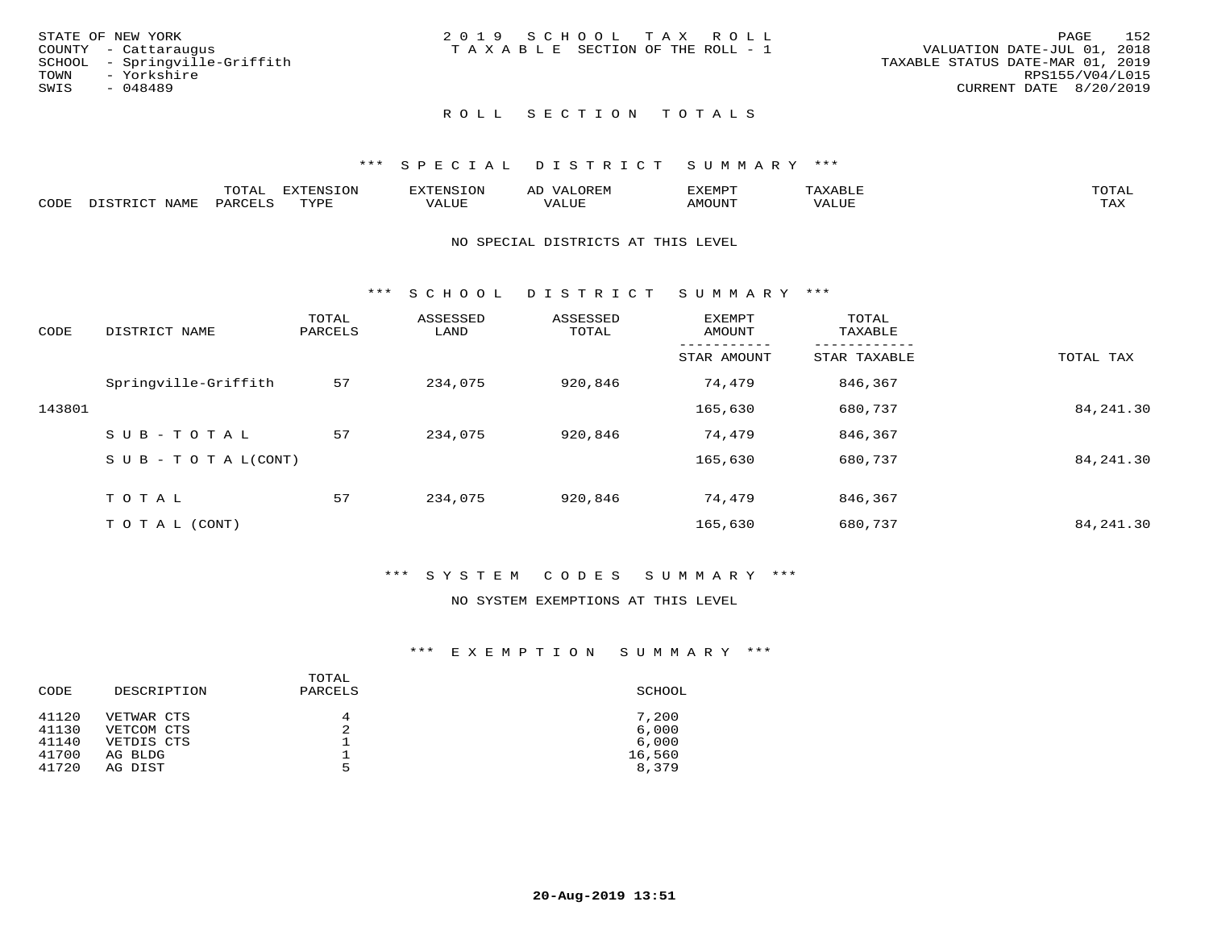| STATE OF NEW YORK             | 2019 SCHOOL TAX ROLL            | 152<br>PAGE                      |
|-------------------------------|---------------------------------|----------------------------------|
| COUNTY - Cattaraugus          | TAXABLE SECTION OF THE ROLL - 1 | VALUATION DATE-JUL 01, 2018      |
| SCHOOL - Springville-Griffith |                                 | TAXABLE STATUS DATE-MAR 01, 2019 |
| TOWN<br>- Yorkshire           |                                 | RPS155/V04/L015                  |
| SWIS<br>- 048489              |                                 | CURRENT DATE 8/20/2019           |
|                               |                                 |                                  |
|                               |                                 |                                  |

## \*\*\* S P E C I A L D I S T R I C T S U M M A R Y \*\*\*

|      |      | momm<br>LUIAL | $\blacksquare$<br>mazma<br>.UP | . N.S                | . JR P.IV     | המארד 17<br>ິ<br>⊐ויום∧נ |                |                    |
|------|------|---------------|--------------------------------|----------------------|---------------|--------------------------|----------------|--------------------|
| CODE | NAME | . DAD'        | TVDI<br>.                      | 77\TTTT<br>الالالدين | T T T<br>ALUI | AMOUNT                   | T T T T<br>′ △ | $m \times r$<br>∸⊷ |

#### NO SPECIAL DISTRICTS AT THIS LEVEL

\*\*\* S C H O O L D I S T R I C T S U M M A R Y \*\*\*

| CODE   | DISTRICT NAME                    | TOTAL<br>PARCELS | ASSESSED<br>LAND | ASSESSED<br>TOTAL | EXEMPT<br>AMOUNT | TOTAL<br>TAXABLE |            |
|--------|----------------------------------|------------------|------------------|-------------------|------------------|------------------|------------|
|        |                                  |                  |                  |                   | STAR AMOUNT      | STAR TAXABLE     | TOTAL TAX  |
|        | Springville-Griffith             | 57               | 234,075          | 920,846           | 74,479           | 846,367          |            |
| 143801 |                                  |                  |                  |                   | 165,630          | 680,737          | 84, 241.30 |
|        | $SUB - TO T AL$                  | 57               | 234,075          | 920,846           | 74,479           | 846,367          |            |
|        | $S \cup B - T \cup T A L (CONT)$ |                  |                  |                   | 165,630          | 680,737          | 84, 241.30 |
|        | TOTAL                            | 57               | 234,075          | 920,846           | 74,479           | 846,367          |            |
|        | T O T A L (CONT)                 |                  |                  |                   | 165,630          | 680,737          | 84, 241.30 |

#### \*\*\* S Y S T E M C O D E S S U M M A R Y \*\*\*

## NO SYSTEM EXEMPTIONS AT THIS LEVEL

| CODE           | DESCRIPTION              | TOTAL<br>PARCELS | SCHOOL          |
|----------------|--------------------------|------------------|-----------------|
| 41120<br>41130 | VETWAR CTS<br>VETCOM CTS | 4<br>2           | 7,200<br>6,000  |
| 41140          | VETDIS CTS               |                  | 6,000           |
| 41700<br>41720 | AG BLDG<br>AG DIST       | 5                | 16,560<br>8,379 |
|                |                          |                  |                 |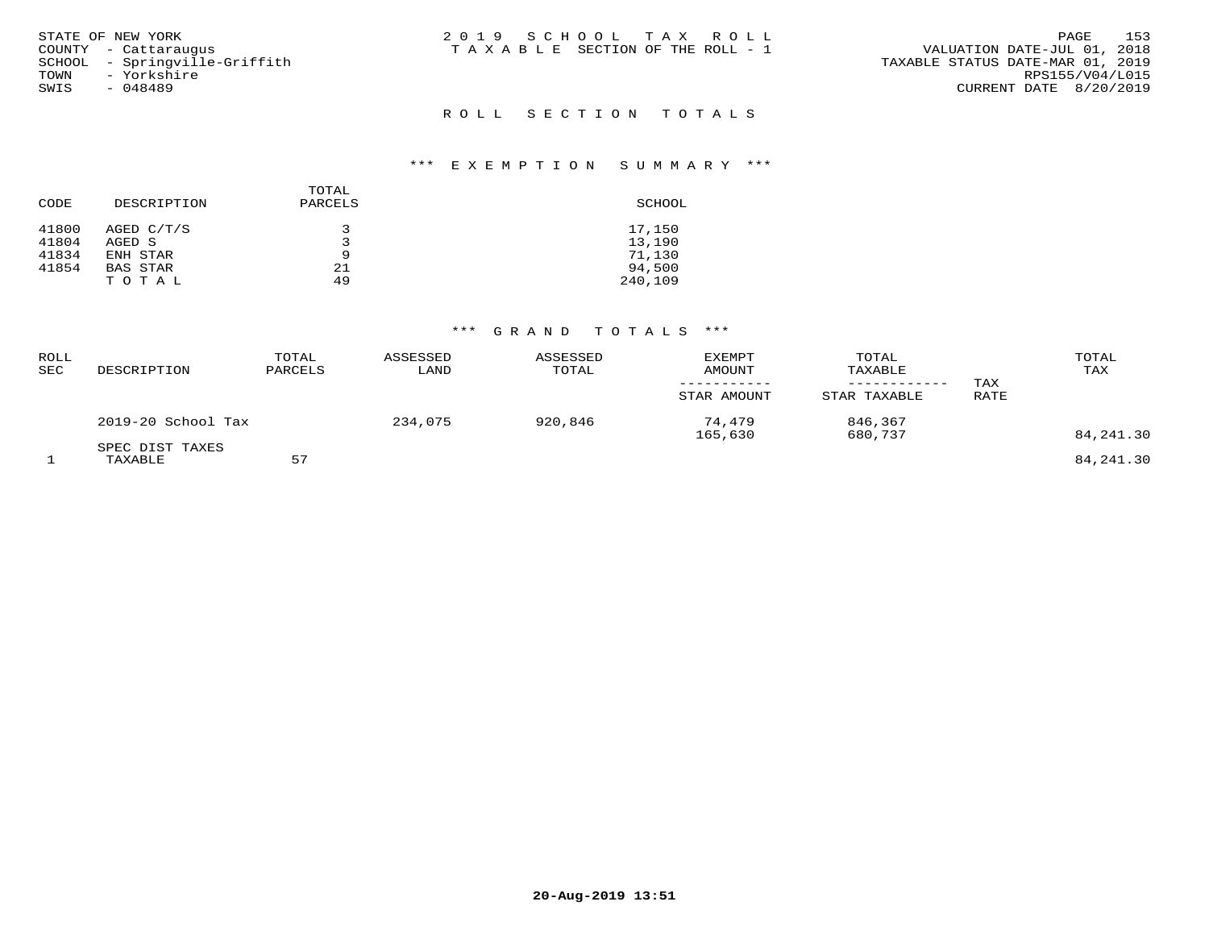| STATE OF NEW YORK<br>COUNTY - Cattaraugus<br>SCHOOL - Springville-Griffith<br>TOWN<br>- Yorkshire<br>SWIS<br>$-048489$ | 2019 SCHOOL TAX ROLL<br>T A X A B L E SECTION OF THE ROLL - 1 | 153<br>PAGE<br>VALUATION DATE-JUL 01, 2018<br>TAXABLE STATUS DATE-MAR 01, 2019<br>RPS155/V04/L015<br>CURRENT DATE 8/20/2019 |
|------------------------------------------------------------------------------------------------------------------------|---------------------------------------------------------------|-----------------------------------------------------------------------------------------------------------------------------|
|                                                                                                                        | ROLL SECTION TOTALS                                           |                                                                                                                             |

| CODE           | DESCRIPTION          | TOTAL<br>PARCELS | SCHOOL           |
|----------------|----------------------|------------------|------------------|
| 41800<br>41804 | AGED C/T/S<br>AGED S | 3                | 17,150<br>13,190 |
| 41834          |                      | 9                |                  |
|                | ENH STAR             |                  | 71,130           |
| 41854          | BAS STAR             | 21               | 94,500           |
|                | TOTAL                | 49               | 240,109          |

| ROLL<br>SEC | DESCRIPTION                | TOTAL<br>PARCELS | ASSESSED<br>LAND | ASSESSED<br>TOTAL | EXEMPT<br>AMOUNT<br>-----------<br>STAR AMOUNT | TOTAL<br>TAXABLE<br>------------<br>STAR TAXABLE | TAX<br>RATE | TOTAL<br>TAX |
|-------------|----------------------------|------------------|------------------|-------------------|------------------------------------------------|--------------------------------------------------|-------------|--------------|
|             | 2019-20 School Tax         |                  | 234,075          | 920,846           | 74,479<br>165,630                              | 846,367<br>680,737                               |             | 84, 241.30   |
|             | SPEC DIST TAXES<br>TAXABLE | 57               |                  |                   |                                                |                                                  |             | 84, 241.30   |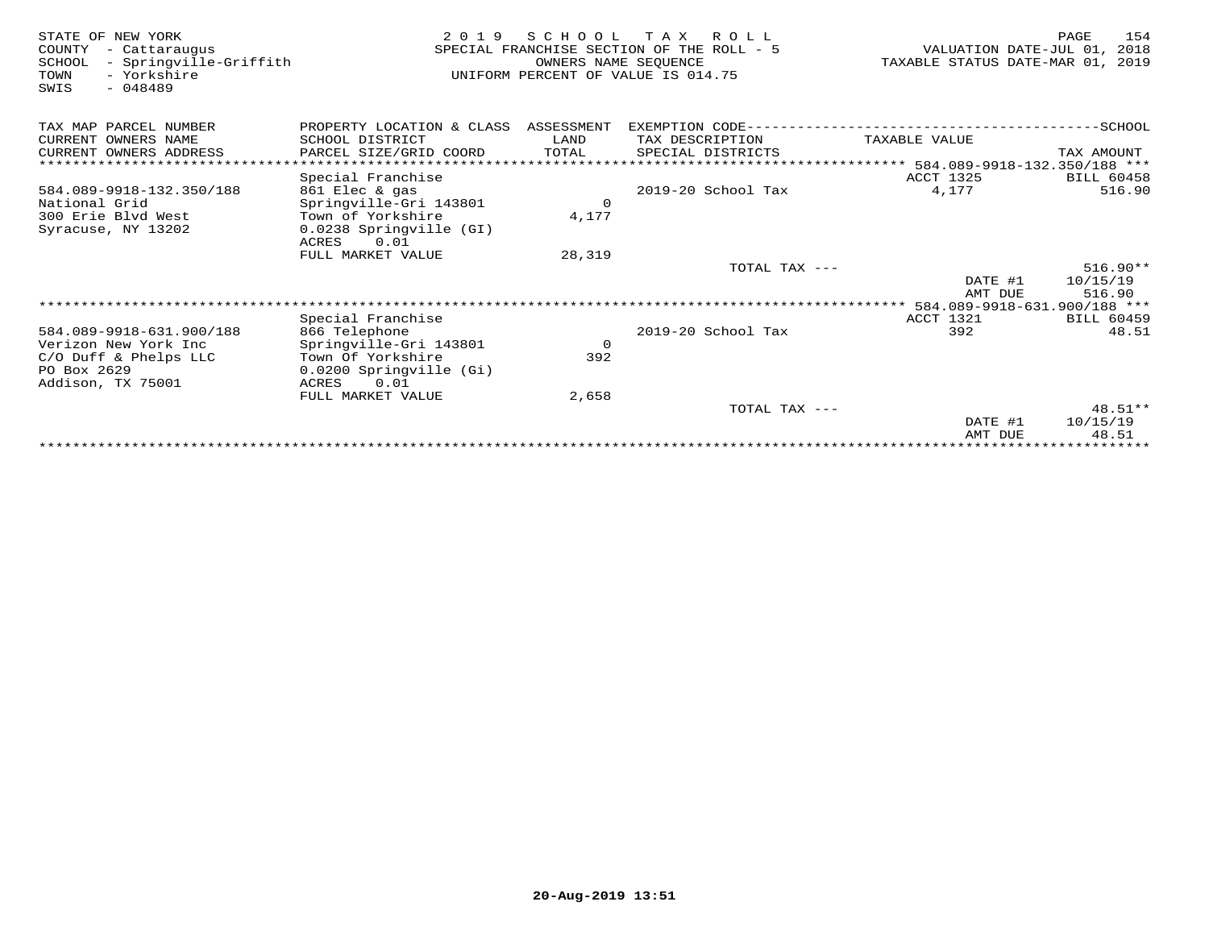| STATE OF NEW YORK<br>COUNTY<br>- Cattaraugus<br>- Springville-Griffith<br>SCHOOL<br>- Yorkshire<br>TOWN<br>$-048489$<br>SWIS | 2 0 1 9                              | S C H O O L<br>OWNERS NAME SEQUENCE | T A X<br>R O L L<br>SPECIAL FRANCHISE SECTION OF THE ROLL - 5<br>UNIFORM PERCENT OF VALUE IS 014.75 | VALUATION DATE-JUL 01,<br>TAXABLE STATUS DATE-MAR 01, 2019 | 154<br>PAGE<br>2018 |
|------------------------------------------------------------------------------------------------------------------------------|--------------------------------------|-------------------------------------|-----------------------------------------------------------------------------------------------------|------------------------------------------------------------|---------------------|
| TAX MAP PARCEL NUMBER                                                                                                        | PROPERTY LOCATION & CLASS ASSESSMENT |                                     | EXEMPTION CODE--------------------------                                                            |                                                            | $---------SCHOOL$   |
| CURRENT OWNERS NAME                                                                                                          | SCHOOL DISTRICT                      | LAND                                | TAX DESCRIPTION                                                                                     | TAXABLE VALUE                                              |                     |
| CURRENT OWNERS ADDRESS                                                                                                       | PARCEL SIZE/GRID COORD               | TOTAL                               | SPECIAL DISTRICTS                                                                                   |                                                            | TAX AMOUNT          |
|                                                                                                                              |                                      |                                     |                                                                                                     | ****************** 584.089-9918-132.350/188 ***            |                     |
|                                                                                                                              | Special Franchise                    |                                     |                                                                                                     | <b>ACCT 1325</b>                                           | <b>BILL 60458</b>   |
| 584.089-9918-132.350/188                                                                                                     | 861 Elec & gas                       |                                     | 2019-20 School Tax                                                                                  | 4,177                                                      | 516.90              |
| National Grid                                                                                                                | Springville-Gri 143801               | $\circ$                             |                                                                                                     |                                                            |                     |
| 300 Erie Blvd West                                                                                                           | Town of Yorkshire                    | 4,177                               |                                                                                                     |                                                            |                     |
| Syracuse, NY 13202                                                                                                           | 0.0238 Springville (GI)              |                                     |                                                                                                     |                                                            |                     |
|                                                                                                                              | ACRES<br>0.01                        |                                     |                                                                                                     |                                                            |                     |
|                                                                                                                              | FULL MARKET VALUE                    | 28,319                              | TOTAL TAX ---                                                                                       |                                                            | $516.90**$          |
|                                                                                                                              |                                      |                                     |                                                                                                     | DATE #1                                                    | 10/15/19            |
|                                                                                                                              |                                      |                                     |                                                                                                     | AMT DUE                                                    | 516.90              |
|                                                                                                                              |                                      |                                     |                                                                                                     |                                                            |                     |
|                                                                                                                              | Special Franchise                    |                                     |                                                                                                     | ACCT 1321                                                  | <b>BILL 60459</b>   |
| 584.089-9918-631.900/188                                                                                                     | 866 Telephone                        |                                     | 2019-20 School Tax                                                                                  | 392                                                        | 48.51               |
| Verizon New York Inc                                                                                                         | Springville-Gri 143801               | $\circ$                             |                                                                                                     |                                                            |                     |
| C/O Duff & Phelps LLC                                                                                                        | Town Of Yorkshire                    | 392                                 |                                                                                                     |                                                            |                     |
| PO Box 2629                                                                                                                  | 0.0200 Springville (Gi)              |                                     |                                                                                                     |                                                            |                     |
| Addison, TX 75001                                                                                                            | ACRES<br>0.01                        |                                     |                                                                                                     |                                                            |                     |
|                                                                                                                              | FULL MARKET VALUE                    | 2,658                               |                                                                                                     |                                                            |                     |
|                                                                                                                              |                                      |                                     | TOTAL TAX ---                                                                                       |                                                            | $48.51**$           |
|                                                                                                                              |                                      |                                     |                                                                                                     | DATE #1                                                    | 10/15/19            |
|                                                                                                                              |                                      |                                     |                                                                                                     | AMT DUE                                                    | 48.51               |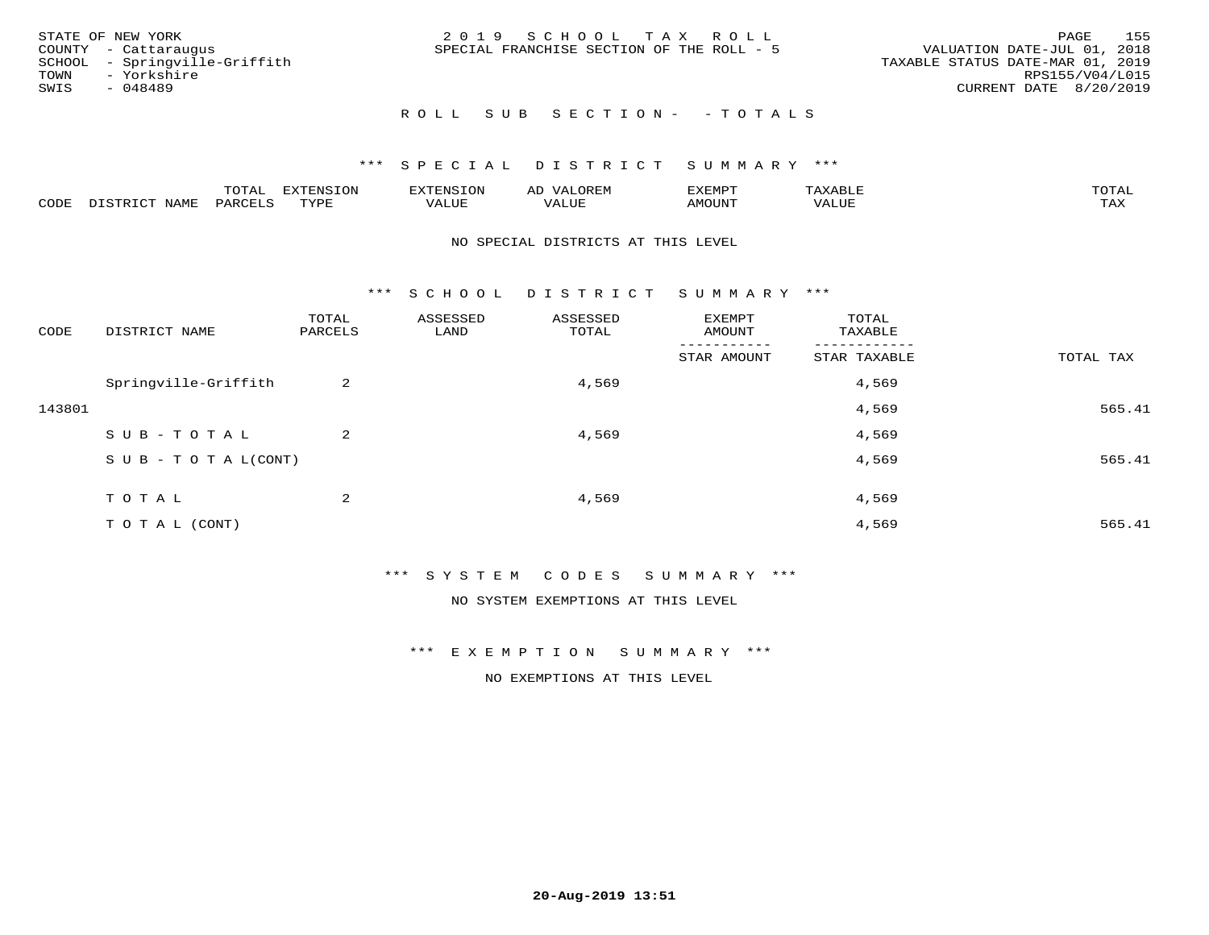| STATE OF NEW YORK<br>COUNTY - Cattaraugus<br>SCHOOL - Springville-Griffith<br>TOWN - Yorkshire<br>SWIS<br>- 048489 | 2019 SCHOOL TAX ROLL<br>SPECIAL FRANCHISE SECTION OF THE ROLL - 5 | 155<br>PAGE<br>VALUATION DATE-JUL 01, 2018<br>TAXABLE STATUS DATE-MAR 01, 2019<br>RPS155/V04/L015<br>CURRENT DATE 8/20/2019 |
|--------------------------------------------------------------------------------------------------------------------|-------------------------------------------------------------------|-----------------------------------------------------------------------------------------------------------------------------|
|                                                                                                                    | ROLL SUB SECTION- - TOTALS                                        |                                                                                                                             |

|      |              | ᅲ슈ᅕ<br>LUIAL | <b>DYMONIC TONT</b> | H.N.S |              | 'XEMPT |       |                    |
|------|--------------|--------------|---------------------|-------|--------------|--------|-------|--------------------|
| CODE | NAME<br>マエロエ | PARCET       | TVDI<br>- - - -     | VALUE | T T T<br>7 A | AMOUNT | 'ALUL | <b>TRAV</b><br>∸∽∸ |

#### NO SPECIAL DISTRICTS AT THIS LEVEL

\*\*\* S C H O O L D I S T R I C T S U M M A R Y \*\*\*

| CODE   | DISTRICT NAME                    | TOTAL<br>PARCELS | ASSESSED<br>LAND | ASSESSED<br>TOTAL | EXEMPT<br>AMOUNT       | TOTAL<br>TAXABLE         |           |
|--------|----------------------------------|------------------|------------------|-------------------|------------------------|--------------------------|-----------|
|        |                                  |                  |                  |                   | -------<br>STAR AMOUNT | --------<br>STAR TAXABLE | TOTAL TAX |
|        | Springville-Griffith             | 2                |                  | 4,569             |                        | 4,569                    |           |
| 143801 |                                  |                  |                  |                   |                        | 4,569                    | 565.41    |
|        | SUB-TOTAL                        | 2                |                  | 4,569             |                        | 4,569                    |           |
|        | $S \cup B - T \cup T A L (CONT)$ |                  |                  |                   |                        | 4,569                    | 565.41    |
|        | TOTAL                            | 2                |                  | 4,569             |                        | 4,569                    |           |
|        | TO TAL (CONT)                    |                  |                  |                   |                        | 4,569                    | 565.41    |

\*\*\* S Y S T E M C O D E S S U M M A R Y \*\*\*

NO SYSTEM EXEMPTIONS AT THIS LEVEL

\*\*\* E X E M P T I O N S U M M A R Y \*\*\*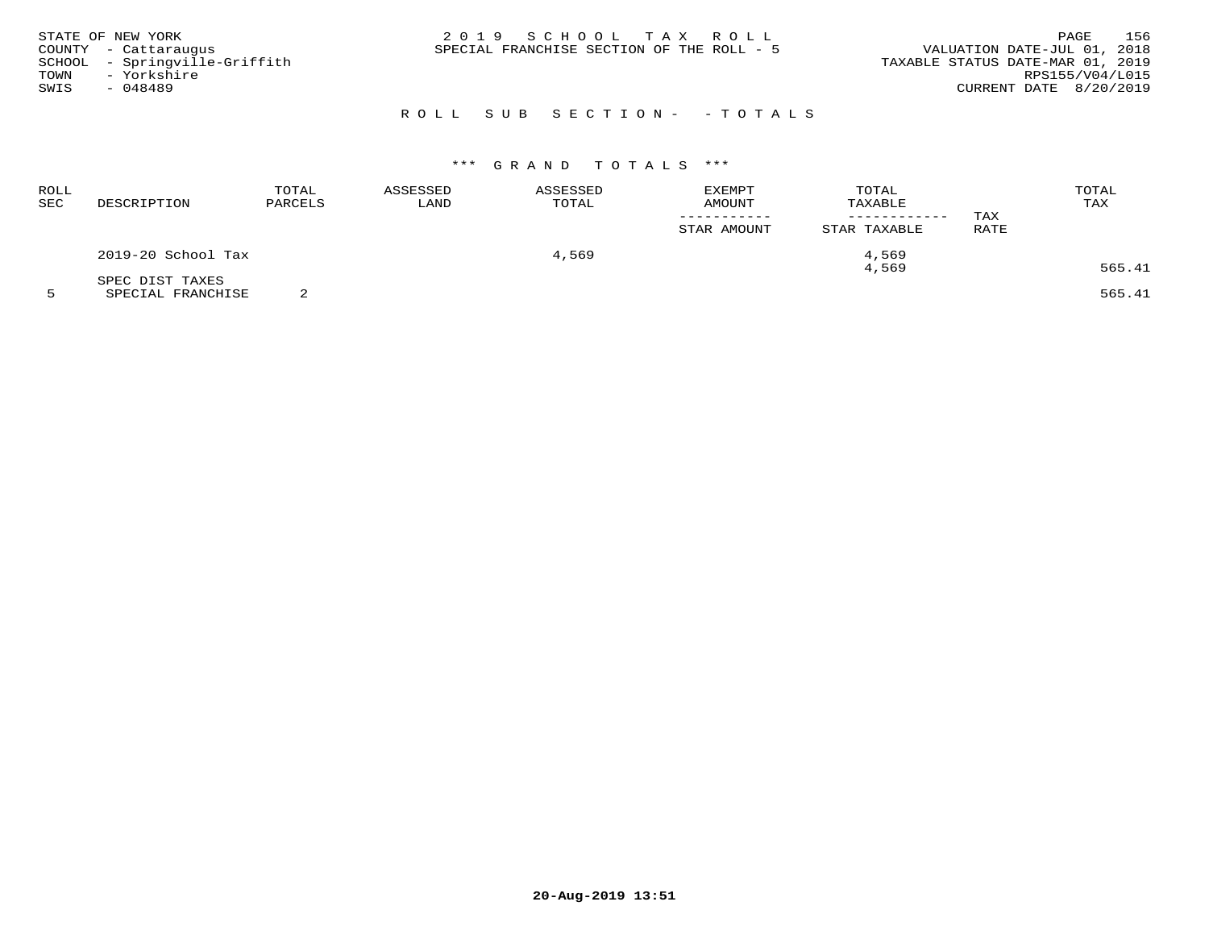| STATE OF NEW YORK<br>COUNTY - Cattaraugus<br>SCHOOL - Springville-Griffith<br>- Yorkshire<br>TOWN<br>SWIS<br>- 048489 | 2019 SCHOOL TAX ROLL<br>SPECIAL FRANCHISE SECTION OF THE ROLL - 5 | 156<br>PAGE<br>VALUATION DATE-JUL 01, 2018<br>TAXABLE STATUS DATE-MAR 01, 2019<br>RPS155/V04/L015<br>CURRENT DATE 8/20/2019 |
|-----------------------------------------------------------------------------------------------------------------------|-------------------------------------------------------------------|-----------------------------------------------------------------------------------------------------------------------------|
|                                                                                                                       | ROLL SUB SECTION- - TOTALS                                        |                                                                                                                             |

## \*\*\* G R A N D T O T A L S \*\*\*

| <b>ROLL</b><br>SEC | DESCRIPTION        | TOTAL<br>PARCELS | ASSESSED<br>LAND | ASSESSED<br>TOTAL | EXEMPT<br>AMOUNT<br>STAR AMOUNT | TOTAL<br>TAXABLE<br>STAR TAXABLE | TAX<br>RATE | TOTAL<br>TAX |
|--------------------|--------------------|------------------|------------------|-------------------|---------------------------------|----------------------------------|-------------|--------------|
|                    | 2019-20 School Tax |                  |                  | 4,569             |                                 | 4,569                            |             |              |
|                    | SPEC DIST TAXES    |                  |                  |                   |                                 | 4,569                            |             | 565.41       |

5 SPECIAL FRANCHISE 2 565.41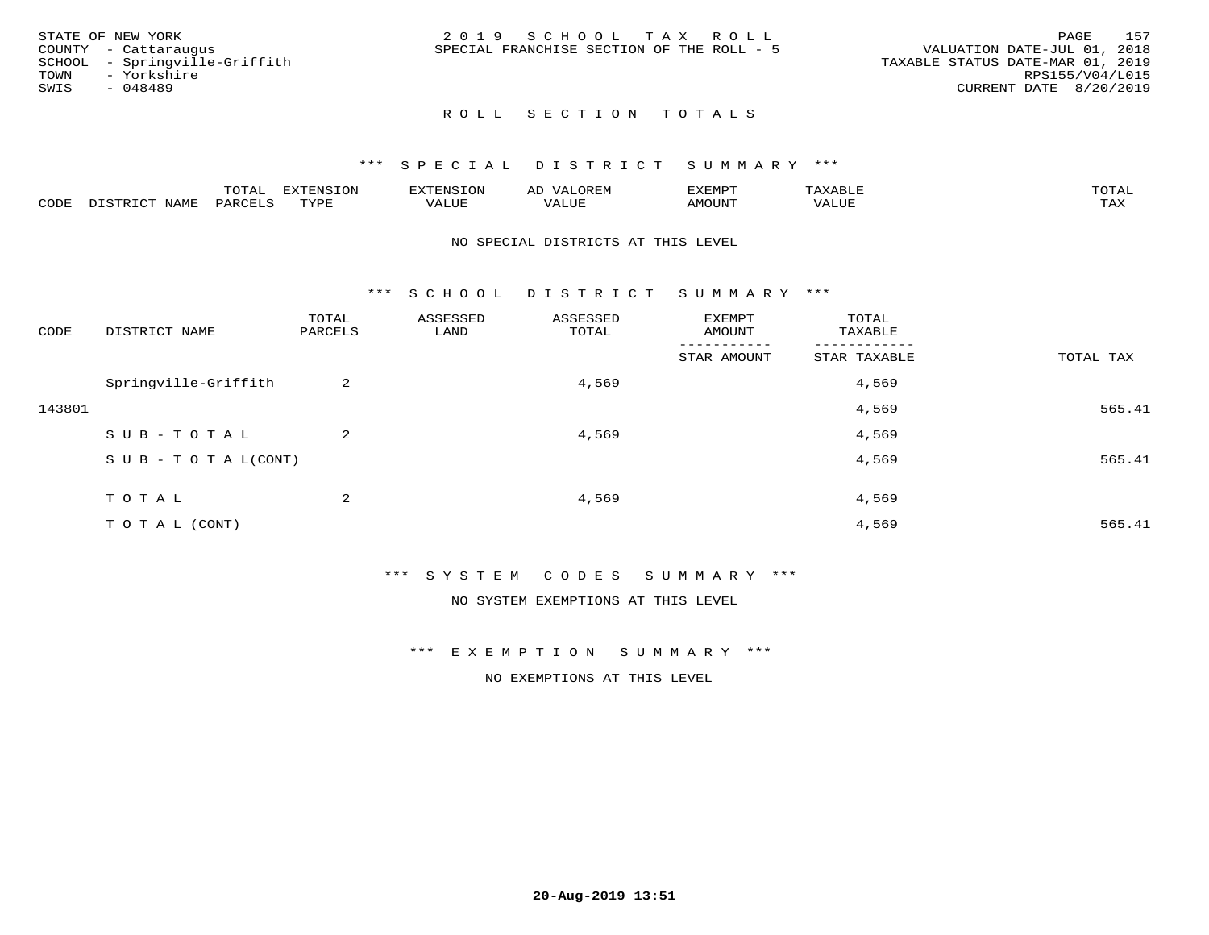| STATE OF NEW YORK             | 2019 SCHOOL TAX ROLL                      | 157<br>PAGE                      |
|-------------------------------|-------------------------------------------|----------------------------------|
| COUNTY - Cattaraugus          | SPECIAL FRANCHISE SECTION OF THE ROLL - 5 | VALUATION DATE-JUL 01, 2018      |
| SCHOOL - Springville-Griffith |                                           | TAXABLE STATUS DATE-MAR 01, 2019 |
| TOWN<br>- Yorkshire           |                                           | RPS155/V04/L015                  |
| SWIS<br>- 048489              |                                           | CURRENT DATE 8/20/2019           |
|                               |                                           |                                  |

#### \*\*\* S P E C I A L D I S T R I C T S U M M A R Y \*\*\*

|      |             | m^m <u>a</u> | <b>DVERMOTOM</b><br>. U L' | .              | ΑL    | ם הוא הדעי<br>-∧EMP" |                | $m \wedge m$<br>$\overline{\phantom{a}}$ |
|------|-------------|--------------|----------------------------|----------------|-------|----------------------|----------------|------------------------------------------|
| CODE | <b>NTAM</b> | PARO         | TVDF                       | T T T<br>ALUF. | 'Alue | <b>MOUNT</b>         | ALUE<br>17 A 1 | .<br>∸∽∸                                 |

#### NO SPECIAL DISTRICTS AT THIS LEVEL

\*\*\* S C H O O L D I S T R I C T S U M M A R Y \*\*\*

| CODE   | DISTRICT NAME                    | TOTAL<br>PARCELS | ASSESSED<br>LAND | ASSESSED<br>TOTAL | EXEMPT<br>AMOUNT | TOTAL<br>TAXABLE |           |
|--------|----------------------------------|------------------|------------------|-------------------|------------------|------------------|-----------|
|        |                                  |                  |                  |                   | STAR AMOUNT      | STAR TAXABLE     | TOTAL TAX |
|        | Springville-Griffith             | 2                |                  | 4,569             |                  | 4,569            |           |
| 143801 |                                  |                  |                  |                   |                  | 4,569            | 565.41    |
|        | SUB-TOTAL                        | $\overline{2}$   |                  | 4,569             |                  | 4,569            |           |
|        | $S \cup B - T \cup T A L (CONT)$ |                  |                  |                   |                  | 4,569            | 565.41    |
|        | TOTAL                            | 2                |                  | 4,569             |                  | 4,569            |           |
|        | T O T A L (CONT)                 |                  |                  |                   |                  | 4,569            | 565.41    |

\*\*\* S Y S T E M C O D E S S U M M A R Y \*\*\*

NO SYSTEM EXEMPTIONS AT THIS LEVEL

\*\*\* E X E M P T I O N S U M M A R Y \*\*\*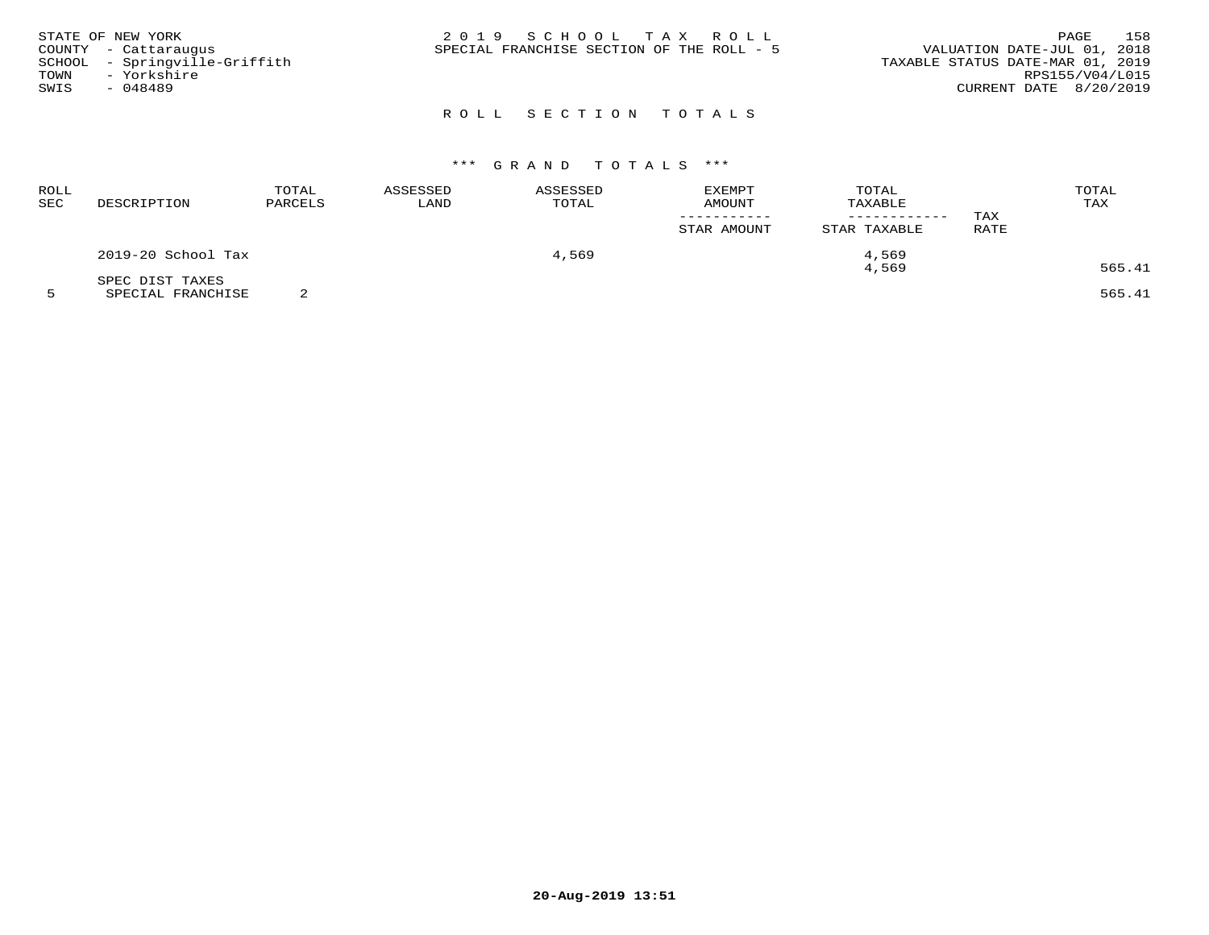|      | STATE OF NEW YORK             | 2019 SCHOOL TAX ROLL                      | PAGE                             | 158 |
|------|-------------------------------|-------------------------------------------|----------------------------------|-----|
|      | COUNTY - Cattaraugus          | SPECIAL FRANCHISE SECTION OF THE ROLL - 5 | VALUATION DATE-JUL 01, 2018      |     |
|      | SCHOOL - Springville-Griffith |                                           | TAXABLE STATUS DATE-MAR 01, 2019 |     |
| TOWN | - Yorkshire                   |                                           | RPS155/V04/L015                  |     |
| SWIS | - 048489                      |                                           | CURRENT DATE 8/20/2019           |     |
|      |                               |                                           |                                  |     |

## \*\*\* G R A N D T O T A L S \*\*\*

| <b>ROLL</b><br>SEC | DESCRIPTION        | TOTAL<br>PARCELS | ASSESSED<br>LAND | ASSESSED<br>TOTAL | <b>EXEMPT</b><br>AMOUNT | TOTAL<br>TAXABLE | TAX         | TOTAL<br>TAX |  |
|--------------------|--------------------|------------------|------------------|-------------------|-------------------------|------------------|-------------|--------------|--|
|                    |                    |                  |                  |                   | STAR AMOUNT             | STAR TAXABLE     | <b>RATE</b> |              |  |
|                    | 2019-20 School Tax |                  |                  | 4,569             |                         | 4,569            |             |              |  |
|                    | SPEC DIST TAXES    |                  |                  |                   |                         | 4,569            |             | 565.41       |  |

5 SPECIAL FRANCHISE 2 565.41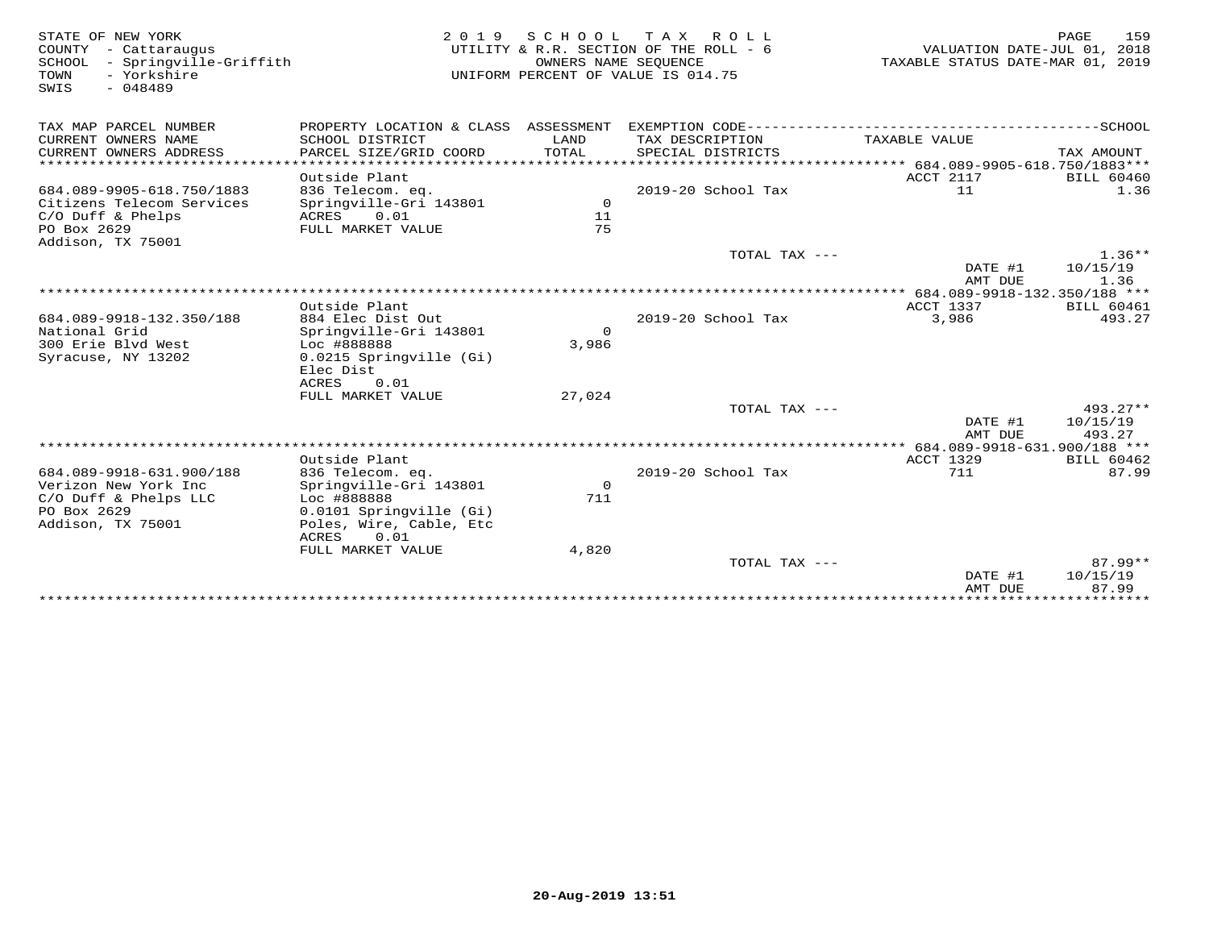| STATE OF NEW YORK<br>COUNTY - Cattaraugus<br>SCHOOL<br>- Springville-Griffith<br>- Yorkshire<br>TOWN<br>$-048489$<br>SWIS | 2 0 1 9                                                     | OWNERS NAME SEQUENCE  | SCHOOL TAX ROLL<br>UTILITY & R.R. SECTION OF THE ROLL - 6<br>UNIFORM PERCENT OF VALUE IS 014.75 | VALUATION DATE-JUL 01, 2018<br>TAXABLE STATUS DATE-MAR 01, 2019 | 159<br>PAGE        |
|---------------------------------------------------------------------------------------------------------------------------|-------------------------------------------------------------|-----------------------|-------------------------------------------------------------------------------------------------|-----------------------------------------------------------------|--------------------|
| TAX MAP PARCEL NUMBER                                                                                                     | PROPERTY LOCATION & CLASS ASSESSMENT                        |                       |                                                                                                 |                                                                 |                    |
| CURRENT OWNERS NAME<br>CURRENT OWNERS ADDRESS                                                                             | SCHOOL DISTRICT<br>PARCEL SIZE/GRID COORD                   | LAND<br>TOTAL         | TAX DESCRIPTION<br>SPECIAL DISTRICTS                                                            | TAXABLE VALUE                                                   | TAX AMOUNT         |
|                                                                                                                           |                                                             |                       |                                                                                                 |                                                                 |                    |
|                                                                                                                           | Outside Plant                                               |                       |                                                                                                 | ACCT 2117<br>11                                                 | <b>BILL 60460</b>  |
| 684.089-9905-618.750/1883<br>Citizens Telecom Services<br>$C/O$ Duff & Phelps                                             | 836 Telecom. eq.<br>Springville-Gri 143801<br>ACRES<br>0.01 | $\circ$<br>11         | $2019-20$ School Tax                                                                            |                                                                 | 1.36               |
| PO Box 2629<br>Addison, TX 75001                                                                                          | FULL MARKET VALUE                                           | 75                    |                                                                                                 |                                                                 |                    |
|                                                                                                                           |                                                             |                       | TOTAL TAX ---                                                                                   |                                                                 | $1.36**$           |
|                                                                                                                           |                                                             |                       |                                                                                                 | DATE #1<br>AMT DUE                                              | 10/15/19<br>1.36   |
|                                                                                                                           |                                                             |                       |                                                                                                 |                                                                 |                    |
|                                                                                                                           | Outside Plant                                               |                       |                                                                                                 | ACCT 1337                                                       | <b>BILL 60461</b>  |
| 684.089-9918-132.350/188                                                                                                  | 884 Elec Dist Out                                           |                       | 2019-20 School Tax                                                                              | 3,986                                                           | 493.27             |
| National Grid<br>300 Erie Blyd West                                                                                       | Springville-Gri 143801<br>Loc #888888                       | $\mathsf{O}$<br>3,986 |                                                                                                 |                                                                 |                    |
| Syracuse, NY 13202                                                                                                        | 0.0215 Springville (Gi)                                     |                       |                                                                                                 |                                                                 |                    |
|                                                                                                                           | Elec Dist<br><b>ACRES</b><br>0.01                           |                       |                                                                                                 |                                                                 |                    |
|                                                                                                                           | FULL MARKET VALUE                                           | 27,024                |                                                                                                 |                                                                 |                    |
|                                                                                                                           |                                                             |                       | TOTAL TAX ---                                                                                   |                                                                 | $493.27**$         |
|                                                                                                                           |                                                             |                       |                                                                                                 | DATE #1<br>AMT DUE                                              | 10/15/19<br>493.27 |
|                                                                                                                           |                                                             |                       |                                                                                                 |                                                                 |                    |
|                                                                                                                           | Outside Plant                                               |                       |                                                                                                 | <b>ACCT 1329</b>                                                | <b>BILL 60462</b>  |
| 684.089-9918-631.900/188                                                                                                  | 836 Telecom. eq.                                            |                       | 2019-20 School Tax                                                                              | 711                                                             | 87.99              |
| Verizon New York Inc                                                                                                      | Springville-Gri 143801                                      | $\circ$               |                                                                                                 |                                                                 |                    |
| C/O Duff & Phelps LLC                                                                                                     | Loc #888888                                                 | 711                   |                                                                                                 |                                                                 |                    |
| PO Box 2629                                                                                                               | 0.0101 Springville (Gi)                                     |                       |                                                                                                 |                                                                 |                    |
| Addison, TX 75001                                                                                                         | Poles, Wire, Cable, Etc<br>ACRES<br>0.01                    |                       |                                                                                                 |                                                                 |                    |
|                                                                                                                           | FULL MARKET VALUE                                           | 4,820                 |                                                                                                 |                                                                 |                    |
|                                                                                                                           |                                                             |                       | TOTAL TAX ---                                                                                   |                                                                 | $87.99**$          |
|                                                                                                                           |                                                             |                       |                                                                                                 | DATE #1                                                         | 10/15/19           |
|                                                                                                                           |                                                             |                       |                                                                                                 | AMT DUE                                                         | 87.99              |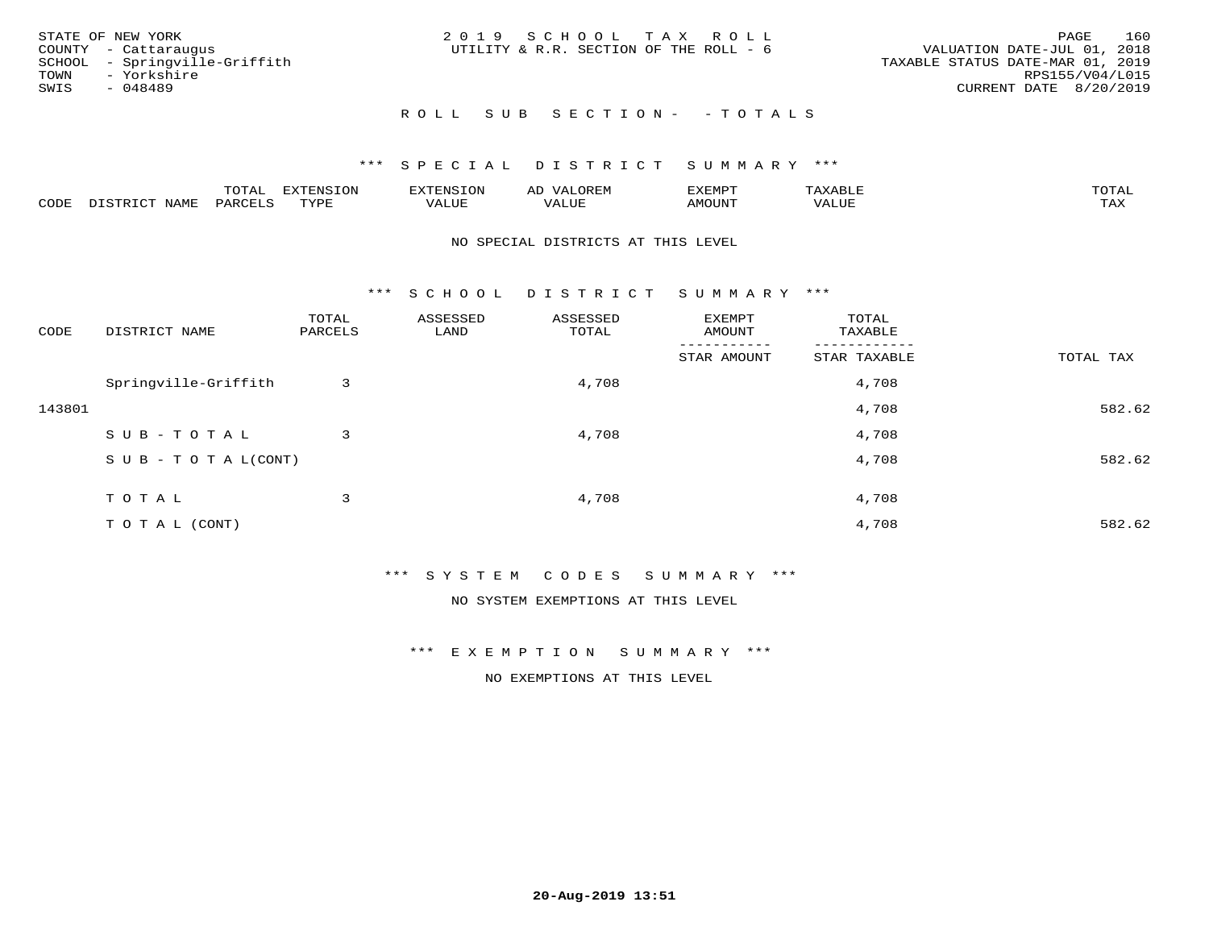| STATE OF NEW YORK             | 2019 SCHOOL TAX ROLL                   | 160<br>PAGE                      |
|-------------------------------|----------------------------------------|----------------------------------|
| COUNTY - Cattaraugus          | UTILITY & R.R. SECTION OF THE ROLL - 6 | VALUATION DATE-JUL 01, 2018      |
| SCHOOL - Springville-Griffith |                                        | TAXABLE STATUS DATE-MAR 01, 2019 |
| TOWN - Yorkshire              |                                        | RPS155/V04/L015                  |
| SWIS<br>- 048489              |                                        | CURRENT DATE 8/20/2019           |
|                               | ROLL SUB SECTION- - TOTALS             |                                  |

|      |              | TOTAL   | EXTENSION   | $\n                                 <$ | $\Delta$ | <b>XEMPT</b> | ABLE. | TOTAI |
|------|--------------|---------|-------------|----------------------------------------|----------|--------------|-------|-------|
| CODE | <b>NLAME</b> | PARCELS | TVDF<br>ᆠᇊᅹ | <i>J</i> ALUE                          | VALUE    | MOUNT        | VALUE | TAX   |

#### NO SPECIAL DISTRICTS AT THIS LEVEL

\*\*\* S C H O O L D I S T R I C T S U M M A R Y \*\*\*

| CODE   | DISTRICT NAME                    | TOTAL<br>PARCELS | ASSESSED<br>LAND | ASSESSED<br>TOTAL | EXEMPT<br>AMOUNT | TOTAL<br>TAXABLE |           |
|--------|----------------------------------|------------------|------------------|-------------------|------------------|------------------|-----------|
|        |                                  |                  |                  |                   | STAR AMOUNT      | STAR TAXABLE     | TOTAL TAX |
|        | Springville-Griffith             | 3                |                  | 4,708             |                  | 4,708            |           |
| 143801 |                                  |                  |                  |                   |                  | 4,708            | 582.62    |
|        | SUB-TOTAL                        | 3                |                  | 4,708             |                  | 4,708            |           |
|        | $S \cup B - T \cup T A L (CONT)$ |                  |                  |                   |                  | 4,708            | 582.62    |
|        | TOTAL                            | 3                |                  | 4,708             |                  | 4,708            |           |
|        | T O T A L (CONT)                 |                  |                  |                   |                  | 4,708            | 582.62    |

\*\*\* S Y S T E M C O D E S S U M M A R Y \*\*\*

NO SYSTEM EXEMPTIONS AT THIS LEVEL

\*\*\* E X E M P T I O N S U M M A R Y \*\*\*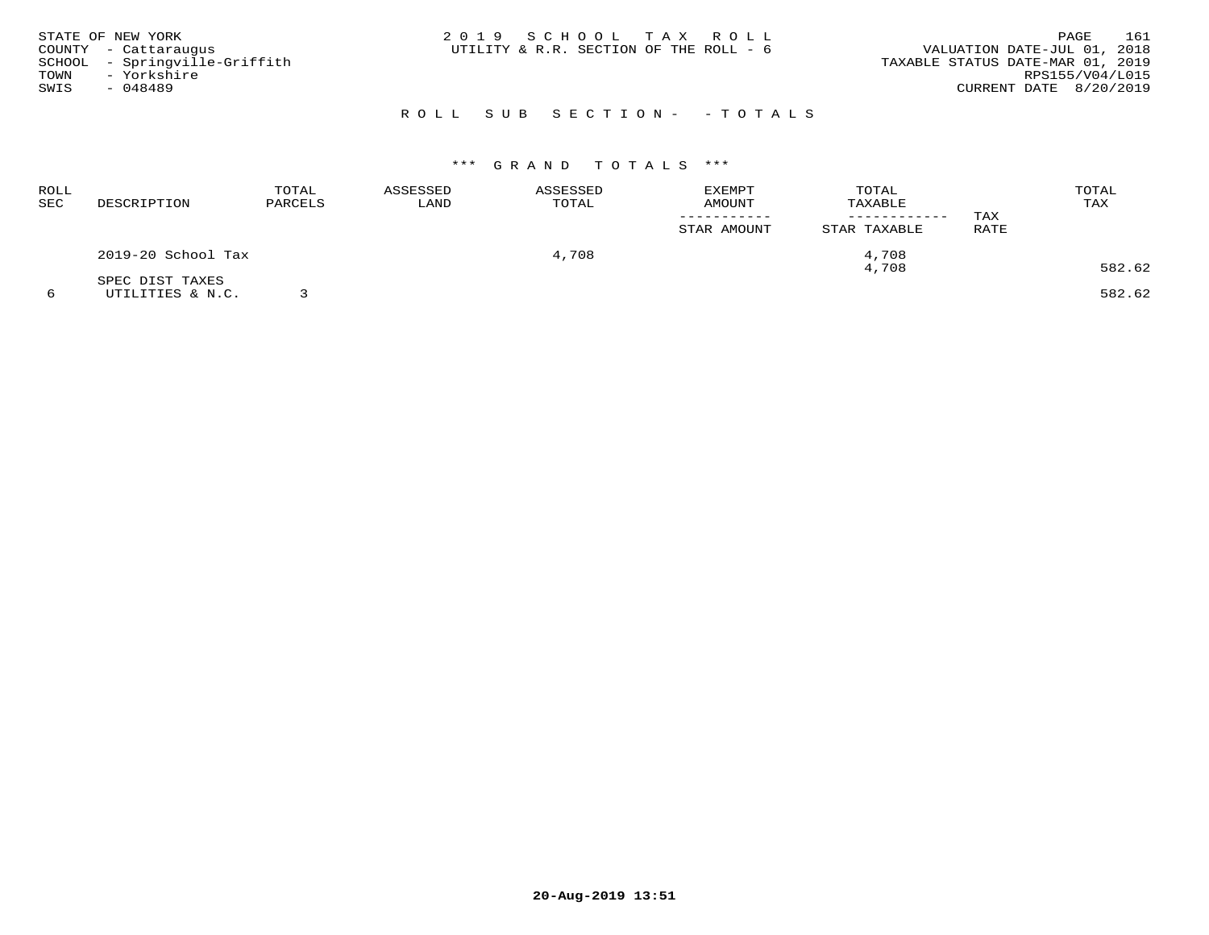| STATE OF NEW YORK |                               | 2019 SCHOOL TAX ROLL                   | 161<br>PAGE                      |
|-------------------|-------------------------------|----------------------------------------|----------------------------------|
|                   | COUNTY - Cattaraugus          | UTILITY & R.R. SECTION OF THE ROLL - 6 | VALUATION DATE-JUL 01, 2018      |
|                   | SCHOOL - Springville-Griffith |                                        | TAXABLE STATUS DATE-MAR 01, 2019 |
| TOWN              | - Yorkshire                   |                                        | RPS155/V04/L015                  |
| SWIS              | - 048489                      |                                        | CURRENT DATE 8/20/2019           |
|                   |                               |                                        |                                  |

# ROLL SUB SECTION- - TOTALS

# \*\*\* G R A N D T O T A L S \*\*\*

| <b>ROLL</b><br>SEC | DESCRIPTION                         | TOTAL<br>PARCELS | ASSESSED<br>LAND | ASSESSED<br>TOTAL | <b>EXEMPT</b><br><b>AMOUNT</b><br>STAR AMOUNT | TOTAL<br>TAXABLE<br>STAR TAXABLE | TAX<br>RATE | TOTAL<br>TAX |
|--------------------|-------------------------------------|------------------|------------------|-------------------|-----------------------------------------------|----------------------------------|-------------|--------------|
|                    | 2019-20 School Tax                  |                  |                  | 4,708             |                                               | 4,708<br>4,708                   |             | 582.62       |
|                    | SPEC DIST TAXES<br>UTILITIES & N.C. |                  |                  |                   |                                               |                                  |             | 582.62       |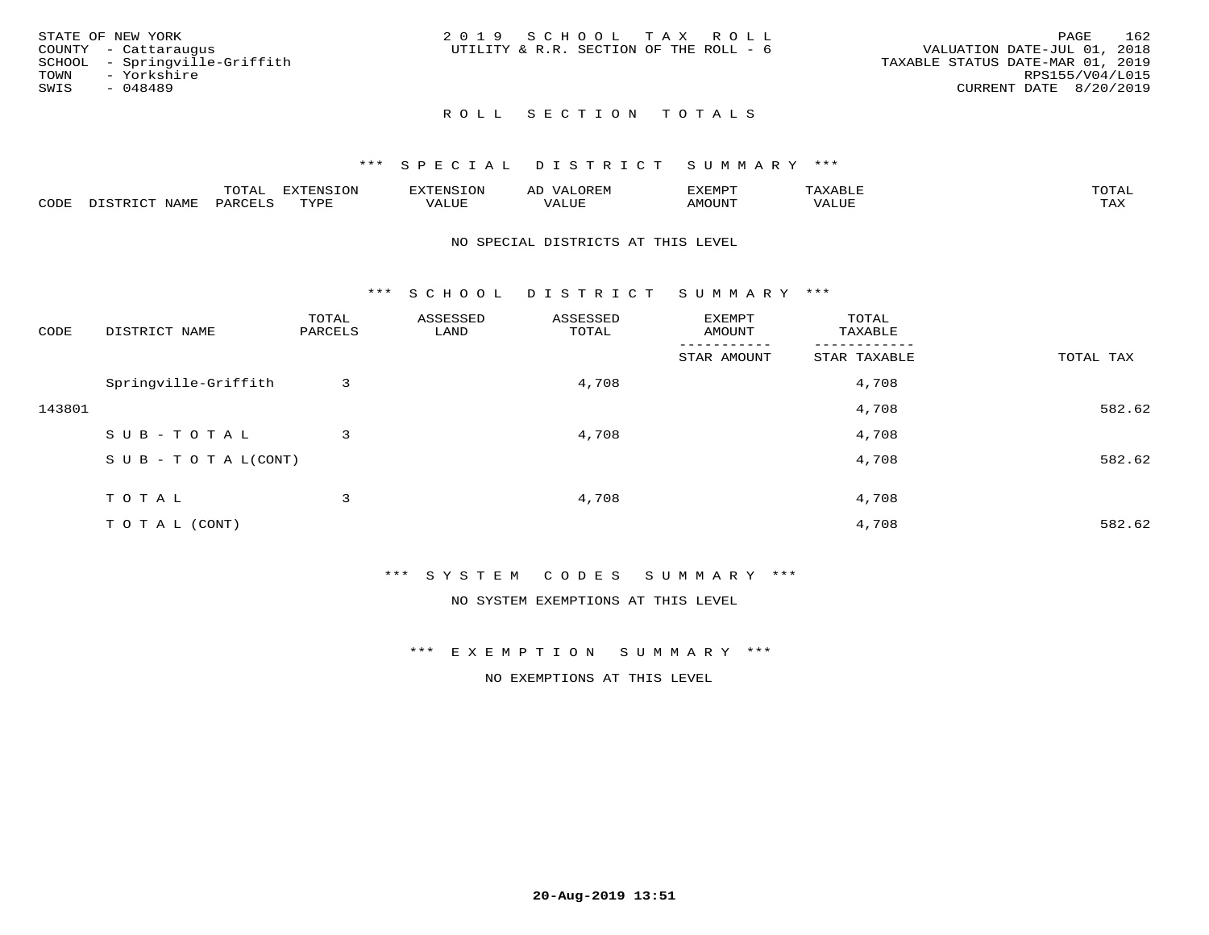|      | STATE OF NEW YORK             | 2019 SCHOOL TAX ROLL                   |  |                                  |                        | PAGE | 162 |
|------|-------------------------------|----------------------------------------|--|----------------------------------|------------------------|------|-----|
|      | COUNTY - Cattaraugus          | UTILITY & R.R. SECTION OF THE ROLL - 6 |  | VALUATION DATE-JUL 01, 2018      |                        |      |     |
|      | SCHOOL - Springville-Griffith |                                        |  | TAXABLE STATUS DATE-MAR 01, 2019 |                        |      |     |
| TOWN | - Yorkshire                   |                                        |  |                                  | RPS155/V04/L015        |      |     |
| SWIS | - 048489                      |                                        |  |                                  | CURRENT DATE 8/20/2019 |      |     |
|      |                               |                                        |  |                                  |                        |      |     |

## \*\*\* S P E C I A L D I S T R I C T S U M M A R Y \*\*\*

|      |      | momn.<br>.UIAL | <b>DIZODALO TOM</b><br><b>1115</b><br>LUP | ר את דר            | ΑL<br>$\cdots$      | EXEMPT        | 'ΔΧΔ<br>AAABLE | momn. |
|------|------|----------------|-------------------------------------------|--------------------|---------------------|---------------|----------------|-------|
| CODE | NAME | 'ARC           | TVDF<br>د د د                             | <b>TTT</b><br>ALUM | <b>TTT</b><br>7ALUE | <b>TNUOMA</b> | . ALUE         | TAX   |

#### NO SPECIAL DISTRICTS AT THIS LEVEL

\*\*\* S C H O O L D I S T R I C T S U M M A R Y \*\*\*

| CODE   | DISTRICT NAME                    | TOTAL<br>PARCELS | ASSESSED<br>LAND | ASSESSED<br>TOTAL | EXEMPT<br>AMOUNT | TOTAL<br>TAXABLE |           |
|--------|----------------------------------|------------------|------------------|-------------------|------------------|------------------|-----------|
|        |                                  |                  |                  |                   | STAR AMOUNT      | STAR TAXABLE     | TOTAL TAX |
|        | Springville-Griffith             | 3                |                  | 4,708             |                  | 4,708            |           |
| 143801 |                                  |                  |                  |                   |                  | 4,708            | 582.62    |
|        | SUB-TOTAL                        | 3                |                  | 4,708             |                  | 4,708            |           |
|        | $S \cup B - T \cup T A L (CONT)$ |                  |                  |                   |                  | 4,708            | 582.62    |
|        | TOTAL                            | 3                |                  | 4,708             |                  |                  |           |
|        |                                  |                  |                  |                   |                  | 4,708            |           |
|        | TO TAL (CONT)                    |                  |                  |                   |                  | 4,708            | 582.62    |

\*\*\* S Y S T E M C O D E S S U M M A R Y \*\*\*

NO SYSTEM EXEMPTIONS AT THIS LEVEL

\*\*\* E X E M P T I O N S U M M A R Y \*\*\*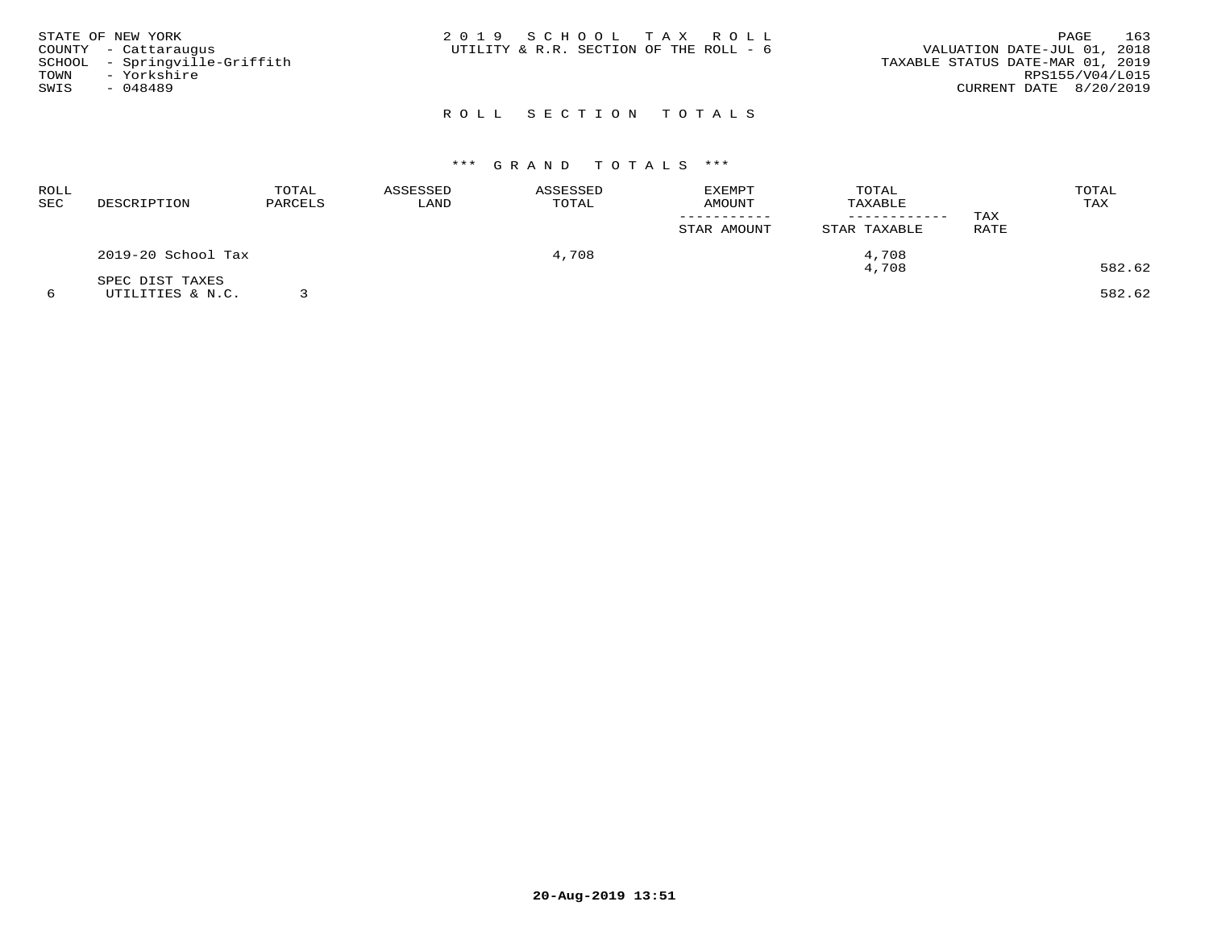| STATE OF NEW YORK<br>COUNTY - Cattaraugus<br>SCHOOL - Springville-Griffith<br>TOWN - Yorkshire<br>SWIS<br>- 048489 | 2019 SCHOOL TAX ROLL<br>UTILITY & R.R. SECTION OF THE ROLL - 6 | 163<br>PAGE<br>VALUATION DATE-JUL 01, 2018<br>TAXABLE STATUS DATE-MAR 01, 2019<br>RPS155/V04/L015<br>CURRENT DATE 8/20/2019 |
|--------------------------------------------------------------------------------------------------------------------|----------------------------------------------------------------|-----------------------------------------------------------------------------------------------------------------------------|
|                                                                                                                    | ROLL SECTION TOTALS                                            |                                                                                                                             |

## \*\*\* G R A N D T O T A L S \*\*\*

| ROLL<br>SEC | DESCRIPTION        | TOTAL<br>PARCELS | ASSESSED<br>LAND | ASSESSED<br>TOTAL | EXEMPT<br><b>AMOUNT</b> | TOTAL<br>TAXABLE<br>------------ | TAX  | TOTAL<br>TAX |
|-------------|--------------------|------------------|------------------|-------------------|-------------------------|----------------------------------|------|--------------|
|             |                    |                  |                  |                   | STAR AMOUNT             | STAR TAXABLE                     | RATE |              |
|             | 2019-20 School Tax |                  |                  | 4,708             |                         | 4,708                            |      |              |
|             | SPEC DIST TAXES    |                  |                  |                   |                         | 4,708                            |      | 582.62       |
|             | UTILITIES & N.C.   |                  |                  |                   |                         |                                  |      | 582.62       |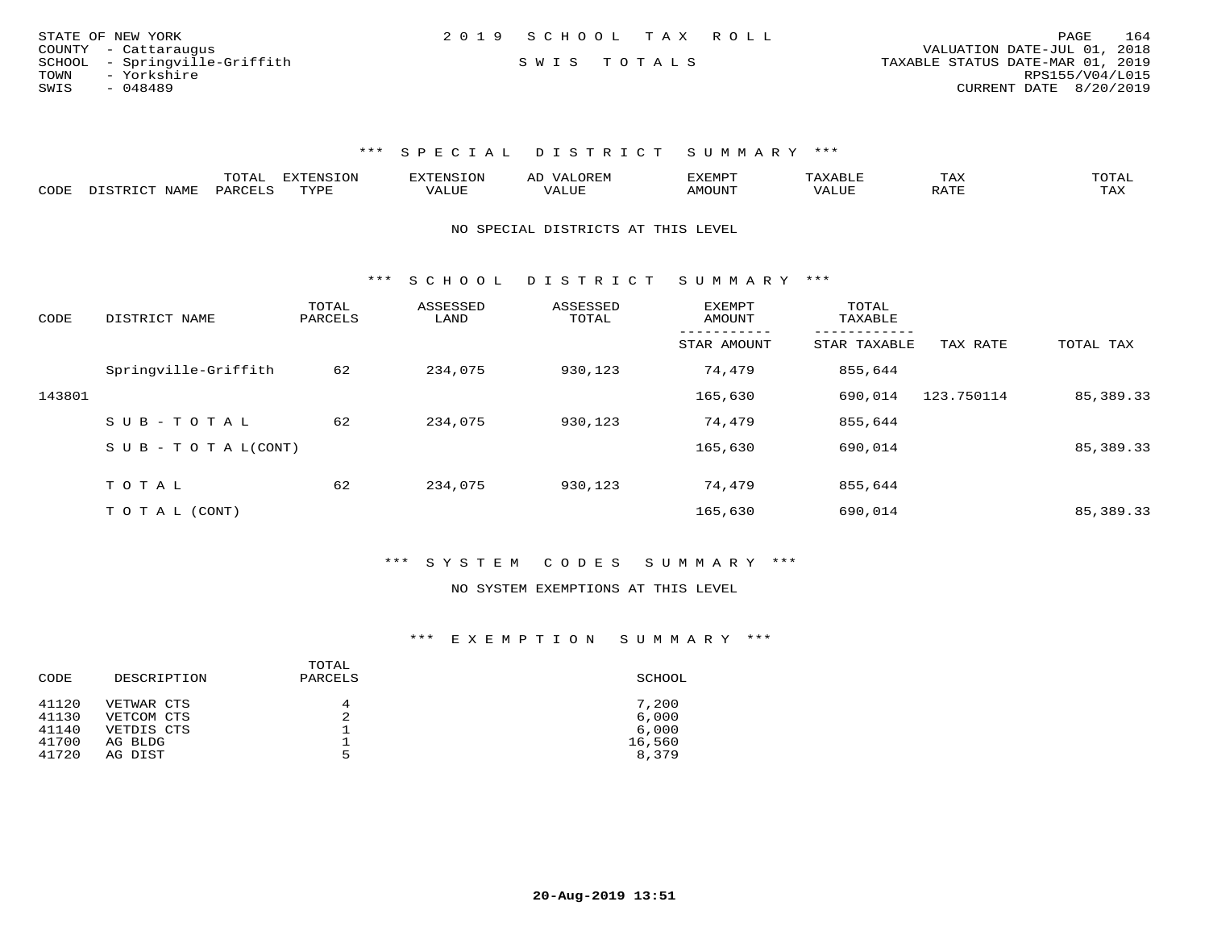| STATE OF NEW YORK             | 2019 SCHOOL TAX ROLL | 164<br>PAGE                      |
|-------------------------------|----------------------|----------------------------------|
| COUNTY - Cattaraugus          |                      | VALUATION DATE-JUL 01, 2018      |
| SCHOOL - Springville-Griffith | SWIS TOTALS          | TAXABLE STATUS DATE-MAR 01, 2019 |
| TOWN<br>- Yorkshire           |                      | RPS155/V04/L015                  |
| SWIS<br>- 048489              |                      | CURRENT DATE 8/20/2019           |

|      |                                  | "Ω"ΠΟ"<br>⊥∪⊥⊓⊥ | <b>EXTENSION</b> |                         | A <sub>L</sub> | XEMPT:        |                        | 1 A A       |                     |
|------|----------------------------------|-----------------|------------------|-------------------------|----------------|---------------|------------------------|-------------|---------------------|
| CODE | <b>NAMF</b><br><u>היה דפידים</u> | <b>PARC</b>     | TYPE             | $\mathcal{A}\text{LUF}$ |                | <b>AMOUNT</b> | , 7 7 T T T T<br>VALUE | הדרח ג<br>▵ | $m \times r$<br>⊥≞∆ |

#### NO SPECIAL DISTRICTS AT THIS LEVEL

\*\*\* S C H O O L D I S T R I C T S U M M A R Y \*\*\*

| CODE   | DISTRICT NAME             | TOTAL<br>PARCELS | ASSESSED<br>LAND | ASSESSED<br>TOTAL | <b>EXEMPT</b><br>AMOUNT | TOTAL<br>TAXABLE |            |             |
|--------|---------------------------|------------------|------------------|-------------------|-------------------------|------------------|------------|-------------|
|        |                           |                  |                  |                   | STAR AMOUNT             | STAR TAXABLE     | TAX RATE   | TOTAL TAX   |
|        | Springville-Griffith      | 62               | 234,075          | 930,123           | 74,479                  | 855,644          |            |             |
| 143801 |                           |                  |                  |                   | 165,630                 | 690,014          | 123.750114 | 85, 389. 33 |
|        | SUB-TOTAL                 | 62               | 234,075          | 930,123           | 74,479                  | 855,644          |            |             |
|        | S U B - T O T A $L(CONT)$ |                  |                  |                   | 165,630                 | 690,014          |            | 85, 389. 33 |
|        | TOTAL                     | 62               | 234,075          |                   | 74,479                  |                  |            |             |
|        |                           |                  |                  | 930,123           |                         | 855,644          |            |             |
|        | T O T A L (CONT)          |                  |                  |                   | 165,630                 | 690,014          |            | 85,389.33   |

## \*\*\* S Y S T E M C O D E S S U M M A R Y \*\*\*

#### NO SYSTEM EXEMPTIONS AT THIS LEVEL

| CODE  | DESCRIPTION | TOTAL<br>PARCELS | SCHOOL |
|-------|-------------|------------------|--------|
| 41120 | VETWAR CTS  | 4                | 7,200  |
| 41130 | VETCOM CTS  | 2                | 6,000  |
| 41140 | VETDIS CTS  | ᅩ                | 6,000  |
| 41700 | AG BLDG     | ᅩ                | 16,560 |
| 41720 | AG DIST     | 5                | 8,379  |
|       |             |                  |        |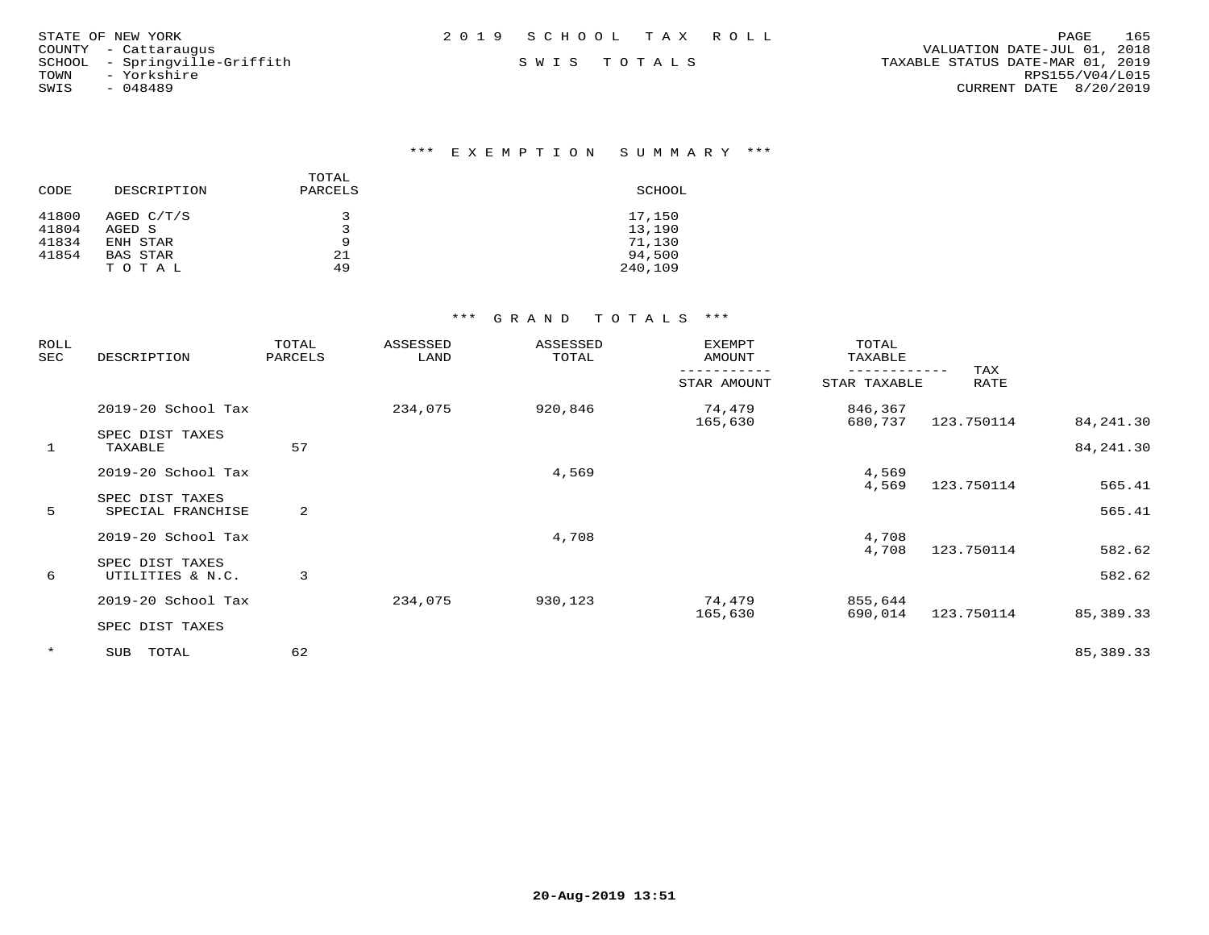| STATE OF NEW YORK             | 2019 SCHOOL TAX ROLL | 165<br>PAGE                      |
|-------------------------------|----------------------|----------------------------------|
| COUNTY - Cattaraugus          |                      | VALUATION DATE-JUL 01, 2018      |
| SCHOOL - Springville-Griffith | SWIS TOTALS          | TAXABLE STATUS DATE-MAR 01, 2019 |
| TOWN<br>- Yorkshire           |                      | RPS155/V04/L015                  |
| SWIS<br>$-048489$             |                      | CURRENT DATE 8/20/2019           |
|                               |                      |                                  |

| CODE  | DESCRIPTION | TOTAL<br>PARCELS | SCHOOL  |
|-------|-------------|------------------|---------|
| 41800 | AGED C/T/S  | ∍                | 17,150  |
| 41804 | AGED S      | $\mathbf{z}$     | 13,190  |
| 41834 | ENH STAR    | 9                | 71,130  |
| 41854 | BAS STAR    | 21               | 94,500  |
|       | TOTAL       | 49               | 240,109 |

| ROLL<br>SEC  | DESCRIPTION                          | TOTAL<br>PARCELS | ASSESSED<br>LAND | ASSESSED<br>TOTAL | EXEMPT<br>AMOUNT  | TOTAL<br>TAXABLE   |             |                          |
|--------------|--------------------------------------|------------------|------------------|-------------------|-------------------|--------------------|-------------|--------------------------|
|              |                                      |                  |                  |                   | STAR AMOUNT       | STAR TAXABLE       | TAX<br>RATE |                          |
|              | 2019-20 School Tax                   |                  | 234,075          | 920,846           | 74,479            | 846,367            |             |                          |
| $\mathbf{1}$ | SPEC DIST TAXES<br>TAXABLE           | 57               |                  |                   | 165,630           | 680,737            | 123.750114  | 84, 241.30<br>84, 241.30 |
|              | 2019-20 School Tax                   |                  |                  | 4,569             |                   | 4,569              |             |                          |
| 5            | SPEC DIST TAXES<br>SPECIAL FRANCHISE | 2                |                  |                   |                   | 4,569              | 123.750114  | 565.41<br>565.41         |
|              | 2019-20 School Tax                   |                  |                  | 4,708             |                   | 4,708              |             |                          |
| 6            | SPEC DIST TAXES<br>UTILITIES & N.C.  | 3                |                  |                   |                   | 4,708              | 123.750114  | 582.62<br>582.62         |
|              | 2019-20 School Tax                   |                  | 234,075          | 930,123           | 74,479<br>165,630 | 855,644<br>690,014 | 123.750114  | 85,389.33                |
|              | SPEC DIST TAXES                      |                  |                  |                   |                   |                    |             |                          |
| $\star$      | TOTAL<br>SUB                         | 62               |                  |                   |                   |                    |             | 85, 389. 33              |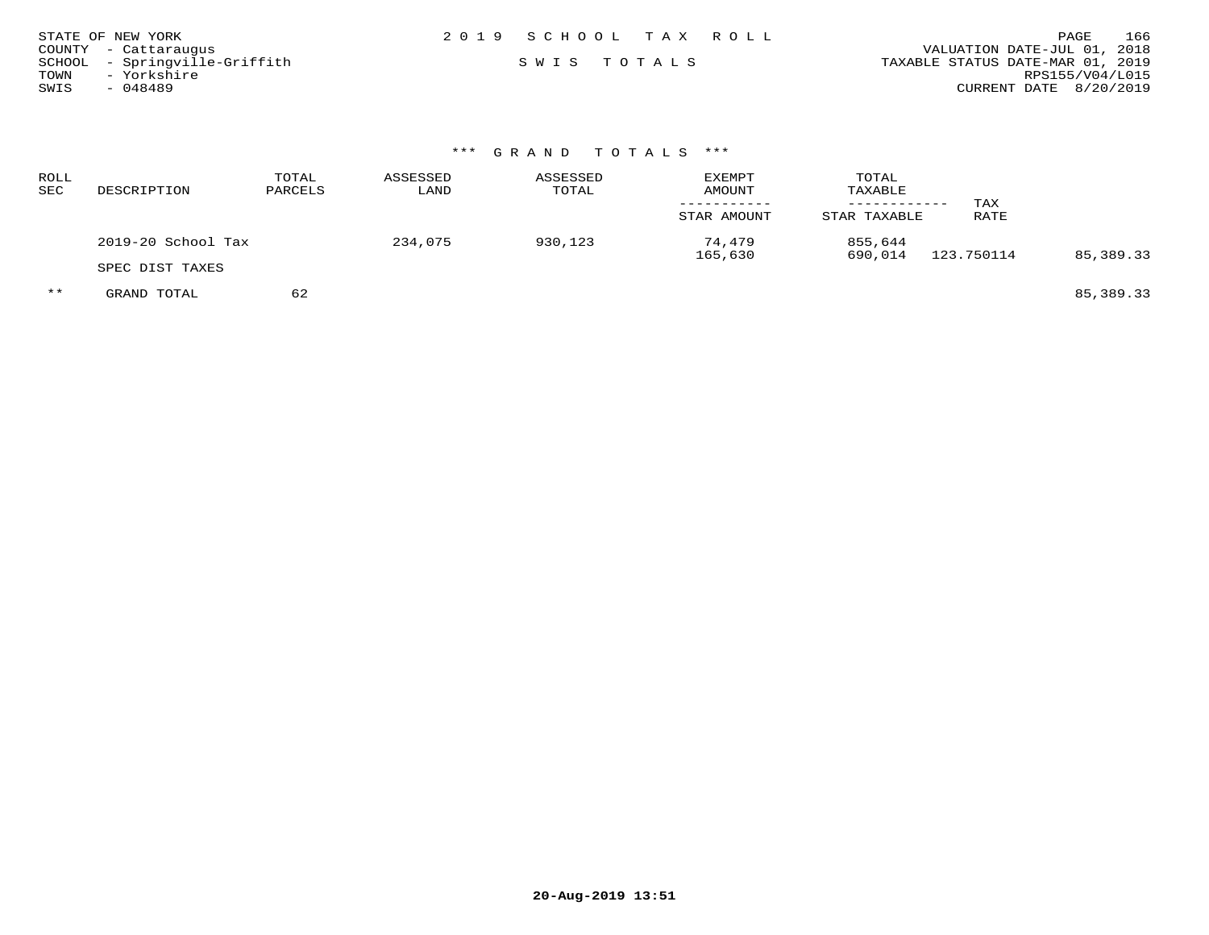| STATE OF NEW YORK             | 2019 SCHOOL TAX ROLL | 166<br>PAGE                      |
|-------------------------------|----------------------|----------------------------------|
| COUNTY - Cattarauqus          |                      | VALUATION DATE-JUL 01, 2018      |
| SCHOOL - Springville-Griffith | SWIS TOTALS          | TAXABLE STATUS DATE-MAR 01, 2019 |
| - Yorkshire<br>TOWN           |                      | RPS155/V04/L015                  |
| SWIS<br>- 048489              |                      | CURRENT DATE 8/20/2019           |

# \*\*\* G R A N D T O T A L S \*\*\*

| ROLL<br>SEC | DESCRIPTION        | TOTAL<br>PARCELS | ASSESSED<br>LAND | ASSESSED<br>TOTAL | <b>EXEMPT</b><br>AMOUNT<br>STAR AMOUNT | TOTAL<br>TAXABLE<br>STAR TAXABLE | TAX<br>RATE |           |
|-------------|--------------------|------------------|------------------|-------------------|----------------------------------------|----------------------------------|-------------|-----------|
|             | 2019-20 School Tax |                  | 234,075          | 930,123           | 74,479                                 | 855,644                          | 123.750114  |           |
|             | SPEC DIST TAXES    |                  |                  |                   | 165,630                                | 690,014                          |             | 85,389.33 |
| $***$       | GRAND TOTAL        | 62               |                  |                   |                                        |                                  |             | 85,389.33 |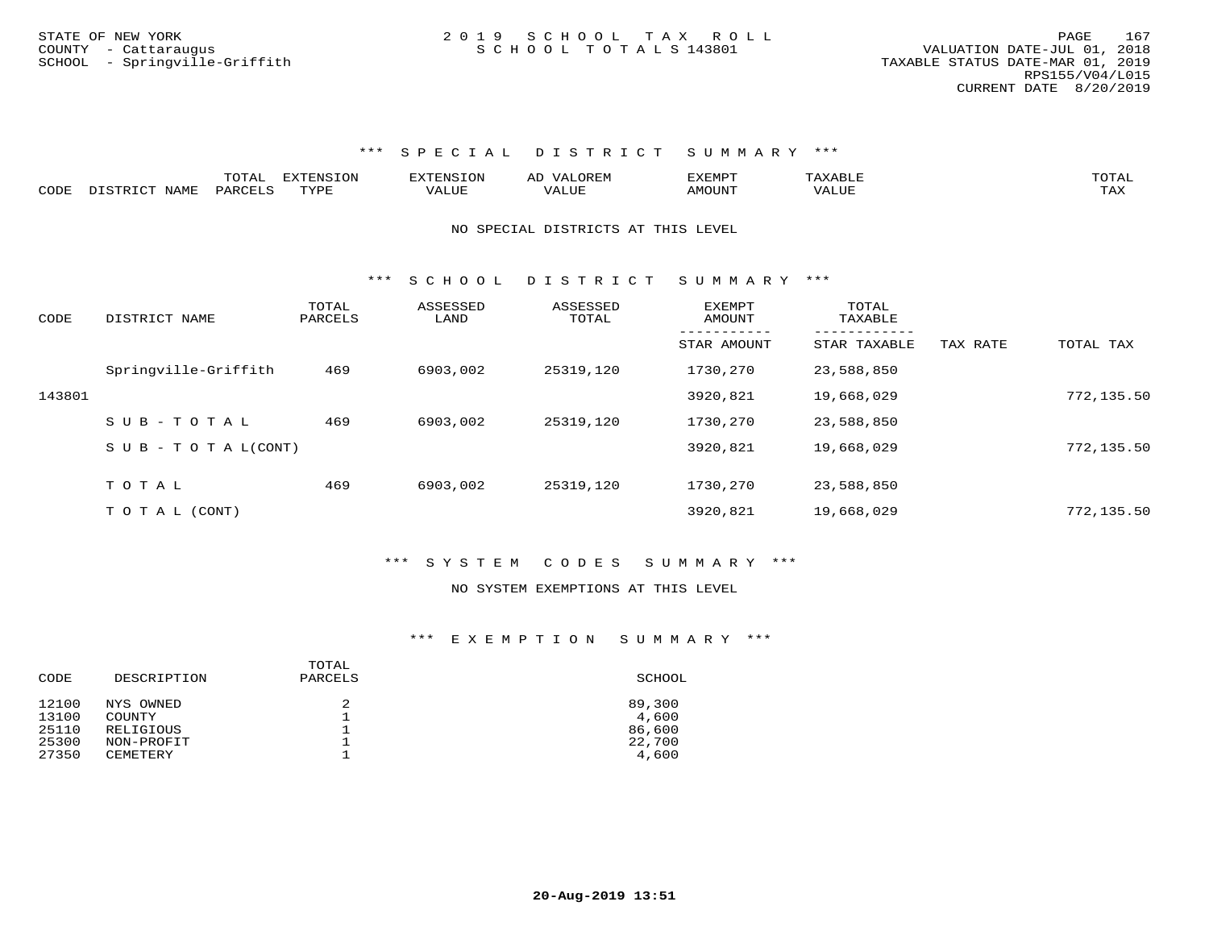|      |               | TOTAL   | EXTENSION | <b>EXTENSION</b> | VALOREM<br>ΑL | EXEMPT |              | TOTAL |
|------|---------------|---------|-----------|------------------|---------------|--------|--------------|-------|
|      | DISTRICT NAME |         |           |                  |               |        |              |       |
| CODE |               | PARCELS | TYPE      | <b>/ALUE</b>     | ∟U⊔A′         | AMOUNT | <b>VALUE</b> | TAX   |

NO SPECIAL DISTRICTS AT THIS LEVEL

\*\*\* S C H O O L D I S T R I C T S U M M A R Y \*\*\*

| CODE   | DISTRICT NAME              | TOTAL<br>PARCELS | ASSESSED<br>LAND | ASSESSED<br>TOTAL | <b>EXEMPT</b><br>AMOUNT | TOTAL<br>TAXABLE |          |            |
|--------|----------------------------|------------------|------------------|-------------------|-------------------------|------------------|----------|------------|
|        |                            |                  |                  |                   | STAR AMOUNT             | STAR TAXABLE     | TAX RATE | TOTAL TAX  |
|        | Springville-Griffith       | 469              | 6903,002         | 25319,120         | 1730,270                | 23,588,850       |          |            |
| 143801 |                            |                  |                  |                   | 3920,821                | 19,668,029       |          | 772,135.50 |
|        | $S \cup B - TO T A L$      | 469              | 6903,002         | 25319,120         | 1730,270                | 23,588,850       |          |            |
|        | S U B - T O T A $L$ (CONT) |                  |                  |                   | 3920,821                | 19,668,029       |          | 772,135.50 |
|        |                            |                  |                  |                   |                         |                  |          |            |
|        | TOTAL                      | 469              | 6903,002         | 25319,120         | 1730,270                | 23,588,850       |          |            |
|        | T O T A L (CONT)           |                  |                  |                   | 3920,821                | 19,668,029       |          | 772,135.50 |

#### \*\*\* S Y S T E M C O D E S S U M M A R Y \*\*\*

#### NO SYSTEM EXEMPTIONS AT THIS LEVEL

| CODE  | DESCRIPTION | TOTAL<br>PARCELS | SCHOOL |  |  |
|-------|-------------|------------------|--------|--|--|
| 12100 | NYS OWNED   | 2                | 89,300 |  |  |
| 13100 | COUNTY      |                  | 4,600  |  |  |
| 25110 | RELIGIOUS   |                  | 86,600 |  |  |
| 25300 | NON-PROFIT  |                  | 22,700 |  |  |
| 27350 | CEMETERY    |                  | 4,600  |  |  |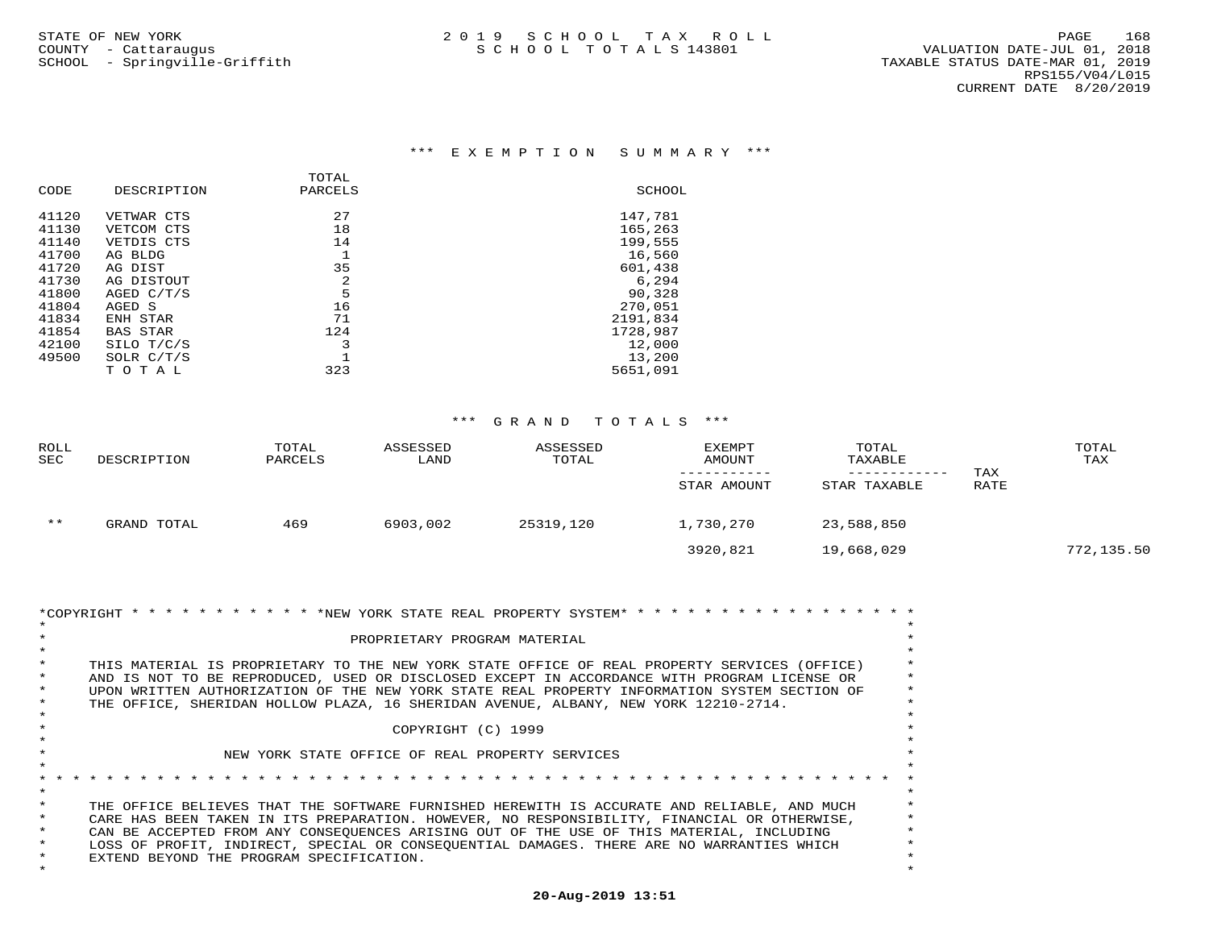|                 | TOTAL   |          |
|-----------------|---------|----------|
| DESCRIPTION     | PARCELS | SCHOOL   |
| VETWAR CTS      | 27      | 147,781  |
| VETCOM CTS      | 18      | 165,263  |
| VETDIS CTS      | 14      | 199,555  |
| AG BLDG         |         | 16,560   |
| AG DIST         | 35      | 601,438  |
| AG DISTOUT      | 2       | 6,294    |
| AGED C/T/S      | 5       | 90,328   |
| AGED S          | 16      | 270,051  |
| ENH STAR        | 71      | 2191,834 |
| <b>BAS STAR</b> | 124     | 1728,987 |
| SILO T/C/S      | 3       | 12,000   |
| SOLR $C/T/S$    |         | 13,200   |
| TOTAL           | 323     | 5651,091 |
|                 |         |          |

| <b>ROLL</b><br><b>SEC</b> | DESCRIPTION | TOTAL<br>PARCELS | ASSESSED<br>LAND | ASSESSED<br>TOTAL | <b>EXEMPT</b><br><b>AMOUNT</b><br>STAR AMOUNT | TOTAL<br>TAXABLE<br>STAR TAXABLE | TAX<br>RATE | TOTAL<br>TAX |
|---------------------------|-------------|------------------|------------------|-------------------|-----------------------------------------------|----------------------------------|-------------|--------------|
| $***$                     | GRAND TOTAL | 469              | 6903,002         | 25319,120         | 1,730,270                                     | 23,588,850                       |             |              |
|                           |             |                  |                  |                   | 3920,821                                      | 19,668,029                       |             | 772,135.50   |

|         | *COPYRIGHT * * * * * * * * * * * * * NEW YORK STATE REAL PROPERTY SYSTEM* * * * * * * *      |  |  |  |  |  |  |  |  |
|---------|----------------------------------------------------------------------------------------------|--|--|--|--|--|--|--|--|
|         | PROPRIETARY PROGRAM MATERIAL                                                                 |  |  |  |  |  |  |  |  |
|         |                                                                                              |  |  |  |  |  |  |  |  |
|         | THIS MATERIAL IS PROPRIETARY TO THE NEW YORK STATE OFFICE OF REAL PROPERTY SERVICES (OFFICE) |  |  |  |  |  |  |  |  |
|         | AND IS NOT TO BE REPRODUCED, USED OR DISCLOSED EXCEPT IN ACCORDANCE WITH PROGRAM LICENSE OR  |  |  |  |  |  |  |  |  |
|         | UPON WRITTEN AUTHORIZATION OF THE NEW YORK STATE REAL PROPERTY INFORMATION SYSTEM SECTION OF |  |  |  |  |  |  |  |  |
|         | THE OFFICE, SHERIDAN HOLLOW PLAZA, 16 SHERIDAN AVENUE, ALBANY, NEW YORK 12210-2714.          |  |  |  |  |  |  |  |  |
|         |                                                                                              |  |  |  |  |  |  |  |  |
|         | COPYRIGHT (C) 1999                                                                           |  |  |  |  |  |  |  |  |
|         |                                                                                              |  |  |  |  |  |  |  |  |
|         | NEW YORK STATE OFFICE OF REAL PROPERTY SERVICES                                              |  |  |  |  |  |  |  |  |
|         |                                                                                              |  |  |  |  |  |  |  |  |
|         |                                                                                              |  |  |  |  |  |  |  |  |
|         |                                                                                              |  |  |  |  |  |  |  |  |
|         | THE OFFICE BELIEVES THAT THE SOFTWARE FURNISHED HEREWITH IS ACCURATE AND RELIABLE, AND MUCH  |  |  |  |  |  |  |  |  |
|         | CARE HAS BEEN TAKEN IN ITS PREPARATION. HOWEVER, NO RESPONSIBILITY, FINANCIAL OR OTHERWISE,  |  |  |  |  |  |  |  |  |
|         | CAN BE ACCEPTED FROM ANY CONSEOUENCES ARISING OUT OF THE USE OF THIS MATERIAL, INCLUDING     |  |  |  |  |  |  |  |  |
| $\star$ | LOSS OF PROFIT, INDIRECT, SPECIAL OR CONSEQUENTIAL DAMAGES. THERE ARE NO WARRANTIES WHICH    |  |  |  |  |  |  |  |  |
|         | EXTEND BEYOND THE PROGRAM SPECIFICATION.                                                     |  |  |  |  |  |  |  |  |
|         |                                                                                              |  |  |  |  |  |  |  |  |